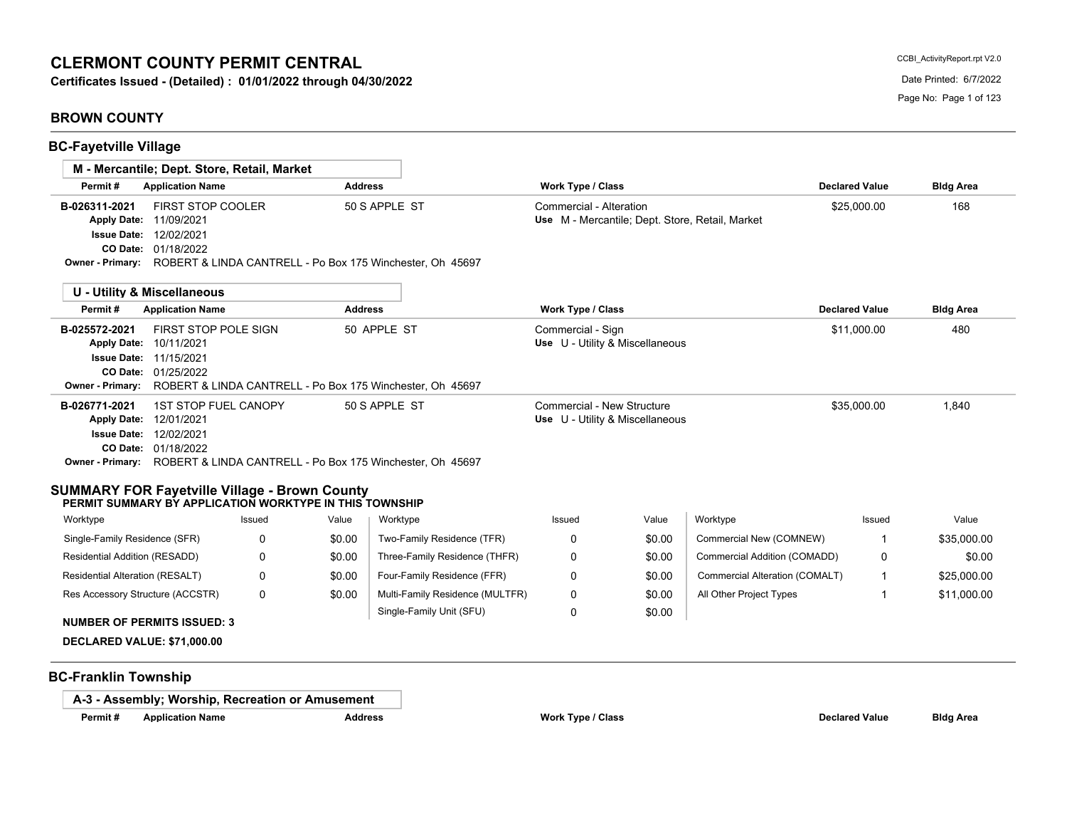# **CLERMONT COUNTY PERMIT CENTRAL**

**Certificates Issued - (Detailed) : 01/01/2022 through 04/30/2022** Date Discussed Date Printed: 6/7/2022

# **BROWN COUNTY**

|                                                                                                                 | M - Mercantile; Dept. Store, Retail, Market                                                                |          |                |                                                                                             |                                                               |                  |                                                 |                       |                  |
|-----------------------------------------------------------------------------------------------------------------|------------------------------------------------------------------------------------------------------------|----------|----------------|---------------------------------------------------------------------------------------------|---------------------------------------------------------------|------------------|-------------------------------------------------|-----------------------|------------------|
| Permit#                                                                                                         | <b>Application Name</b>                                                                                    |          | <b>Address</b> |                                                                                             | <b>Work Type / Class</b>                                      |                  |                                                 | <b>Declared Value</b> | <b>Bldg Area</b> |
| B-026311-2021                                                                                                   | <b>FIRST STOP COOLER</b><br>Apply Date: 11/09/2021<br><b>Issue Date: 12/02/2021</b><br>CO Date: 01/18/2022 |          |                | 50 S APPLE ST<br>Owner - Primary: ROBERT & LINDA CANTRELL - Po Box 175 Winchester, Oh 45697 | Commercial - Alteration                                       |                  | Use M - Mercantile; Dept. Store, Retail, Market | \$25,000.00           | 168              |
|                                                                                                                 | <b>U - Utility &amp; Miscellaneous</b>                                                                     |          |                |                                                                                             |                                                               |                  |                                                 |                       |                  |
| Permit#                                                                                                         | <b>Application Name</b>                                                                                    |          | <b>Address</b> |                                                                                             | Work Type / Class                                             |                  |                                                 | <b>Declared Value</b> | <b>Bldg Area</b> |
| B-025572-2021<br><b>Apply Date:</b><br><b>Owner - Primary:</b>                                                  | <b>FIRST STOP POLE SIGN</b><br>10/11/2021<br><b>Issue Date: 11/15/2021</b><br>CO Date: 01/25/2022          |          |                | 50 APPLE ST<br>ROBERT & LINDA CANTRELL - Po Box 175 Winchester, Oh 45697                    | Commercial - Sign<br>Use U - Utility & Miscellaneous          |                  |                                                 | \$11,000.00           | 480              |
| B-026771-2021                                                                                                   | 1ST STOP FUEL CANOPY<br>Apply Date: 12/01/2021<br><b>Issue Date: 12/02/2021</b><br>CO Date: 01/18/2022     |          |                | 50 S APPLE ST<br>Owner - Primary: ROBERT & LINDA CANTRELL - Po Box 175 Winchester, Oh 45697 | Commercial - New Structure<br>Use U - Utility & Miscellaneous |                  |                                                 | \$35,000.00           | 1,840            |
| <b>SUMMARY FOR Fayetville Village - Brown County</b><br>PERMIT SUMMARY BY APPLICATION WORKTYPE IN THIS TOWNSHIP |                                                                                                            |          |                |                                                                                             |                                                               |                  |                                                 |                       |                  |
| Worktype                                                                                                        |                                                                                                            | Issued   | Value          | Worktype                                                                                    | Issued                                                        | Value            | Worktype                                        | Issued                | Value            |
| Single-Family Residence (SFR)                                                                                   |                                                                                                            | 0        | \$0.00         | Two-Family Residence (TFR)                                                                  | 0                                                             | \$0.00           | Commercial New (COMNEW)                         | -1                    | \$35,000.00      |
| Residential Addition (RESADD)                                                                                   |                                                                                                            | 0        | \$0.00         | Three-Family Residence (THFR)                                                               | 0                                                             | \$0.00           | Commercial Addition (COMADD)                    | 0                     | \$0.00           |
| Residential Alteration (RESALT)                                                                                 |                                                                                                            | 0        | \$0.00         | Four-Family Residence (FFR)                                                                 | 0                                                             | \$0.00           | Commercial Alteration (COMALT)                  | $\mathbf{1}$          | \$25,000.00      |
| Res Accessory Structure (ACCSTR)<br><b>NUMBER OF PERMITS ISSUED: 3</b>                                          |                                                                                                            | $\Omega$ | \$0.00         | Multi-Family Residence (MULTFR)<br>Single-Family Unit (SFU)                                 | 0<br>0                                                        | \$0.00<br>\$0.00 | All Other Project Types                         | -1                    | \$11,000.00      |
|                                                                                                                 |                                                                                                            |          |                |                                                                                             |                                                               |                  |                                                 |                       |                  |

**A-3 - Assembly; Worship, Recreation or Amusement**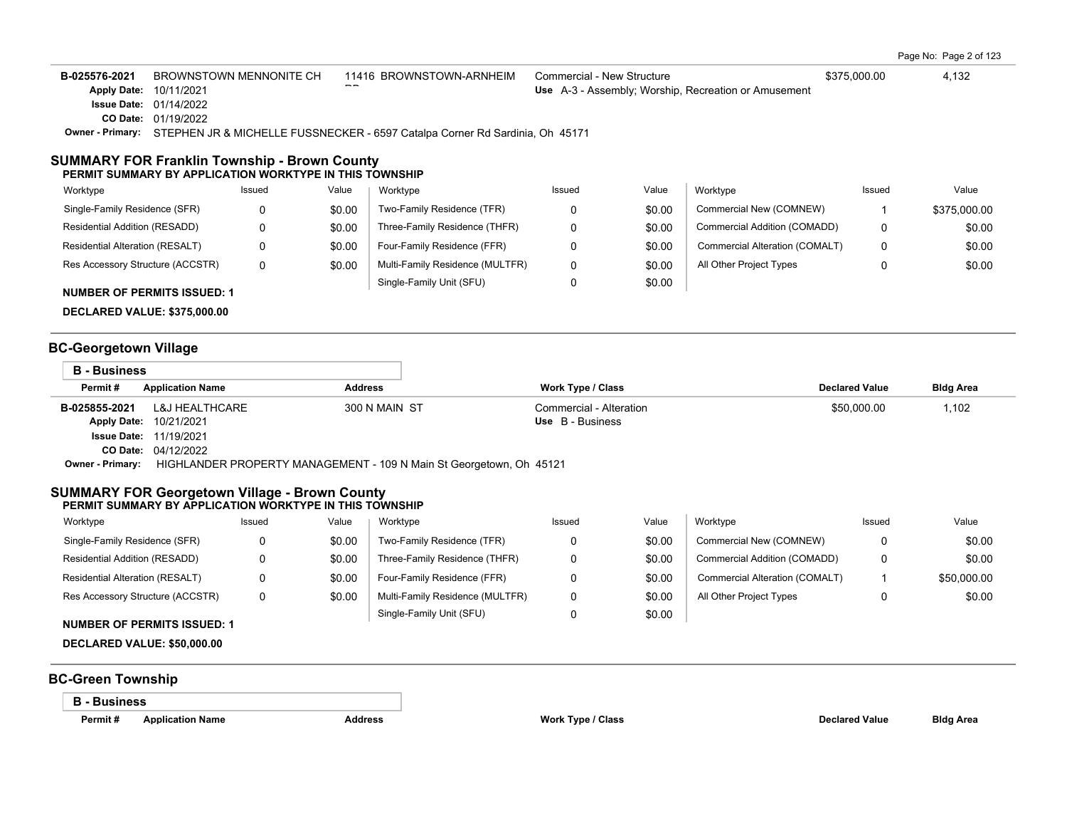Page No: Page 2 of 123

B-025576-2021 BROWNSTOWN MENNONITE CH 11416 BROWNSTOWN-ARNHEIM Commercial - New Structure \$375,000.00 \$375,000.00 01/19/2022 **CO Date:** 01/14/2022 **Issue Date:** Apply Date: 10/11/2021  $\overline{\phantom{a}}$ BROWNSTOWN MENNONITE CH Use A-3 - Assembly; Worship, Recreation or Amusement **Owner - Primary:** STEPHEN JR & MICHELLE FUSSNECKER - 6597 Catalpa Corner Rd Sardinia, Oh 45171

#### **SUMMARY FOR Franklin Township - Brown County PERMIT SUMMARY BY APPLICATION WORKTYPE IN THIS TOWNSHIP**

| Worktype                           | Issued | Value  | Worktype                        | Issued | Value  | Worktype                       | Issued | Value        |
|------------------------------------|--------|--------|---------------------------------|--------|--------|--------------------------------|--------|--------------|
| Single-Family Residence (SFR)      |        | \$0.00 | Two-Family Residence (TFR)      |        | \$0.00 | Commercial New (COMNEW)        |        | \$375,000.00 |
| Residential Addition (RESADD)      |        | \$0.00 | Three-Family Residence (THFR)   |        | \$0.00 | Commercial Addition (COMADD)   | 0      | \$0.00       |
| Residential Alteration (RESALT)    |        | \$0.00 | Four-Family Residence (FFR)     |        | \$0.00 | Commercial Alteration (COMALT) | 0      | \$0.00       |
| Res Accessory Structure (ACCSTR)   |        | \$0.00 | Multi-Family Residence (MULTFR) |        | \$0.00 | All Other Project Types        |        | \$0.00       |
| <b>NUMBER OF PERMITS ISSUED: 1</b> |        |        | Single-Family Unit (SFU)        |        | \$0.00 |                                |        |              |

**DECLARED VALUE: \$375,000.00**

# **BC-Georgetown Village**

| <b>B</b> - Business     |                                                                     |                |                         |                       |                  |
|-------------------------|---------------------------------------------------------------------|----------------|-------------------------|-----------------------|------------------|
| Permit#                 | <b>Application Name</b>                                             | <b>Address</b> | Work Type / Class       | <b>Declared Value</b> | <b>Bldg Area</b> |
| B-025855-2021           | L&J HEALTHCARE                                                      | 300 N MAIN ST  | Commercial - Alteration | \$50,000.00           | 1,102            |
| <b>Apply Date:</b>      | 10/21/2021                                                          |                | Use B - Business        |                       |                  |
| <b>Issue Date:</b>      | 11/19/2021                                                          |                |                         |                       |                  |
|                         | <b>CO Date: 04/12/2022</b>                                          |                |                         |                       |                  |
| <b>Owner - Primary:</b> | HIGHLANDER PROPERTY MANAGEMENT - 109 N Main St Georgetown, Oh 45121 |                |                         |                       |                  |

#### **SUMMARY FOR Georgetown Village - Brown County PERMIT SUMMARY BY APPLICATION WORKTYPE IN THIS TOWNSHIP**

| Worktype                         | Issued | Value  | Worktype                        | Issued | Value  | Worktype                       | Issued | Value       |
|----------------------------------|--------|--------|---------------------------------|--------|--------|--------------------------------|--------|-------------|
| Single-Family Residence (SFR)    | O      | \$0.00 | Two-Family Residence (TFR)      |        | \$0.00 | Commercial New (COMNEW)        | 0      | \$0.00      |
| Residential Addition (RESADD)    |        | \$0.00 | Three-Family Residence (THFR)   |        | \$0.00 | Commercial Addition (COMADD)   | 0      | \$0.00      |
| Residential Alteration (RESALT)  |        | \$0.00 | Four-Family Residence (FFR)     |        | \$0.00 | Commercial Alteration (COMALT) |        | \$50,000.00 |
| Res Accessory Structure (ACCSTR) | 0      | \$0.00 | Multi-Family Residence (MULTFR) |        | \$0.00 | All Other Project Types        |        | \$0.00      |
|                                  |        |        | Single-Family Unit (SFU)        |        | \$0.00 |                                |        |             |

## **NUMBER OF PERMITS ISSUED: 1**

**DECLARED VALUE: \$50,000.00**

# **BC-Green Township**

**B - Business**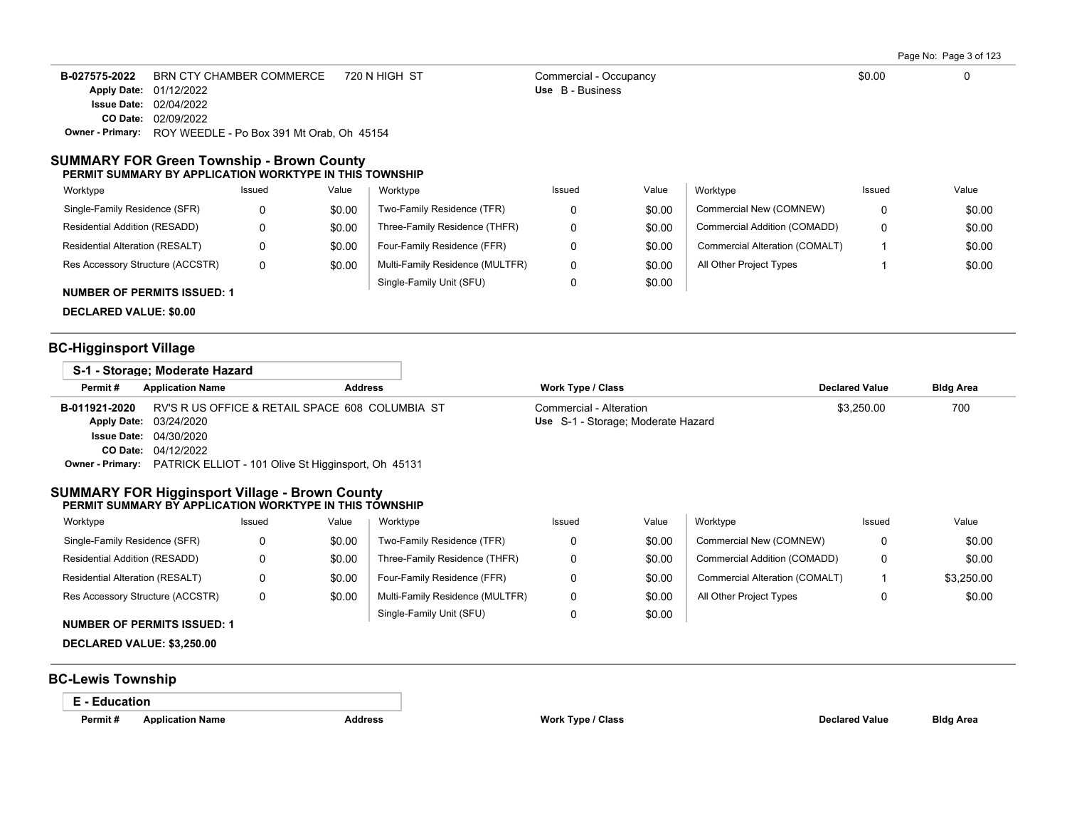Page No: Page 3 of 123

| B-027575-2022 | BRN CTY CHAMBER COMMERCE                                          | 720 N HIGH ST | Commercial - Occupancy | \$0.00 |  |
|---------------|-------------------------------------------------------------------|---------------|------------------------|--------|--|
|               | <b>Apply Date: 01/12/2022</b>                                     |               | Use B - Business       |        |  |
|               | <b>Issue Date: 02/04/2022</b>                                     |               |                        |        |  |
|               | <b>CO Date: 02/09/2022</b>                                        |               |                        |        |  |
|               | <b>Owner - Primary:</b> ROY WEEDLE - Po Box 391 Mt Orab, Oh 45154 |               |                        |        |  |

#### **SUMMARY FOR Green Township - Brown County PERMIT SUMMARY BY APPLICATION WORKTYPE IN THIS TOWNSHIP**

| Worktype                               | Issued | Value  | Worktype                        | Issued | Value  | Worktype                       | Issued | Value  |
|----------------------------------------|--------|--------|---------------------------------|--------|--------|--------------------------------|--------|--------|
| Single-Family Residence (SFR)          |        | \$0.00 | Two-Family Residence (TFR)      |        | \$0.00 | Commercial New (COMNEW)        | 0      | \$0.00 |
| Residential Addition (RESADD)          |        | \$0.00 | Three-Family Residence (THFR)   |        | \$0.00 | Commercial Addition (COMADD)   | 0      | \$0.00 |
| <b>Residential Alteration (RESALT)</b> |        | \$0.00 | Four-Family Residence (FFR)     |        | \$0.00 | Commercial Alteration (COMALT) |        | \$0.00 |
| Res Accessory Structure (ACCSTR)       | 0      | \$0.00 | Multi-Family Residence (MULTFR) |        | \$0.00 | All Other Project Types        |        | \$0.00 |
| <b>NUMBER OF PERMITS ISSUED: 1</b>     |        |        | Single-Family Unit (SFU)        |        | \$0.00 |                                |        |        |

**DECLARED VALUE: \$0.00**

# **BC-Higginsport Village**

|                  | S-1 - Storage: Moderate Hazard                      |                                    |                       |                  |
|------------------|-----------------------------------------------------|------------------------------------|-----------------------|------------------|
| Permit#          | <b>Application Name</b><br><b>Address</b>           | Work Type / Class                  | <b>Declared Value</b> | <b>Bldg Area</b> |
| B-011921-2020    | RV'S R US OFFICE & RETAIL SPACE 608 COLUMBIA ST     | Commercial - Alteration            | \$3,250.00            | 700              |
|                  | Apply Date: 03/24/2020                              | Use S-1 - Storage: Moderate Hazard |                       |                  |
|                  | <b>Issue Date: 04/30/2020</b>                       |                                    |                       |                  |
|                  | <b>CO Date: 04/12/2022</b>                          |                                    |                       |                  |
| Owner - Primary: | PATRICK ELLIOT - 101 Olive St Higginsport, Oh 45131 |                                    |                       |                  |

#### **SUMMARY FOR Higginsport Village - Brown County PERMIT SUMMARY BY APPLICATION WORKTYPE IN THIS TOWNSHIP**

| Worktype                         | Issued | Value  | Worktype                        | Issued | Value  | Worktype                       | Issued | Value      |
|----------------------------------|--------|--------|---------------------------------|--------|--------|--------------------------------|--------|------------|
| Single-Family Residence (SFR)    |        | \$0.00 | Two-Family Residence (TFR)      |        | \$0.00 | Commercial New (COMNEW)        | 0      | \$0.00     |
| Residential Addition (RESADD)    |        | \$0.00 | Three-Family Residence (THFR)   |        | \$0.00 | Commercial Addition (COMADD)   | 0      | \$0.00     |
| Residential Alteration (RESALT)  |        | \$0.00 | Four-Family Residence (FFR)     |        | \$0.00 | Commercial Alteration (COMALT) |        | \$3,250.00 |
| Res Accessory Structure (ACCSTR) |        | \$0.00 | Multi-Family Residence (MULTFR) |        | \$0.00 | All Other Project Types        |        | \$0.00     |
|                                  |        |        | Single-Family Unit (SFU)        |        | \$0.00 |                                |        |            |

## **NUMBER OF PERMITS ISSUED: 1**

**DECLARED VALUE: \$3,250.00**

# **BC-Lewis Township**

**E - Education**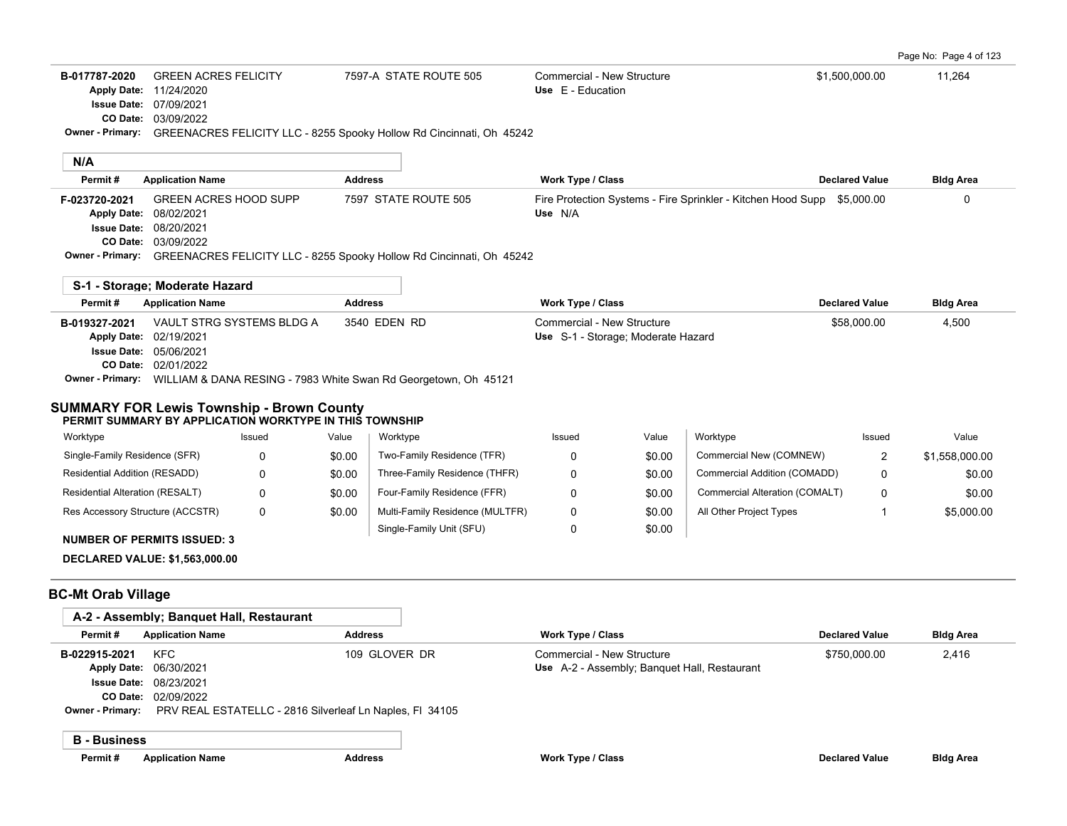| B-017787-2020 | GREEN ACRES FELICITY          | 7597-A STATE ROUTE 505 | Commercial - New Structure | \$1,500,000.00 | 11,264 |
|---------------|-------------------------------|------------------------|----------------------------|----------------|--------|
|               | Apply Date: 11/24/2020        |                        | Use $E -$ Education        |                |        |
|               | <b>Issue Date: 07/09/2021</b> |                        |                            |                |        |

03/09/2022 **CO Date:**

**S-1 - Storage; Moderate Hazard**

**Owner - Primary:** GREENACRES FELICITY LLC - 8255 Spooky Hollow Rd Cincinnati, Oh 45242

| Permit#                 | <b>Application Name</b>       | <b>Address</b>                                                       | Work Type / Class                                                       | <b>Declared Value</b> | <b>Bldg Area</b> |
|-------------------------|-------------------------------|----------------------------------------------------------------------|-------------------------------------------------------------------------|-----------------------|------------------|
| F-023720-2021           | <b>GREEN ACRES HOOD SUPP</b>  | 7597 STATE ROUTE 505                                                 | Fire Protection Systems - Fire Sprinkler - Kitchen Hood Supp \$5,000.00 |                       |                  |
|                         | Apply Date: 08/02/2021        |                                                                      | Use N/A                                                                 |                       |                  |
|                         | <b>Issue Date: 08/20/2021</b> |                                                                      |                                                                         |                       |                  |
|                         | <b>CO Date: 03/09/2022</b>    |                                                                      |                                                                         |                       |                  |
| <b>Owner - Primary:</b> |                               | GREENACRES FELICITY LLC - 8255 Spooky Hollow Rd Cincinnati, Oh 45242 |                                                                         |                       |                  |
|                         |                               |                                                                      |                                                                         |                       |                  |

| <b>Application Name</b>       | <b>Address</b> | Work Type / Class                                               | <b>Declared Value</b> | <b>Bldg Area</b> |
|-------------------------------|----------------|-----------------------------------------------------------------|-----------------------|------------------|
| VAULT STRG SYSTEMS BLDG A     | 3540 EDEN RD   | Commercial - New Structure                                      | \$58,000.00           | 4,500            |
| Apply Date: 02/19/2021        |                | Use S-1 - Storage; Moderate Hazard                              |                       |                  |
| <b>Issue Date: 05/06/2021</b> |                |                                                                 |                       |                  |
| <b>CO Date: 02/01/2022</b>    |                |                                                                 |                       |                  |
| Owner - Primary:              |                |                                                                 |                       |                  |
|                               |                | WILLIAM & DANA RESING - 7983 White Swan Rd Georgetown, Oh 45121 |                       |                  |

# **SUMMARY FOR Lewis Township - Brown County**

| PERMIT SUMMARY BY APPLICATION WORKTYPE IN THIS TOWNSHIP |          |        |       |          |     |  |  |
|---------------------------------------------------------|----------|--------|-------|----------|-----|--|--|
|                                                         | Worktype | Issued | Value | Worktype | lss |  |  |

| Worktype                               | Issued | Value  | Worktype                        | Issued | Value  | Worktype                       | Issued   | Value          |
|----------------------------------------|--------|--------|---------------------------------|--------|--------|--------------------------------|----------|----------------|
| Single-Family Residence (SFR)          |        | \$0.00 | Two-Family Residence (TFR)      |        | \$0.00 | Commercial New (COMNEW)        |          | \$1,558,000.00 |
| Residential Addition (RESADD)          |        | \$0.00 | Three-Family Residence (THFR)   |        | \$0.00 | Commercial Addition (COMADD)   | $\Omega$ | \$0.00         |
| <b>Residential Alteration (RESALT)</b> |        | \$0.00 | Four-Family Residence (FFR)     |        | \$0.00 | Commercial Alteration (COMALT) | $\Omega$ | \$0.00         |
| Res Accessory Structure (ACCSTR)       |        | \$0.00 | Multi-Family Residence (MULTFR) |        | \$0.00 | All Other Project Types        |          | \$5,000.00     |
| . _ _ _ _ _ _ _ _                      |        |        | Single-Family Unit (SFU)        |        | \$0.00 |                                |          |                |

**NUMBER OF PERMITS ISSUED: 3**

**DECLARED VALUE: \$1,563,000.00**

# **BC-Mt Orab Village**

|                         | A-2 - Assembly; Banguet Hall, Restaurant |                                                          |                                              |                       |                  |
|-------------------------|------------------------------------------|----------------------------------------------------------|----------------------------------------------|-----------------------|------------------|
| Permit#                 | <b>Application Name</b>                  | <b>Address</b>                                           | Work Type / Class                            | <b>Declared Value</b> | <b>Bldg Area</b> |
| B-022915-2021           | <b>KFC</b>                               | 109 GLOVER DR                                            | Commercial - New Structure                   | \$750,000.00          | 2,416            |
| <b>Apply Date:</b>      | 06/30/2021                               |                                                          | Use A-2 - Assembly; Banquet Hall, Restaurant |                       |                  |
| <b>Issue Date:</b>      | 08/23/2021                               |                                                          |                                              |                       |                  |
| CO Date:                | 02/09/2022                               |                                                          |                                              |                       |                  |
| <b>Owner - Primary:</b> |                                          | PRV REAL ESTATELLC - 2816 Silverleaf Ln Naples, FI 34105 |                                              |                       |                  |
| <b>B</b> - Business     |                                          |                                                          |                                              |                       |                  |
| Permit#                 | <b>Application Name</b>                  | <b>Address</b>                                           | Work Type / Class                            | <b>Declared Value</b> | <b>Bldg Area</b> |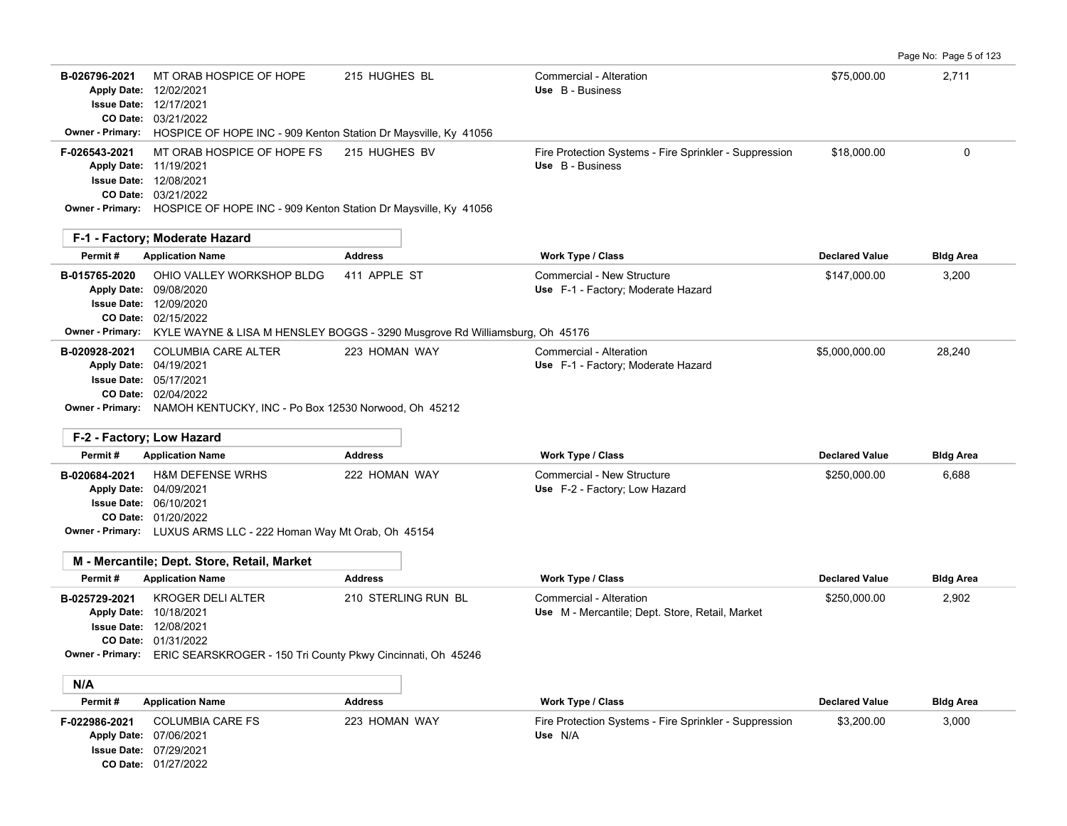|                                                    |                                                                                                                                                                                                    |                                                                                                              |                                                                                                        |                                       | Page No: Page 5 of 123    |
|----------------------------------------------------|----------------------------------------------------------------------------------------------------------------------------------------------------------------------------------------------------|--------------------------------------------------------------------------------------------------------------|--------------------------------------------------------------------------------------------------------|---------------------------------------|---------------------------|
| B-026796-2021                                      | MT ORAB HOSPICE OF HOPE<br>Apply Date: 12/02/2021<br><b>Issue Date: 12/17/2021</b><br>CO Date: 03/21/2022<br>Owner - Primary: HOSPICE OF HOPE INC - 909 Kenton Station Dr Maysville, Ky 41056      | 215 HUGHES BL                                                                                                | Commercial - Alteration<br>Use B - Business                                                            | \$75,000.00                           | 2,711                     |
| F-026543-2021                                      | MT ORAB HOSPICE OF HOPE FS<br>Apply Date: 11/19/2021<br><b>Issue Date: 12/08/2021</b><br>CO Date: 03/21/2022<br>Owner - Primary: HOSPICE OF HOPE INC - 909 Kenton Station Dr Maysville, Ky 41056   | 215 HUGHES BV                                                                                                | Fire Protection Systems - Fire Sprinkler - Suppression<br>Use B - Business                             | \$18,000.00                           | $\mathbf 0$               |
|                                                    | F-1 - Factory; Moderate Hazard                                                                                                                                                                     |                                                                                                              |                                                                                                        |                                       |                           |
| Permit#                                            | <b>Application Name</b>                                                                                                                                                                            | <b>Address</b>                                                                                               | <b>Work Type / Class</b>                                                                               | <b>Declared Value</b>                 | <b>Bldg Area</b>          |
| B-015765-2020                                      | OHIO VALLEY WORKSHOP BLDG<br>Apply Date: 09/08/2020<br><b>Issue Date: 12/09/2020</b><br>CO Date: 02/15/2022                                                                                        | 411 APPLE ST<br>Owner - Primary: KYLE WAYNE & LISA M HENSLEY BOGGS - 3290 Musgrove Rd Williamsburg, Oh 45176 | Commercial - New Structure<br>Use F-1 - Factory; Moderate Hazard                                       | \$147,000.00                          | 3,200                     |
| B-020928-2021<br>F-2 - Factory; Low Hazard         | <b>COLUMBIA CARE ALTER</b><br>Apply Date: 04/19/2021<br><b>Issue Date: 05/17/2021</b><br>CO Date: 02/04/2022<br>Owner - Primary: NAMOH KENTUCKY, INC - Po Box 12530 Norwood, Oh 45212              | 223 HOMAN WAY                                                                                                | Commercial - Alteration<br>Use F-1 - Factory; Moderate Hazard                                          | \$5,000,000.00                        | 28,240                    |
| Permit#                                            | <b>Application Name</b>                                                                                                                                                                            | <b>Address</b>                                                                                               | <b>Work Type / Class</b>                                                                               | <b>Declared Value</b>                 | <b>Bldg Area</b>          |
| B-020684-2021                                      | <b>H&amp;M DEFENSE WRHS</b><br>Apply Date: 04/09/2021<br><b>Issue Date: 06/10/2021</b><br>CO Date: 01/20/2022<br>Owner - Primary: LUXUS ARMS LLC - 222 Homan Way Mt Orab, Oh 45154                 | 222 HOMAN WAY                                                                                                | Commercial - New Structure<br>Use F-2 - Factory; Low Hazard                                            | \$250,000.00                          | 6,688                     |
|                                                    | M - Mercantile; Dept. Store, Retail, Market                                                                                                                                                        |                                                                                                              |                                                                                                        |                                       |                           |
| Permit#<br>B-025729-2021<br>Apply Date: 10/18/2021 | <b>Application Name</b><br><b>KROGER DELI ALTER</b><br><b>Issue Date: 12/08/2021</b><br><b>CO Date: 01/31/2022</b><br>Owner - Primary: ERIC SEARSKROGER - 150 Tri County Pkwy Cincinnati, Oh 45246 | <b>Address</b><br>210 STERLING RUN BL                                                                        | <b>Work Type / Class</b><br>Commercial - Alteration<br>Use M - Mercantile; Dept. Store, Retail, Market | <b>Declared Value</b><br>\$250,000.00 | <b>Bldg Area</b><br>2,902 |
| N/A                                                |                                                                                                                                                                                                    |                                                                                                              |                                                                                                        |                                       |                           |
| Permit#                                            | <b>Application Name</b>                                                                                                                                                                            | <b>Address</b>                                                                                               | <b>Work Type / Class</b>                                                                               | <b>Declared Value</b>                 | <b>Bldg Area</b>          |
| F-022986-2021                                      | <b>COLUMBIA CARE FS</b><br>Apply Date: 07/06/2021<br><b>Issue Date: 07/29/2021</b><br>CO Date: 01/27/2022                                                                                          | 223 HOMAN WAY                                                                                                | Fire Protection Systems - Fire Sprinkler - Suppression<br>Use N/A                                      | \$3,200.00                            | 3,000                     |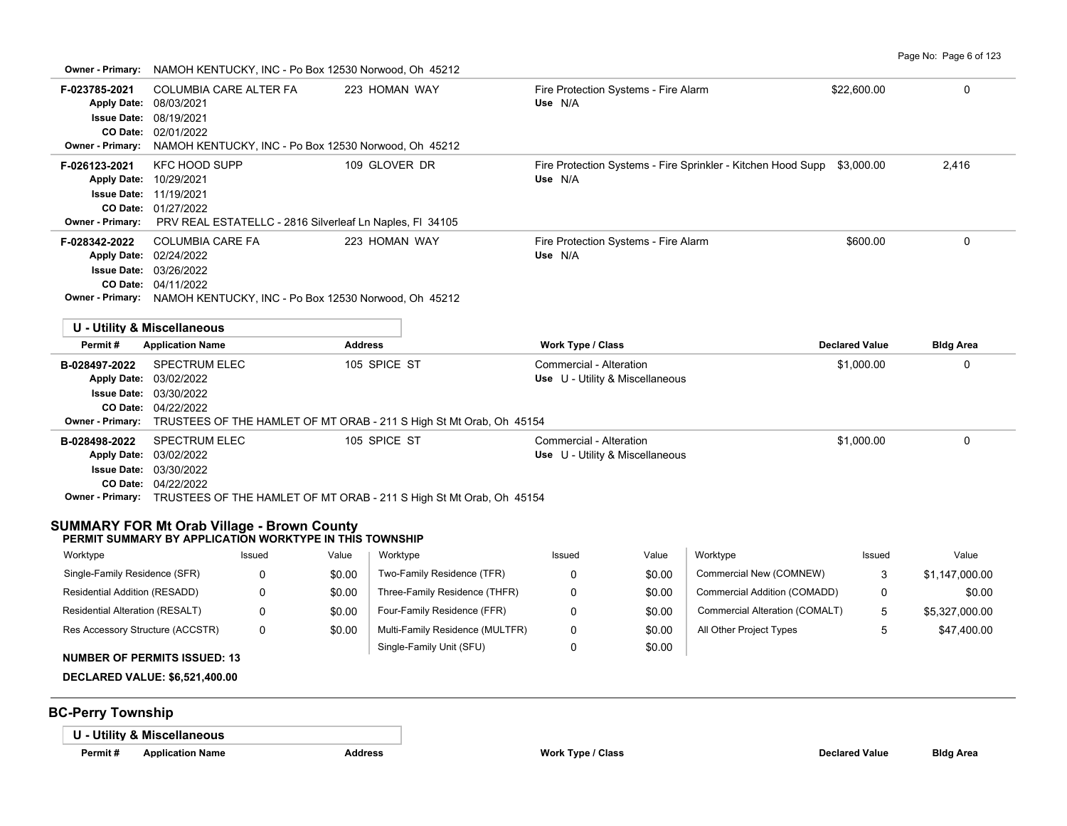**Owner - Primary:** NAMOH KENTUCKY, INC - Po Box 12530 Norwood, Oh 45212

|                                                                                      | <u>19710011111111100111, 1190 - 1 0 DOA 12000 19010000, OIL</u>                                           |               |                  |                                                                                                      |                                                            |                  |                                                                         |                       |                               |
|--------------------------------------------------------------------------------------|-----------------------------------------------------------------------------------------------------------|---------------|------------------|------------------------------------------------------------------------------------------------------|------------------------------------------------------------|------------------|-------------------------------------------------------------------------|-----------------------|-------------------------------|
| F-023785-2021<br><b>Apply Date:</b><br><b>Issue Date:</b><br><b>Owner - Primary:</b> | COLUMBIA CARE ALTER FA<br>08/03/2021<br>08/19/2021<br>CO Date: 02/01/2022                                 |               |                  | 223 HOMAN WAY<br>NAMOH KENTUCKY, INC - Po Box 12530 Norwood, Oh 45212                                | Fire Protection Systems - Fire Alarm<br>Use N/A            |                  |                                                                         | \$22,600.00           | 0                             |
| F-026123-2021<br>Owner - Primary:                                                    | <b>KFC HOOD SUPP</b><br>Apply Date: 10/29/2021<br><b>Issue Date: 11/19/2021</b><br>CO Date: 01/27/2022    |               |                  | 109 GLOVER DR<br>PRV REAL ESTATELLC - 2816 Silverleaf Ln Naples, FI 34105                            | Use N/A                                                    |                  | Fire Protection Systems - Fire Sprinkler - Kitchen Hood Supp \$3,000.00 |                       | 2,416                         |
| F-028342-2022                                                                        | <b>COLUMBIA CARE FA</b><br>Apply Date: 02/24/2022<br><b>Issue Date: 03/26/2022</b><br>CO Date: 04/11/2022 |               |                  | 223 HOMAN WAY<br>Owner - Primary: NAMOH KENTUCKY, INC - Po Box 12530 Norwood, Oh 45212               | Fire Protection Systems - Fire Alarm<br>Use N/A            |                  |                                                                         | \$600.00              | $\mathbf 0$                   |
|                                                                                      | U - Utility & Miscellaneous                                                                               |               |                  |                                                                                                      |                                                            |                  |                                                                         |                       |                               |
| Permit#                                                                              | <b>Application Name</b>                                                                                   |               | <b>Address</b>   |                                                                                                      | Work Type / Class                                          |                  |                                                                         | <b>Declared Value</b> | <b>Bldg Area</b>              |
|                                                                                      |                                                                                                           |               |                  |                                                                                                      |                                                            |                  |                                                                         |                       |                               |
| B-028497-2022<br><b>Apply Date:</b><br><b>Issue Date:</b><br><b>Owner - Primary:</b> | <b>SPECTRUM ELEC</b><br>03/02/2022<br>03/30/2022<br>CO Date: 04/22/2022                                   |               |                  | 105 SPICE ST<br>TRUSTEES OF THE HAMLET OF MT ORAB - 211 S High St Mt Orab, Oh 45154                  | Commercial - Alteration<br>Use U - Utility & Miscellaneous |                  |                                                                         | \$1,000.00            | 0                             |
| B-028498-2022                                                                        | <b>SPECTRUM ELEC</b><br>Apply Date: 03/02/2022<br><b>Issue Date: 03/30/2022</b><br>CO Date: 04/22/2022    |               |                  | 105 SPICE ST<br>Owner - Primary: TRUSTEES OF THE HAMLET OF MT ORAB - 211 S High St Mt Orab, Oh 45154 | Commercial - Alteration<br>Use U - Utility & Miscellaneous |                  |                                                                         | \$1,000.00            | 0                             |
| <b>SUMMARY FOR Mt Orab Village - Brown County</b>                                    |                                                                                                           |               |                  |                                                                                                      |                                                            |                  |                                                                         |                       |                               |
|                                                                                      | PERMIT SUMMARY BY APPLICATION WORKTYPE IN THIS TOWNSHIP                                                   |               |                  |                                                                                                      |                                                            |                  |                                                                         |                       |                               |
| Worktype                                                                             |                                                                                                           | Issued        | Value            | Worktype                                                                                             | Issued                                                     | Value            | Worktype                                                                | Issued                | Value                         |
| Single-Family Residence (SFR)                                                        |                                                                                                           | 0             | \$0.00           | Two-Family Residence (TFR)                                                                           | 0                                                          | \$0.00           | Commercial New (COMNEW)                                                 | 3                     | \$1,147,000.00                |
| Residential Addition (RESADD)                                                        |                                                                                                           | $\Omega$      | \$0.00           | Three-Family Residence (THFR)                                                                        | 0                                                          | \$0.00           | Commercial Addition (COMADD)                                            | 0                     | \$0.00                        |
| Residential Alteration (RESALT)<br>Res Accessory Structure (ACCSTR)                  |                                                                                                           | 0<br>$\Omega$ | \$0.00<br>\$0.00 | Four-Family Residence (FFR)<br>Multi-Family Residence (MULTFR)                                       | 0<br>$\Omega$                                              | \$0.00<br>\$0.00 | Commercial Alteration (COMALT)<br>All Other Project Types               | 5<br>5                | \$5,327,000.00<br>\$47,400.00 |

# **NUMBER OF PERMITS ISSUED: 13**

**DECLARED VALUE: \$6,521,400.00**

# **BC-Perry Township**

**U - Utility & Miscellaneous**

**Permit # Application Name Address Work Type / Class Declared Value Bldg Area**

Single-Family Unit (SFU)

0

\$0.00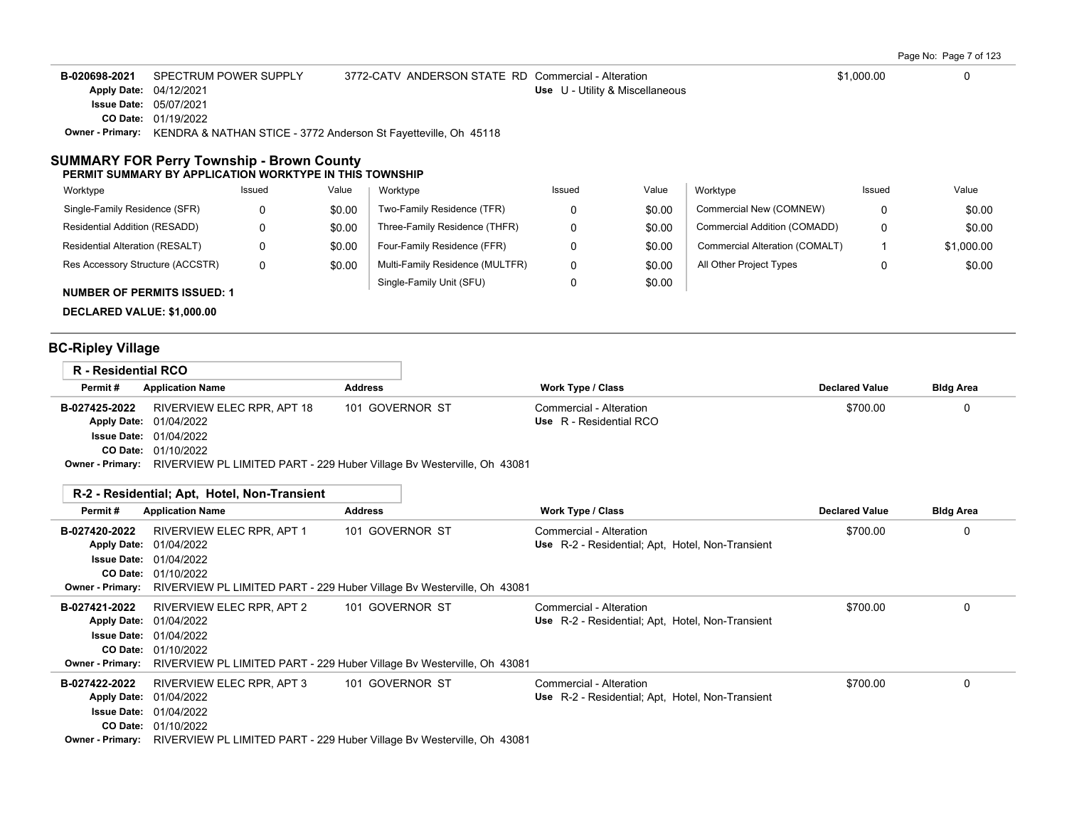| Page No: Page 7 of 123 |  |  |
|------------------------|--|--|
|------------------------|--|--|

| B-020698-2021                 | SPECTRUM POWER SUPPLY                                                            | 3772-CATV ANDERSON STATE RD Commercial - Alteration |                                 | \$1,000.00 |  |
|-------------------------------|----------------------------------------------------------------------------------|-----------------------------------------------------|---------------------------------|------------|--|
| <b>Apply Date: 04/12/2021</b> |                                                                                  |                                                     | Use U - Utility & Miscellaneous |            |  |
|                               | <b>Issue Date: 05/07/2021</b>                                                    |                                                     |                                 |            |  |
|                               | <b>CO Date: 01/19/2022</b>                                                       |                                                     |                                 |            |  |
|                               | Owner - Primary: KENDRA & NATHAN STICE - 3772 Anderson St Fayetteville, Oh 45118 |                                                     |                                 |            |  |
|                               |                                                                                  |                                                     |                                 |            |  |

#### **SUMMARY FOR Perry Township - Brown County PERMIT SUMMARY BY APPLICATION WORKTYPE IN THIS TOWNSHIP**

| Worktype                           | Issued | Value  | Worktype                        | Issued | Value  | Worktype                       | Issued | Value      |
|------------------------------------|--------|--------|---------------------------------|--------|--------|--------------------------------|--------|------------|
| Single-Family Residence (SFR)      | 0      | \$0.00 | Two-Family Residence (TFR)      |        | \$0.00 | Commercial New (COMNEW)        |        | \$0.00     |
| Residential Addition (RESADD)      | 0      | \$0.00 | Three-Family Residence (THFR)   |        | \$0.00 | Commercial Addition (COMADD)   | 0      | \$0.00     |
| Residential Alteration (RESALT)    | 0      | \$0.00 | Four-Family Residence (FFR)     |        | \$0.00 | Commercial Alteration (COMALT) |        | \$1,000.00 |
| Res Accessory Structure (ACCSTR)   | 0      | \$0.00 | Multi-Family Residence (MULTFR) | 0      | \$0.00 | All Other Project Types        |        | \$0.00     |
| <b>NUMBER OF PERMITS ISSUED: 1</b> |        |        | Single-Family Unit (SFU)        |        | \$0.00 |                                |        |            |

**DECLARED VALUE: \$1,000.00**

# **BC-Ripley Village**

| <b>R</b> - Residential RCO |                                                                                                |                 |                         |                       |                  |
|----------------------------|------------------------------------------------------------------------------------------------|-----------------|-------------------------|-----------------------|------------------|
| Permit#                    | <b>Application Name</b>                                                                        | <b>Address</b>  | Work Type / Class       | <b>Declared Value</b> | <b>Bldg Area</b> |
| B-027425-2022              | RIVERVIEW ELEC RPR. APT 18                                                                     | 101 GOVERNOR ST | Commercial - Alteration | \$700.00              | $^{(1)}$         |
|                            | <b>Apply Date: 01/04/2022</b>                                                                  |                 | Use R - Residential RCO |                       |                  |
|                            | <b>Issue Date: 01/04/2022</b>                                                                  |                 |                         |                       |                  |
|                            | <b>CO Date: 01/10/2022</b>                                                                     |                 |                         |                       |                  |
|                            | <b>Owner - Primary:</b> RIVERVIEW PL LIMITED PART - 229 Huber Village Bv Westerville, Oh 43081 |                 |                         |                       |                  |

| Permit #      | <b>Application Name</b>       | <b>Address</b>                                                                                 | Work Type / Class                                | <b>Declared Value</b> | <b>Bldg Area</b> |
|---------------|-------------------------------|------------------------------------------------------------------------------------------------|--------------------------------------------------|-----------------------|------------------|
| B-027420-2022 | RIVERVIEW ELEC RPR, APT 1     | 101 GOVERNOR ST                                                                                | Commercial - Alteration                          | \$700.00              | O                |
|               | Apply Date: 01/04/2022        |                                                                                                | Use R-2 - Residential; Apt, Hotel, Non-Transient |                       |                  |
|               | <b>Issue Date: 01/04/2022</b> |                                                                                                |                                                  |                       |                  |
|               | <b>CO Date: 01/10/2022</b>    |                                                                                                |                                                  |                       |                  |
|               |                               | <b>Owner - Primary:</b> RIVERVIEW PL LIMITED PART - 229 Huber Village By Westerville, Oh 43081 |                                                  |                       |                  |
| B-027421-2022 | RIVERVIEW ELEC RPR, APT 2     | 101 GOVERNOR ST                                                                                | Commercial - Alteration                          | \$700.00              | 0                |
|               | <b>Apply Date: 01/04/2022</b> |                                                                                                | Use R-2 - Residential: Apt. Hotel, Non-Transient |                       |                  |
|               | <b>Issue Date: 01/04/2022</b> |                                                                                                |                                                  |                       |                  |
|               | <b>CO Date: 01/10/2022</b>    |                                                                                                |                                                  |                       |                  |
|               |                               | <b>Owner - Primary:</b> RIVERVIEW PL LIMITED PART - 229 Huber Village By Westerville, Oh 43081 |                                                  |                       |                  |
| B-027422-2022 | RIVERVIEW ELEC RPR, APT 3     | 101 GOVERNOR ST                                                                                | Commercial - Alteration                          | \$700.00              | 0                |
|               | Apply Date: 01/04/2022        |                                                                                                | Use R-2 - Residential: Apt. Hotel, Non-Transient |                       |                  |
|               | <b>Issue Date: 01/04/2022</b> |                                                                                                |                                                  |                       |                  |
|               | <b>CO Date: 01/10/2022</b>    |                                                                                                |                                                  |                       |                  |
|               |                               | Owner - Primary: RIVERVIEW PL LIMITED PART - 229 Huber Village By Westerville, Oh 43081        |                                                  |                       |                  |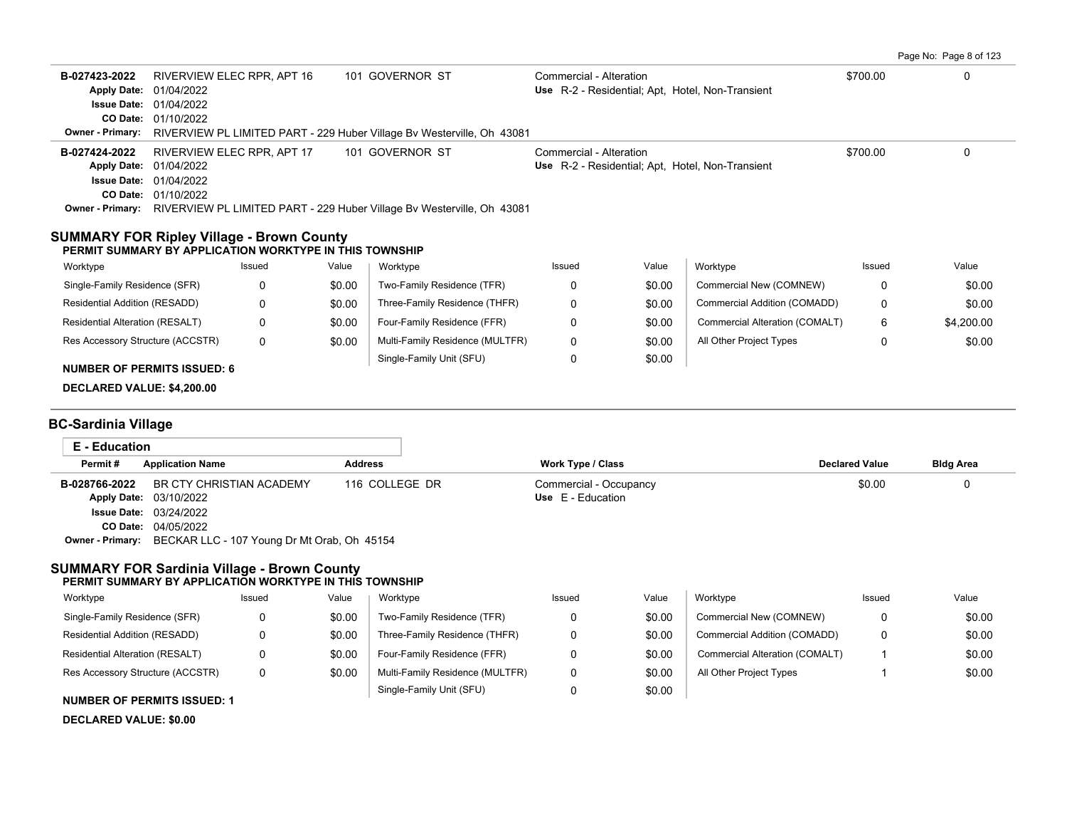Page No: Page 8 of 123

| B-027423-2022<br>Apply Date: 01/04/2022<br><b>Issue Date: 01/04/2022</b><br>CO Date: 01/10/2022<br>Owner - Primary:                                                    | RIVERVIEW ELEC RPR, APT 16 |                | 101 GOVERNOR ST<br>RIVERVIEW PL LIMITED PART - 229 Huber Village Bv Westerville, Oh 43081                  | Commercial - Alteration<br>Use R-2 - Residential; Apt, Hotel, Non-Transient |        |                                | \$700.00              | $\Omega$         |
|------------------------------------------------------------------------------------------------------------------------------------------------------------------------|----------------------------|----------------|------------------------------------------------------------------------------------------------------------|-----------------------------------------------------------------------------|--------|--------------------------------|-----------------------|------------------|
| B-027424-2022<br>Apply Date: 01/04/2022<br><b>Issue Date: 01/04/2022</b><br>CO Date: 01/10/2022                                                                        | RIVERVIEW ELEC RPR, APT 17 |                | 101 GOVERNOR ST<br>Owner - Primary: RIVERVIEW PL LIMITED PART - 229 Huber Village Bv Westerville, Oh 43081 | Commercial - Alteration<br>Use R-2 - Residential; Apt, Hotel, Non-Transient |        |                                | \$700.00              | 0                |
| <b>SUMMARY FOR Ripley Village - Brown County</b><br>PERMIT SUMMARY BY APPLICATION WORKTYPE IN THIS TOWNSHIP                                                            |                            |                |                                                                                                            |                                                                             |        |                                |                       |                  |
| Worktype                                                                                                                                                               | Issued                     | Value          | Worktype                                                                                                   | Issued                                                                      | Value  | Worktype                       | Issued                | Value            |
| Single-Family Residence (SFR)                                                                                                                                          | 0                          | \$0.00         | Two-Family Residence (TFR)                                                                                 | 0                                                                           | \$0.00 | Commercial New (COMNEW)        | 0                     | \$0.00           |
| Residential Addition (RESADD)                                                                                                                                          | 0                          | \$0.00         | Three-Family Residence (THFR)                                                                              | 0                                                                           | \$0.00 | Commercial Addition (COMADD)   | 0                     | \$0.00           |
| Residential Alteration (RESALT)                                                                                                                                        | 0                          | \$0.00         | Four-Family Residence (FFR)                                                                                | 0                                                                           | \$0.00 | Commercial Alteration (COMALT) | 6                     | \$4,200.00       |
| Res Accessory Structure (ACCSTR)                                                                                                                                       | $\mathbf 0$                | \$0.00         | Multi-Family Residence (MULTFR)                                                                            | 0                                                                           | \$0.00 | All Other Project Types        | 0                     | \$0.00           |
| <b>NUMBER OF PERMITS ISSUED: 6</b><br>DECLARED VALUE: \$4,200.00                                                                                                       |                            |                | Single-Family Unit (SFU)                                                                                   | 0                                                                           | \$0.00 |                                |                       |                  |
| <b>BC-Sardinia Village</b>                                                                                                                                             |                            |                |                                                                                                            |                                                                             |        |                                |                       |                  |
| <b>E</b> - Education                                                                                                                                                   |                            |                |                                                                                                            |                                                                             |        |                                |                       |                  |
| Permit#<br><b>Application Name</b>                                                                                                                                     |                            | <b>Address</b> |                                                                                                            | <b>Work Type / Class</b>                                                    |        |                                | <b>Declared Value</b> | <b>Bldg Area</b> |
| B-028766-2022<br>Apply Date: 03/10/2022<br><b>Issue Date: 03/24/2022</b><br>CO Date: 04/05/2022<br><b>Owner - Primary:</b> BECKAR LLC - 107 Young Dr Mt Orab, Oh 45154 | BR CTY CHRISTIAN ACADEMY   |                | 116 COLLEGE DR                                                                                             | Commercial - Occupancy<br>Use E - Education                                 |        |                                | \$0.00                | $\Omega$         |
| <b>SUMMARY FOR Sardinia Village - Brown County</b><br>PERMIT SUMMARY BY APPLICATION WORKTYPE IN THIS TOWNSHIP                                                          |                            |                |                                                                                                            |                                                                             |        |                                |                       |                  |
| Worktype                                                                                                                                                               | Issued                     | Value          | Worktype                                                                                                   | Issued                                                                      | Value  | Worktype                       | Issued                | Value            |
| Single-Family Residence (SFR)                                                                                                                                          | 0                          | \$0.00         | Two-Family Residence (TFR)                                                                                 | 0                                                                           | \$0.00 | Commercial New (COMNEW)        | 0                     | \$0.00           |
| Residential Addition (RESADD)                                                                                                                                          | 0                          | \$0.00         | Three-Family Residence (THFR)                                                                              | 0                                                                           | \$0.00 | Commercial Addition (COMADD)   | 0                     | \$0.00           |
| Residential Alteration (RESALT)                                                                                                                                        | 0                          | \$0.00         | Four-Family Residence (FFR)                                                                                | 0                                                                           | \$0.00 | Commercial Alteration (COMALT) | -1                    | \$0.00           |
| Res Accessory Structure (ACCSTR)                                                                                                                                       | 0                          | \$0.00         | Multi-Family Residence (MULTFR)                                                                            | 0                                                                           | \$0.00 | All Other Project Types        | 1                     | \$0.00           |
|                                                                                                                                                                        |                            |                | Single-Family Unit (SFU)                                                                                   | 0                                                                           | \$0.00 |                                |                       |                  |

## **NUMBER OF PERMITS ISSUED: 1**

**DECLARED VALUE: \$0.00**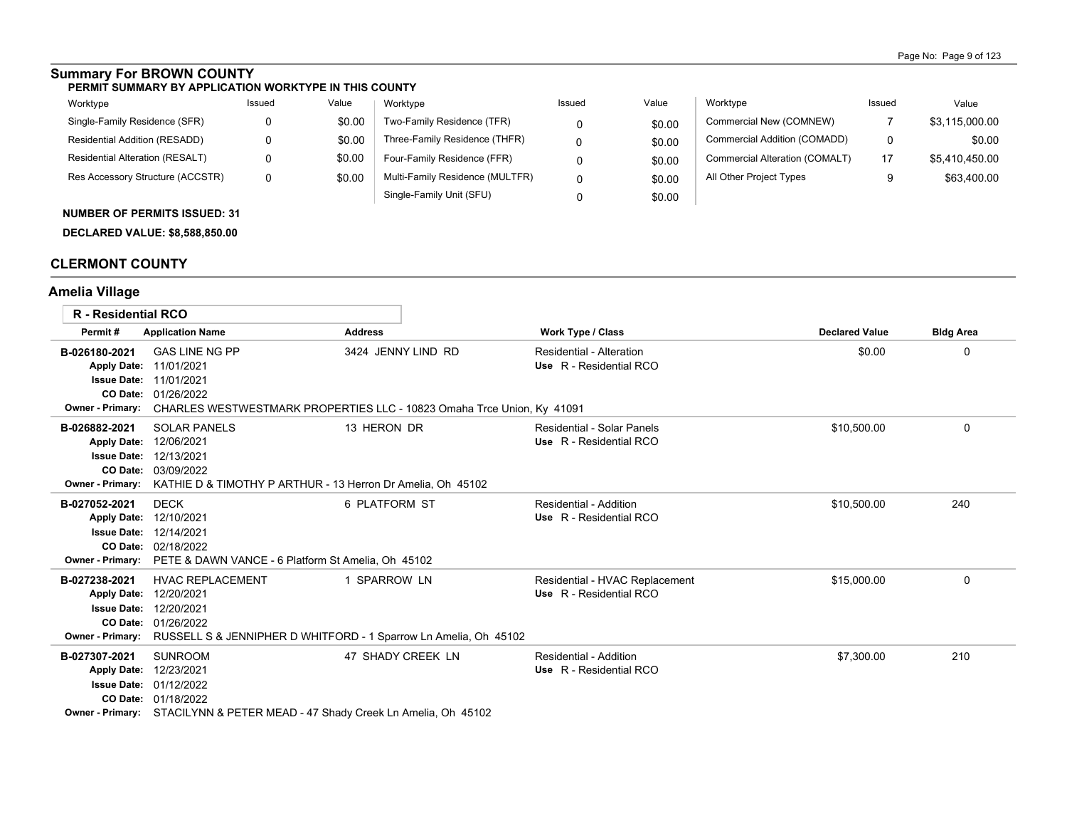# **Summary For BROWN COUNTY**

#### **PERMIT SUMMARY BY APPLICATION WORKTYPE IN THIS COUNTY**

| Worktype                         | Issued | Value  | Worktype                        | Issued | Value  | Worktype                       | Issued | Value          |
|----------------------------------|--------|--------|---------------------------------|--------|--------|--------------------------------|--------|----------------|
| Single-Family Residence (SFR)    |        | \$0.00 | Two-Family Residence (TFR)      |        | \$0.00 | Commercial New (COMNEW)        |        | \$3,115,000.00 |
| Residential Addition (RESADD)    |        | \$0.00 | Three-Family Residence (THFR)   |        | \$0.00 | Commercial Addition (COMADD)   | 0      | \$0.00         |
| Residential Alteration (RESALT)  |        | \$0.00 | Four-Family Residence (FFR)     |        | \$0.00 | Commercial Alteration (COMALT) | 17     | \$5,410,450.00 |
| Res Accessory Structure (ACCSTR) |        | \$0.00 | Multi-Family Residence (MULTFR) |        | \$0.00 | All Other Project Types        | 9      | \$63,400.00    |
|                                  |        |        | Single-Family Unit (SFU)        |        | \$0.00 |                                |        |                |

## **NUMBER OF PERMITS ISSUED: 31**

**DECLARED VALUE: \$8,588,850.00**

# **CLERMONT COUNTY**

# **Amelia Village**

| <b>R</b> - Residential RCO                                                                                                  |                                                                                                                                                                                                        |                    |                                                           |                       |                  |
|-----------------------------------------------------------------------------------------------------------------------------|--------------------------------------------------------------------------------------------------------------------------------------------------------------------------------------------------------|--------------------|-----------------------------------------------------------|-----------------------|------------------|
|                                                                                                                             |                                                                                                                                                                                                        |                    |                                                           |                       |                  |
| Permit#                                                                                                                     | <b>Application Name</b>                                                                                                                                                                                | <b>Address</b>     | <b>Work Type / Class</b>                                  | <b>Declared Value</b> | <b>Bldg Area</b> |
| B-026180-2021<br><b>Issue Date:</b>                                                                                         | <b>GAS LINE NG PP</b><br>Apply Date: 11/01/2021<br>11/01/2021<br>CO Date: 01/26/2022                                                                                                                   | 3424 JENNY LIND RD | Residential - Alteration<br>Use R - Residential RCO       | \$0.00                | 0                |
| <b>Owner - Primary:</b><br>B-026882-2021<br><b>Apply Date:</b><br><b>Issue Date:</b><br>CO Date:<br><b>Owner - Primary:</b> | CHARLES WESTWESTMARK PROPERTIES LLC - 10823 Omaha Trce Union, Ky 41091<br><b>SOLAR PANELS</b><br>12/06/2021<br>12/13/2021<br>03/09/2022<br>KATHIE D & TIMOTHY P ARTHUR - 13 Herron Dr Amelia, Oh 45102 | 13 HERON DR        | Residential - Solar Panels<br>Use R - Residential RCO     | \$10.500.00           | 0                |
| B-027052-2021<br><b>Apply Date:</b><br><b>Owner - Primary:</b>                                                              | <b>DECK</b><br>12/10/2021<br><b>Issue Date: 12/14/2021</b><br>CO Date: 02/18/2022<br>PETE & DAWN VANCE - 6 Platform St Amelia, Oh 45102                                                                | 6 PLATFORM ST      | Residential - Addition<br>Use R - Residential RCO         | \$10,500.00           | 240              |
| B-027238-2021<br><b>Apply Date:</b><br><b>Issue Date:</b><br><b>Owner - Primary:</b>                                        | <b>HVAC REPLACEMENT</b><br>12/20/2021<br>12/20/2021<br>CO Date: 01/26/2022<br>RUSSELL S & JENNIPHER D WHITFORD - 1 Sparrow Ln Amelia, Oh 45102                                                         | 1 SPARROW LN       | Residential - HVAC Replacement<br>Use R - Residential RCO | \$15,000.00           | 0                |
| B-027307-2021<br><b>Apply Date:</b><br>CO Date:                                                                             | <b>SUNROOM</b><br>12/23/2021<br><b>Issue Date: 01/12/2022</b><br>01/18/2022<br>Owner - Primary: STACILYNN & PETER MEAD - 47 Shady Creek Ln Amelia, Oh 45102                                            | 47 SHADY CREEK LN  | Residential - Addition<br>Use R - Residential RCO         | \$7,300.00            | 210              |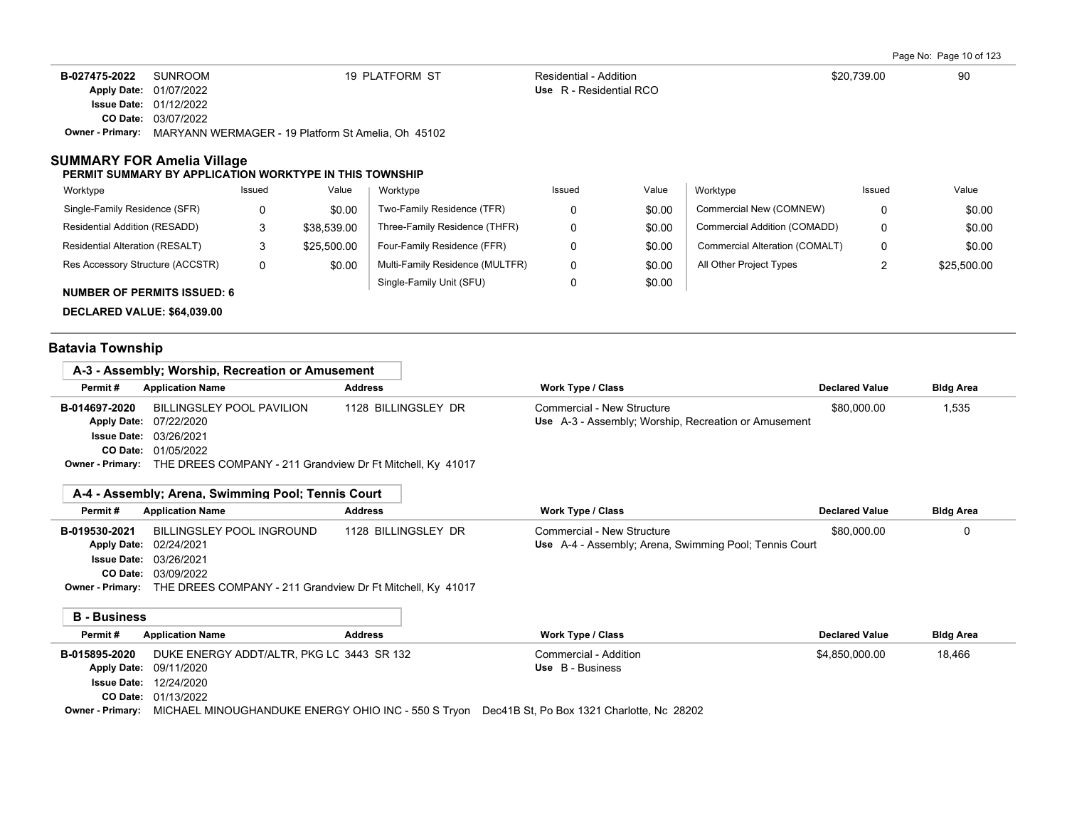Page No: Page 10 of 123

| B-027475-2022 | SUNROOM                           | 19 PLATFORM ST                                                                                                                                                                                                                                                                            | Residential - Addition                   | \$20.739.00           | 90           |
|---------------|-----------------------------------|-------------------------------------------------------------------------------------------------------------------------------------------------------------------------------------------------------------------------------------------------------------------------------------------|------------------------------------------|-----------------------|--------------|
|               | <b>Apply Date: 01/07/2022</b>     |                                                                                                                                                                                                                                                                                           | Use R - Residential RCO                  |                       |              |
|               | <b>Issue Date: 01/12/2022</b>     |                                                                                                                                                                                                                                                                                           |                                          |                       |              |
|               | <b>CO Date: 03/07/2022</b>        |                                                                                                                                                                                                                                                                                           |                                          |                       |              |
|               |                                   | Owner - Primary: MARYANN WERMAGER - 19 Platform St Amelia, Oh 45102                                                                                                                                                                                                                       |                                          |                       |              |
| $AA = -A + A$ | <b>SUMMARY FOR Amelia Village</b> | PERMIT SUMMARY BY APPLICATION WORKTYPE IN THIS TOWNSHIP<br>the contract of the contract of the contract of the contract of the contract of the contract of the contract of the contract of the contract of the contract of the contract of the contract of the contract of the contract o | the contract of the con-<br>$\mathbf{v}$ | the controller of the | $\mathbf{v}$ |

| Worktype                             | Issued | Value       | Worktype                        | Issued | Value  | Worktype                       | Issued | Value       |
|--------------------------------------|--------|-------------|---------------------------------|--------|--------|--------------------------------|--------|-------------|
| Single-Family Residence (SFR)        | 0      | \$0.00      | Two-Family Residence (TFR)      |        | \$0.00 | Commercial New (COMNEW)        | 0      | \$0.00      |
| <b>Residential Addition (RESADD)</b> |        | \$38.539.00 | Three-Family Residence (THFR)   | 0      | \$0.00 | Commercial Addition (COMADD)   | 0      | \$0.00      |
| Residential Alteration (RESALT)      |        | \$25.500.00 | Four-Family Residence (FFR)     |        | \$0.00 | Commercial Alteration (COMALT) | 0      | \$0.00      |
| Res Accessory Structure (ACCSTR)     | 0      | \$0.00      | Multi-Family Residence (MULTFR) | 0      | \$0.00 | All Other Project Types        |        | \$25,500.00 |
| <b>NUMBER OF PERMITS ISSUED: 6</b>   |        |             | Single-Family Unit (SFU)        |        | \$0.00 |                                |        |             |

**DECLARED VALUE: \$64,039.00**

# **Batavia Township**

|                         | A-3 - Assembly: Worship. Recreation or Amusement           |                     |                                                      |                       |                  |
|-------------------------|------------------------------------------------------------|---------------------|------------------------------------------------------|-----------------------|------------------|
| Permit#                 | <b>Application Name</b>                                    | <b>Address</b>      | Work Type / Class                                    | <b>Declared Value</b> | <b>Bldg Area</b> |
| B-014697-2020           | BILLINGSLEY POOL PAVILION                                  | 1128 BILLINGSLEY DR | Commercial - New Structure                           | \$80,000.00           | 1.535            |
|                         | Apply Date: 07/22/2020                                     |                     | Use A-3 - Assembly; Worship, Recreation or Amusement |                       |                  |
|                         | <b>Issue Date: 03/26/2021</b>                              |                     |                                                      |                       |                  |
|                         | <b>CO Date: 01/05/2022</b>                                 |                     |                                                      |                       |                  |
| <b>Owner - Primary:</b> | THE DREES COMPANY - 211 Grandview Dr Ft Mitchell, Ky 41017 |                     |                                                      |                       |                  |

| Permit#       | <b>Application Name</b>       | <b>Address</b>      | Work Type / Class                                             | <b>Declared Value</b> | <b>Bldg Area</b> |
|---------------|-------------------------------|---------------------|---------------------------------------------------------------|-----------------------|------------------|
| B-019530-2021 | BILLINGSLEY POOL INGROUND     | 1128 BILLINGSLEY DR | Commercial - New Structure                                    | \$80,000.00           |                  |
|               | Apply Date: 02/24/2021        |                     | <b>Use</b> A-4 - Assembly; Arena, Swimming Pool; Tennis Court |                       |                  |
|               | <b>Issue Date: 03/26/2021</b> |                     |                                                               |                       |                  |
|               | CO Date: 03/09/2022           |                     |                                                               |                       |                  |

**Owner - Primary:** THE DREES COMPANY - 211 Grandview Dr Ft Mitchell, Ky 41017

|  | <b>B</b> - Business |
|--|---------------------|
|--|---------------------|

| Permit#       | <b>Application Name</b>                   | <b>Address</b> | Work Type / Class                                                                                              | <b>Declared Value</b> | <b>Bldg Area</b> |  |
|---------------|-------------------------------------------|----------------|----------------------------------------------------------------------------------------------------------------|-----------------------|------------------|--|
| B-015895-2020 | DUKE ENERGY ADDT/ALTR, PKG LC 3443 SR 132 |                | Commercial - Addition                                                                                          | \$4.850.000.00        | 18,466           |  |
|               | <b>Apply Date: 09/11/2020</b>             |                | Use B - Business                                                                                               |                       |                  |  |
|               | <b>Issue Date: 12/24/2020</b>             |                |                                                                                                                |                       |                  |  |
|               | <b>CO Date: 01/13/2022</b>                |                |                                                                                                                |                       |                  |  |
|               |                                           |                | Ourse Brimson: MIOUAEL MINOUQUANDUIZE ENEDOV OUQUA NO. FEA O Touse. Des 44D OL De Day 4994 Oberlette Ne. 20000 |                       |                  |  |

**Owner - Primary:** MICHAEL MINOUGHANDUKE ENERGY OHIO INC - 550 S Tryon Dec41B St, Po Box 1321 Charlotte, Nc 28202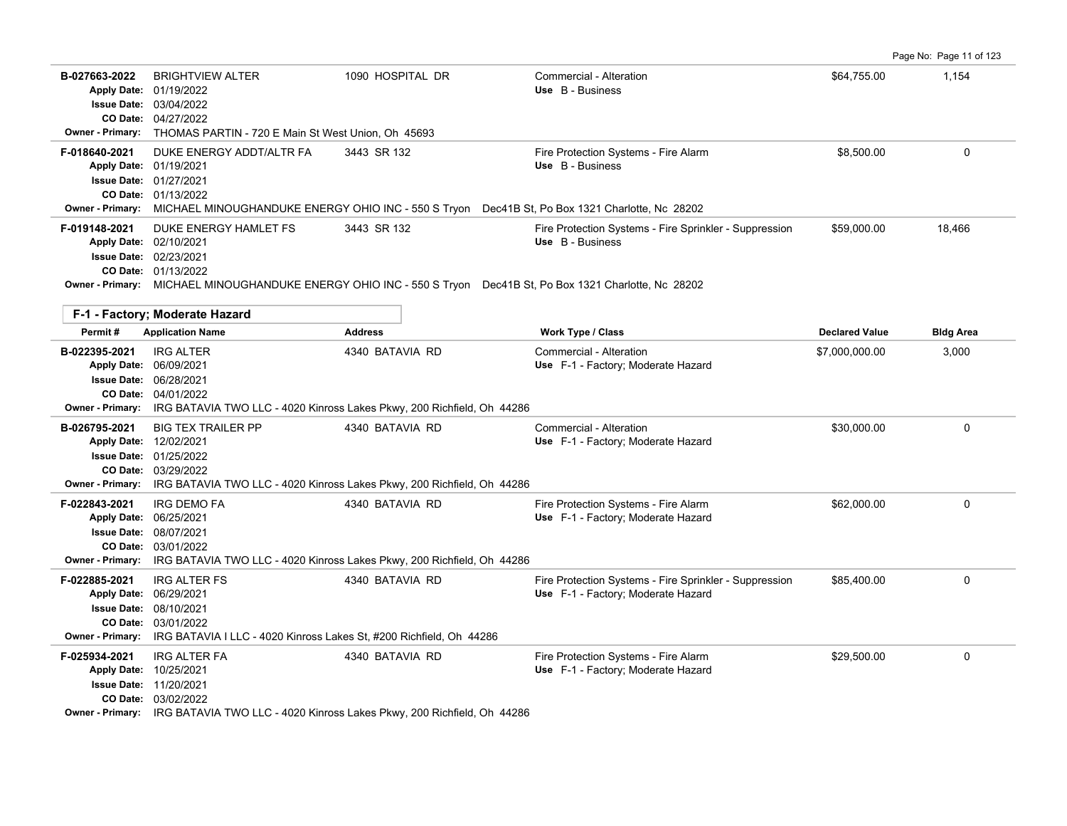|  | Page No: Page 11 of 123 |  |  |  |
|--|-------------------------|--|--|--|
|--|-------------------------|--|--|--|

| B-027663-2022<br>CO Date:<br><b>Owner - Primary:</b>               | <b>BRIGHTVIEW ALTER</b><br>Apply Date: 01/19/2022<br><b>Issue Date: 03/04/2022</b><br>04/27/2022<br>THOMAS PARTIN - 720 E Main St West Union, Oh 45693                                           | 1090 HOSPITAL DR                                                                                              | Commercial - Alteration<br>Use B - Business                                                  | \$64,755.00           | 1,154            |
|--------------------------------------------------------------------|--------------------------------------------------------------------------------------------------------------------------------------------------------------------------------------------------|---------------------------------------------------------------------------------------------------------------|----------------------------------------------------------------------------------------------|-----------------------|------------------|
| F-018640-2021<br>Apply Date: 01/19/2021                            | DUKE ENERGY ADDT/ALTR FA<br>Issue Date: 01/27/2021<br>CO Date: 01/13/2022                                                                                                                        | 3443 SR 132                                                                                                   | Fire Protection Systems - Fire Alarm<br>Use B - Business                                     | \$8,500.00            | 0                |
| <b>Owner - Primary:</b><br>F-019148-2021<br>Apply Date: 02/10/2021 | DUKE ENERGY HAMLET FS<br><b>Issue Date: 02/23/2021</b><br>CO Date: 01/13/2022<br>Owner - Primary: MICHAEL MINOUGHANDUKE ENERGY OHIO INC - 550 S Tryon Dec41B St, Po Box 1321 Charlotte, Nc 28202 | MICHAEL MINOUGHANDUKE ENERGY OHIO INC - 550 S Tryon Dec41B St, Po Box 1321 Charlotte, Nc 28202<br>3443 SR 132 | Fire Protection Systems - Fire Sprinkler - Suppression<br>Use B - Business                   | \$59,000.00           | 18,466           |
|                                                                    | F-1 - Factory; Moderate Hazard                                                                                                                                                                   |                                                                                                               |                                                                                              |                       |                  |
| Permit#                                                            | <b>Application Name</b>                                                                                                                                                                          | <b>Address</b>                                                                                                | Work Type / Class                                                                            | <b>Declared Value</b> | <b>Bldg Area</b> |
| B-022395-2021<br><b>Owner - Primary:</b>                           | <b>IRG ALTER</b><br>Apply Date: 06/09/2021<br><b>Issue Date: 06/28/2021</b><br>CO Date: 04/01/2022                                                                                               | 4340 BATAVIA RD<br>IRG BATAVIA TWO LLC - 4020 Kinross Lakes Pkwy, 200 Richfield, Oh 44286                     | Commercial - Alteration<br>Use F-1 - Factory; Moderate Hazard                                | \$7,000,000.00        | 3,000            |
| B-026795-2021<br><b>Owner - Primary:</b>                           | <b>BIG TEX TRAILER PP</b><br>Apply Date: 12/02/2021<br><b>Issue Date: 01/25/2022</b><br>CO Date: 03/29/2022                                                                                      | 4340 BATAVIA RD<br>IRG BATAVIA TWO LLC - 4020 Kinross Lakes Pkwy, 200 Richfield, Oh 44286                     | Commercial - Alteration<br>Use F-1 - Factory; Moderate Hazard                                | \$30,000.00           | $\mathbf 0$      |
| F-022843-2021<br>Apply Date: 06/25/2021<br><b>Owner - Primary:</b> | <b>IRG DEMO FA</b><br>Issue Date: 08/07/2021<br>CO Date: 03/01/2022                                                                                                                              | 4340 BATAVIA RD<br>IRG BATAVIA TWO LLC - 4020 Kinross Lakes Pkwy, 200 Richfield, Oh 44286                     | Fire Protection Systems - Fire Alarm<br>Use F-1 - Factory; Moderate Hazard                   | \$62,000.00           | $\Omega$         |
| F-022885-2021<br>Apply Date: 06/29/2021<br><b>Owner - Primary:</b> | <b>IRG ALTER FS</b><br><b>Issue Date: 08/10/2021</b><br><b>CO Date: 03/01/2022</b><br>IRG BATAVIA I LLC - 4020 Kinross Lakes St, #200 Richfield, Oh 44286                                        | 4340 BATAVIA RD                                                                                               | Fire Protection Systems - Fire Sprinkler - Suppression<br>Use F-1 - Factory; Moderate Hazard | \$85,400.00           | $\Omega$         |
| F-025934-2021<br>Apply Date: 10/25/2021                            | <b>IRG ALTER FA</b><br><b>Issue Date: 11/20/2021</b><br>CO Date: 03/02/2022<br>Owner - Primary: IRG BATAVIA TWO LLC - 4020 Kinross Lakes Pkwy, 200 Richfield, Oh 44286                           | 4340 BATAVIA RD                                                                                               | Fire Protection Systems - Fire Alarm<br>Use F-1 - Factory; Moderate Hazard                   | \$29,500.00           | $\mathbf 0$      |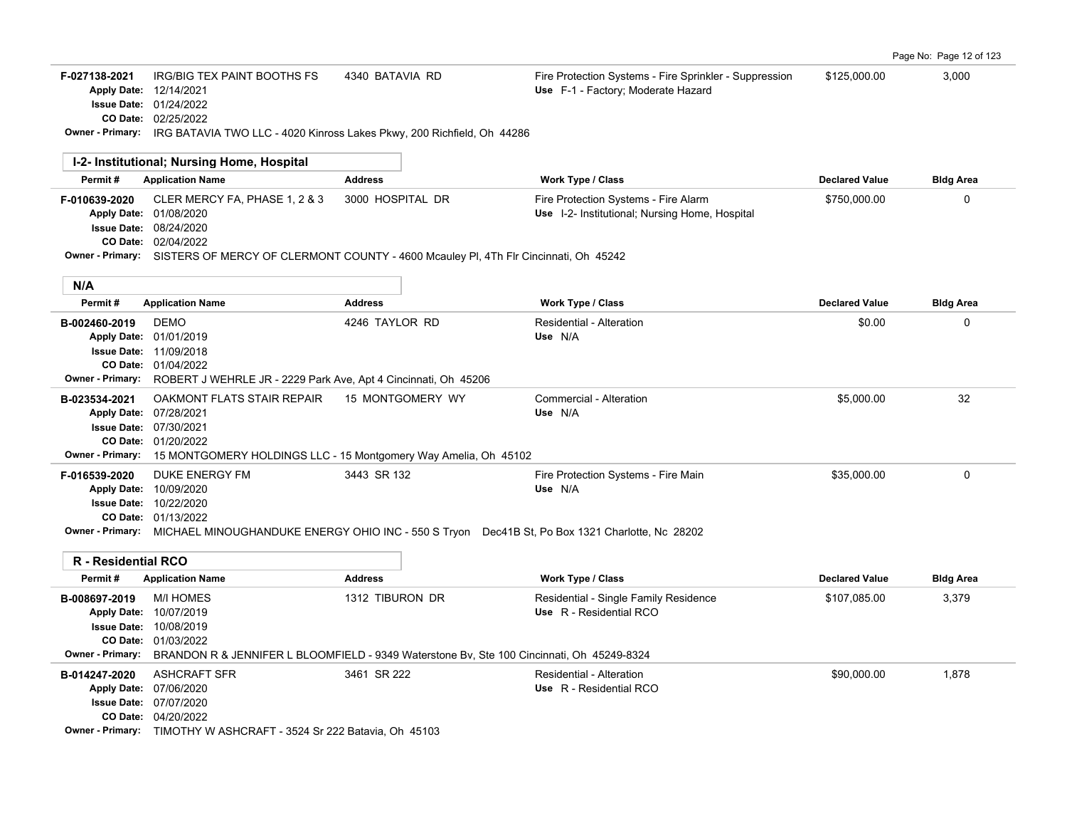02/25/2022 **CO Date:** 01/24/2022 **Issue Date:** Apply Date: 12/14/2021

F-027138-2021 IRG/BIG TEX PAINT BOOTHS FS 4340 BATAVIA RD Fire Protection Systems - Fire Sprinkler - Suppression \$125,000.00 3,000 Use F-1 - Factory; Moderate Hazard

**Owner - Primary:** IRG BATAVIA TWO LLC - 4020 Kinross Lakes Pkwy, 200 Richfield, Oh 44286

| 1-2- Institutional; Nursing Home, Hospital              |                                                                                                                                                                                                      |                  |                                                                                                                                                                   |                       |                  |
|---------------------------------------------------------|------------------------------------------------------------------------------------------------------------------------------------------------------------------------------------------------------|------------------|-------------------------------------------------------------------------------------------------------------------------------------------------------------------|-----------------------|------------------|
| Permit#                                                 | <b>Application Name</b>                                                                                                                                                                              | <b>Address</b>   | <b>Work Type / Class</b>                                                                                                                                          | <b>Declared Value</b> | <b>Bldg Area</b> |
| F-010639-2020<br><b>Issue Date:</b>                     | CLER MERCY FA, PHASE 1, 2 & 3<br>Apply Date: 01/08/2020<br>08/24/2020<br>CO Date: 02/04/2022<br>Owner - Primary: SISTERS OF MERCY OF CLERMONT COUNTY - 4600 Mcauley PI, 4Th Flr Cincinnati, Oh 45242 | 3000 HOSPITAL DR | Fire Protection Systems - Fire Alarm<br>Use I-2- Institutional; Nursing Home, Hospital                                                                            | \$750,000.00          | 0                |
| N/A                                                     |                                                                                                                                                                                                      |                  |                                                                                                                                                                   |                       |                  |
| Permit#                                                 | <b>Application Name</b>                                                                                                                                                                              | <b>Address</b>   | <b>Work Type / Class</b>                                                                                                                                          | <b>Declared Value</b> | <b>Bldg Area</b> |
| B-002460-2019<br><b>Apply Date:</b><br>Owner - Primary: | <b>DEMO</b><br>01/01/2019<br><b>Issue Date: 11/09/2018</b><br>CO Date: 01/04/2022<br>ROBERT J WEHRLE JR - 2229 Park Ave, Apt 4 Cincinnati, Oh 45206                                                  | 4246 TAYLOR RD   | Residential - Alteration<br>Use N/A                                                                                                                               | \$0.00                | 0                |
| B-023534-2021<br>Owner - Primary:                       | OAKMONT FLATS STAIR REPAIR<br>Apply Date: 07/28/2021<br><b>Issue Date: 07/30/2021</b><br>CO Date: 01/20/2022<br>15 MONTGOMERY HOLDINGS LLC - 15 Montgomery Way Amelia, Oh 45102                      | 15 MONTGOMERY WY | Commercial - Alteration<br>Use N/A                                                                                                                                | \$5,000.00            | 32               |
| F-016539-2020                                           | <b>DUKE ENERGY FM</b><br>Apply Date: 10/09/2020<br><b>Issue Date: 10/22/2020</b><br>CO Date: 01/13/2022                                                                                              | 3443 SR 132      | Fire Protection Systems - Fire Main<br>Use N/A<br>Owner - Primary: MICHAEL MINOUGHANDUKE ENERGY OHIO INC - 550 S Tryon Dec41B St, Po Box 1321 Charlotte, Nc 28202 | \$35,000.00           | $\mathbf 0$      |
| <b>R</b> - Residential RCO                              |                                                                                                                                                                                                      |                  |                                                                                                                                                                   |                       |                  |
| Permit#                                                 | <b>Application Name</b>                                                                                                                                                                              | <b>Address</b>   | <b>Work Type / Class</b>                                                                                                                                          | <b>Declared Value</b> | <b>Bldg Area</b> |
| B-008697-2019<br><b>Owner - Primary:</b>                | <b>M/I HOMES</b><br>Apply Date: 10/07/2019<br><b>Issue Date: 10/08/2019</b><br>CO Date: 01/03/2022<br>BRANDON R & JENNIFER L BLOOMFIELD - 9349 Waterstone Bv, Ste 100 Cincinnati, Oh 45249-8324      | 1312 TIBURON DR  | Residential - Single Family Residence<br>Use R - Residential RCO                                                                                                  | \$107,085.00          | 3,379            |
| B-014247-2020                                           | <b>ASHCRAFT SFR</b><br>Apply Date: 07/06/2020                                                                                                                                                        | 3461 SR 222      | Residential - Alteration<br>Use R - Residential RCO                                                                                                               | \$90,000.00           | 1,878            |

04/20/2022 **CO Date:** 07/07/2020 **Issue Date:**

**Owner - Primary:** TIMOTHY W ASHCRAFT - 3524 Sr 222 Batavia, Oh 45103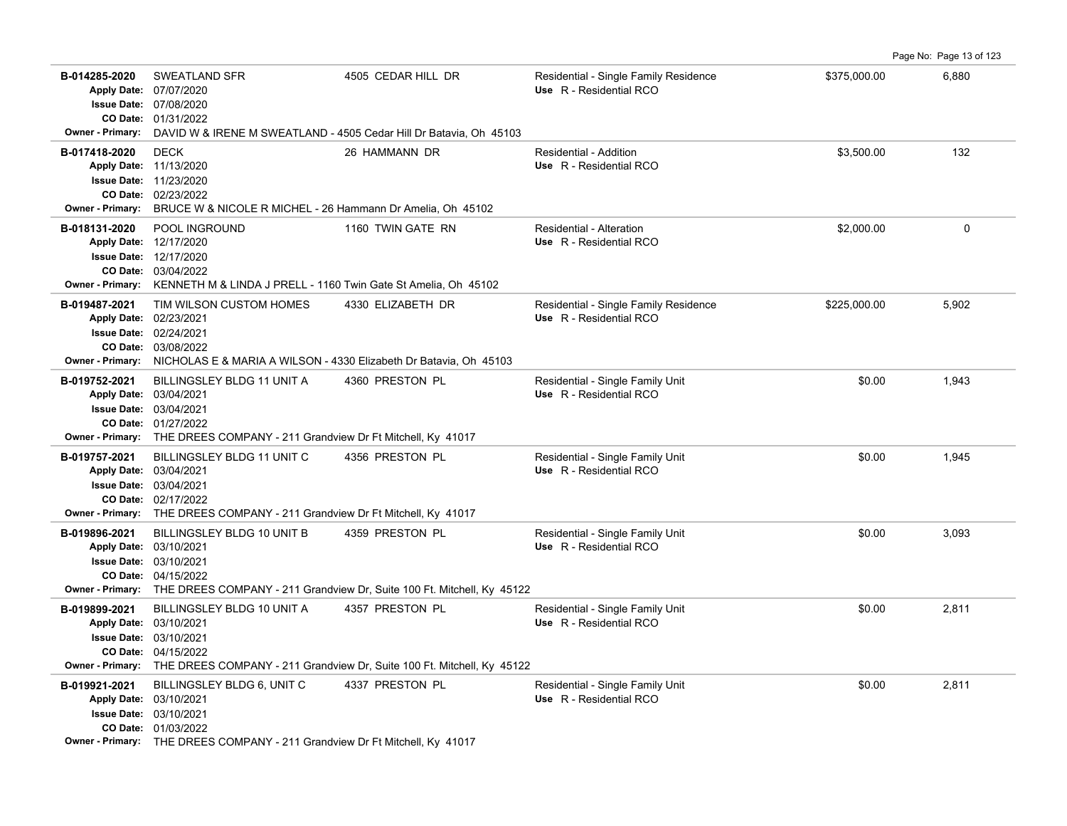Page No: Page 13 of 123

| B-014285-2020                            | SWEATLAND SFR<br>Apply Date: 07/07/2020<br><b>Issue Date: 07/08/2020</b><br>CO Date: 01/31/2022                                                                                             | 4505 CEDAR HILL DR<br>Owner - Primary: DAVID W & IRENE M SWEATLAND - 4505 Cedar Hill Dr Batavia, Oh 45103  | Residential - Single Family Residence<br>Use R - Residential RCO | \$375,000.00 | 6,880    |
|------------------------------------------|---------------------------------------------------------------------------------------------------------------------------------------------------------------------------------------------|------------------------------------------------------------------------------------------------------------|------------------------------------------------------------------|--------------|----------|
| B-017418-2020                            | <b>DECK</b><br>Apply Date: 11/13/2020<br><b>Issue Date: 11/23/2020</b><br>CO Date: 02/23/2022<br>Owner - Primary: BRUCE W & NICOLE R MICHEL - 26 Hammann Dr Amelia, Oh 45102                | 26 HAMMANN DR                                                                                              | Residential - Addition<br>Use R - Residential RCO                | \$3.500.00   | 132      |
| B-018131-2020                            | POOL INGROUND<br>Apply Date: 12/17/2020<br><b>Issue Date: 12/17/2020</b><br>CO Date: 03/04/2022<br>Owner - Primary: KENNETH M & LINDA J PRELL - 1160 Twin Gate St Amelia, Oh 45102          | 1160 TWIN GATE RN                                                                                          | Residential - Alteration<br>Use R - Residential RCO              | \$2,000.00   | $\Omega$ |
| B-019487-2021<br><b>Owner - Primary:</b> | TIM WILSON CUSTOM HOMES<br>Apply Date: 02/23/2021<br><b>Issue Date: 02/24/2021</b><br>CO Date: 03/08/2022<br>NICHOLAS E & MARIA A WILSON - 4330 Elizabeth Dr Batavia, Oh 45103              | 4330 ELIZABETH DR                                                                                          | Residential - Single Family Residence<br>Use R - Residential RCO | \$225,000.00 | 5,902    |
| B-019752-2021                            | BILLINGSLEY BLDG 11 UNIT A<br>Apply Date: 03/04/2021<br><b>Issue Date: 03/04/2021</b><br>CO Date: 01/27/2022<br>Owner - Primary: THE DREES COMPANY - 211 Grandview Dr Ft Mitchell, Ky 41017 | 4360 PRESTON PL                                                                                            | Residential - Single Family Unit<br>Use R - Residential RCO      | \$0.00       | 1,943    |
| B-019757-2021                            | BILLINGSLEY BLDG 11 UNIT C<br>Apply Date: 03/04/2021<br><b>Issue Date: 03/04/2021</b><br>CO Date: 02/17/2022<br>Owner - Primary: THE DREES COMPANY - 211 Grandview Dr Ft Mitchell, Ky 41017 | 4356 PRESTON PL                                                                                            | Residential - Single Family Unit<br>Use R - Residential RCO      | \$0.00       | 1,945    |
| B-019896-2021                            | BILLINGSLEY BLDG 10 UNIT B<br>Apply Date: 03/10/2021<br><b>Issue Date: 03/10/2021</b><br>CO Date: 04/15/2022                                                                                | 4359 PRESTON PL<br>Owner - Primary: THE DREES COMPANY - 211 Grandview Dr, Suite 100 Ft. Mitchell, Ky 45122 | Residential - Single Family Unit<br>Use R - Residential RCO      | \$0.00       | 3,093    |
| B-019899-2021                            | BILLINGSLEY BLDG 10 UNIT A<br>Apply Date: 03/10/2021<br><b>Issue Date: 03/10/2021</b><br>CO Date: 04/15/2022                                                                                | 4357 PRESTON PL<br>Owner - Primary: THE DREES COMPANY - 211 Grandview Dr, Suite 100 Ft. Mitchell, Ky 45122 | Residential - Single Family Unit<br>Use R - Residential RCO      | \$0.00       | 2,811    |
| B-019921-2021                            | BILLINGSLEY BLDG 6, UNIT C<br>Apply Date: 03/10/2021<br>Issue Date: 03/10/2021<br>CO Date: 01/03/2022<br>Owner - Primary: THE DREES COMPANY - 211 Grandview Dr Ft Mitchell, Ky 41017        | 4337 PRESTON PL                                                                                            | Residential - Single Family Unit<br>Use R - Residential RCO      | \$0.00       | 2,811    |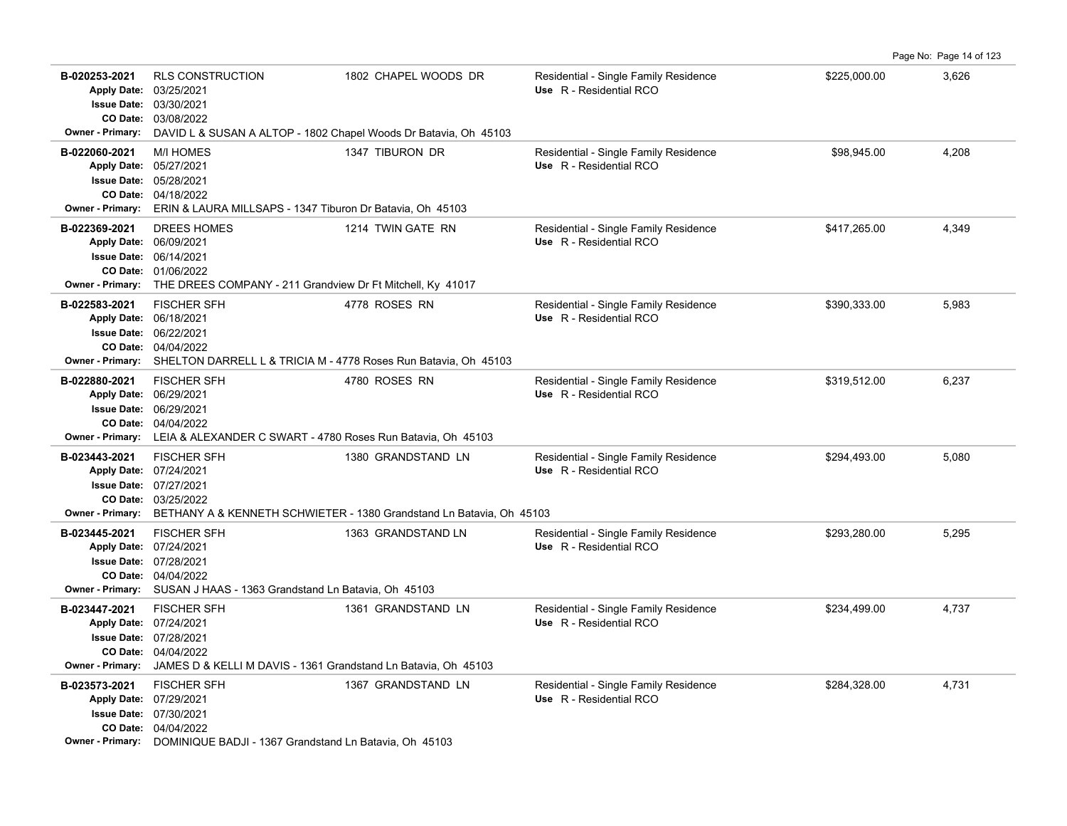Page No: Page 14 of 123

| B-020253-2021<br><b>Owner - Primary:</b> | <b>RLS CONSTRUCTION</b><br>Apply Date: 03/25/2021<br>Issue Date: 03/30/2021<br>CO Date: 03/08/2022<br>DAVID L & SUSAN A ALTOP - 1802 Chapel Woods Dr Batavia, Oh 45103                   | 1802 CHAPEL WOODS DR | Residential - Single Family Residence<br>Use R - Residential RCO | \$225,000.00 | 3,626 |
|------------------------------------------|------------------------------------------------------------------------------------------------------------------------------------------------------------------------------------------|----------------------|------------------------------------------------------------------|--------------|-------|
| B-022060-2021                            | <b>M/I HOMES</b><br>Apply Date: 05/27/2021<br><b>Issue Date: 05/28/2021</b><br>CO Date: 04/18/2022<br>Owner - Primary: ERIN & LAURA MILLSAPS - 1347 Tiburon Dr Batavia, Oh 45103         | 1347 TIBURON DR      | Residential - Single Family Residence<br>Use R - Residential RCO | \$98,945.00  | 4,208 |
| B-022369-2021                            | DREES HOMES<br>Apply Date: 06/09/2021<br>Issue Date: 06/14/2021<br>CO Date: 01/06/2022<br>Owner - Primary: THE DREES COMPANY - 211 Grandview Dr Ft Mitchell, Ky 41017                    | 1214 TWIN GATE RN    | Residential - Single Family Residence<br>Use R - Residential RCO | \$417,265.00 | 4,349 |
| B-022583-2021                            | <b>FISCHER SFH</b><br>Apply Date: 06/18/2021<br><b>Issue Date: 06/22/2021</b><br>CO Date: 04/04/2022<br>Owner - Primary: SHELTON DARRELL L & TRICIA M - 4778 Roses Run Batavia, Oh 45103 | 4778 ROSES RN        | Residential - Single Family Residence<br>Use R - Residential RCO | \$390,333.00 | 5,983 |
| B-022880-2021<br>Owner - Primary:        | <b>FISCHER SFH</b><br>Apply Date: 06/29/2021<br>Issue Date: 06/29/2021<br>CO Date: 04/04/2022<br>LEIA & ALEXANDER C SWART - 4780 Roses Run Batavia, Oh 45103                             | 4780 ROSES RN        | Residential - Single Family Residence<br>Use R - Residential RCO | \$319,512.00 | 6,237 |
| B-023443-2021<br><b>Owner - Primary:</b> | <b>FISCHER SFH</b><br>Apply Date: 07/24/2021<br><b>Issue Date: 07/27/2021</b><br>CO Date: 03/25/2022<br>BETHANY A & KENNETH SCHWIETER - 1380 Grandstand Ln Batavia, Oh 45103             | 1380 GRANDSTAND LN   | Residential - Single Family Residence<br>Use R - Residential RCO | \$294,493.00 | 5,080 |
| B-023445-2021                            | <b>FISCHER SFH</b><br>Apply Date: 07/24/2021<br>Issue Date: 07/28/2021<br>CO Date: 04/04/2022<br>Owner - Primary: SUSAN J HAAS - 1363 Grandstand Ln Batavia, Oh 45103                    | 1363 GRANDSTAND LN   | Residential - Single Family Residence<br>Use R - Residential RCO | \$293,280.00 | 5,295 |
| B-023447-2021<br><b>Owner - Primary:</b> | <b>FISCHER SFH</b><br>Apply Date: 07/24/2021<br><b>Issue Date: 07/28/2021</b><br>CO Date: 04/04/2022<br>JAMES D & KELLI M DAVIS - 1361 Grandstand Ln Batavia, Oh 45103                   | 1361 GRANDSTAND LN   | Residential - Single Family Residence<br>Use R - Residential RCO | \$234,499.00 | 4,737 |
| B-023573-2021                            | <b>FISCHER SFH</b><br>Apply Date: 07/29/2021<br><b>Issue Date: 07/30/2021</b><br>CO Date: 04/04/2022<br>Owner - Primary: DOMINIQUE BADJI - 1367 Grandstand Ln Batavia, Oh 45103          | 1367 GRANDSTAND LN   | Residential - Single Family Residence<br>Use R - Residential RCO | \$284,328.00 | 4,731 |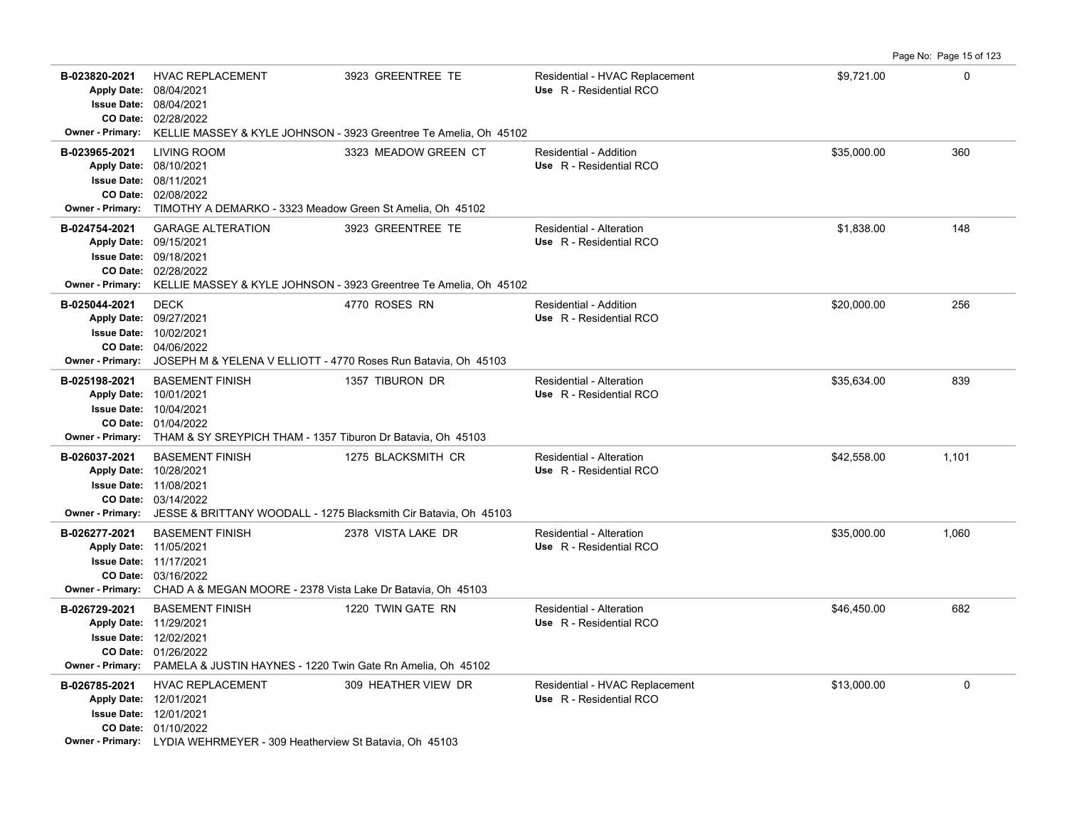| B-023820-2021<br><b>Owner - Primary:</b> | <b>HVAC REPLACEMENT</b><br>Apply Date: 08/04/2021<br><b>Issue Date: 08/04/2021</b><br>CO Date: 02/28/2022                                                                                       | 3923 GREENTREE TE<br>KELLIE MASSEY & KYLE JOHNSON - 3923 Greentree Te Amelia, Oh 45102                  | Residential - HVAC Replacement<br>Use R - Residential RCO | \$9,721.00  | $\mathbf 0$ |
|------------------------------------------|-------------------------------------------------------------------------------------------------------------------------------------------------------------------------------------------------|---------------------------------------------------------------------------------------------------------|-----------------------------------------------------------|-------------|-------------|
| B-023965-2021                            | <b>LIVING ROOM</b><br>Apply Date: 08/10/2021<br><b>Issue Date: 08/11/2021</b><br>CO Date: 02/08/2022<br>Owner - Primary: TIMOTHY A DEMARKO - 3323 Meadow Green St Amelia, Oh 45102              | 3323 MEADOW GREEN CT                                                                                    | Residential - Addition<br>Use R - Residential RCO         | \$35,000.00 | 360         |
| B-024754-2021                            | <b>GARAGE ALTERATION</b><br>Apply Date: 09/15/2021<br><b>Issue Date: 09/18/2021</b><br>CO Date: 02/28/2022                                                                                      | 3923 GREENTREE TE<br>Owner - Primary: KELLIE MASSEY & KYLE JOHNSON - 3923 Greentree Te Amelia, Oh 45102 | Residential - Alteration<br>Use R - Residential RCO       | \$1,838.00  | 148         |
| B-025044-2021<br>Apply Date: 09/27/2021  | <b>DECK</b><br><b>Issue Date: 10/02/2021</b><br>CO Date: 04/06/2022<br>Owner - Primary: JOSEPH M & YELENA V ELLIOTT - 4770 Roses Run Batavia, Oh 45103                                          | 4770 ROSES RN                                                                                           | Residential - Addition<br>Use R - Residential RCO         | \$20,000.00 | 256         |
| B-025198-2021                            | <b>BASEMENT FINISH</b><br>Apply Date: 10/01/2021<br><b>Issue Date: 10/04/2021</b><br>CO Date: 01/04/2022<br><b>Owner - Primary:</b> THAM & SY SREYPICH THAM - 1357 Tiburon Dr Batavia, Oh 45103 | 1357 TIBURON DR                                                                                         | Residential - Alteration<br>Use R - Residential RCO       | \$35.634.00 | 839         |
| B-026037-2021<br>Apply Date: 10/28/2021  | <b>BASEMENT FINISH</b><br><b>Issue Date: 11/08/2021</b><br>CO Date: 03/14/2022<br>Owner - Primary: JESSE & BRITTANY WOODALL - 1275 Blacksmith Cir Batavia, Oh 45103                             | 1275 BLACKSMITH CR                                                                                      | Residential - Alteration<br>Use R - Residential RCO       | \$42,558.00 | 1,101       |
| B-026277-2021<br>Apply Date: 11/05/2021  | <b>BASEMENT FINISH</b><br><b>Issue Date: 11/17/2021</b><br>CO Date: 03/16/2022<br><b>Owner - Primary:</b> CHAD A & MEGAN MOORE - 2378 Vista Lake Dr Batavia, Oh 45103                           | 2378 VISTA LAKE DR                                                                                      | Residential - Alteration<br>Use R - Residential RCO       | \$35,000.00 | 1,060       |
| B-026729-2021<br>Apply Date: 11/29/2021  | <b>BASEMENT FINISH</b><br><b>Issue Date: 12/02/2021</b><br>CO Date: 01/26/2022<br>Owner - Primary: PAMELA & JUSTIN HAYNES - 1220 Twin Gate Rn Amelia, Oh 45102                                  | 1220 TWIN GATE RN                                                                                       | Residential - Alteration<br>Use R - Residential RCO       | \$46,450.00 | 682         |
| B-026785-2021                            | <b>HVAC REPLACEMENT</b><br>Apply Date: 12/01/2021<br><b>Issue Date: 12/01/2021</b><br>CO Date: 01/10/2022<br><b>Owner - Primary:</b> LYDIA WEHRMEYER - 309 Heatherview St Batavia, Oh 45103     | 309 HEATHER VIEW DR                                                                                     | Residential - HVAC Replacement<br>Use R - Residential RCO | \$13,000.00 | $\mathbf 0$ |

Page No: Page 15 of 123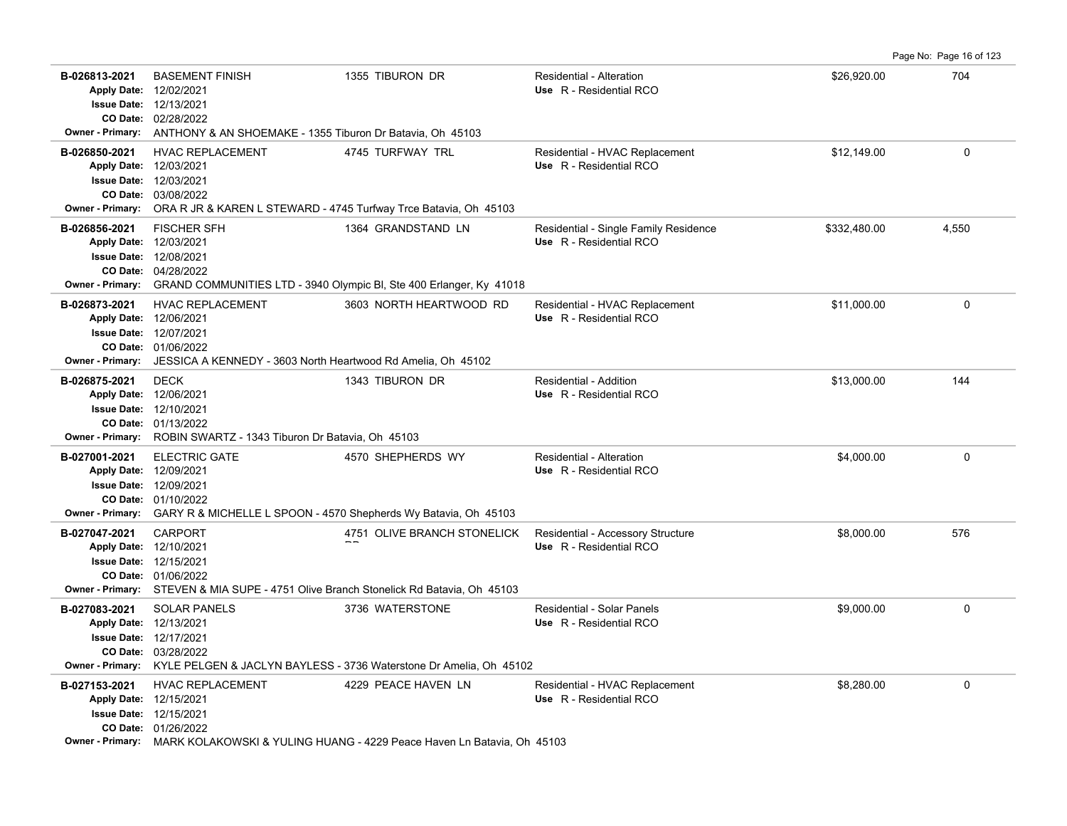Page No: Page 16 of 123

| B-026813-2021<br>Owner - Primary:        | <b>BASEMENT FINISH</b><br>Apply Date: 12/02/2021<br><b>Issue Date: 12/13/2021</b><br>CO Date: 02/28/2022<br>ANTHONY & AN SHOEMAKE - 1355 Tiburon Dr Batavia, Oh 45103              | 1355 TIBURON DR                                                                                                | Residential - Alteration<br>Use R - Residential RCO              | \$26,920.00  | 704      |
|------------------------------------------|------------------------------------------------------------------------------------------------------------------------------------------------------------------------------------|----------------------------------------------------------------------------------------------------------------|------------------------------------------------------------------|--------------|----------|
| B-026850-2021<br><b>Owner - Primary:</b> | <b>HVAC REPLACEMENT</b><br>Apply Date: 12/03/2021<br><b>Issue Date: 12/03/2021</b><br>CO Date: 03/08/2022<br>ORA R JR & KAREN L STEWARD - 4745 Turfway Trce Batavia, Oh 45103      | 4745 TURFWAY TRL                                                                                               | Residential - HVAC Replacement<br>Use R - Residential RCO        | \$12,149.00  | 0        |
| B-026856-2021<br><b>Owner - Primary:</b> | <b>FISCHER SFH</b><br>Apply Date: 12/03/2021<br><b>Issue Date: 12/08/2021</b><br>CO Date: 04/28/2022                                                                               | 1364 GRANDSTAND LN<br>GRAND COMMUNITIES LTD - 3940 Olympic BI, Ste 400 Erlanger, Ky 41018                      | Residential - Single Family Residence<br>Use R - Residential RCO | \$332,480.00 | 4,550    |
| B-026873-2021<br><b>Owner - Primary:</b> | <b>HVAC REPLACEMENT</b><br>Apply Date: 12/06/2021<br><b>Issue Date: 12/07/2021</b><br>CO Date: 01/06/2022<br>JESSICA A KENNEDY - 3603 North Heartwood Rd Amelia, Oh 45102          | 3603 NORTH HEARTWOOD RD                                                                                        | Residential - HVAC Replacement<br>Use R - Residential RCO        | \$11,000.00  | $\Omega$ |
| B-026875-2021<br>Owner - Primary:        | <b>DECK</b><br>Apply Date: 12/06/2021<br>Issue Date: 12/10/2021<br>CO Date: 01/13/2022<br>ROBIN SWARTZ - 1343 Tiburon Dr Batavia, Oh 45103                                         | 1343 TIBURON DR                                                                                                | Residential - Addition<br>Use R - Residential RCO                | \$13,000.00  | 144      |
| B-027001-2021<br><b>Owner - Primary:</b> | <b>ELECTRIC GATE</b><br>Apply Date: 12/09/2021<br><b>Issue Date: 12/09/2021</b><br>CO Date: 01/10/2022<br>GARY R & MICHELLE L SPOON - 4570 Shepherds Wy Batavia, Oh 45103          | 4570 SHEPHERDS WY                                                                                              | Residential - Alteration<br>Use R - Residential RCO              | \$4,000.00   | 0        |
| B-027047-2021                            | <b>CARPORT</b><br>Apply Date: 12/10/2021<br>Issue Date: 12/15/2021<br>CO Date: 01/06/2022<br>Owner - Primary: STEVEN & MIA SUPE - 4751 Olive Branch Stonelick Rd Batavia, Oh 45103 | 4751 OLIVE BRANCH STONELICK                                                                                    | Residential - Accessory Structure<br>Use R - Residential RCO     | \$8,000.00   | 576      |
| B-027083-2021<br><b>Owner - Primary:</b> | <b>SOLAR PANELS</b><br>Apply Date: 12/13/2021<br><b>Issue Date: 12/17/2021</b><br>CO Date: 03/28/2022                                                                              | 3736 WATERSTONE<br>KYLE PELGEN & JACLYN BAYLESS - 3736 Waterstone Dr Amelia, Oh 45102                          | <b>Residential - Solar Panels</b><br>Use R - Residential RCO     | \$9,000.00   | 0        |
| B-027153-2021                            | <b>HVAC REPLACEMENT</b><br>Apply Date: 12/15/2021<br>Issue Date: 12/15/2021<br>CO Date: 01/26/2022                                                                                 | 4229 PEACE HAVEN LN<br>Owner - Primary: MARK KOLAKOWSKI & YULING HUANG - 4229 Peace Haven Ln Batavia, Oh 45103 | Residential - HVAC Replacement<br>Use R - Residential RCO        | \$8,280.00   | 0        |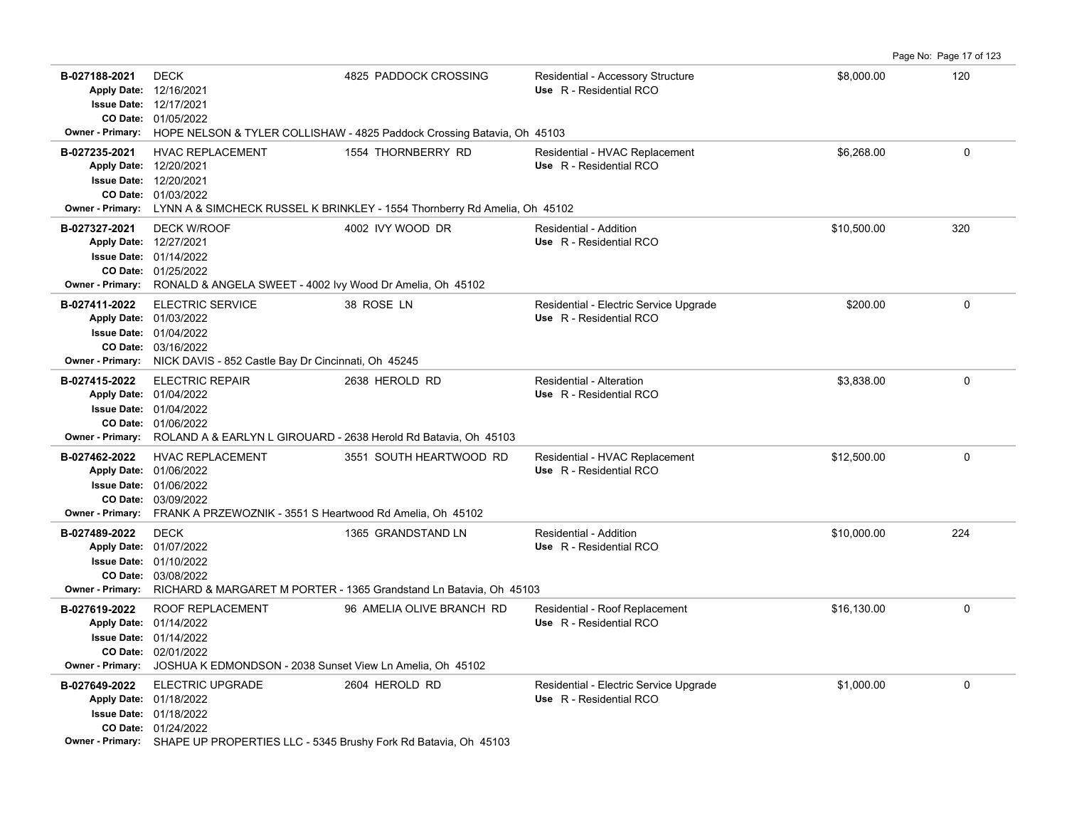|                                                                    |                                                                                                                                                                                               |                           |                                                                   |             | Page No: Page 17 of 123 |
|--------------------------------------------------------------------|-----------------------------------------------------------------------------------------------------------------------------------------------------------------------------------------------|---------------------------|-------------------------------------------------------------------|-------------|-------------------------|
| B-027188-2021<br>Apply Date: 12/16/2021                            | <b>DECK</b><br><b>Issue Date: 12/17/2021</b><br>CO Date: 01/05/2022<br><b>Owner - Primary:</b> HOPE NELSON & TYLER COLLISHAW - 4825 Paddock Crossing Batavia, Oh 45103                        | 4825 PADDOCK CROSSING     | Residential - Accessory Structure<br>Use R - Residential RCO      | \$8,000.00  | 120                     |
| B-027235-2021<br>Apply Date: 12/20/2021                            | <b>HVAC REPLACEMENT</b><br><b>Issue Date: 12/20/2021</b><br>CO Date: 01/03/2022<br>Owner - Primary: LYNN A & SIMCHECK RUSSEL K BRINKLEY - 1554 Thornberry Rd Amelia, Oh 45102                 | 1554 THORNBERRY RD        | Residential - HVAC Replacement<br>Use R - Residential RCO         | \$6.268.00  | $\Omega$                |
| B-027327-2021<br>Apply Date: 12/27/2021<br><b>Owner - Primary:</b> | <b>DECK W/ROOF</b><br><b>Issue Date: 01/14/2022</b><br>CO Date: 01/25/2022<br>RONALD & ANGELA SWEET - 4002 lvy Wood Dr Amelia, Oh 45102                                                       | 4002 IVY WOOD DR          | Residential - Addition<br>Use R - Residential RCO                 | \$10,500.00 | 320                     |
| B-027411-2022<br><b>Owner - Primary:</b>                           | <b>ELECTRIC SERVICE</b><br>Apply Date: 01/03/2022<br><b>Issue Date: 01/04/2022</b><br>CO Date: 03/16/2022<br>NICK DAVIS - 852 Castle Bay Dr Cincinnati, Oh 45245                              | 38 ROSE LN                | Residential - Electric Service Upgrade<br>Use R - Residential RCO | \$200.00    | $\Omega$                |
| B-027415-2022                                                      | <b>ELECTRIC REPAIR</b><br>Apply Date: 01/04/2022<br><b>Issue Date: 01/04/2022</b><br>CO Date: 01/06/2022<br>Owner - Primary: ROLAND A & EARLYN L GIROUARD - 2638 Herold Rd Batavia, Oh 45103  | 2638 HEROLD RD            | Residential - Alteration<br>Use R - Residential RCO               | \$3,838.00  | $\mathbf 0$             |
| B-027462-2022<br>Owner - Primary:                                  | <b>HVAC REPLACEMENT</b><br>Apply Date: 01/06/2022<br><b>Issue Date: 01/06/2022</b><br>CO Date: 03/09/2022<br>FRANK A PRZEWOZNIK - 3551 S Heartwood Rd Amelia, Oh 45102                        | 3551 SOUTH HEARTWOOD RD   | Residential - HVAC Replacement<br>Use R - Residential RCO         | \$12,500.00 | $\mathbf 0$             |
| B-027489-2022                                                      | <b>DECK</b><br>Apply Date: 01/07/2022<br><b>Issue Date: 01/10/2022</b><br>CO Date: 03/08/2022<br>Owner - Primary: RICHARD & MARGARET M PORTER - 1365 Grandstand Ln Batavia, Oh 45103          | 1365 GRANDSTAND LN        | Residential - Addition<br>Use R - Residential RCO                 | \$10,000.00 | 224                     |
| B-027619-2022<br><b>Owner - Primary:</b>                           | ROOF REPLACEMENT<br>Apply Date: 01/14/2022<br><b>Issue Date: 01/14/2022</b><br>CO Date: 02/01/2022<br>JOSHUA K EDMONDSON - 2038 Sunset View Ln Amelia, Oh 45102                               | 96 AMELIA OLIVE BRANCH RD | Residential - Roof Replacement<br>Use R - Residential RCO         | \$16,130.00 | $\mathbf 0$             |
| B-027649-2022                                                      | <b>ELECTRIC UPGRADE</b><br>Apply Date: 01/18/2022<br><b>Issue Date: 01/18/2022</b><br>CO Date: 01/24/2022<br>Owner - Primary: SHAPE UP PROPERTIES LLC - 5345 Brushy Fork Rd Batavia, Oh 45103 | 2604 HEROLD RD            | Residential - Electric Service Upgrade<br>Use R - Residential RCO | \$1,000.00  | $\Omega$                |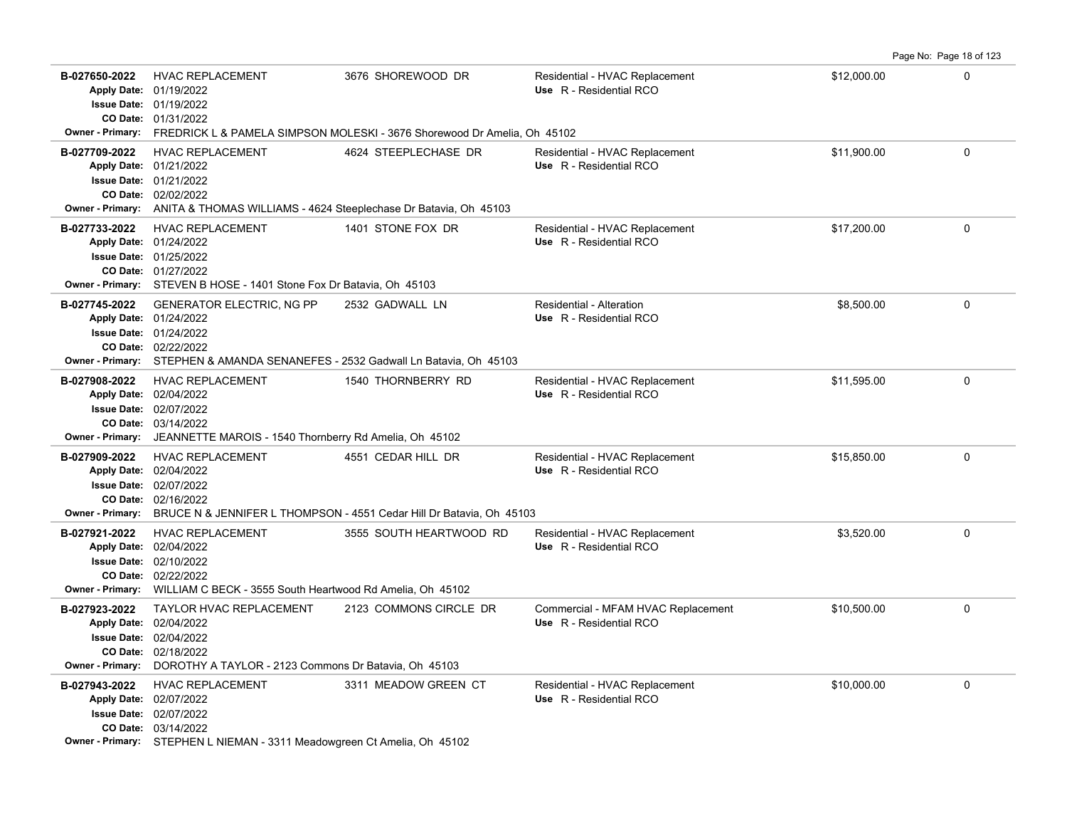Page No: Page 18 of 123

| B-027650-2022 | <b>HVAC REPLACEMENT</b><br>Apply Date: 01/19/2022<br><b>Issue Date: 01/19/2022</b><br>CO Date: 01/31/2022                                                                                      | 3676 SHOREWOOD DR<br>Owner - Primary: FREDRICK L & PAMELA SIMPSON MOLESKI - 3676 Shorewood Dr Amelia, Oh 45102 | Residential - HVAC Replacement<br>Use R - Residential RCO     | \$12,000.00 | $\Omega$    |
|---------------|------------------------------------------------------------------------------------------------------------------------------------------------------------------------------------------------|----------------------------------------------------------------------------------------------------------------|---------------------------------------------------------------|-------------|-------------|
| B-027709-2022 | <b>HVAC REPLACEMENT</b><br>Apply Date: 01/21/2022<br><b>Issue Date: 01/21/2022</b><br>CO Date: 02/02/2022<br>Owner - Primary: ANITA & THOMAS WILLIAMS - 4624 Steeplechase Dr Batavia, Oh 45103 | 4624 STEEPLECHASE DR                                                                                           | Residential - HVAC Replacement<br>Use R - Residential RCO     | \$11,900.00 | $\Omega$    |
| B-027733-2022 | <b>HVAC REPLACEMENT</b><br>Apply Date: 01/24/2022<br><b>Issue Date: 01/25/2022</b><br>CO Date: 01/27/2022<br>Owner - Primary: STEVEN B HOSE - 1401 Stone Fox Dr Batavia, Oh 45103              | 1401 STONE FOX DR                                                                                              | Residential - HVAC Replacement<br>Use R - Residential RCO     | \$17,200.00 | $\mathbf 0$ |
| B-027745-2022 | GENERATOR ELECTRIC, NG PP<br>Apply Date: 01/24/2022<br><b>Issue Date: 01/24/2022</b><br>CO Date: 02/22/2022<br>Owner - Primary: STEPHEN & AMANDA SENANEFES - 2532 Gadwall Ln Batavia, Oh 45103 | 2532 GADWALL LN                                                                                                | Residential - Alteration<br>Use R - Residential RCO           | \$8,500.00  | $\mathbf 0$ |
| B-027908-2022 | <b>HVAC REPLACEMENT</b><br>Apply Date: 02/04/2022<br><b>Issue Date: 02/07/2022</b><br>CO Date: 03/14/2022<br>Owner - Primary: JEANNETTE MAROIS - 1540 Thornberry Rd Amelia, Oh 45102           | 1540 THORNBERRY RD                                                                                             | Residential - HVAC Replacement<br>Use R - Residential RCO     | \$11,595.00 | 0           |
| B-027909-2022 | <b>HVAC REPLACEMENT</b><br>Apply Date: 02/04/2022<br><b>Issue Date: 02/07/2022</b><br>CO Date: 02/16/2022                                                                                      | 4551 CEDAR HILL DR<br>Owner - Primary: BRUCE N & JENNIFER L THOMPSON - 4551 Cedar Hill Dr Batavia, Oh 45103    | Residential - HVAC Replacement<br>Use R - Residential RCO     | \$15,850.00 | $\mathbf 0$ |
| B-027921-2022 | HVAC REPLACEMENT<br>Apply Date: 02/04/2022<br><b>Issue Date: 02/10/2022</b><br>CO Date: 02/22/2022<br>Owner - Primary: WILLIAM C BECK - 3555 South Heartwood Rd Amelia, Oh 45102               | 3555 SOUTH HEARTWOOD RD                                                                                        | Residential - HVAC Replacement<br>Use R - Residential RCO     | \$3,520.00  | $\mathbf 0$ |
| B-027923-2022 | TAYLOR HVAC REPLACEMENT<br>Apply Date: 02/04/2022<br><b>Issue Date: 02/04/2022</b><br>CO Date: 02/18/2022<br>Owner - Primary: DOROTHY A TAYLOR - 2123 Commons Dr Batavia, Oh 45103             | 2123 COMMONS CIRCLE DR                                                                                         | Commercial - MFAM HVAC Replacement<br>Use R - Residential RCO | \$10,500.00 | $\mathbf 0$ |
| B-027943-2022 | <b>HVAC REPLACEMENT</b><br>Apply Date: 02/07/2022<br>Issue Date: 02/07/2022<br>CO Date: 03/14/2022<br>Owner - Primary: STEPHEN L NIEMAN - 3311 Meadowgreen Ct Amelia, Oh 45102                 | 3311 MEADOW GREEN CT                                                                                           | Residential - HVAC Replacement<br>Use R - Residential RCO     | \$10,000.00 | $\mathbf 0$ |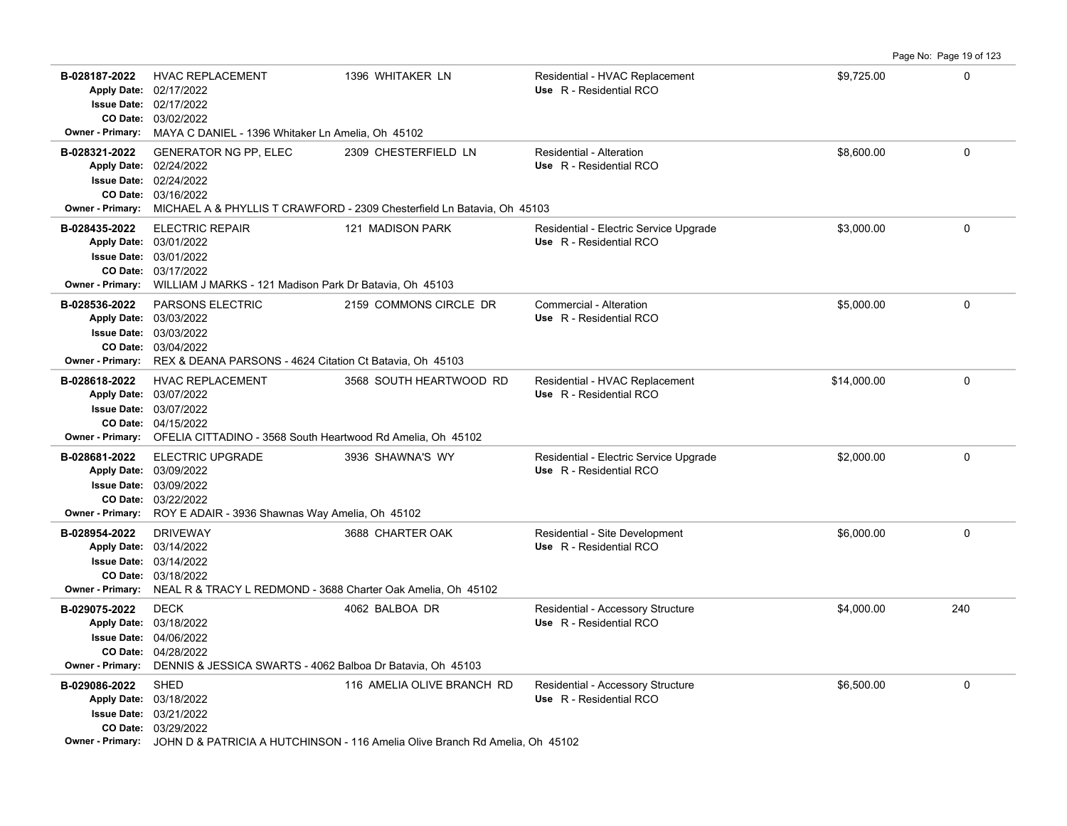|                                          |                                                                                                                                                                                                            |                            |                                                                   |             | Page No: Page 19 of 123 |
|------------------------------------------|------------------------------------------------------------------------------------------------------------------------------------------------------------------------------------------------------------|----------------------------|-------------------------------------------------------------------|-------------|-------------------------|
| B-028187-2022                            | <b>HVAC REPLACEMENT</b><br>Apply Date: 02/17/2022<br>Issue Date: 02/17/2022<br>CO Date: 03/02/2022                                                                                                         | 1396 WHITAKER LN           | Residential - HVAC Replacement<br>Use R - Residential RCO         | \$9,725.00  | $\mathbf 0$             |
|                                          | <b>Owner - Primary:</b> MAYA C DANIEL - 1396 Whitaker Ln Amelia, Oh 45102                                                                                                                                  |                            |                                                                   |             |                         |
| B-028321-2022                            | <b>GENERATOR NG PP, ELEC</b><br>Apply Date: 02/24/2022<br><b>Issue Date: 02/24/2022</b><br>CO Date: 03/16/2022<br>Owner - Primary: MICHAEL A & PHYLLIS T CRAWFORD - 2309 Chesterfield Ln Batavia, Oh 45103 | 2309 CHESTERFIELD LN       | Residential - Alteration<br>Use R - Residential RCO               | \$8.600.00  | $\Omega$                |
| B-028435-2022                            | <b>ELECTRIC REPAIR</b><br>Apply Date: 03/01/2022<br>Issue Date: 03/01/2022<br>CO Date: 03/17/2022<br><b>Owner - Primary:</b> WILLIAM J MARKS - 121 Madison Park Dr Batavia, Oh 45103                       | 121 MADISON PARK           | Residential - Electric Service Upgrade<br>Use R - Residential RCO | \$3,000.00  | $\mathbf 0$             |
| B-028536-2022<br><b>Owner - Primary:</b> | PARSONS ELECTRIC<br>Apply Date: 03/03/2022<br>Issue Date: 03/03/2022<br>CO Date: 03/04/2022<br>REX & DEANA PARSONS - 4624 Citation Ct Batavia, Oh 45103                                                    | 2159 COMMONS CIRCLE DR     | Commercial - Alteration<br>Use R - Residential RCO                | \$5,000.00  | $\mathbf 0$             |
| B-028618-2022                            | <b>HVAC REPLACEMENT</b><br>Apply Date: 03/07/2022<br>Issue Date: 03/07/2022<br>CO Date: 04/15/2022<br>Owner - Primary: OFELIA CITTADINO - 3568 South Heartwood Rd Amelia, Oh 45102                         | 3568 SOUTH HEARTWOOD RD    | Residential - HVAC Replacement<br>Use R - Residential RCO         | \$14.000.00 | $\Omega$                |
| B-028681-2022                            | ELECTRIC UPGRADE<br>Apply Date: 03/09/2022<br>Issue Date: 03/09/2022<br>CO Date: 03/22/2022<br>Owner - Primary: ROY E ADAIR - 3936 Shawnas Way Amelia, Oh 45102                                            | 3936 SHAWNA'S WY           | Residential - Electric Service Upgrade<br>Use R - Residential RCO | \$2,000.00  | $\mathbf 0$             |
| B-028954-2022                            | <b>DRIVEWAY</b><br>Apply Date: 03/14/2022<br><b>Issue Date: 03/14/2022</b><br>CO Date: 03/18/2022<br><b>Owner - Primary:</b> NEAL R & TRACY L REDMOND - 3688 Charter Oak Amelia, Oh 45102                  | 3688 CHARTER OAK           | Residential - Site Development<br>Use R - Residential RCO         | \$6,000.00  | $\mathbf 0$             |
| B-029075-2022<br><b>Owner - Primary:</b> | <b>DECK</b><br>Apply Date: 03/18/2022<br><b>Issue Date: 04/06/2022</b><br>CO Date: 04/28/2022<br>DENNIS & JESSICA SWARTS - 4062 Balboa Dr Batavia, Oh 45103                                                | 4062 BALBOA DR             | Residential - Accessory Structure<br>Use R - Residential RCO      | \$4,000.00  | 240                     |
| B-029086-2022                            | <b>SHED</b><br>Apply Date: 03/18/2022<br>Issue Date: 03/21/2022<br>CO Date: 03/29/2022<br><b>Owner - Primary:</b> JOHN D & PATRICIA A HUTCHINSON - 116 Amelia Olive Branch Rd Amelia, Oh 45102             | 116 AMELIA OLIVE BRANCH RD | Residential - Accessory Structure<br>Use R - Residential RCO      | \$6,500.00  | $\mathbf 0$             |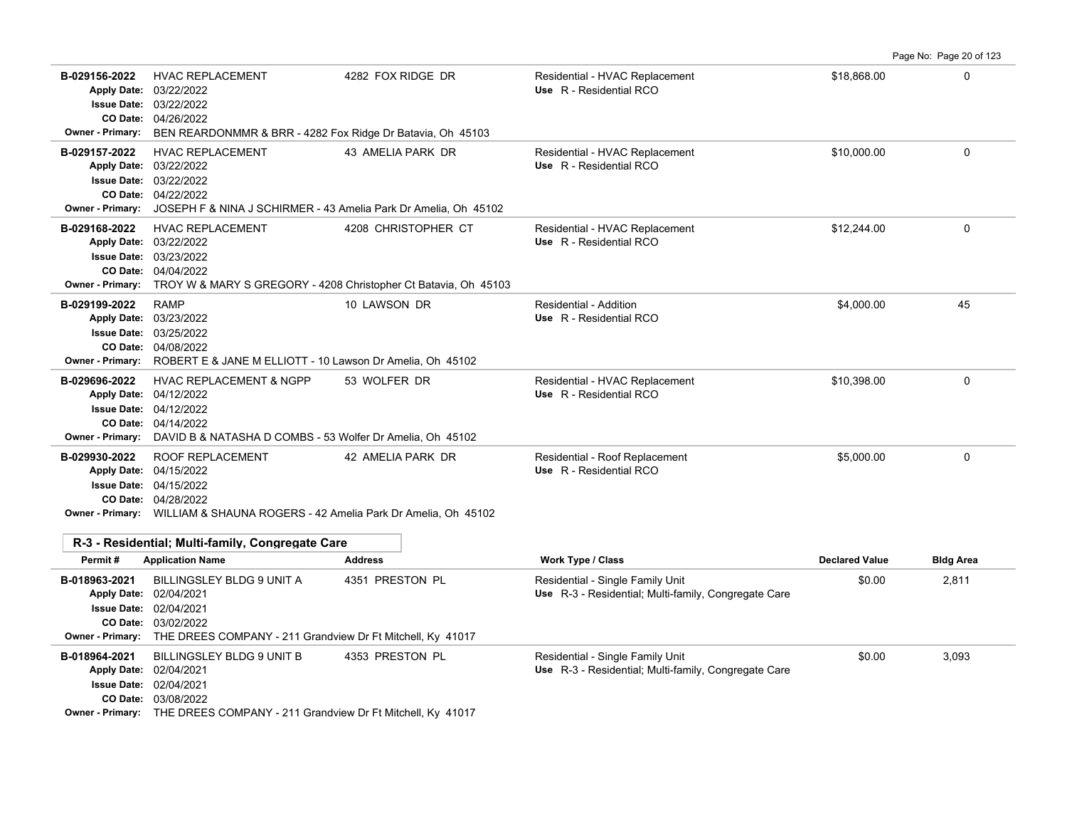Page No: Page 20 of 123

| B-029156-2022                            | <b>HVAC REPLACEMENT</b><br>Apply Date: 03/22/2022<br><b>Issue Date: 03/22/2022</b><br>CO Date: 04/26/2022<br>Owner - Primary: BEN REARDONMMR & BRR - 4282 Fox Ridge Dr Batavia, Oh 45103                 | 4282 FOX RIDGE DR   | Residential - HVAC Replacement<br>Use R - Residential RCO                                | \$18,868.00           | $\Omega$         |
|------------------------------------------|----------------------------------------------------------------------------------------------------------------------------------------------------------------------------------------------------------|---------------------|------------------------------------------------------------------------------------------|-----------------------|------------------|
| B-029157-2022<br><b>Owner - Primary:</b> | <b>HVAC REPLACEMENT</b><br>Apply Date: 03/22/2022<br><b>Issue Date: 03/22/2022</b><br>CO Date: 04/22/2022<br>JOSEPH F & NINA J SCHIRMER - 43 Amelia Park Dr Amelia, Oh 45102                             | 43 AMELIA PARK DR   | Residential - HVAC Replacement<br>Use R - Residential RCO                                | \$10,000.00           | 0                |
| B-029168-2022<br><b>Owner - Primary:</b> | <b>HVAC REPLACEMENT</b><br>Apply Date: 03/22/2022<br><b>Issue Date: 03/23/2022</b><br>CO Date: 04/04/2022<br>TROY W & MARY S GREGORY - 4208 Christopher Ct Batavia, Oh 45103                             | 4208 CHRISTOPHER CT | Residential - HVAC Replacement<br>Use R - Residential RCO                                | \$12,244.00           | $\mathbf 0$      |
| B-029199-2022                            | <b>RAMP</b><br>Apply Date: 03/23/2022<br><b>Issue Date: 03/25/2022</b><br>CO Date: 04/08/2022<br>Owner - Primary: ROBERT E & JANE M ELLIOTT - 10 Lawson Dr Amelia, Oh 45102                              | 10 LAWSON DR        | Residential - Addition<br>Use R - Residential RCO                                        | \$4.000.00            | 45               |
| B-029696-2022<br>Owner - Primary:        | <b>HVAC REPLACEMENT &amp; NGPP</b><br>Apply Date: 04/12/2022<br>Issue Date: 04/12/2022<br>CO Date: 04/14/2022<br>DAVID B & NATASHA D COMBS - 53 Wolfer Dr Amelia, Oh 45102                               | 53 WOLFER DR        | Residential - HVAC Replacement<br>Use R - Residential RCO                                | \$10,398.00           | $\mathbf 0$      |
| B-029930-2022                            | ROOF REPLACEMENT<br>Apply Date: 04/15/2022<br><b>Issue Date: 04/15/2022</b><br>CO Date: 04/28/2022<br><b>Owner - Primary:</b> WILLIAM & SHAUNA ROGERS - 42 Amelia Park Dr Amelia, Oh 45102               | 42 AMELIA PARK DR   | Residential - Roof Replacement<br>Use R - Residential RCO                                | \$5,000.00            | $\mathbf 0$      |
| Permit#                                  | R-3 - Residential; Multi-family, Congregate Care<br><b>Application Name</b>                                                                                                                              | <b>Address</b>      | Work Type / Class                                                                        | <b>Declared Value</b> | <b>Bldg Area</b> |
| B-018963-2021<br><b>Owner - Primary:</b> | BILLINGSLEY BLDG 9 UNIT A<br>Apply Date: 02/04/2021<br><b>Issue Date: 02/04/2021</b><br>CO Date: 03/02/2022<br>THE DREES COMPANY - 211 Grandview Dr Ft Mitchell, Ky 41017                                | 4351 PRESTON PL     | Residential - Single Family Unit<br>Use R-3 - Residential; Multi-family, Congregate Care | \$0.00                | 2,811            |
| B-018964-2021                            | <b>BILLINGSLEY BLDG 9 UNIT B</b><br>Apply Date: 02/04/2021<br><b>Issue Date: 02/04/2021</b><br>CO Date: 03/08/2022<br><b>Owner - Primary:</b> THE DREES COMPANY - 211 Grandview Dr Ft Mitchell, Ky 41017 | 4353 PRESTON PL     | Residential - Single Family Unit<br>Use R-3 - Residential; Multi-family, Congregate Care | \$0.00                | 3,093            |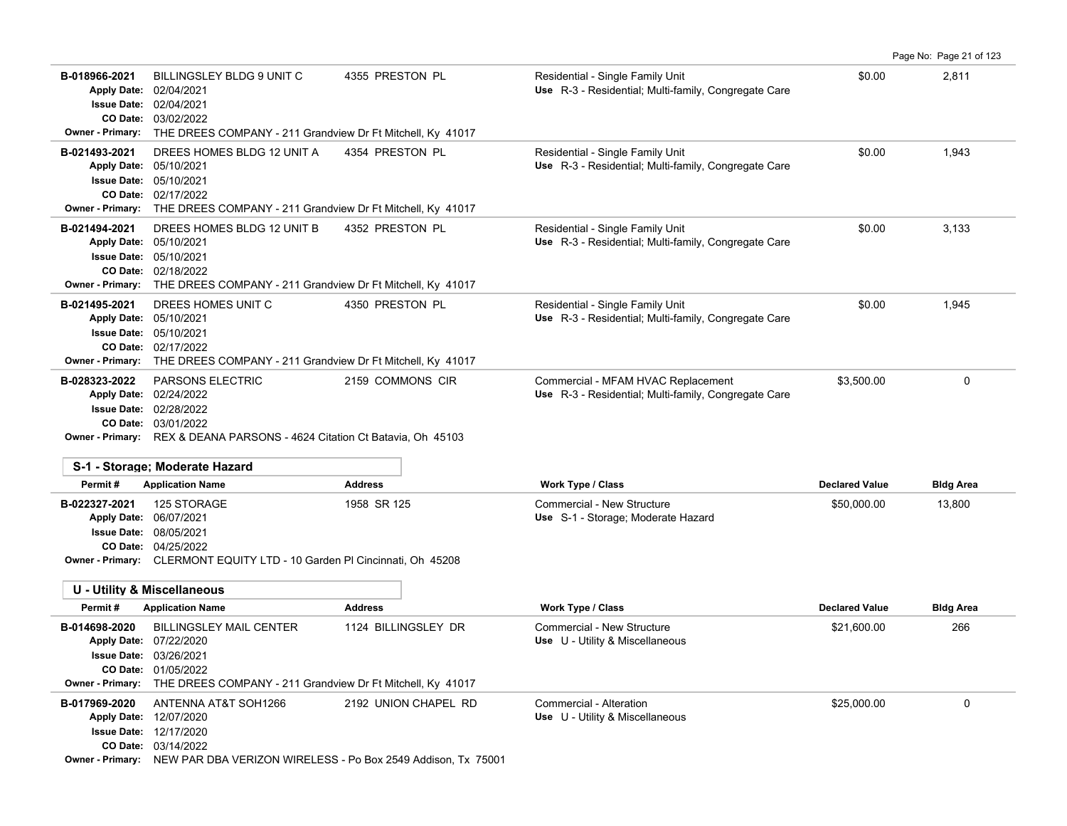|                                                                    |                                                                                                                                                                                                 |                      |                                                                                            |                       | Page No: Page 21 of 123 |
|--------------------------------------------------------------------|-------------------------------------------------------------------------------------------------------------------------------------------------------------------------------------------------|----------------------|--------------------------------------------------------------------------------------------|-----------------------|-------------------------|
| B-018966-2021<br>Apply Date: 02/04/2021<br><b>Owner - Primary:</b> | BILLINGSLEY BLDG 9 UNIT C<br><b>Issue Date: 02/04/2021</b><br>CO Date: 03/02/2022<br>THE DREES COMPANY - 211 Grandview Dr Ft Mitchell, Ky 41017                                                 | 4355 PRESTON PL      | Residential - Single Family Unit<br>Use R-3 - Residential; Multi-family, Congregate Care   | \$0.00                | 2,811                   |
| B-021493-2021<br>Apply Date: 05/10/2021                            | DREES HOMES BLDG 12 UNIT A<br><b>Issue Date: 05/10/2021</b><br>CO Date: 02/17/2022<br>Owner - Primary: THE DREES COMPANY - 211 Grandview Dr Ft Mitchell, Ky 41017                               | 4354 PRESTON PL      | Residential - Single Family Unit<br>Use R-3 - Residential; Multi-family, Congregate Care   | \$0.00                | 1,943                   |
| B-021494-2021<br>Apply Date: 05/10/2021<br><b>Owner - Primary:</b> | DREES HOMES BLDG 12 UNIT B<br><b>Issue Date: 05/10/2021</b><br>CO Date: 02/18/2022<br>THE DREES COMPANY - 211 Grandview Dr Ft Mitchell, Ky 41017                                                | 4352 PRESTON PL      | Residential - Single Family Unit<br>Use R-3 - Residential; Multi-family, Congregate Care   | \$0.00                | 3,133                   |
| B-021495-2021<br><b>Owner - Primary:</b>                           | DREES HOMES UNIT C<br>Apply Date: 05/10/2021<br>Issue Date: 05/10/2021<br>CO Date: 02/17/2022<br>THE DREES COMPANY - 211 Grandview Dr Ft Mitchell, Ky 41017                                     | 4350 PRESTON PL      | Residential - Single Family Unit<br>Use R-3 - Residential; Multi-family, Congregate Care   | \$0.00                | 1,945                   |
| B-028323-2022                                                      | <b>PARSONS ELECTRIC</b><br>Apply Date: 02/24/2022<br><b>Issue Date: 02/28/2022</b><br>CO Date: 03/01/2022<br><b>Owner - Primary:</b> REX & DEANA PARSONS - 4624 Citation Ct Batavia, Oh 45103   | 2159 COMMONS CIR     | Commercial - MFAM HVAC Replacement<br>Use R-3 - Residential; Multi-family, Congregate Care | \$3,500.00            | 0                       |
| Permit#                                                            | S-1 - Storage; Moderate Hazard<br><b>Application Name</b>                                                                                                                                       | <b>Address</b>       | Work Type / Class                                                                          | <b>Declared Value</b> | <b>Bldg Area</b>        |
| B-022327-2021<br>Apply Date: 06/07/2021                            | 125 STORAGE<br><b>Issue Date: 08/05/2021</b><br>CO Date: 04/25/2022<br>Owner - Primary: CLERMONT EQUITY LTD - 10 Garden PI Cincinnati, Oh 45208                                                 | 1958 SR 125          | Commercial - New Structure<br>Use S-1 - Storage; Moderate Hazard                           | \$50,000.00           | 13,800                  |
|                                                                    | <b>U - Utility &amp; Miscellaneous</b>                                                                                                                                                          |                      |                                                                                            |                       |                         |
| Permit#                                                            | <b>Application Name</b>                                                                                                                                                                         | <b>Address</b>       | Work Type / Class                                                                          | <b>Declared Value</b> | <b>Bldg Area</b>        |
| B-014698-2020                                                      | <b>BILLINGSLEY MAIL CENTER</b><br>Apply Date: 07/22/2020<br>Issue Date: 03/26/2021<br><b>CO Date: 01/05/2022</b><br>Owner - Primary: THE DREES COMPANY - 211 Grandview Dr Ft Mitchell, Ky 41017 | 1124 BILLINGSLEY DR  | Commercial - New Structure<br>Use U - Utility & Miscellaneous                              | \$21,600.00           | 266                     |
| B-017969-2020                                                      | ANTENNA AT&T SOH1266<br>Apply Date: 12/07/2020<br><b>Issue Date: 12/17/2020</b><br>CO Date: 03/14/2022<br>Owner - Primary: NEW PAR DBA VERIZON WIRELESS - Po Box 2549 Addison, Tx 75001         | 2192 UNION CHAPEL RD | Commercial - Alteration<br>Use U - Utility & Miscellaneous                                 | \$25,000.00           | 0                       |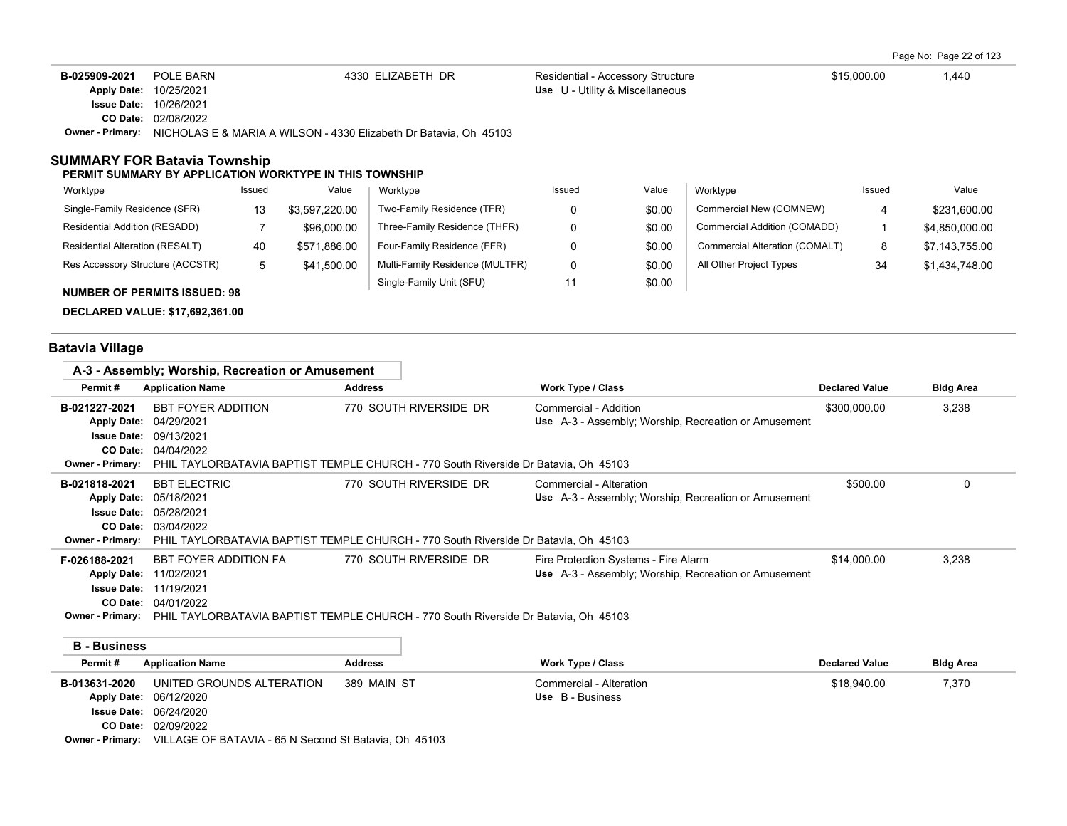Page No: Page 22 of 123

| B-025909-2021      | POLE BARN  | 4330 ELIZABETH DR                                                 | Residential - Accessory Structure | \$15,000.00 | .440 |
|--------------------|------------|-------------------------------------------------------------------|-----------------------------------|-------------|------|
| <b>Apply Date:</b> | 10/25/2021 |                                                                   | Use U - Utility & Miscellaneous   |             |      |
| <b>Issue Date:</b> | 10/26/2021 |                                                                   |                                   |             |      |
| CO Date:           | 02/08/2022 |                                                                   |                                   |             |      |
| Owner - Primarv:   |            | NICHOLAS E & MARIA A WILSON - 4330 Elizabeth Dr Batavia, Oh 45103 |                                   |             |      |
|                    |            |                                                                   |                                   |             |      |

## **SUMMARY FOR Batavia Township**

#### **PERMIT SUMMARY BY APPLICATION WORKTYPE IN THIS TOWNSHIP**

| Worktype                            | Issued | Value          | Worktype                        | Issued | Value  | Worktype                       | Issued | Value          |
|-------------------------------------|--------|----------------|---------------------------------|--------|--------|--------------------------------|--------|----------------|
| Single-Family Residence (SFR)       | 13     | \$3,597,220.00 | Two-Family Residence (TFR)      |        | \$0.00 | Commercial New (COMNEW)        |        | \$231,600.00   |
| Residential Addition (RESADD)       |        | \$96,000.00    | Three-Family Residence (THFR)   |        | \$0.00 | Commercial Addition (COMADD)   |        | \$4,850,000.00 |
| Residential Alteration (RESALT)     | 40     | \$571,886.00   | Four-Family Residence (FFR)     |        | \$0.00 | Commercial Alteration (COMALT) | 8      | \$7,143,755.00 |
| Res Accessory Structure (ACCSTR)    |        | \$41,500.00    | Multi-Family Residence (MULTFR) |        | \$0.00 | All Other Project Types        | 34     | \$1,434,748.00 |
| <b>NUMBER OF PERMITS ISSUED: 98</b> |        |                | Single-Family Unit (SFU)        |        | \$0.00 |                                |        |                |

**DECLARED VALUE: \$17,692,361.00**

# **Batavia Village**

| A-3 - Assembly; Worship, Recreation or Amusement                                     |                                                                                           |                                                                                                               |                                                                                              |                       |                  |
|--------------------------------------------------------------------------------------|-------------------------------------------------------------------------------------------|---------------------------------------------------------------------------------------------------------------|----------------------------------------------------------------------------------------------|-----------------------|------------------|
| Permit#                                                                              | <b>Application Name</b>                                                                   | <b>Address</b>                                                                                                | <b>Work Type / Class</b>                                                                     | <b>Declared Value</b> | <b>Bldg Area</b> |
| B-021227-2021<br><b>Apply Date:</b><br><b>Issue Date:</b><br><b>Owner - Primary:</b> | <b>BBT FOYER ADDITION</b><br>04/29/2021<br>09/13/2021<br>CO Date: 04/04/2022              | 770 SOUTH RIVERSIDE DR<br>PHIL TAYLORBATAVIA BAPTIST TEMPLE CHURCH - 770 South Riverside Dr Batavia. Oh 45103 | Commercial - Addition<br>Use A-3 - Assembly; Worship, Recreation or Amusement                | \$300,000.00          | 3,238            |
| B-021818-2021<br><b>Issue Date:</b><br><b>CO Date:</b><br><b>Owner - Primary:</b>    | <b>BBT ELECTRIC</b><br>Apply Date: 05/18/2021<br>05/28/2021<br>03/04/2022                 | 770 SOUTH RIVERSIDE DR<br>PHIL TAYLORBATAVIA BAPTIST TEMPLE CHURCH - 770 South Riverside Dr Batavia. Oh 45103 | Commercial - Alteration<br>Use A-3 - Assembly; Worship, Recreation or Amusement              | \$500.00              | 0                |
| F-026188-2021<br><b>Apply Date:</b><br><b>CO Date:</b><br><b>Owner - Primary:</b>    | <b>BBT FOYER ADDITION FA</b><br>11/02/2021<br><b>Issue Date: 11/19/2021</b><br>04/01/2022 | 770 SOUTH RIVERSIDE DR<br>PHIL TAYLORBATAVIA BAPTIST TEMPLE CHURCH - 770 South Riverside Dr Batavia. Oh 45103 | Fire Protection Systems - Fire Alarm<br>Use A-3 - Assembly; Worship, Recreation or Amusement | \$14,000.00           | 3,238            |
| <b>B</b> - Business                                                                  |                                                                                           |                                                                                                               |                                                                                              |                       |                  |
| Permit#                                                                              | <b>Application Name</b>                                                                   | <b>Address</b>                                                                                                | <b>Work Type / Class</b>                                                                     | <b>Declared Value</b> | <b>Bldg Area</b> |
| B-013631-2020<br><b>Apply Date:</b><br><b>Issue Date:</b>                            | UNITED GROUNDS ALTERATION<br>06/12/2020<br>06/24/2020<br>CO Date: 02/09/2022              | 389 MAIN ST                                                                                                   | Commercial - Alteration<br>Use B - Business                                                  | \$18,940.00           | 7.370            |

**Owner - Primary:** VILLAGE OF BATAVIA - 65 N Second St Batavia, Oh 45103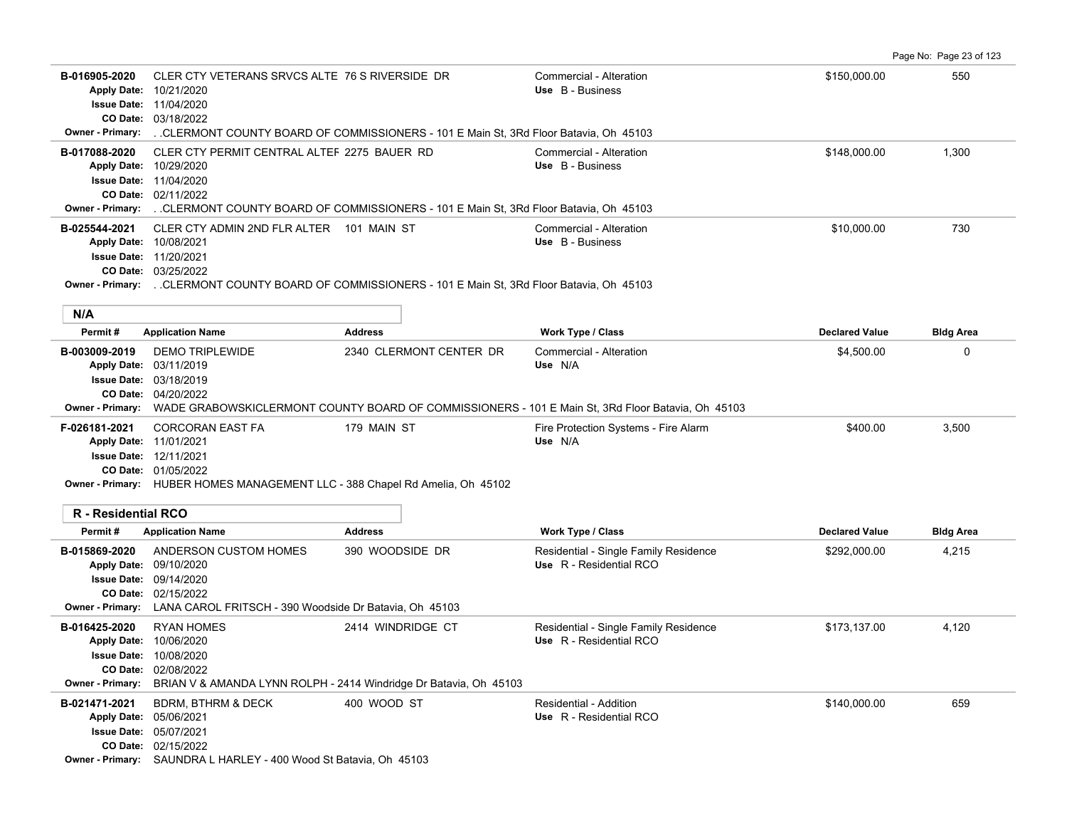03/18/2022 **CO Date:** 11/04/2020 **Issue Date:** 10/21/2020 **Apply Date: Use** B - Business **Owner - Primary:** . .CLERMONT COUNTY BOARD OF COMMISSIONERS - 101 E Main St, 3Rd Floor Batavia, Oh 45103 **B-017088-2020** \$148,000.00 1,300 CLER CTY PERMIT CENTRAL ALTER 2275 BAUER RD Commercial - Alteration 02/11/2022 **CO Date:** 11/04/2020 **Issue Date:** 10/29/2020 **Apply Date: Use** B - Business **Owner - Primary:** . .CLERMONT COUNTY BOARD OF COMMISSIONERS - 101 E Main St, 3Rd Floor Batavia, Oh 45103 **B-025544-2021** \$10,000.00 730 CLER CTY ADMIN 2ND FLR ALTER 101 MAIN ST Commercial - Alteration 03/25/2022 **CO Date:** 11/20/2021 **Issue Date:** 10/08/2021 **Apply Date: Use** B - Business **Owner - Primary:** . .CLERMONT COUNTY BOARD OF COMMISSIONERS - 101 E Main St, 3Rd Floor Batavia, Oh 45103 **Permit # Application Name Address Work Type / Class Declared Value Bldg Area B-003009-2019** \$4,500.00 0 DEMO TRIPLEWIDE 2340 CLERMONT CENTER DR Commercial - Alteration 04/20/2022 **CO Date:** 03/18/2019 **Issue Date:** 03/11/2019 **Apply Date: Use** N/A **Owner - Primary:** WADE GRABOWSKICLERMONT COUNTY BOARD OF COMMISSIONERS - 101 E Main St, 3Rd Floor Batavia, Oh 45103 **F-026181-2021** CORCORAN EAST FA 179 MAIN ST Fire Protection Systems - Fire Alarm \$400.00 3,500 01/05/2022 **CO Date:** 12/11/2021 **Issue Date:** 11/01/2021 **Apply Date: Use** N/A **Owner - Primary:** HUBER HOMES MANAGEMENT LLC - 388 Chapel Rd Amelia, Oh 45102 **R - Residential RCO Permit # Application Name Address Work Type / Class Declared Value Bldg Area** B-015869-2020 ANDERSON CUSTOM HOMES 390 WOODSIDE DR Residential - Single Family Residence \$292,000.00 4,215 02/15/2022 **CO Date:** 09/14/2020 **Issue Date:** 09/10/2020 **Apply Date: Use** R - Residential RCO **Owner - Primary:** LANA CAROL FRITSCH - 390 Woodside Dr Batavia, Oh 45103 B-016425-2020 RYAN HOMES 2414 WINDRIDGE CT Residential - Single Family Residence \$173,137.00 4,120 02/08/2022 **CO Date:** 10/08/2020 **Issue Date:** 10/06/2020 **Apply Date: Use** R - Residential RCO **Owner - Primary:** BRIAN V & AMANDA LYNN ROLPH - 2414 Windridge Dr Batavia, Oh 45103 **B-021471-2021** BDRM, BTHRM & DECK 400 WOOD ST Residential - Addition **1996 100 1000 1000 1000 1000 1000** 659 Apply Date: 05/06/2021 **Apply Date: Use** R - Residential RCO

**B-016905-2020** \$150,000.00 550 CLER CTY VETERANS SRVCS ALTE 76 S RIVERSIDE DR Commercial - Alteration

Page No: Page 23 of 123

02/15/2022 **CO Date:** 05/07/2021 **Issue Date:**

**N/A**

**Owner - Primary:** SAUNDRA L HARLEY - 400 Wood St Batavia, Oh 45103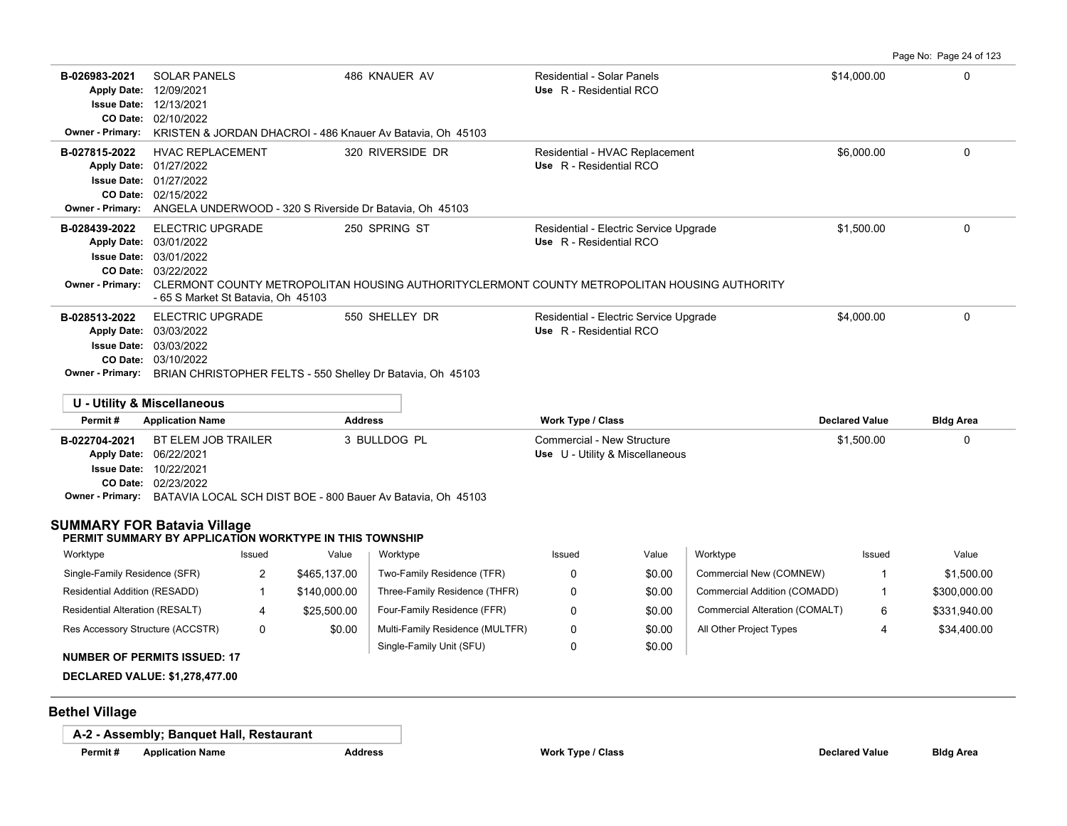Page No: Page 24 of 123

| B-026983-2021<br><b>Apply Date:</b><br><b>Issue Date:</b><br>CO Date:<br><b>Owner - Primary:</b> | <b>SOLAR PANELS</b><br>12/09/2021<br>12/13/2021<br>02/10/2022<br>KRISTEN & JORDAN DHACROI - 486 Knauer Av Batavia, Oh 45103     | 486 KNAUER AV    | Residential - Solar Panels<br>Use R - Residential RCO                                                                                                             | \$14,000.00           | $\Omega$         |
|--------------------------------------------------------------------------------------------------|---------------------------------------------------------------------------------------------------------------------------------|------------------|-------------------------------------------------------------------------------------------------------------------------------------------------------------------|-----------------------|------------------|
| B-027815-2022<br><b>Apply Date:</b><br><b>Issue Date:</b><br>CO Date:<br><b>Owner - Primary:</b> | <b>HVAC REPLACEMENT</b><br>01/27/2022<br>01/27/2022<br>02/15/2022<br>ANGELA UNDERWOOD - 320 S Riverside Dr Batavia, Oh 45103    | 320 RIVERSIDE DR | Residential - HVAC Replacement<br>Use R - Residential RCO                                                                                                         | \$6,000.00            | 0                |
| B-028439-2022<br><b>Apply Date:</b><br><b>Issue Date:</b><br>CO Date:<br><b>Owner - Primary:</b> | <b>ELECTRIC UPGRADE</b><br>03/01/2022<br>03/01/2022<br>03/22/2022<br>- 65 S Market St Batavia, Oh 45103                         | 250 SPRING ST    | Residential - Electric Service Upgrade<br>Use R - Residential RCO<br>CLERMONT COUNTY METROPOLITAN HOUSING AUTHORITYCLERMONT COUNTY METROPOLITAN HOUSING AUTHORITY | \$1,500.00            | $\Omega$         |
| B-028513-2022<br><b>Apply Date:</b><br><b>Issue Date:</b><br>CO Date:<br>Owner - Primary:        | <b>ELECTRIC UPGRADE</b><br>03/03/2022<br>03/03/2022<br>03/10/2022<br>BRIAN CHRISTOPHER FELTS - 550 Shelley Dr Batavia, Oh 45103 | 550 SHELLEY DR   | Residential - Electric Service Upgrade<br>Use R - Residential RCO                                                                                                 | \$4,000.00            | $\mathbf{0}$     |
| Permit#                                                                                          | <b>U - Utility &amp; Miscellaneous</b><br><b>Application Name</b>                                                               | <b>Address</b>   | Work Type / Class                                                                                                                                                 | <b>Declared Value</b> | <b>Bldg Area</b> |
|                                                                                                  | <b>BAARALAAAL BEELEM JOB TRAU ER</b>                                                                                            | 0.01110000       | $Q_1$ and $Q_2$ are $Q_1$ in $Q_2$ in $Q_3$ in $Q_4$ is a set of $Q_1$                                                                                            | $A = 500, 00$         | $\sim$           |

| B-022704-2021          | BT ELEM JOB TRAILER                                                                 | 3 BULLDOG PL | Commercial - New Structure      | \$1.500.00 |  |
|------------------------|-------------------------------------------------------------------------------------|--------------|---------------------------------|------------|--|
| Apply Date: 06/22/2021 |                                                                                     |              | Use U - Utility & Miscellaneous |            |  |
|                        | <b>Issue Date: 10/22/2021</b>                                                       |              |                                 |            |  |
|                        | <b>CO Date: 02/23/2022</b>                                                          |              |                                 |            |  |
|                        | <b>Owner - Primary:</b> BATAVIA LOCAL SCH DIST BOE - 800 Bauer Ay Batavia, Oh 45103 |              |                                 |            |  |
|                        |                                                                                     |              |                                 |            |  |

# **SUMMARY FOR Batavia Village**

### **PERMIT SUMMARY BY APPLICATION WORKTYPE IN THIS TOWNSHIP**

| Worktype                            | Issued   | Value        | Worktype                        | Issued | Value  | Worktype                       | Issued | Value        |
|-------------------------------------|----------|--------------|---------------------------------|--------|--------|--------------------------------|--------|--------------|
| Single-Family Residence (SFR)       | <u>_</u> | \$465,137.00 | Two-Family Residence (TFR)      |        | \$0.00 | Commercial New (COMNEW)        |        | \$1,500.00   |
| Residential Addition (RESADD)       |          | \$140,000.00 | Three-Family Residence (THFR)   |        | \$0.00 | Commercial Addition (COMADD)   |        | \$300,000.00 |
| Residential Alteration (RESALT)     | 4        | \$25,500.00  | Four-Family Residence (FFR)     |        | \$0.00 | Commercial Alteration (COMALT) | 6      | \$331,940.00 |
| Res Accessory Structure (ACCSTR)    | 0        | \$0.00       | Multi-Family Residence (MULTFR) |        | \$0.00 | All Other Project Types        |        | \$34,400.00  |
| <b>NUMBER OF PERMITS ISSUED: 17</b> |          |              | Single-Family Unit (SFU)        |        | \$0.00 |                                |        |              |

**DECLARED VALUE: \$1,278,477.00**

# **Bethel Village**

**A-2 - Assembly; Banquet Hall, Restaurant**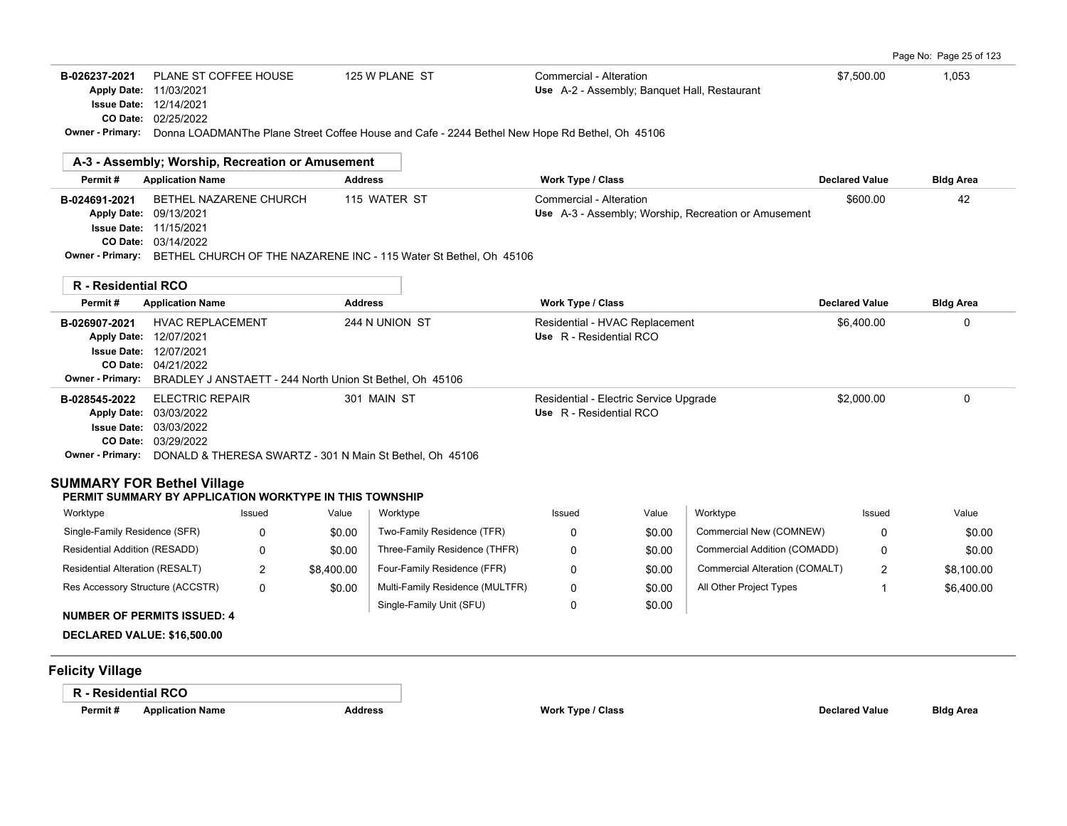|                         | <b>B-026237-2021 PLANE ST COFFEE HOUSE</b>                                                     | 125 W PLANE ST | Commercial - Alteration                      | \$7,500.00 | 1.053 |
|-------------------------|------------------------------------------------------------------------------------------------|----------------|----------------------------------------------|------------|-------|
|                         | <b>Apply Date: 11/03/2021</b>                                                                  |                | Use A-2 - Assembly; Banquet Hall, Restaurant |            |       |
|                         | <b>Issue Date: 12/14/2021</b>                                                                  |                |                                              |            |       |
|                         | <b>CO Date: 02/25/2022</b>                                                                     |                |                                              |            |       |
| <b>Owner - Primary:</b> | Donna LOADMANThe Plane Street Coffee House and Cafe - 2244 Bethel New Hope Rd Bethel, Oh 45106 |                |                                              |            |       |

|               | A-3 - Assembly; Worship, Recreation or Amusement                                   |                |                                                      |                       |                  |
|---------------|------------------------------------------------------------------------------------|----------------|------------------------------------------------------|-----------------------|------------------|
| Permit#       | <b>Application Name</b>                                                            | <b>Address</b> | <b>Work Type / Class</b>                             | <b>Declared Value</b> | <b>Bldg Area</b> |
| B-024691-2021 | BETHEL NAZARENE CHURCH                                                             | 115 WATER ST   | Commercial - Alteration                              | \$600.00              | 42               |
|               | <b>Apply Date: 09/13/2021</b>                                                      |                | Use A-3 - Assembly; Worship, Recreation or Amusement |                       |                  |
|               | <b>Issue Date: 11/15/2021</b>                                                      |                |                                                      |                       |                  |
|               | <b>CO Date: 03/14/2022</b>                                                         |                |                                                      |                       |                  |
|               | Owner - Primary: BETHEL CHURCH OF THE NAZARENE INC - 115 Water St Bethel, Oh 45106 |                |                                                      |                       |                  |
|               |                                                                                    |                |                                                      |                       |                  |

| R - Residential RCO                                            |                                                                                                                                                          |                |                                                                   |                       |                  |
|----------------------------------------------------------------|----------------------------------------------------------------------------------------------------------------------------------------------------------|----------------|-------------------------------------------------------------------|-----------------------|------------------|
| Permit #                                                       | <b>Application Name</b>                                                                                                                                  | <b>Address</b> | <b>Work Type / Class</b>                                          | <b>Declared Value</b> | <b>Bldg Area</b> |
| B-026907-2021<br><b>Apply Date:</b><br><b>Issue Date:</b>      | <b>HVAC REPLACEMENT</b><br>12/07/2021<br>12/07/2021                                                                                                      | 244 N UNION ST | Residential - HVAC Replacement<br>Use R - Residential RCO         | \$6.400.00            | 0                |
| CO Date:<br><b>Owner - Primary:</b>                            | 04/21/2022<br>BRADLEY J ANSTAETT - 244 North Union St Bethel, Oh 45106                                                                                   |                |                                                                   |                       |                  |
| B-028545-2022<br><b>Apply Date:</b><br><b>Owner - Primary:</b> | <b>ELECTRIC REPAIR</b><br>03/03/2022<br><b>Issue Date: 03/03/2022</b><br>CO Date: 03/29/2022<br>DONALD & THERESA SWARTZ - 301 N Main St Bethel, Oh 45106 | 301 MAIN ST    | Residential - Electric Service Upgrade<br>Use R - Residential RCO | \$2,000.00            | 0                |

# **SUMMARY FOR Bethel Village**

## **PERMIT SUMMARY BY APPLICATION WORKTYPE IN THIS TOWNSHIP**

| Worktype                                                                                                                                                                                                                                                                                                                                                                                                                                                   | Issued | Value      | Worktype                        | Issued | Value  | Worktvpe                       | Issued   | Value      |
|------------------------------------------------------------------------------------------------------------------------------------------------------------------------------------------------------------------------------------------------------------------------------------------------------------------------------------------------------------------------------------------------------------------------------------------------------------|--------|------------|---------------------------------|--------|--------|--------------------------------|----------|------------|
| Single-Family Residence (SFR)                                                                                                                                                                                                                                                                                                                                                                                                                              | 0      | \$0.00     | Two-Family Residence (TFR)      |        | \$0.00 | Commercial New (COMNEW)        |          | \$0.00     |
| Residential Addition (RESADD)                                                                                                                                                                                                                                                                                                                                                                                                                              | 0      | \$0.00     | Three-Family Residence (THFR)   |        | \$0.00 | Commercial Addition (COMADD)   | 0        | \$0.00     |
| <b>Residential Alteration (RESALT)</b>                                                                                                                                                                                                                                                                                                                                                                                                                     | _      | \$8,400.00 | Four-Family Residence (FFR)     |        | \$0.00 | Commercial Alteration (COMALT) | <u>_</u> | \$8,100.00 |
| Res Accessory Structure (ACCSTR)                                                                                                                                                                                                                                                                                                                                                                                                                           | 0      | \$0.00     | Multi-Family Residence (MULTFR) |        | \$0.00 | All Other Project Types        |          | \$6,400.00 |
| $\mathbf{1} \cup \mathbf{1} \cup \mathbf{2} \cup \mathbf{3} \cup \mathbf{4} \cup \mathbf{5} \cup \mathbf{6} \cup \mathbf{7} \cup \mathbf{8} \cup \mathbf{8} \cup \mathbf{1} \cup \mathbf{8} \cup \mathbf{1} \cup \mathbf{1} \cup \mathbf{1} \cup \mathbf{1} \cup \mathbf{1} \cup \mathbf{1} \cup \mathbf{1} \cup \mathbf{1} \cup \mathbf{1} \cup \mathbf{1} \cup \mathbf{1} \cup \mathbf{1} \cup \mathbf{1} \cup \mathbf{1} \cup \mathbf{1} \cup \mathbf{$ |        |            | Single-Family Unit (SFU)        |        | \$0.00 |                                |          |            |

## **NUMBER OF PERMITS ISSUED: 4**

**DECLARED VALUE: \$16,500.00**

# **Felicity Village**

# **R - Residential RCO**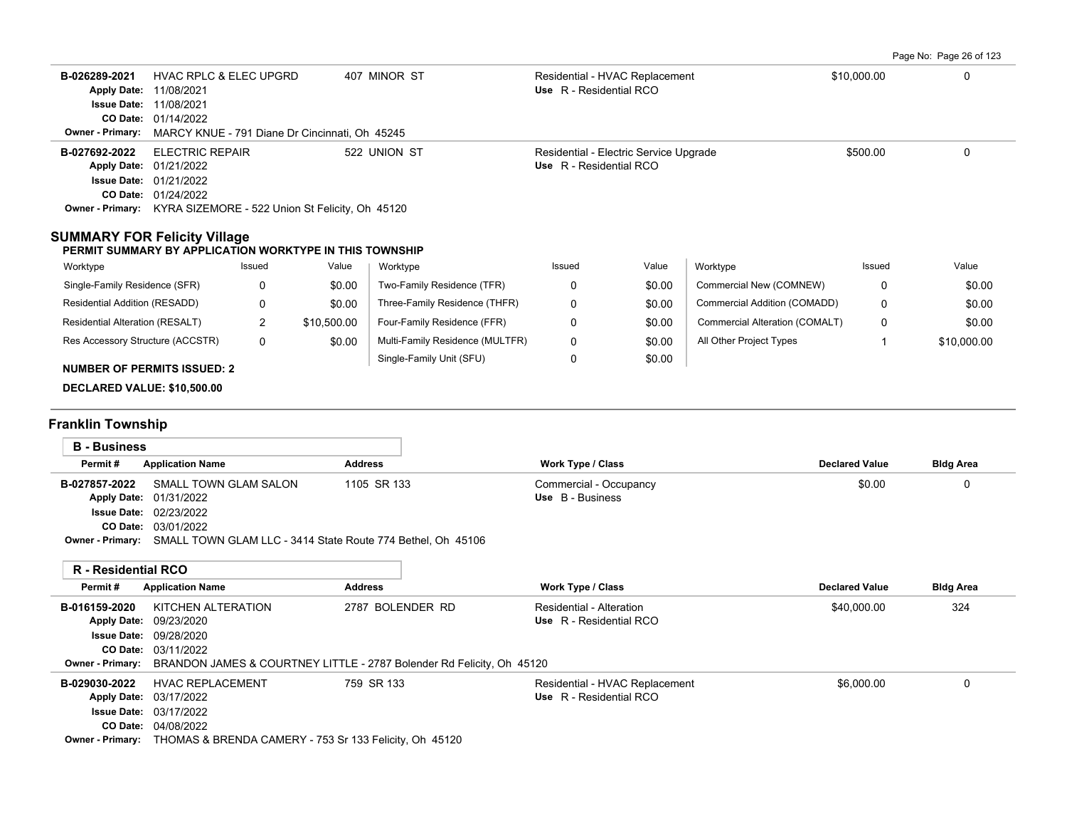Page No: Page 26 of 123

| B-026289-2021<br><b>Owner - Primary:</b>                                                                                    | <b>HVAC RPLC &amp; ELEC UPGRD</b><br>Apply Date: 11/08/2021<br><b>Issue Date: 11/08/2021</b><br>CO Date: 01/14/2022 |                | MARCY KNUE - 791 Diane Dr Cincinnati, Oh 45245 | 407 MINOR ST                                                                                | Use R - Residential RCO                             | Residential - HVAC Replacement         |                                | \$10,000.00           | $\mathbf{0}$     |
|-----------------------------------------------------------------------------------------------------------------------------|---------------------------------------------------------------------------------------------------------------------|----------------|------------------------------------------------|---------------------------------------------------------------------------------------------|-----------------------------------------------------|----------------------------------------|--------------------------------|-----------------------|------------------|
| B-027692-2022<br>Owner - Primary: KYRA SIZEMORE - 522 Union St Felicity, Oh 45120                                           | <b>ELECTRIC REPAIR</b><br>Apply Date: 01/21/2022<br><b>Issue Date: 01/21/2022</b><br>CO Date: 01/24/2022            |                |                                                | 522 UNION ST                                                                                | Use R - Residential RCO                             | Residential - Electric Service Upgrade |                                | \$500.00              | $\Omega$         |
| <b>SUMMARY FOR Felicity Village</b><br>PERMIT SUMMARY BY APPLICATION WORKTYPE IN THIS TOWNSHIP                              |                                                                                                                     |                |                                                |                                                                                             |                                                     |                                        |                                |                       |                  |
| Worktype                                                                                                                    |                                                                                                                     | Issued         | Value                                          | Worktype                                                                                    | Issued                                              | Value                                  | Worktype                       | Issued                | Value            |
| Single-Family Residence (SFR)                                                                                               |                                                                                                                     | 0              | \$0.00                                         | Two-Family Residence (TFR)                                                                  | 0                                                   | \$0.00                                 | Commercial New (COMNEW)        | 0                     | \$0.00           |
| Residential Addition (RESADD)                                                                                               |                                                                                                                     | 0              | \$0.00                                         | Three-Family Residence (THFR)                                                               | 0                                                   | \$0.00                                 | Commercial Addition (COMADD)   | 0                     | \$0.00           |
| Residential Alteration (RESALT)                                                                                             |                                                                                                                     | $\overline{2}$ | \$10,500.00                                    | Four-Family Residence (FFR)                                                                 | 0                                                   | \$0.00                                 | Commercial Alteration (COMALT) | 0                     | \$0.00           |
| Res Accessory Structure (ACCSTR)                                                                                            |                                                                                                                     | $\mathbf 0$    | \$0.00                                         | Multi-Family Residence (MULTFR)                                                             | 0                                                   | \$0.00                                 | All Other Project Types        | $\mathbf{1}$          | \$10,000.00      |
| <b>NUMBER OF PERMITS ISSUED: 2</b><br><b>DECLARED VALUE: \$10,500.00</b><br><b>Franklin Township</b><br><b>B</b> - Business |                                                                                                                     |                |                                                |                                                                                             |                                                     |                                        |                                |                       |                  |
| Permit#                                                                                                                     | <b>Application Name</b>                                                                                             |                | <b>Address</b>                                 |                                                                                             | Work Type / Class                                   |                                        |                                | <b>Declared Value</b> | <b>Bldg Area</b> |
| B-027857-2022                                                                                                               | SMALL TOWN GLAM SALON<br>Apply Date: 01/31/2022<br><b>Issue Date: 02/23/2022</b><br>CO Date: 03/01/2022             |                |                                                | 1105 SR 133<br>Owner - Primary: SMALL TOWN GLAM LLC - 3414 State Route 774 Bethel, Oh 45106 | Commercial - Occupancy<br>Use B - Business          |                                        |                                | \$0.00                | 0                |
| <b>R</b> - Residential RCO                                                                                                  |                                                                                                                     |                |                                                |                                                                                             |                                                     |                                        |                                |                       |                  |
| Permit#                                                                                                                     | <b>Application Name</b>                                                                                             |                | <b>Address</b>                                 |                                                                                             | <b>Work Type / Class</b>                            |                                        |                                | <b>Declared Value</b> | <b>Bldg Area</b> |
| B-016159-2020<br><b>Owner - Primary:</b>                                                                                    | KITCHEN ALTERATION<br>Apply Date: 09/23/2020<br><b>Issue Date: 09/28/2020</b><br>CO Date: 03/11/2022                |                |                                                | 2787 BOLENDER RD<br>BRANDON JAMES & COURTNEY LITTLE - 2787 Bolender Rd Felicity, Oh 45120   | Residential - Alteration<br>Use R - Residential RCO |                                        |                                | \$40,000.00           | 324              |
| B-029030-2022                                                                                                               | <b>HVAC REPLACEMENT</b><br>Apply Date: 03/17/2022<br><b>Issue Date: 03/17/2022</b><br>CO Date: 04/08/2022           |                |                                                | 759 SR 133<br>Owner - Primary: THOMAS & BRENDA CAMERY - 753 Sr 133 Felicity, Oh 45120       | Use R - Residential RCO                             | Residential - HVAC Replacement         |                                | \$6,000.00            | 0                |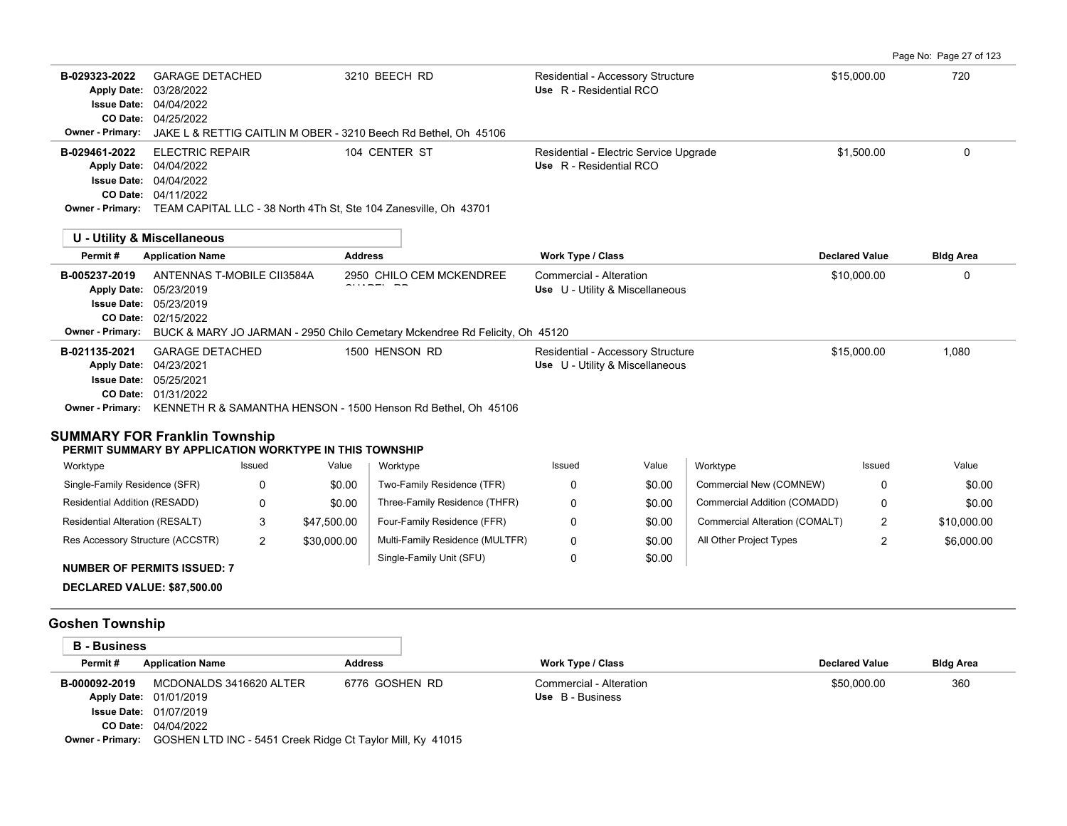Page No: Page 27 of 123

| B-029323-2022<br><b>Apply Date:</b><br><b>Issue Date: 04/04/2022</b><br><b>Owner - Primary:</b>                                                                             | <b>GARAGE DETACHED</b><br>03/28/2022<br>CO Date: 04/25/2022 |                |                | 3210 BEECH RD<br>JAKE L & RETTIG CAITLIN M OBER - 3210 Beech Rd Bethel, Oh 45106                        | Residential - Accessory Structure<br>Use R - Residential RCO         |                  |                                | \$15,000.00           | 720              |
|-----------------------------------------------------------------------------------------------------------------------------------------------------------------------------|-------------------------------------------------------------|----------------|----------------|---------------------------------------------------------------------------------------------------------|----------------------------------------------------------------------|------------------|--------------------------------|-----------------------|------------------|
| B-029461-2022<br>Apply Date: 04/04/2022<br><b>Issue Date: 04/04/2022</b>                                                                                                    | <b>ELECTRIC REPAIR</b><br>CO Date: 04/11/2022               |                |                | 104 CENTER ST<br>Owner - Primary: TEAM CAPITAL LLC - 38 North 4Th St, Ste 104 Zanesville, Oh 43701      | Residential - Electric Service Upgrade<br>Use R - Residential RCO    |                  |                                | \$1,500.00            | $\Omega$         |
| <b>U - Utility &amp; Miscellaneous</b>                                                                                                                                      |                                                             |                |                |                                                                                                         |                                                                      |                  |                                |                       |                  |
| Permit#                                                                                                                                                                     | <b>Application Name</b>                                     |                | <b>Address</b> |                                                                                                         | <b>Work Type / Class</b>                                             |                  |                                | <b>Declared Value</b> | <b>Bldg Area</b> |
| B-005237-2019<br>Apply Date: 05/23/2019<br><b>Issue Date: 05/23/2019</b><br><b>Owner - Primary:</b>                                                                         | ANTENNAS T-MOBILE CII3584A<br>CO Date: 02/15/2022           |                |                | 2950 CHILO CEM MCKENDREE<br>BUCK & MARY JO JARMAN - 2950 Chilo Cemetary Mckendree Rd Felicity, Oh 45120 | Commercial - Alteration<br>Use U - Utility & Miscellaneous           |                  |                                | \$10,000.00           | 0                |
| B-021135-2021<br>Apply Date: 04/23/2021<br><b>Issue Date: 05/25/2021</b><br><b>SUMMARY FOR Franklin Township</b><br>PERMIT SUMMARY BY APPLICATION WORKTYPE IN THIS TOWNSHIP | <b>GARAGE DETACHED</b><br>CO Date: 01/31/2022               |                |                | 1500 HENSON RD<br>Owner - Primary: KENNETH R & SAMANTHA HENSON - 1500 Henson Rd Bethel, Oh 45106        | Residential - Accessory Structure<br>Use U - Utility & Miscellaneous |                  |                                | \$15,000.00           | 1,080            |
| Worktype                                                                                                                                                                    |                                                             | Issued         | Value          | Worktype                                                                                                | Issued                                                               | Value            | Worktype                       | Issued                | Value            |
| Single-Family Residence (SFR)                                                                                                                                               |                                                             | 0              | \$0.00         | Two-Family Residence (TFR)                                                                              | 0                                                                    | \$0.00           | Commercial New (COMNEW)        | 0                     | \$0.00           |
| Residential Addition (RESADD)                                                                                                                                               |                                                             | 0              | \$0.00         | Three-Family Residence (THFR)                                                                           | 0                                                                    | \$0.00           | Commercial Addition (COMADD)   | 0                     | \$0.00           |
| Residential Alteration (RESALT)                                                                                                                                             |                                                             | 3              | \$47,500.00    | Four-Family Residence (FFR)                                                                             | 0                                                                    | \$0.00           | Commercial Alteration (COMALT) | $\overline{2}$        | \$10,000.00      |
| Res Accessory Structure (ACCSTR)                                                                                                                                            |                                                             | $\overline{2}$ | \$30,000.00    | Multi-Family Residence (MULTFR)<br>Single-Family Unit (SFU)                                             | 0<br>0                                                               | \$0.00<br>\$0.00 | All Other Project Types        | $\overline{2}$        | \$6,000.00       |
| <b>NUMBER OF PERMITS ISSUED: 7</b>                                                                                                                                          |                                                             |                |                |                                                                                                         |                                                                      |                  |                                |                       |                  |
| DECLARED VALUE: \$87,500.00                                                                                                                                                 |                                                             |                |                |                                                                                                         |                                                                      |                  |                                |                       |                  |
| <b>Goshen Township</b>                                                                                                                                                      |                                                             |                |                |                                                                                                         |                                                                      |                  |                                |                       |                  |
| <b>B</b> - Business                                                                                                                                                         |                                                             |                |                |                                                                                                         |                                                                      |                  |                                |                       |                  |
| Permit#                                                                                                                                                                     | <b>Application Name</b>                                     |                | <b>Address</b> |                                                                                                         | <b>Work Type / Class</b>                                             |                  |                                | <b>Declared Value</b> | <b>Bldg Area</b> |
| B-000092-2019<br>Apply Date: 01/01/2019                                                                                                                                     | MCDONALDS 3416620 ALTER                                     |                |                | 6776 GOSHEN RD                                                                                          | Commercial - Alteration<br>Use B - Business                          |                  |                                | \$50,000.00           | 360              |

04/04/2022 **CO Date:** 01/07/2019 **Issue Date:**

**Owner - Primary:** GOSHEN LTD INC - 5451 Creek Ridge Ct Taylor Mill, Ky 41015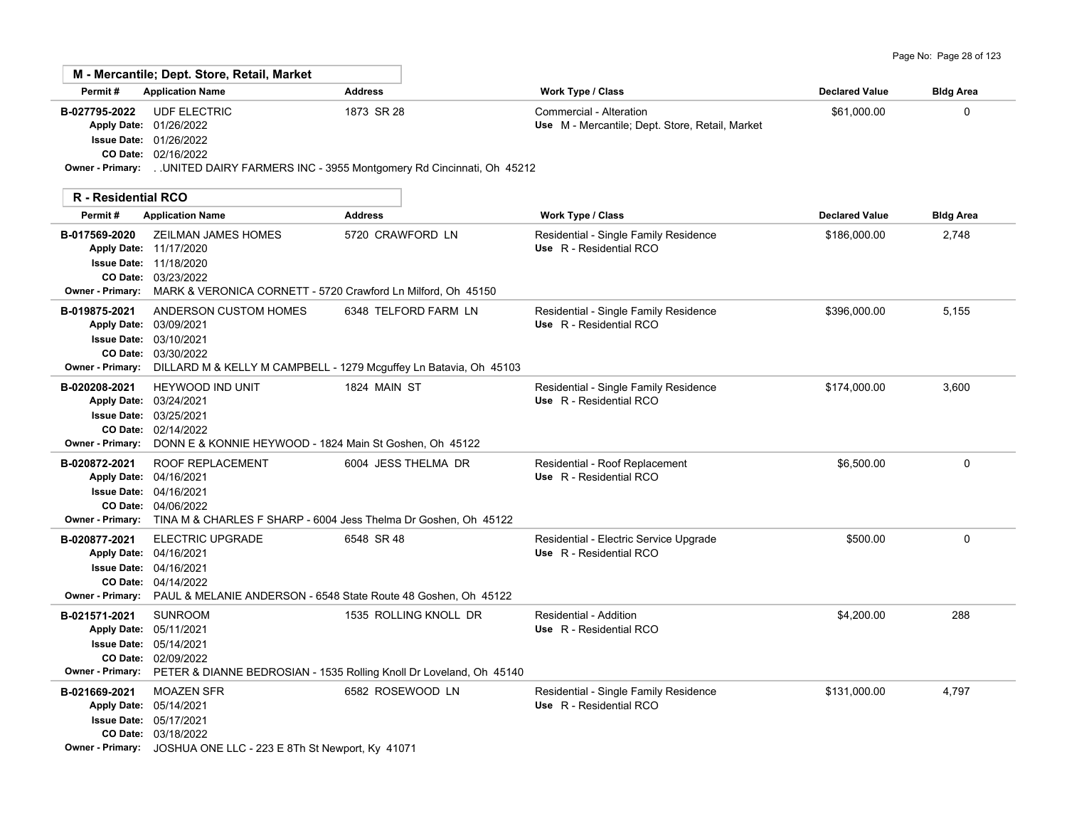|  | Page No: Page 28 of 123 |  |
|--|-------------------------|--|
|--|-------------------------|--|

|                                          | M - Mercantile; Dept. Store, Retail, Market                                                                                                                                                   |                                                                                              |                                                                            |                       |                  |
|------------------------------------------|-----------------------------------------------------------------------------------------------------------------------------------------------------------------------------------------------|----------------------------------------------------------------------------------------------|----------------------------------------------------------------------------|-----------------------|------------------|
| Permit#                                  | <b>Application Name</b>                                                                                                                                                                       | <b>Address</b>                                                                               | Work Type / Class                                                          | <b>Declared Value</b> | <b>Bldg Area</b> |
| B-027795-2022<br><b>Owner - Primary:</b> | <b>UDF ELECTRIC</b><br>Apply Date: 01/26/2022<br><b>Issue Date: 01/26/2022</b><br>CO Date: 02/16/2022                                                                                         | 1873 SR 28<br>UNITED DAIRY FARMERS INC - 3955 Montgomery Rd Cincinnati, Oh 45212             | Commercial - Alteration<br>Use M - Mercantile; Dept. Store, Retail, Market | \$61,000.00           | 0                |
| <b>R</b> - Residential RCO               |                                                                                                                                                                                               |                                                                                              |                                                                            |                       |                  |
| Permit#                                  | <b>Application Name</b>                                                                                                                                                                       | <b>Address</b>                                                                               | <b>Work Type / Class</b>                                                   | <b>Declared Value</b> | <b>Bldg Area</b> |
| B-017569-2020                            | <b>ZEILMAN JAMES HOMES</b><br>Apply Date: 11/17/2020<br><b>Issue Date: 11/18/2020</b><br>CO Date: 03/23/2022<br>Owner - Primary: MARK & VERONICA CORNETT - 5720 Crawford Ln Milford, Oh 45150 | 5720 CRAWFORD LN                                                                             | Residential - Single Family Residence<br>Use R - Residential RCO           | \$186,000.00          | 2,748            |
| B-019875-2021<br><b>Owner - Primary:</b> | ANDERSON CUSTOM HOMES<br>Apply Date: 03/09/2021<br><b>Issue Date: 03/10/2021</b><br>CO Date: 03/30/2022                                                                                       | 6348 TELFORD FARM LN<br>DILLARD M & KELLY M CAMPBELL - 1279 Mcguffey Ln Batavia, Oh 45103    | Residential - Single Family Residence<br>Use R - Residential RCO           | \$396,000.00          | 5,155            |
| B-020208-2021<br><b>Owner - Primary:</b> | <b>HEYWOOD IND UNIT</b><br>Apply Date: 03/24/2021<br><b>Issue Date: 03/25/2021</b><br>CO Date: 02/14/2022<br>DONN E & KONNIE HEYWOOD - 1824 Main St Goshen, Oh 45122                          | 1824 MAIN ST                                                                                 | Residential - Single Family Residence<br>Use R - Residential RCO           | \$174,000.00          | 3,600            |
| B-020872-2021<br><b>Owner - Primary:</b> | <b>ROOF REPLACEMENT</b><br>Apply Date: 04/16/2021<br><b>Issue Date: 04/16/2021</b><br>CO Date: 04/06/2022<br>TINA M & CHARLES F SHARP - 6004 Jess Thelma Dr Goshen, Oh 45122                  | 6004 JESS THELMA DR                                                                          | Residential - Roof Replacement<br>Use R - Residential RCO                  | \$6,500.00            | $\Omega$         |
| B-020877-2021<br><b>Owner - Primary:</b> | <b>ELECTRIC UPGRADE</b><br>Apply Date: 04/16/2021<br><b>Issue Date: 04/16/2021</b><br>CO Date: 04/14/2022<br>PAUL & MELANIE ANDERSON - 6548 State Route 48 Goshen, Oh 45122                   | 6548 SR 48                                                                                   | Residential - Electric Service Upgrade<br>Use R - Residential RCO          | \$500.00              | $\Omega$         |
| B-021571-2021<br><b>Owner - Primary:</b> | <b>SUNROOM</b><br>Apply Date: 05/11/2021<br><b>Issue Date: 05/14/2021</b><br>CO Date: 02/09/2022                                                                                              | 1535 ROLLING KNOLL DR<br>PETER & DIANNE BEDROSIAN - 1535 Rolling Knoll Dr Loveland, Oh 45140 | Residential - Addition<br>Use R - Residential RCO                          | \$4,200.00            | 288              |
| B-021669-2021                            | <b>MOAZEN SFR</b><br>Apply Date: 05/14/2021<br><b>Issue Date: 05/17/2021</b><br>CO Date: 03/18/2022<br>Owner - Primary: JOSHUA ONE LLC - 223 E 8Th St Newport, Ky 41071                       | 6582 ROSEWOOD LN                                                                             | Residential - Single Family Residence<br>Use R - Residential RCO           | \$131,000.00          | 4,797            |

 $\overline{\phantom{a}}$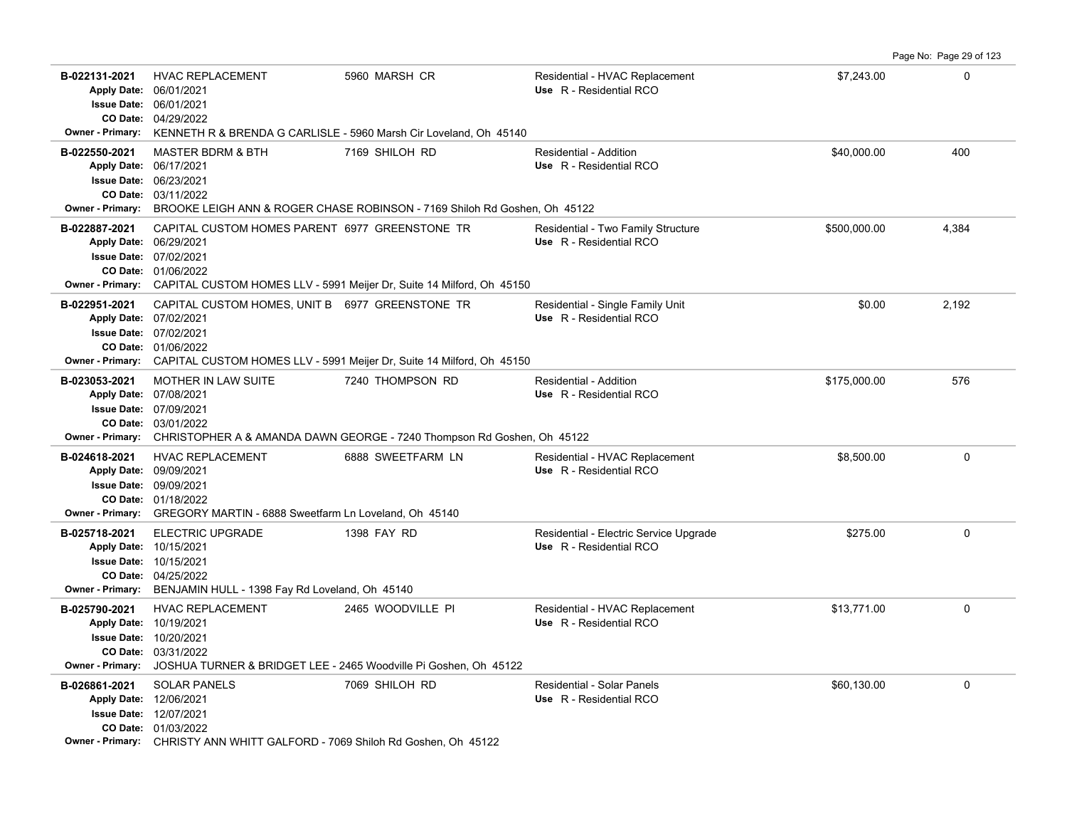**B-022131-2021 HVAC REPLACEMENT 5960 MARSH CR Residential - HVAC Replacement \$7,243.00** \$7,243.00 04/29/2022 **CO Date:** 06/01/2021 **Issue Date:** Apply Date: 06/01/2021 **Apply Date: Use** R - Residential RCO **Owner - Primary:** KENNETH R & BRENDA G CARLISLE - 5960 Marsh Cir Loveland, Oh 45140 **B-022550-2021** \$40,000.00 400 MASTER BDRM & BTH 7169 SHILOH RD Residential - Addition 03/11/2022 **CO Date:** 06/23/2021 **Issue Date:** 06/17/2021 **Apply Date: Use** R - Residential RCO **Owner - Primary:** BROOKE LEIGH ANN & ROGER CHASE ROBINSON - 7169 Shiloh Rd Goshen, Oh 45122 B-022887-2021 CAPITAL CUSTOM HOMES PARENT 6977 GREENSTONE TR Residential - Two Family Structure  $4,384$ 01/06/2022 **CO Date:** 07/02/2021 **Issue Date:** 06/29/2021 **Apply Date: Use** R - Residential RCO **Owner - Primary:** CAPITAL CUSTOM HOMES LLV - 5991 Meijer Dr, Suite 14 Milford, Oh 45150 B-022951-2021 CAPITAL CUSTOM HOMES, UNIT B 6977 GREENSTONE TR Residential - Single Family Unit **1989** 100 12,192 01/06/2022 **CO Date:** 07/02/2021 **Issue Date:** Apply Date: 07/02/2021 **Apply Date: Use** R - Residential RCO **Owner - Primary:** CAPITAL CUSTOM HOMES LLV - 5991 Meijer Dr, Suite 14 Milford, Oh 45150 **B-023053-2021** \$175,000.00 576 MOTHER IN LAW SUITE 7240 THOMPSON RD Residential - Addition 03/01/2022 **CO Date:** 07/09/2021 **Issue Date:** Apply Date: 07/08/2021 **Apply Date: Use** R - Residential RCO **Owner - Primary:** CHRISTOPHER A & AMANDA DAWN GEORGE - 7240 Thompson Rd Goshen, Oh 45122 **B-024618-2021** \$8,500.00 0 HVAC REPLACEMENT 6888 SWEETFARM LN Residential - HVAC Replacement 01/18/2022 **CO Date:** 09/09/2021 **Issue Date:** Apply Date: 09/09/2021 **Apply Date: Use** R - Residential RCO **Owner - Primary:** GREGORY MARTIN - 6888 Sweetfarm Ln Loveland, Oh 45140 **B-025718-2021** ELECTRIC UPGRADE 1398 FAY RD Residential - Electric Service Upgrade \$275.00 \$275.00 0 04/25/2022 **CO Date:** 10/15/2021 **Issue Date:** Apply Date: 10/15/2021 **Apply Date: Use** R - Residential RCO **Owner - Primary:** BENJAMIN HULL - 1398 Fay Rd Loveland, Oh 45140 **B-025790-2021** \$13,771.00 0 HVAC REPLACEMENT 2465 WOODVILLE PI Residential - HVAC Replacement 03/31/2022 **CO Date:** 10/20/2021 **Issue Date:** 10/19/2021 **Apply Date: Use** R - Residential RCO **Owner - Primary:** JOSHUA TURNER & BRIDGET LEE - 2465 Woodville Pi Goshen, Oh 45122 **B-026861-2021** \$60,130.00 0 SOLAR PANELS 7069 SHILOH RD Residential - Solar Panels 01/03/2022 **CO Date:** 12/07/2021 **Issue Date:** Apply Date: 12/06/2021 **Apply Date: Use** R - Residential RCO **Owner - Primary:** CHRISTY ANN WHITT GALFORD - 7069 Shiloh Rd Goshen, Oh 45122

Page No: Page 29 of 123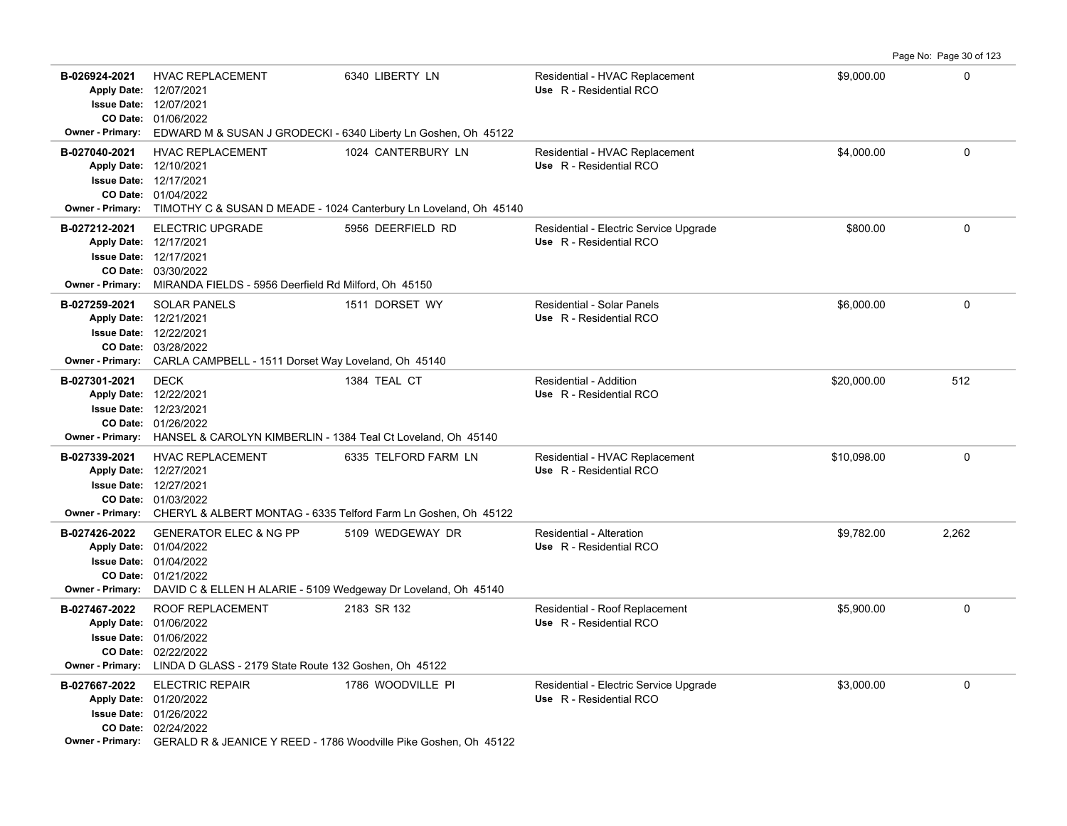**B-026924-2021** \$9,000.00 0 HVAC REPLACEMENT 6340 LIBERTY LN Residential - HVAC Replacement 01/06/2022 **CO Date:** 12/07/2021 **Issue Date:** Apply Date: 12/07/2021 **Apply Date: Use** R - Residential RCO **Owner - Primary:** EDWARD M & SUSAN J GRODECKI - 6340 Liberty Ln Goshen, Oh 45122 **B-027040-2021** \$4,000.00 0 HVAC REPLACEMENT 1024 CANTERBURY LN Residential - HVAC Replacement 01/04/2022 **CO Date:** 12/17/2021 **Issue Date:** 12/10/2021 **Apply Date: Use** R - Residential RCO **Owner - Primary:** TIMOTHY C & SUSAN D MEADE - 1024 Canterbury Ln Loveland, Oh 45140 **B-027212-2021** ELECTRIC UPGRADE 5956 DEERFIELD RD Residential - Electric Service Upgrade \$800.00 \$800.00 0 03/30/2022 **CO Date:** 12/17/2021 **Issue Date:** 12/17/2021 **Apply Date: Use** R - Residential RCO **Owner - Primary:** MIRANDA FIELDS - 5956 Deerfield Rd Milford, Oh 45150 **B-027259-2021** \$6,000.00 0 SOLAR PANELS 1511 DORSET WY Residential - Solar Panels 03/28/2022 **CO Date:** 12/22/2021 **Issue Date:** Apply Date: 12/21/2021 **Apply Date: Use** R - Residential RCO **Owner - Primary:** CARLA CAMPBELL - 1511 Dorset Way Loveland, Oh 45140 **B-027301-2021** \$20,000.00 512 01/26/2022 **CO Date:** 12/23/2021 **Issue Date:** Apply Date: 12/22/2021 DECK 1384 TEAL CT Residential - Addition **Apply Date: Use** R - Residential RCO **Owner - Primary:** HANSEL & CAROLYN KIMBERLIN - 1384 Teal Ct Loveland, Oh 45140 **B-027339-2021** \$10,098.00 0 HVAC REPLACEMENT 6335 TELFORD FARM LN Residential - HVAC Replacement 01/03/2022 **CO Date:** 12/27/2021 **Issue Date:** Apply Date: 12/27/2021 **Apply Date: Use** R - Residential RCO **Owner - Primary:** CHERYL & ALBERT MONTAG - 6335 Telford Farm Ln Goshen, Oh 45122 **B-027426-2022** \$9,782.00 2,262 GENERATOR ELEC & NG PP 5109 WEDGEWAY DR Residential - Alteration 01/21/2022 **CO Date:** 01/04/2022 **Issue Date:** Apply Date: 01/04/2022 **Apply Date: Use** R - Residential RCO **Owner - Primary:** DAVID C & ELLEN H ALARIE - 5109 Wedgeway Dr Loveland, Oh 45140 **B-027467-2022** ROOF REPLACEMENT 2183 SR 132 Residential - Roof Replacement \$5,900.00 \$5,900.00 02/22/2022 **CO Date:** 01/06/2022 **Issue Date:** 01/06/2022 **Apply Date: Use** R - Residential RCO **Owner - Primary:** LINDA D GLASS - 2179 State Route 132 Goshen, Oh 45122 B-027667-2022 ELECTRIC REPAIR 1786 WOODVILLE PI Residential - Electric Service Upgrade \$3,000.00 \$3,000.00 02/24/2022 **CO Date:** 01/26/2022 **Issue Date:** Apply Date: 01/20/2022 **Apply Date: Use** R - Residential RCO **Owner - Primary:** GERALD R & JEANICE Y REED - 1786 Woodville Pike Goshen, Oh 45122

Page No: Page 30 of 123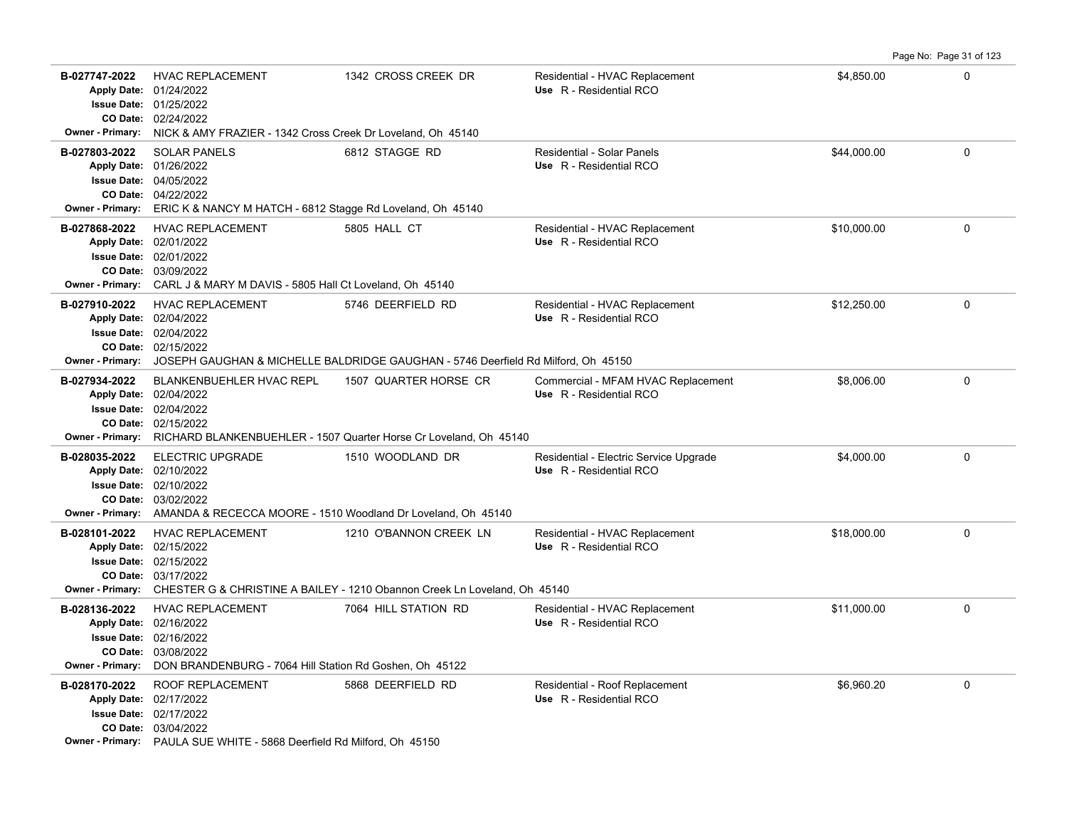Page No: Page 31 of 123

| B-027747-2022                     | <b>HVAC REPLACEMENT</b><br>Apply Date: 01/24/2022<br><b>Issue Date: 01/25/2022</b><br>CO Date: 02/24/2022                                                                                  | 1342 CROSS CREEK DR                                                                                                  | Residential - HVAC Replacement<br>Use R - Residential RCO         | \$4,850.00  | 0           |
|-----------------------------------|--------------------------------------------------------------------------------------------------------------------------------------------------------------------------------------------|----------------------------------------------------------------------------------------------------------------------|-------------------------------------------------------------------|-------------|-------------|
| <b>Owner - Primary:</b>           | NICK & AMY FRAZIER - 1342 Cross Creek Dr Loveland, Oh 45140                                                                                                                                |                                                                                                                      |                                                                   |             |             |
| B-027803-2022                     | <b>SOLAR PANELS</b><br>Apply Date: 01/26/2022<br><b>Issue Date: 04/05/2022</b><br>CO Date: 04/22/2022<br>Owner - Primary: ERIC K & NANCY M HATCH - 6812 Stagge Rd Loveland, Oh 45140       | 6812 STAGGE RD                                                                                                       | <b>Residential - Solar Panels</b><br>Use R - Residential RCO      | \$44,000.00 | $\mathbf 0$ |
| B-027868-2022                     | <b>HVAC REPLACEMENT</b><br>Apply Date: 02/01/2022<br><b>Issue Date: 02/01/2022</b><br>CO Date: 03/09/2022<br>Owner - Primary: CARL J & MARY M DAVIS - 5805 Hall Ct Loveland, Oh 45140      | 5805 HALL CT                                                                                                         | Residential - HVAC Replacement<br>Use R - Residential RCO         | \$10,000.00 | $\mathbf 0$ |
| B-027910-2022<br>Owner - Primary: | <b>HVAC REPLACEMENT</b><br>Apply Date: 02/04/2022<br><b>Issue Date: 02/04/2022</b><br>CO Date: 02/15/2022                                                                                  | 5746 DEERFIELD RD<br>JOSEPH GAUGHAN & MICHELLE BALDRIDGE GAUGHAN - 5746 Deerfield Rd Milford, Oh 45150               | Residential - HVAC Replacement<br>Use R - Residential RCO         | \$12,250.00 | $\mathbf 0$ |
| B-027934-2022                     | BLANKENBUEHLER HVAC REPL<br>Apply Date: 02/04/2022<br><b>Issue Date: 02/04/2022</b><br>CO Date: 02/15/2022                                                                                 | 1507 QUARTER HORSE CR<br>Owner - Primary: RICHARD BLANKENBUEHLER - 1507 Quarter Horse Cr Loveland, Oh 45140          | Commercial - MFAM HVAC Replacement<br>Use R - Residential RCO     | \$8,006.00  | $\Omega$    |
| B-028035-2022                     | <b>ELECTRIC UPGRADE</b><br>Apply Date: 02/10/2022<br><b>Issue Date: 02/10/2022</b><br>CO Date: 03/02/2022<br>Owner - Primary: AMANDA & RECECCA MOORE - 1510 Woodland Dr Loveland, Oh 45140 | 1510 WOODLAND DR                                                                                                     | Residential - Electric Service Upgrade<br>Use R - Residential RCO | \$4,000.00  | 0           |
| B-028101-2022                     | <b>HVAC REPLACEMENT</b><br>Apply Date: 02/15/2022<br><b>Issue Date: 02/15/2022</b><br>CO Date: 03/17/2022                                                                                  | 1210 O'BANNON CREEK LN<br>Owner - Primary: CHESTER G & CHRISTINE A BAILEY - 1210 Obannon Creek Ln Loveland, Oh 45140 | Residential - HVAC Replacement<br>Use R - Residential RCO         | \$18,000.00 | 0           |
| B-028136-2022                     | <b>HVAC REPLACEMENT</b><br>Apply Date: 02/16/2022<br><b>Issue Date: 02/16/2022</b><br>CO Date: 03/08/2022<br>Owner - Primary: DON BRANDENBURG - 7064 Hill Station Rd Goshen, Oh 45122      | 7064 HILL STATION RD                                                                                                 | Residential - HVAC Replacement<br>Use R - Residential RCO         | \$11,000.00 | $\mathbf 0$ |
| B-028170-2022                     | <b>ROOF REPLACEMENT</b><br>Apply Date: 02/17/2022<br><b>Issue Date: 02/17/2022</b><br>CO Date: 03/04/2022<br>Owner - Primary: PAULA SUE WHITE - 5868 Deerfield Rd Milford, Oh 45150        | 5868 DEERFIELD RD                                                                                                    | Residential - Roof Replacement<br>Use R - Residential RCO         | \$6,960.20  | $\mathbf 0$ |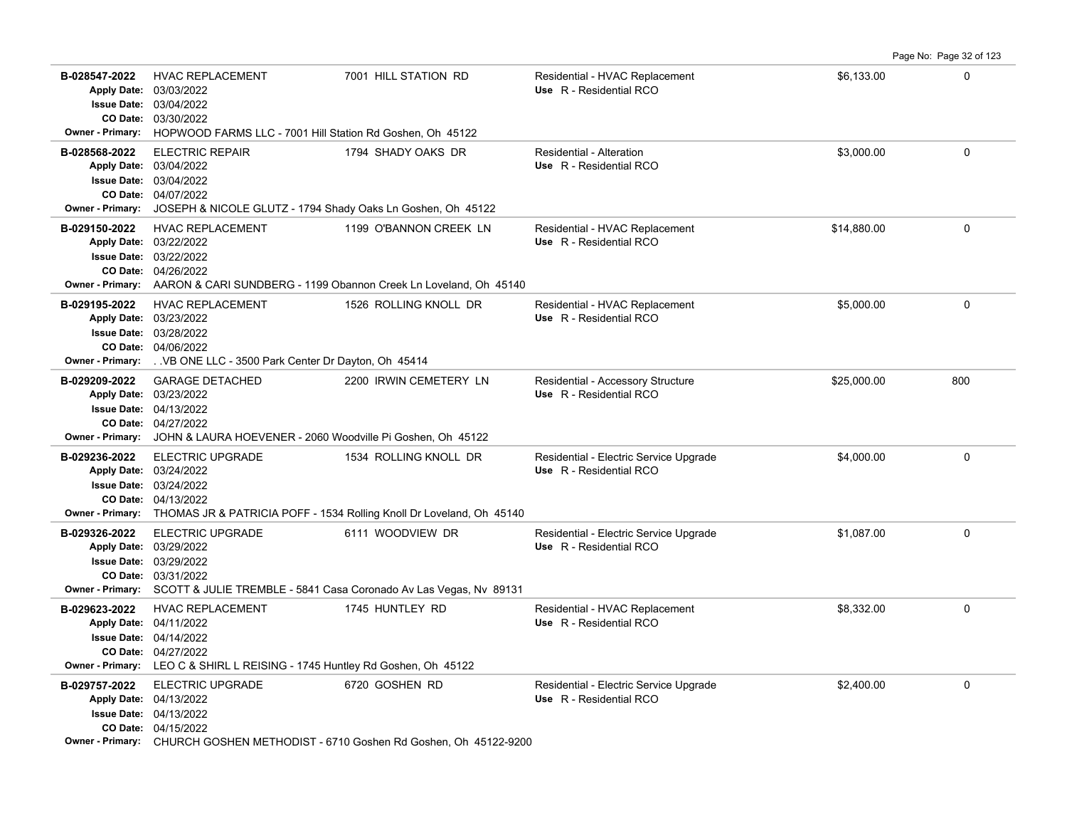|                                                                |                                                                                                                                                                                                    |                                                                                                   |                                                                   |             | Page No: Page 32 of 123 |
|----------------------------------------------------------------|----------------------------------------------------------------------------------------------------------------------------------------------------------------------------------------------------|---------------------------------------------------------------------------------------------------|-------------------------------------------------------------------|-------------|-------------------------|
| B-028547-2022<br><b>Issue Date:</b><br><b>Owner - Primary:</b> | <b>HVAC REPLACEMENT</b><br>Apply Date: 03/03/2022<br>03/04/2022<br>CO Date: 03/30/2022<br>HOPWOOD FARMS LLC - 7001 Hill Station Rd Goshen, Oh 45122                                                | 7001 HILL STATION RD                                                                              | Residential - HVAC Replacement<br>Use R - Residential RCO         | \$6,133.00  | $\Omega$                |
| B-028568-2022<br><b>Owner - Primary:</b>                       | <b>ELECTRIC REPAIR</b><br>Apply Date: 03/04/2022<br><b>Issue Date: 03/04/2022</b><br>CO Date: 04/07/2022<br>JOSEPH & NICOLE GLUTZ - 1794 Shady Oaks Ln Goshen, Oh 45122                            | 1794 SHADY OAKS DR                                                                                | Residential - Alteration<br>Use R - Residential RCO               | \$3.000.00  | $\Omega$                |
| B-029150-2022<br><b>Owner - Primary:</b>                       | <b>HVAC REPLACEMENT</b><br>Apply Date: 03/22/2022<br><b>Issue Date: 03/22/2022</b><br>CO Date: 04/26/2022<br>AARON & CARI SUNDBERG - 1199 Obannon Creek Ln Loveland, Oh 45140                      | 1199 O'BANNON CREEK LN                                                                            | Residential - HVAC Replacement<br>Use R - Residential RCO         | \$14,880.00 | $\Omega$                |
| B-029195-2022<br><b>Owner - Primary:</b>                       | <b>HVAC REPLACEMENT</b><br>Apply Date: 03/23/2022<br><b>Issue Date: 03/28/2022</b><br>CO Date: 04/06/2022<br>. VB ONE LLC - 3500 Park Center Dr Dayton, Oh 45414                                   | 1526 ROLLING KNOLL DR                                                                             | Residential - HVAC Replacement<br>Use R - Residential RCO         | \$5,000.00  | $\Omega$                |
| B-029209-2022<br><b>Owner - Primary:</b>                       | <b>GARAGE DETACHED</b><br>Apply Date: 03/23/2022<br><b>Issue Date: 04/13/2022</b><br>CO Date: 04/27/2022<br>JOHN & LAURA HOEVENER - 2060 Woodville Pi Goshen, Oh 45122                             | 2200 IRWIN CEMETERY LN                                                                            | Residential - Accessory Structure<br>Use R - Residential RCO      | \$25,000.00 | 800                     |
| B-029236-2022                                                  | <b>ELECTRIC UPGRADE</b><br>Apply Date: 03/24/2022<br><b>Issue Date: 03/24/2022</b><br>CO Date: 04/13/2022<br>Owner - Primary: THOMAS JR & PATRICIA POFF - 1534 Rolling Knoll Dr Loveland, Oh 45140 | 1534 ROLLING KNOLL DR                                                                             | Residential - Electric Service Upgrade<br>Use R - Residential RCO | \$4,000.00  | 0                       |
| B-029326-2022<br><b>Owner - Primary:</b>                       | <b>ELECTRIC UPGRADE</b><br>Apply Date: 03/29/2022<br><b>Issue Date: 03/29/2022</b><br>CO Date: 03/31/2022<br>SCOTT & JULIE TREMBLE - 5841 Casa Coronado Av Las Vegas, Nv 89131                     | 6111 WOODVIEW DR                                                                                  | Residential - Electric Service Upgrade<br>Use R - Residential RCO | \$1,087.00  | $\mathbf 0$             |
| B-029623-2022<br><b>Owner - Primary:</b>                       | <b>HVAC REPLACEMENT</b><br>Apply Date: 04/11/2022<br><b>Issue Date: 04/14/2022</b><br>CO Date: 04/27/2022<br>LEO C & SHIRL L REISING - 1745 Huntley Rd Goshen, Oh 45122                            | 1745 HUNTLEY RD                                                                                   | Residential - HVAC Replacement<br>Use R - Residential RCO         | \$8,332.00  | 0                       |
| B-029757-2022                                                  | <b>ELECTRIC UPGRADE</b><br>Apply Date: 04/13/2022<br><b>Issue Date: 04/13/2022</b><br>CO Date: 04/15/2022                                                                                          | 6720 GOSHEN RD<br>Owner - Primary: CHURCH GOSHEN METHODIST - 6710 Goshen Rd Goshen, Oh 45122-9200 | Residential - Electric Service Upgrade<br>Use R - Residential RCO | \$2,400.00  | $\Omega$                |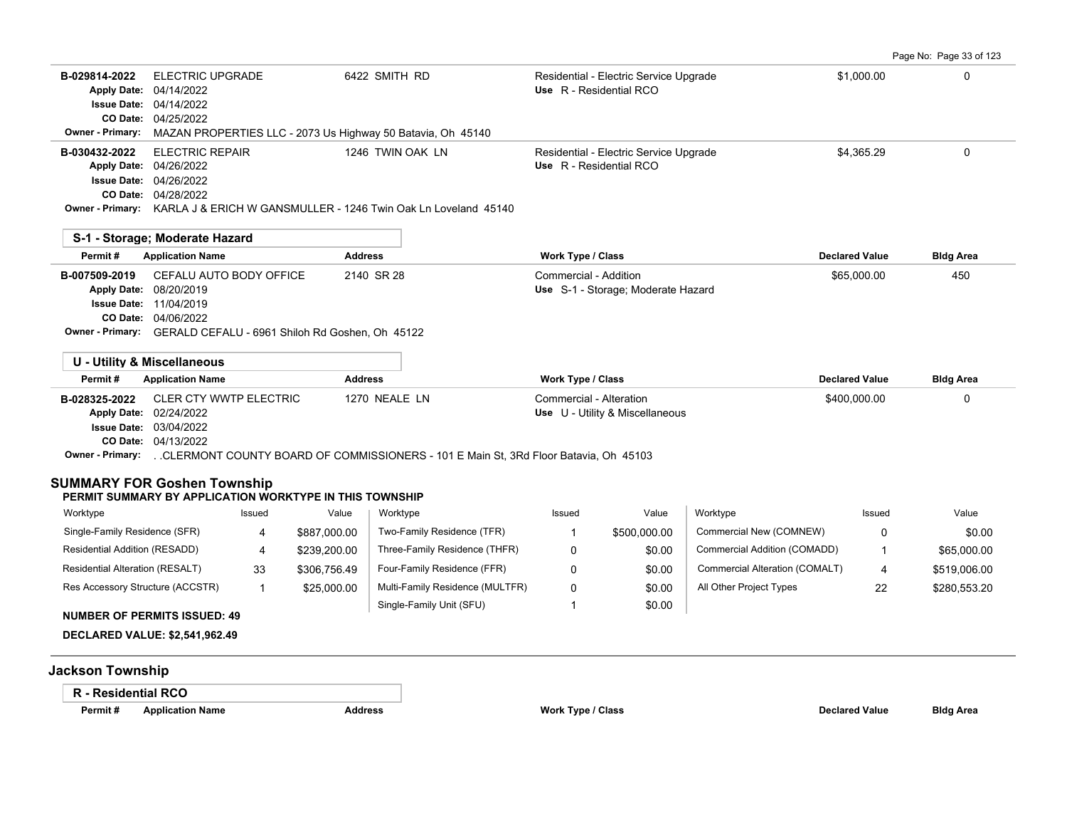Page No: Page 33 of 123

| B-029814-2022 | ELECTRIC UPGRADE                                                                       | 6422 SMITH RD    | Residential - Electric Service Upgrade | \$1,000.00 | 0 |
|---------------|----------------------------------------------------------------------------------------|------------------|----------------------------------------|------------|---|
|               | Apply Date: 04/14/2022                                                                 |                  | Use R - Residential RCO                |            |   |
|               | <b>Issue Date: 04/14/2022</b>                                                          |                  |                                        |            |   |
|               | CO Date: 04/25/2022                                                                    |                  |                                        |            |   |
|               | <b>Owner - Primary:</b> MAZAN PROPERTIES LLC - 2073 Us Highway 50 Batavia, Oh 45140    |                  |                                        |            |   |
| B-030432-2022 | ELECTRIC REPAIR                                                                        | 1246 TWIN OAK LN | Residential - Electric Service Upgrade | \$4.365.29 |   |
|               | Apply Date: 04/26/2022                                                                 |                  | Use R - Residential RCO                |            |   |
|               | <b>Issue Date: 04/26/2022</b>                                                          |                  |                                        |            |   |
|               | <b>CO Date: 04/28/2022</b>                                                             |                  |                                        |            |   |
|               | <b>Owner - Primary:</b> KARLA J & FRICH W GANSMULLER - 1246 Twin Oak Ln Loveland 45140 |                  |                                        |            |   |

| S-1 - Storage; Moderate Hazard |                                                                  |                |                                    |                       |                  |
|--------------------------------|------------------------------------------------------------------|----------------|------------------------------------|-----------------------|------------------|
| Permit#                        | <b>Application Name</b>                                          | <b>Address</b> | Work Type / Class                  | <b>Declared Value</b> | <b>Bldg Area</b> |
|                                | <b>B-007509-2019</b> CEFALU AUTO BODY OFFICE                     | 2140 SR 28     | Commercial - Addition              | \$65,000.00           | 450              |
|                                | Apply Date: 08/20/2019                                           |                | Use S-1 - Storage; Moderate Hazard |                       |                  |
|                                | <b>Issue Date: 11/04/2019</b>                                    |                |                                    |                       |                  |
|                                | <b>CO Date: 04/06/2022</b>                                       |                |                                    |                       |                  |
|                                | Owner - Primary: GERALD CEFALU - 6961 Shiloh Rd Goshen, Oh 45122 |                |                                    |                       |                  |

|                     | U - Utility & Miscellaneous   |                                                                                     |                                 |                       |                  |
|---------------------|-------------------------------|-------------------------------------------------------------------------------------|---------------------------------|-----------------------|------------------|
| Permit#             | <b>Application Name</b>       | <b>Address</b>                                                                      | Work Type / Class               | <b>Declared Value</b> | <b>Bldg Area</b> |
| B-028325-2022       | CLER CTY WWTP ELECTRIC        | 1270 NEALE LN                                                                       | Commercial - Alteration         | \$400,000.00          |                  |
|                     | Apply Date: 02/24/2022        |                                                                                     | Use U - Utility & Miscellaneous |                       |                  |
|                     | <b>Issue Date: 03/04/2022</b> |                                                                                     |                                 |                       |                  |
|                     | <b>CO Date: 04/13/2022</b>    |                                                                                     |                                 |                       |                  |
| $\bigcap_{i=1}^{n}$ |                               | OLEDMONE COUNTY DOADD OF COMMICCIONEDD. 404 E Meis OL 2DH Flass Datavia, OL, 45402. |                                 |                       |                  |

**Owner - Primary:** . .CLERMONT COUNTY BOARD OF COMMISSIONERS - 101 E Main St, 3Rd Floor Batavia, Oh 45103

## **SUMMARY FOR Goshen Township**

#### **PERMIT SUMMARY BY APPLICATION WORKTYPE IN THIS TOWNSHIP**

| Worktype                         | Issued | Value        | Worktype                        | Issued | Value        | Worktype                       | Issued | Value        |
|----------------------------------|--------|--------------|---------------------------------|--------|--------------|--------------------------------|--------|--------------|
| Single-Family Residence (SFR)    |        | \$887.000.00 | Two-Family Residence (TFR)      |        | \$500,000.00 | Commercial New (COMNEW)        |        | \$0.00       |
| Residential Addition (RESADD)    |        | \$239,200.00 | Three-Family Residence (THFR)   |        | \$0.00       | Commercial Addition (COMADD)   |        | \$65,000.00  |
| Residential Alteration (RESALT)  | 33     | \$306.756.49 | Four-Family Residence (FFR)     |        | \$0.00       | Commercial Alteration (COMALT) | 4      | \$519,006.00 |
| Res Accessory Structure (ACCSTR) |        | \$25,000.00  | Multi-Family Residence (MULTFR) |        | \$0.00       | All Other Project Types        | 22     | \$280,553.20 |
|                                  |        |              | Single-Family Unit (SFU)        |        | \$0.00       |                                |        |              |

#### **NUMBER OF PERMITS ISSUED: 49**

**DECLARED VALUE: \$2,541,962.49**

# **Jackson Township**

## **R - Residential RCO**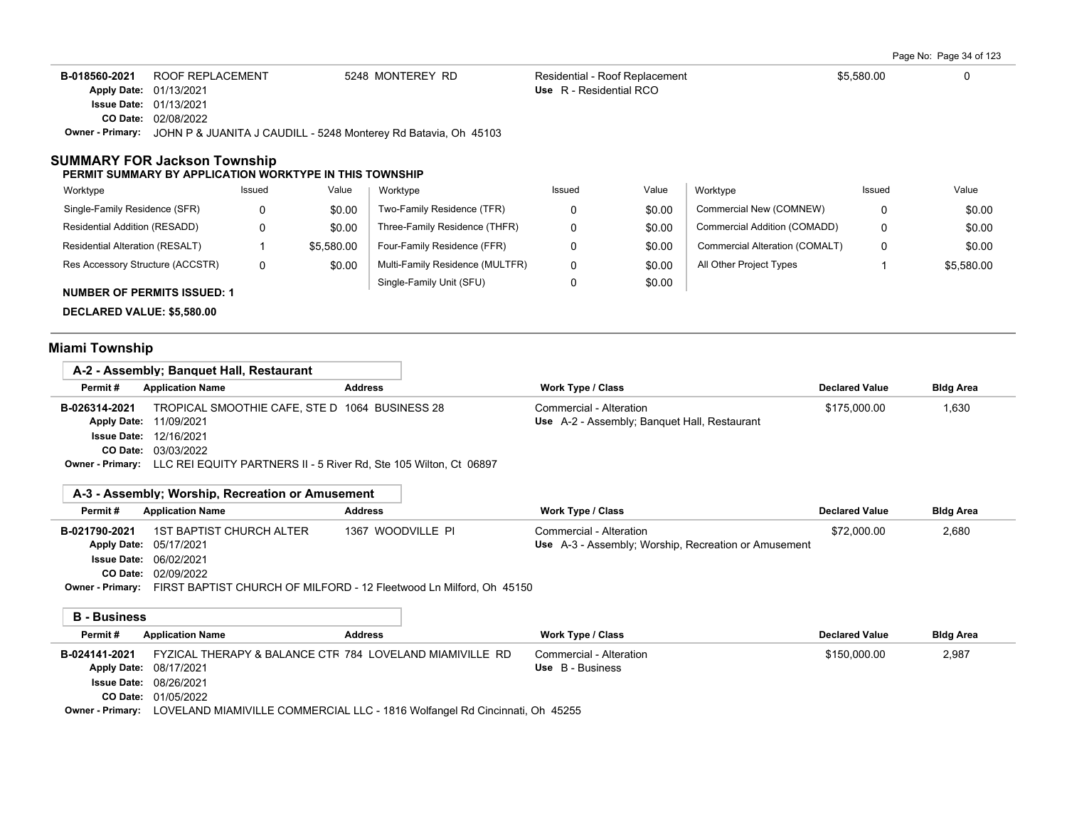Page No: Page 34 of 123

| B-018560-2021 | ROOF REPLACEMENT                                                                        | 5248 MONTEREY RD | Residential - Roof Replacement | \$5.580.00 |  |
|---------------|-----------------------------------------------------------------------------------------|------------------|--------------------------------|------------|--|
|               | Apply Date: 01/13/2021                                                                  |                  | Use R - Residential RCO        |            |  |
|               | <b>Issue Date: 01/13/2021</b>                                                           |                  |                                |            |  |
|               | <b>CO Date: 02/08/2022</b>                                                              |                  |                                |            |  |
|               | <b>Owner - Primary:</b> JOHN P & JUANITA J CAUDILL - 5248 Monterey Rd Batavia, Oh 45103 |                  |                                |            |  |

## **SUMMARY FOR Jackson Township**

#### **PERMIT SUMMARY BY APPLICATION WORKTYPE IN THIS TOWNSHIP**

| Worktype                           | Issued | Value      | Worktype                        | Issued | Value  | Worktype                       | Issued | Value      |
|------------------------------------|--------|------------|---------------------------------|--------|--------|--------------------------------|--------|------------|
| Single-Family Residence (SFR)      | 0      | \$0.00     | Two-Family Residence (TFR)      |        | \$0.00 | Commercial New (COMNEW)        |        | \$0.00     |
| Residential Addition (RESADD)      |        | \$0.00     | Three-Family Residence (THFR)   |        | \$0.00 | Commercial Addition (COMADD)   |        | \$0.00     |
| Residential Alteration (RESALT)    |        | \$5.580.00 | Four-Family Residence (FFR)     |        | \$0.00 | Commercial Alteration (COMALT) |        | \$0.00     |
| Res Accessory Structure (ACCSTR)   | 0      | \$0.00     | Multi-Family Residence (MULTFR) |        | \$0.00 | All Other Project Types        |        | \$5,580.00 |
| <b>NUMBER OF PERMITS ISSUED: 1</b> |        |            | Single-Family Unit (SFU)        |        | \$0.00 |                                |        |            |

**DECLARED VALUE: \$5,580.00**

# **Miami Township**

|                    | A-2 - Assembly; Banguet Hall, Restaurant                                                  |                |                                              |                       |                  |
|--------------------|-------------------------------------------------------------------------------------------|----------------|----------------------------------------------|-----------------------|------------------|
| Permit#            | <b>Application Name</b>                                                                   | <b>Address</b> | Work Type / Class                            | <b>Declared Value</b> | <b>Bldg Area</b> |
| B-026314-2021      | TROPICAL SMOOTHIE CAFE, STE D 1064 BUSINESS 28                                            |                | Commercial - Alteration                      | \$175,000.00          | 1,630            |
| <b>Apply Date:</b> | 11/09/2021                                                                                |                | Use A-2 - Assembly; Banquet Hall, Restaurant |                       |                  |
| Issue Date:        | 12/16/2021                                                                                |                |                                              |                       |                  |
|                    | <b>CO Date: 03/03/2022</b>                                                                |                |                                              |                       |                  |
|                    | <b>Owner - Primary:</b> LLC REI EQUITY PARTNERS II - 5 River Rd, Ste 105 Wilton, Ct 06897 |                |                                              |                       |                  |

# **A-3 - Assembly; Worship, Recreation or Amusement**

| Permit#       | <b>Application Name</b>       | <b>Address</b>    | <b>Work Type / Class</b>                             | <b>Declared Value</b> | <b>Bldg Area</b> |
|---------------|-------------------------------|-------------------|------------------------------------------------------|-----------------------|------------------|
| B-021790-2021 | 1ST BAPTIST CHURCH ALTER      | 1367 WOODVILLE PI | Commercial - Alteration                              | \$72,000.00           | 2,680            |
|               | Apply Date: 05/17/2021        |                   | Use A-3 - Assembly; Worship, Recreation or Amusement |                       |                  |
|               | <b>Issue Date: 06/02/2021</b> |                   |                                                      |                       |                  |
|               | CO Date: 02/09/2022           |                   |                                                      |                       |                  |

**Owner - Primary:** FIRST BAPTIST CHURCH OF MILFORD - 12 Fleetwood Ln Milford, Oh 45150

**B - Business**

| Permit#       | <b>Application Name</b>                                                                                                                                                                                                                                                                                                                                                                       | <b>Address</b> | Work Type / Class       | <b>Declared Value</b> | <b>Bldg Area</b> |
|---------------|-----------------------------------------------------------------------------------------------------------------------------------------------------------------------------------------------------------------------------------------------------------------------------------------------------------------------------------------------------------------------------------------------|----------------|-------------------------|-----------------------|------------------|
| B-024141-2021 | FYZICAL THERAPY & BALANCE CTR 784 LOVELAND MIAMIVILLE RD                                                                                                                                                                                                                                                                                                                                      |                | Commercial - Alteration | \$150,000.00          | 2,987            |
|               | Apply Date: 08/17/2021                                                                                                                                                                                                                                                                                                                                                                        |                | Use B - Business        |                       |                  |
|               | <b>Issue Date: 08/26/2021</b>                                                                                                                                                                                                                                                                                                                                                                 |                |                         |                       |                  |
|               | <b>CO Date: 01/05/2022</b>                                                                                                                                                                                                                                                                                                                                                                    |                |                         |                       |                  |
|               | $\bullet$ . $\bullet$ . $\bullet$ . $\bullet$ . $\bullet$ . $\bullet$ . $\bullet$ . $\bullet$ . $\bullet$ . $\bullet$ . $\bullet$ . $\bullet$ . $\bullet$ . $\bullet$ . $\bullet$ . $\bullet$ . $\bullet$ . $\bullet$ . $\bullet$ . $\bullet$ . $\bullet$ . $\bullet$ . $\bullet$ . $\bullet$ . $\bullet$ . $\bullet$ . $\bullet$ . $\bullet$ . $\bullet$ . $\bullet$ . $\bullet$ . $\bullet$ |                |                         |                       |                  |

**Owner - Primary:** LOVELAND MIAMIVILLE COMMERCIAL LLC - 1816 Wolfangel Rd Cincinnati, Oh 45255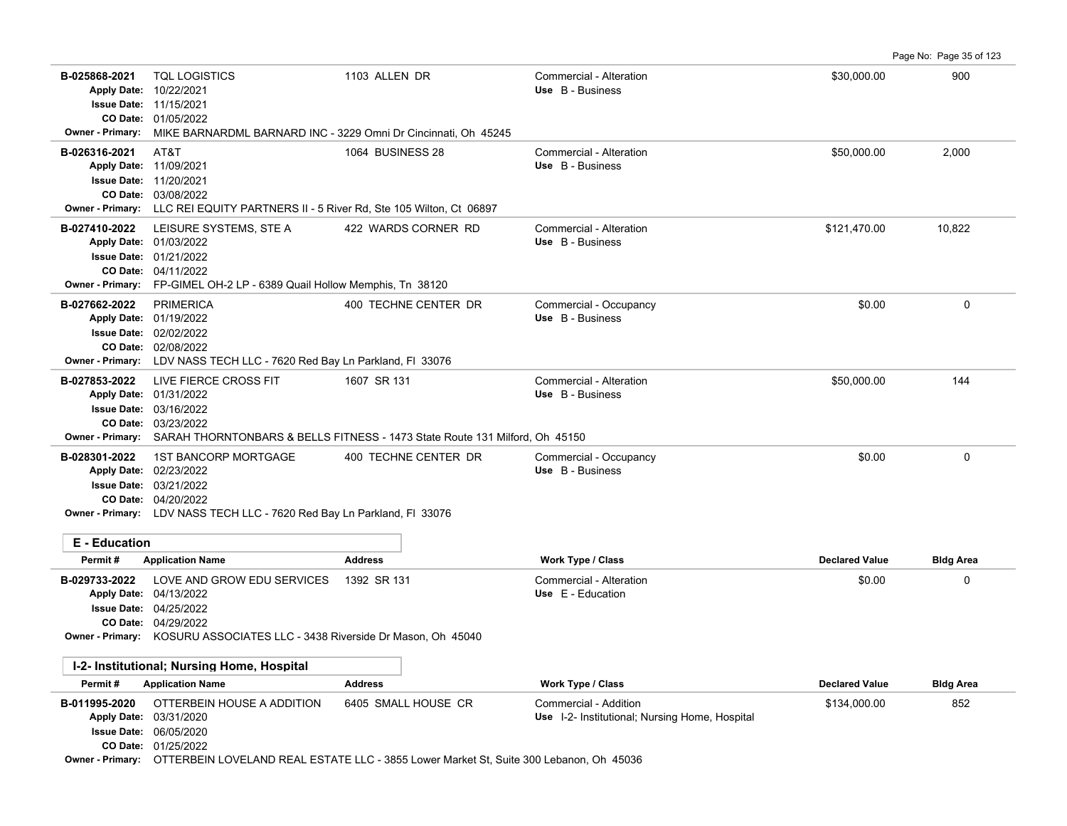Page No: Page 35 of 123

| B-025868-2021                              | <b>TQL LOGISTICS</b><br>Apply Date: 10/22/2021<br><b>Issue Date: 11/15/2021</b><br>CO Date: 01/05/2022                                                                                            | 1103 ALLEN DR                                                                                                                  | Commercial - Alteration<br>Use B - Business                             | \$30,000.00           | 900              |
|--------------------------------------------|---------------------------------------------------------------------------------------------------------------------------------------------------------------------------------------------------|--------------------------------------------------------------------------------------------------------------------------------|-------------------------------------------------------------------------|-----------------------|------------------|
| Owner - Primary:                           | MIKE BARNARDML BARNARD INC - 3229 Omni Dr Cincinnati, Oh 45245                                                                                                                                    |                                                                                                                                |                                                                         |                       |                  |
| B-026316-2021                              | AT&T<br>Apply Date: 11/09/2021<br><b>Issue Date: 11/20/2021</b><br><b>CO Date: 03/08/2022</b><br>Owner - Primary: LLC REI EQUITY PARTNERS II - 5 River Rd, Ste 105 Wilton, Ct 06897               | 1064 BUSINESS 28                                                                                                               | Commercial - Alteration<br>Use B - Business                             | \$50,000.00           | 2,000            |
| B-027410-2022                              | LEISURE SYSTEMS, STE A<br>Apply Date: 01/03/2022<br><b>Issue Date: 01/21/2022</b><br>CO Date: 04/11/2022<br>Owner - Primary: FP-GIMEL OH-2 LP - 6389 Quail Hollow Memphis, Tn 38120               | 422 WARDS CORNER RD                                                                                                            | Commercial - Alteration<br>Use B - Business                             | \$121,470.00          | 10,822           |
| B-027662-2022                              | <b>PRIMERICA</b><br>Apply Date: 01/19/2022<br><b>Issue Date: 02/02/2022</b><br>CO Date: 02/08/2022<br>Owner - Primary: LDV NASS TECH LLC - 7620 Red Bay Ln Parkland, FI 33076                     | 400 TECHNE CENTER DR                                                                                                           | Commercial - Occupancy<br>Use B - Business                              | \$0.00                | $\mathbf{0}$     |
| B-027853-2022                              | LIVE FIERCE CROSS FIT<br>Apply Date: 01/31/2022<br><b>Issue Date: 03/16/2022</b><br>CO Date: 03/23/2022                                                                                           | 1607 SR 131<br>Owner - Primary: SARAH THORNTONBARS & BELLS FITNESS - 1473 State Route 131 Milford, Oh 45150                    | Commercial - Alteration<br>Use B - Business                             | \$50,000.00           | 144              |
| B-028301-2022                              | <b>1ST BANCORP MORTGAGE</b><br>Apply Date: 02/23/2022<br><b>Issue Date: 03/21/2022</b><br>CO Date: 04/20/2022<br>Owner - Primary: LDV NASS TECH LLC - 7620 Red Bay Ln Parkland, FI 33076          | 400 TECHNE CENTER DR                                                                                                           | Commercial - Occupancy<br>Use B - Business                              | \$0.00                | $\mathbf 0$      |
| E - Education                              |                                                                                                                                                                                                   |                                                                                                                                |                                                                         |                       |                  |
| Permit#                                    | <b>Application Name</b>                                                                                                                                                                           | <b>Address</b>                                                                                                                 | Work Type / Class                                                       | <b>Declared Value</b> | <b>Bldg Area</b> |
| B-029733-2022                              | LOVE AND GROW EDU SERVICES<br>Apply Date: 04/13/2022<br><b>Issue Date: 04/25/2022</b><br><b>CO Date: 04/29/2022</b><br>Owner - Primary: KOSURU ASSOCIATES LLC - 3438 Riverside Dr Mason, Oh 45040 | 1392 SR 131                                                                                                                    | Commercial - Alteration<br>Use E - Education                            | \$0.00                | $\mathbf 0$      |
| I-2- Institutional; Nursing Home, Hospital |                                                                                                                                                                                                   |                                                                                                                                |                                                                         |                       |                  |
| Permit#                                    | <b>Application Name</b>                                                                                                                                                                           | <b>Address</b>                                                                                                                 | Work Type / Class                                                       | <b>Declared Value</b> | <b>Bldg Area</b> |
| B-011995-2020                              | OTTERBEIN HOUSE A ADDITION<br>Apply Date: 03/31/2020<br><b>Issue Date: 06/05/2020</b><br>CO Date: 01/25/2022                                                                                      | 6405 SMALL HOUSE CR<br>Owner - Primary: OTTERBEIN LOVELAND REAL ESTATE LLC - 3855 Lower Market St, Suite 300 Lebanon, Oh 45036 | Commercial - Addition<br>Use I-2- Institutional; Nursing Home, Hospital | \$134,000.00          | 852              |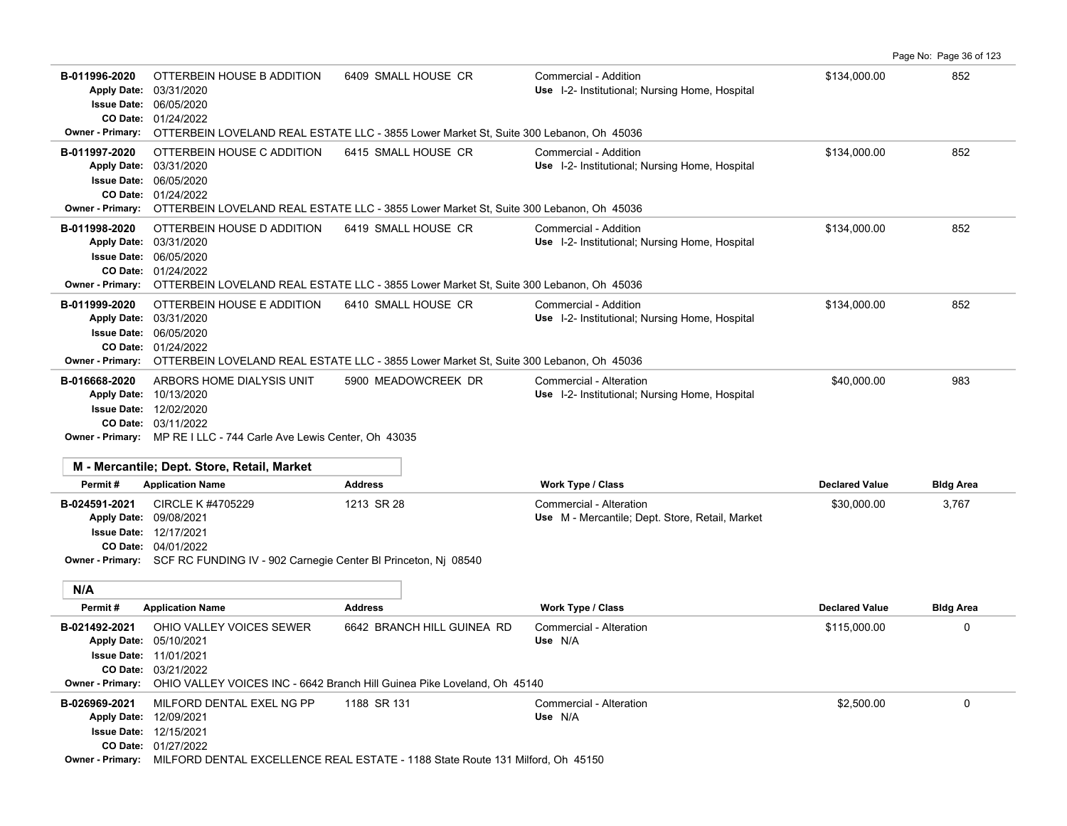**B-011996-2020** OTTERBEIN HOUSE B ADDITION 6409 SMALL HOUSE CR Commercial - Addition 6852 134,000.00 652 01/24/2022 **CO Date:** 06/05/2020 **Issue Date:** Apply Date: 03/31/2020 **Apply Date: Use** I-2- Institutional; Nursing Home, Hospital **Owner - Primary:** OTTERBEIN LOVELAND REAL ESTATE LLC - 3855 Lower Market St, Suite 300 Lebanon, Oh 45036 B-011997-2020 OTTERBEIN HOUSE C ADDITION 6415 SMALL HOUSE CR Commercial - Addition **6415 SMALL FOUSE CR** Commercial - Addition 01/24/2022 **CO Date:** 06/05/2020 **Issue Date:** Apply Date: 03/31/2020 Use I-2- Institutional; Nursing Home, Hospital **Owner - Primary:** OTTERBEIN LOVELAND REAL ESTATE LLC - 3855 Lower Market St, Suite 300 Lebanon, Oh 45036 **B-011998-2020** OTTERBEIN HOUSE D ADDITION 6419 SMALL HOUSE CR Commercial - Addition 652 01/24/2022 **CO Date:** 06/05/2020 **Issue Date:** Apply Date: 03/31/2020 Use I-2- Institutional; Nursing Home, Hospital **Owner - Primary:** OTTERBEIN LOVELAND REAL ESTATE LLC - 3855 Lower Market St, Suite 300 Lebanon, Oh 45036 **B-011999-2020** OTTERBEIN HOUSE E ADDITION 6410 SMALL HOUSE CR Commercial - Addition 652 01/24/2022 **CO Date:** 06/05/2020 **Issue Date:** Apply Date: 03/31/2020 Use I-2- Institutional; Nursing Home, Hospital **Owner - Primary:** OTTERBEIN LOVELAND REAL ESTATE LLC - 3855 Lower Market St, Suite 300 Lebanon, Oh 45036 **B-016668-2020** \$40,000.00 983 ARBORS HOME DIALYSIS UNIT 5900 MEADOWCREEK DR Commercial - Alteration 03/11/2022 **CO Date:** 12/02/2020 **Issue Date:** Apply Date: 10/13/2020 Use I-2- Institutional; Nursing Home, Hospital **Owner - Primary:** MP RE I LLC - 744 Carle Ave Lewis Center, Oh 43035 **M - Mercantile; Dept. Store, Retail, Market Permit # Application Name Address Work Type / Class Declared Value Bldg Area B-024591-2021** CIRCLE K #4705229 1213 SR 28 Commercial - Alteration 3,767 3,767 3,767 04/01/2022 **CO Date:** 12/17/2021 **Issue Date:** Apply Date: 09/08/2021 CIRCLE K #4705229 1213 SR 28 Commercial - Alteration **Apply Date: Use** M - Mercantile; Dept. Store, Retail, Market **Owner - Primary:** SCF RC FUNDING IV - 902 Carnegie Center Bl Princeton, Nj 08540 **N/A Permit # Application Name Address Work Type / Class Declared Value Bldg Area B-021492-2021** OHIO VALLEY VOICES SEWER 6642 BRANCH HILL GUINEA RD Commercial - Alteration \$115,000.00 \$115,000.00 03/21/2022 **CO Date:** 11/01/2021 **Issue Date:** 05/10/2021 **Apply Date: Use** N/A **Owner - Primary:** OHIO VALLEY VOICES INC - 6642 Branch Hill Guinea Pike Loveland, Oh 45140 **B-026969-2021** \$2,500.00 0 MILFORD DENTAL EXEL NG PP 1188 SR 131 Commercial - Alteration 12/15/2021 **Issue Date:** 12/09/2021 **Apply Date: Use** N/A

Page No: Page 36 of 123

01/27/2022 **CO Date:**

**Owner - Primary:** MILFORD DENTAL EXCELLENCE REAL ESTATE - 1188 State Route 131 Milford, Oh 45150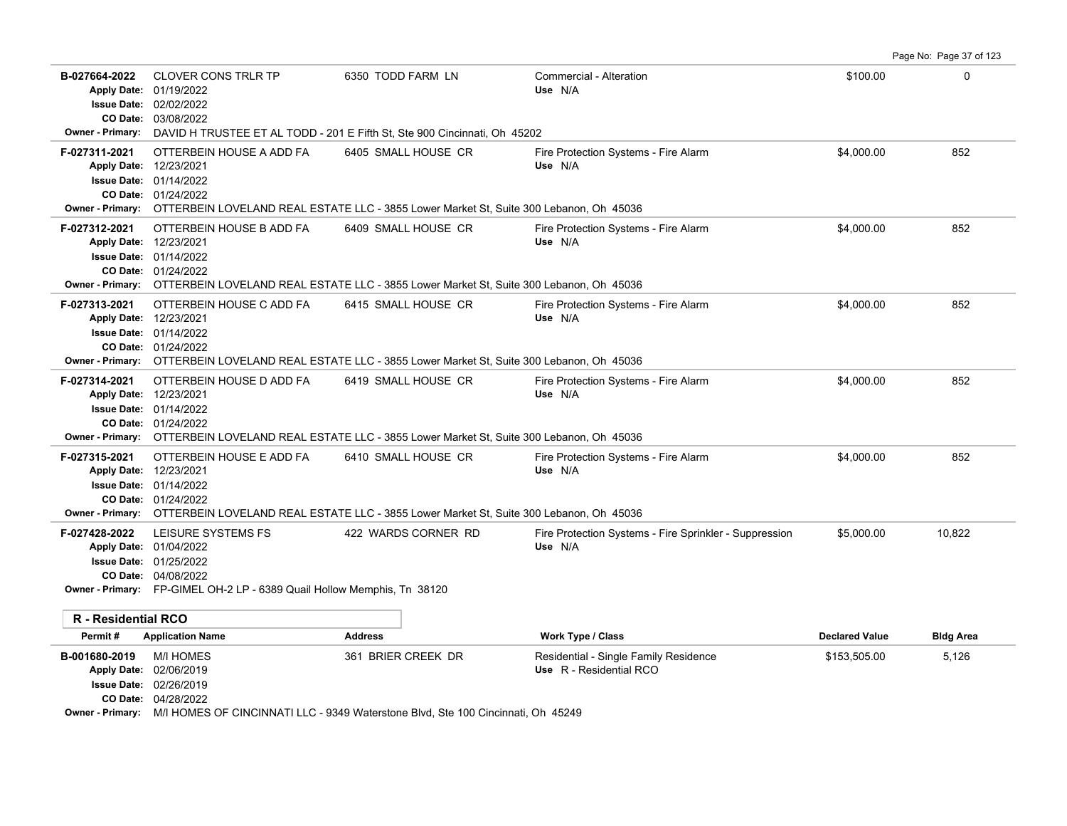| B-027664-2022<br>CO Date:<br><b>Owner - Primary:</b> | <b>CLOVER CONS TRLR TP</b><br>Apply Date: 01/19/2022<br><b>Issue Date: 02/02/2022</b><br>03/08/2022                                                                                                                   | 6350 TODD FARM LN<br>DAVID H TRUSTEE ET AL TODD - 201 E Fifth St, Ste 900 Cincinnati, Oh 45202 | Commercial - Alteration<br>Use N/A                                | \$100.00              | 0                |
|------------------------------------------------------|-----------------------------------------------------------------------------------------------------------------------------------------------------------------------------------------------------------------------|------------------------------------------------------------------------------------------------|-------------------------------------------------------------------|-----------------------|------------------|
| F-027311-2021                                        | OTTERBEIN HOUSE A ADD FA<br>Apply Date: 12/23/2021<br><b>Issue Date: 01/14/2022</b><br>CO Date: 01/24/2022<br>Owner - Primary: OTTERBEIN LOVELAND REAL ESTATE LLC - 3855 Lower Market St, Suite 300 Lebanon, Oh 45036 | 6405 SMALL HOUSE CR                                                                            | Fire Protection Systems - Fire Alarm<br>Use N/A                   | \$4,000.00            | 852              |
| F-027312-2021                                        | OTTERBEIN HOUSE B ADD FA<br>Apply Date: 12/23/2021<br><b>Issue Date: 01/14/2022</b><br>CO Date: 01/24/2022<br>Owner - Primary: OTTERBEIN LOVELAND REAL ESTATE LLC - 3855 Lower Market St, Suite 300 Lebanon, Oh 45036 | 6409 SMALL HOUSE CR                                                                            | Fire Protection Systems - Fire Alarm<br>Use N/A                   | \$4,000.00            | 852              |
| F-027313-2021                                        | OTTERBEIN HOUSE C ADD FA<br>Apply Date: 12/23/2021<br>Issue Date: 01/14/2022<br>CO Date: 01/24/2022<br>Owner - Primary: OTTERBEIN LOVELAND REAL ESTATE LLC - 3855 Lower Market St, Suite 300 Lebanon, Oh 45036        | 6415 SMALL HOUSE CR                                                                            | Fire Protection Systems - Fire Alarm<br>Use N/A                   | \$4,000.00            | 852              |
| F-027314-2021                                        | OTTERBEIN HOUSE D ADD FA<br>Apply Date: 12/23/2021<br><b>Issue Date: 01/14/2022</b><br>CO Date: 01/24/2022<br>Owner - Primary: OTTERBEIN LOVELAND REAL ESTATE LLC - 3855 Lower Market St, Suite 300 Lebanon, Oh 45036 | 6419 SMALL HOUSE CR                                                                            | Fire Protection Systems - Fire Alarm<br>Use N/A                   | \$4,000.00            | 852              |
| F-027315-2021                                        | OTTERBEIN HOUSE E ADD FA<br>Apply Date: 12/23/2021<br><b>Issue Date: 01/14/2022</b><br>CO Date: 01/24/2022<br>Owner - Primary: OTTERBEIN LOVELAND REAL ESTATE LLC - 3855 Lower Market St, Suite 300 Lebanon, Oh 45036 | 6410 SMALL HOUSE CR                                                                            | Fire Protection Systems - Fire Alarm<br>Use N/A                   | \$4,000.00            | 852              |
| F-027428-2022                                        | LEISURE SYSTEMS FS<br>Apply Date: 01/04/2022<br><b>Issue Date: 01/25/2022</b><br>CO Date: 04/08/2022<br><b>Owner - Primary:</b> FP-GIMEL OH-2 LP - 6389 Quail Hollow Memphis, Tn 38120                                | 422 WARDS CORNER RD                                                                            | Fire Protection Systems - Fire Sprinkler - Suppression<br>Use N/A | \$5,000.00            | 10,822           |
| R - Residential RCO                                  |                                                                                                                                                                                                                       |                                                                                                |                                                                   |                       |                  |
| Permit#                                              | <b>Application Name</b>                                                                                                                                                                                               | <b>Address</b>                                                                                 | Work Type / Class                                                 | <b>Declared Value</b> | <b>Bldg Area</b> |
| B-001680-2019                                        | <b>M/I HOMES</b><br>Apply Date: 02/06/2019<br>Issue Date: 02/26/2019<br>CO Date: 04/28/2022                                                                                                                           | 361 BRIER CREEK DR                                                                             | Residential - Single Family Residence<br>Use R - Residential RCO  | \$153,505.00          | 5,126            |

Page No: Page 37 of 123

**Owner - Primary:** M/I HOMES OF CINCINNATI LLC - 9349 Waterstone Blvd, Ste 100 Cincinnati, Oh 45249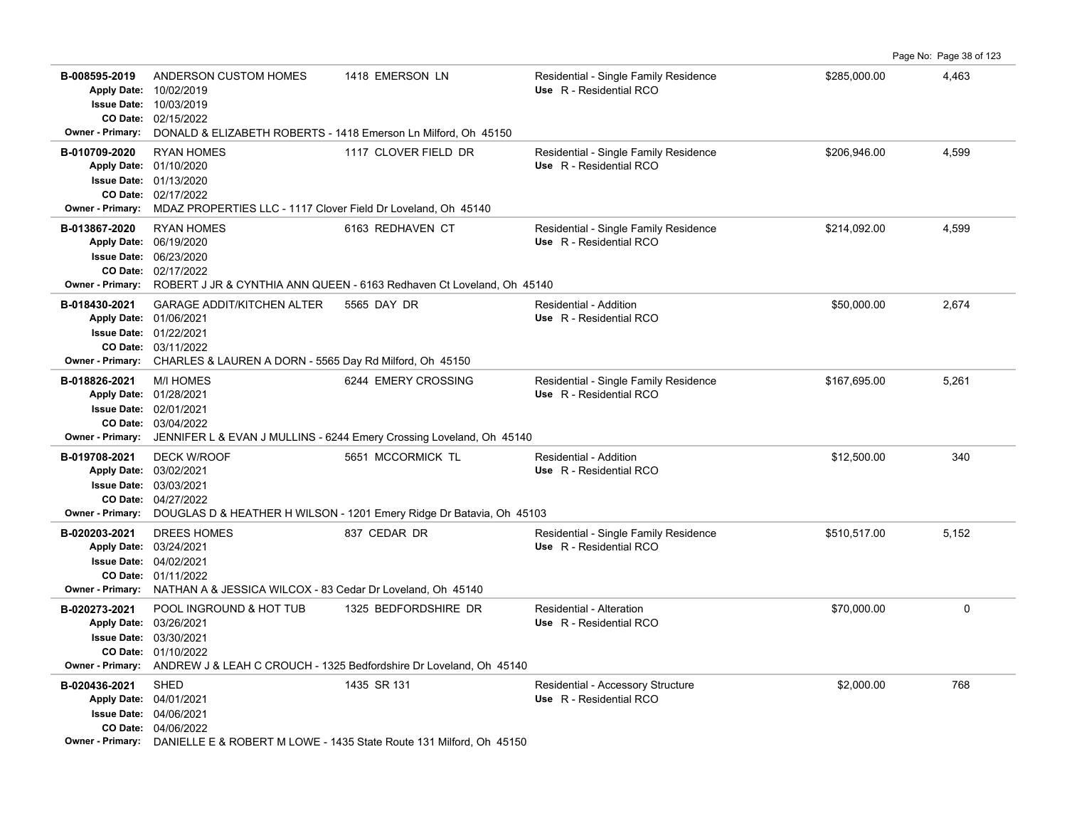Page No: Page 38 of 123

| B-008595-2019<br>Owner - Primary:        | ANDERSON CUSTOM HOMES<br>Apply Date: 10/02/2019<br><b>Issue Date: 10/03/2019</b><br>CO Date: 02/15/2022<br>DONALD & ELIZABETH ROBERTS - 1418 Emerson Ln Milford, Oh 45150      | 1418 EMERSON LN                                                                                            | Residential - Single Family Residence<br>Use R - Residential RCO | \$285,000.00 | 4,463 |
|------------------------------------------|--------------------------------------------------------------------------------------------------------------------------------------------------------------------------------|------------------------------------------------------------------------------------------------------------|------------------------------------------------------------------|--------------|-------|
| B-010709-2020                            | <b>RYAN HOMES</b><br>Apply Date: 01/10/2020<br>Issue Date: 01/13/2020<br>CO Date: 02/17/2022<br>Owner - Primary: MDAZ PROPERTIES LLC - 1117 Clover Field Dr Loveland, Oh 45140 | 1117 CLOVER FIELD DR                                                                                       | Residential - Single Family Residence<br>Use R - Residential RCO | \$206,946.00 | 4,599 |
| B-013867-2020<br><b>Owner - Primary:</b> | <b>RYAN HOMES</b><br>Apply Date: 06/19/2020<br><b>Issue Date: 06/23/2020</b><br>CO Date: 02/17/2022                                                                            | 6163 REDHAVEN CT<br>ROBERT J JR & CYNTHIA ANN QUEEN - 6163 Redhaven Ct Loveland, Oh 45140                  | Residential - Single Family Residence<br>Use R - Residential RCO | \$214,092.00 | 4,599 |
| B-018430-2021<br><b>Owner - Primary:</b> | <b>GARAGE ADDIT/KITCHEN ALTER</b><br>Apply Date: 01/06/2021<br><b>Issue Date: 01/22/2021</b><br>CO Date: 03/11/2022<br>CHARLES & LAUREN A DORN - 5565 Day Rd Milford, Oh 45150 | 5565 DAY DR                                                                                                | Residential - Addition<br>Use R - Residential RCO                | \$50,000.00  | 2,674 |
| B-018826-2021<br><b>Owner - Primary:</b> | <b>M/I HOMES</b><br>Apply Date: 01/28/2021<br><b>Issue Date: 02/01/2021</b><br>CO Date: 03/04/2022                                                                             | 6244 EMERY CROSSING<br>JENNIFER L & EVAN J MULLINS - 6244 Emery Crossing Loveland, Oh 45140                | Residential - Single Family Residence<br>Use R - Residential RCO | \$167,695.00 | 5,261 |
| B-019708-2021<br>Owner - Primary:        | <b>DECK W/ROOF</b><br>Apply Date: 03/02/2021<br><b>Issue Date: 03/03/2021</b><br>CO Date: 04/27/2022                                                                           | 5651 MCCORMICK TL<br>DOUGLAS D & HEATHER H WILSON - 1201 Emery Ridge Dr Batavia, Oh 45103                  | Residential - Addition<br>Use R - Residential RCO                | \$12,500.00  | 340   |
| B-020203-2021                            | DREES HOMES<br>Apply Date: 03/24/2021<br><b>Issue Date: 04/02/2021</b><br>CO Date: 01/11/2022<br>Owner - Primary: NATHAN A & JESSICA WILCOX - 83 Cedar Dr Loveland, Oh 45140   | 837 CEDAR DR                                                                                               | Residential - Single Family Residence<br>Use R - Residential RCO | \$510,517.00 | 5,152 |
| B-020273-2021<br><b>Owner - Primary:</b> | POOL INGROUND & HOT TUB<br>Apply Date: 03/26/2021<br><b>Issue Date: 03/30/2021</b><br>CO Date: 01/10/2022                                                                      | 1325 BEDFORDSHIRE DR<br>ANDREW J & LEAH C CROUCH - 1325 Bedfordshire Dr Loveland, Oh 45140                 | Residential - Alteration<br>Use R - Residential RCO              | \$70,000.00  | 0     |
| B-020436-2021                            | <b>SHED</b><br>Apply Date: 04/01/2021<br><b>Issue Date: 04/06/2021</b><br>CO Date: 04/06/2022                                                                                  | 1435 SR 131<br><b>Owner - Primary:</b> DANIELLE E & ROBERT M LOWE - 1435 State Route 131 Milford, Oh 45150 | Residential - Accessory Structure<br>Use R - Residential RCO     | \$2,000.00   | 768   |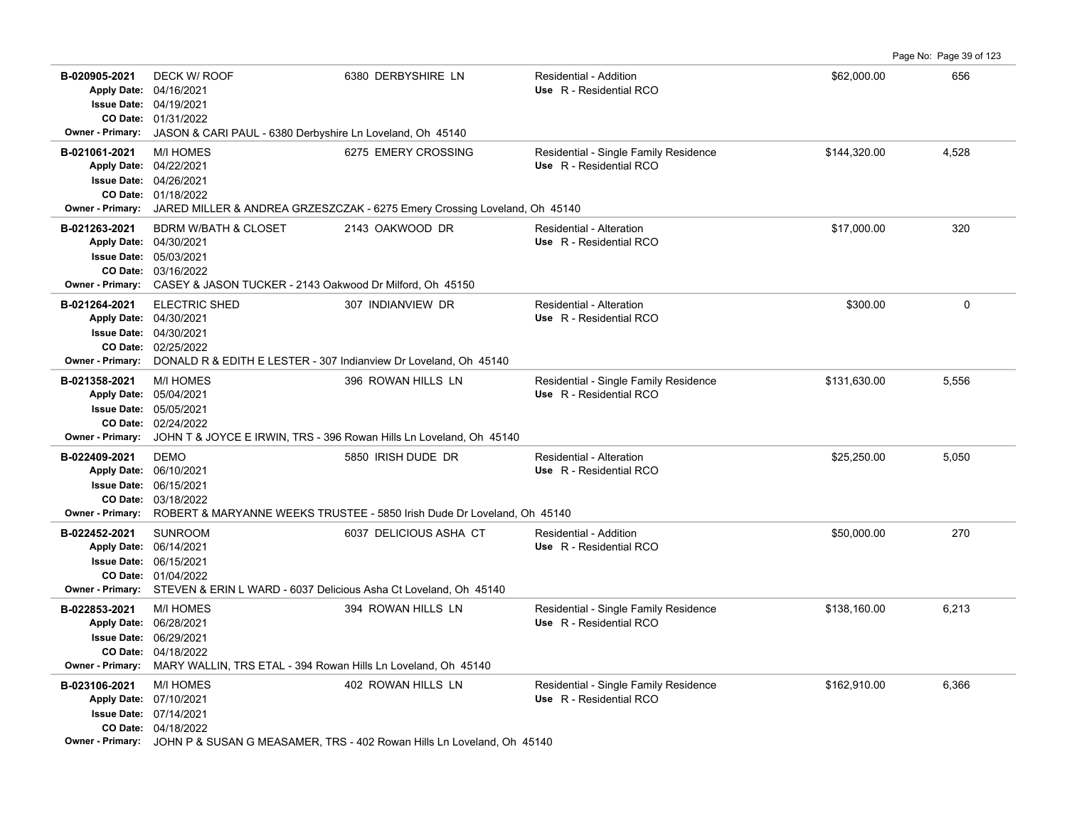Page No: Page 39 of 123

| B-020905-2021<br><b>Owner - Primary:</b>                       | DECK W/ ROOF<br>Apply Date: 04/16/2021<br><b>Issue Date: 04/19/2021</b><br>CO Date: 01/31/2022<br>JASON & CARI PAUL - 6380 Derbyshire Ln Loveland, Oh 45140                   | 6380 DERBYSHIRE LN                                                                                            | <b>Residential - Addition</b><br>Use R - Residential RCO         | \$62,000.00  | 656   |
|----------------------------------------------------------------|-------------------------------------------------------------------------------------------------------------------------------------------------------------------------------|---------------------------------------------------------------------------------------------------------------|------------------------------------------------------------------|--------------|-------|
| B-021061-2021<br><b>Owner - Primary:</b>                       | <b>M/I HOMES</b><br>Apply Date: 04/22/2021<br><b>Issue Date: 04/26/2021</b><br>CO Date: 01/18/2022                                                                            | 6275 EMERY CROSSING<br>JARED MILLER & ANDREA GRZESZCZAK - 6275 Emery Crossing Loveland, Oh 45140              | Residential - Single Family Residence<br>Use R - Residential RCO | \$144,320.00 | 4,528 |
| B-021263-2021<br><b>Owner - Primary:</b>                       | <b>BDRM W/BATH &amp; CLOSET</b><br>Apply Date: 04/30/2021<br><b>Issue Date: 05/03/2021</b><br>CO Date: 03/16/2022<br>CASEY & JASON TUCKER - 2143 Oakwood Dr Milford, Oh 45150 | 2143 OAKWOOD DR                                                                                               | <b>Residential - Alteration</b><br>Use R - Residential RCO       | \$17,000.00  | 320   |
| B-021264-2021<br><b>Owner - Primary:</b>                       | <b>ELECTRIC SHED</b><br>Apply Date: 04/30/2021<br>Issue Date: 04/30/2021<br>CO Date: 02/25/2022<br>DONALD R & EDITH E LESTER - 307 Indianview Dr Loveland, Oh 45140           | 307 INDIANVIEW DR                                                                                             | Residential - Alteration<br>Use R - Residential RCO              | \$300.00     | 0     |
| B-021358-2021<br><b>Owner - Primary:</b>                       | <b>M/I HOMES</b><br>Apply Date: 05/04/2021<br>Issue Date: 05/05/2021<br>CO Date: 02/24/2022                                                                                   | 396 ROWAN HILLS LN<br>JOHN T & JOYCE E IRWIN, TRS - 396 Rowan Hills Ln Loveland, Oh 45140                     | Residential - Single Family Residence<br>Use R - Residential RCO | \$131,630.00 | 5,556 |
| B-022409-2021<br><b>Apply Date:</b><br><b>Owner - Primary:</b> | <b>DEMO</b><br>06/10/2021<br><b>Issue Date: 06/15/2021</b><br>CO Date: 03/18/2022                                                                                             | 5850 IRISH DUDE DR<br>ROBERT & MARYANNE WEEKS TRUSTEE - 5850 Irish Dude Dr Loveland, Oh 45140                 | <b>Residential - Alteration</b><br>Use R - Residential RCO       | \$25,250.00  | 5,050 |
| B-022452-2021<br><b>Apply Date:</b><br><b>Owner - Primary:</b> | <b>SUNROOM</b><br>06/14/2021<br><b>Issue Date: 06/15/2021</b><br>CO Date: 01/04/2022<br>STEVEN & ERIN L WARD - 6037 Delicious Asha Ct Loveland, Oh 45140                      | 6037 DELICIOUS ASHA CT                                                                                        | <b>Residential - Addition</b><br>Use R - Residential RCO         | \$50,000.00  | 270   |
| B-022853-2021<br>CO Date:<br><b>Owner - Primary:</b>           | <b>M/I HOMES</b><br>Apply Date: 06/28/2021<br><b>Issue Date: 06/29/2021</b><br>04/18/2022<br>MARY WALLIN, TRS ETAL - 394 Rowan Hills Ln Loveland, Oh 45140                    | 394 ROWAN HILLS LN                                                                                            | Residential - Single Family Residence<br>Use R - Residential RCO | \$138,160.00 | 6,213 |
| B-023106-2021                                                  | <b>M/I HOMES</b><br>Apply Date: 07/10/2021<br>Issue Date: 07/14/2021<br>CO Date: 04/18/2022                                                                                   | 402 ROWAN HILLS LN<br>Owner - Primary: JOHN P & SUSAN G MEASAMER, TRS - 402 Rowan Hills Ln Loveland, Oh 45140 | Residential - Single Family Residence<br>Use R - Residential RCO | \$162,910.00 | 6,366 |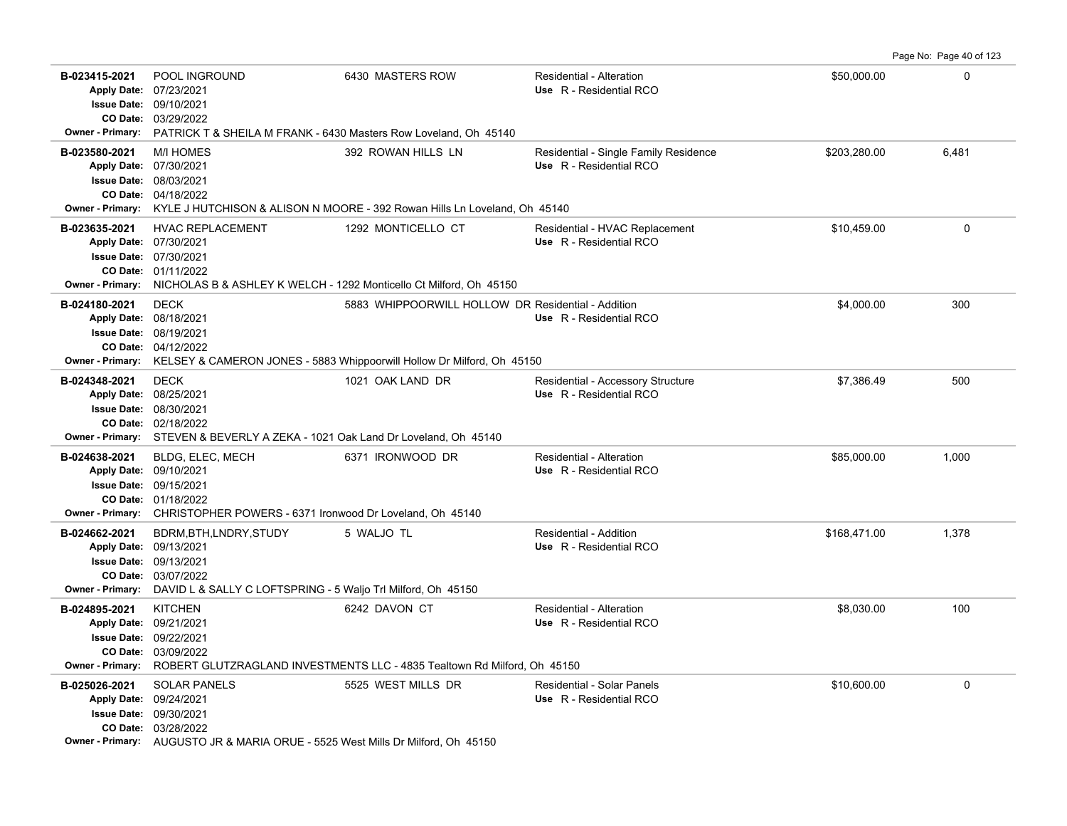Page No: Page 40 of 123

| B-023415-2021<br>Owner - Primary:        | POOL INGROUND<br>Apply Date: 07/23/2021<br><b>Issue Date: 09/10/2021</b><br>CO Date: 03/29/2022<br>PATRICK T & SHEILA M FRANK - 6430 Masters Row Loveland, Oh 45140                      | 6430 MASTERS ROW                                                                                                             | Residential - Alteration<br>Use R - Residential RCO              | \$50,000.00  | $\Omega$ |
|------------------------------------------|------------------------------------------------------------------------------------------------------------------------------------------------------------------------------------------|------------------------------------------------------------------------------------------------------------------------------|------------------------------------------------------------------|--------------|----------|
| B-023580-2021<br><b>Owner - Primary:</b> | <b>M/I HOMES</b><br>Apply Date: 07/30/2021<br><b>Issue Date: 08/03/2021</b><br>CO Date: 04/18/2022                                                                                       | 392 ROWAN HILLS LN<br>KYLE J HUTCHISON & ALISON N MOORE - 392 Rowan Hills Ln Loveland, Oh 45140                              | Residential - Single Family Residence<br>Use R - Residential RCO | \$203,280.00 | 6,481    |
| B-023635-2021<br><b>Owner - Primary:</b> | <b>HVAC REPLACEMENT</b><br>Apply Date: 07/30/2021<br>Issue Date: 07/30/2021<br>CO Date: 01/11/2022<br>NICHOLAS B & ASHLEY K WELCH - 1292 Monticello Ct Milford, Oh 45150                 | 1292 MONTICELLO CT                                                                                                           | Residential - HVAC Replacement<br>Use R - Residential RCO        | \$10,459.00  | $\Omega$ |
| B-024180-2021<br><b>Owner - Primary:</b> | <b>DECK</b><br>Apply Date: 08/18/2021<br><b>Issue Date: 08/19/2021</b><br>CO Date: 04/12/2022                                                                                            | 5883 WHIPPOORWILL HOLLOW DR Residential - Addition<br>KELSEY & CAMERON JONES - 5883 Whippoorwill Hollow Dr Milford, Oh 45150 | Use R - Residential RCO                                          | \$4,000.00   | 300      |
| B-024348-2021<br><b>Owner - Primary:</b> | <b>DECK</b><br>Apply Date: 08/25/2021<br><b>Issue Date: 08/30/2021</b><br>CO Date: 02/18/2022<br>STEVEN & BEVERLY A ZEKA - 1021 Oak Land Dr Loveland, Oh 45140                           | 1021 OAK LAND DR                                                                                                             | Residential - Accessory Structure<br>Use R - Residential RCO     | \$7,386.49   | 500      |
| B-024638-2021<br>Owner - Primary:        | BLDG, ELEC, MECH<br>Apply Date: 09/10/2021<br><b>Issue Date: 09/15/2021</b><br>CO Date: 01/18/2022<br>CHRISTOPHER POWERS - 6371 Ironwood Dr Loveland, Oh 45140                           | 6371 IRONWOOD DR                                                                                                             | <b>Residential - Alteration</b><br>Use R - Residential RCO       | \$85,000.00  | 1.000    |
| B-024662-2021<br>Owner - Primary:        | BDRM, BTH, LNDRY, STUDY<br>Apply Date: 09/13/2021<br><b>Issue Date: 09/13/2021</b><br>CO Date: 03/07/2022<br>DAVID L & SALLY C LOFTSPRING - 5 Waljo Trl Milford, Oh 45150                | 5 WALJO TL                                                                                                                   | Residential - Addition<br>Use R - Residential RCO                | \$168,471.00 | 1,378    |
| B-024895-2021<br><b>Owner - Primary:</b> | <b>KITCHEN</b><br>Apply Date: 09/21/2021<br><b>Issue Date: 09/22/2021</b><br>CO Date: 03/09/2022                                                                                         | 6242 DAVON CT<br>ROBERT GLUTZRAGLAND INVESTMENTS LLC - 4835 Tealtown Rd Milford, Oh 45150                                    | Residential - Alteration<br>Use R - Residential RCO              | \$8,030.00   | 100      |
| B-025026-2021                            | <b>SOLAR PANELS</b><br>Apply Date: 09/24/2021<br><b>Issue Date: 09/30/2021</b><br>CO Date: 03/28/2022<br>Owner - Primary: AUGUSTO JR & MARIA ORUE - 5525 West Mills Dr Milford, Oh 45150 | 5525 WEST MILLS DR                                                                                                           | Residential - Solar Panels<br>Use R - Residential RCO            | \$10,600.00  | $\Omega$ |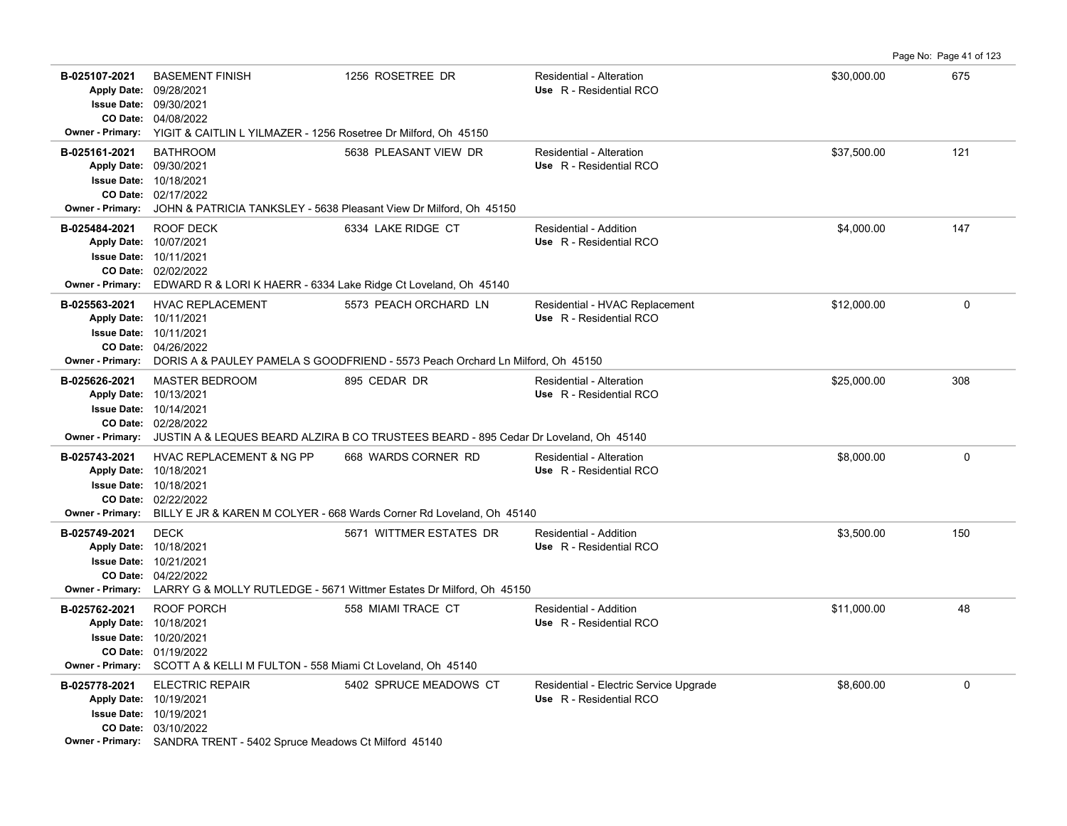Page No: Page 41 of 123

| B-025107-2021<br><b>Apply Date:</b><br><b>Owner - Primary:</b> | <b>BASEMENT FINISH</b><br>09/28/2021<br><b>Issue Date: 09/30/2021</b><br>CO Date: 04/08/2022<br>YIGIT & CAITLIN L YILMAZER - 1256 Rosetree Dr Milford, Oh 45150           | 1256 ROSETREE DR                                                                                                 | <b>Residential - Alteration</b><br>Use R - Residential RCO        | \$30,000.00 | 675      |
|----------------------------------------------------------------|---------------------------------------------------------------------------------------------------------------------------------------------------------------------------|------------------------------------------------------------------------------------------------------------------|-------------------------------------------------------------------|-------------|----------|
| B-025161-2021<br><b>Owner - Primary:</b>                       | <b>BATHROOM</b><br>Apply Date: 09/30/2021<br><b>Issue Date: 10/18/2021</b><br>CO Date: 02/17/2022<br>JOHN & PATRICIA TANKSLEY - 5638 Pleasant View Dr Milford, Oh 45150   | 5638 PLEASANT VIEW DR                                                                                            | Residential - Alteration<br>Use R - Residential RCO               | \$37,500.00 | 121      |
| B-025484-2021<br><b>Owner - Primary:</b>                       | <b>ROOF DECK</b><br>Apply Date: 10/07/2021<br><b>Issue Date: 10/11/2021</b><br>CO Date: 02/02/2022<br>EDWARD R & LORI K HAERR - 6334 Lake Ridge Ct Loveland, Oh 45140     | 6334 LAKE RIDGE CT                                                                                               | Residential - Addition<br>Use R - Residential RCO                 | \$4,000.00  | 147      |
| B-025563-2021<br><b>Owner - Primary:</b>                       | <b>HVAC REPLACEMENT</b><br>Apply Date: 10/11/2021<br><b>Issue Date: 10/11/2021</b><br>CO Date: 04/26/2022                                                                 | 5573 PEACH ORCHARD LN<br>DORIS A & PAULEY PAMELA S GOODFRIEND - 5573 Peach Orchard Ln Milford, Oh 45150          | Residential - HVAC Replacement<br>Use R - Residential RCO         | \$12,000.00 | 0        |
| B-025626-2021<br><b>Owner - Primary:</b>                       | <b>MASTER BEDROOM</b><br>Apply Date: 10/13/2021<br>Issue Date: 10/14/2021<br>CO Date: 02/28/2022                                                                          | 895 CEDAR DR<br>JUSTIN A & LEQUES BEARD ALZIRA B CO TRUSTEES BEARD - 895 Cedar Dr Loveland, Oh 45140             | Residential - Alteration<br>Use R - Residential RCO               | \$25,000.00 | 308      |
| B-025743-2021<br><b>Owner - Primary:</b>                       | <b>HVAC REPLACEMENT &amp; NG PP</b><br>Apply Date: 10/18/2021<br><b>Issue Date: 10/18/2021</b><br>CO Date: 02/22/2022                                                     | 668 WARDS CORNER RD<br>BILLY E JR & KAREN M COLYER - 668 Wards Corner Rd Loveland, Oh 45140                      | <b>Residential - Alteration</b><br>Use R - Residential RCO        | \$8,000.00  | $\Omega$ |
| B-025749-2021                                                  | <b>DECK</b><br>Apply Date: 10/18/2021<br><b>Issue Date: 10/21/2021</b><br>CO Date: 04/22/2022                                                                             | 5671 WITTMER ESTATES DR<br>Owner - Primary: LARRY G & MOLLY RUTLEDGE - 5671 Wittmer Estates Dr Milford, Oh 45150 | Residential - Addition<br>Use R - Residential RCO                 | \$3,500.00  | 150      |
| B-025762-2021<br><b>Owner - Primary:</b>                       | ROOF PORCH<br>Apply Date: 10/18/2021<br>Issue Date: 10/20/2021<br>CO Date: 01/19/2022<br>SCOTT A & KELLI M FULTON - 558 Miami Ct Loveland, Oh 45140                       | 558 MIAMI TRACE CT                                                                                               | Residential - Addition<br>Use R - Residential RCO                 | \$11,000.00 | 48       |
| B-025778-2021                                                  | <b>ELECTRIC REPAIR</b><br>Apply Date: 10/19/2021<br>Issue Date: 10/19/2021<br>CO Date: 03/10/2022<br>Owner - Primary: SANDRA TRENT - 5402 Spruce Meadows Ct Milford 45140 | 5402 SPRUCE MEADOWS CT                                                                                           | Residential - Electric Service Upgrade<br>Use R - Residential RCO | \$8,600.00  | 0        |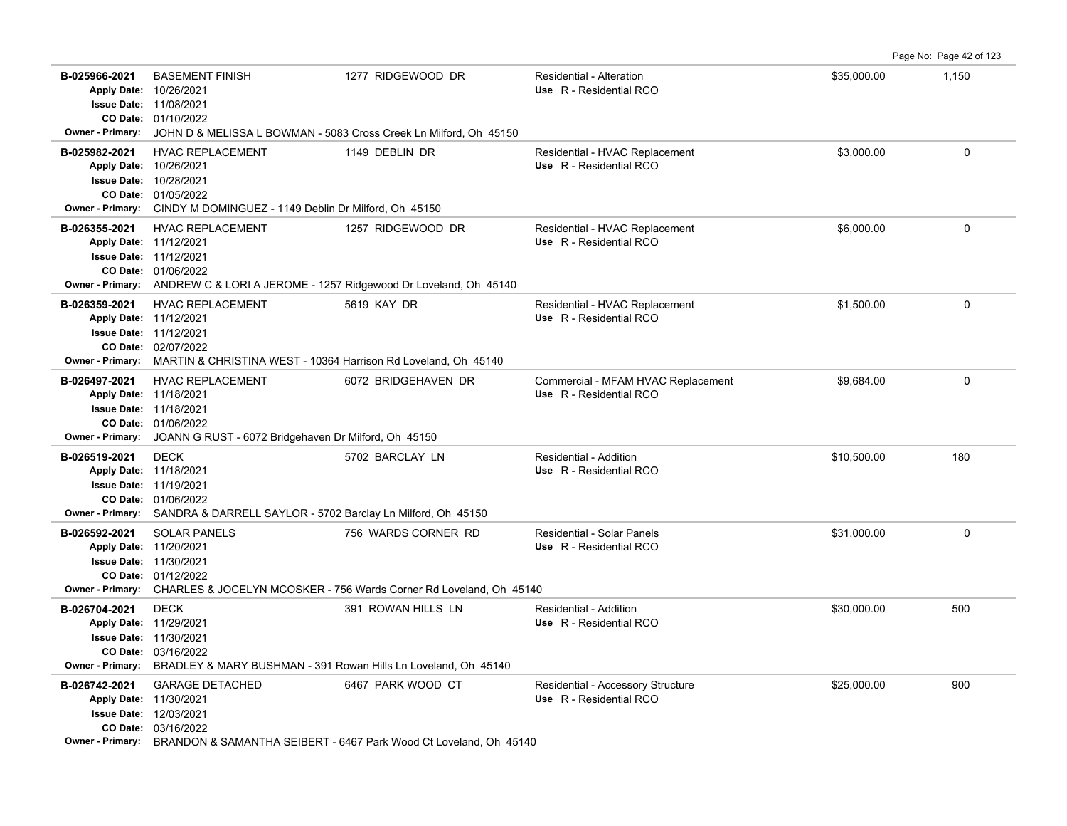Page No: Page 42 of 123

| B-025966-2021                            | <b>BASEMENT FINISH</b><br>Apply Date: 10/26/2021<br><b>Issue Date: 11/08/2021</b>                                                                                                             | 1277 RIDGEWOOD DR                                                                                              | <b>Residential - Alteration</b><br>Use R - Residential RCO    | \$35,000.00 | 1,150 |
|------------------------------------------|-----------------------------------------------------------------------------------------------------------------------------------------------------------------------------------------------|----------------------------------------------------------------------------------------------------------------|---------------------------------------------------------------|-------------|-------|
| <b>Owner - Primary:</b>                  | CO Date: 01/10/2022<br>JOHN D & MELISSA L BOWMAN - 5083 Cross Creek Ln Milford, Oh 45150                                                                                                      |                                                                                                                |                                                               |             |       |
| B-025982-2021<br><b>Owner - Primary:</b> | <b>HVAC REPLACEMENT</b><br>Apply Date: 10/26/2021<br><b>Issue Date: 10/28/2021</b><br>CO Date: 01/05/2022<br>CINDY M DOMINGUEZ - 1149 Deblin Dr Milford, Oh 45150                             | 1149 DEBLIN DR                                                                                                 | Residential - HVAC Replacement<br>Use R - Residential RCO     | \$3,000.00  | 0     |
| B-026355-2021                            | <b>HVAC REPLACEMENT</b><br>Apply Date: 11/12/2021<br><b>Issue Date: 11/12/2021</b><br>CO Date: 01/06/2022<br>Owner - Primary: ANDREW C & LORI A JEROME - 1257 Ridgewood Dr Loveland, Oh 45140 | 1257 RIDGEWOOD DR                                                                                              | Residential - HVAC Replacement<br>Use R - Residential RCO     | \$6,000.00  | 0     |
| B-026359-2021<br><b>Owner - Primary:</b> | HVAC REPLACEMENT<br>Apply Date: 11/12/2021<br><b>Issue Date: 11/12/2021</b><br>CO Date: 02/07/2022<br>MARTIN & CHRISTINA WEST - 10364 Harrison Rd Loveland, Oh 45140                          | 5619 KAY DR                                                                                                    | Residential - HVAC Replacement<br>Use R - Residential RCO     | \$1,500.00  | 0     |
| B-026497-2021<br><b>Owner - Primary:</b> | HVAC REPLACEMENT<br>Apply Date: 11/18/2021<br><b>Issue Date: 11/18/2021</b><br>CO Date: 01/06/2022<br>JOANN G RUST - 6072 Bridgehaven Dr Milford, Oh 45150                                    | 6072 BRIDGEHAVEN DR                                                                                            | Commercial - MFAM HVAC Replacement<br>Use R - Residential RCO | \$9,684.00  | 0     |
| B-026519-2021                            | <b>DECK</b><br>Apply Date: 11/18/2021<br><b>Issue Date: 11/19/2021</b><br>CO Date: 01/06/2022<br>Owner - Primary: SANDRA & DARRELL SAYLOR - 5702 Barclay Ln Milford, Oh 45150                 | 5702 BARCLAY LN                                                                                                | <b>Residential - Addition</b><br>Use R - Residential RCO      | \$10,500.00 | 180   |
| B-026592-2021<br><b>Owner - Primary:</b> | <b>SOLAR PANELS</b><br>Apply Date: 11/20/2021<br><b>Issue Date: 11/30/2021</b><br>CO Date: 01/12/2022                                                                                         | 756 WARDS CORNER RD<br>CHARLES & JOCELYN MCOSKER - 756 Wards Corner Rd Loveland, Oh 45140                      | Residential - Solar Panels<br>Use R - Residential RCO         | \$31,000.00 | 0     |
| B-026704-2021<br>Owner - Primary:        | <b>DECK</b><br>Apply Date: 11/29/2021<br><b>Issue Date: 11/30/2021</b><br>CO Date: 03/16/2022<br>BRADLEY & MARY BUSHMAN - 391 Rowan Hills Ln Loveland, Oh 45140                               | 391 ROWAN HILLS LN                                                                                             | <b>Residential - Addition</b><br>Use R - Residential RCO      | \$30,000.00 | 500   |
| B-026742-2021                            | <b>GARAGE DETACHED</b><br>Apply Date: 11/30/2021<br><b>Issue Date: 12/03/2021</b><br>CO Date: 03/16/2022                                                                                      | 6467 PARK WOOD CT<br><b>Owner - Primary:</b> BRANDON & SAMANTHA SEIBERT - 6467 Park Wood Ct Loveland, Oh 45140 | Residential - Accessory Structure<br>Use R - Residential RCO  | \$25,000.00 | 900   |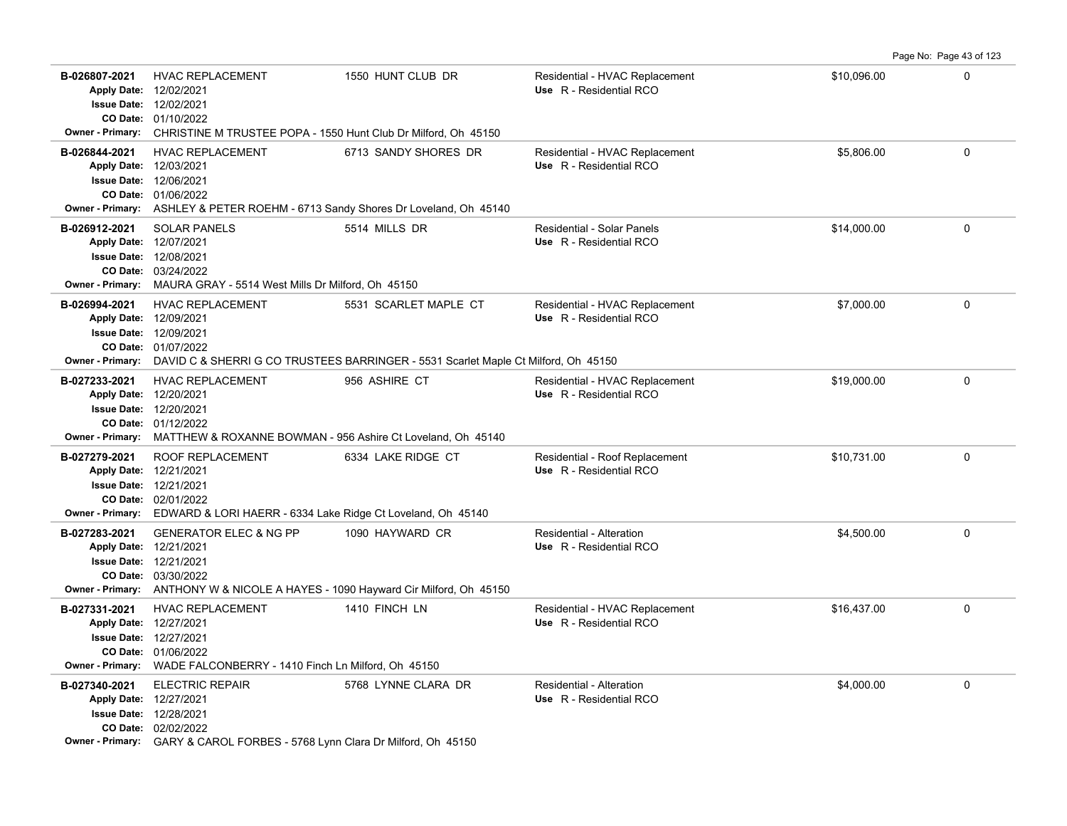Page No: Page 43 of 123

| B-026807-2021                            | <b>HVAC REPLACEMENT</b><br>Apply Date: 12/02/2021<br><b>Issue Date: 12/02/2021</b><br>CO Date: 01/10/2022<br>Owner - Primary: CHRISTINE M TRUSTEE POPA - 1550 Hunt Club Dr Milford, Oh 45150            | 1550 HUNT CLUB DR                                                                                           | Residential - HVAC Replacement<br>Use R - Residential RCO    | \$10,096.00 | 0           |
|------------------------------------------|---------------------------------------------------------------------------------------------------------------------------------------------------------------------------------------------------------|-------------------------------------------------------------------------------------------------------------|--------------------------------------------------------------|-------------|-------------|
| B-026844-2021                            | <b>HVAC REPLACEMENT</b><br>Apply Date: 12/03/2021<br><b>Issue Date: 12/06/2021</b><br>CO Date: 01/06/2022<br>Owner - Primary: ASHLEY & PETER ROEHM - 6713 Sandy Shores Dr Loveland, Oh 45140            | 6713 SANDY SHORES DR                                                                                        | Residential - HVAC Replacement<br>Use R - Residential RCO    | \$5,806.00  | $\mathbf 0$ |
| B-026912-2021                            | <b>SOLAR PANELS</b><br>Apply Date: 12/07/2021<br><b>Issue Date: 12/08/2021</b><br>CO Date: 03/24/2022<br>Owner - Primary: MAURA GRAY - 5514 West Mills Dr Milford, Oh 45150                             | 5514 MILLS DR                                                                                               | <b>Residential - Solar Panels</b><br>Use R - Residential RCO | \$14,000.00 | $\mathbf 0$ |
| B-026994-2021<br><b>Owner - Primary:</b> | HVAC REPLACEMENT<br>Apply Date: 12/09/2021<br><b>Issue Date: 12/09/2021</b><br>CO Date: 01/07/2022                                                                                                      | 5531 SCARLET MAPLE CT<br>DAVID C & SHERRI G CO TRUSTEES BARRINGER - 5531 Scarlet Maple Ct Milford, Oh 45150 | Residential - HVAC Replacement<br>Use R - Residential RCO    | \$7,000.00  | $\mathbf 0$ |
| B-027233-2021                            | <b>HVAC REPLACEMENT</b><br>Apply Date: 12/20/2021<br><b>Issue Date: 12/20/2021</b><br>CO Date: 01/12/2022<br>Owner - Primary: MATTHEW & ROXANNE BOWMAN - 956 Ashire Ct Loveland, Oh 45140               | 956 ASHIRE CT                                                                                               | Residential - HVAC Replacement<br>Use R - Residential RCO    | \$19,000.00 | $\Omega$    |
| B-027279-2021                            | ROOF REPLACEMENT<br>Apply Date: 12/21/2021<br><b>Issue Date: 12/21/2021</b><br>CO Date: 02/01/2022<br>Owner - Primary: EDWARD & LORI HAERR - 6334 Lake Ridge Ct Loveland, Oh 45140                      | 6334 LAKE RIDGE CT                                                                                          | Residential - Roof Replacement<br>Use R - Residential RCO    | \$10,731.00 | 0           |
| B-027283-2021                            | <b>GENERATOR ELEC &amp; NG PP</b><br>Apply Date: 12/21/2021<br><b>Issue Date: 12/21/2021</b><br>CO Date: 03/30/2022<br>Owner - Primary: ANTHONY W & NICOLE A HAYES - 1090 Hayward Cir Milford, Oh 45150 | 1090 HAYWARD CR                                                                                             | Residential - Alteration<br>Use R - Residential RCO          | \$4,500.00  | 0           |
| B-027331-2021                            | <b>HVAC REPLACEMENT</b><br>Apply Date: 12/27/2021<br><b>Issue Date: 12/27/2021</b><br>CO Date: 01/06/2022<br>Owner - Primary: WADE FALCONBERRY - 1410 Finch Ln Milford, Oh 45150                        | 1410 FINCH LN                                                                                               | Residential - HVAC Replacement<br>Use R - Residential RCO    | \$16,437.00 | $\mathbf 0$ |
| B-027340-2021                            | <b>ELECTRIC REPAIR</b><br>Apply Date: 12/27/2021<br><b>Issue Date: 12/28/2021</b><br>CO Date: 02/02/2022<br>Owner - Primary: GARY & CAROL FORBES - 5768 Lynn Clara Dr Milford, Oh 45150                 | 5768 LYNNE CLARA DR                                                                                         | <b>Residential - Alteration</b><br>Use R - Residential RCO   | \$4,000.00  | $\mathbf 0$ |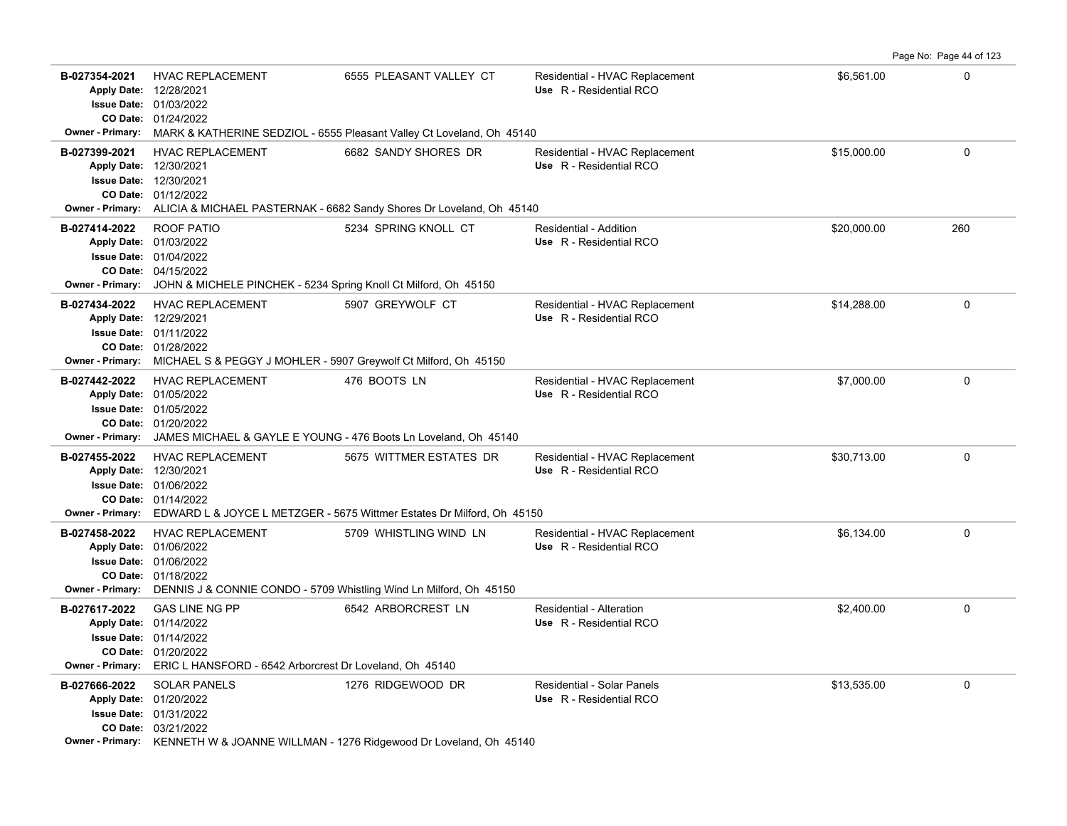**B-027354-2021** \$6,561.00 0 HVAC REPLACEMENT 6555 PLEASANT VALLEY CT Residential - HVAC Replacement 01/24/2022 **CO Date:** 01/03/2022 **Issue Date:** Apply Date: 12/28/2021 **Apply Date: Use** R - Residential RCO **Owner - Primary:** MARK & KATHERINE SEDZIOL - 6555 Pleasant Valley Ct Loveland, Oh 45140 **B-027399-2021** HVAC REPLACEMENT 6682 SANDY SHORES DR Residential - HVAC Replacement \$15,000.00 \$15,000.00 0 01/12/2022 **CO Date:** 12/30/2021 **Issue Date:** 12/30/2021 **Apply Date: Use** R - Residential RCO **Owner - Primary:** ALICIA & MICHAEL PASTERNAK - 6682 Sandy Shores Dr Loveland, Oh 45140 **B-027414-2022** ROOF PATIO **821 SEXUA SEXUA SEXUA SEXUA SEXUA SEXUA SEXUA SEXUA SEXUA SEXUA SEXUA SEXUA SEXUA SEXU** 04/15/2022 **CO Date:** 01/04/2022 **Issue Date:** 01/03/2022 **Apply Date: Use** R - Residential RCO **Owner - Primary:** JOHN & MICHELE PINCHEK - 5234 Spring Knoll Ct Milford, Oh 45150 **B-027434-2022** \$14,288.00 0 HVAC REPLACEMENT 5907 GREYWOLF CT Residential - HVAC Replacement 01/28/2022 **CO Date:** 01/11/2022 **Issue Date:** Apply Date: 12/29/2021 **Apply Date: Use** R - Residential RCO **Owner - Primary:** MICHAEL S & PEGGY J MOHLER - 5907 Greywolf Ct Milford, Oh 45150 **B-027442-2022** \$7,000.00 0 HVAC REPLACEMENT 476 BOOTS LN Residential - HVAC Replacement 01/20/2022 **CO Date:** 01/05/2022 **Issue Date:** 01/05/2022 **Apply Date: Use** R - Residential RCO **Owner - Primary:** JAMES MICHAEL & GAYLE E YOUNG - 476 Boots Ln Loveland, Oh 45140 B-027455-2022 HVAC REPLACEMENT 5675 WITTMER ESTATES DR Residential - HVAC Replacement \$30,713.00 \$30,713.00 01/14/2022 **CO Date:** 01/06/2022 **Issue Date:** Apply Date: 12/30/2021 **Apply Date: Use** R - Residential RCO **Owner - Primary:** EDWARD L & JOYCE L METZGER - 5675 Wittmer Estates Dr Milford, Oh 45150 B-027458-2022 HVAC REPLACEMENT 5709 WHISTLING WIND LN Residential - HVAC Replacement \$6,134.00 \$6,134.00 01/18/2022 **CO Date:** 01/06/2022 **Issue Date:** Apply Date: 01/06/2022 **Apply Date: Use** R - Residential RCO **Owner - Primary:** DENNIS J & CONNIE CONDO - 5709 Whistling Wind Ln Milford, Oh 45150 **B-027617-2022** \$2,400.00 0 GAS LINE NG PP 6542 ARBORCREST LN Residential - Alteration 01/20/2022 **CO Date:** 01/14/2022 **Issue Date:** Apply Date: 01/14/2022 **Apply Date: Use** R - Residential RCO **Owner - Primary:** ERIC L HANSFORD - 6542 Arborcrest Dr Loveland, Oh 45140 **B-027666-2022** \$13,535.00 0 SOLAR PANELS 1276 RIDGEWOOD DR Residential - Solar Panels 03/21/2022 **CO Date:** 01/31/2022 **Issue Date:** Apply Date: 01/20/2022 **Apply Date: Use** R - Residential RCO **Owner - Primary:** KENNETH W & JOANNE WILLMAN - 1276 Ridgewood Dr Loveland, Oh 45140

Page No: Page 44 of 123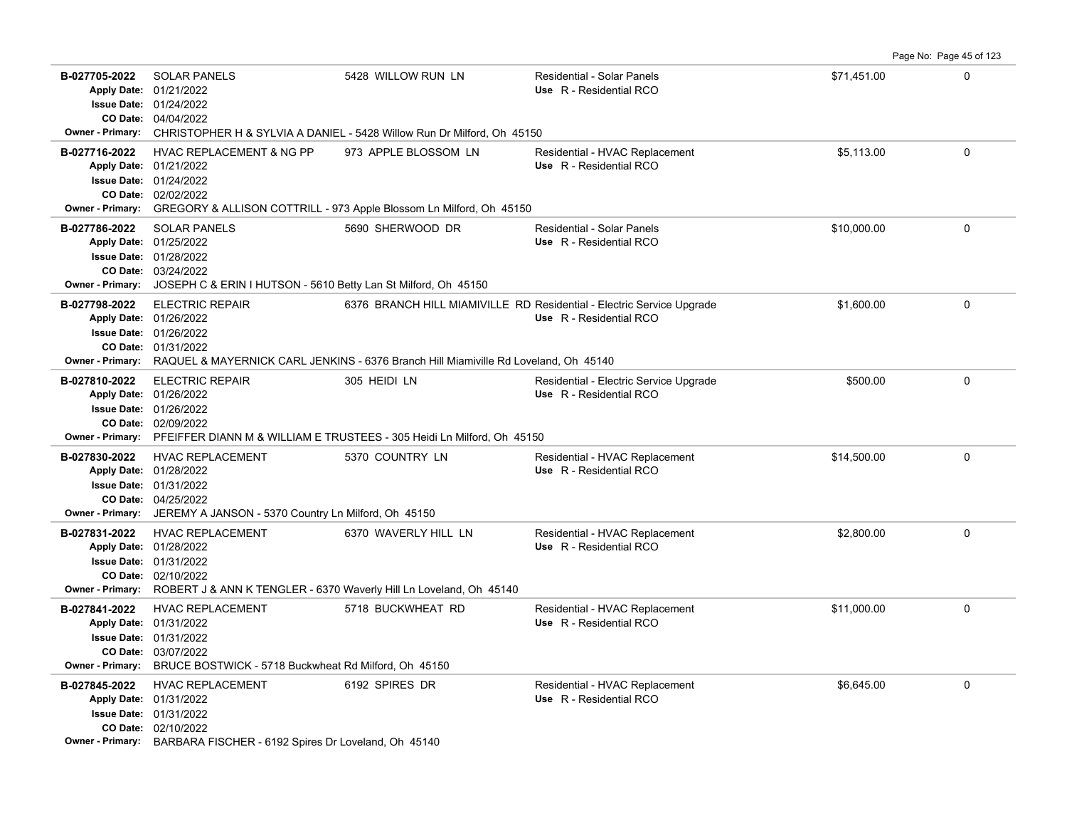**B-027705-2022** \$71,451.00 0 SOLAR PANELS 5428 WILLOW RUN LN Residential - Solar Panels 04/04/2022 **CO Date:** 01/24/2022 **Issue Date:** Apply Date: 01/21/2022 **Apply Date: Use** R - Residential RCO **Owner - Primary:** CHRISTOPHER H & SYLVIA A DANIEL - 5428 Willow Run Dr Milford, Oh 45150 B-027716-2022 HVAC REPLACEMENT & NG PP 973 APPLE BLOSSOM LN Residential - HVAC Replacement **65,113.00** \$5,113.00 02/02/2022 **CO Date:** 01/24/2022 **Issue Date:** 01/21/2022 **Apply Date: Use** R - Residential RCO **Owner - Primary:** GREGORY & ALLISON COTTRILL - 973 Apple Blossom Ln Milford, Oh 45150 **B-027786-2022** \$10,000.00 0 03/24/2022 **CO Date:** 01/28/2022 **Issue Date:** 01/25/2022 **Apply Date: Use** R - Residential RCO SOLAR PANELS 5690 SHERWOOD DR Residential - Solar Panels **Owner - Primary:** JOSEPH C & ERIN I HUTSON - 5610 Betty Lan St Milford, Oh 45150 B-027798-2022 ELECTRIC REPAIR 6376 BRANCH HILL MIAMIVILLE RD Residential - Electric Service Upgrade \$1,600.00 **61** 01/31/2022 **CO Date:** 01/26/2022 **Issue Date:** Apply Date: 01/26/2022 **Apply Date: Use** R - Residential RCO **Owner - Primary:** RAQUEL & MAYERNICK CARL JENKINS - 6376 Branch Hill Miamiville Rd Loveland, Oh 45140 B-027810-2022 ELECTRIC REPAIR 305 HEIDI LN Residential - Electric Service Upgrade \$500.00 0 0 0 0 0 0 0 0 0 0 0 02/09/2022 **CO Date:** 01/26/2022 **Issue Date:** 01/26/2022 **Apply Date: Use** R - Residential RCO Residential - Electric Service Upgrade **Owner - Primary:** PFEIFFER DIANN M & WILLIAM E TRUSTEES - 305 Heidi Ln Milford, Oh 45150 **B-027830-2022** HVAC REPLACEMENT 5370 COUNTRY LN Residential - HVAC Replacement \$14,500.00 0 0 04/25/2022 **CO Date:** 01/31/2022 **Issue Date:** Apply Date: 01/28/2022 **Apply Date: Use** R - Residential RCO **Owner - Primary:** JEREMY A JANSON - 5370 Country Ln Milford, Oh 45150 **B-027831-2022** HVAC REPLACEMENT 6370 WAVERLY HILL LN Residential - HVAC Replacement \$2,800.00 0 0 0 02/10/2022 **CO Date:** 01/31/2022 **Issue Date:** Apply Date: 01/28/2022 Residential - HVAC Replacement **Apply Date: Use** R - Residential RCO **Owner - Primary:** ROBERT J & ANN K TENGLER - 6370 Waverly Hill Ln Loveland, Oh 45140 **B-027841-2022** HVAC REPLACEMENT 5718 BUCKWHEAT RD Residential - HVAC Replacement \$11,000.00 \$11,000.00 0 03/07/2022 **CO Date:** 01/31/2022 **Issue Date:** 01/31/2022 **Apply Date: Use** R - Residential RCO **Owner - Primary:** BRUCE BOSTWICK - 5718 Buckwheat Rd Milford, Oh 45150 **B-027845-2022** HVAC REPLACEMENT 6192 SPIRES DR Residential - HVAC Replacement \$6,645.00 \$6,645.00 02/10/2022 **CO Date:** 01/31/2022 **Issue Date:** Apply Date: 01/31/2022 **Apply Date: Use** R - Residential RCO **Owner - Primary:** BARBARA FISCHER - 6192 Spires Dr Loveland, Oh 45140

Page No: Page 45 of 123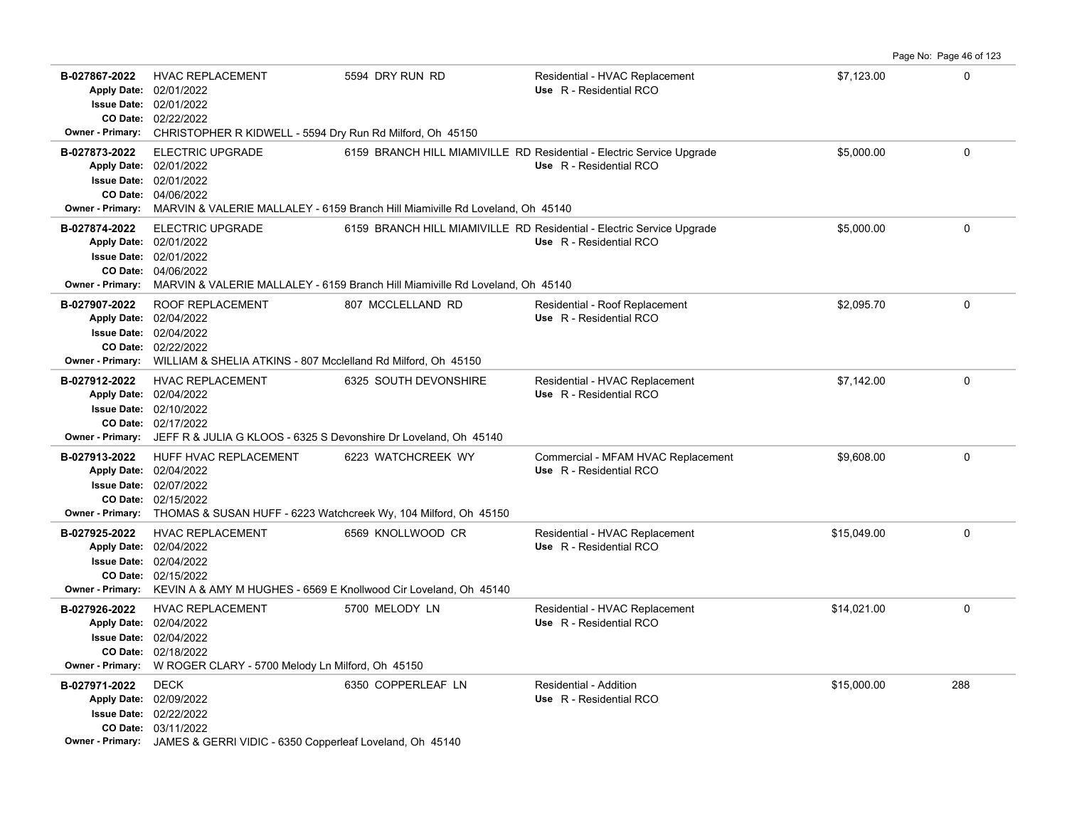|                                                                    |                                                                                                                                                                                                       |                                                                               |                                                                                                  |             | Page No: Page 46 of 123 |
|--------------------------------------------------------------------|-------------------------------------------------------------------------------------------------------------------------------------------------------------------------------------------------------|-------------------------------------------------------------------------------|--------------------------------------------------------------------------------------------------|-------------|-------------------------|
| B-027867-2022<br><b>Owner - Primary:</b>                           | <b>HVAC REPLACEMENT</b><br>Apply Date: 02/01/2022<br>Issue Date: 02/01/2022<br>CO Date: 02/22/2022<br>CHRISTOPHER R KIDWELL - 5594 Dry Run Rd Milford, Oh 45150                                       | 5594 DRY RUN RD                                                               | Residential - HVAC Replacement<br>Use R - Residential RCO                                        | \$7,123.00  | $\Omega$                |
| B-027873-2022<br><b>Owner - Primary:</b>                           | <b>ELECTRIC UPGRADE</b><br>Apply Date: 02/01/2022<br><b>Issue Date: 02/01/2022</b><br>CO Date: 04/06/2022                                                                                             | MARVIN & VALERIE MALLALEY - 6159 Branch Hill Miamiville Rd Loveland, Oh 45140 | 6159 BRANCH HILL MIAMIVILLE RD Residential - Electric Service Upgrade<br>Use R - Residential RCO | \$5,000.00  | $\Omega$                |
| B-027874-2022<br><b>Owner - Primary:</b>                           | <b>ELECTRIC UPGRADE</b><br>Apply Date: 02/01/2022<br><b>Issue Date: 02/01/2022</b><br>CO Date: 04/06/2022                                                                                             | MARVIN & VALERIE MALLALEY - 6159 Branch Hill Miamiville Rd Loveland, Oh 45140 | 6159 BRANCH HILL MIAMIVILLE RD Residential - Electric Service Upgrade<br>Use R - Residential RCO | \$5,000.00  | $\mathbf{0}$            |
| B-027907-2022<br>Owner - Primary:                                  | ROOF REPLACEMENT<br>Apply Date: 02/04/2022<br><b>Issue Date: 02/04/2022</b><br>CO Date: 02/22/2022<br>WILLIAM & SHELIA ATKINS - 807 Mcclelland Rd Milford, Oh 45150                                   | 807 MCCLELLAND RD                                                             | Residential - Roof Replacement<br>Use R - Residential RCO                                        | \$2,095.70  | $\Omega$                |
| B-027912-2022                                                      | HVAC REPLACEMENT<br>Apply Date: 02/04/2022<br><b>Issue Date: 02/10/2022</b><br>CO Date: 02/17/2022<br>Owner - Primary: JEFF R & JULIA G KLOOS - 6325 S Devonshire Dr Loveland, Oh 45140               | 6325 SOUTH DEVONSHIRE                                                         | Residential - HVAC Replacement<br>Use R - Residential RCO                                        | \$7,142.00  | $\mathbf 0$             |
| B-027913-2022                                                      | HUFF HVAC REPLACEMENT<br>Apply Date: 02/04/2022<br><b>Issue Date: 02/07/2022</b><br>CO Date: 02/15/2022<br>Owner - Primary: THOMAS & SUSAN HUFF - 6223 Watchcreek Wy, 104 Milford, Oh 45150           | 6223 WATCHCREEK WY                                                            | Commercial - MFAM HVAC Replacement<br>Use R - Residential RCO                                    | \$9,608.00  | $\mathbf 0$             |
| B-027925-2022                                                      | <b>HVAC REPLACEMENT</b><br>Apply Date: 02/04/2022<br><b>Issue Date: 02/04/2022</b><br>CO Date: 02/15/2022<br><b>Owner - Primary:</b> KEVIN A & AMY M HUGHES - 6569 E Knollwood Cir Loveland, Oh 45140 | 6569 KNOLLWOOD CR                                                             | Residential - HVAC Replacement<br>Use R - Residential RCO                                        | \$15,049.00 | $\mathbf 0$             |
| B-027926-2022<br>Apply Date: 02/04/2022<br><b>Owner - Primary:</b> | <b>HVAC REPLACEMENT</b><br><b>Issue Date: 02/04/2022</b><br>CO Date: 02/18/2022<br>W ROGER CLARY - 5700 Melody Ln Milford, Oh 45150                                                                   | 5700 MELODY LN                                                                | Residential - HVAC Replacement<br>Use R - Residential RCO                                        | \$14,021.00 | $\mathbf 0$             |
| B-027971-2022<br>Apply Date: 02/09/2022                            | <b>DECK</b><br>Issue Date: 02/22/2022<br>CO Date: 03/11/2022<br><b>Owner - Primary:</b> JAMES & GERRI VIDIC - 6350 Copperleaf Loveland, Oh 45140                                                      | 6350 COPPERLEAF LN                                                            | Residential - Addition<br>Use R - Residential RCO                                                | \$15,000.00 | 288                     |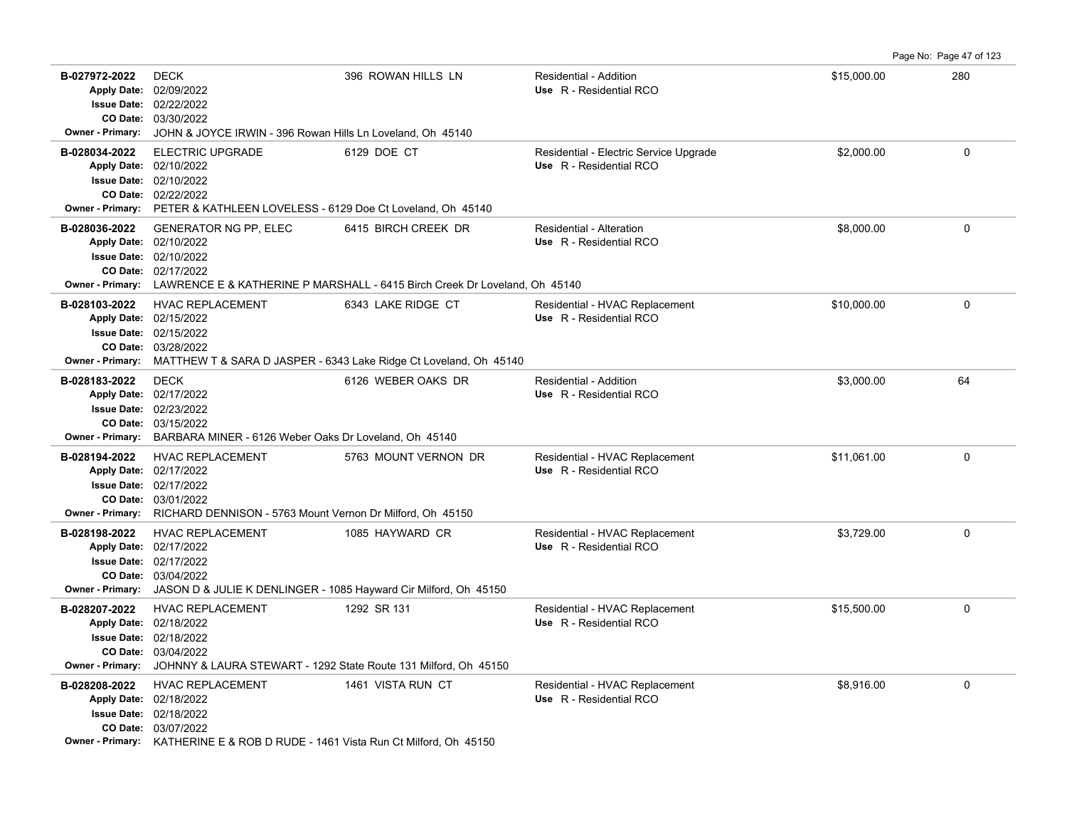Page No: Page 47 of 123

| B-027972-2022<br><b>Owner - Primary:</b> | <b>DECK</b><br>Apply Date: 02/09/2022<br><b>Issue Date: 02/22/2022</b><br>CO Date: 03/30/2022<br>JOHN & JOYCE IRWIN - 396 Rowan Hills Ln Loveland, Oh 45140                                    | 396 ROWAN HILLS LN                                                                                                 | Residential - Addition<br>Use R - Residential RCO                 | \$15,000.00 | 280          |
|------------------------------------------|------------------------------------------------------------------------------------------------------------------------------------------------------------------------------------------------|--------------------------------------------------------------------------------------------------------------------|-------------------------------------------------------------------|-------------|--------------|
| B-028034-2022                            | <b>ELECTRIC UPGRADE</b><br>Apply Date: 02/10/2022<br><b>Issue Date: 02/10/2022</b><br>CO Date: 02/22/2022<br>Owner - Primary: PETER & KATHLEEN LOVELESS - 6129 Doe Ct Loveland, Oh 45140       | 6129 DOE CT                                                                                                        | Residential - Electric Service Upgrade<br>Use R - Residential RCO | \$2,000.00  | 0            |
| B-028036-2022                            | <b>GENERATOR NG PP, ELEC</b><br>Apply Date: 02/10/2022<br><b>Issue Date: 02/10/2022</b><br>CO Date: 02/17/2022                                                                                 | 6415 BIRCH CREEK DR<br>Owner - Primary: LAWRENCE E & KATHERINE P MARSHALL - 6415 Birch Creek Dr Loveland, Oh 45140 | Residential - Alteration<br>Use R - Residential RCO               | \$8,000.00  | 0            |
| B-028103-2022<br><b>Owner - Primary:</b> | <b>HVAC REPLACEMENT</b><br>Apply Date: 02/15/2022<br><b>Issue Date: 02/15/2022</b><br>CO Date: 03/28/2022                                                                                      | 6343 LAKE RIDGE CT<br>MATTHEW T & SARA D JASPER - 6343 Lake Ridge Ct Loveland, Oh 45140                            | Residential - HVAC Replacement<br>Use R - Residential RCO         | \$10,000.00 | $\mathbf{0}$ |
| B-028183-2022                            | <b>DECK</b><br>Apply Date: 02/17/2022<br><b>Issue Date: 02/23/2022</b><br>CO Date: 03/15/2022<br>Owner - Primary: BARBARA MINER - 6126 Weber Oaks Dr Loveland, Oh 45140                        | 6126 WEBER OAKS DR                                                                                                 | Residential - Addition<br>Use R - Residential RCO                 | \$3.000.00  | 64           |
| B-028194-2022                            | <b>HVAC REPLACEMENT</b><br>Apply Date: 02/17/2022<br><b>Issue Date: 02/17/2022</b><br>CO Date: 03/01/2022<br><b>Owner - Primary:</b> RICHARD DENNISON - 5763 Mount Vernon Dr Milford, Oh 45150 | 5763 MOUNT VERNON DR                                                                                               | Residential - HVAC Replacement<br>Use R - Residential RCO         | \$11.061.00 | $\mathbf{0}$ |
| B-028198-2022<br><b>Owner - Primary:</b> | <b>HVAC REPLACEMENT</b><br>Apply Date: 02/17/2022<br><b>Issue Date: 02/17/2022</b><br>CO Date: 03/04/2022<br>JASON D & JULIE K DENLINGER - 1085 Hayward Cir Milford, Oh 45150                  | 1085 HAYWARD CR                                                                                                    | Residential - HVAC Replacement<br>Use R - Residential RCO         | \$3,729.00  | 0            |
| B-028207-2022<br>Owner - Primary:        | <b>HVAC REPLACEMENT</b><br>Apply Date: 02/18/2022<br><b>Issue Date: 02/18/2022</b><br>CO Date: 03/04/2022<br>JOHNNY & LAURA STEWART - 1292 State Route 131 Milford, Oh 45150                   | 1292 SR 131                                                                                                        | Residential - HVAC Replacement<br>Use R - Residential RCO         | \$15,500.00 | $\mathsf 0$  |
| B-028208-2022                            | <b>HVAC REPLACEMENT</b><br>Apply Date: 02/18/2022<br><b>Issue Date: 02/18/2022</b><br>CO Date: 03/07/2022<br>Owner - Primary: KATHERINE E & ROB D RUDE - 1461 Vista Run Ct Milford, Oh 45150   | 1461 VISTA RUN CT                                                                                                  | Residential - HVAC Replacement<br>Use R - Residential RCO         | \$8,916.00  | 0            |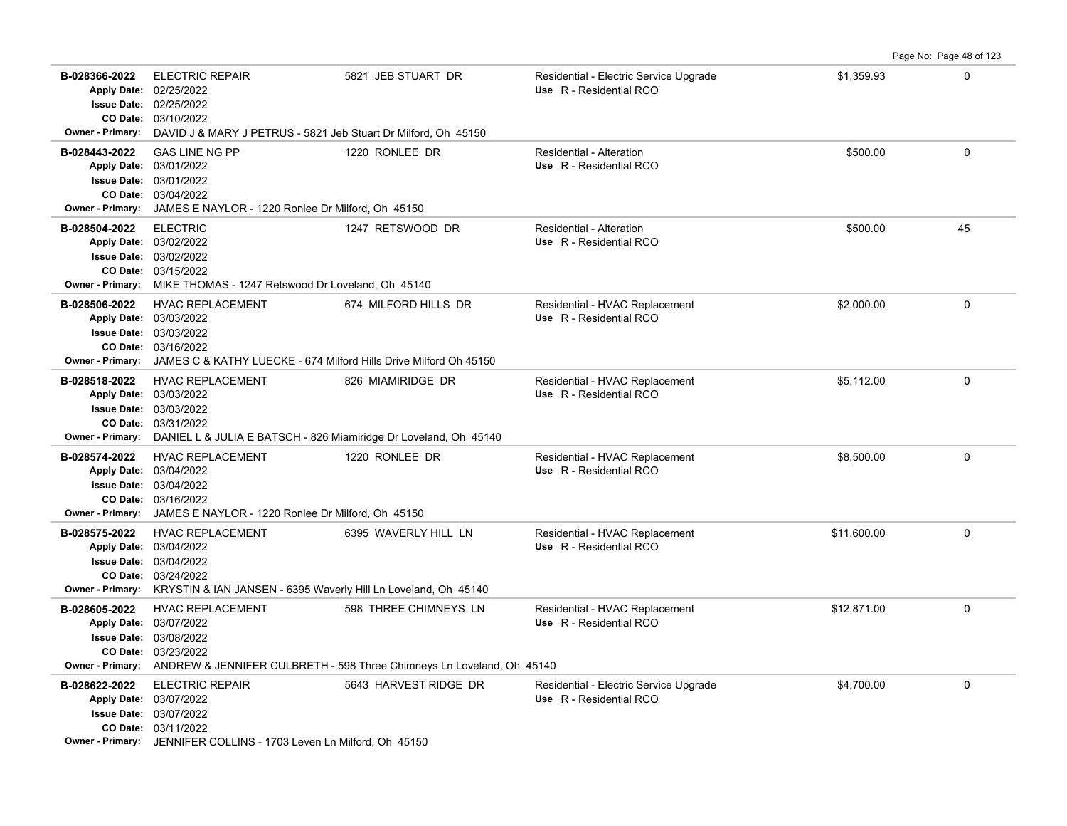|                                          |                                                                                                                                                                                              |                                                                                                |                                                                   |             | Page No: Page 48 of 123 |
|------------------------------------------|----------------------------------------------------------------------------------------------------------------------------------------------------------------------------------------------|------------------------------------------------------------------------------------------------|-------------------------------------------------------------------|-------------|-------------------------|
| B-028366-2022<br><b>Owner - Primary:</b> | <b>ELECTRIC REPAIR</b><br>Apply Date: 02/25/2022<br>Issue Date: 02/25/2022<br>CO Date: 03/10/2022<br>DAVID J & MARY J PETRUS - 5821 Jeb Stuart Dr Milford, Oh 45150                          | 5821 JEB STUART DR                                                                             | Residential - Electric Service Upgrade<br>Use R - Residential RCO | \$1,359.93  | $\Omega$                |
| B-028443-2022<br><b>Owner - Primary:</b> | <b>GAS LINE NG PP</b><br>Apply Date: 03/01/2022<br><b>Issue Date: 03/01/2022</b><br>CO Date: 03/04/2022<br>JAMES E NAYLOR - 1220 Ronlee Dr Milford, Oh 45150                                 | 1220 RONLEE DR                                                                                 | Residential - Alteration<br>Use R - Residential RCO               | \$500.00    | $\Omega$                |
| B-028504-2022<br><b>Owner - Primary:</b> | <b>ELECTRIC</b><br>Apply Date: 03/02/2022<br><b>Issue Date: 03/02/2022</b><br>CO Date: 03/15/2022<br>MIKE THOMAS - 1247 Retswood Dr Loveland, Oh 45140                                       | 1247 RETSWOOD DR                                                                               | Residential - Alteration<br>Use R - Residential RCO               | \$500.00    | 45                      |
| B-028506-2022<br><b>Owner - Primary:</b> | <b>HVAC REPLACEMENT</b><br>Apply Date: 03/03/2022<br><b>Issue Date: 03/03/2022</b><br>CO Date: 03/16/2022<br>JAMES C & KATHY LUECKE - 674 Milford Hills Drive Milford Oh 45150               | 674 MILFORD HILLS DR                                                                           | Residential - HVAC Replacement<br>Use R - Residential RCO         | \$2,000.00  | $\Omega$                |
| B-028518-2022<br><b>Owner - Primary:</b> | <b>HVAC REPLACEMENT</b><br>Apply Date: 03/03/2022<br><b>Issue Date: 03/03/2022</b><br>CO Date: 03/31/2022<br>DANIEL L & JULIA E BATSCH - 826 Miamiridge Dr Loveland, Oh 45140                | 826 MIAMIRIDGE DR                                                                              | Residential - HVAC Replacement<br>Use R - Residential RCO         | \$5,112.00  | $\mathbf 0$             |
| B-028574-2022                            | <b>HVAC REPLACEMENT</b><br>Apply Date: 03/04/2022<br><b>Issue Date: 03/04/2022</b><br>CO Date: 03/16/2022<br>Owner - Primary: JAMES E NAYLOR - 1220 Ronlee Dr Milford, Oh 45150              | 1220 RONLEE DR                                                                                 | Residential - HVAC Replacement<br>Use R - Residential RCO         | \$8,500.00  | 0                       |
| B-028575-2022                            | <b>HVAC REPLACEMENT</b><br>Apply Date: 03/04/2022<br><b>Issue Date: 03/04/2022</b><br>CO Date: 03/24/2022<br>Owner - Primary: KRYSTIN & IAN JANSEN - 6395 Waverly Hill Ln Loveland, Oh 45140 | 6395 WAVERLY HILL LN                                                                           | Residential - HVAC Replacement<br>Use R - Residential RCO         | \$11,600.00 | $\mathbf 0$             |
| B-028605-2022<br><b>Owner - Primary:</b> | <b>HVAC REPLACEMENT</b><br>Apply Date: 03/07/2022<br>Issue Date: 03/08/2022<br>CO Date: 03/23/2022                                                                                           | 598 THREE CHIMNEYS LN<br>ANDREW & JENNIFER CULBRETH - 598 Three Chimneys Ln Loveland, Oh 45140 | Residential - HVAC Replacement<br>Use R - Residential RCO         | \$12,871.00 | 0                       |
| B-028622-2022                            | <b>ELECTRIC REPAIR</b><br>Apply Date: 03/07/2022<br>Issue Date: 03/07/2022<br>CO Date: 03/11/2022<br>Owner - Primary: JENNIFER COLLINS - 1703 Leven Ln Milford, Oh 45150                     | 5643 HARVEST RIDGE DR                                                                          | Residential - Electric Service Upgrade<br>Use R - Residential RCO | \$4,700.00  | $\Omega$                |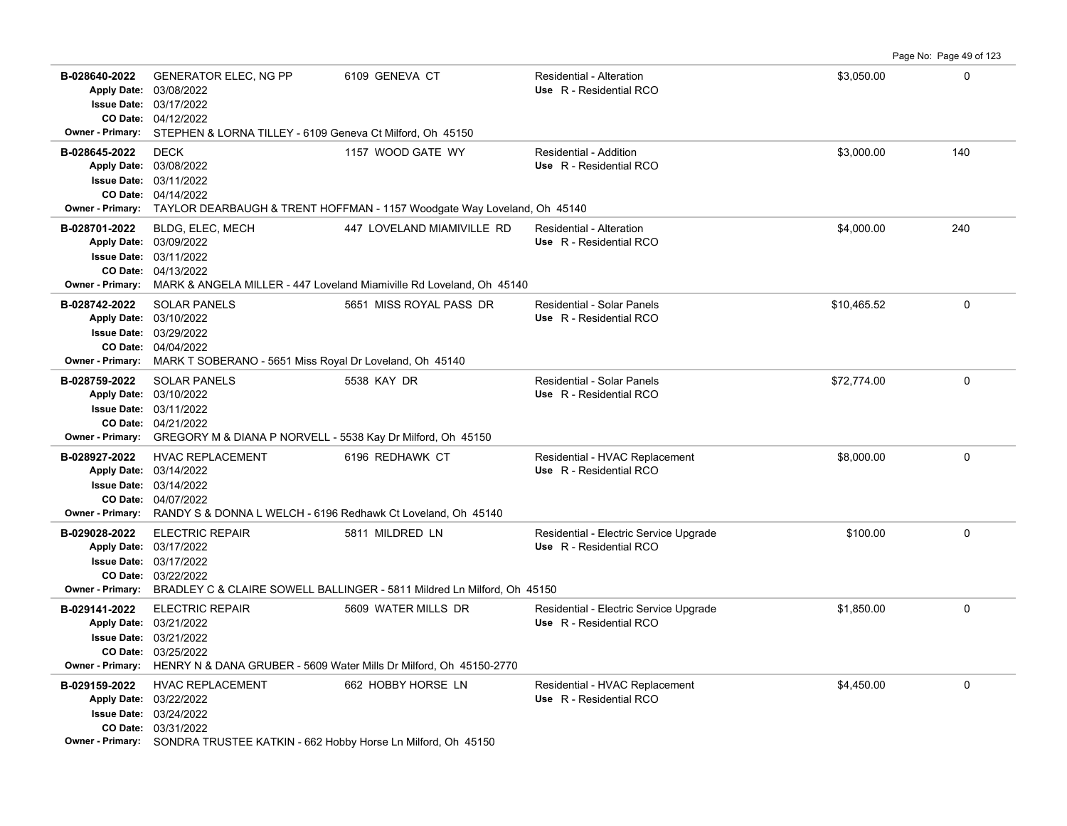Page No: Page 49 of 123

| B-028640-2022                            | <b>GENERATOR ELEC, NG PP</b><br>Apply Date: 03/08/2022<br><b>Issue Date: 03/17/2022</b><br>CO Date: 04/12/2022                                                 | 6109 GENEVA CT                                                                                                | Residential - Alteration<br>Use R - Residential RCO               | \$3,050.00  | 0            |
|------------------------------------------|----------------------------------------------------------------------------------------------------------------------------------------------------------------|---------------------------------------------------------------------------------------------------------------|-------------------------------------------------------------------|-------------|--------------|
|                                          | Owner - Primary: STEPHEN & LORNA TILLEY - 6109 Geneva Ct Milford, Oh 45150                                                                                     |                                                                                                               |                                                                   |             |              |
| B-028645-2022                            | <b>DECK</b><br>Apply Date: 03/08/2022<br><b>Issue Date: 03/11/2022</b><br>CO Date: 04/14/2022                                                                  | 1157 WOOD GATE WY<br>Owner - Primary: TAYLOR DEARBAUGH & TRENT HOFFMAN - 1157 Woodgate Way Loveland, Oh 45140 | Residential - Addition<br>Use R - Residential RCO                 | \$3,000.00  | 140          |
| B-028701-2022                            | BLDG, ELEC, MECH                                                                                                                                               | 447 LOVELAND MIAMIVILLE RD                                                                                    | Residential - Alteration                                          | \$4,000.00  | 240          |
|                                          | Apply Date: 03/09/2022<br><b>Issue Date: 03/11/2022</b><br>CO Date: 04/13/2022                                                                                 | Owner - Primary: MARK & ANGELA MILLER - 447 Loveland Miamiville Rd Loveland, Oh 45140                         | Use R - Residential RCO                                           |             |              |
|                                          | <b>SOLAR PANELS</b>                                                                                                                                            | 5651 MISS ROYAL PASS DR                                                                                       | Residential - Solar Panels                                        |             | $\mathbf{0}$ |
| B-028742-2022<br><b>Owner - Primary:</b> | Apply Date: 03/10/2022<br><b>Issue Date: 03/29/2022</b><br>CO Date: 04/04/2022<br>MARK T SOBERANO - 5651 Miss Royal Dr Loveland, Oh 45140                      |                                                                                                               | Use R - Residential RCO                                           | \$10,465.52 |              |
| B-028759-2022                            | <b>SOLAR PANELS</b>                                                                                                                                            | 5538 KAY DR                                                                                                   | Residential - Solar Panels                                        | \$72,774.00 | $\mathbf 0$  |
|                                          | Apply Date: 03/10/2022<br><b>Issue Date: 03/11/2022</b><br>CO Date: 04/21/2022<br>Owner - Primary: GREGORY M & DIANA P NORVELL - 5538 Kay Dr Milford, Oh 45150 |                                                                                                               | Use R - Residential RCO                                           |             |              |
| B-028927-2022                            | <b>HVAC REPLACEMENT</b>                                                                                                                                        | 6196 REDHAWK CT                                                                                               | Residential - HVAC Replacement                                    | \$8,000.00  | 0            |
|                                          | Apply Date: 03/14/2022                                                                                                                                         |                                                                                                               | Use R - Residential RCO                                           |             |              |
|                                          | <b>Issue Date: 03/14/2022</b>                                                                                                                                  |                                                                                                               |                                                                   |             |              |
|                                          | CO Date: 04/07/2022                                                                                                                                            |                                                                                                               |                                                                   |             |              |
|                                          | <b>Owner - Primary:</b> RANDY S & DONNA L WELCH - 6196 Redhawk Ct Loveland, Oh 45140                                                                           |                                                                                                               |                                                                   |             |              |
| B-029028-2022                            | <b>ELECTRIC REPAIR</b><br>Apply Date: 03/17/2022<br><b>Issue Date: 03/17/2022</b><br>CO Date: 03/22/2022                                                       | 5811 MILDRED LN<br>Owner - Primary: BRADLEY C & CLAIRE SOWELL BALLINGER - 5811 Mildred Ln Milford, Oh 45150   | Residential - Electric Service Upgrade<br>Use R - Residential RCO | \$100.00    | 0            |
| B-029141-2022                            | <b>ELECTRIC REPAIR</b>                                                                                                                                         | 5609 WATER MILLS DR                                                                                           | Residential - Electric Service Upgrade                            | \$1,850.00  | $\mathbf 0$  |
|                                          | Apply Date: 03/21/2022                                                                                                                                         |                                                                                                               | Use R - Residential RCO                                           |             |              |
|                                          | <b>Issue Date: 03/21/2022</b>                                                                                                                                  |                                                                                                               |                                                                   |             |              |
|                                          | CO Date: 03/25/2022<br>Owner - Primary: HENRY N & DANA GRUBER - 5609 Water Mills Dr Milford, Oh 45150-2770                                                     |                                                                                                               |                                                                   |             |              |
| B-029159-2022                            | <b>HVAC REPLACEMENT</b>                                                                                                                                        |                                                                                                               |                                                                   |             | $\mathsf 0$  |
|                                          | Apply Date: 03/22/2022                                                                                                                                         | 662 HOBBY HORSE LN                                                                                            | Residential - HVAC Replacement<br>Use R - Residential RCO         | \$4,450.00  |              |
|                                          | <b>Issue Date: 03/24/2022</b>                                                                                                                                  |                                                                                                               |                                                                   |             |              |
|                                          | CO Date: 03/31/2022                                                                                                                                            |                                                                                                               |                                                                   |             |              |
|                                          | Owner - Primary: SONDRA TRUSTEE KATKIN - 662 Hobby Horse Ln Milford, Oh 45150                                                                                  |                                                                                                               |                                                                   |             |              |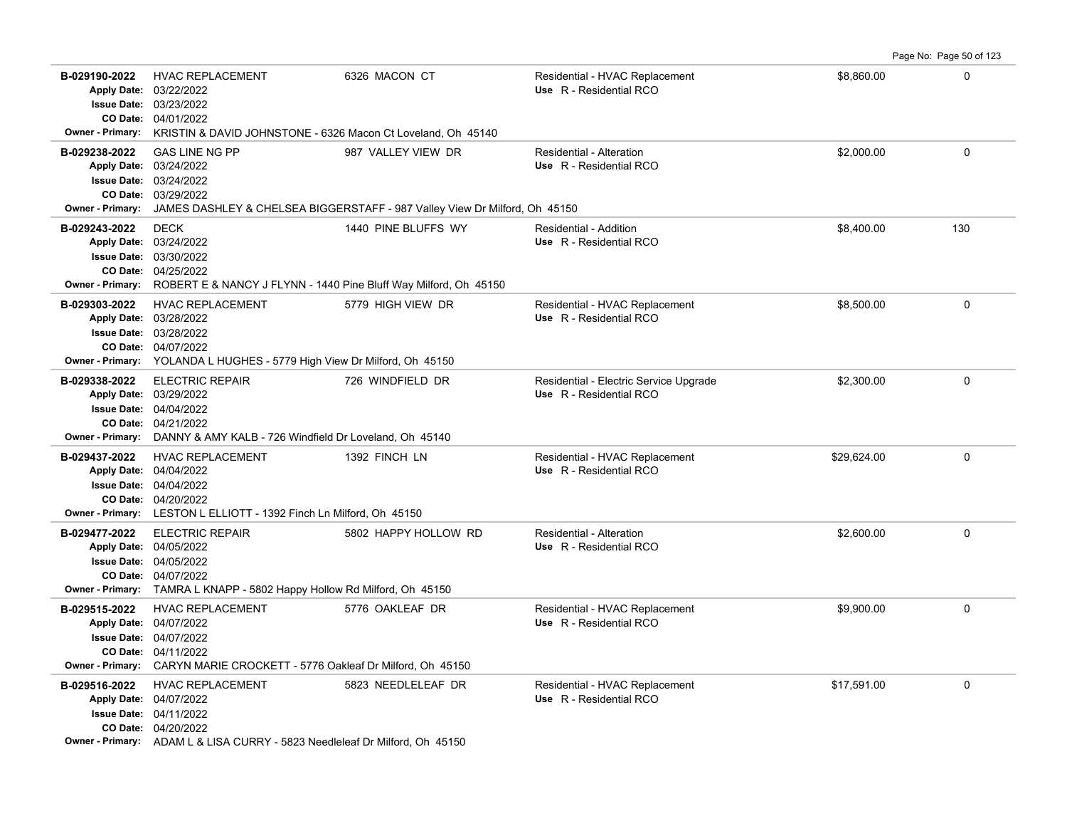|                                                                     |                                                                                                                                                                                                 |                                                                                                  |                                                                   |             | Page No: Page 50 of 123 |
|---------------------------------------------------------------------|-------------------------------------------------------------------------------------------------------------------------------------------------------------------------------------------------|--------------------------------------------------------------------------------------------------|-------------------------------------------------------------------|-------------|-------------------------|
| B-029190-2022<br>Owner - Primary:                                   | <b>HVAC REPLACEMENT</b><br>Apply Date: 03/22/2022<br>Issue Date: 03/23/2022<br>CO Date: 04/01/2022<br>KRISTIN & DAVID JOHNSTONE - 6326 Macon Ct Loveland, Oh 45140                              | 6326 MACON CT                                                                                    | Residential - HVAC Replacement<br>Use R - Residential RCO         | \$8,860.00  | $\mathbf 0$             |
| B-029238-2022<br><b>Issue Date:</b><br>CO Date:<br>Owner - Primary: | <b>GAS LINE NG PP</b><br>Apply Date: 03/24/2022<br>03/24/2022<br>03/29/2022                                                                                                                     | 987 VALLEY VIEW DR<br>JAMES DASHLEY & CHELSEA BIGGERSTAFF - 987 Valley View Dr Milford, Oh 45150 | Residential - Alteration<br>Use R - Residential RCO               | \$2,000.00  | $\mathbf 0$             |
| B-029243-2022<br><b>Apply Date:</b><br><b>Owner - Primary:</b>      | <b>DECK</b><br>03/24/2022<br><b>Issue Date: 03/30/2022</b><br>CO Date: 04/25/2022<br>ROBERT E & NANCY J FLYNN - 1440 Pine Bluff Way Milford, Oh 45150                                           | 1440 PINE BLUFFS WY                                                                              | Residential - Addition<br>Use R - Residential RCO                 | \$8,400.00  | 130                     |
| B-029303-2022<br><b>Apply Date:</b><br><b>Owner - Primary:</b>      | <b>HVAC REPLACEMENT</b><br>03/28/2022<br><b>Issue Date: 03/28/2022</b><br>CO Date: 04/07/2022<br>YOLANDA L HUGHES - 5779 High View Dr Milford, Oh 45150                                         | 5779 HIGH VIEW DR                                                                                | Residential - HVAC Replacement<br>Use R - Residential RCO         | \$8,500.00  | $\Omega$                |
| B-029338-2022                                                       | <b>ELECTRIC REPAIR</b><br>Apply Date: 03/29/2022<br><b>Issue Date: 04/04/2022</b><br>CO Date: 04/21/2022<br><b>Owner - Primary:</b> DANNY & AMY KALB - 726 Windfield Dr Loveland, Oh 45140      | 726 WINDFIELD DR                                                                                 | Residential - Electric Service Upgrade<br>Use R - Residential RCO | \$2,300.00  | $\Omega$                |
| B-029437-2022                                                       | <b>HVAC REPLACEMENT</b><br>Apply Date: 04/04/2022<br><b>Issue Date: 04/04/2022</b><br>CO Date: 04/20/2022<br>Owner - Primary: LESTON L ELLIOTT - 1392 Finch Ln Milford, Oh 45150                | 1392 FINCH LN                                                                                    | Residential - HVAC Replacement<br>Use R - Residential RCO         | \$29.624.00 | $\mathbf 0$             |
| B-029477-2022                                                       | <b>ELECTRIC REPAIR</b><br>Apply Date: 04/05/2022<br><b>Issue Date: 04/05/2022</b><br>CO Date: 04/07/2022<br>Owner - Primary: TAMRA L KNAPP - 5802 Happy Hollow Rd Milford, Oh 45150             | 5802 HAPPY HOLLOW RD                                                                             | Residential - Alteration<br>Use R - Residential RCO               | \$2,600.00  | $\mathbf 0$             |
| B-029515-2022                                                       | <b>HVAC REPLACEMENT</b><br>Apply Date: 04/07/2022<br><b>Issue Date: 04/07/2022</b><br>CO Date: 04/11/2022<br>Owner - Primary: CARYN MARIE CROCKETT - 5776 Oakleaf Dr Milford, Oh 45150          | 5776 OAKLEAF DR                                                                                  | Residential - HVAC Replacement<br>Use R - Residential RCO         | \$9,900.00  | $\mathbf 0$             |
| B-029516-2022                                                       | <b>HVAC REPLACEMENT</b><br>Apply Date: 04/07/2022<br><b>Issue Date: 04/11/2022</b><br>CO Date: 04/20/2022<br><b>Owner - Primary:</b> ADAM L & LISA CURRY - 5823 Needleleaf Dr Milford, Oh 45150 | 5823 NEEDLELEAF DR                                                                               | Residential - HVAC Replacement<br>Use R - Residential RCO         | \$17,591.00 | $\mathbf 0$             |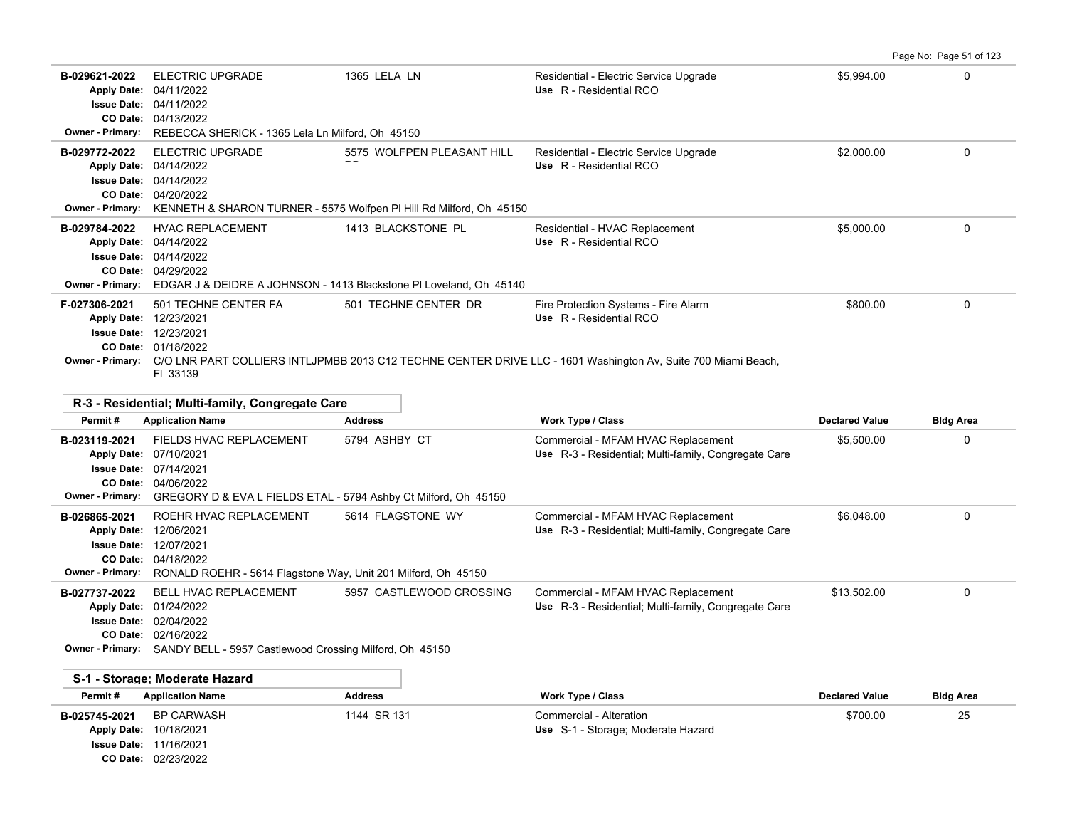| Page No: Page 51 of 123 |  |  |  |  |  |  |
|-------------------------|--|--|--|--|--|--|
|-------------------------|--|--|--|--|--|--|

| B-029621-2022<br><b>Apply Date:</b><br><b>Issue Date:</b><br>CO Date:<br><b>Owner - Primary:</b> | <b>ELECTRIC UPGRADE</b><br>04/11/2022<br>04/11/2022<br>04/13/2022<br>REBECCA SHERICK - 1365 Lela Ln Milford, Oh 45150 | 1365 LELA LN                                                                                      | Residential - Electric Service Upgrade<br>Use R - Residential RCO                                                                                                                | \$5,994.00 | 0 |
|--------------------------------------------------------------------------------------------------|-----------------------------------------------------------------------------------------------------------------------|---------------------------------------------------------------------------------------------------|----------------------------------------------------------------------------------------------------------------------------------------------------------------------------------|------------|---|
| B-029772-2022<br><b>Apply Date:</b><br><b>Issue Date:</b><br>CO Date:<br><b>Owner - Primary:</b> | <b>ELECTRIC UPGRADE</b><br>04/14/2022<br>04/14/2022<br>04/20/2022                                                     | 5575 WOLFPEN PLEASANT HILL<br>KENNETH & SHARON TURNER - 5575 Wolfpen PI Hill Rd Milford, Oh 45150 | Residential - Electric Service Upgrade<br>Use R - Residential RCO                                                                                                                | \$2,000.00 | 0 |
| B-029784-2022<br><b>Apply Date:</b><br><b>Issue Date:</b><br>CO Date:<br><b>Owner - Primary:</b> | <b>HVAC REPLACEMENT</b><br>04/14/2022<br>04/14/2022<br>04/29/2022                                                     | 1413 BLACKSTONE PL<br>EDGAR J & DEIDRE A JOHNSON - 1413 Blackstone PI Loveland, Oh 45140          | Residential - HVAC Replacement<br>Use R - Residential RCO                                                                                                                        | \$5,000.00 | 0 |
| F-027306-2021<br><b>Apply Date:</b><br><b>Issue Date:</b><br>CO Date:<br><b>Owner - Primary:</b> | 501 TECHNE CENTER FA<br>12/23/2021<br>12/23/2021<br>01/18/2022<br>FI 33139                                            | 501 TECHNE CENTER DR                                                                              | Fire Protection Systems - Fire Alarm<br>Use R - Residential RCO<br>C/O LNR PART COLLIERS INTLJPMBB 2013 C12 TECHNE CENTER DRIVE LLC - 1601 Washington Av, Suite 700 Miami Beach, | \$800.00   | 0 |

|                         | R-3 - Residential: Multi-family, Congregate Care                |                          |                                                      |                       |                  |
|-------------------------|-----------------------------------------------------------------|--------------------------|------------------------------------------------------|-----------------------|------------------|
| Permit#                 | <b>Application Name</b>                                         | <b>Address</b>           | <b>Work Type / Class</b>                             | <b>Declared Value</b> | <b>Bldg Area</b> |
| B-023119-2021           | FIELDS HVAC REPLACEMENT                                         | 5794 ASHBY CT            | Commercial - MFAM HVAC Replacement                   | \$5,500.00            | $\Omega$         |
| <b>Apply Date:</b>      | 07/10/2021                                                      |                          | Use R-3 - Residential; Multi-family, Congregate Care |                       |                  |
| <b>Issue Date:</b>      | 07/14/2021                                                      |                          |                                                      |                       |                  |
| CO Date:                | 04/06/2022                                                      |                          |                                                      |                       |                  |
| <b>Owner - Primary:</b> | GREGORY D & EVA L FIELDS ETAL - 5794 Ashby Ct Milford, Oh 45150 |                          |                                                      |                       |                  |
| B-026865-2021           | ROEHR HVAC REPLACEMENT                                          | 5614 FLAGSTONE WY        | Commercial - MFAM HVAC Replacement                   | \$6,048,00            | 0                |
| <b>Apply Date:</b>      | 12/06/2021                                                      |                          | Use R-3 - Residential; Multi-family, Congregate Care |                       |                  |
| <b>Issue Date:</b>      | 12/07/2021                                                      |                          |                                                      |                       |                  |
| <b>CO Date:</b>         | 04/18/2022                                                      |                          |                                                      |                       |                  |
| <b>Owner - Primary:</b> | RONALD ROEHR - 5614 Flagstone Way, Unit 201 Milford, Oh 45150   |                          |                                                      |                       |                  |
| B-027737-2022           | <b>BELL HVAC REPLACEMENT</b>                                    | 5957 CASTLEWOOD CROSSING | Commercial - MFAM HVAC Replacement                   | \$13,502.00           | 0                |
| <b>Apply Date:</b>      | 01/24/2022                                                      |                          | Use R-3 - Residential; Multi-family, Congregate Care |                       |                  |
| <b>Issue Date:</b>      | 02/04/2022                                                      |                          |                                                      |                       |                  |
| CO Date:                | 02/16/2022                                                      |                          |                                                      |                       |                  |
| <b>Owner - Primary:</b> | SANDY BELL - 5957 Castlewood Crossing Milford, Oh 45150         |                          |                                                      |                       |                  |

|               | S-1 - Storage: Moderate Hazard                                                                      |                |                                                               |                       |                  |
|---------------|-----------------------------------------------------------------------------------------------------|----------------|---------------------------------------------------------------|-----------------------|------------------|
| Permit#       | <b>Application Name</b>                                                                             | <b>Address</b> | <b>Work Type / Class</b>                                      | <b>Declared Value</b> | <b>Bldg Area</b> |
| B-025745-2021 | BP CARWASH<br><b>Apply Date: 10/18/2021</b><br><b>Issue Date: 11/16/2021</b><br>CO Date: 02/23/2022 | 1144 SR 131    | Commercial - Alteration<br>Use S-1 - Storage; Moderate Hazard | \$700.00              | 25               |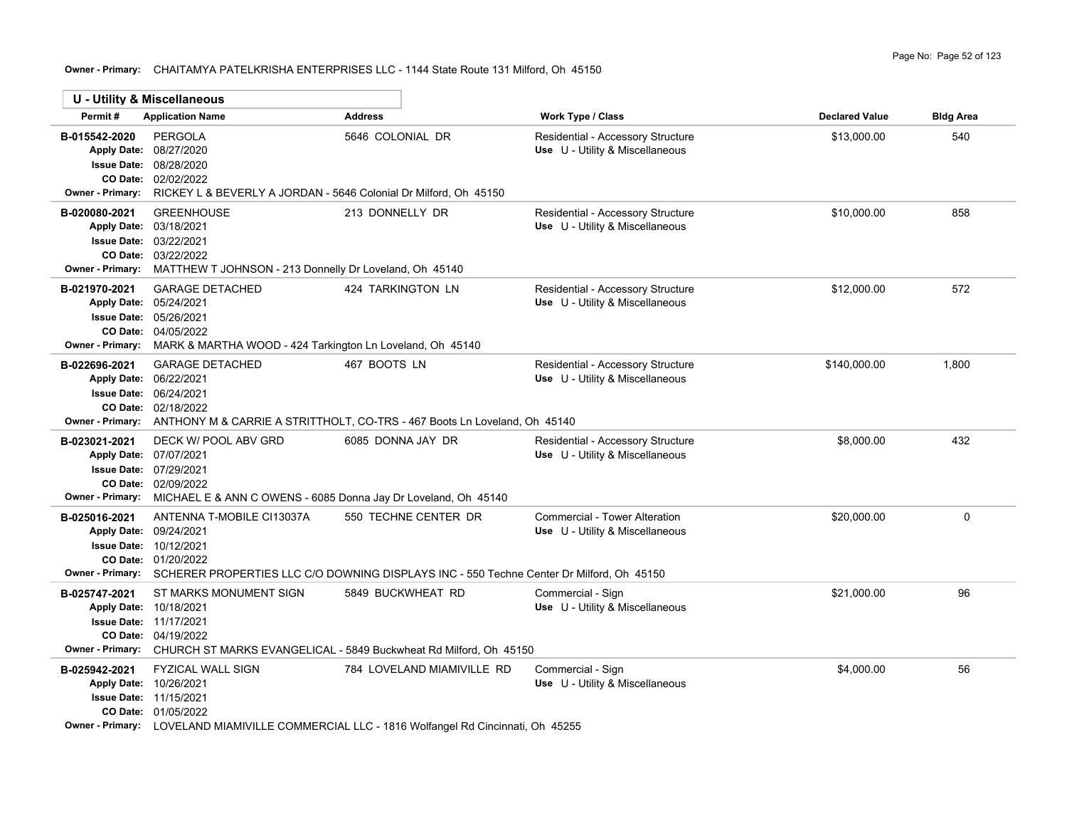# **Owner - Primary:** CHAITAMYA PATELKRISHA ENTERPRISES LLC - 1144 State Route 131 Milford, Oh 45150

×

 $\overline{\phantom{0}}$ 

|                                          | U - Utility & Miscellaneous                                                                                                                                                                                |                            |                                                                      |                       |                  |
|------------------------------------------|------------------------------------------------------------------------------------------------------------------------------------------------------------------------------------------------------------|----------------------------|----------------------------------------------------------------------|-----------------------|------------------|
| Permit#                                  | <b>Application Name</b>                                                                                                                                                                                    | <b>Address</b>             | Work Type / Class                                                    | <b>Declared Value</b> | <b>Bldg Area</b> |
| B-015542-2020<br>Owner - Primary:        | <b>PERGOLA</b><br>Apply Date: 08/27/2020<br>Issue Date: 08/28/2020<br>CO Date: 02/02/2022<br>RICKEY L & BEVERLY A JORDAN - 5646 Colonial Dr Milford, Oh 45150                                              | 5646 COLONIAL DR           | Residential - Accessory Structure<br>Use U - Utility & Miscellaneous | \$13,000.00           | 540              |
| B-020080-2021                            | <b>GREENHOUSE</b><br>Apply Date: 03/18/2021<br>Issue Date: 03/22/2021<br>CO Date: 03/22/2022<br>Owner - Primary: MATTHEW T JOHNSON - 213 Donnelly Dr Loveland, Oh 45140                                    | 213 DONNELLY DR            | Residential - Accessory Structure<br>Use U - Utility & Miscellaneous | \$10,000.00           | 858              |
| B-021970-2021<br><b>Owner - Primary:</b> | <b>GARAGE DETACHED</b><br>Apply Date: 05/24/2021<br><b>Issue Date: 05/26/2021</b><br>CO Date: 04/05/2022<br>MARK & MARTHA WOOD - 424 Tarkington Ln Loveland, Oh 45140                                      | 424 TARKINGTON LN          | Residential - Accessory Structure<br>Use U - Utility & Miscellaneous | \$12,000.00           | 572              |
| B-022696-2021<br><b>Owner - Primary:</b> | <b>GARAGE DETACHED</b><br>Apply Date: 06/22/2021<br><b>Issue Date: 06/24/2021</b><br>CO Date: 02/18/2022<br>ANTHONY M & CARRIE A STRITTHOLT, CO-TRS - 467 Boots Ln Loveland, Oh 45140                      | 467 BOOTS LN               | Residential - Accessory Structure<br>Use U - Utility & Miscellaneous | \$140,000.00          | 1,800            |
| B-023021-2021<br><b>Owner - Primary:</b> | DECK W/ POOL ABV GRD<br>Apply Date: 07/07/2021<br>Issue Date: 07/29/2021<br>CO Date: 02/09/2022<br>MICHAEL E & ANN C OWENS - 6085 Donna Jay Dr Loveland, Oh 45140                                          | 6085 DONNA JAY DR          | Residential - Accessory Structure<br>Use U - Utility & Miscellaneous | \$8,000.00            | 432              |
| B-025016-2021<br><b>Owner - Primary:</b> | ANTENNA T-MOBILE CI13037A<br>Apply Date: 09/24/2021<br>Issue Date: 10/12/2021<br>CO Date: 01/20/2022<br>SCHERER PROPERTIES LLC C/O DOWNING DISPLAYS INC - 550 Techne Center Dr Milford, Oh 45150           | 550 TECHNE CENTER DR       | Commercial - Tower Alteration<br>Use U - Utility & Miscellaneous     | \$20,000.00           | 0                |
| B-025747-2021<br><b>Owner - Primary:</b> | ST MARKS MONUMENT SIGN<br>Apply Date: 10/18/2021<br><b>Issue Date: 11/17/2021</b><br>CO Date: 04/19/2022<br>CHURCH ST MARKS EVANGELICAL - 5849 Buckwheat Rd Milford, Oh 45150                              | 5849 BUCKWHEAT RD          | Commercial - Sign<br>Use U - Utility & Miscellaneous                 | \$21,000.00           | 96               |
| B-025942-2021                            | <b>FYZICAL WALL SIGN</b><br>Apply Date: 10/26/2021<br><b>Issue Date: 11/15/2021</b><br>CO Date: 01/05/2022<br>Owner - Primary: LOVELAND MIAMIVILLE COMMERCIAL LLC - 1816 Wolfangel Rd Cincinnati, Oh 45255 | 784 LOVELAND MIAMIVILLE RD | Commercial - Sign<br>Use U - Utility & Miscellaneous                 | \$4,000.00            | 56               |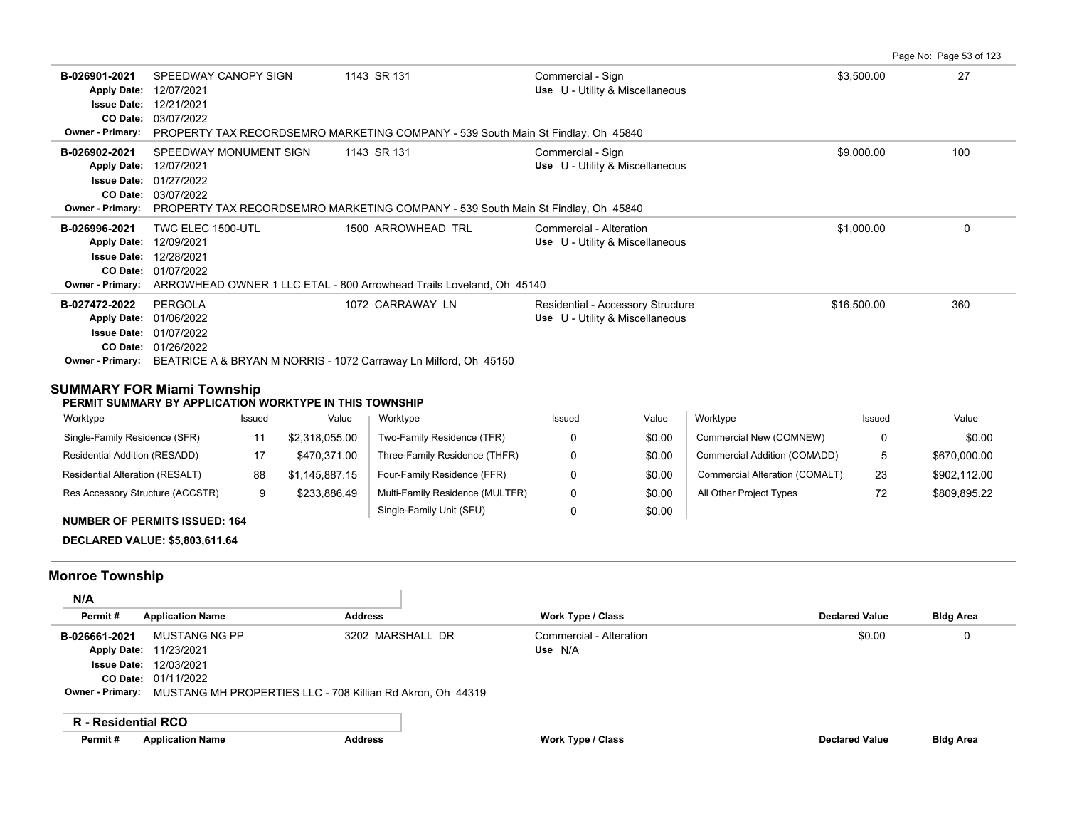**B-026901-2021** \$3,500.00 27 SPEEDWAY CANOPY SIGN 1143 SR 131 Commercial - Sign 03/07/2022 **CO Date:** 12/21/2021 **Issue Date:** Apply Date: 12/07/2021 **Apply Date: Use** U - Utility & Miscellaneous **Owner - Primary:** PROPERTY TAX RECORDSEMRO MARKETING COMPANY - 539 South Main St Findlay, Oh 45840 **B-026902-2021** \$9,000.00 100 SPEEDWAY MONUMENT SIGN 1143 SR 131 Commercial - Sign 03/07/2022 **CO Date:** 01/27/2022 **Issue Date:** Apply Date: 12/07/2021 **Apply Date: Use** U - Utility & Miscellaneous **Owner - Primary:** PROPERTY TAX RECORDSEMRO MARKETING COMPANY - 539 South Main St Findlay, Oh 45840 **B-026996-2021** TWC ELEC 1500-UTL 1500 ARROWHEAD TRL Commercial - Alteration 31,000.00 \$1,000.00 0 01/07/2022 **CO Date:** 12/28/2021 **Issue Date:** Apply Date: 12/09/2021 **Apply Date: Use** U - Utility & Miscellaneous **Owner - Primary:** ARROWHEAD OWNER 1 LLC ETAL - 800 Arrowhead Trails Loveland, Oh 45140 **B-027472-2022** PERGOLA 1072 CARRAWAY LN Residential - Accessory Structure \$16,500.00 \$16,500.00 360 01/26/2022 **CO Date:** 01/07/2022 **Issue Date:** Apply Date: 01/06/2022 **Apply Date: Use** U - Utility & Miscellaneous **Owner - Primary:** BEATRICE A & BRYAN M NORRIS - 1072 Carraway Ln Milford, Oh 45150

Page No: Page 53 of 123

# **SUMMARY FOR Miami Township**

**PERMIT SUMMARY BY APPLICATION WORKTYPE IN THIS TOWNSHIP**

| Worktype                         | Issued | Value          | Worktype                        | Issued | Value  | Worktype                       | Issued | Value        |
|----------------------------------|--------|----------------|---------------------------------|--------|--------|--------------------------------|--------|--------------|
| Single-Family Residence (SFR)    |        | \$2.318.055.00 | Two-Family Residence (TFR)      |        | \$0.00 | Commercial New (COMNEW)        | 0      | \$0.00       |
| Residential Addition (RESADD)    | 17     | \$470.371.00   | Three-Family Residence (THFR)   |        | \$0.00 | Commercial Addition (COMADD)   | b.     | \$670,000.00 |
| Residential Alteration (RESALT)  | 88     | \$1.145.887.15 | Four-Family Residence (FFR)     |        | \$0.00 | Commercial Alteration (COMALT) | 23     | \$902.112.00 |
| Res Accessory Structure (ACCSTR) | 9      | \$233.886.49   | Multi-Family Residence (MULTFR) |        | \$0.00 | All Other Project Types        | 72     | \$809.895.22 |
|                                  |        |                | Single-Family Unit (SFU)        |        | \$0.00 |                                |        |              |

**NUMBER OF PERMITS ISSUED: 164**

**DECLARED VALUE: \$5,803,611.64**

## **Monroe Township**

| N/A                 |                                                                             |                  |                         |                       |                  |
|---------------------|-----------------------------------------------------------------------------|------------------|-------------------------|-----------------------|------------------|
| Permit#             | <b>Application Name</b>                                                     | <b>Address</b>   | Work Type / Class       | <b>Declared Value</b> | <b>Bldg Area</b> |
| B-026661-2021       | MUSTANG NG PP                                                               | 3202 MARSHALL DR | Commercial - Alteration | \$0.00                | O                |
|                     | Apply Date: 11/23/2021                                                      |                  | Use N/A                 |                       |                  |
|                     | <b>Issue Date: 12/03/2021</b>                                               |                  |                         |                       |                  |
|                     | CO Date: 01/11/2022                                                         |                  |                         |                       |                  |
|                     | Owner - Primary: MUSTANG MH PROPERTIES LLC - 708 Killian Rd Akron, Oh 44319 |                  |                         |                       |                  |
|                     |                                                                             |                  |                         |                       |                  |
| R - Residential RCO |                                                                             |                  |                         |                       |                  |

**Permit # Application Name Address Work Type / Class Declared Value Bldg Area**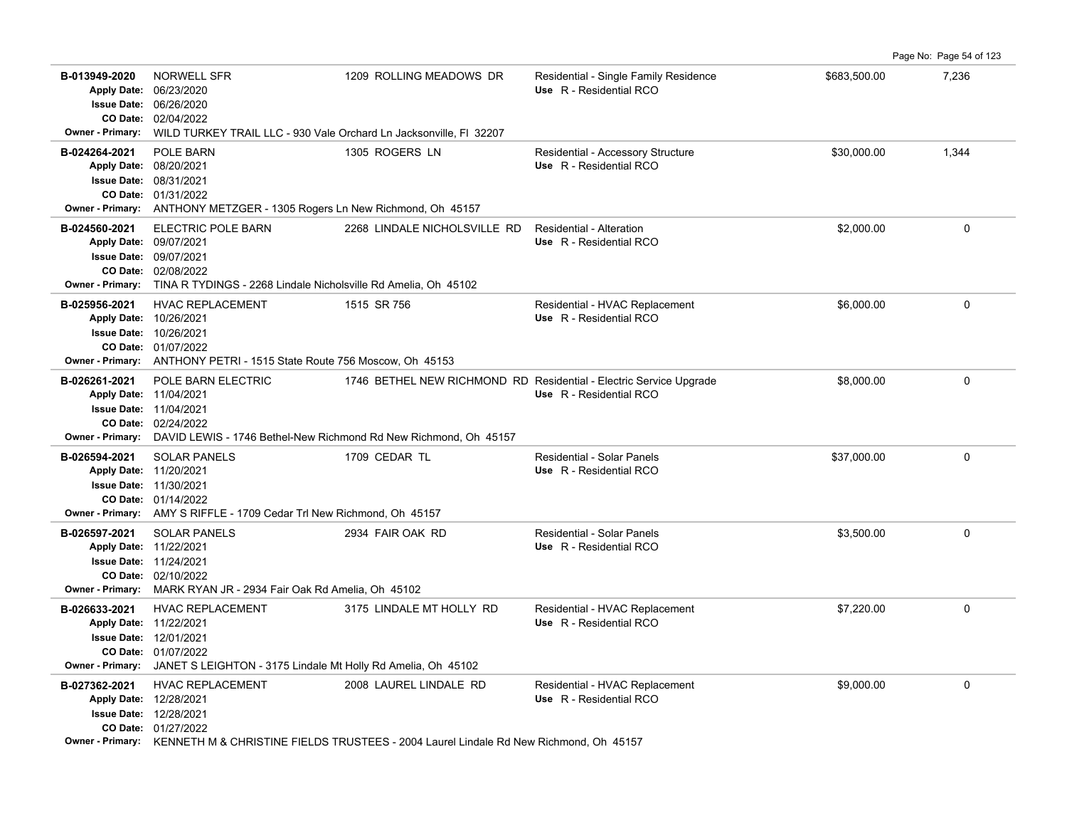B-013949-2020 NORWELL SFR 1209 ROLLING MEADOWS DR Residential - Single Family Residence \$683,500.00 7,236 02/04/2022 **CO Date:** 06/26/2020 **Issue Date:** Apply Date: 06/23/2020 **Apply Date: Use** R - Residential RCO **Owner - Primary:** WILD TURKEY TRAIL LLC - 930 Vale Orchard Ln Jacksonville, Fl 32207 **B-024264-2021** POLE BARN 1305 ROGERS LN Residential - Accessory Structure \$30,000.00 1,344 01/31/2022 **CO Date:** 08/31/2021 **Issue Date:** 08/20/2021 **Apply Date: Use** R - Residential RCO **Owner - Primary:** ANTHONY METZGER - 1305 Rogers Ln New Richmond, Oh 45157 **B-024560-2021** \$2,000.00 0 ELECTRIC POLE BARN 2268 LINDALE NICHOLSVILLE RD Residential - Alteration 02/08/2022 **CO Date:** 09/07/2021 **Issue Date:** 09/07/2021 **Apply Date: Use** R - Residential RCO **Owner - Primary:** TINA R TYDINGS - 2268 Lindale Nicholsville Rd Amelia, Oh 45102 **B-025956-2021** HVAC REPLACEMENT 1515 SR 756 Residential - HVAC Replacement \$6,000.00 \$6,000.00 0 01/07/2022 **CO Date:** 10/26/2021 **Issue Date:** 10/26/2021 **Apply Date: Use** R - Residential RCO **Owner - Primary:** ANTHONY PETRI - 1515 State Route 756 Moscow, Oh 45153 **B-026261-2021** POLE BARN ELECTRIC **1746 BETHEL NEW RICHMOND RD Residential - Electric Service Upgrade \$8,000.00 \$8,000.00 00** 02/24/2022 **CO Date:** 11/04/2021 **Issue Date:** 11/04/2021 **Apply Date: Use** R - Residential RCO **Owner - Primary:** DAVID LEWIS - 1746 Bethel-New Richmond Rd New Richmond, Oh 45157 **B-026594-2021** \$37,000.00 0 SOLAR PANELS 1709 CEDAR TL Residential - Solar Panels 01/14/2022 **CO Date:** 11/30/2021 **Issue Date:** Apply Date: 11/20/2021 **Apply Date: Use** R - Residential RCO **Owner - Primary:** AMY S RIFFLE - 1709 Cedar Trl New Richmond, Oh 45157 **B-026597-2021** \$3,500.00 0 SOLAR PANELS 2934 FAIR OAK RD Residential - Solar Panels 02/10/2022 **CO Date:** 11/24/2021 **Issue Date:** Apply Date: 11/22/2021 **Apply Date: Use** R - Residential RCO **Owner - Primary:** MARK RYAN JR - 2934 Fair Oak Rd Amelia, Oh 45102 **B-026633-2021** \$7,220.00 0 HVAC REPLACEMENT 3175 LINDALE MT HOLLY RD Residential - HVAC Replacement 01/07/2022 **CO Date:** 12/01/2021 **Issue Date:** 11/22/2021 **Apply Date: Use** R - Residential RCO **Owner - Primary:** JANET S LEIGHTON - 3175 Lindale Mt Holly Rd Amelia, Oh 45102 B-027362-2021 HVAC REPLACEMENT 2008 LAUREL LINDALE RD Residential - HVAC Replacement \$9,000.00 \$9,000.00 0 01/27/2022 **CO Date:** 12/28/2021 **Issue Date:** Apply Date: 12/28/2021 **Apply Date: Use** R - Residential RCO **Owner - Primary:** KENNETH M & CHRISTINE FIELDS TRUSTEES - 2004 Laurel Lindale Rd New Richmond, Oh 45157

Page No: Page 54 of 123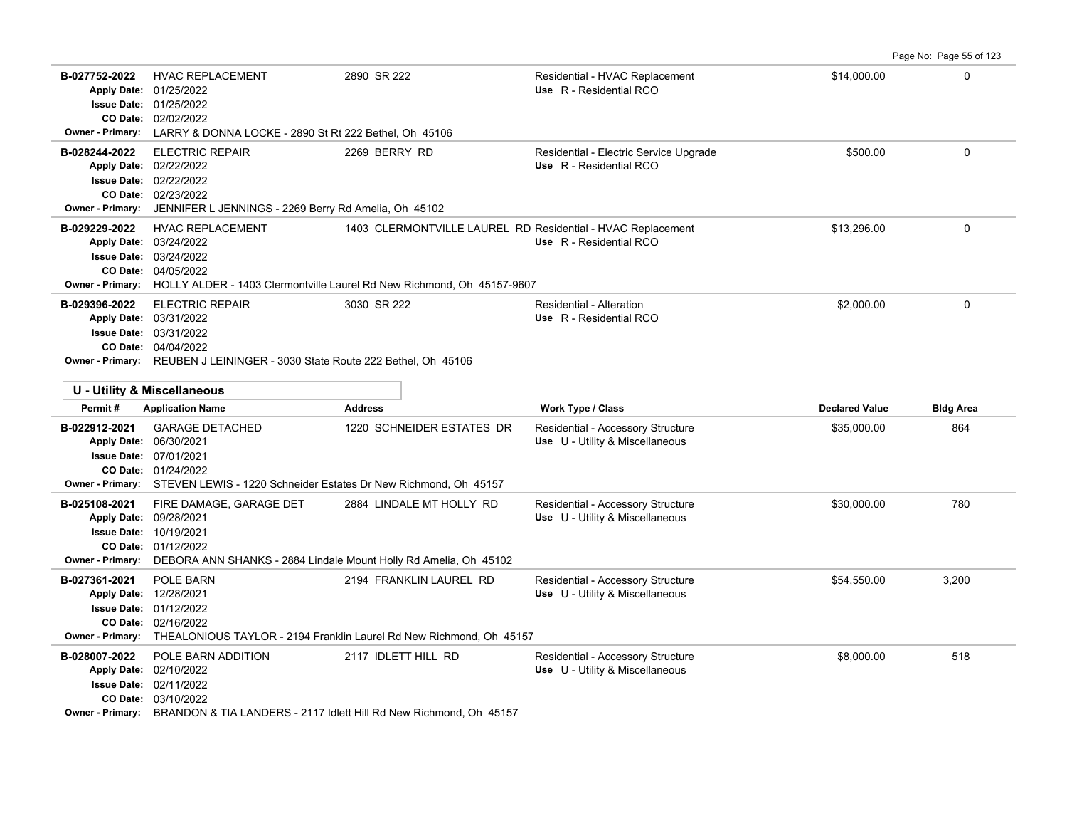|                                                                                              |                                                                                                                                                                                         |                                                                                                                                                               |                                                                      |                       | Page No: Page 55 of 123 |
|----------------------------------------------------------------------------------------------|-----------------------------------------------------------------------------------------------------------------------------------------------------------------------------------------|---------------------------------------------------------------------------------------------------------------------------------------------------------------|----------------------------------------------------------------------|-----------------------|-------------------------|
| B-027752-2022                                                                                | <b>HVAC REPLACEMENT</b><br>Apply Date: 01/25/2022<br><b>Issue Date: 01/25/2022</b><br>CO Date: 02/02/2022<br>Owner - Primary: LARRY & DONNA LOCKE - 2890 St Rt 222 Bethel, Oh 45106     | 2890 SR 222                                                                                                                                                   | Residential - HVAC Replacement<br>Use R - Residential RCO            | \$14,000.00           | $\mathbf 0$             |
| B-028244-2022                                                                                | <b>ELECTRIC REPAIR</b><br>Apply Date: 02/22/2022<br>Issue Date: 02/22/2022<br>CO Date: 02/23/2022<br>Owner - Primary: JENNIFER L JENNINGS - 2269 Berry Rd Amelia, Oh 45102              | 2269 BERRY RD                                                                                                                                                 | Residential - Electric Service Upgrade<br>Use R - Residential RCO    | \$500.00              | $\mathbf 0$             |
| B-029229-2022                                                                                | <b>HVAC REPLACEMENT</b><br>Apply Date: 03/24/2022<br><b>Issue Date: 03/24/2022</b><br>CO Date: 04/05/2022                                                                               | 1403 CLERMONTVILLE LAUREL RD Residential - HVAC Replacement<br><b>Owner - Primary:</b> HOLLY ALDER - 1403 Clermontville Laurel Rd New Richmond, Oh 45157-9607 | Use R - Residential RCO                                              | \$13,296.00           | 0                       |
| B-029396-2022                                                                                | <b>ELECTRIC REPAIR</b><br>Apply Date: 03/31/2022<br><b>Issue Date: 03/31/2022</b><br>CO Date: 04/04/2022<br>Owner - Primary: REUBEN J LEININGER - 3030 State Route 222 Bethel, Oh 45106 | 3030 SR 222                                                                                                                                                   | Residential - Alteration<br>Use R - Residential RCO                  | \$2,000.00            | $\mathbf 0$             |
| Permit#                                                                                      | U - Utility & Miscellaneous<br><b>Application Name</b>                                                                                                                                  | <b>Address</b>                                                                                                                                                | <b>Work Type / Class</b>                                             | <b>Declared Value</b> | <b>Bldg Area</b>        |
| B-022912-2021<br>Apply Date: 06/30/2021                                                      | <b>GARAGE DETACHED</b>                                                                                                                                                                  | 1220 SCHNEIDER ESTATES DR                                                                                                                                     | Residential - Accessory Structure                                    | \$35,000.00           | 864                     |
| <b>Issue Date: 07/01/2021</b>                                                                | <b>CO Date: 01/24/2022</b><br>Owner - Primary: STEVEN LEWIS - 1220 Schneider Estates Dr New Richmond, Oh 45157                                                                          |                                                                                                                                                               | Use U - Utility & Miscellaneous                                      |                       |                         |
| B-025108-2021<br>Apply Date: 09/28/2021<br><b>Issue Date: 10/19/2021</b><br>Owner - Primary: | FIRE DAMAGE, GARAGE DET<br>CO Date: 01/12/2022<br>DEBORA ANN SHANKS - 2884 Lindale Mount Holly Rd Amelia, Oh 45102                                                                      | 2884 LINDALE MT HOLLY RD                                                                                                                                      | Residential - Accessory Structure<br>Use U - Utility & Miscellaneous | \$30,000.00           | 780                     |
| B-027361-2021<br>Apply Date: 12/28/2021                                                      | POLE BARN<br><b>Issue Date: 01/12/2022</b><br>CO Date: 02/16/2022                                                                                                                       | 2194 FRANKLIN LAUREL RD<br>Owner - Primary: THEALONIOUS TAYLOR - 2194 Franklin Laurel Rd New Richmond, Oh 45157                                               | Residential - Accessory Structure<br>Use U - Utility & Miscellaneous | \$54,550.00           | 3,200                   |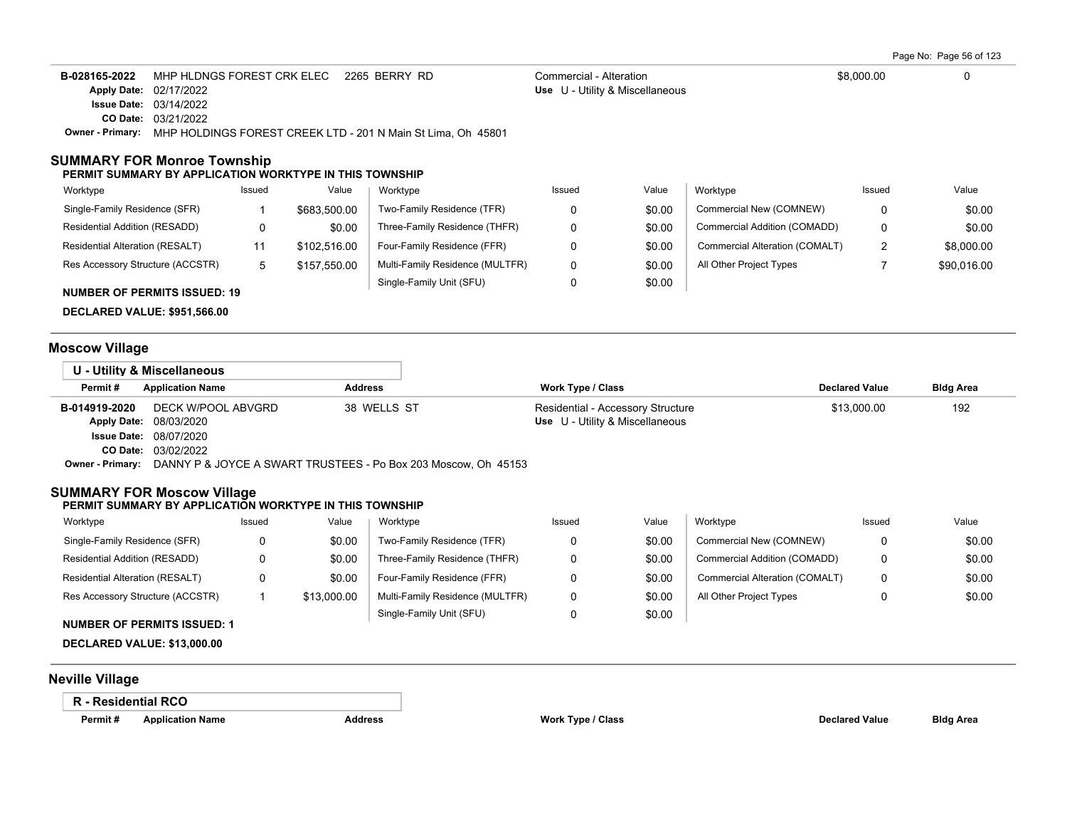Page No: Page 56 of 123

| B-028165-2022    | MHP HLDNGS FOREST CRK ELEC 2265 BERRY RD                     | Commercial - Alteration                | \$8,000.00 |  |
|------------------|--------------------------------------------------------------|----------------------------------------|------------|--|
|                  | <b>Apply Date: 02/17/2022</b>                                | <b>Use</b> U - Utility & Miscellaneous |            |  |
|                  | <b>Issue Date: 03/14/2022</b>                                |                                        |            |  |
|                  | <b>CO Date: 03/21/2022</b>                                   |                                        |            |  |
| Owner - Primarv: | MHP HOLDINGS FOREST CREEK LTD - 201 N Main St Lima, Oh 45801 |                                        |            |  |

## **SUMMARY FOR Monroe Township**

#### **PERMIT SUMMARY BY APPLICATION WORKTYPE IN THIS TOWNSHIP**

| Worktype                            | Issued | Value        | Worktype                        | Issued | Value  | Worktype                       | Issued | Value       |
|-------------------------------------|--------|--------------|---------------------------------|--------|--------|--------------------------------|--------|-------------|
| Single-Family Residence (SFR)       |        | \$683,500.00 | Two-Family Residence (TFR)      |        | \$0.00 | Commercial New (COMNEW)        |        | \$0.00      |
| Residential Addition (RESADD)       |        | \$0.00       | Three-Family Residence (THFR)   |        | \$0.00 | Commercial Addition (COMADD)   | 0      | \$0.00      |
| Residential Alteration (RESALT)     |        | \$102.516.00 | Four-Family Residence (FFR)     |        | \$0.00 | Commercial Alteration (COMALT) | ◠<br>- | \$8,000.00  |
| Res Accessory Structure (ACCSTR)    | 5      | \$157.550.00 | Multi-Family Residence (MULTFR) |        | \$0.00 | All Other Project Types        |        | \$90,016.00 |
| <b>NUMBER OF PERMITS ISSUED: 19</b> |        |              | Single-Family Unit (SFU)        |        | \$0.00 |                                |        |             |

# **DECLARED VALUE: \$951,566.00**

# **Moscow Village**

| U - Utility & Miscellaneous |                                                                |                |                                   |                       |                  |
|-----------------------------|----------------------------------------------------------------|----------------|-----------------------------------|-----------------------|------------------|
| Permit#                     | <b>Application Name</b>                                        | <b>Address</b> | Work Type / Class                 | <b>Declared Value</b> | <b>Bldg Area</b> |
| B-014919-2020               | DECK W/POOL ABVGRD                                             | 38 WELLS ST    | Residential - Accessory Structure | \$13,000.00           | 192              |
|                             | Apply Date: 08/03/2020                                         |                | Use U - Utility & Miscellaneous   |                       |                  |
|                             | <b>Issue Date: 08/07/2020</b>                                  |                |                                   |                       |                  |
|                             | <b>CO Date: 03/02/2022</b>                                     |                |                                   |                       |                  |
| Owner - Primary:            | DANNY P & JOYCE A SWART TRUSTEES - Po Box 203 Moscow, Oh 45153 |                |                                   |                       |                  |

## **SUMMARY FOR Moscow Village**

#### **PERMIT SUMMARY BY APPLICATION WORKTYPE IN THIS TOWNSHIP**

| Worktype                         | Issued | Value       | Worktype                        | Issued | Value  | Worktype                       | Issued | Value  |
|----------------------------------|--------|-------------|---------------------------------|--------|--------|--------------------------------|--------|--------|
| Single-Family Residence (SFR)    |        | \$0.00      | Two-Family Residence (TFR)      |        | \$0.00 | Commercial New (COMNEW)        |        | \$0.00 |
| Residential Addition (RESADD)    |        | \$0.00      | Three-Family Residence (THFR)   |        | \$0.00 | Commercial Addition (COMADD)   |        | \$0.00 |
| Residential Alteration (RESALT)  |        | \$0.00      | Four-Family Residence (FFR)     |        | \$0.00 | Commercial Alteration (COMALT) |        | \$0.00 |
| Res Accessory Structure (ACCSTR) |        | \$13,000.00 | Multi-Family Residence (MULTFR) |        | \$0.00 | All Other Project Types        |        | \$0.00 |
|                                  |        |             | Single-Family Unit (SFU)        |        | \$0.00 |                                |        |        |

## **NUMBER OF PERMITS ISSUED: 1**

**DECLARED VALUE: \$13,000.00**

# **Neville Village**

## **R - Residential RCO**

**Permit # Application Name Address Work Type / Class Declared Value Bldg Area**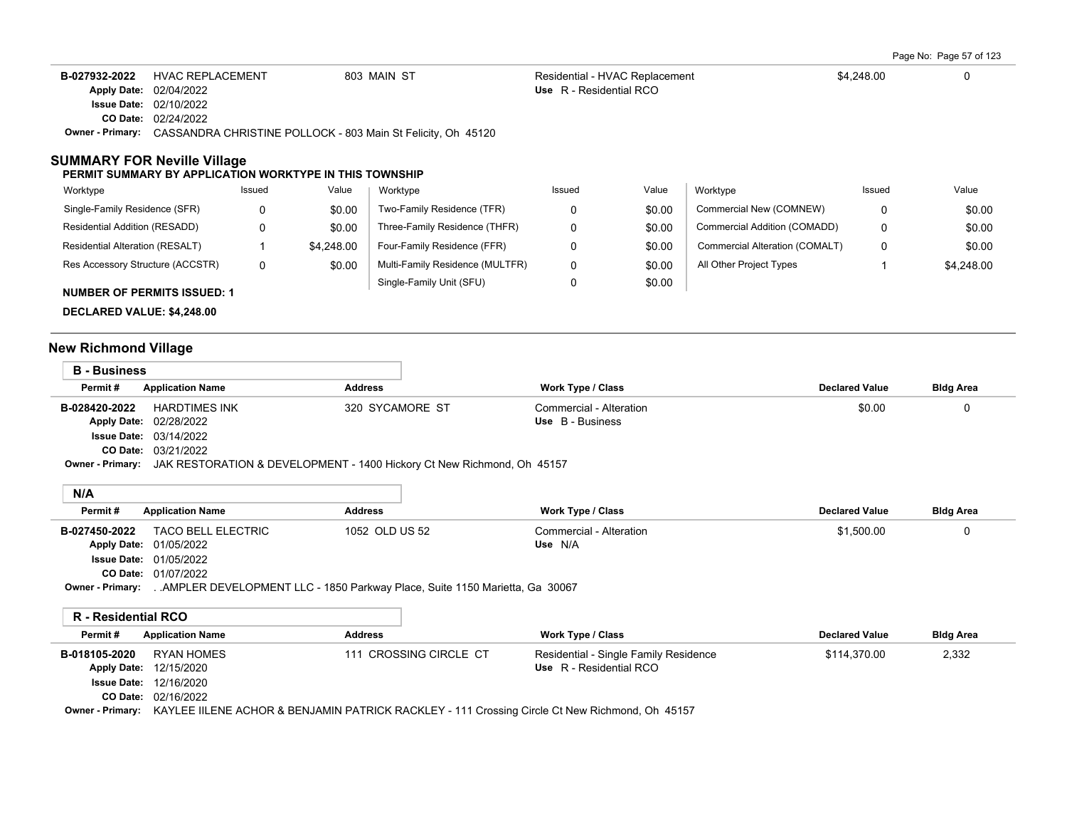Page No: Page 57 of 123

| B-027932-2022 | HVAC REPLACEMENT                                                                     | 803 MAIN ST | Residential - HVAC Replacement | \$4,248.00 |  |
|---------------|--------------------------------------------------------------------------------------|-------------|--------------------------------|------------|--|
|               | Apply Date: 02/04/2022                                                               |             | Use R - Residential RCO        |            |  |
|               | <b>Issue Date: 02/10/2022</b>                                                        |             |                                |            |  |
|               | <b>CO Date: 02/24/2022</b>                                                           |             |                                |            |  |
|               | <b>Owner - Primary:</b> CASSANDRA CHRISTINE POLLOCK - 803 Main St Felicity, Oh 45120 |             |                                |            |  |

### **SUMMARY FOR Neville Village**

#### **PERMIT SUMMARY BY APPLICATION WORKTYPE IN THIS TOWNSHIP**

| Worktype                             | Issued | Value      | Worktype                        | Issued | Value  | Worktype                       | Issued | Value      |
|--------------------------------------|--------|------------|---------------------------------|--------|--------|--------------------------------|--------|------------|
| Single-Family Residence (SFR)        | 0      | \$0.00     | Two-Family Residence (TFR)      |        | \$0.00 | Commercial New (COMNEW)        |        | \$0.00     |
| <b>Residential Addition (RESADD)</b> | 0      | \$0.00     | Three-Family Residence (THFR)   |        | \$0.00 | Commercial Addition (COMADD)   |        | \$0.00     |
| Residential Alteration (RESALT)      |        | \$4,248.00 | Four-Family Residence (FFR)     |        | \$0.00 | Commercial Alteration (COMALT) |        | \$0.00     |
| Res Accessory Structure (ACCSTR)     | 0      | \$0.00     | Multi-Family Residence (MULTFR) | 0      | \$0.00 | All Other Project Types        |        | \$4,248.00 |
| <b>NUMBER OF PERMITS ISSUED: 1</b>   |        |            | Single-Family Unit (SFU)        |        | \$0.00 |                                |        |            |

**DECLARED VALUE: \$4,248.00**

# **New Richmond Village**

| <b>B</b> - Business |                                                                                         |                 |                         |                       |                  |  |  |
|---------------------|-----------------------------------------------------------------------------------------|-----------------|-------------------------|-----------------------|------------------|--|--|
| Permit#             | <b>Application Name</b>                                                                 | <b>Address</b>  | Work Type / Class       | <b>Declared Value</b> | <b>Bldg Area</b> |  |  |
| B-028420-2022       | HARDTIMES INK                                                                           | 320 SYCAMORE ST | Commercial - Alteration | \$0.00                |                  |  |  |
|                     | Apply Date: 02/28/2022                                                                  |                 | Use B - Business        |                       |                  |  |  |
|                     | <b>Issue Date: 03/14/2022</b>                                                           |                 |                         |                       |                  |  |  |
|                     | <b>CO Date: 03/21/2022</b>                                                              |                 |                         |                       |                  |  |  |
|                     | Owner - Primary: JAK RESTORATION & DEVELOPMENT - 1400 Hickory Ct New Richmond, Oh 45157 |                 |                         |                       |                  |  |  |

# **N/A**

| -----         |                                                                         |                |                         |                       |                  |  |
|---------------|-------------------------------------------------------------------------|----------------|-------------------------|-----------------------|------------------|--|
| Permit#       | <b>Application Name</b>                                                 | Address        | Work Type / Class       | <b>Declared Value</b> | <b>Bldg Area</b> |  |
| B-027450-2022 | TACO BELL ELECTRIC                                                      | 1052 OLD US 52 | Commercial - Alteration | \$1.500.00            |                  |  |
|               | <b>Apply Date: 01/05/2022</b>                                           |                | Use N/A                 |                       |                  |  |
|               | <b>Issue Date: 01/05/2022</b>                                           |                |                         |                       |                  |  |
|               | CO Date: 01/07/2022                                                     |                |                         |                       |                  |  |
| Owner Drimanu | AMDLED DEVELODMENT LLC 4950 Derkway Dloop Suite 1150 Meriotto Co. 20067 |                |                         |                       |                  |  |

**Owner - Primary:** . .AMPLER DEVELOPMENT LLC - 1850 Parkway Place, Suite 1150 Marietta, Ga 30067

## **R - Residential RCO**

| Permit#       | <b>Application Name</b>       | <b>Address</b>                                                                                                  | Work Type / Class                     | <b>Declared Value</b> | <b>Bldg Area</b> |
|---------------|-------------------------------|-----------------------------------------------------------------------------------------------------------------|---------------------------------------|-----------------------|------------------|
| B-018105-2020 | RYAN HOMES                    | 111 CROSSING CIRCLE CT                                                                                          | Residential - Single Family Residence | \$114.370.00          | 2,332            |
|               | <b>Apply Date: 12/15/2020</b> |                                                                                                                 | Use R - Residential RCO               |                       |                  |
|               | <b>Issue Date: 12/16/2020</b> |                                                                                                                 |                                       |                       |                  |
|               | CO Date: 02/16/2022           |                                                                                                                 |                                       |                       |                  |
|               |                               | Owner - Primary: KAYLEE IILENE ACHOR & BENJAMIN PATRICK RACKLEY - 111 Crossing Circle Ct New Richmond, Oh 45157 |                                       |                       |                  |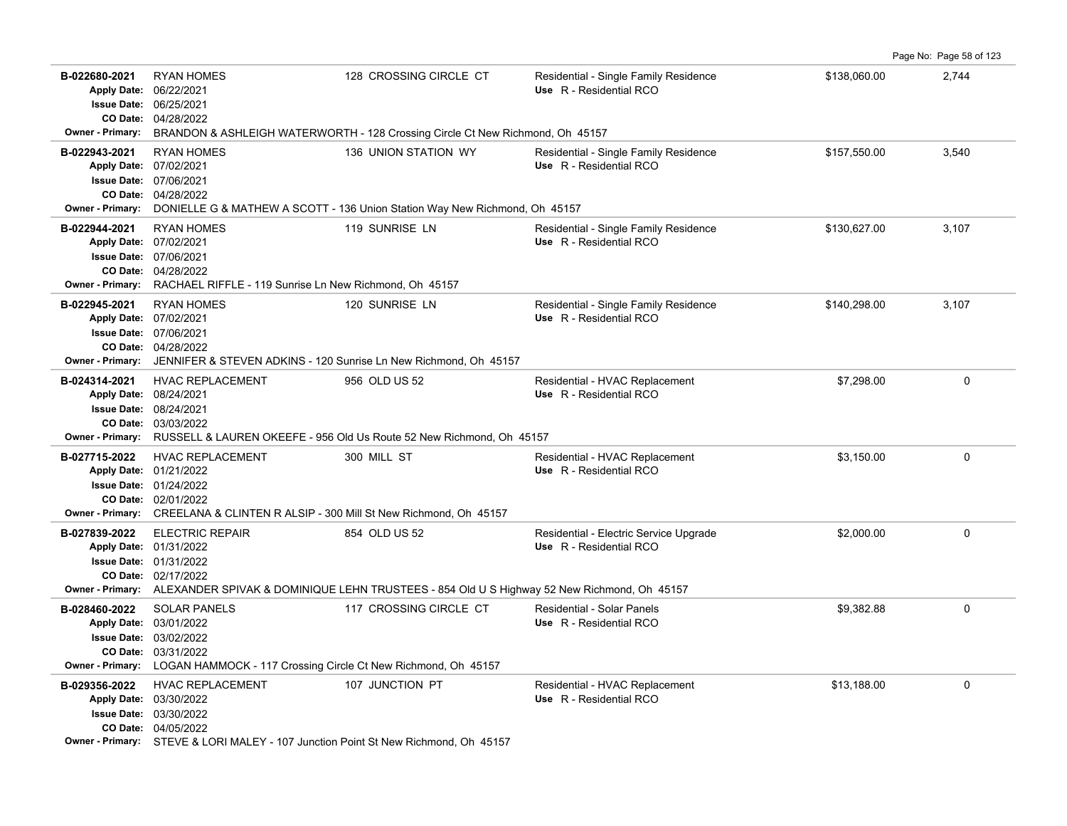|                                                                    |                                                                                                                                                                                                                         |                        |                                                                   |              | Page No: Page 58 of 123 |
|--------------------------------------------------------------------|-------------------------------------------------------------------------------------------------------------------------------------------------------------------------------------------------------------------------|------------------------|-------------------------------------------------------------------|--------------|-------------------------|
| B-022680-2021<br><b>Issue Date:</b><br><b>Owner - Primary:</b>     | <b>RYAN HOMES</b><br>Apply Date: 06/22/2021<br>06/25/2021<br>CO Date: 04/28/2022<br>BRANDON & ASHLEIGH WATERWORTH - 128 Crossing Circle Ct New Richmond, Oh 45157                                                       | 128 CROSSING CIRCLE CT | Residential - Single Family Residence<br>Use R - Residential RCO  | \$138,060.00 | 2,744                   |
| B-022943-2021<br>Apply Date: 07/02/2021                            | <b>RYAN HOMES</b><br><b>Issue Date: 07/06/2021</b><br>CO Date: 04/28/2022<br>Owner - Primary: DONIELLE G & MATHEW A SCOTT - 136 Union Station Way New Richmond, Oh 45157                                                | 136 UNION STATION WY   | Residential - Single Family Residence<br>Use R - Residential RCO  | \$157,550.00 | 3,540                   |
| B-022944-2021<br>Apply Date: 07/02/2021<br><b>Owner - Primary:</b> | <b>RYAN HOMES</b><br><b>Issue Date: 07/06/2021</b><br>CO Date: 04/28/2022<br>RACHAEL RIFFLE - 119 Sunrise Ln New Richmond, Oh 45157                                                                                     | 119 SUNRISE LN         | Residential - Single Family Residence<br>Use R - Residential RCO  | \$130,627.00 | 3,107                   |
| B-022945-2021<br>Owner - Primary:                                  | <b>RYAN HOMES</b><br>Apply Date: 07/02/2021<br><b>Issue Date: 07/06/2021</b><br>CO Date: 04/28/2022<br>JENNIFER & STEVEN ADKINS - 120 Sunrise Ln New Richmond, Oh 45157                                                 | 120 SUNRISE LN         | Residential - Single Family Residence<br>Use R - Residential RCO  | \$140,298.00 | 3,107                   |
| B-024314-2021                                                      | <b>HVAC REPLACEMENT</b><br>Apply Date: 08/24/2021<br><b>Issue Date: 08/24/2021</b><br>CO Date: 03/03/2022<br>Owner - Primary: RUSSELL & LAUREN OKEEFE - 956 Old Us Route 52 New Richmond, Oh 45157                      | 956 OLD US 52          | Residential - HVAC Replacement<br>Use R - Residential RCO         | \$7,298.00   | $\mathbf 0$             |
| B-027715-2022                                                      | <b>HVAC REPLACEMENT</b><br>Apply Date: 01/21/2022<br><b>Issue Date: 01/24/2022</b><br>CO Date: 02/01/2022<br>Owner - Primary: CREELANA & CLINTEN R ALSIP - 300 Mill St New Richmond, Oh 45157                           | 300 MILL ST            | Residential - HVAC Replacement<br>Use R - Residential RCO         | \$3,150.00   | $\mathbf 0$             |
| B-027839-2022                                                      | <b>ELECTRIC REPAIR</b><br>Apply Date: 01/31/2022<br><b>Issue Date: 01/31/2022</b><br>CO Date: 02/17/2022<br>Owner - Primary: ALEXANDER SPIVAK & DOMINIQUE LEHN TRUSTEES - 854 Old U S Highway 52 New Richmond, Oh 45157 | 854 OLD US 52          | Residential - Electric Service Upgrade<br>Use R - Residential RCO | \$2,000.00   | $\mathbf 0$             |
| B-028460-2022<br><b>Owner - Primary:</b>                           | <b>SOLAR PANELS</b><br>Apply Date: 03/01/2022<br><b>Issue Date: 03/02/2022</b><br>CO Date: 03/31/2022<br>LOGAN HAMMOCK - 117 Crossing Circle Ct New Richmond, Oh 45157                                                  | 117 CROSSING CIRCLE CT | Residential - Solar Panels<br>Use R - Residential RCO             | \$9,382.88   | $\mathbf 0$             |
| B-029356-2022                                                      | <b>HVAC REPLACEMENT</b><br>Apply Date: 03/30/2022<br><b>Issue Date: 03/30/2022</b><br>CO Date: 04/05/2022<br><b>Owner - Primary:</b> STEVE & LORI MALEY - 107 Junction Point St New Richmond, Oh 45157                  | 107 JUNCTION PT        | Residential - HVAC Replacement<br>Use R - Residential RCO         | \$13,188.00  | $\mathbf 0$             |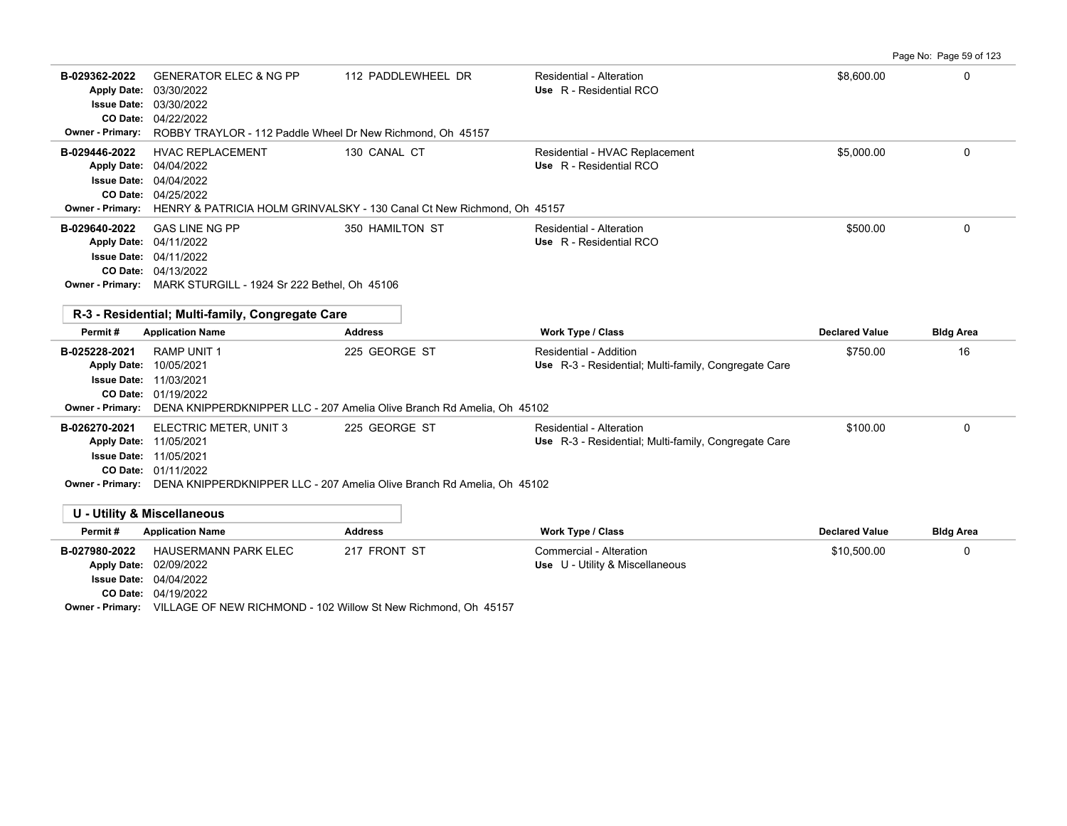Page No: Page 59 of 123

| B-029362-2022<br><b>Owner - Primary:</b>                           | <b>GENERATOR ELEC &amp; NG PP</b><br>Apply Date: 03/30/2022<br><b>Issue Date: 03/30/2022</b><br>CO Date: 04/22/2022<br>ROBBY TRAYLOR - 112 Paddle Wheel Dr New Richmond, Oh 45157                                            | 112 PADDLEWHEEL DR           | Residential - Alteration<br>Use R - Residential RCO                              | \$8,600.00            | 0                |
|--------------------------------------------------------------------|------------------------------------------------------------------------------------------------------------------------------------------------------------------------------------------------------------------------------|------------------------------|----------------------------------------------------------------------------------|-----------------------|------------------|
| B-029446-2022<br><b>Owner - Primary:</b>                           | <b>HVAC REPLACEMENT</b><br>Apply Date: 04/04/2022<br><b>Issue Date: 04/04/2022</b><br>CO Date: 04/25/2022<br>HENRY & PATRICIA HOLM GRINVALSKY - 130 Canal Ct New Richmond, Oh 45157                                          | 130 CANAL CT                 | Residential - HVAC Replacement<br>Use R - Residential RCO                        | \$5,000.00            | 0                |
| B-029640-2022                                                      | <b>GAS LINE NG PP</b><br>Apply Date: 04/11/2022<br><b>Issue Date: 04/11/2022</b><br>CO Date: 04/13/2022<br>Owner - Primary: MARK STURGILL - 1924 Sr 222 Bethel, Oh 45106<br>R-3 - Residential: Multi-family, Congregate Care | 350 HAMILTON ST              | Residential - Alteration<br>Use R - Residential RCO                              | \$500.00              | $\Omega$         |
| Permit#                                                            | <b>Application Name</b>                                                                                                                                                                                                      | <b>Address</b>               | <b>Work Type / Class</b>                                                         | <b>Declared Value</b> | <b>Bldg Area</b> |
| B-025228-2021<br>Apply Date: 10/05/2021<br><b>Owner - Primary:</b> | <b>RAMP UNIT 1</b><br><b>Issue Date: 11/03/2021</b><br>CO Date: 01/19/2022<br>DENA KNIPPERDKNIPPER LLC - 207 Amelia Olive Branch Rd Amelia, Oh 45102                                                                         | 225 GEORGE ST                | Residential - Addition<br>Use R-3 - Residential; Multi-family, Congregate Care   | \$750.00              | 16               |
| B-026270-2021                                                      | ELECTRIC METER, UNIT 3<br>Apply Date: 11/05/2021<br><b>Issue Date: 11/05/2021</b><br>CO Date: 01/11/2022<br>Owner - Primary: DENA KNIPPERDKNIPPER LLC - 207 Amelia Olive Branch Rd Amelia, Oh 45102                          | 225 GEORGE ST                | Residential - Alteration<br>Use R-3 - Residential; Multi-family, Congregate Care | \$100.00              | $\Omega$         |
|                                                                    | <b>U - Utility &amp; Miscellaneous</b>                                                                                                                                                                                       |                              |                                                                                  |                       |                  |
| Permit#                                                            | <b>Application Name</b>                                                                                                                                                                                                      | <b>Address</b>               | <b>Work Type / Class</b>                                                         | <b>Declared Value</b> | <b>Bldg Area</b> |
| B-027980-2022                                                      | <b>HAUSERMANN PARK ELEC</b><br>Apply Date: 02/09/2022<br><b>Issue Date: 04/04/2022</b><br>CO Date: 04/19/2022                                                                                                                | 217 FRONT ST<br>$\mathbf{C}$ | Commercial - Alteration<br>Use U - Utility & Miscellaneous                       | \$10,500.00           | 0                |

**Owner - Primary:** VILLAGE OF NEW RICHMOND - 102 Willow St New Richmond, Oh 45157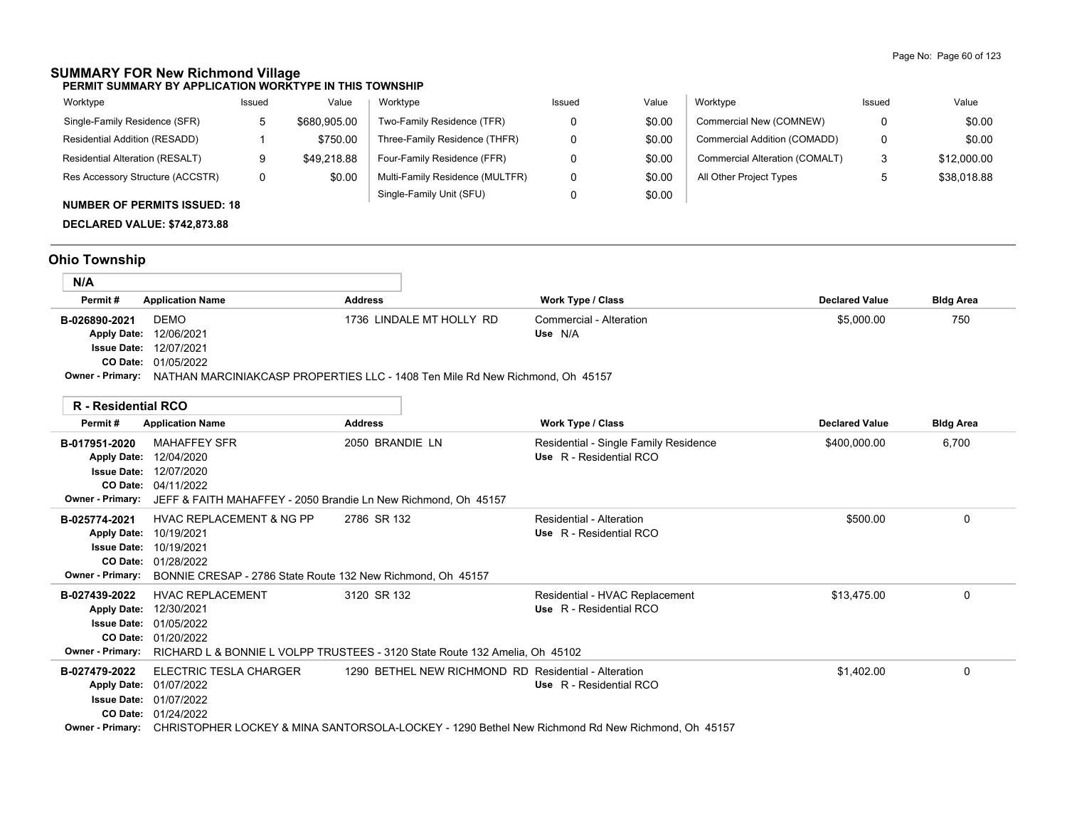# **SUMMARY FOR New Richmond Village**

**PERMIT SUMMARY BY APPLICATION WORKTYPE IN THIS TOWNSHIP**

| Worktype                               | Issued | Value        | Worktype                        | Issued | Value  | Worktype                       | Issued | Value       |
|----------------------------------------|--------|--------------|---------------------------------|--------|--------|--------------------------------|--------|-------------|
| Single-Family Residence (SFR)          |        | \$680,905.00 | Two-Family Residence (TFR)      |        | \$0.00 | Commercial New (COMNEW)        |        | \$0.00      |
| Residential Addition (RESADD)          |        | \$750.00     | Three-Family Residence (THFR)   |        | \$0.00 | Commercial Addition (COMADD)   |        | \$0.00      |
| <b>Residential Alteration (RESALT)</b> |        | \$49.218.88  | Four-Family Residence (FFR)     |        | \$0.00 | Commercial Alteration (COMALT) |        | \$12,000.00 |
| Res Accessory Structure (ACCSTR)       |        | \$0.00       | Multi-Family Residence (MULTFR) |        | \$0.00 | All Other Project Types        |        | \$38,018.88 |
| $\ddot{ }$                             |        |              | Single-Family Unit (SFU)        |        | \$0.00 |                                |        |             |

# **NUMBER OF PERMITS ISSUED: 18**

**DECLARED VALUE: \$742,873.88**

# **Ohio Township**

| N/A                |                                                                                                |                          |                         |                       |                  |  |  |
|--------------------|------------------------------------------------------------------------------------------------|--------------------------|-------------------------|-----------------------|------------------|--|--|
| Permit #           | <b>Application Name</b>                                                                        | <b>Address</b>           | Work Type / Class       | <b>Declared Value</b> | <b>Bldg Area</b> |  |  |
| B-026890-2021      | <b>DEMO</b>                                                                                    | 1736 LINDALE MT HOLLY RD | Commercial - Alteration | \$5,000.00            | 750              |  |  |
| <b>Apply Date:</b> | 12/06/2021                                                                                     |                          | Use N/A                 |                       |                  |  |  |
|                    | <b>Issue Date: 12/07/2021</b>                                                                  |                          |                         |                       |                  |  |  |
|                    | CO Date: 01/05/2022                                                                            |                          |                         |                       |                  |  |  |
|                    | Owner - Primary: NATHAN MARCINIAKCASP PROPERTIES LLC - 1408 Ten Mile Rd New Richmond, Oh 45157 |                          |                         |                       |                  |  |  |

|                                                                                                  | R - Residential RCO                                                                                                                                       |                                                      |                                                                                                                             |                       |                  |
|--------------------------------------------------------------------------------------------------|-----------------------------------------------------------------------------------------------------------------------------------------------------------|------------------------------------------------------|-----------------------------------------------------------------------------------------------------------------------------|-----------------------|------------------|
| Permit#                                                                                          | <b>Application Name</b>                                                                                                                                   | <b>Address</b>                                       | Work Type / Class                                                                                                           | <b>Declared Value</b> | <b>Bldg Area</b> |
| B-017951-2020<br><b>Apply Date:</b><br><b>Issue Date:</b><br>CO Date:<br><b>Owner - Primary:</b> | <b>MAHAFFEY SFR</b><br>12/04/2020<br>12/07/2020<br>04/11/2022<br>JEFF & FAITH MAHAFFEY - 2050 Brandie Ln New Richmond, Oh 45157                           | 2050 BRANDIE LN                                      | Residential - Single Family Residence<br>Use R - Residential RCO                                                            | \$400,000.00          | 6,700            |
| B-025774-2021<br><b>Apply Date:</b><br><b>Issue Date:</b><br>CO Date:<br><b>Owner - Primary:</b> | <b>HVAC REPLACEMENT &amp; NG PP</b><br>10/19/2021<br>10/19/2021<br>01/28/2022<br>BONNIE CRESAP - 2786 State Route 132 New Richmond, Oh 45157              | 2786 SR 132                                          | Residential - Alteration<br>Use R - Residential RCO                                                                         | \$500.00              | $\Omega$         |
| B-027439-2022<br><b>Apply Date:</b><br><b>Issue Date:</b><br><b>Owner - Primary:</b>             | <b>HVAC REPLACEMENT</b><br>12/30/2021<br>01/05/2022<br>CO Date: 01/20/2022<br>RICHARD L & BONNIE L VOLPP TRUSTEES - 3120 State Route 132 Amelia, Oh 45102 | 3120 SR 132                                          | Residential - HVAC Replacement<br>Use R - Residential RCO                                                                   | \$13.475.00           | $\Omega$         |
| B-027479-2022<br><b>Apply Date:</b><br><b>Issue Date:</b><br>CO Date:<br><b>Owner - Primary:</b> | ELECTRIC TESLA CHARGER<br>01/07/2022<br>01/07/2022<br>01/24/2022                                                                                          | 1290 BETHEL NEW RICHMOND RD Residential - Alteration | Use R - Residential RCO<br>CHRISTOPHER LOCKEY & MINA SANTORSOLA-LOCKEY - 1290 Bethel New Richmond Rd New Richmond, Oh 45157 | \$1,402.00            | $\mathbf 0$      |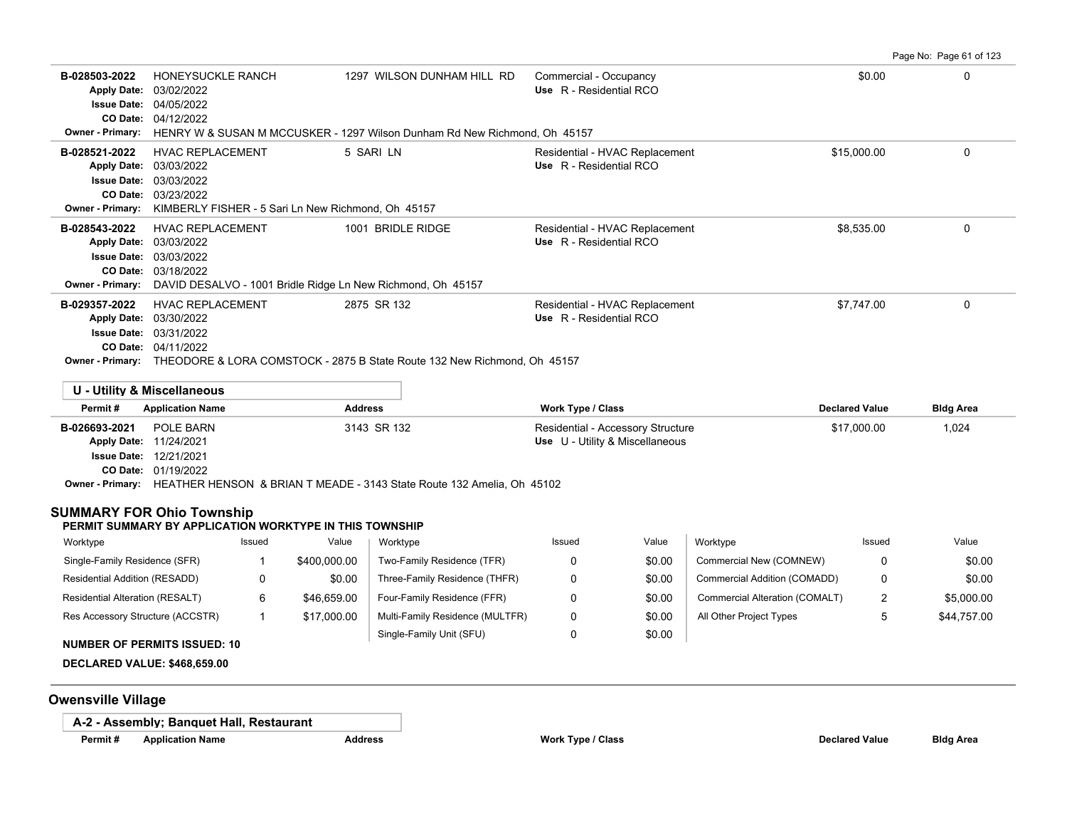Page No: Page 61 of 123 **B-028503-2022** HONEYSUCKLE RANCH 1297 WILSON DUNHAM HILL RD Commercial - Occupancy \$0.00 \$0.00 \$0.00 0 0 0 0 0 0 04/12/2022 **CO Date:** 04/05/2022 **Issue Date:** Apply Date: 03/02/2022 **Apply Date: Use** R - Residential RCO **Owner - Primary:** HENRY W & SUSAN M MCCUSKER - 1297 Wilson Dunham Rd New Richmond, Oh 45157 **B-028521-2022** HVAC REPLACEMENT 5 SARI LN Residential - HVAC Replacement \$15,000.00 0 0 03/23/2022 **CO Date:** 03/03/2022 **Issue Date:** 03/03/2022 **Apply Date: Use** R - Residential RCO **Owner - Primary:** KIMBERLY FISHER - 5 Sari Ln New Richmond, Oh 45157 B-028543-2022 HVAC REPLACEMENT 1001 BRIDLE RIDGE Residential - HVAC Replacement \$8,535.00 \$8,535.00<br>Apply Date: 03/03/2022 Apply Date: 03/03/2022 03/18/2022 **CO Date:** 03/03/2022 **Issue Date:** 03/03/2022 **Apply Date: Use** R - Residential RCO Residential - HVAC Replacement **Owner - Primary:** DAVID DESALVO - 1001 Bridle Ridge Ln New Richmond, Oh 45157 **B-029357-2022** HVAC REPLACEMENT 2875 SR 132 Residential - HVAC Replacement \$7,747.00 \$7,747.00 04/11/2022 **CO Date:** 03/31/2022 **Issue Date:** Apply Date: 03/30/2022 **Apply Date: Use** R - Residential RCO **Owner - Primary:** THEODORE & LORA COMSTOCK - 2875 B State Route 132 New Richmond, Oh 45157

|                         | U - Utility & Miscellaneous   |                                                                        |                                   |                       |                  |
|-------------------------|-------------------------------|------------------------------------------------------------------------|-----------------------------------|-----------------------|------------------|
| Permit#                 | <b>Application Name</b>       | <b>Address</b>                                                         | <b>Work Type / Class</b>          | <b>Declared Value</b> | <b>Bldg Area</b> |
| B-026693-2021           | POLE BARN                     | 3143 SR 132                                                            | Residential - Accessory Structure | \$17,000.00           | 1,024            |
| <b>Apply Date:</b>      | 11/24/2021                    |                                                                        | Use U - Utility & Miscellaneous   |                       |                  |
|                         | <b>Issue Date: 12/21/2021</b> |                                                                        |                                   |                       |                  |
|                         | <b>CO Date: 01/19/2022</b>    |                                                                        |                                   |                       |                  |
| <b>Owner - Primary:</b> |                               | HEATHER HENSON & BRIAN T MEADE - 3143 State Route 132 Amelia, Oh 45102 |                                   |                       |                  |

# **SUMMARY FOR Ohio Township**

## **PERMIT SUMMARY BY APPLICATION WORKTYPE IN THIS TOWNSHIP**

| Worktype                         | Issued | Value        | Worktype                        | Issued | Value  | Worktype                       | Issued   | Value       |
|----------------------------------|--------|--------------|---------------------------------|--------|--------|--------------------------------|----------|-------------|
| Single-Family Residence (SFR)    |        | \$400,000.00 | Two-Family Residence (TFR)      |        | \$0.00 | Commercial New (COMNEW)        |          | \$0.00      |
| Residential Addition (RESADD)    |        | \$0.00       | Three-Family Residence (THFR)   |        | \$0.00 | Commercial Addition (COMADD)   |          | \$0.00      |
| Residential Alteration (RESALT)  |        | \$46,659.00  | Four-Family Residence (FFR)     |        | \$0.00 | Commercial Alteration (COMALT) | <u>_</u> | \$5,000.00  |
| Res Accessory Structure (ACCSTR) |        | \$17,000.00  | Multi-Family Residence (MULTFR) |        | \$0.00 | All Other Project Types        |          | \$44.757.00 |
|                                  |        |              | Single-Family Unit (SFU)        |        | \$0.00 |                                |          |             |

## **NUMBER OF PERMITS ISSUED: 10**

**DECLARED VALUE: \$468,659.00**

# **Owensville Village**

**A-2 - Assembly; Banquet Hall, Restaurant**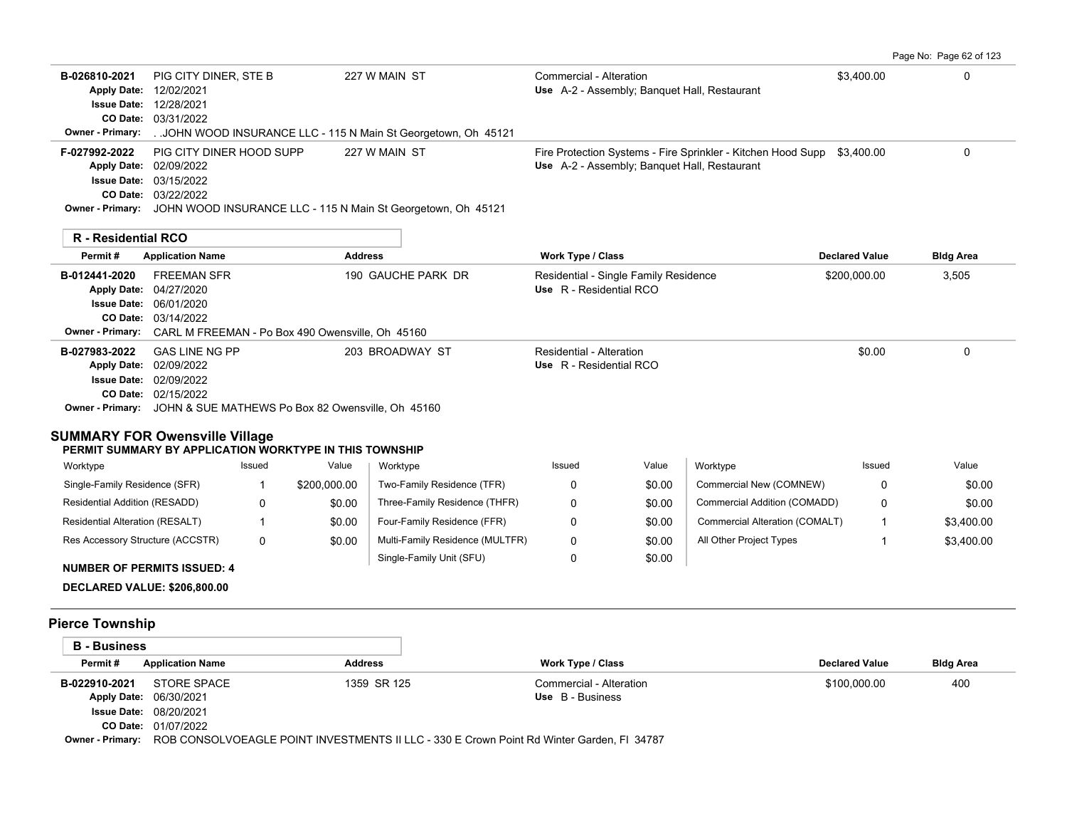Page No: Page 62 of 123

| B-026810-2021<br><b>Apply Date:</b><br><b>Owner - Primary:</b>                                                                                                                                                       | PIG CITY DINER, STE B<br>12/02/2021<br><b>Issue Date: 12/28/2021</b><br>CO Date: 03/31/2022                |        |                                                  | 227 W MAIN ST<br>JOHN WOOD INSURANCE LLC - 115 N Main St Georgetown, Oh 45121                  | Commercial - Alteration                                          |                  | Use A-2 - Assembly; Banquet Hall, Restaurant                                                                 | \$3,400.00            | 0                |
|----------------------------------------------------------------------------------------------------------------------------------------------------------------------------------------------------------------------|------------------------------------------------------------------------------------------------------------|--------|--------------------------------------------------|------------------------------------------------------------------------------------------------|------------------------------------------------------------------|------------------|--------------------------------------------------------------------------------------------------------------|-----------------------|------------------|
| F-027992-2022                                                                                                                                                                                                        | PIG CITY DINER HOOD SUPP<br>Apply Date: 02/09/2022<br><b>Issue Date: 03/15/2022</b><br>CO Date: 03/22/2022 |        |                                                  | 227 W MAIN ST<br>Owner - Primary: JOHN WOOD INSURANCE LLC - 115 N Main St Georgetown, Oh 45121 |                                                                  |                  | Fire Protection Systems - Fire Sprinkler - Kitchen Hood Supp<br>Use A-2 - Assembly; Banquet Hall, Restaurant | \$3,400.00            | 0                |
| R - Residential RCO                                                                                                                                                                                                  |                                                                                                            |        |                                                  |                                                                                                |                                                                  |                  |                                                                                                              |                       |                  |
| Permit#                                                                                                                                                                                                              | <b>Application Name</b>                                                                                    |        | <b>Address</b>                                   |                                                                                                | Work Type / Class                                                |                  |                                                                                                              | <b>Declared Value</b> | <b>Bldg Area</b> |
| B-012441-2020<br><b>Owner - Primary:</b>                                                                                                                                                                             | <b>FREEMAN SFR</b><br>Apply Date: 04/27/2020<br><b>Issue Date: 06/01/2020</b><br>CO Date: 03/14/2022       |        | CARL M FREEMAN - Po Box 490 Owensville, Oh 45160 | 190 GAUCHE PARK DR                                                                             | Residential - Single Family Residence<br>Use R - Residential RCO |                  |                                                                                                              | \$200,000.00          | 3,505            |
| B-027983-2022<br><b>Apply Date:</b><br><b>Owner - Primary:</b> JOHN & SUE MATHEWS Po Box 82 Owensville, Oh 45160<br><b>SUMMARY FOR Owensville Village</b><br>PERMIT SUMMARY BY APPLICATION WORKTYPE IN THIS TOWNSHIP | <b>GAS LINE NG PP</b><br>02/09/2022<br><b>Issue Date: 02/09/2022</b><br>CO Date: 02/15/2022                |        |                                                  | 203 BROADWAY ST                                                                                | <b>Residential - Alteration</b><br>Use R - Residential RCO       |                  |                                                                                                              | \$0.00                | $\mathbf 0$      |
| Worktype                                                                                                                                                                                                             |                                                                                                            | Issued | Value                                            | Worktype                                                                                       | Issued                                                           | Value            | Worktype                                                                                                     | Issued                | Value            |
| Single-Family Residence (SFR)                                                                                                                                                                                        |                                                                                                            | 1      | \$200,000.00                                     | Two-Family Residence (TFR)                                                                     | 0                                                                | \$0.00           | Commercial New (COMNEW)                                                                                      | $\Omega$              | \$0.00           |
| Residential Addition (RESADD)                                                                                                                                                                                        |                                                                                                            | 0      | \$0.00                                           | Three-Family Residence (THFR)                                                                  | 0                                                                | \$0.00           | Commercial Addition (COMADD)                                                                                 | 0                     | \$0.00           |
| Residential Alteration (RESALT)                                                                                                                                                                                      |                                                                                                            | 1      | \$0.00                                           | Four-Family Residence (FFR)                                                                    | 0                                                                | \$0.00           | Commercial Alteration (COMALT)                                                                               | $\mathbf{1}$          | \$3,400.00       |
| Res Accessory Structure (ACCSTR)<br><b>NUMBER OF PERMITS ISSUED: 4</b>                                                                                                                                               |                                                                                                            | 0      | \$0.00                                           | Multi-Family Residence (MULTFR)<br>Single-Family Unit (SFU)                                    | 0<br>0                                                           | \$0.00<br>\$0.00 | All Other Project Types                                                                                      | $\mathbf{1}$          | \$3,400.00       |
| <b>DECLARED VALUE: \$206,800.00</b>                                                                                                                                                                                  |                                                                                                            |        |                                                  |                                                                                                |                                                                  |                  |                                                                                                              |                       |                  |
| <b>Pierce Township</b>                                                                                                                                                                                               |                                                                                                            |        |                                                  |                                                                                                |                                                                  |                  |                                                                                                              |                       |                  |
| <b>B</b> - Business                                                                                                                                                                                                  |                                                                                                            |        |                                                  |                                                                                                |                                                                  |                  |                                                                                                              |                       |                  |
| Permit#                                                                                                                                                                                                              | <b>Application Name</b>                                                                                    |        | <b>Address</b>                                   |                                                                                                | Work Type / Class                                                |                  |                                                                                                              | <b>Declared Value</b> | <b>Bldg Area</b> |
| B-022910-2021<br>Apply Date: 06/30/2021                                                                                                                                                                              | <b>STORE SPACE</b><br><b>Issue Date: 08/20/2021</b><br>CO Date: 01/07/2022                                 |        |                                                  | 1359 SR 125                                                                                    | Commercial - Alteration<br>Use B - Business                      |                  |                                                                                                              | \$100,000.00          | 400              |

**Owner - Primary:** ROB CONSOLVOEAGLE POINT INVESTMENTS II LLC - 330 E Crown Point Rd Winter Garden, Fl 34787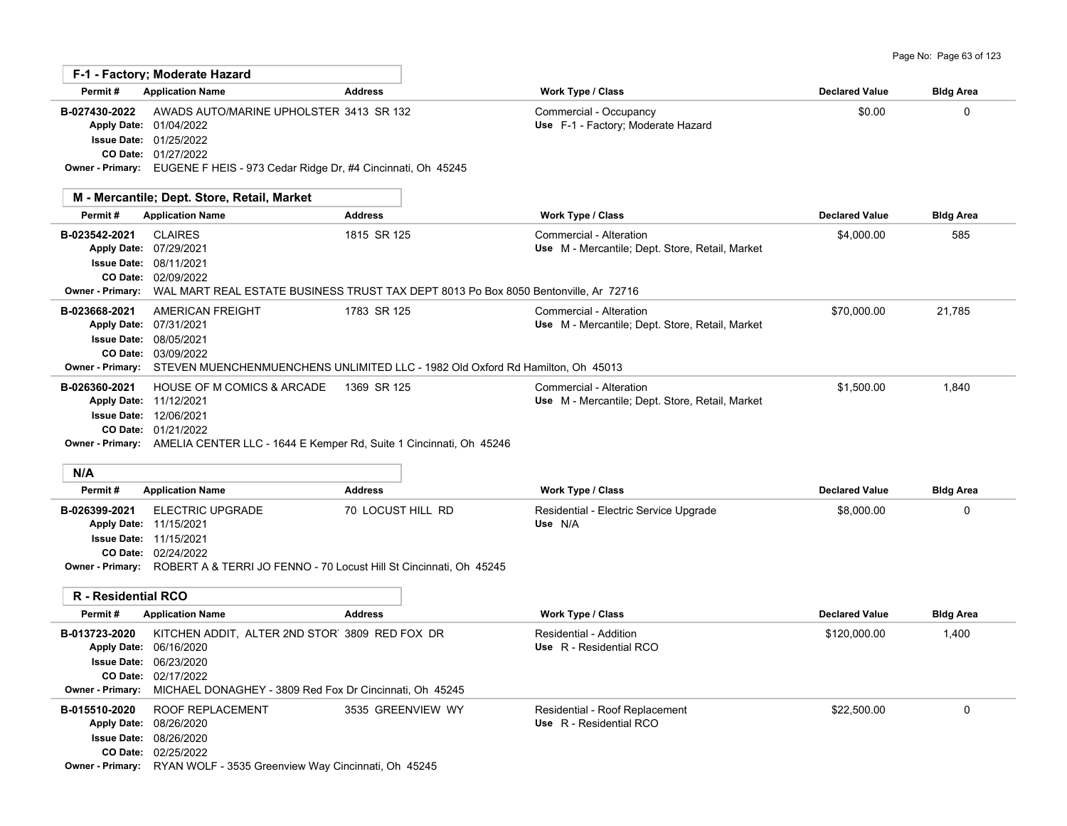|                                                                                      | F-1 - Factory; Moderate Hazard                                                                                                              |                                                                                                                     |                                                                            |                       |                  |
|--------------------------------------------------------------------------------------|---------------------------------------------------------------------------------------------------------------------------------------------|---------------------------------------------------------------------------------------------------------------------|----------------------------------------------------------------------------|-----------------------|------------------|
| Permit#                                                                              | <b>Application Name</b>                                                                                                                     | <b>Address</b>                                                                                                      | Work Type / Class                                                          | <b>Declared Value</b> | <b>Bldg Area</b> |
| B-027430-2022                                                                        | AWADS AUTO/MARINE UPHOLSTER 3413 SR 132<br>Apply Date: 01/04/2022<br><b>Issue Date: 01/25/2022</b><br>CO Date: 01/27/2022                   | Owner - Primary: EUGENE F HEIS - 973 Cedar Ridge Dr, #4 Cincinnati, Oh 45245                                        | Commercial - Occupancy<br>Use F-1 - Factory; Moderate Hazard               | \$0.00                | 0                |
|                                                                                      | M - Mercantile; Dept. Store, Retail, Market                                                                                                 |                                                                                                                     |                                                                            |                       |                  |
| Permit#                                                                              | <b>Application Name</b>                                                                                                                     | <b>Address</b>                                                                                                      | Work Type / Class                                                          | <b>Declared Value</b> | <b>Bldg Area</b> |
| B-023542-2021                                                                        | <b>CLAIRES</b><br>Apply Date: 07/29/2021<br><b>Issue Date: 08/11/2021</b><br>CO Date: 02/09/2022                                            | 1815 SR 125<br>Owner - Primary: WAL MART REAL ESTATE BUSINESS TRUST TAX DEPT 8013 Po Box 8050 Bentonville, Ar 72716 | Commercial - Alteration<br>Use M - Mercantile; Dept. Store, Retail, Market | \$4,000.00            | 585              |
| B-023668-2021                                                                        | AMERICAN FREIGHT<br>Apply Date: 07/31/2021<br><b>Issue Date: 08/05/2021</b><br>CO Date: 03/09/2022                                          | 1783 SR 125<br>Owner - Primary: STEVEN MUENCHENMUENCHENS UNLIMITED LLC - 1982 Old Oxford Rd Hamilton, Oh 45013      | Commercial - Alteration<br>Use M - Mercantile; Dept. Store, Retail, Market | \$70,000.00           | 21,785           |
| B-026360-2021                                                                        | <b>HOUSE OF M COMICS &amp; ARCADE</b><br>Apply Date: 11/12/2021<br><b>Issue Date: 12/06/2021</b><br>CO Date: 01/21/2022                     | 1369 SR 125<br><b>Owner - Primary:</b> AMELIA CENTER LLC - 1644 E Kemper Rd, Suite 1 Cincinnati, Oh 45246           | Commercial - Alteration<br>Use M - Mercantile; Dept. Store, Retail, Market | \$1.500.00            | 1,840            |
| N/A                                                                                  |                                                                                                                                             |                                                                                                                     |                                                                            |                       |                  |
| Permit#                                                                              | <b>Application Name</b>                                                                                                                     | <b>Address</b>                                                                                                      | Work Type / Class                                                          | <b>Declared Value</b> | <b>Bldg Area</b> |
| B-026399-2021                                                                        | <b>ELECTRIC UPGRADE</b><br>Apply Date: 11/15/2021<br>Issue Date: 11/15/2021<br>CO Date: 02/24/2022                                          | 70 LOCUST HILL RD<br><b>Owner - Primary:</b> ROBERT A & TERRI JO FENNO - 70 Locust Hill St Cincinnati, Oh 45245     | Residential - Electric Service Upgrade<br>Use N/A                          | \$8,000.00            | $\Omega$         |
| <b>R</b> - Residential RCO                                                           |                                                                                                                                             |                                                                                                                     |                                                                            |                       |                  |
| Permit#                                                                              | <b>Application Name</b>                                                                                                                     | <b>Address</b>                                                                                                      | Work Type / Class                                                          | <b>Declared Value</b> | <b>Bldg Area</b> |
| B-013723-2020<br><b>Apply Date:</b><br><b>Issue Date:</b><br><b>Owner - Primary:</b> | KITCHEN ADDIT, ALTER 2ND STOR' 3809 RED FOX DR<br>06/16/2020<br>06/23/2020<br>CO Date: 02/17/2022                                           | MICHAEL DONAGHEY - 3809 Red Fox Dr Cincinnati, Oh 45245                                                             | Residential - Addition<br>Use R - Residential RCO                          | \$120,000.00          | 1,400            |
| B-015510-2020<br><b>Apply Date:</b><br><b>Issue Date:</b>                            | ROOF REPLACEMENT<br>08/26/2020<br>08/26/2020<br>CO Date: 02/25/2022<br>Owner - Primary: RYAN WOLF - 3535 Greenview Way Cincinnati, Oh 45245 | 3535 GREENVIEW WY                                                                                                   | Residential - Roof Replacement<br>Use R - Residential RCO                  | \$22,500.00           | 0                |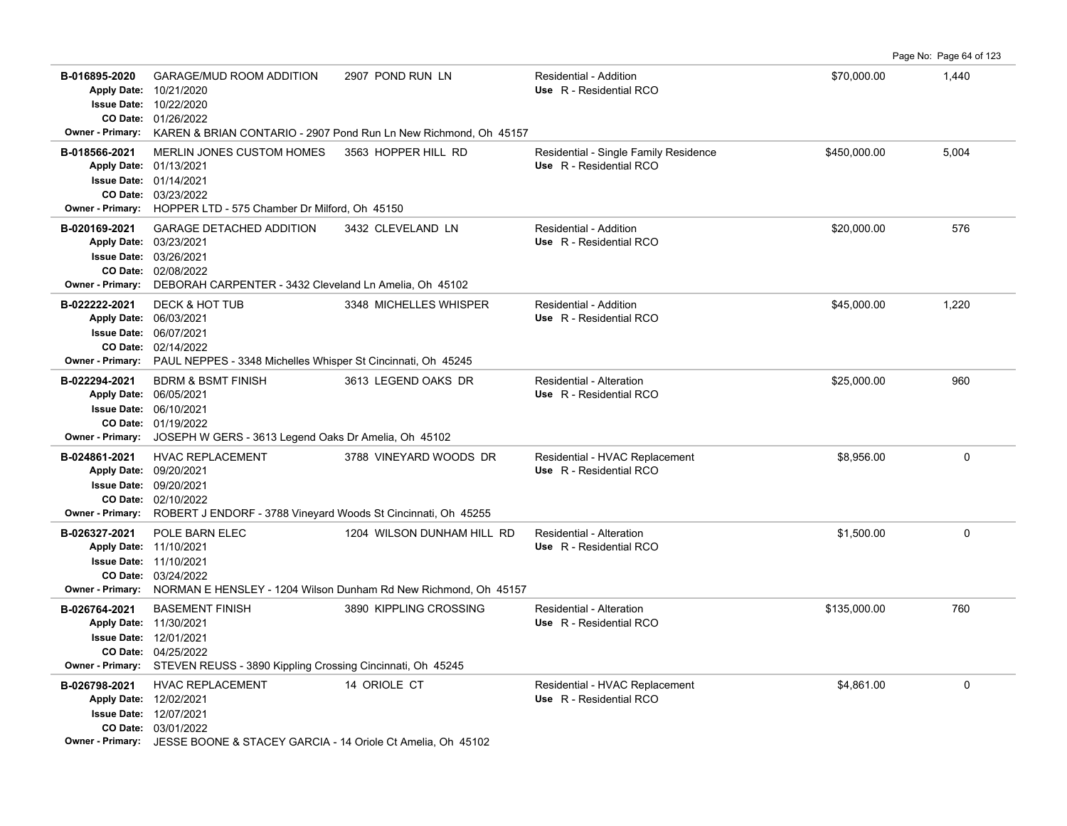Page No: Page 64 of 123

| B-016895-2020<br>Owner - Primary:        | <b>GARAGE/MUD ROOM ADDITION</b><br>Apply Date: 10/21/2020<br>Issue Date: 10/22/2020<br>CO Date: 01/26/2022                                                                                       | 2907 POND RUN LN<br>KAREN & BRIAN CONTARIO - 2907 Pond Run Ln New Richmond, Oh 45157          | <b>Residential - Addition</b><br>Use R - Residential RCO         | \$70,000.00  | 1,440       |
|------------------------------------------|--------------------------------------------------------------------------------------------------------------------------------------------------------------------------------------------------|-----------------------------------------------------------------------------------------------|------------------------------------------------------------------|--------------|-------------|
| B-018566-2021<br><b>Owner - Primary:</b> | MERLIN JONES CUSTOM HOMES<br>Apply Date: 01/13/2021<br><b>Issue Date: 01/14/2021</b><br>CO Date: 03/23/2022<br>HOPPER LTD - 575 Chamber Dr Milford, Oh 45150                                     | 3563 HOPPER HILL RD                                                                           | Residential - Single Family Residence<br>Use R - Residential RCO | \$450,000.00 | 5,004       |
| B-020169-2021<br>Owner - Primary:        | <b>GARAGE DETACHED ADDITION</b><br>Apply Date: 03/23/2021<br><b>Issue Date: 03/26/2021</b><br>CO Date: 02/08/2022<br>DEBORAH CARPENTER - 3432 Cleveland Ln Amelia, Oh 45102                      | 3432 CLEVELAND LN                                                                             | Residential - Addition<br>Use R - Residential RCO                | \$20,000.00  | 576         |
| B-022222-2021<br>Owner - Primary:        | DECK & HOT TUB<br>Apply Date: 06/03/2021<br>Issue Date: 06/07/2021<br>CO Date: 02/14/2022<br>PAUL NEPPES - 3348 Michelles Whisper St Cincinnati, Oh 45245                                        | 3348 MICHELLES WHISPER                                                                        | <b>Residential - Addition</b><br>Use R - Residential RCO         | \$45,000.00  | 1,220       |
| B-022294-2021<br><b>Owner - Primary:</b> | <b>BDRM &amp; BSMT FINISH</b><br>Apply Date: 06/05/2021<br>Issue Date: 06/10/2021<br>CO Date: 01/19/2022<br>JOSEPH W GERS - 3613 Legend Oaks Dr Amelia, Oh 45102                                 | 3613 LEGEND OAKS DR                                                                           | Residential - Alteration<br>Use R - Residential RCO              | \$25,000.00  | 960         |
| B-024861-2021<br><b>Owner - Primary:</b> | <b>HVAC REPLACEMENT</b><br>Apply Date: 09/20/2021<br><b>Issue Date: 09/20/2021</b><br>CO Date: 02/10/2022<br>ROBERT J ENDORF - 3788 Vineyard Woods St Cincinnati, Oh 45255                       | 3788 VINEYARD WOODS DR                                                                        | Residential - HVAC Replacement<br>Use R - Residential RCO        | \$8,956.00   | $\mathbf 0$ |
| B-026327-2021<br><b>Owner - Primary:</b> | POLE BARN ELEC<br>Apply Date: 11/10/2021<br><b>Issue Date: 11/10/2021</b><br>CO Date: 03/24/2022                                                                                                 | 1204 WILSON DUNHAM HILL RD<br>NORMAN E HENSLEY - 1204 Wilson Dunham Rd New Richmond, Oh 45157 | Residential - Alteration<br>Use R - Residential RCO              | \$1,500.00   | $\mathbf 0$ |
| B-026764-2021<br>Owner - Primary:        | <b>BASEMENT FINISH</b><br>Apply Date: 11/30/2021<br>Issue Date: 12/01/2021<br>CO Date: 04/25/2022<br>STEVEN REUSS - 3890 Kippling Crossing Cincinnati, Oh 45245                                  | 3890 KIPPLING CROSSING                                                                        | <b>Residential - Alteration</b><br>Use R - Residential RCO       | \$135,000.00 | 760         |
| B-026798-2021                            | <b>HVAC REPLACEMENT</b><br>Apply Date: 12/02/2021<br><b>Issue Date: 12/07/2021</b><br>CO Date: 03/01/2022<br><b>Owner - Primary:</b> JESSE BOONE & STACEY GARCIA - 14 Oriole Ct Amelia, Oh 45102 | 14 ORIOLE CT                                                                                  | Residential - HVAC Replacement<br>Use R - Residential RCO        | \$4,861.00   | 0           |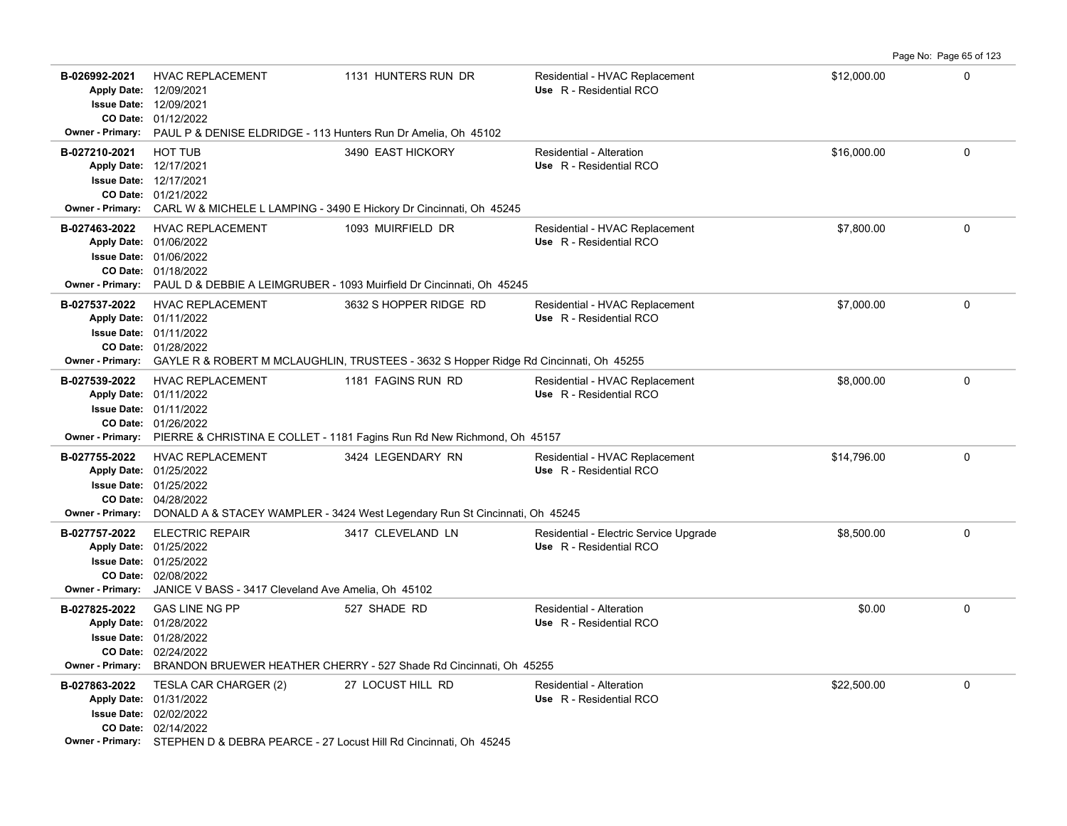**B-026992-2021** HVAC REPLACEMENT 1131 HUNTERS RUN DR Residential - HVAC Replacement \$12,000.00 \$12,000.00 0 01/12/2022 **CO Date:** 12/09/2021 **Issue Date:** Apply Date: 12/09/2021 **Apply Date: Use** R - Residential RCO **Owner - Primary:** PAUL P & DENISE ELDRIDGE - 113 Hunters Run Dr Amelia, Oh 45102 **B-027210-2021** \$16,000.00 0 HOT TUB 3490 EAST HICKORY Residential - Alteration 01/21/2022 **CO Date:** 12/17/2021 **Issue Date:** 12/17/2021 **Apply Date: Use** R - Residential RCO **Owner - Primary:** CARL W & MICHELE L LAMPING - 3490 E Hickory Dr Cincinnati, Oh 45245 **B-027463-2022** HVAC REPLACEMENT 1093 MUIRFIELD DR Residential - HVAC Replacement \$7,800.00 \$7,800.00 0 01/18/2022 **CO Date:** 01/06/2022 **Issue Date:** 01/06/2022 **Apply Date: Use** R - Residential RCO Residential - HVAC Replacement **Owner - Primary:** PAUL D & DEBBIE A LEIMGRUBER - 1093 Muirfield Dr Cincinnati, Oh 45245 B-027537-2022 HVAC REPLACEMENT 3632 S HOPPER RIDGE RD Residential - HVAC Replacement \$7,000.00 \$7,000.00 0 01/28/2022 **CO Date:** 01/11/2022 **Issue Date:** Apply Date: 01/11/2022 **Apply Date: Use** R - Residential RCO **Owner - Primary:** GAYLE R & ROBERT M MCLAUGHLIN, TRUSTEES - 3632 S Hopper Ridge Rd Cincinnati, Oh 45255 B-027539-2022 HVAC REPLACEMENT 1181 FAGINS RUN RD Residential - HVAC Replacement \$8.000.00 0 0 0 0 0 0 0 0 0 0 0 01/26/2022 **CO Date:** 01/11/2022 **Issue Date:** Apply Date: 01/11/2022 Residential - HVAC Replacement **Apply Date: Use** R - Residential RCO **Owner - Primary:** PIERRE & CHRISTINA E COLLET - 1181 Fagins Run Rd New Richmond, Oh 45157 B-027755-2022 HVAC REPLACEMENT 3424 LEGENDARY RN Residential - HVAC Replacement \$14,796.00 0 0 0 04/28/2022 **CO Date:** 01/25/2022 **Issue Date:** Apply Date: 01/25/2022 **Apply Date: Use** R - Residential RCO **Owner - Primary:** DONALD A & STACEY WAMPLER - 3424 West Legendary Run St Cincinnati, Oh 45245 **B-027757-2022** ELECTRIC REPAIR 3417 CLEVELAND LN Residential - Electric Service Upgrade \$8,500.00 \$8,500.00 0 02/08/2022 **CO Date:** 01/25/2022 **Issue Date:** Apply Date: 01/25/2022 **Apply Date: Use** R - Residential RCO **Owner - Primary:** JANICE V BASS - 3417 Cleveland Ave Amelia, Oh 45102 **B-027825-2022** \$0.00 0 02/24/2022 **CO Date:** 01/28/2022 **Issue Date:** Apply Date: 01/28/2022 GAS LINE NG PP **527 SHADE RD** Residential - Alteration **Apply Date: Use** R - Residential RCO **Owner - Primary:** BRANDON BRUEWER HEATHER CHERRY - 527 Shade Rd Cincinnati, Oh 45255 **B-027863-2022** \$22,500.00 0 TESLA CAR CHARGER (2) 27 LOCUST HILL RD Residential - Alteration 02/14/2022 **CO Date:** 02/02/2022 **Issue Date:** 01/31/2022 **Apply Date: Use** R - Residential RCO

Page No: Page 65 of 123

**Owner - Primary:** STEPHEN D & DEBRA PEARCE - 27 Locust Hill Rd Cincinnati, Oh 45245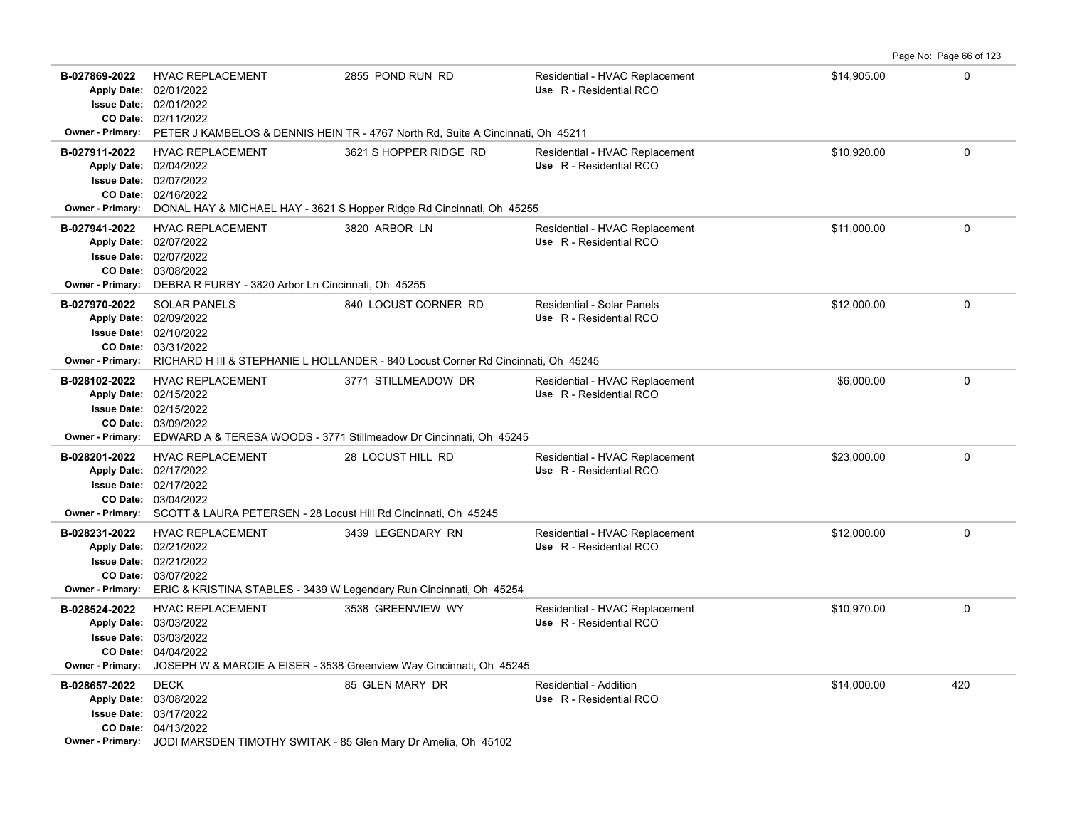Page No: Page 66 of 123

| B-027869-2022                            | <b>HVAC REPLACEMENT</b><br>Apply Date: 02/01/2022<br><b>Issue Date: 02/01/2022</b><br>CO Date: 02/11/2022                                                                                     | 2855 POND RUN RD<br>Owner - Primary: PETER J KAMBELOS & DENNIS HEIN TR - 4767 North Rd, Suite A Cincinnati, Oh 45211 | Residential - HVAC Replacement<br>Use R - Residential RCO | \$14,905.00 | $\mathbf 0$ |
|------------------------------------------|-----------------------------------------------------------------------------------------------------------------------------------------------------------------------------------------------|----------------------------------------------------------------------------------------------------------------------|-----------------------------------------------------------|-------------|-------------|
| B-027911-2022<br>Owner - Primary:        | <b>HVAC REPLACEMENT</b><br>Apply Date: 02/04/2022<br><b>Issue Date: 02/07/2022</b><br>CO Date: 02/16/2022                                                                                     | 3621 S HOPPER RIDGE RD<br>DONAL HAY & MICHAEL HAY - 3621 S Hopper Ridge Rd Cincinnati, Oh 45255                      | Residential - HVAC Replacement<br>Use R - Residential RCO | \$10.920.00 | $\mathbf 0$ |
| B-027941-2022<br><b>Owner - Primary:</b> | <b>HVAC REPLACEMENT</b><br>Apply Date: 02/07/2022<br><b>Issue Date: 02/07/2022</b><br>CO Date: 03/08/2022<br>DEBRA R FURBY - 3820 Arbor Ln Cincinnati, Oh 45255                               | 3820 ARBOR LN                                                                                                        | Residential - HVAC Replacement<br>Use R - Residential RCO | \$11,000.00 | $\mathbf 0$ |
| B-027970-2022<br><b>Owner - Primary:</b> | <b>SOLAR PANELS</b><br>Apply Date: 02/09/2022<br><b>Issue Date: 02/10/2022</b><br>CO Date: 03/31/2022                                                                                         | 840 LOCUST CORNER RD<br>RICHARD H III & STEPHANIE L HOLLANDER - 840 Locust Corner Rd Cincinnati, Oh 45245            | Residential - Solar Panels<br>Use R - Residential RCO     | \$12,000.00 | $\mathbf 0$ |
| B-028102-2022                            | <b>HVAC REPLACEMENT</b><br>Apply Date: 02/15/2022<br><b>Issue Date: 02/15/2022</b><br>CO Date: 03/09/2022                                                                                     | 3771 STILLMEADOW DR<br>Owner - Primary: EDWARD A & TERESA WOODS - 3771 Stillmeadow Dr Cincinnati, Oh 45245           | Residential - HVAC Replacement<br>Use R - Residential RCO | \$6,000.00  | $\mathbf 0$ |
| B-028201-2022                            | <b>HVAC REPLACEMENT</b><br>Apply Date: 02/17/2022<br><b>Issue Date: 02/17/2022</b><br>CO Date: 03/04/2022<br>Owner - Primary: SCOTT & LAURA PETERSEN - 28 Locust Hill Rd Cincinnati, Oh 45245 | 28 LOCUST HILL RD                                                                                                    | Residential - HVAC Replacement<br>Use R - Residential RCO | \$23,000.00 | $\Omega$    |
| B-028231-2022<br>Owner - Primary:        | <b>HVAC REPLACEMENT</b><br>Apply Date: 02/21/2022<br><b>Issue Date: 02/21/2022</b><br>CO Date: 03/07/2022                                                                                     | 3439 LEGENDARY RN<br>ERIC & KRISTINA STABLES - 3439 W Legendary Run Cincinnati, Oh 45254                             | Residential - HVAC Replacement<br>Use R - Residential RCO | \$12,000.00 | 0           |
| B-028524-2022<br><b>Owner - Primary:</b> | <b>HVAC REPLACEMENT</b><br>Apply Date: 03/03/2022<br><b>Issue Date: 03/03/2022</b><br>CO Date: 04/04/2022                                                                                     | 3538 GREENVIEW WY<br>JOSEPH W & MARCIE A EISER - 3538 Greenview Way Cincinnati, Oh 45245                             | Residential - HVAC Replacement<br>Use R - Residential RCO | \$10,970.00 | $\mathbf 0$ |
| B-028657-2022                            | <b>DECK</b><br>Apply Date: 03/08/2022<br><b>Issue Date: 03/17/2022</b><br>CO Date: 04/13/2022<br>Owner - Primary: JODI MARSDEN TIMOTHY SWITAK - 85 Glen Mary Dr Amelia, Oh 45102              | 85 GLEN MARY DR                                                                                                      | Residential - Addition<br>Use R - Residential RCO         | \$14,000.00 | 420         |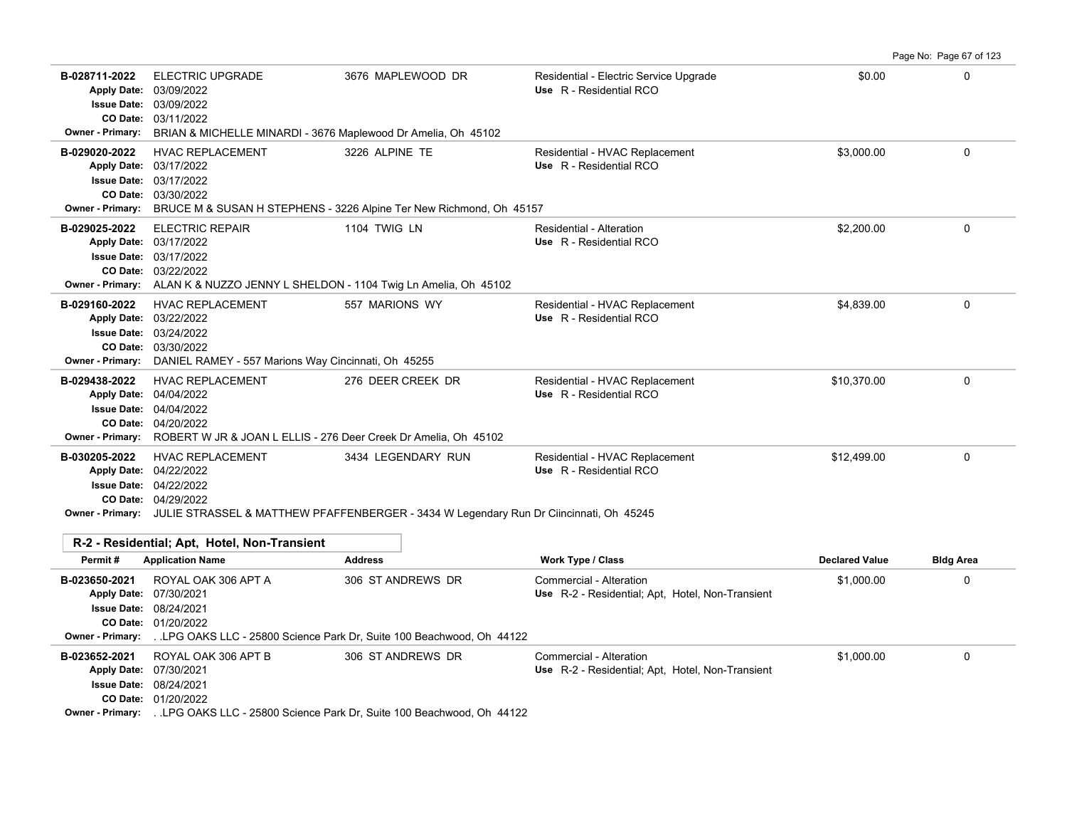|                                                                                      |                                                                                                                                                                                                                      |                                                                                          |                                                                             |                       | Page No: Page 67 of 123 |
|--------------------------------------------------------------------------------------|----------------------------------------------------------------------------------------------------------------------------------------------------------------------------------------------------------------------|------------------------------------------------------------------------------------------|-----------------------------------------------------------------------------|-----------------------|-------------------------|
| B-028711-2022<br><b>Issue Date:</b><br>CO Date:<br><b>Owner - Primary:</b>           | <b>ELECTRIC UPGRADE</b><br>Apply Date: 03/09/2022<br>03/09/2022<br>03/11/2022<br>BRIAN & MICHELLE MINARDI - 3676 Maplewood Dr Amelia, Oh 45102                                                                       | 3676 MAPLEWOOD DR                                                                        | Residential - Electric Service Upgrade<br>Use R - Residential RCO           | \$0.00                | $\Omega$                |
| B-029020-2022<br><b>Issue Date:</b><br><b>Owner - Primary:</b>                       | <b>HVAC REPLACEMENT</b><br>Apply Date: 03/17/2022<br>03/17/2022<br>CO Date: 03/30/2022                                                                                                                               | 3226 ALPINE TE<br>BRUCE M & SUSAN H STEPHENS - 3226 Alpine Ter New Richmond, Oh 45157    | Residential - HVAC Replacement<br>Use R - Residential RCO                   | \$3,000.00            | $\Omega$                |
| B-029025-2022                                                                        | <b>ELECTRIC REPAIR</b><br>Apply Date: 03/17/2022<br><b>Issue Date: 03/17/2022</b><br>CO Date: 03/22/2022<br>Owner - Primary: ALAN K & NUZZO JENNY L SHELDON - 1104 Twig Ln Amelia, Oh 45102                          | <b>1104 TWIG LN</b>                                                                      | <b>Residential - Alteration</b><br>Use R - Residential RCO                  | \$2,200.00            | 0                       |
| B-029160-2022<br><b>Owner - Primary:</b>                                             | <b>HVAC REPLACEMENT</b><br>Apply Date: 03/22/2022<br><b>Issue Date: 03/24/2022</b><br>CO Date: 03/30/2022<br>DANIEL RAMEY - 557 Marions Way Cincinnati, Oh 45255                                                     | 557 MARIONS WY                                                                           | Residential - HVAC Replacement<br>Use R - Residential RCO                   | \$4,839.00            | 0                       |
| B-029438-2022<br><b>Apply Date:</b><br><b>Owner - Primary:</b>                       | <b>HVAC REPLACEMENT</b><br>04/04/2022<br><b>Issue Date: 04/04/2022</b><br>CO Date: 04/20/2022<br>ROBERT W JR & JOAN L ELLIS - 276 Deer Creek Dr Amelia. Oh 45102                                                     | 276 DEER CREEK DR                                                                        | Residential - HVAC Replacement<br>Use R - Residential RCO                   | \$10,370.00           | $\Omega$                |
| B-030205-2022                                                                        | <b>HVAC REPLACEMENT</b><br>Apply Date: 04/22/2022<br><b>Issue Date: 04/22/2022</b><br>CO Date: 04/29/2022<br>Owner - Primary: JULIE STRASSEL & MATTHEW PFAFFENBERGER - 3434 W Legendary Run Dr Ciincinnati, Oh 45245 | 3434 LEGENDARY RUN                                                                       | Residential - HVAC Replacement<br>Use R - Residential RCO                   | \$12.499.00           | $\Omega$                |
| Permit#                                                                              | R-2 - Residential: Apt. Hotel. Non-Transient<br><b>Application Name</b>                                                                                                                                              | <b>Address</b>                                                                           | <b>Work Type / Class</b>                                                    | <b>Declared Value</b> | <b>Bldg Area</b>        |
| B-023650-2021<br><b>Apply Date:</b><br><b>Issue Date:</b><br><b>Owner - Primary:</b> | ROYAL OAK 306 APT A<br>07/30/2021<br>08/24/2021<br>CO Date: 01/20/2022                                                                                                                                               | 306 ST ANDREWS DR<br>LPG OAKS LLC - 25800 Science Park Dr. Suite 100 Beachwood, Oh 44122 | Commercial - Alteration<br>Use R-2 - Residential: Apt. Hotel, Non-Transient | \$1,000.00            | 0                       |
| B-023652-2021                                                                        | ROYAL OAK 306 APT B<br>Apply Date: 07/30/2021<br><b>Issue Date: 08/24/2021</b>                                                                                                                                       | 306 ST ANDREWS DR                                                                        | Commercial - Alteration<br>Use R-2 - Residential; Apt, Hotel, Non-Transient | \$1,000.00            | $\Omega$                |

01/20/2022 **CO Date:**

**Owner - Primary:** . .LPG OAKS LLC - 25800 Science Park Dr, Suite 100 Beachwood, Oh 44122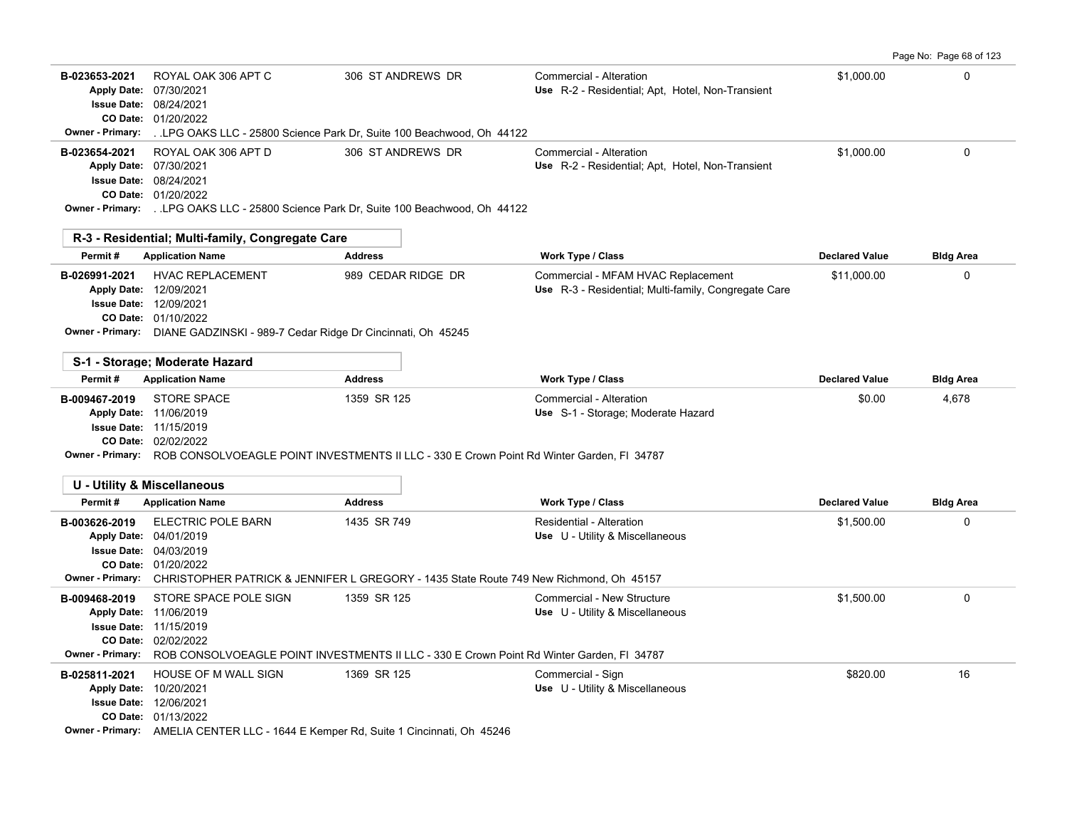Page No: Page 68 of 123

| B-023653-2021<br>Owner - Primary: | ROYAL OAK 306 APT C<br>Apply Date: 07/30/2021<br><b>Issue Date: 08/24/2021</b><br>CO Date: 01/20/2022                                                                                         | 306 ST ANDREWS DR<br>LPG OAKS LLC - 25800 Science Park Dr, Suite 100 Beachwood, Oh 44122                                  | Commercial - Alteration<br>Use R-2 - Residential; Apt, Hotel, Non-Transient                | \$1,000.00            | $\Omega$         |
|-----------------------------------|-----------------------------------------------------------------------------------------------------------------------------------------------------------------------------------------------|---------------------------------------------------------------------------------------------------------------------------|--------------------------------------------------------------------------------------------|-----------------------|------------------|
| B-023654-2021                     | ROYAL OAK 306 APT D<br>Apply Date: 07/30/2021<br><b>Issue Date: 08/24/2021</b><br>CO Date: 01/20/2022                                                                                         | 306 ST ANDREWS DR<br>Owner - Primary: LPG OAKS LLC - 25800 Science Park Dr, Suite 100 Beachwood, Oh 44122                 | Commercial - Alteration<br>Use R-2 - Residential; Apt, Hotel, Non-Transient                | \$1.000.00            | $\mathbf 0$      |
|                                   | R-3 - Residential; Multi-family, Congregate Care                                                                                                                                              |                                                                                                                           |                                                                                            |                       |                  |
| Permit#                           | <b>Application Name</b>                                                                                                                                                                       | <b>Address</b>                                                                                                            | Work Type / Class                                                                          | <b>Declared Value</b> | <b>Bldg Area</b> |
| B-026991-2021                     | <b>HVAC REPLACEMENT</b><br>Apply Date: 12/09/2021<br><b>Issue Date: 12/09/2021</b><br>CO Date: 01/10/2022<br>Owner - Primary: DIANE GADZINSKI - 989-7 Cedar Ridge Dr Cincinnati, Oh 45245     | 989 CEDAR RIDGE DR                                                                                                        | Commercial - MFAM HVAC Replacement<br>Use R-3 - Residential; Multi-family, Congregate Care | \$11,000.00           | $\Omega$         |
|                                   | S-1 - Storage; Moderate Hazard                                                                                                                                                                |                                                                                                                           |                                                                                            |                       |                  |
| Permit#                           | <b>Application Name</b>                                                                                                                                                                       | <b>Address</b>                                                                                                            | <b>Work Type / Class</b>                                                                   | <b>Declared Value</b> | <b>Bldg Area</b> |
| B-009467-2019                     | <b>STORE SPACE</b><br>Apply Date: 11/06/2019<br><b>Issue Date: 11/15/2019</b><br>CO Date: 02/02/2022                                                                                          | 1359 SR 125<br>Owner - Primary: ROB CONSOLVOEAGLE POINT INVESTMENTS II LLC - 330 E Crown Point Rd Winter Garden, FI 34787 | Commercial - Alteration<br>Use S-1 - Storage; Moderate Hazard                              | \$0.00                | 4,678            |
|                                   | <b>U - Utility &amp; Miscellaneous</b>                                                                                                                                                        |                                                                                                                           |                                                                                            |                       |                  |
| Permit#                           | <b>Application Name</b>                                                                                                                                                                       | <b>Address</b>                                                                                                            | Work Type / Class                                                                          | <b>Declared Value</b> | <b>Bldg Area</b> |
| B-003626-2019                     | ELECTRIC POLE BARN<br>Apply Date: 04/01/2019<br><b>Issue Date: 04/03/2019</b><br>CO Date: 01/20/2022                                                                                          | 1435 SR 749<br>Owner - Primary: CHRISTOPHER PATRICK & JENNIFER L GREGORY - 1435 State Route 749 New Richmond, Oh 45157    | Residential - Alteration<br>Use U - Utility & Miscellaneous                                | \$1,500.00            | $\Omega$         |
| B-009468-2019                     | STORE SPACE POLE SIGN<br>Apply Date: 11/06/2019<br><b>Issue Date: 11/15/2019</b><br>CO Date: 02/02/2022                                                                                       | 1359 SR 125<br>Owner - Primary: ROB CONSOLVOEAGLE POINT INVESTMENTS II LLC - 330 E Crown Point Rd Winter Garden, FI 34787 | Commercial - New Structure<br>Use U - Utility & Miscellaneous                              | \$1,500.00            | $\mathbf 0$      |
| B-025811-2021                     | <b>HOUSE OF M WALL SIGN</b><br>Apply Date: 10/20/2021<br>Issue Date: 12/06/2021<br>CO Date: 01/13/2022<br>Owner - Primary: AMELIA CENTER LLC - 1644 E Kemper Rd, Suite 1 Cincinnati, Oh 45246 | 1369 SR 125                                                                                                               | Commercial - Sign<br>Use U - Utility & Miscellaneous                                       | \$820.00              | 16               |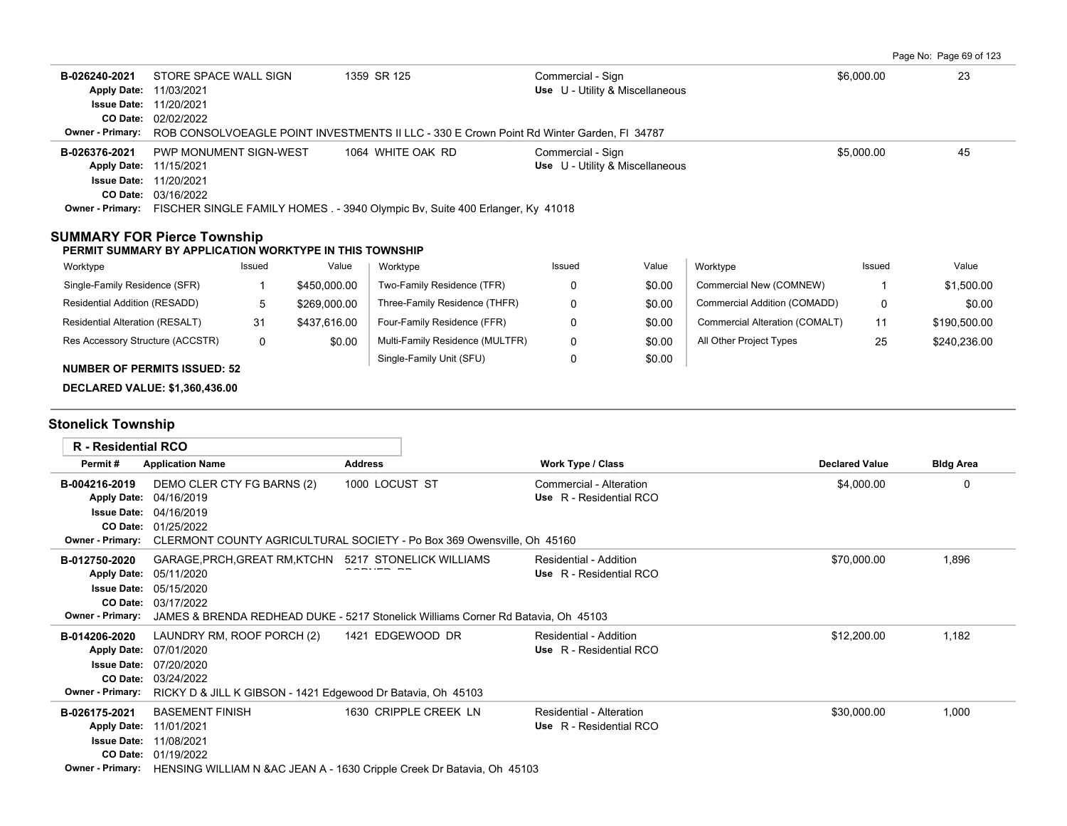|  | Page No: Page 69 of 123 |  |
|--|-------------------------|--|
|  |                         |  |

| B-026240-2021<br>Apply Date: 11/03/2021<br><b>Owner - Primary:</b>                            | STORE SPACE WALL SIGN<br><b>Issue Date: 11/20/2021</b><br>CO Date: 02/02/2022                                |        |                | 1359 SR 125<br>ROB CONSOLVOEAGLE POINT INVESTMENTS II LLC - 330 E Crown Point Rd Winter Garden, FI 34787                                   | Commercial - Sign<br>Use U - Utility & Miscellaneous |        |                                | \$6,000.00  | 23               |
|-----------------------------------------------------------------------------------------------|--------------------------------------------------------------------------------------------------------------|--------|----------------|--------------------------------------------------------------------------------------------------------------------------------------------|------------------------------------------------------|--------|--------------------------------|-------------|------------------|
| B-026376-2021<br>Apply Date: 11/15/2021<br><b>Issue Date: 11/20/2021</b>                      | PWP MONUMENT SIGN-WEST<br>CO Date: 03/16/2022                                                                |        |                | 1064 WHITE OAK RD<br>Owner - Primary: FISCHER SINGLE FAMILY HOMES . - 3940 Olympic Bv, Suite 400 Erlanger, Ky 41018                        | Commercial - Sign<br>Use U - Utility & Miscellaneous |        |                                | \$5,000.00  | 45               |
| <b>SUMMARY FOR Pierce Township</b><br>PERMIT SUMMARY BY APPLICATION WORKTYPE IN THIS TOWNSHIP |                                                                                                              |        |                |                                                                                                                                            |                                                      |        |                                |             |                  |
| Worktype                                                                                      |                                                                                                              | Issued | Value          | Worktype                                                                                                                                   | Issued                                               | Value  | Worktype                       | Issued      | Value            |
| Single-Family Residence (SFR)                                                                 |                                                                                                              | 1      | \$450,000.00   | Two-Family Residence (TFR)                                                                                                                 | 0                                                    | \$0.00 | Commercial New (COMNEW)        | -1          | \$1,500.00       |
| Residential Addition (RESADD)                                                                 |                                                                                                              | 5      | \$269,000.00   | Three-Family Residence (THFR)                                                                                                              | 0                                                    | \$0.00 | Commercial Addition (COMADD)   | 0           | \$0.00           |
| Residential Alteration (RESALT)                                                               |                                                                                                              | 31     | \$437,616.00   | Four-Family Residence (FFR)                                                                                                                | 0                                                    | \$0.00 | Commercial Alteration (COMALT) | 11          | \$190,500.00     |
| Res Accessory Structure (ACCSTR)                                                              |                                                                                                              | 0      | \$0.00         | Multi-Family Residence (MULTFR)                                                                                                            | $\Omega$                                             | \$0.00 | All Other Project Types        | 25          | \$240,236.00     |
| <b>NUMBER OF PERMITS ISSUED: 52</b>                                                           |                                                                                                              |        |                | Single-Family Unit (SFU)                                                                                                                   | 0                                                    | \$0.00 |                                |             |                  |
| <b>DECLARED VALUE: \$1,360,436.00</b><br><b>Stonelick Township</b>                            |                                                                                                              |        |                |                                                                                                                                            |                                                      |        |                                |             |                  |
| <b>R</b> - Residential RCO                                                                    |                                                                                                              |        |                |                                                                                                                                            |                                                      |        |                                |             |                  |
| Permit#                                                                                       | <b>Application Name</b>                                                                                      |        | <b>Address</b> |                                                                                                                                            | <b>Work Type / Class</b>                             |        | <b>Declared Value</b>          |             | <b>Bldg Area</b> |
| B-004216-2019<br>Apply Date: 04/16/2019<br><b>Owner - Primary:</b>                            | DEMO CLER CTY FG BARNS (2)<br><b>Issue Date: 04/16/2019</b><br>CO Date: 01/25/2022                           |        |                | 1000 LOCUST ST<br>CLERMONT COUNTY AGRICULTURAL SOCIETY - Po Box 369 Owensville, Oh 45160                                                   | Commercial - Alteration<br>Use R - Residential RCO   |        |                                | \$4,000.00  | 0                |
| B-012750-2020<br><b>Owner - Primary:</b>                                                      | Apply Date: 05/11/2020<br><b>Issue Date: 05/15/2020</b><br>CO Date: 03/17/2022                               |        |                | GARAGE, PRCH, GREAT RM, KTCHN 5217 STONELICK WILLIAMS<br>JAMES & BRENDA REDHEAD DUKE - 5217 Stonelick Williams Corner Rd Batavia, Oh 45103 | Residential - Addition<br>Use R - Residential RCO    |        |                                | \$70,000.00 | 1,896            |
| B-014206-2020<br><b>Owner - Primary:</b>                                                      | LAUNDRY RM, ROOF PORCH (2)<br>Apply Date: 07/01/2020<br><b>Issue Date: 07/20/2020</b><br>CO Date: 03/24/2022 |        |                | 1421 EDGEWOOD DR<br>RICKY D & JILL K GIBSON - 1421 Edgewood Dr Batavia, Oh 45103                                                           | Residential - Addition<br>Use R - Residential RCO    |        |                                | \$12,200.00 | 1,182            |
| B-026175-2021<br>Apply Date: 11/01/2021                                                       | <b>BASEMENT FINISH</b><br><b>Issue Date: 11/08/2021</b><br>CO Date: 01/19/2022                               |        |                | 1630 CRIPPLE CREEK LN<br>Owner - Primary: HENSING WILLIAM N & AC JEAN A - 1630 Cripple Creek Dr Batavia, Oh 45103                          | Residential - Alteration<br>Use R - Residential RCO  |        |                                | \$30,000.00 | 1,000            |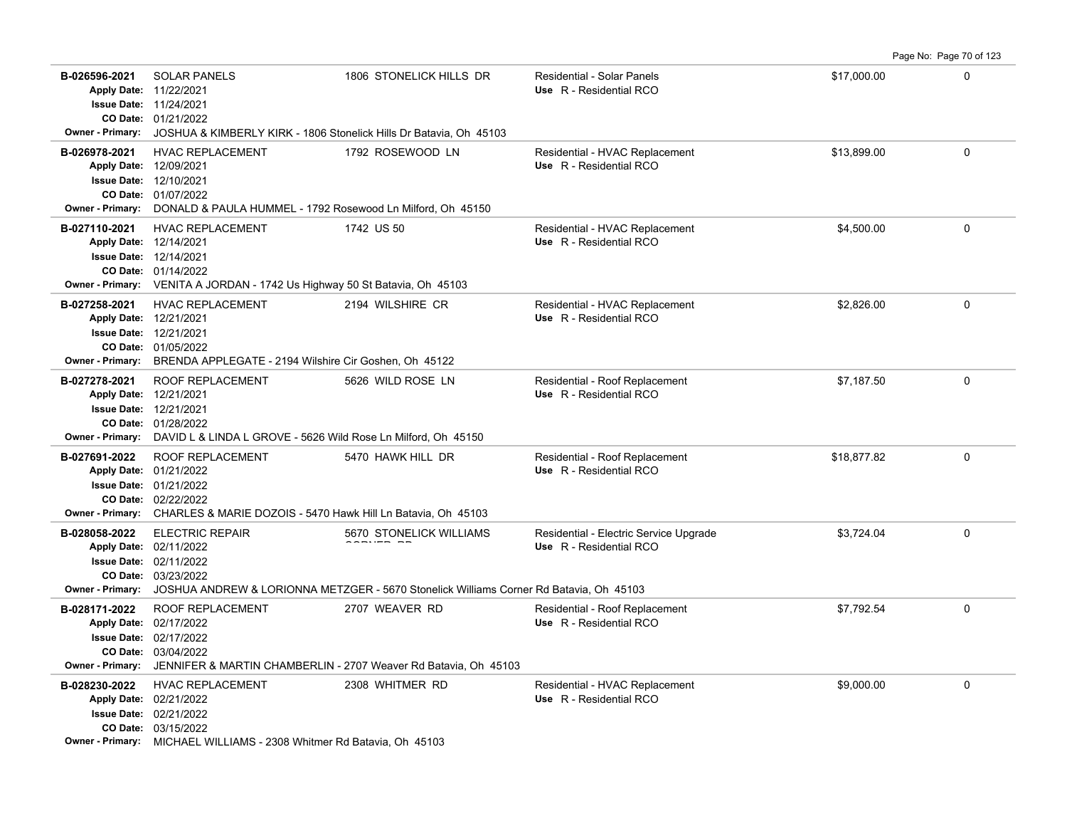**B-026596-2021** \$17,000.00 0 SOLAR PANELS 1806 STONELICK HILLS DR Residential - Solar Panels 01/21/2022 **CO Date:** 11/24/2021 **Issue Date:** 11/22/2021 **Apply Date: Use** R - Residential RCO **Owner - Primary:** JOSHUA & KIMBERLY KIRK - 1806 Stonelick Hills Dr Batavia, Oh 45103 **B-026978-2021** HVAC REPLACEMENT 1792 ROSEWOOD LN Residential - HVAC Replacement \$13,899.00 \$13,899.00 01/07/2022 **CO Date:** 12/10/2021 **Issue Date:** 12/09/2021 **Apply Date: Use** R - Residential RCO **Owner - Primary:** DONALD & PAULA HUMMEL - 1792 Rosewood Ln Milford, Oh 45150 **B-027110-2021** HVAC REPLACEMENT 1742 US 50 Residential - HVAC Replacement \$4,500.00 \$4,500.00 0 01/14/2022 **CO Date:** 12/14/2021 **Issue Date:** 12/14/2021 **Apply Date: Use** R - Residential RCO **Owner - Primary:** VENITA A JORDAN - 1742 Us Highway 50 St Batavia, Oh 45103 **B-027258-2021** HVAC REPLACEMENT 2194 WILSHIRE CR Residential - HVAC Replacement \$2,826.00 \$2,826.00 01/05/2022 **CO Date:** 12/21/2021 **Issue Date:** 12/21/2021 **Apply Date: Use** R - Residential RCO **Owner - Primary:** BRENDA APPLEGATE - 2194 Wilshire Cir Goshen, Oh 45122 B-027278-2021 ROOF REPLACEMENT 5626 WILD ROSE LN Residential - Roof Replacement \$7,187.50 \$7,187.50 0 01/28/2022 **CO Date:** 12/21/2021 **Issue Date:** Apply Date: 12/21/2021 **Apply Date: Use** R - Residential RCO **Owner - Primary:** DAVID L & LINDA L GROVE - 5626 Wild Rose Ln Milford, Oh 45150 B-027691-2022 ROOF REPLACEMENT 5470 HAWK HILL DR Residential - Roof Replacement \$18,877.82 0 02/22/2022 **CO Date:** 01/21/2022 **Issue Date:** Apply Date: 01/21/2022 **Apply Date: Use** R - Residential RCO **Owner - Primary:** CHARLES & MARIE DOZOIS - 5470 Hawk Hill Ln Batavia, Oh 45103 B-028058-2022 ELECTRIC REPAIR **600 STONELICK WILLIAMS** Residential - Electric Service Upgrade **63,724.04** 600 S3,724.04 03/23/2022 **CO Date:** 02/11/2022 **Issue Date:** Apply Date: 02/11/2022 content en ELECTRIC REPAIR **Apply Date: Use** R - Residential RCO **Owner - Primary:** JOSHUA ANDREW & LORIONNA METZGER - 5670 Stonelick Williams Corner Rd Batavia, Oh 45103 **B-028171-2022** ROOF REPLACEMENT 2707 WEAVER RD Residential - Roof Replacement \$7,792.54 \$7,792.54 0 03/04/2022 **CO Date:** 02/17/2022 **Issue Date:** Apply Date: 02/17/2022 **Apply Date: Use** R - Residential RCO **Owner - Primary:** JENNIFER & MARTIN CHAMBERLIN - 2707 Weaver Rd Batavia, Oh 45103 **B-028230-2022** HVAC REPLACEMENT 2308 WHITMER RD Residential - HVAC Replacement \$9,000.00 \$9,000.00 0 03/15/2022 **CO Date:** 02/21/2022 **Issue Date:** Apply Date: 02/21/2022 **Apply Date: Use** R - Residential RCO

Page No: Page 70 of 123

**Owner - Primary:** MICHAEL WILLIAMS - 2308 Whitmer Rd Batavia, Oh 45103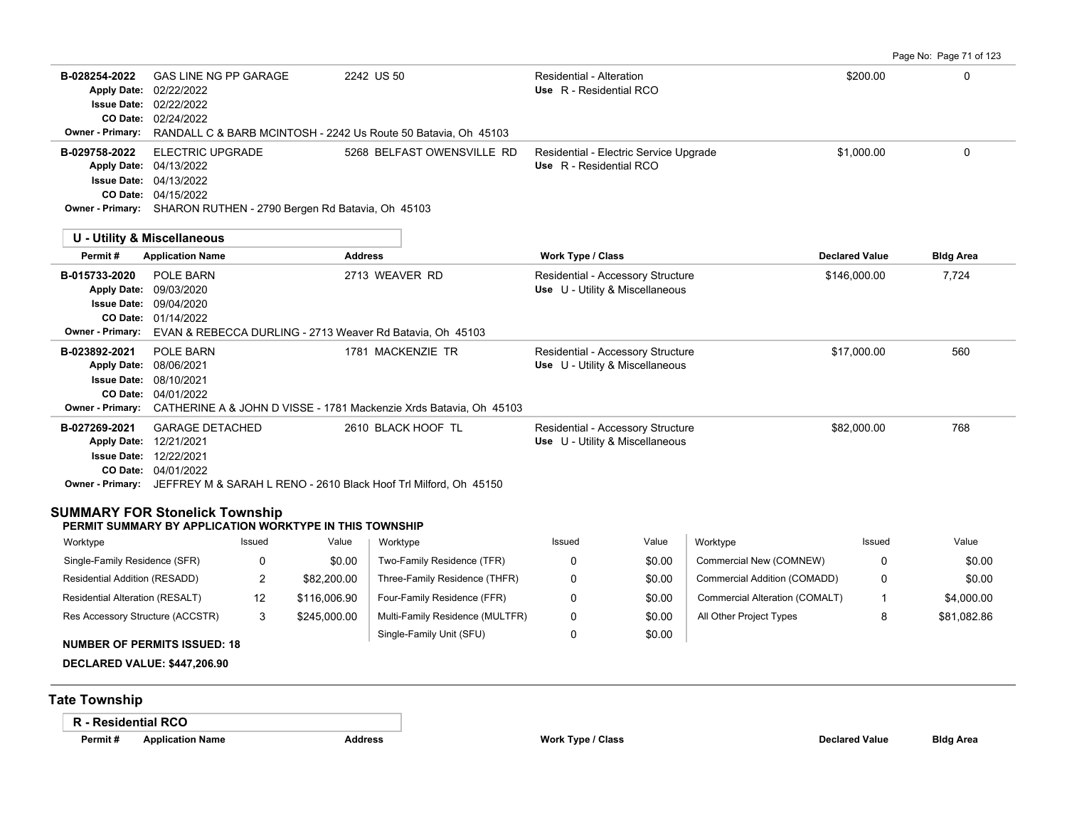Page No: Page 71 of 123

| B-028254-2022<br><b>Apply Date:</b><br><b>Issue Date:</b><br>CO Date: 02/24/2022<br>Owner - Primary:<br>B-029758-2022<br>Apply Date: 04/13/2022<br><b>Issue Date:</b><br>CO Date: 04/15/2022<br>Owner - Primary: SHARON RUTHEN - 2790 Bergen Rd Batavia, Oh 45103<br>U - Utility & Miscellaneous<br>Permit#<br>B-015733-2020<br><b>Apply Date:</b><br><b>Issue Date:</b><br>CO Date:<br>Owner - Primary:<br>B-023892-2021<br><b>Apply Date:</b><br><b>Issue Date:</b><br>CO Date: 04/01/2022<br><b>Owner - Primary:</b><br>B-027269-2021<br>Apply Date: 12/21/2021<br><b>Issue Date: 12/22/2021</b><br>CO Date: 04/01/2022<br><b>SUMMARY FOR Stonelick Township</b><br>PERMIT SUMMARY BY APPLICATION WORKTYPE IN THIS TOWNSHIP<br>Worktype | <b>GAS LINE NG PP GARAGE</b><br>02/22/2022<br>02/22/2022<br><b>ELECTRIC UPGRADE</b><br>04/13/2022<br><b>Application Name</b><br><b>POLE BARN</b><br>09/03/2020<br>09/04/2020<br>01/14/2022<br>POLE BARN<br>08/06/2021<br>08/10/2021 |        | <b>Address</b> | 2242 US 50<br>RANDALL C & BARB MCINTOSH - 2242 Us Route 50 Batavia, Oh 45103<br>5268 BELFAST OWENSVILLE RD<br>2713 WEAVER RD<br>EVAN & REBECCA DURLING - 2713 Weaver Rd Batavia, Oh 45103<br>1781 MACKENZIE TR | Residential - Alteration<br>Use R - Residential RCO<br>Residential - Electric Service Upgrade<br>Use R - Residential RCO<br>Work Type / Class<br>Residential - Accessory Structure<br>Use U - Utility & Miscellaneous<br>Residential - Accessory Structure<br>Use U - Utility & Miscellaneous |                  |                                | \$200.00<br>\$1,000.00<br><b>Declared Value</b><br>\$146,000.00<br>\$17,000.00 | $\mathbf 0$<br>$\mathbf 0$<br><b>Bldg Area</b><br>7,724<br>560 |
|--------------------------------------------------------------------------------------------------------------------------------------------------------------------------------------------------------------------------------------------------------------------------------------------------------------------------------------------------------------------------------------------------------------------------------------------------------------------------------------------------------------------------------------------------------------------------------------------------------------------------------------------------------------------------------------------------------------------------------------------|-------------------------------------------------------------------------------------------------------------------------------------------------------------------------------------------------------------------------------------|--------|----------------|----------------------------------------------------------------------------------------------------------------------------------------------------------------------------------------------------------------|-----------------------------------------------------------------------------------------------------------------------------------------------------------------------------------------------------------------------------------------------------------------------------------------------|------------------|--------------------------------|--------------------------------------------------------------------------------|----------------------------------------------------------------|
|                                                                                                                                                                                                                                                                                                                                                                                                                                                                                                                                                                                                                                                                                                                                            |                                                                                                                                                                                                                                     |        |                |                                                                                                                                                                                                                |                                                                                                                                                                                                                                                                                               |                  |                                |                                                                                |                                                                |
|                                                                                                                                                                                                                                                                                                                                                                                                                                                                                                                                                                                                                                                                                                                                            |                                                                                                                                                                                                                                     |        |                |                                                                                                                                                                                                                |                                                                                                                                                                                                                                                                                               |                  |                                |                                                                                |                                                                |
|                                                                                                                                                                                                                                                                                                                                                                                                                                                                                                                                                                                                                                                                                                                                            |                                                                                                                                                                                                                                     |        |                |                                                                                                                                                                                                                |                                                                                                                                                                                                                                                                                               |                  |                                |                                                                                |                                                                |
|                                                                                                                                                                                                                                                                                                                                                                                                                                                                                                                                                                                                                                                                                                                                            |                                                                                                                                                                                                                                     |        |                |                                                                                                                                                                                                                |                                                                                                                                                                                                                                                                                               |                  |                                |                                                                                |                                                                |
|                                                                                                                                                                                                                                                                                                                                                                                                                                                                                                                                                                                                                                                                                                                                            |                                                                                                                                                                                                                                     |        |                |                                                                                                                                                                                                                |                                                                                                                                                                                                                                                                                               |                  |                                |                                                                                |                                                                |
|                                                                                                                                                                                                                                                                                                                                                                                                                                                                                                                                                                                                                                                                                                                                            |                                                                                                                                                                                                                                     |        |                | CATHERINE A & JOHN D VISSE - 1781 Mackenzie Xrds Batavia, Oh 45103                                                                                                                                             |                                                                                                                                                                                                                                                                                               |                  |                                |                                                                                |                                                                |
|                                                                                                                                                                                                                                                                                                                                                                                                                                                                                                                                                                                                                                                                                                                                            | <b>GARAGE DETACHED</b>                                                                                                                                                                                                              |        |                | 2610 BLACK HOOF TL<br>Owner - Primary: JEFFREY M & SARAH L RENO - 2610 Black Hoof Trl Milford, Oh 45150                                                                                                        | Residential - Accessory Structure<br>Use U - Utility & Miscellaneous                                                                                                                                                                                                                          |                  |                                | \$82,000.00                                                                    | 768                                                            |
|                                                                                                                                                                                                                                                                                                                                                                                                                                                                                                                                                                                                                                                                                                                                            |                                                                                                                                                                                                                                     |        |                |                                                                                                                                                                                                                |                                                                                                                                                                                                                                                                                               |                  |                                |                                                                                |                                                                |
|                                                                                                                                                                                                                                                                                                                                                                                                                                                                                                                                                                                                                                                                                                                                            |                                                                                                                                                                                                                                     | Issued | Value          | Worktype                                                                                                                                                                                                       | Issued                                                                                                                                                                                                                                                                                        | Value            | Worktype                       | Issued                                                                         | Value                                                          |
| Single-Family Residence (SFR)                                                                                                                                                                                                                                                                                                                                                                                                                                                                                                                                                                                                                                                                                                              |                                                                                                                                                                                                                                     | 0      | \$0.00         | Two-Family Residence (TFR)                                                                                                                                                                                     | 0                                                                                                                                                                                                                                                                                             | \$0.00           | Commercial New (COMNEW)        | 0                                                                              | \$0.00                                                         |
| Residential Addition (RESADD)                                                                                                                                                                                                                                                                                                                                                                                                                                                                                                                                                                                                                                                                                                              |                                                                                                                                                                                                                                     | 2      | \$82,200.00    | Three-Family Residence (THFR)                                                                                                                                                                                  | 0                                                                                                                                                                                                                                                                                             | \$0.00           | Commercial Addition (COMADD)   | 0                                                                              | \$0.00                                                         |
| Residential Alteration (RESALT)                                                                                                                                                                                                                                                                                                                                                                                                                                                                                                                                                                                                                                                                                                            |                                                                                                                                                                                                                                     | 12     | \$116,006.90   | Four-Family Residence (FFR)                                                                                                                                                                                    | 0                                                                                                                                                                                                                                                                                             | \$0.00           | Commercial Alteration (COMALT) | $\mathbf 1$                                                                    | \$4,000.00                                                     |
| Res Accessory Structure (ACCSTR)                                                                                                                                                                                                                                                                                                                                                                                                                                                                                                                                                                                                                                                                                                           |                                                                                                                                                                                                                                     | 3      | \$245,000.00   | Multi-Family Residence (MULTFR)<br>Single-Family Unit (SFU)                                                                                                                                                    | 0<br>0                                                                                                                                                                                                                                                                                        | \$0.00<br>\$0.00 | All Other Project Types        | 8                                                                              | \$81,082.86                                                    |
| <b>NUMBER OF PERMITS ISSUED: 18</b><br>DECLARED VALUE: \$447,206.90                                                                                                                                                                                                                                                                                                                                                                                                                                                                                                                                                                                                                                                                        |                                                                                                                                                                                                                                     |        |                |                                                                                                                                                                                                                |                                                                                                                                                                                                                                                                                               |                  |                                |                                                                                |                                                                |
| <b>Tate Township</b>                                                                                                                                                                                                                                                                                                                                                                                                                                                                                                                                                                                                                                                                                                                       |                                                                                                                                                                                                                                     |        |                |                                                                                                                                                                                                                |                                                                                                                                                                                                                                                                                               |                  |                                |                                                                                |                                                                |
| <b>R</b> - Residential RCO<br>Permit#                                                                                                                                                                                                                                                                                                                                                                                                                                                                                                                                                                                                                                                                                                      | <b>Application Name</b>                                                                                                                                                                                                             |        | <b>Address</b> |                                                                                                                                                                                                                | <b>Work Type / Class</b>                                                                                                                                                                                                                                                                      |                  |                                | <b>Declared Value</b>                                                          | <b>Bldg Area</b>                                               |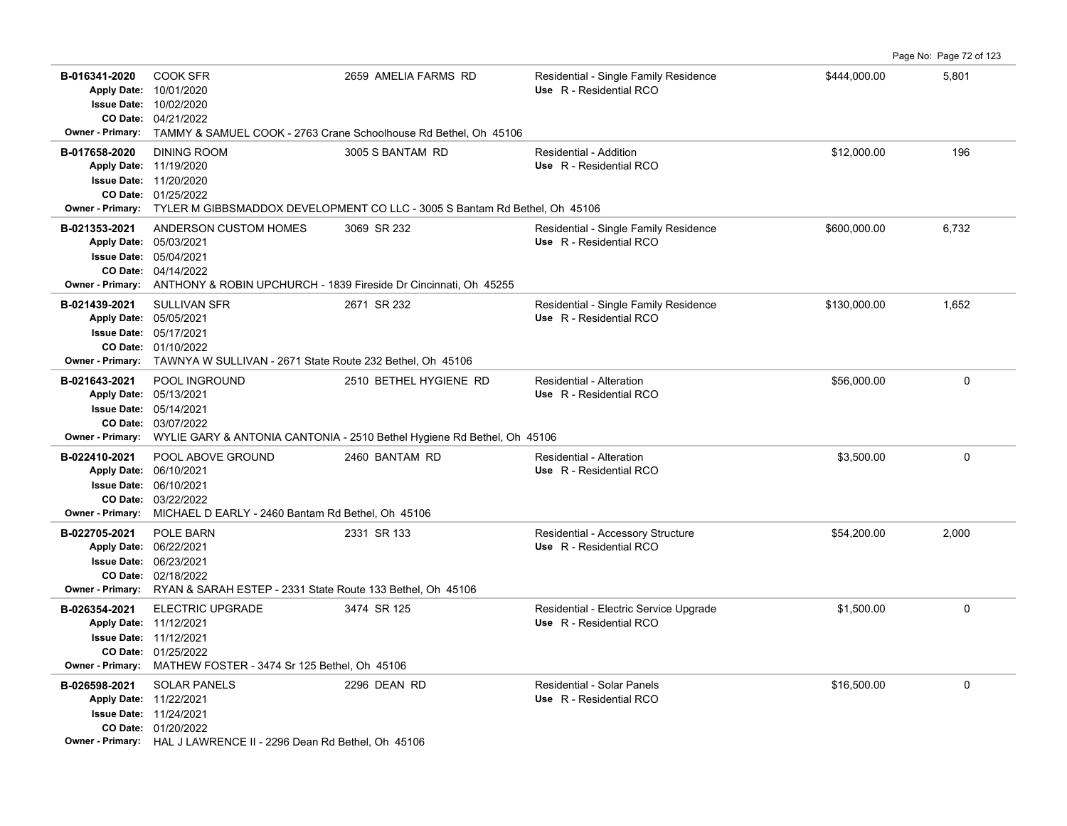**B-016341-2020** \$444,000.00 5,801 COOK SFR 2659 AMELIA FARMS RD Residential - Single Family Residence 04/21/2022 **CO Date:** 10/02/2020 **Issue Date:** Apply Date: 10/01/2020 **Apply Date: Use** R - Residential RCO **Owner - Primary:** TAMMY & SAMUEL COOK - 2763 Crane Schoolhouse Rd Bethel, Oh 45106 **B-017658-2020** \$12,000.00 196 01/25/2022 **CO Date:** 11/20/2020 **Issue Date:** 11/19/2020 **Apply Date: Use** R - Residential RCO DINING ROOM 3005 S BANTAM RD Residential - Addition **Owner - Primary:** TYLER M GIBBSMADDOX DEVELOPMENT CO LLC - 3005 S Bantam Rd Bethel, Oh 45106 B-021353-2021 ANDERSON CUSTOM HOMES 3069 SR 232 Residential - Single Family Residence \$600,000.00 6,732 04/14/2022 **CO Date:** 05/04/2021 **Issue Date:** 05/03/2021 **Apply Date: Use** R - Residential RCO **Owner - Primary:** ANTHONY & ROBIN UPCHURCH - 1839 Fireside Dr Cincinnati, Oh 45255 **B-021439-2021** \$130,000.00 1,652 SULLIVAN SFR 2671 SR 232 Residential - Single Family Residence 01/10/2022 **CO Date:** 05/17/2021 **Issue Date:** 05/05/2021 **Apply Date: Use** R - Residential RCO **Owner - Primary:** TAWNYA W SULLIVAN - 2671 State Route 232 Bethel, Oh 45106 **B-021643-2021** \$56,000.00 0 POOL INGROUND 2510 BETHEL HYGIENE RD Residential - Alteration 03/07/2022 **CO Date:** 05/14/2021 **Issue Date:** Apply Date: 05/13/2021 **Apply Date: Use** R - Residential RCO **Owner - Primary:** WYLIE GARY & ANTONIA CANTONIA - 2510 Bethel Hygiene Rd Bethel, Oh 45106 **B-022410-2021** \$3,500.00 0 POOL ABOVE GROUND 2460 BANTAM RD Residential - Alteration 03/22/2022 **CO Date:** 06/10/2021 **Issue Date:** Apply Date: 06/10/2021 **Apply Date: Use** R - Residential RCO **Owner - Primary:** MICHAEL D EARLY - 2460 Bantam Rd Bethel, Oh 45106 **B-022705-2021** POLE BARN 2301 2331 SR 133 Residential - Accessory Structure \$54,200.00 854,200.00 2,000 02/18/2022 **CO Date:** 06/23/2021 **Issue Date:** Apply Date: 06/22/2021 **Apply Date: Use** R - Residential RCO **Owner - Primary:** RYAN & SARAH ESTEP - 2331 State Route 133 Bethel, Oh 45106 **B-026354-2021** ELECTRIC UPGRADE 3474 SR 125 Residential - Electric Service Upgrade \$1,500.00 \$1,500.00 0 01/25/2022 **CO Date:** 11/12/2021 **Issue Date:** 11/12/2021 **Apply Date: Use** R - Residential RCO **Owner - Primary:** MATHEW FOSTER - 3474 Sr 125 Bethel, Oh 45106 **B-026598-2021** \$16,500.00 0 SOLAR PANELS 2296 DEAN RD Residential - Solar Panels 01/20/2022 **CO Date:** 11/24/2021 **Issue Date:** 11/22/2021 **Apply Date: Use** R - Residential RCO **Owner - Primary:** HAL J LAWRENCE II - 2296 Dean Rd Bethel, Oh 45106

Page No: Page 72 of 123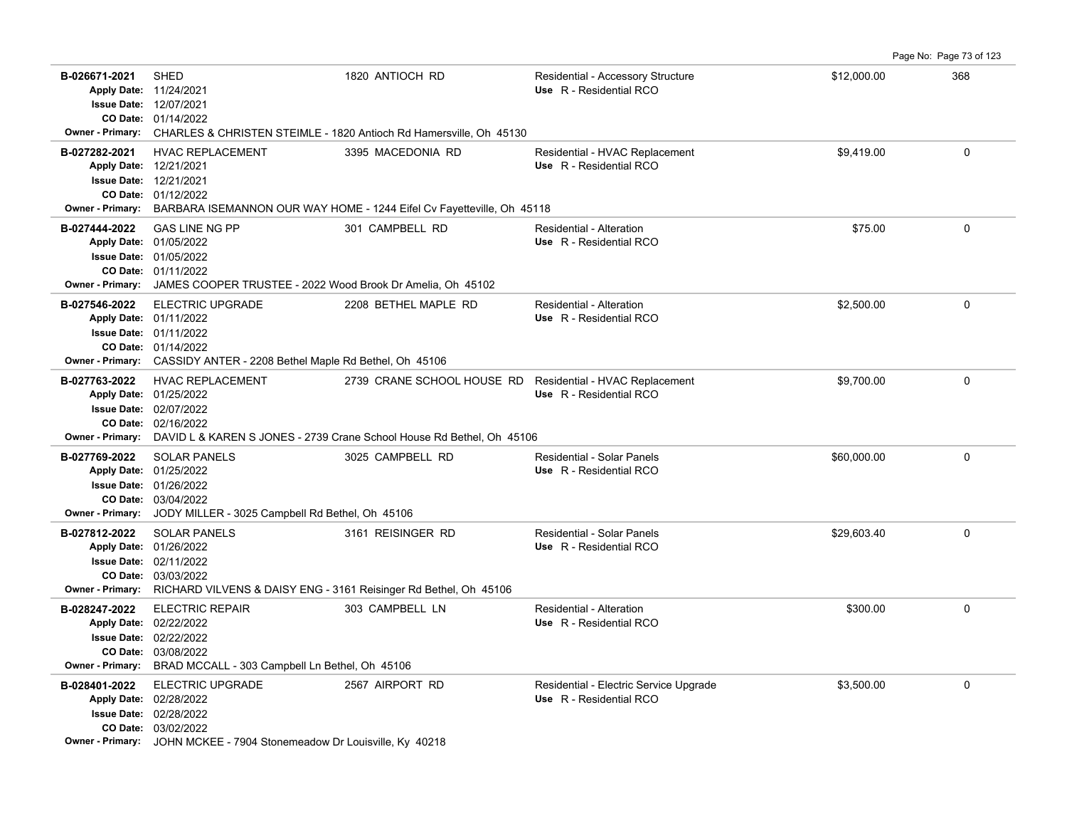| B-026671-2021<br>Apply Date: 11/24/2021<br><b>Owner - Primary:</b> | <b>SHED</b><br><b>Issue Date: 12/07/2021</b><br>CO Date: 01/14/2022                                                                                                                    | 1820 ANTIOCH RD<br>CHARLES & CHRISTEN STEIMLE - 1820 Antioch Rd Hamersville, Oh 45130               | Residential - Accessory Structure<br>Use R - Residential RCO      | \$12,000.00 | 368         |
|--------------------------------------------------------------------|----------------------------------------------------------------------------------------------------------------------------------------------------------------------------------------|-----------------------------------------------------------------------------------------------------|-------------------------------------------------------------------|-------------|-------------|
| B-027282-2021<br><b>Owner - Primary:</b>                           | <b>HVAC REPLACEMENT</b><br>Apply Date: 12/21/2021<br><b>Issue Date: 12/21/2021</b><br>CO Date: 01/12/2022                                                                              | 3395 MACEDONIA RD<br>BARBARA ISEMANNON OUR WAY HOME - 1244 Eifel Cv Fayetteville, Oh 45118          | Residential - HVAC Replacement<br>Use R - Residential RCO         | \$9,419.00  | $\mathbf 0$ |
| B-027444-2022                                                      | <b>GAS LINE NG PP</b><br>Apply Date: 01/05/2022<br><b>Issue Date: 01/05/2022</b><br>CO Date: 01/11/2022<br>Owner - Primary: JAMES COOPER TRUSTEE - 2022 Wood Brook Dr Amelia, Oh 45102 | 301 CAMPBELL RD                                                                                     | Residential - Alteration<br>Use R - Residential RCO               | \$75.00     | 0           |
| B-027546-2022<br><b>Owner - Primary:</b>                           | ELECTRIC UPGRADE<br>Apply Date: 01/11/2022<br><b>Issue Date: 01/11/2022</b><br>CO Date: 01/14/2022<br>CASSIDY ANTER - 2208 Bethel Maple Rd Bethel, Oh 45106                            | 2208 BETHEL MAPLE RD                                                                                | Residential - Alteration<br>Use R - Residential RCO               | \$2,500.00  | 0           |
| B-027763-2022<br>Owner - Primary:                                  | <b>HVAC REPLACEMENT</b><br>Apply Date: 01/25/2022<br><b>Issue Date: 02/07/2022</b><br>CO Date: 02/16/2022                                                                              | 2739 CRANE SCHOOL HOUSE RD<br>DAVID L & KAREN S JONES - 2739 Crane School House Rd Bethel, Oh 45106 | Residential - HVAC Replacement<br>Use R - Residential RCO         | \$9,700.00  | $\Omega$    |
| B-027769-2022<br><b>Owner - Primary:</b>                           | <b>SOLAR PANELS</b><br>Apply Date: 01/25/2022<br><b>Issue Date: 01/26/2022</b><br>CO Date: 03/04/2022<br>JODY MILLER - 3025 Campbell Rd Bethel, Oh 45106                               | 3025 CAMPBELL RD                                                                                    | Residential - Solar Panels<br>Use R - Residential RCO             | \$60,000.00 | 0           |
| B-027812-2022<br><b>Owner - Primary:</b>                           | <b>SOLAR PANELS</b><br>Apply Date: 01/26/2022<br><b>Issue Date: 02/11/2022</b><br>CO Date: 03/03/2022<br>RICHARD VILVENS & DAISY ENG - 3161 Reisinger Rd Bethel, Oh 45106              | 3161 REISINGER RD                                                                                   | Residential - Solar Panels<br>Use R - Residential RCO             | \$29,603.40 | 0           |
| B-028247-2022<br><b>Owner - Primary:</b>                           | <b>ELECTRIC REPAIR</b><br>Apply Date: 02/22/2022<br>Issue Date: 02/22/2022<br>CO Date: 03/08/2022<br>BRAD MCCALL - 303 Campbell Ln Bethel, Oh 45106                                    | 303 CAMPBELL LN                                                                                     | Residential - Alteration<br>Use R - Residential RCO               | \$300.00    | 0           |
| B-028401-2022                                                      | <b>ELECTRIC UPGRADE</b><br>Apply Date: 02/28/2022<br>Issue Date: 02/28/2022<br>CO Date: 03/02/2022<br>Owner - Primary: JOHN MCKEE - 7904 Stonemeadow Dr Louisville, Ky 40218           | 2567 AIRPORT RD                                                                                     | Residential - Electric Service Upgrade<br>Use R - Residential RCO | \$3,500.00  | $\Omega$    |

Page No: Page 73 of 123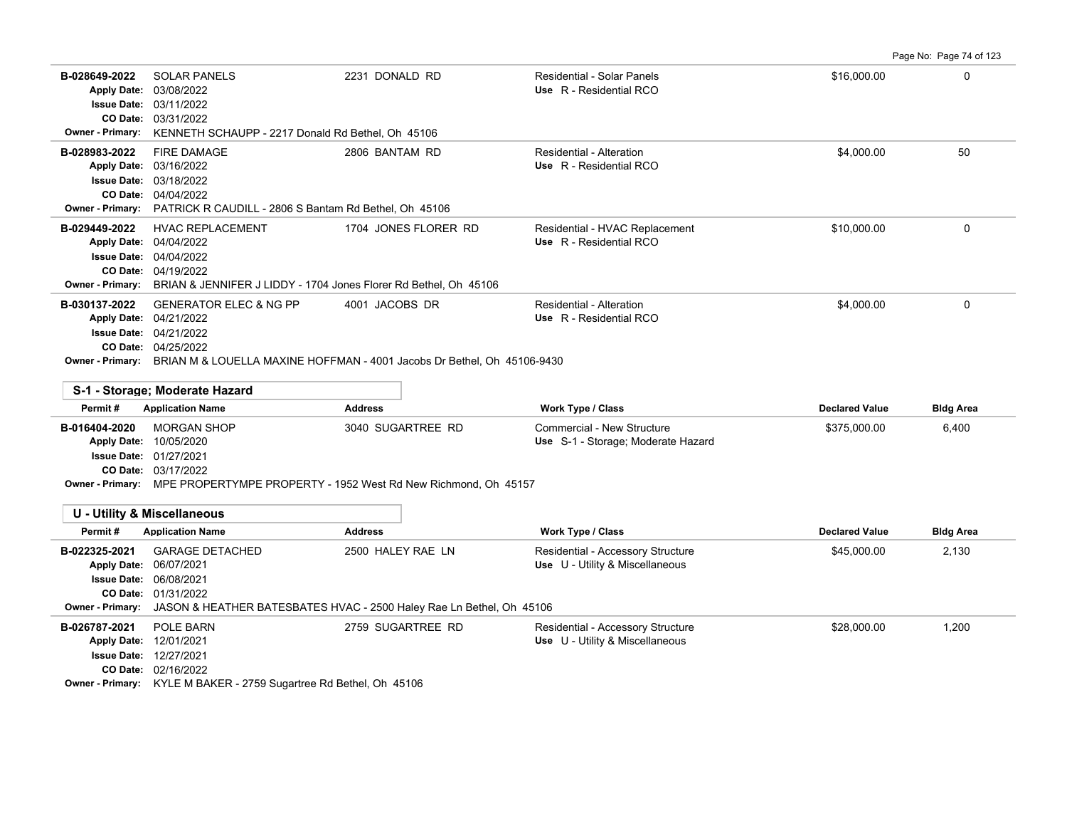Page No: Page 74 of 123

| B-028649-2022<br><b>Apply Date:</b><br><b>Owner - Primary:</b> | <b>SOLAR PANELS</b><br>03/08/2022<br><b>Issue Date: 03/11/2022</b><br>CO Date: 03/31/2022<br>KENNETH SCHAUPP - 2217 Donald Rd Bethel, Oh 45106                                | 2231 DONALD RD                                                                                                         | Residential - Solar Panels<br>Use R - Residential RCO                                        | \$16,000.00                           | $\Omega$                  |
|----------------------------------------------------------------|-------------------------------------------------------------------------------------------------------------------------------------------------------------------------------|------------------------------------------------------------------------------------------------------------------------|----------------------------------------------------------------------------------------------|---------------------------------------|---------------------------|
| B-028983-2022<br><b>Owner - Primary:</b>                       | <b>FIRE DAMAGE</b><br>Apply Date: 03/16/2022<br><b>Issue Date: 03/18/2022</b><br>CO Date: 04/04/2022<br>PATRICK R CAUDILL - 2806 S Bantam Rd Bethel, Oh 45106                 | 2806 BANTAM RD                                                                                                         | Residential - Alteration<br>Use R - Residential RCO                                          | \$4,000.00                            | 50                        |
| B-029449-2022<br><b>Owner - Primary:</b>                       | <b>HVAC REPLACEMENT</b><br>Apply Date: 04/04/2022<br><b>Issue Date: 04/04/2022</b><br>CO Date: 04/19/2022<br>BRIAN & JENNIFER J LIDDY - 1704 Jones Florer Rd Bethel, Oh 45106 | 1704 JONES FLORER RD                                                                                                   | Residential - HVAC Replacement<br>Use R - Residential RCO                                    | \$10,000.00                           | $\mathbf 0$               |
| B-030137-2022                                                  | <b>GENERATOR ELEC &amp; NG PP</b><br>Apply Date: 04/21/2022<br><b>Issue Date: 04/21/2022</b><br>CO Date: 04/25/2022                                                           | 4001 JACOBS DR<br><b>Owner - Primary:</b> BRIAN M & LOUELLA MAXINE HOFFMAN - 4001 Jacobs Dr Bethel, Oh 45106-9430      | Residential - Alteration<br>Use R - Residential RCO                                          | \$4,000.00                            | $\Omega$                  |
|                                                                | S-1 - Storage: Moderate Hazard                                                                                                                                                |                                                                                                                        |                                                                                              |                                       |                           |
|                                                                |                                                                                                                                                                               |                                                                                                                        |                                                                                              |                                       |                           |
| Permit#<br>B-016404-2020                                       | <b>Application Name</b><br><b>MORGAN SHOP</b><br>Apply Date: 10/05/2020<br><b>Issue Date: 01/27/2021</b><br>CO Date: 03/17/2022                                               | <b>Address</b><br>3040 SUGARTREE RD<br>Owner - Primary: MPE PROPERTYMPE PROPERTY - 1952 West Rd New Richmond, Oh 45157 | <b>Work Type / Class</b><br>Commercial - New Structure<br>Use S-1 - Storage; Moderate Hazard | <b>Declared Value</b><br>\$375,000.00 | <b>Bldg Area</b><br>6,400 |
|                                                                | <b>U - Utility &amp; Miscellaneous</b>                                                                                                                                        |                                                                                                                        |                                                                                              |                                       |                           |
| Permit#                                                        | <b>Application Name</b>                                                                                                                                                       | <b>Address</b>                                                                                                         | <b>Work Type / Class</b>                                                                     | <b>Declared Value</b>                 | <b>Bldg Area</b>          |
| B-022325-2021<br>CO Date:<br>Owner - Primary:                  | <b>GARAGE DETACHED</b><br>Apply Date: 06/07/2021<br><b>Issue Date: 06/08/2021</b><br>01/31/2022                                                                               | 2500 HALEY RAE LN<br>JASON & HEATHER BATESBATES HVAC - 2500 Haley Rae Ln Bethel, Oh 45106                              | Residential - Accessory Structure<br>Use U - Utility & Miscellaneous                         | \$45,000.00                           | 2,130                     |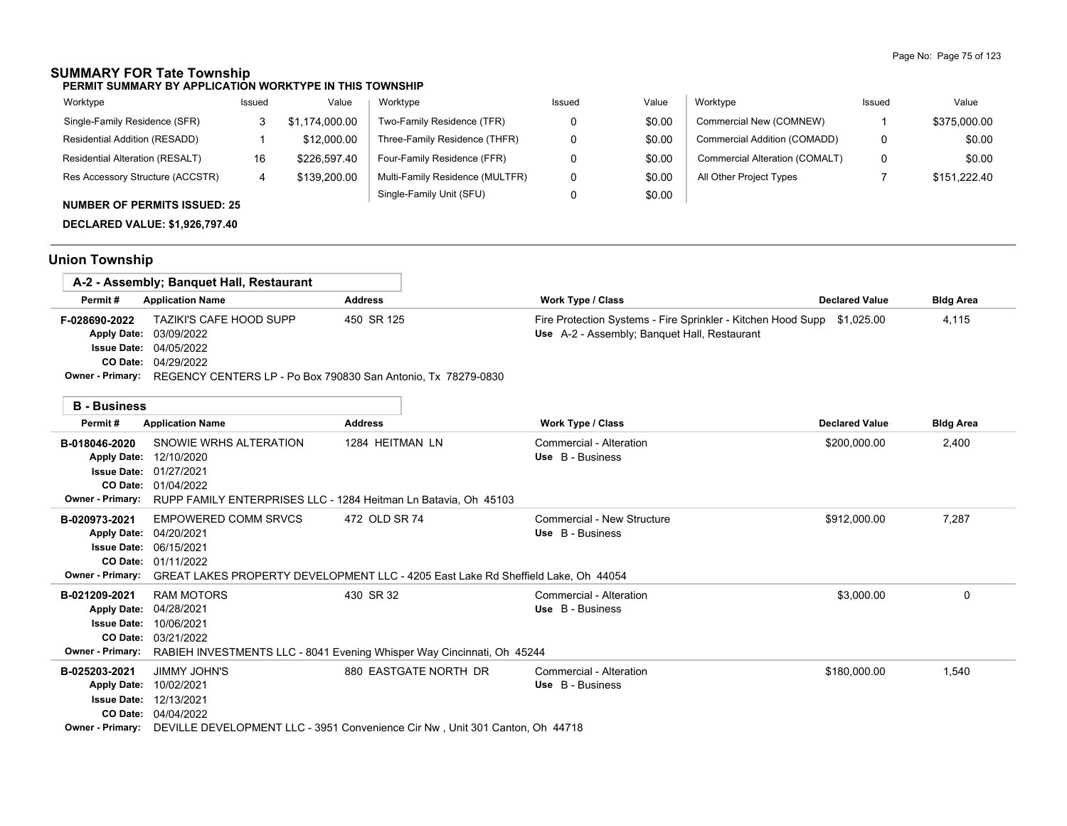## **SUMMARY FOR Tate Township**

**PERMIT SUMMARY BY APPLICATION WORKTYPE IN THIS TOWNSHIP**

| Worktype                            | Issued | Value          | Worktype                        | Issued | Value  | Worktype                       | Issued | Value        |
|-------------------------------------|--------|----------------|---------------------------------|--------|--------|--------------------------------|--------|--------------|
| Single-Family Residence (SFR)       |        | \$1.174.000.00 | Two-Family Residence (TFR)      |        | \$0.00 | Commercial New (COMNEW)        |        | \$375,000.00 |
| Residential Addition (RESADD)       |        | \$12,000.00    | Three-Family Residence (THFR)   |        | \$0.00 | Commercial Addition (COMADD)   | 0      | \$0.00       |
| Residential Alteration (RESALT)     | 16     | \$226.597.40   | Four-Family Residence (FFR)     |        | \$0.00 | Commercial Alteration (COMALT) | 0      | \$0.00       |
| Res Accessory Structure (ACCSTR)    |        | \$139,200.00   | Multi-Family Residence (MULTFR) |        | \$0.00 | All Other Project Types        |        | \$151,222.40 |
| <b>NUMBER OF PERMITS ISSUED: 25</b> |        |                | Single-Family Unit (SFU)        |        | \$0.00 |                                |        |              |

**DECLARED VALUE: \$1,926,797.40**

## **Union Township**

|               | A-2 - Assembly; Banguet Hall, Restaurant                                                                                |                |                                                                                                                         |                       |                  |
|---------------|-------------------------------------------------------------------------------------------------------------------------|----------------|-------------------------------------------------------------------------------------------------------------------------|-----------------------|------------------|
| Permit#       | <b>Application Name</b>                                                                                                 | <b>Address</b> | Work Type / Class                                                                                                       | <b>Declared Value</b> | <b>Bldg Area</b> |
| F-028690-2022 | <b>TAZIKI'S CAFE HOOD SUPP</b><br>Apply Date: 03/09/2022<br><b>Issue Date: 04/05/2022</b><br><b>CO Date: 04/29/2022</b> | 450 SR 125     | Fire Protection Systems - Fire Sprinkler - Kitchen Hood Supp \$1,025.00<br>Use A-2 - Assembly: Banquet Hall, Restaurant |                       | 4.115            |
|               | Owner - Primary: REGENCY CENTERS LP - Po Box 790830 San Antonio, Tx 78279-0830                                          |                |                                                                                                                         |                       |                  |

| <b>B</b> - Business     |                                                                                   |                       |                            |                       |                  |
|-------------------------|-----------------------------------------------------------------------------------|-----------------------|----------------------------|-----------------------|------------------|
| Permit#                 | <b>Application Name</b>                                                           | <b>Address</b>        | <b>Work Type / Class</b>   | <b>Declared Value</b> | <b>Bldg Area</b> |
| B-018046-2020           | SNOWIE WRHS ALTERATION                                                            | 1284 HEITMAN LN       | Commercial - Alteration    | \$200,000.00          | 2,400            |
| <b>Apply Date:</b>      | 12/10/2020                                                                        |                       | Use B - Business           |                       |                  |
| <b>Issue Date:</b>      | 01/27/2021                                                                        |                       |                            |                       |                  |
| CO Date:                | 01/04/2022                                                                        |                       |                            |                       |                  |
| <b>Owner - Primary:</b> | RUPP FAMILY ENTERPRISES LLC - 1284 Heitman Ln Batavia, Oh 45103                   |                       |                            |                       |                  |
| B-020973-2021           | EMPOWERED COMM SRVCS                                                              | 472 OLD SR 74         | Commercial - New Structure | \$912,000.00          | 7,287            |
| <b>Apply Date:</b>      | 04/20/2021                                                                        |                       | Use B - Business           |                       |                  |
| <b>Issue Date:</b>      | 06/15/2021                                                                        |                       |                            |                       |                  |
| CO Date:                | 01/11/2022                                                                        |                       |                            |                       |                  |
| <b>Owner - Primary:</b> | GREAT LAKES PROPERTY DEVELOPMENT LLC - 4205 East Lake Rd Sheffield Lake, Oh 44054 |                       |                            |                       |                  |
| B-021209-2021           | <b>RAM MOTORS</b>                                                                 | 430 SR 32             | Commercial - Alteration    | \$3,000.00            | $\Omega$         |
| <b>Apply Date:</b>      | 04/28/2021                                                                        |                       | Use B - Business           |                       |                  |
| <b>Issue Date:</b>      | 10/06/2021                                                                        |                       |                            |                       |                  |
| CO Date:                | 03/21/2022                                                                        |                       |                            |                       |                  |
| <b>Owner - Primary:</b> | RABIEH INVESTMENTS LLC - 8041 Evening Whisper Way Cincinnati, Oh 45244            |                       |                            |                       |                  |
| B-025203-2021           | JIMMY JOHN'S                                                                      | 880 EASTGATE NORTH DR | Commercial - Alteration    | \$180,000.00          | 1,540            |
| <b>Apply Date:</b>      | 10/02/2021                                                                        |                       | Use B - Business           |                       |                  |
| <b>Issue Date:</b>      | 12/13/2021                                                                        |                       |                            |                       |                  |
| CO Date:                | 04/04/2022                                                                        |                       |                            |                       |                  |
| <b>Owner - Primary:</b> | DEVILLE DEVELOPMENT LLC - 3951 Convenience Cir Nw, Unit 301 Canton, Oh 44718      |                       |                            |                       |                  |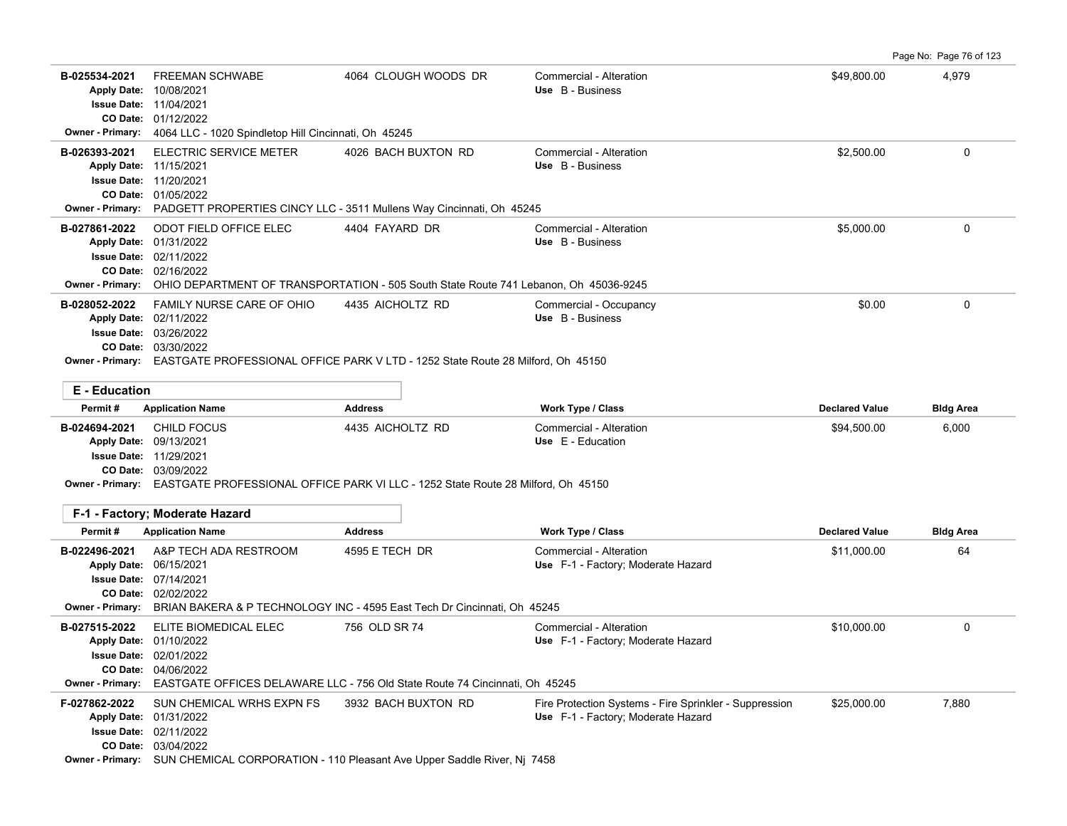Page No: Page 76 of 123

| B-025534-2021<br><b>Owner - Primary:</b> | <b>FREEMAN SCHWABE</b><br>Apply Date: 10/08/2021<br><b>Issue Date: 11/04/2021</b><br>CO Date: 01/12/2022<br>4064 LLC - 1020 Spindletop Hill Cincinnati, Oh 45245                                                | 4064 CLOUGH WOODS DR                                                                                   | Commercial - Alteration<br>Use B - Business                                                  | \$49,800.00           | 4,979            |
|------------------------------------------|-----------------------------------------------------------------------------------------------------------------------------------------------------------------------------------------------------------------|--------------------------------------------------------------------------------------------------------|----------------------------------------------------------------------------------------------|-----------------------|------------------|
| B-026393-2021                            | ELECTRIC SERVICE METER<br>Apply Date: 11/15/2021<br><b>Issue Date: 11/20/2021</b><br>CO Date: 01/05/2022<br>Owner - Primary: PADGETT PROPERTIES CINCY LLC - 3511 Mullens Way Cincinnati, Oh 45245               | 4026 BACH BUXTON RD                                                                                    | Commercial - Alteration<br>Use B - Business                                                  | \$2,500.00            | 0                |
| B-027861-2022<br>Owner - Primary:        | <b>ODOT FIELD OFFICE ELEC</b><br>Apply Date: 01/31/2022<br>Issue Date: 02/11/2022<br>CO Date: 02/16/2022                                                                                                        | 4404 FAYARD DR<br>OHIO DEPARTMENT OF TRANSPORTATION - 505 South State Route 741 Lebanon, Oh 45036-9245 | Commercial - Alteration<br>Use B - Business                                                  | \$5,000.00            | $\mathbf{0}$     |
| B-028052-2022                            | FAMILY NURSE CARE OF OHIO<br>Apply Date: 02/11/2022<br><b>Issue Date: 03/26/2022</b><br>CO Date: 03/30/2022<br>Owner - Primary: EASTGATE PROFESSIONAL OFFICE PARK V LTD - 1252 State Route 28 Milford, Oh 45150 | 4435 AICHOLTZ RD                                                                                       | Commercial - Occupancy<br>Use B - Business                                                   | \$0.00                | $\Omega$         |
| <b>E</b> - Education<br>Permit#          | <b>Application Name</b>                                                                                                                                                                                         | <b>Address</b>                                                                                         | Work Type / Class                                                                            | <b>Declared Value</b> | <b>Bldg Area</b> |
| B-024694-2021                            | <b>CHILD FOCUS</b><br>Apply Date: 09/13/2021<br><b>Issue Date: 11/29/2021</b><br>CO Date: 03/09/2022<br>Owner - Primary: EASTGATE PROFESSIONAL OFFICE PARK VI LLC - 1252 State Route 28 Milford, Oh 45150       | 4435 AICHOLTZ RD                                                                                       | Commercial - Alteration<br>Use E - Education                                                 | \$94,500.00           | 6,000            |
|                                          | F-1 - Factory: Moderate Hazard                                                                                                                                                                                  |                                                                                                        |                                                                                              |                       |                  |
| Permit#                                  | <b>Application Name</b>                                                                                                                                                                                         | <b>Address</b>                                                                                         | Work Type / Class                                                                            | <b>Declared Value</b> | <b>Bldg Area</b> |
| B-022496-2021<br><b>Owner - Primary:</b> | A&P TECH ADA RESTROOM<br>Apply Date: 06/15/2021<br>Issue Date: 07/14/2021<br>CO Date: 02/02/2022                                                                                                                | 4595 E TECH DR<br>BRIAN BAKERA & P TECHNOLOGY INC - 4595 East Tech Dr Cincinnati, Oh 45245             | Commercial - Alteration<br>Use F-1 - Factory; Moderate Hazard                                | \$11,000.00           | 64               |
| B-027515-2022<br>Owner - Primary:        | ELITE BIOMEDICAL ELEC<br>Apply Date: 01/10/2022<br>Issue Date: 02/01/2022<br>CO Date: 04/06/2022                                                                                                                | 756 OLD SR 74<br>EASTGATE OFFICES DELAWARE LLC - 756 Old State Route 74 Cincinnati, Oh 45245           | Commercial - Alteration<br>Use F-1 - Factory; Moderate Hazard                                | \$10,000.00           | $\mathbf 0$      |
| F-027862-2022                            | SUN CHEMICAL WRHS EXPN FS<br>Apply Date: 01/31/2022<br>Issue Date: 02/11/2022<br>CO Date: 03/04/2022<br>Owner - Primary: SUN CHEMICAL CORPORATION - 110 Pleasant Ave Upper Saddle River, Nj 7458                | 3932 BACH BUXTON RD                                                                                    | Fire Protection Systems - Fire Sprinkler - Suppression<br>Use F-1 - Factory; Moderate Hazard | \$25,000.00           | 7,880            |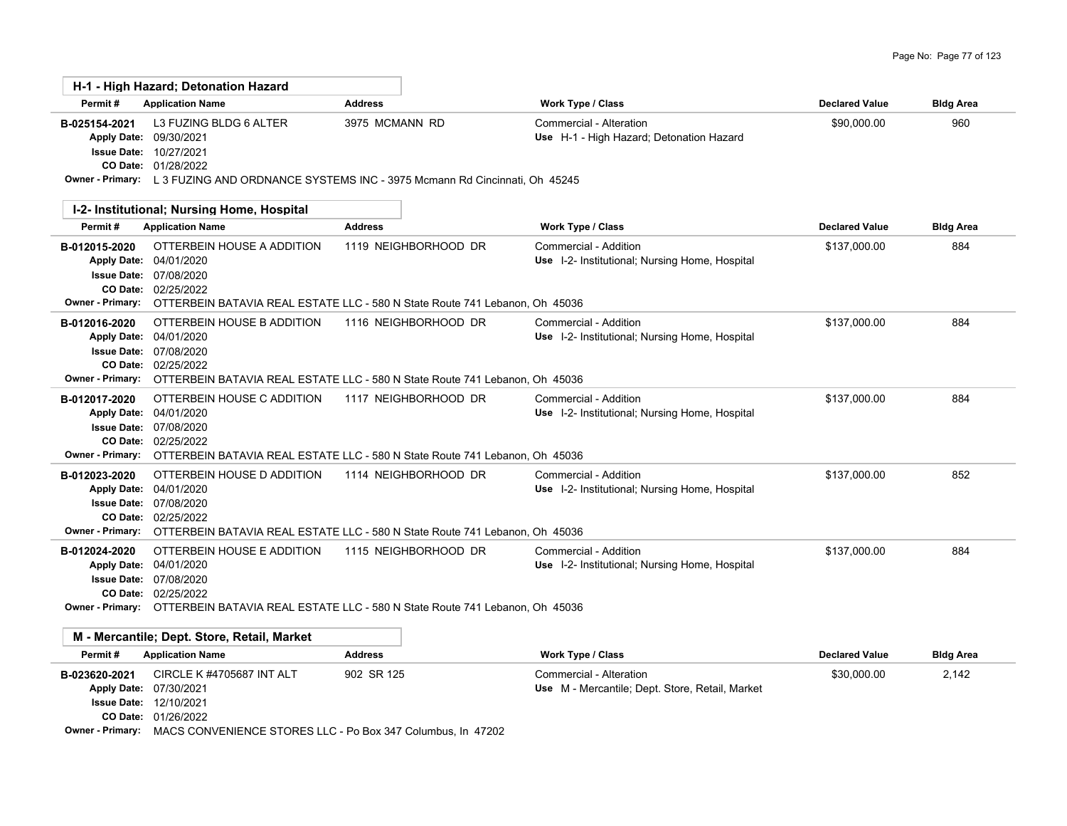|                                                                                                  | H-1 - High Hazard: Detonation Hazard                                                                                                                                                             |                      |                                                                            |                       |                  |
|--------------------------------------------------------------------------------------------------|--------------------------------------------------------------------------------------------------------------------------------------------------------------------------------------------------|----------------------|----------------------------------------------------------------------------|-----------------------|------------------|
| Permit#                                                                                          | <b>Application Name</b>                                                                                                                                                                          | <b>Address</b>       | Work Type / Class                                                          | <b>Declared Value</b> | <b>Bldg Area</b> |
| B-025154-2021<br><b>Apply Date:</b><br><b>Issue Date:</b>                                        | L3 FUZING BLDG 6 ALTER<br>09/30/2021<br>10/27/2021<br>CO Date: 01/28/2022<br>Owner - Primary: L 3 FUZING AND ORDNANCE SYSTEMS INC - 3975 Mcmann Rd Cincinnati, Oh 45245                          | 3975 MCMANN RD       | Commercial - Alteration<br>Use H-1 - High Hazard; Detonation Hazard        | \$90,000.00           | 960              |
|                                                                                                  | I-2- Institutional; Nursing Home, Hospital                                                                                                                                                       |                      |                                                                            |                       |                  |
| Permit#                                                                                          | <b>Application Name</b>                                                                                                                                                                          | <b>Address</b>       | Work Type / Class                                                          | <b>Declared Value</b> | <b>Bldg Area</b> |
| B-012015-2020<br><b>Apply Date:</b><br><b>Issue Date:</b><br>CO Date:<br><b>Owner - Primary:</b> | OTTERBEIN HOUSE A ADDITION<br>04/01/2020<br>07/08/2020<br>02/25/2022<br>OTTERBEIN BATAVIA REAL ESTATE LLC - 580 N State Route 741 Lebanon, Oh 45036                                              | 1119 NEIGHBORHOOD DR | Commercial - Addition<br>Use I-2- Institutional; Nursing Home, Hospital    | \$137,000.00          | 884              |
| B-012016-2020<br><b>Apply Date:</b><br><b>Issue Date:</b><br>CO Date:                            | OTTERBEIN HOUSE B ADDITION<br>04/01/2020<br>07/08/2020<br>02/25/2022<br>Owner - Primary: OTTERBEIN BATAVIA REAL ESTATE LLC - 580 N State Route 741 Lebanon, Oh 45036                             | 1116 NEIGHBORHOOD DR | Commercial - Addition<br>Use I-2- Institutional; Nursing Home, Hospital    | \$137,000.00          | 884              |
| B-012017-2020<br><b>Apply Date:</b><br><b>Issue Date:</b><br>CO Date:                            | OTTERBEIN HOUSE C ADDITION<br>04/01/2020<br>07/08/2020<br>02/25/2022<br>Owner - Primary: OTTERBEIN BATAVIA REAL ESTATE LLC - 580 N State Route 741 Lebanon, Oh 45036                             | 1117 NEIGHBORHOOD DR | Commercial - Addition<br>Use I-2- Institutional; Nursing Home, Hospital    | \$137,000.00          | 884              |
| B-012023-2020<br><b>Apply Date:</b><br><b>Issue Date:</b>                                        | OTTERBEIN HOUSE D ADDITION<br>04/01/2020<br>07/08/2020<br>CO Date: 02/25/2022<br>Owner - Primary: OTTERBEIN BATAVIA REAL ESTATE LLC - 580 N State Route 741 Lebanon, Oh 45036                    | 1114 NEIGHBORHOOD DR | Commercial - Addition<br>Use I-2- Institutional; Nursing Home, Hospital    | \$137,000.00          | 852              |
| B-012024-2020<br><b>Apply Date:</b>                                                              | OTTERBEIN HOUSE E ADDITION<br>04/01/2020<br><b>Issue Date: 07/08/2020</b><br>CO Date: 02/25/2022<br>Owner - Primary: OTTERBEIN BATAVIA REAL ESTATE LLC - 580 N State Route 741 Lebanon, Oh 45036 | 1115 NEIGHBORHOOD DR | Commercial - Addition<br>Use I-2- Institutional; Nursing Home, Hospital    | \$137,000.00          | 884              |
|                                                                                                  | M - Mercantile; Dept. Store, Retail, Market                                                                                                                                                      |                      |                                                                            |                       |                  |
| Permit#                                                                                          | <b>Application Name</b>                                                                                                                                                                          | <b>Address</b>       | Work Type / Class                                                          | <b>Declared Value</b> | <b>Bldg Area</b> |
| B-023620-2021<br><b>Apply Date:</b>                                                              | <b>CIRCLE K #4705687 INT ALT</b><br>07/30/2021<br><b>Issue Date: 12/10/2021</b>                                                                                                                  | 902 SR 125           | Commercial - Alteration<br>Use M - Mercantile; Dept. Store, Retail, Market | \$30,000.00           | 2,142            |

01/26/2022 **CO Date:**

**Owner - Primary:** MACS CONVENIENCE STORES LLC - Po Box 347 Columbus, In 47202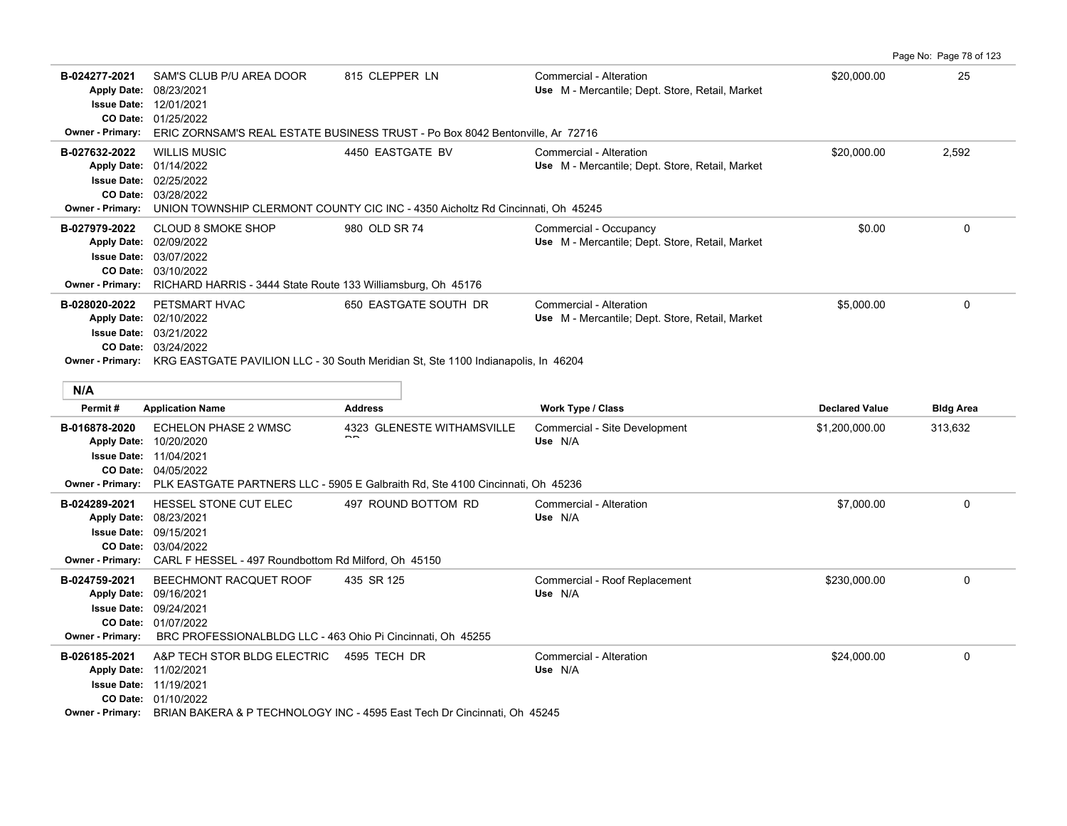**B-024277-2021** \$20,000.00 25 SAM'S CLUB P/U AREA DOOR 815 CLEPPER LN Commercial - Alteration 01/25/2022 **CO Date:** 12/01/2021 **Issue Date:** Apply Date: 08/23/2021 **Apply Date: Use** M - Mercantile; Dept. Store, Retail, Market **Owner - Primary:** ERIC ZORNSAM'S REAL ESTATE BUSINESS TRUST - Po Box 8042 Bentonville, Ar 72716 **B-027632-2022** \$20,000.00 2,592 WILLIS MUSIC 4450 EASTGATE BV Commercial - Alteration 03/28/2022 **CO Date:** 02/25/2022 **Issue Date:** Apply Date: 01/14/2022 **Apply Date: Use** M - Mercantile; Dept. Store, Retail, Market **Owner - Primary:** UNION TOWNSHIP CLERMONT COUNTY CIC INC - 4350 Aicholtz Rd Cincinnati, Oh 45245 **B-027979-2022** CLOUD 8 SMOKE SHOP 980 OLD SR 74 Commercial - Occupancy 0 03/10/2022 **CO Date:** 03/07/2022 **Issue Date:** Apply Date: 02/09/2022 **Apply Date: Use** M - Mercantile; Dept. Store, Retail, Market **Owner - Primary:** RICHARD HARRIS - 3444 State Route 133 Williamsburg, Oh 45176 **B-028020-2022** PETSMART HVAC 650 EASTGATE SOUTH DR Commercial - Alteration 65,000.00 65,000.00 60 03/24/2022 **CO Date:** 03/21/2022 **Issue Date:** Apply Date: 02/10/2022 **Apply Date: Use** M - Mercantile; Dept. Store, Retail, Market **Owner - Primary:** KRG EASTGATE PAVILION LLC - 30 South Meridian St, Ste 1100 Indianapolis, In 46204 **N/A Permit # Application Name Address Work Type / Class Declared Value Bldg Area** B-016878-2020 ECHELON PHASE 2 WMSC 4323 GLENESTE WITHAMSVILLE Commercial - Site Development \$1,200,000.00 313,632 04/05/2022 **CO Date:** 11/04/2021 **Issue Date:** 10/20/2020 **Apply Date: Use** N/A  $\overline{\phantom{a}}$ ECHELON PHASE 2 WMSC **Owner - Primary:** PLK EASTGATE PARTNERS LLC - 5905 E Galbraith Rd, Ste 4100 Cincinnati, Oh 45236 **B-024289-2021** \$7,000.00 0 HESSEL STONE CUT ELEC 497 ROUND BOTTOM RD Commercial - Alteration 03/04/2022 **CO Date:** 09/15/2021 **Issue Date:** 08/23/2021 **Apply Date: Use** N/A **Owner - Primary:** CARL F HESSEL - 497 Roundbottom Rd Milford, Oh 45150 B-024759-2021 BEECHMONT RACQUET ROOF 435 SR 125 Commercial - Roof Replacement \$230,000.00 \$230,000.00 0 0 0 0 0 01/07/2022 **CO Date:** 09/24/2021 **Issue Date:** 09/16/2021 **Apply Date: Use** N/A **Owner - Primary:** BRC PROFESSIONALBLDG LLC - 463 Ohio Pi Cincinnati, Oh 45255 **B-026185-2021** \$24,000.00 0 A&P TECH STOR BLDG ELECTRIC 4595 TECH DR Commercial - Alteration 01/10/2022 **CO Date: Issue Date: 11/19/2021** 11/02/2021 **Apply Date: Use** N/A

Page No: Page 78 of 123

**Owner - Primary:** BRIAN BAKERA & P TECHNOLOGY INC - 4595 East Tech Dr Cincinnati, Oh 45245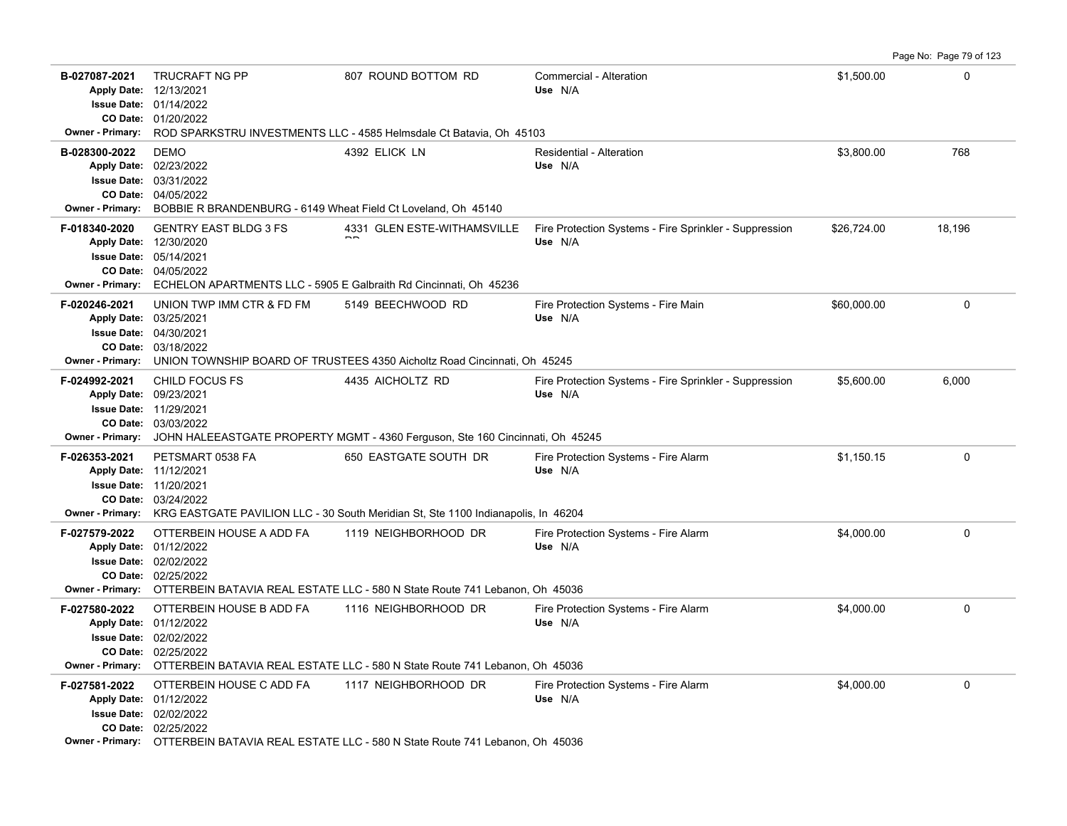Page No: Page 79 of 123

| B-027087-2021<br><b>Owner - Primary:</b> | <b>TRUCRAFT NG PP</b><br>Apply Date: 12/13/2021<br><b>Issue Date: 01/14/2022</b><br>CO Date: 01/20/2022                                                                      | 807 ROUND BOTTOM RD<br>ROD SPARKSTRU INVESTMENTS LLC - 4585 Helmsdale Ct Batavia, Oh 45103                                   | Commercial - Alteration<br>Use N/A                                | \$1,500.00  | 0           |  |
|------------------------------------------|------------------------------------------------------------------------------------------------------------------------------------------------------------------------------|------------------------------------------------------------------------------------------------------------------------------|-------------------------------------------------------------------|-------------|-------------|--|
| B-028300-2022<br><b>Owner - Primary:</b> | <b>DEMO</b><br>Apply Date: 02/23/2022<br><b>Issue Date: 03/31/2022</b><br>CO Date: 04/05/2022<br>BOBBIE R BRANDENBURG - 6149 Wheat Field Ct Loveland, Oh 45140               | 4392 ELICK LN                                                                                                                | Residential - Alteration<br>Use N/A                               | \$3,800.00  | 768         |  |
| F-018340-2020<br><b>Owner - Primary:</b> | <b>GENTRY EAST BLDG 3 FS</b><br>Apply Date: 12/30/2020<br>Issue Date: 05/14/2021<br>CO Date: 04/05/2022<br>ECHELON APARTMENTS LLC - 5905 E Galbraith Rd Cincinnati, Oh 45236 | 4331 GLEN ESTE-WITHAMSVILLE                                                                                                  | Fire Protection Systems - Fire Sprinkler - Suppression<br>Use N/A | \$26,724.00 | 18,196      |  |
| F-020246-2021<br><b>Owner - Primary:</b> | UNION TWP IMM CTR & FD FM<br>Apply Date: 03/25/2021<br>Issue Date: 04/30/2021<br>CO Date: 03/18/2022                                                                         | 5149 BEECHWOOD RD<br>UNION TOWNSHIP BOARD OF TRUSTEES 4350 Aicholtz Road Cincinnati, Oh 45245                                | Fire Protection Systems - Fire Main<br>Use N/A                    | \$60,000.00 | $\mathbf 0$ |  |
| F-024992-2021<br><b>Owner - Primary:</b> | CHILD FOCUS FS<br>Apply Date: 09/23/2021<br>Issue Date: 11/29/2021<br>CO Date: 03/03/2022                                                                                    | 4435 AICHOLTZ RD<br>JOHN HALEEASTGATE PROPERTY MGMT - 4360 Ferguson, Ste 160 Cincinnati, Oh 45245                            | Fire Protection Systems - Fire Sprinkler - Suppression<br>Use N/A | \$5,600.00  | 6,000       |  |
| F-026353-2021<br><b>Owner - Primary:</b> | PETSMART 0538 FA<br>Apply Date: 11/12/2021<br>Issue Date: 11/20/2021<br>CO Date: 03/24/2022                                                                                  | 650 EASTGATE SOUTH DR<br>KRG EASTGATE PAVILION LLC - 30 South Meridian St, Ste 1100 Indianapolis, In 46204                   | Fire Protection Systems - Fire Alarm<br>Use N/A                   | \$1,150.15  | $\mathbf 0$ |  |
| F-027579-2022<br><b>Owner - Primary:</b> | OTTERBEIN HOUSE A ADD FA<br>Apply Date: 01/12/2022<br><b>Issue Date: 02/02/2022</b><br>CO Date: 02/25/2022                                                                   | 1119 NEIGHBORHOOD DR<br>OTTERBEIN BATAVIA REAL ESTATE LLC - 580 N State Route 741 Lebanon, Oh 45036                          | Fire Protection Systems - Fire Alarm<br>Use N/A                   | \$4,000.00  | $\mathbf 0$ |  |
| F-027580-2022<br><b>Owner - Primary:</b> | OTTERBEIN HOUSE B ADD FA<br>Apply Date: 01/12/2022<br><b>Issue Date: 02/02/2022</b><br>CO Date: 02/25/2022                                                                   | 1116 NEIGHBORHOOD DR<br>OTTERBEIN BATAVIA REAL ESTATE LLC - 580 N State Route 741 Lebanon, Oh 45036                          | Fire Protection Systems - Fire Alarm<br>Use N/A                   | \$4,000.00  | $\mathbf 0$ |  |
| F-027581-2022                            | OTTERBEIN HOUSE C ADD FA<br>Apply Date: 01/12/2022<br>Issue Date: 02/02/2022<br>CO Date: 02/25/2022                                                                          | 1117 NEIGHBORHOOD DR<br><b>Owner - Primary:</b> OTTERBEIN BATAVIA REAL ESTATE LLC - 580 N State Route 741 Lebanon, Ob. 45036 | Fire Protection Systems - Fire Alarm<br>Use N/A                   | \$4,000.00  | $\mathbf 0$ |  |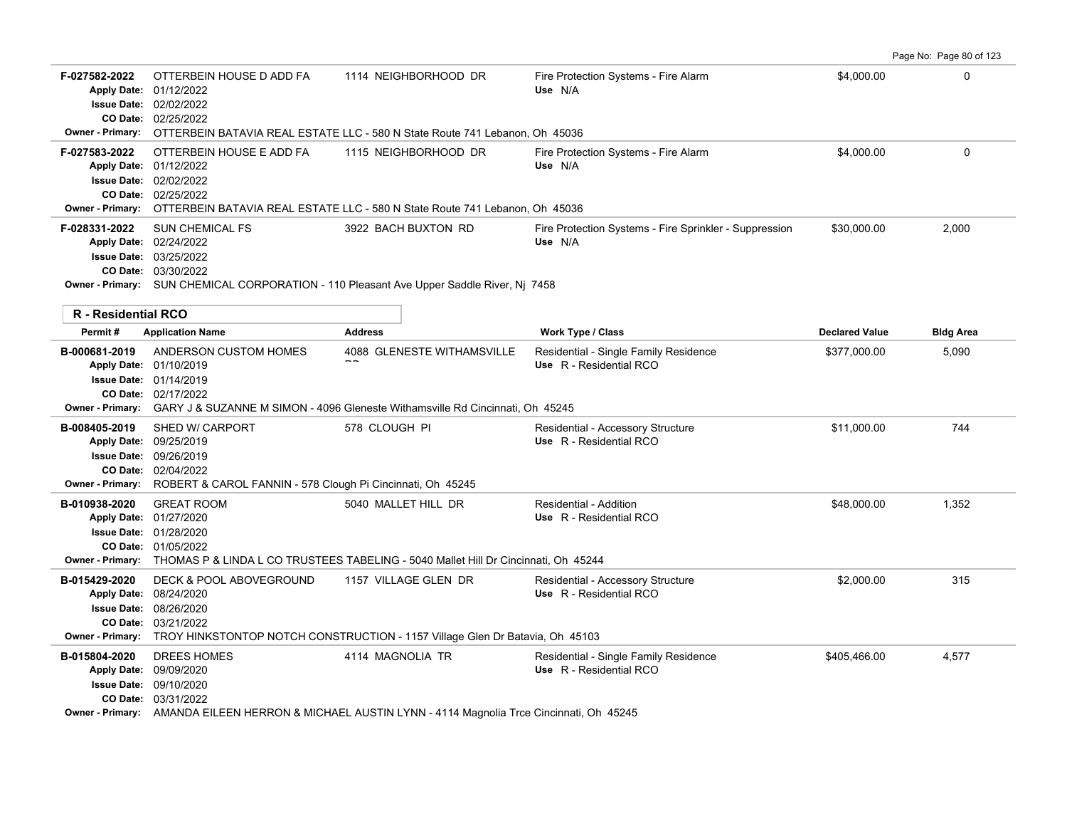Page No: Page 80 of 123

| F-027582-2022              | OTTERBEIN HOUSE D ADD FA<br>Apply Date: 01/12/2022<br><b>Issue Date: 02/02/2022</b><br>CO Date: 02/25/2022                                                                       | 1114 NEIGHBORHOOD DR<br>Owner - Primary: OTTERBEIN BATAVIA REAL ESTATE LLC - 580 N State Route 741 Lebanon, Oh 45036         | Fire Protection Systems - Fire Alarm<br>Use N/A                   | \$4,000.00            | $\Omega$         |
|----------------------------|----------------------------------------------------------------------------------------------------------------------------------------------------------------------------------|------------------------------------------------------------------------------------------------------------------------------|-------------------------------------------------------------------|-----------------------|------------------|
| F-027583-2022              | OTTERBEIN HOUSE E ADD FA<br>Apply Date: 01/12/2022<br>Issue Date: 02/02/2022<br>CO Date: 02/25/2022                                                                              | 1115 NEIGHBORHOOD DR<br>Owner - Primary: OTTERBEIN BATAVIA REAL ESTATE LLC - 580 N State Route 741 Lebanon, Oh 45036         | Fire Protection Systems - Fire Alarm<br>Use N/A                   | \$4,000.00            | $\Omega$         |
| F-028331-2022              | SUN CHEMICAL FS<br>Apply Date: 02/24/2022<br><b>Issue Date: 03/25/2022</b><br>CO Date: 03/30/2022                                                                                | 3922 BACH BUXTON RD<br>Owner - Primary: SUN CHEMICAL CORPORATION - 110 Pleasant Ave Upper Saddle River, Nj 7458              | Fire Protection Systems - Fire Sprinkler - Suppression<br>Use N/A | \$30,000.00           | 2,000            |
| <b>R</b> - Residential RCO |                                                                                                                                                                                  |                                                                                                                              |                                                                   |                       |                  |
| Permit#                    | <b>Application Name</b>                                                                                                                                                          | <b>Address</b>                                                                                                               | <b>Work Type / Class</b>                                          | <b>Declared Value</b> | <b>Bldg Area</b> |
| B-000681-2019              | ANDERSON CUSTOM HOMES<br>Apply Date: 01/10/2019<br><b>Issue Date: 01/14/2019</b><br>CO Date: 02/17/2022                                                                          | 4088 GLENESTE WITHAMSVILLE<br>Owner - Primary: GARY J & SUZANNE M SIMON - 4096 Gleneste Withamsville Rd Cincinnati, Oh 45245 | Residential - Single Family Residence<br>Use R - Residential RCO  | \$377,000.00          | 5,090            |
| B-008405-2019              | SHED W/ CARPORT<br>Apply Date: 09/25/2019<br><b>Issue Date: 09/26/2019</b><br>CO Date: 02/04/2022<br>Owner - Primary: ROBERT & CAROL FANNIN - 578 Clough Pi Cincinnati, Oh 45245 | 578 CLOUGH PI                                                                                                                | Residential - Accessory Structure<br>Use R - Residential RCO      | \$11,000.00           | 744              |
| B-010938-2020              | <b>GREAT ROOM</b><br>Apply Date: 01/27/2020<br><b>Issue Date: 01/28/2020</b><br>CO Date: 01/05/2022                                                                              | 5040 MALLET HILL DR<br>Owner - Primary: THOMAS P & LINDA L CO TRUSTEES TABELING - 5040 Mallet Hill Dr Cincinnati, Oh 45244   | Residential - Addition<br>Use R - Residential RCO                 | \$48,000.00           | 1,352            |
| B-015429-2020              | DECK & POOL ABOVEGROUND<br>Apply Date: 08/24/2020<br><b>Issue Date: 08/26/2020</b><br>CO Date: 03/21/2022                                                                        | 1157 VILLAGE GLEN DR<br>Owner - Primary: TROY HINKSTONTOP NOTCH CONSTRUCTION - 1157 Village Glen Dr Batavia, Oh 45103        | Residential - Accessory Structure<br>Use R - Residential RCO      | \$2,000.00            | 315              |
| B-015804-2020              | DREES HOMES<br>Apply Date: 09/09/2020<br><b>Issue Date: 09/10/2020</b><br>CO Date: 03/31/2022                                                                                    | 4114 MAGNOLIA TR<br>Owner - Primary: AMANDA EILEEN HERRON & MICHAEL AUSTIN LYNN - 4114 Magnolia Trce Cincinnati, Oh 45245    | Residential - Single Family Residence<br>Use R - Residential RCO  | \$405,466.00          | 4,577            |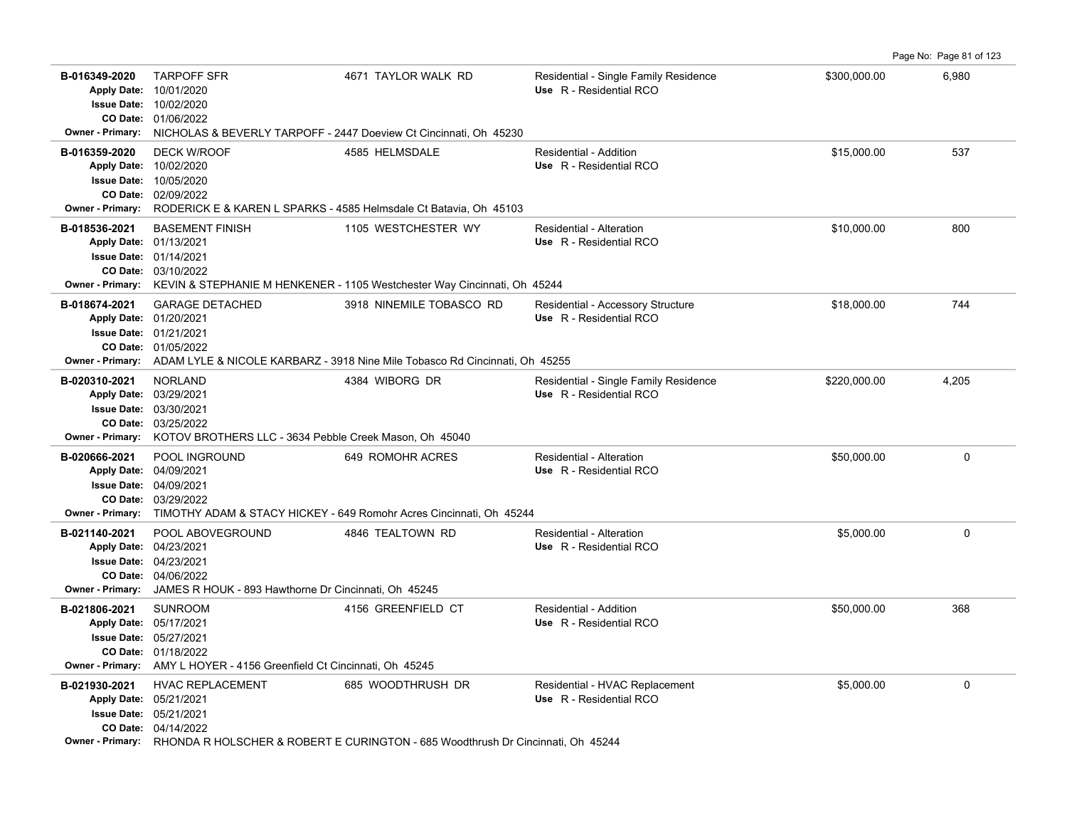**B-016349-2020** \$300,000.00 6,980 TARPOFF SFR 4671 TAYLOR WALK RD Residential - Single Family Residence 01/06/2022 **CO Date:** 10/02/2020 Apply Date: 10/01/2020 **Apply Date: Use** R - Residential RCO **Issue Date: Owner - Primary:** NICHOLAS & BEVERLY TARPOFF - 2447 Doeview Ct Cincinnati, Oh 45230 **B-016359-2020** DECK W/ROOF 4585 HELMSDALE Residential - Addition \$15,000.00 537 02/09/2022 **CO Date:** 10/05/2020 **Issue Date:** 10/02/2020 **Apply Date: Use** R - Residential RCO DECK W/ROOF **4585 HELMSDALE** Residential - Addition **Owner - Primary:** RODERICK E & KAREN L SPARKS - 4585 Helmsdale Ct Batavia, Oh 45103 **B-018536-2021** \$10,000.00 800 BASEMENT FINISH 1105 WESTCHESTER WY Residential - Alteration 03/10/2022 **CO Date:** 01/14/2021 **Issue Date:** 01/13/2021 **Apply Date: Use** R - Residential RCO **Owner - Primary:** KEVIN & STEPHANIE M HENKENER - 1105 Westchester Way Cincinnati, Oh 45244 **B-018674-2021** \$18,000.00 744 GARAGE DETACHED 3918 NINEMILE TOBASCO RD Residential - Accessory Structure 01/05/2022 **CO Date:** 01/21/2021 **Issue Date:** Apply Date: 01/20/2021 **Apply Date: Use** R - Residential RCO **Owner - Primary:** ADAM LYLE & NICOLE KARBARZ - 3918 Nine Mile Tobasco Rd Cincinnati, Oh 45255 B-020310-2021 NORLAND 4304 ASSA WIBORG DR Residential - Single Family Residence \$220,000.00 4,205 03/25/2022 **CO Date:** 03/30/2021 **Issue Date:** Apply Date: 03/29/2021 **Apply Date: Use** R - Residential RCO **Owner - Primary:** KOTOV BROTHERS LLC - 3634 Pebble Creek Mason, Oh 45040 **B-020666-2021** \$50,000.00 0 POOL INGROUND 649 ROMOHR ACRES Residential - Alteration 03/29/2022 **CO Date:** 04/09/2021 **Issue Date:** Apply Date: 04/09/2021 **Apply Date: Use** R - Residential RCO **Owner - Primary:** TIMOTHY ADAM & STACY HICKEY - 649 Romohr Acres Cincinnati, Oh 45244 **B-021140-2021** POOL ABOVEGROUND 4846 TEALTOWN RD Residential - Alteration 55,000.00 \$5,000.00 0 04/06/2022 **CO Date:** 04/23/2021 **Issue Date:** Apply Date: 04/23/2021 **Apply Date: Use** R - Residential RCO **Owner - Primary:** JAMES R HOUK - 893 Hawthorne Dr Cincinnati, Oh 45245 **B-021806-2021** \$50,000.00 368 SUNROOM 4156 GREENFIELD CT Residential - Addition 01/18/2022 **CO Date:** 05/27/2021 **Issue Date:** Apply Date: 05/17/2021 **Apply Date: Use** R - Residential RCO **Owner - Primary:** AMY L HOYER - 4156 Greenfield Ct Cincinnati, Oh 45245 **B-021930-2021** \$5,000.00 0 HVAC REPLACEMENT 685 WOODTHRUSH DR Residential - HVAC Replacement 04/14/2022 **CO Date:** 05/21/2021 **Issue Date:** 05/21/2021 **Apply Date: Use** R - Residential RCO **Owner - Primary:** RHONDA R HOLSCHER & ROBERT E CURINGTON - 685 Woodthrush Dr Cincinnati, Oh 45244

Page No: Page 81 of 123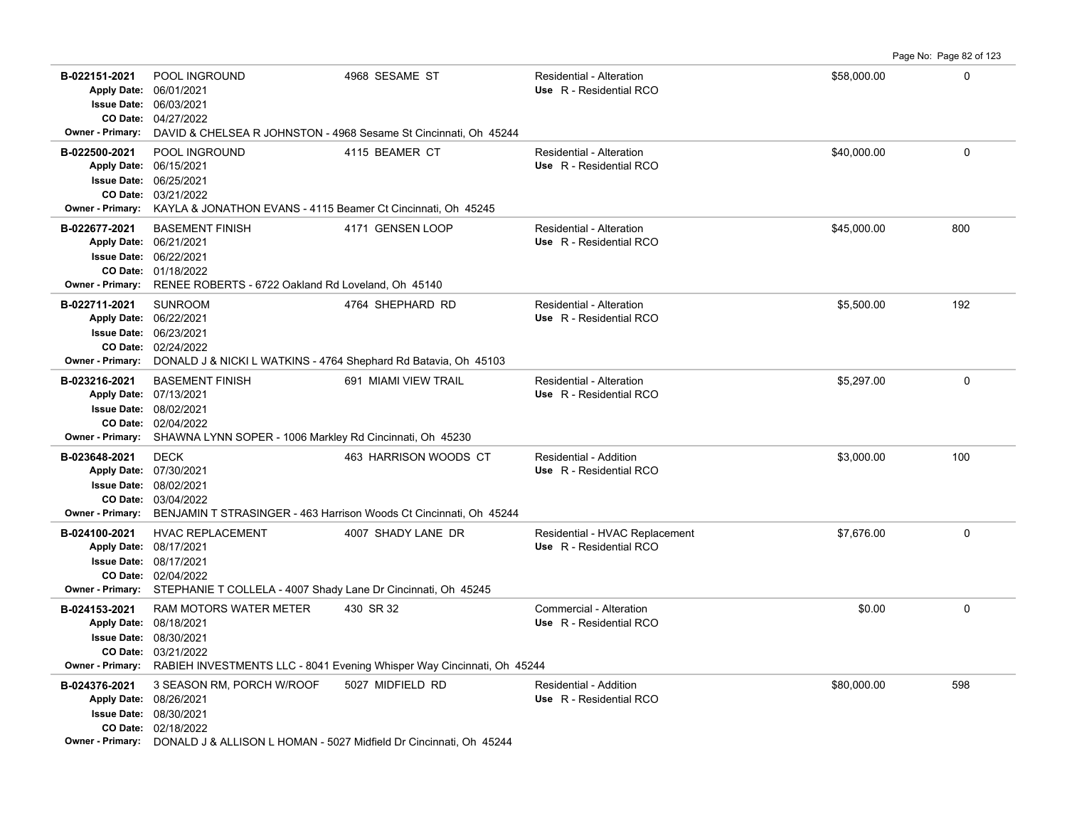Page No: Page 82 of 123

| B-022151-2021<br><b>Owner - Primary:</b> | POOL INGROUND<br>Apply Date: 06/01/2021<br><b>Issue Date: 06/03/2021</b><br>CO Date: 04/27/2022                                                                                  | 4968 SESAME ST                                                         | Residential - Alteration<br>Use R - Residential RCO       | \$58,000.00 | 0        |
|------------------------------------------|----------------------------------------------------------------------------------------------------------------------------------------------------------------------------------|------------------------------------------------------------------------|-----------------------------------------------------------|-------------|----------|
|                                          | DAVID & CHELSEA R JOHNSTON - 4968 Sesame St Cincinnati, Oh 45244                                                                                                                 |                                                                        |                                                           |             |          |
| B-022500-2021                            | POOL INGROUND<br>Apply Date: 06/15/2021<br><b>Issue Date: 06/25/2021</b><br>CO Date: 03/21/2022<br>Owner - Primary: KAYLA & JONATHON EVANS - 4115 Beamer Ct Cincinnati, Oh 45245 | 4115 BEAMER CT                                                         | Residential - Alteration<br>Use R - Residential RCO       | \$40,000.00 | $\Omega$ |
| B-022677-2021                            | <b>BASEMENT FINISH</b>                                                                                                                                                           | 4171 GENSEN LOOP                                                       | <b>Residential - Alteration</b>                           | \$45,000.00 | 800      |
|                                          | Apply Date: 06/21/2021                                                                                                                                                           |                                                                        | Use R - Residential RCO                                   |             |          |
|                                          | Issue Date: 06/22/2021                                                                                                                                                           |                                                                        |                                                           |             |          |
|                                          | CO Date: 01/18/2022                                                                                                                                                              |                                                                        |                                                           |             |          |
| <b>Owner - Primary:</b>                  | RENEE ROBERTS - 6722 Oakland Rd Loveland, Oh 45140                                                                                                                               |                                                                        |                                                           |             |          |
| B-022711-2021                            | <b>SUNROOM</b>                                                                                                                                                                   | 4764 SHEPHARD RD                                                       | Residential - Alteration                                  | \$5,500.00  | 192      |
|                                          | Apply Date: 06/22/2021                                                                                                                                                           |                                                                        | Use R - Residential RCO                                   |             |          |
|                                          | <b>Issue Date: 06/23/2021</b>                                                                                                                                                    |                                                                        |                                                           |             |          |
| Owner - Primary:                         | CO Date: 02/24/2022<br>DONALD J & NICKI L WATKINS - 4764 Shephard Rd Batavia, Oh 45103                                                                                           |                                                                        |                                                           |             |          |
|                                          |                                                                                                                                                                                  |                                                                        |                                                           |             |          |
| B-023216-2021                            | <b>BASEMENT FINISH</b><br>Apply Date: 07/13/2021                                                                                                                                 | 691 MIAMI VIEW TRAIL                                                   | Residential - Alteration<br>Use R - Residential RCO       | \$5,297.00  | 0        |
|                                          | <b>Issue Date: 08/02/2021</b>                                                                                                                                                    |                                                                        |                                                           |             |          |
|                                          | CO Date: 02/04/2022                                                                                                                                                              |                                                                        |                                                           |             |          |
| <b>Owner - Primary:</b>                  | SHAWNA LYNN SOPER - 1006 Markley Rd Cincinnati, Oh 45230                                                                                                                         |                                                                        |                                                           |             |          |
| B-023648-2021                            | <b>DECK</b>                                                                                                                                                                      | 463 HARRISON WOODS CT                                                  | <b>Residential - Addition</b>                             | \$3,000.00  | 100      |
|                                          | Apply Date: 07/30/2021                                                                                                                                                           |                                                                        | Use R - Residential RCO                                   |             |          |
|                                          | <b>Issue Date: 08/02/2021</b>                                                                                                                                                    |                                                                        |                                                           |             |          |
| Owner - Primary:                         | CO Date: 03/04/2022                                                                                                                                                              |                                                                        |                                                           |             |          |
|                                          | BENJAMIN T STRASINGER - 463 Harrison Woods Ct Cincinnati, Oh 45244                                                                                                               |                                                                        |                                                           |             |          |
| B-024100-2021                            | <b>HVAC REPLACEMENT</b><br>Apply Date: 08/17/2021                                                                                                                                | 4007 SHADY LANE DR                                                     | Residential - HVAC Replacement<br>Use R - Residential RCO | \$7,676.00  | 0        |
|                                          | <b>Issue Date: 08/17/2021</b>                                                                                                                                                    |                                                                        |                                                           |             |          |
|                                          | CO Date: 02/04/2022                                                                                                                                                              |                                                                        |                                                           |             |          |
| Owner - Primary:                         | STEPHANIE T COLLELA - 4007 Shady Lane Dr Cincinnati, Oh 45245                                                                                                                    |                                                                        |                                                           |             |          |
| B-024153-2021                            | RAM MOTORS WATER METER                                                                                                                                                           | 430 SR 32                                                              | Commercial - Alteration                                   | \$0.00      | 0        |
|                                          | Apply Date: 08/18/2021                                                                                                                                                           |                                                                        | Use R - Residential RCO                                   |             |          |
|                                          | <b>Issue Date: 08/30/2021</b>                                                                                                                                                    |                                                                        |                                                           |             |          |
| Owner - Primary:                         | CO Date: 03/21/2022                                                                                                                                                              | RABIEH INVESTMENTS LLC - 8041 Evening Whisper Way Cincinnati, Oh 45244 |                                                           |             |          |
|                                          |                                                                                                                                                                                  |                                                                        |                                                           |             |          |
| B-024376-2021                            | 3 SEASON RM, PORCH W/ROOF<br>Apply Date: 08/26/2021                                                                                                                              | 5027 MIDFIELD RD                                                       | Residential - Addition<br>Use R - Residential RCO         | \$80,000.00 | 598      |
|                                          | <b>Issue Date: 08/30/2021</b>                                                                                                                                                    |                                                                        |                                                           |             |          |
|                                          | CO Date: 02/18/2022                                                                                                                                                              |                                                                        |                                                           |             |          |
|                                          | <b>Owner - Primary:</b> DONALD J & ALLISON L HOMAN - 5027 Midfield Dr Cincinnati, Oh 45244                                                                                       |                                                                        |                                                           |             |          |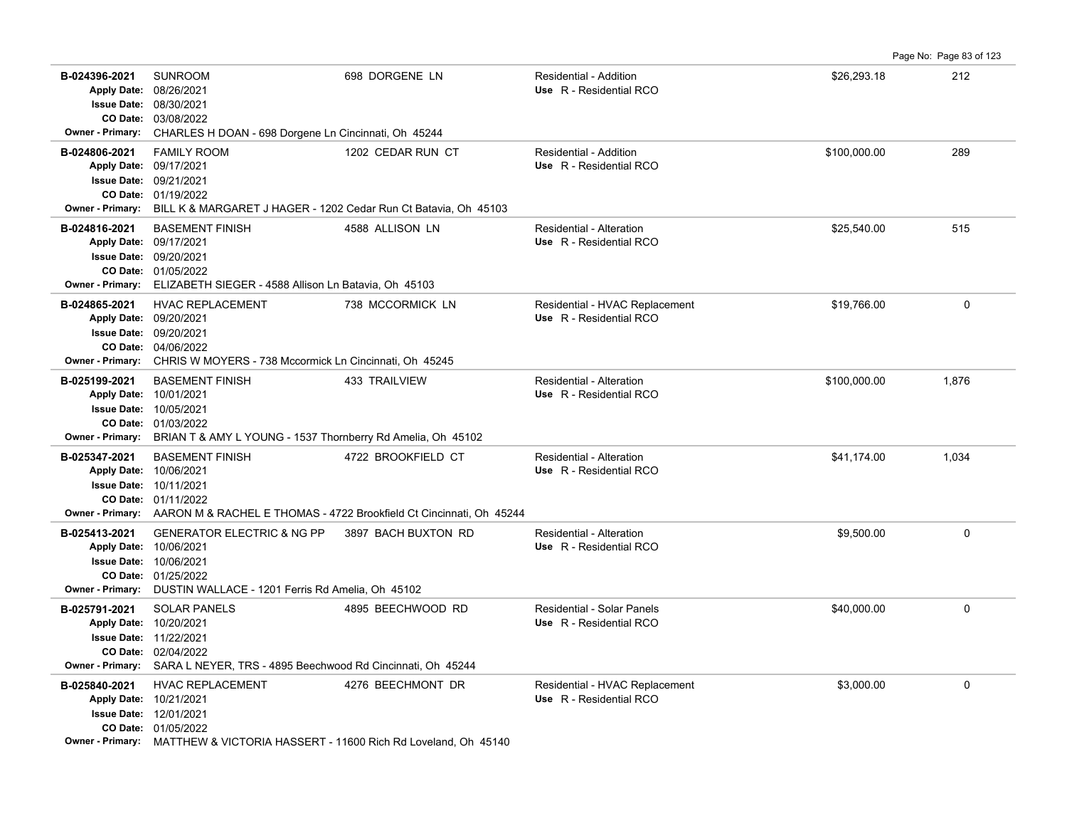**B-024396-2021** \$26,293.18 212 SUNROOM 698 DORGENE LN Residential - Addition **Apply Date: Use** R - Residential RCO **Owner - Primary:** CHARLES H DOAN - 698 Dorgene Ln Cincinnati, Oh 45244 **B-024806-2021** \$100,000.00 289 FAMILY ROOM 1202 CEDAR RUN CT Residential - Addition 09/17/2021 **Apply Date: Use** R - Residential RCO **Owner - Primary:** BILL K & MARGARET J HAGER - 1202 Cedar Run Ct Batavia, Oh 45103 **B-024816-2021** \$25,540.00 515 09/17/2021 **Apply Date: Use** R - Residential RCO BASEMENT FINISH 4588 ALLISON LN Residential - Alteration **Owner - Primary:** ELIZABETH SIEGER - 4588 Allison Ln Batavia, Oh 45103 **B-024865-2021** \$19,766.00 0 HVAC REPLACEMENT 738 MCCORMICK LN Residential - HVAC Replacement **Apply Date: Use** R - Residential RCO **Owner - Primary:** CHRIS W MOYERS - 738 Mccormick Ln Cincinnati, Oh 45245 **B-025199-2021** \$100,000.00 1,876 BASEMENT FINISH 433 TRAILVIEW Residential - Alteration **Apply Date: Use** R - Residential RCO **Owner - Primary:** BRIAN T & AMY L YOUNG - 1537 Thornberry Rd Amelia, Oh 45102

Page No: Page 83 of 123

| B-025347-2021                                               | <b>BASEMENT FINISH</b><br>Apply Date: 10/06/2021<br><b>Issue Date: 10/11/2021</b><br><b>CO Date: 01/11/2022</b><br><b>Owner - Primary:</b> AARON M & RACHEL E THOMAS - 4722 Brookfield Ct Cincinnati, Oh 45244 | 4722 BROOKFIELD CT  | Residential - Alteration<br>Use R - Residential RCO       | \$41.174.00 | 1,034    |
|-------------------------------------------------------------|----------------------------------------------------------------------------------------------------------------------------------------------------------------------------------------------------------------|---------------------|-----------------------------------------------------------|-------------|----------|
| B-025413-2021<br><b>CO Date:</b><br><b>Owner - Primary:</b> | <b>GENERATOR ELECTRIC &amp; NG PP</b><br>Apply Date: 10/06/2021<br><b>Issue Date: 10/06/2021</b><br>01/25/2022<br>DUSTIN WALLACE - 1201 Ferris Rd Amelia, Oh 45102                                             | 3897 BACH BUXTON RD | Residential - Alteration<br>Use R - Residential RCO       | \$9,500.00  | $\Omega$ |
| B-025791-2021<br><b>Owner - Primary:</b>                    | <b>SOLAR PANELS</b><br>Apply Date: 10/20/2021<br><b>Issue Date: 11/22/2021</b><br><b>CO Date: 02/04/2022</b><br>SARA L NEYER, TRS - 4895 Beechwood Rd Cincinnati, Oh 45244                                     | 4895 BEECHWOOD RD   | Residential - Solar Panels<br>Use R - Residential RCO     | \$40,000.00 | 0        |
| B-025840-2021<br><b>Apply Date:</b><br><b>Issue Date:</b>   | <b>HVAC REPLACEMENT</b><br>10/21/2021<br>12/01/2021<br>CO Date: 01/05/2022<br>Owner - Primary: MATTHEW & VICTORIA HASSERT - 11600 Rich Rd Loveland, Oh 45140                                                   | 4276 BEECHMONT DR   | Residential - HVAC Replacement<br>Use R - Residential RCO | \$3,000.00  | $\Omega$ |

03/08/2022 **CO Date:** 08/30/2021 **Issue Date:** Apply Date: 08/26/2021

01/19/2022 **CO Date:** 09/21/2021 **Issue Date:**

01/05/2022 **CO Date:** 09/20/2021 **Issue Date:**

04/06/2022 **CO Date:** 09/20/2021 **Issue Date:** Apply Date: 09/20/2021

01/03/2022 **CO Date:** 10/05/2021 **Issue Date:** Apply Date: 10/01/2021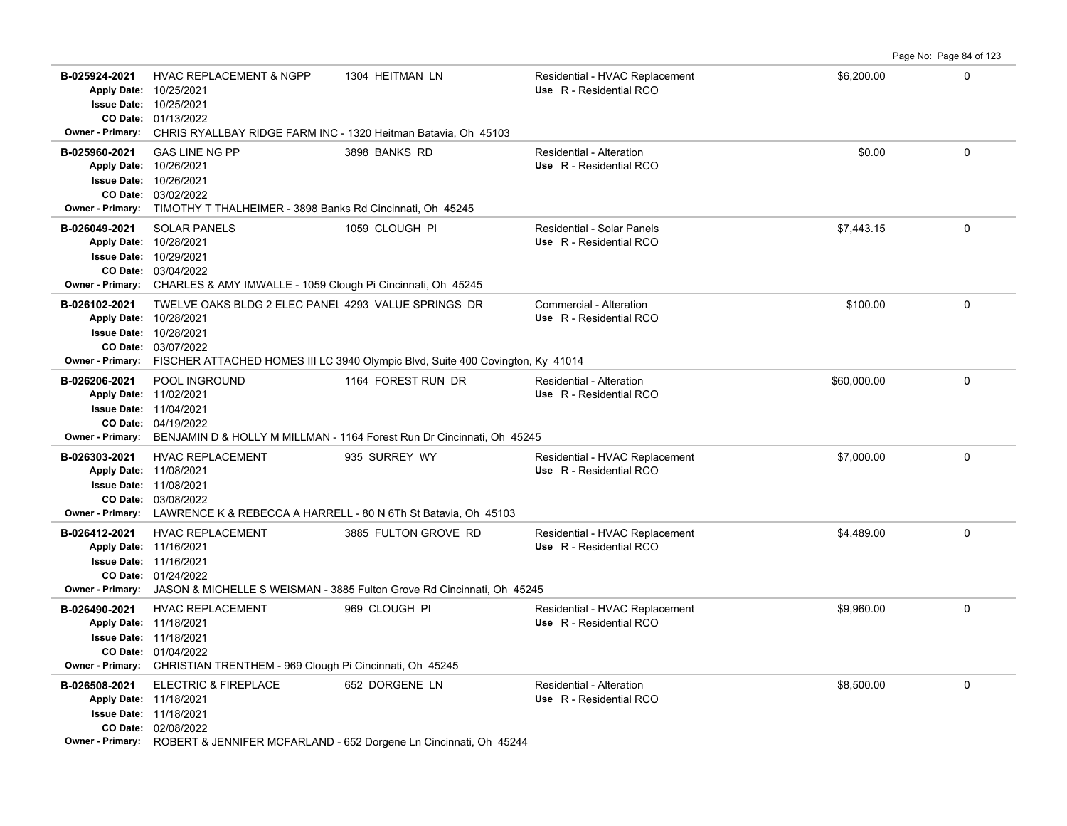|                                          |                                                                                                                                                                                                                                          |                                                                                              |                                                           |             | Page No: Page 84 of 123 |
|------------------------------------------|------------------------------------------------------------------------------------------------------------------------------------------------------------------------------------------------------------------------------------------|----------------------------------------------------------------------------------------------|-----------------------------------------------------------|-------------|-------------------------|
| B-025924-2021                            | <b>HVAC REPLACEMENT &amp; NGPP</b><br>Apply Date: 10/25/2021<br><b>Issue Date: 10/25/2021</b><br>CO Date: 01/13/2022<br>Owner - Primary: CHRIS RYALLBAY RIDGE FARM INC - 1320 Heitman Batavia, Oh 45103                                  | 1304 HEITMAN LN                                                                              | Residential - HVAC Replacement<br>Use R - Residential RCO | \$6,200.00  | $\mathbf 0$             |
| B-025960-2021                            | <b>GAS LINE NG PP</b><br>Apply Date: 10/26/2021<br><b>Issue Date: 10/26/2021</b><br>CO Date: 03/02/2022<br>Owner - Primary: TIMOTHY T THALHEIMER - 3898 Banks Rd Cincinnati, Oh 45245                                                    | 3898 BANKS RD                                                                                | Residential - Alteration<br>Use R - Residential RCO       | \$0.00      | $\Omega$                |
| B-026049-2021                            | <b>SOLAR PANELS</b><br>Apply Date: 10/28/2021<br><b>Issue Date: 10/29/2021</b><br>CO Date: 03/04/2022<br>Owner - Primary: CHARLES & AMY IMWALLE - 1059 Clough Pi Cincinnati, Oh 45245                                                    | 1059 CLOUGH PI                                                                               | Residential - Solar Panels<br>Use R - Residential RCO     | \$7,443.15  | $\mathbf 0$             |
| B-026102-2021                            | TWELVE OAKS BLDG 2 ELEC PANEL 4293 VALUE SPRINGS DR<br>Apply Date: 10/28/2021<br><b>Issue Date: 10/28/2021</b><br>CO Date: 03/07/2022<br>Owner - Primary: FISCHER ATTACHED HOMES III LC 3940 Olympic Blvd, Suite 400 Covington, Ky 41014 |                                                                                              | Commercial - Alteration<br>Use R - Residential RCO        | \$100.00    | $\mathbf 0$             |
| B-026206-2021<br><b>Owner - Primary:</b> | POOL INGROUND<br>Apply Date: 11/02/2021<br><b>Issue Date: 11/04/2021</b><br>CO Date: 04/19/2022                                                                                                                                          | 1164 FOREST RUN DR<br>BENJAMIN D & HOLLY M MILLMAN - 1164 Forest Run Dr Cincinnati, Oh 45245 | Residential - Alteration<br>Use R - Residential RCO       | \$60,000.00 | $\mathbf 0$             |
| B-026303-2021                            | <b>HVAC REPLACEMENT</b><br>Apply Date: 11/08/2021<br><b>Issue Date: 11/08/2021</b><br>CO Date: 03/08/2022<br><b>Owner - Primary:</b> LAWRENCE K & REBECCA A HARRELL - 80 N 6Th St Batavia, Oh 45103                                      | 935 SURREY WY                                                                                | Residential - HVAC Replacement<br>Use R - Residential RCO | \$7,000.00  | $\mathbf 0$             |
| B-026412-2021<br>Apply Date: 11/16/2021  | <b>HVAC REPLACEMENT</b><br><b>Issue Date: 11/16/2021</b><br>CO Date: 01/24/2022<br>Owner - Primary: JASON & MICHELLE S WEISMAN - 3885 Fulton Grove Rd Cincinnati, Oh 45245                                                               | 3885 FULTON GROVE RD                                                                         | Residential - HVAC Replacement<br>Use R - Residential RCO | \$4,489.00  | $\Omega$                |
| B-026490-2021                            | <b>HVAC REPLACEMENT</b><br>Apply Date: 11/18/2021<br><b>Issue Date: 11/18/2021</b><br>CO Date: 01/04/2022<br>Owner - Primary: CHRISTIAN TRENTHEM - 969 Clough Pi Cincinnati, Oh 45245                                                    | 969 CLOUGH PI                                                                                | Residential - HVAC Replacement<br>Use R - Residential RCO | \$9,960.00  | $\mathbf 0$             |
| B-026508-2021                            | ELECTRIC & FIREPLACE<br>Apply Date: 11/18/2021<br><b>Issue Date: 11/18/2021</b><br>CO Date: 02/08/2022<br><b>Owner - Primary:</b> ROBERT & JENNIFER MCFARLAND - 652 Dorgene Ln Cincinnati, Oh 45244                                      | 652 DORGENE LN                                                                               | Residential - Alteration<br>Use R - Residential RCO       | \$8,500.00  | $\mathbf 0$             |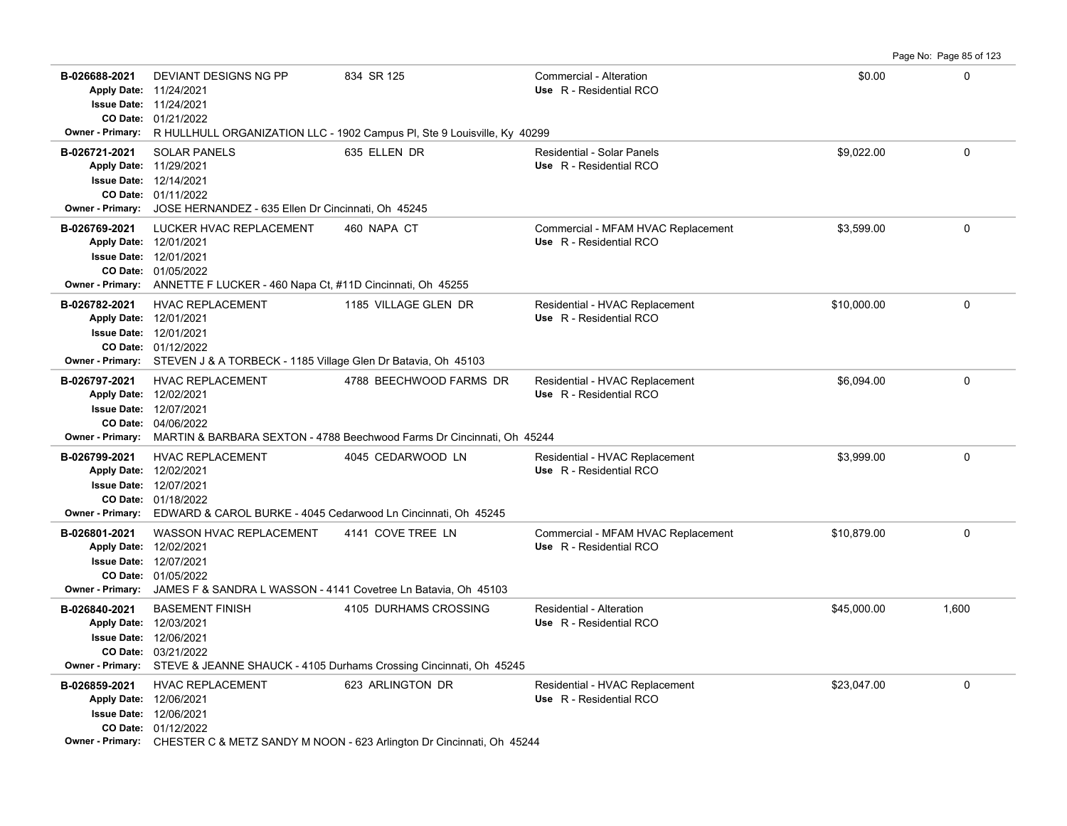**B-026688-2021** \$0.00 0 DEVIANT DESIGNS NG PP 834 SR 125 Commercial - Alteration 01/21/2022 **CO Date:** 11/24/2021 **Issue Date:** Apply Date: 11/24/2021 **Apply Date: Use** R - Residential RCO **Owner - Primary:** R HULLHULL ORGANIZATION LLC - 1902 Campus Pl, Ste 9 Louisville, Ky 40299 **B-026721-2021** \$9,022.00 0 SOLAR PANELS 635 ELLEN DR Residential - Solar Panels 01/11/2022 **CO Date:** 12/14/2021 **Issue Date:** 11/29/2021 **Apply Date: Use** R - Residential RCO **Owner - Primary:** JOSE HERNANDEZ - 635 Ellen Dr Cincinnati, Oh 45245 **B-026769-2021** \$3,599.00 0 LUCKER HVAC REPLACEMENT 460 NAPA CT Commercial - MFAM HVAC Replacement 01/05/2022 **CO Date:** 12/01/2021 **Issue Date:** 12/01/2021 **Apply Date: Use** R - Residential RCO **Owner - Primary:** ANNETTE F LUCKER - 460 Napa Ct, #11D Cincinnati, Oh 45255 **B-026782-2021** HVAC REPLACEMENT 1185 VILLAGE GLEN DR Residential - HVAC Replacement \$10,000.00 \$10,000.00 0 01/12/2022 **CO Date:** 12/01/2021 **Issue Date:** Apply Date: 12/01/2021 **Apply Date: Use** R - Residential RCO **Owner - Primary:** STEVEN J & A TORBECK - 1185 Village Glen Dr Batavia, Oh 45103 B-026797-2021 HVAC REPLACEMENT 4788 BEECHWOOD FARMS DR Residential - HVAC Replacement \$6,094.00 \$6,094.00 04/06/2022 **CO Date:** 12/07/2021 **Issue Date:** Apply Date: 12/02/2021 **Apply Date: Use** R - Residential RCO **Owner - Primary:** MARTIN & BARBARA SEXTON - 4788 Beechwood Farms Dr Cincinnati, Oh 45244 **B-026799-2021** \$3,999.00 0 HVAC REPLACEMENT 4045 CEDARWOOD LN Residential - HVAC Replacement 01/18/2022 **CO Date:** 12/07/2021 **Issue Date:** Apply Date: 12/02/2021 **Apply Date: Use** R - Residential RCO **Owner - Primary:** EDWARD & CAROL BURKE - 4045 Cedarwood Ln Cincinnati, Oh 45245 B-026801-2021 WASSON HVAC REPLACEMENT 4141 COVE TREE LN Commercial - MFAM HVAC Replacement \$10,879.00 0 0 0 0 0 01/05/2022 **CO Date:** 12/07/2021 **Issue Date:** Apply Date: 12/02/2021 **Apply Date: Use** R - Residential RCO **Owner - Primary:** JAMES F & SANDRA L WASSON - 4141 Covetree Ln Batavia, Oh 45103 **B-026840-2021** \$45,000.00 1,600 BASEMENT FINISH 4105 DURHAMS CROSSING Residential - Alteration 03/21/2022 **CO Date:** 12/06/2021 **Issue Date:** Apply Date: 12/03/2021 **Apply Date: Use** R - Residential RCO **Owner - Primary:** STEVE & JEANNE SHAUCK - 4105 Durhams Crossing Cincinnati, Oh 45245 **B-026859-2021** HVAC REPLACEMENT 623 ARLINGTON DR Residential - HVAC Replacement \$23,047.00 \$23,047.00 01/12/2022 **CO Date:** 12/06/2021 **Issue Date:** Apply Date: 12/06/2021 **Apply Date: Use** R - Residential RCO **Owner - Primary:** CHESTER C & METZ SANDY M NOON - 623 Arlington Dr Cincinnati, Oh 45244

Page No: Page 85 of 123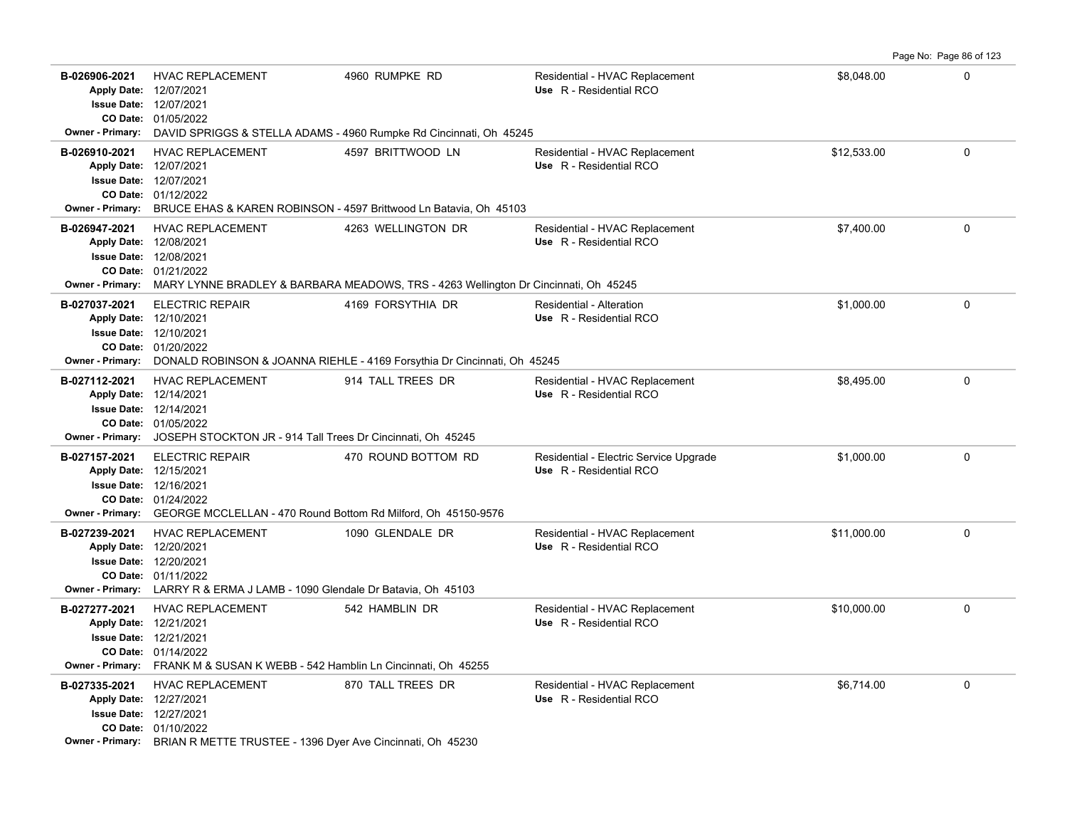| B-026906-2021<br><b>Owner - Primary:</b> | <b>HVAC REPLACEMENT</b><br>Apply Date: 12/07/2021<br><b>Issue Date: 12/07/2021</b><br>CO Date: 01/05/2022                                                                                       | 4960 RUMPKE RD                                                                                                                                               | Residential - HVAC Replacement<br>Use R - Residential RCO         | \$8,048.00  | 0           |
|------------------------------------------|-------------------------------------------------------------------------------------------------------------------------------------------------------------------------------------------------|--------------------------------------------------------------------------------------------------------------------------------------------------------------|-------------------------------------------------------------------|-------------|-------------|
| B-026910-2021<br><b>Owner - Primary:</b> | <b>HVAC REPLACEMENT</b><br>Apply Date: 12/07/2021<br><b>Issue Date: 12/07/2021</b><br>CO Date: 01/12/2022                                                                                       | DAVID SPRIGGS & STELLA ADAMS - 4960 Rumpke Rd Cincinnati, Oh 45245<br>4597 BRITTWOOD LN<br>BRUCE EHAS & KAREN ROBINSON - 4597 Brittwood Ln Batavia, Oh 45103 | Residential - HVAC Replacement<br>Use R - Residential RCO         | \$12.533.00 | $\Omega$    |
| B-026947-2021                            | <b>HVAC REPLACEMENT</b><br>Apply Date: 12/08/2021<br><b>Issue Date: 12/08/2021</b><br>CO Date: 01/21/2022                                                                                       | 4263 WELLINGTON DR<br>Owner - Primary: MARY LYNNE BRADLEY & BARBARA MEADOWS, TRS - 4263 Wellington Dr Cincinnati, Oh 45245                                   | Residential - HVAC Replacement<br>Use R - Residential RCO         | \$7,400.00  | $\mathbf 0$ |
| B-027037-2021<br><b>Owner - Primary:</b> | <b>ELECTRIC REPAIR</b><br>Apply Date: 12/10/2021<br><b>Issue Date: 12/10/2021</b><br>CO Date: 01/20/2022                                                                                        | 4169 FORSYTHIA DR<br>DONALD ROBINSON & JOANNA RIEHLE - 4169 Forsythia Dr Cincinnati, Oh 45245                                                                | Residential - Alteration<br>Use R - Residential RCO               | \$1,000.00  | 0           |
| B-027112-2021<br><b>Owner - Primary:</b> | <b>HVAC REPLACEMENT</b><br>Apply Date: 12/14/2021<br><b>Issue Date: 12/14/2021</b><br>CO Date: 01/05/2022<br>JOSEPH STOCKTON JR - 914 Tall Trees Dr Cincinnati, Oh 45245                        | 914 TALL TREES DR                                                                                                                                            | Residential - HVAC Replacement<br>Use R - Residential RCO         | \$8,495.00  | 0           |
| B-027157-2021                            | <b>ELECTRIC REPAIR</b><br>Apply Date: 12/15/2021<br><b>Issue Date: 12/16/2021</b><br>CO Date: 01/24/2022<br>Owner - Primary: GEORGE MCCLELLAN - 470 Round Bottom Rd Milford, Oh 45150-9576      | 470 ROUND BOTTOM RD                                                                                                                                          | Residential - Electric Service Upgrade<br>Use R - Residential RCO | \$1,000.00  | 0           |
| B-027239-2021                            | <b>HVAC REPLACEMENT</b><br>Apply Date: 12/20/2021<br><b>Issue Date: 12/20/2021</b><br>CO Date: 01/11/2022<br><b>Owner - Primary:</b> LARRY R & ERMA J LAMB - 1090 Glendale Dr Batavia, Oh 45103 | 1090 GLENDALE DR                                                                                                                                             | Residential - HVAC Replacement<br>Use R - Residential RCO         | \$11,000.00 | 0           |
| B-027277-2021                            | <b>HVAC REPLACEMENT</b><br>Apply Date: 12/21/2021<br><b>Issue Date: 12/21/2021</b><br>CO Date: 01/14/2022<br>Owner - Primary: FRANK M & SUSAN K WEBB - 542 Hamblin Ln Cincinnati, Oh 45255      | 542 HAMBLIN DR                                                                                                                                               | Residential - HVAC Replacement<br>Use R - Residential RCO         | \$10,000.00 | $\mathbf 0$ |
| B-027335-2021                            | <b>HVAC REPLACEMENT</b><br>Apply Date: 12/27/2021<br><b>Issue Date: 12/27/2021</b><br>CO Date: 01/10/2022<br>Owner - Primary: BRIAN R METTE TRUSTEE - 1396 Dyer Ave Cincinnati, Oh 45230        | 870 TALL TREES DR                                                                                                                                            | Residential - HVAC Replacement<br>Use R - Residential RCO         | \$6,714.00  | $\mathbf 0$ |

Page No: Page 86 of 123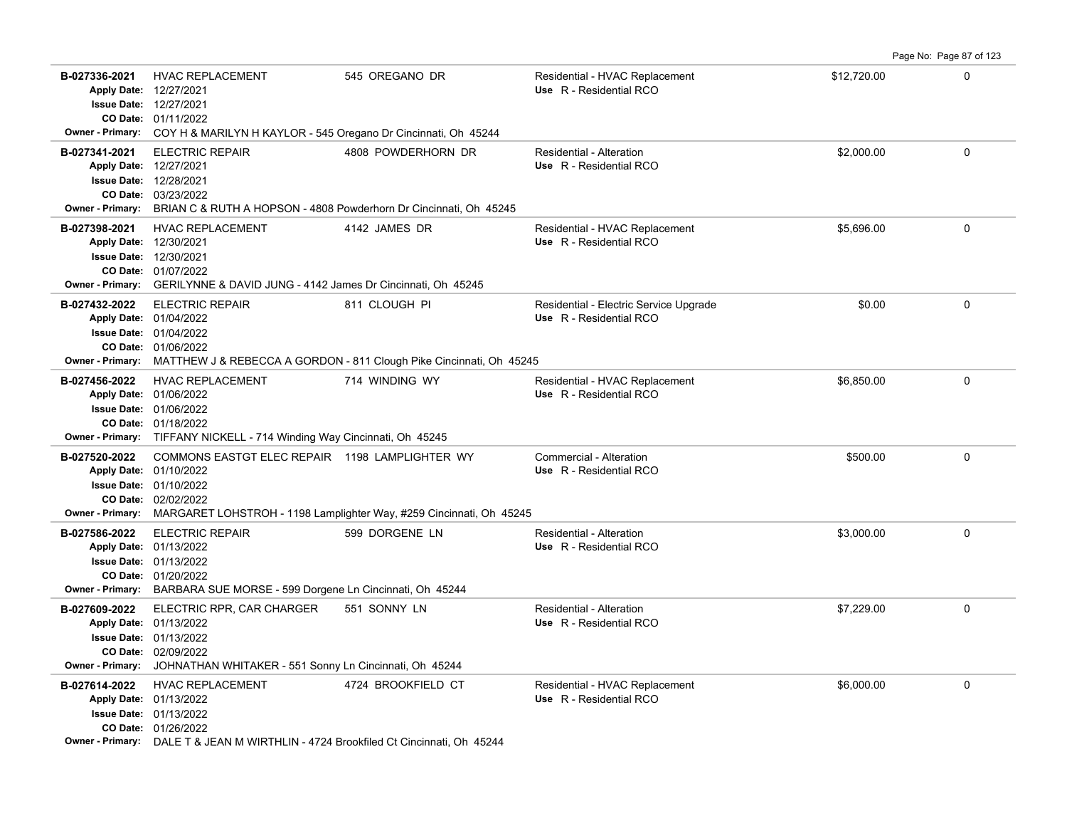**B-027336-2021** \$12,720.00 0 HVAC REPLACEMENT 545 OREGANO DR Residential - HVAC Replacement 01/11/2022 **CO Date:** 12/27/2021 **Issue Date:** Apply Date: 12/27/2021 **Apply Date: Use** R - Residential RCO **Owner - Primary:** COY H & MARILYN H KAYLOR - 545 Oregano Dr Cincinnati, Oh 45244 **B-027341-2021** \$2,000.00 0 ELECTRIC REPAIR 4808 POWDERHORN DR Residential - Alteration 03/23/2022 **CO Date:** 12/28/2021 **Issue Date:** 12/27/2021 **Apply Date: Use** R - Residential RCO **Owner - Primary:** BRIAN C & RUTH A HOPSON - 4808 Powderhorn Dr Cincinnati, Oh 45245 **B-027398-2021** HVAC REPLACEMENT 4142 JAMES DR Residential - HVAC Replacement \$5,696.00 \$5,696.00 01/07/2022 **CO Date:** 12/30/2021 **Issue Date:** 12/30/2021 **Apply Date: Use** R - Residential RCO **Owner - Primary:** GERILYNNE & DAVID JUNG - 4142 James Dr Cincinnati, Oh 45245 **B-027432-2022** ELECTRIC REPAIR 811 CLOUGH PI Residential - Electric Service Upgrade \$0.00 \$0.00 0 01/06/2022 **CO Date:** 01/04/2022 **Issue Date:** Apply Date: 01/04/2022 **Apply Date: Use** R - Residential RCO **Owner - Primary:** MATTHEW J & REBECCA A GORDON - 811 Clough Pike Cincinnati, Oh 45245 **B-027456-2022** HVAC REPLACEMENT 714 WINDING WY Residential - HVAC Replacement \$6,850.00 \$6,850.00 01/18/2022 **CO Date:** 01/06/2022 **Issue Date:** Apply Date: 01/06/2022 **Apply Date: Use** R - Residential RCO **Owner - Primary:** TIFFANY NICKELL - 714 Winding Way Cincinnati, Oh 45245 **B-027520-2022** \$500.00 0 COMMONS EASTGT ELEC REPAIR 1198 LAMPLIGHTER WY Commercial - Alteration 02/02/2022 **CO Date:** 01/10/2022 **Issue Date:** Apply Date: 01/10/2022 **Apply Date: Use** R - Residential RCO **Owner - Primary:** MARGARET LOHSTROH - 1198 Lamplighter Way, #259 Cincinnati, Oh 45245 **B-027586-2022** \$3,000.00 0 01/20/2022 **CO Date:** 01/13/2022 **Issue Date:** Apply Date: 01/13/2022 ELECTRIC REPAIR 599 DORGENE LN Residential - Alteration **Apply Date: Use** R - Residential RCO **Owner - Primary:** BARBARA SUE MORSE - 599 Dorgene Ln Cincinnati, Oh 45244 **B-027609-2022** \$7,229.00 0 ELECTRIC RPR, CAR CHARGER 551 SONNY LN Residential - Alteration 02/09/2022 **CO Date:** 01/13/2022 **Issue Date:** Apply Date: 01/13/2022 **Apply Date: Use** R - Residential RCO **Owner - Primary:** JOHNATHAN WHITAKER - 551 Sonny Ln Cincinnati, Oh 45244 B-027614-2022 HVAC REPLACEMENT 4724 BROOKFIELD CT Residential - HVAC Replacement \$6,000.00 \$6,000.00 0 01/26/2022 **CO Date:** 01/13/2022 **Issue Date:** 01/13/2022 **Apply Date: Use** R - Residential RCO **Owner - Primary:** DALE T & JEAN M WIRTHLIN - 4724 Brookfiled Ct Cincinnati, Oh 45244

Page No: Page 87 of 123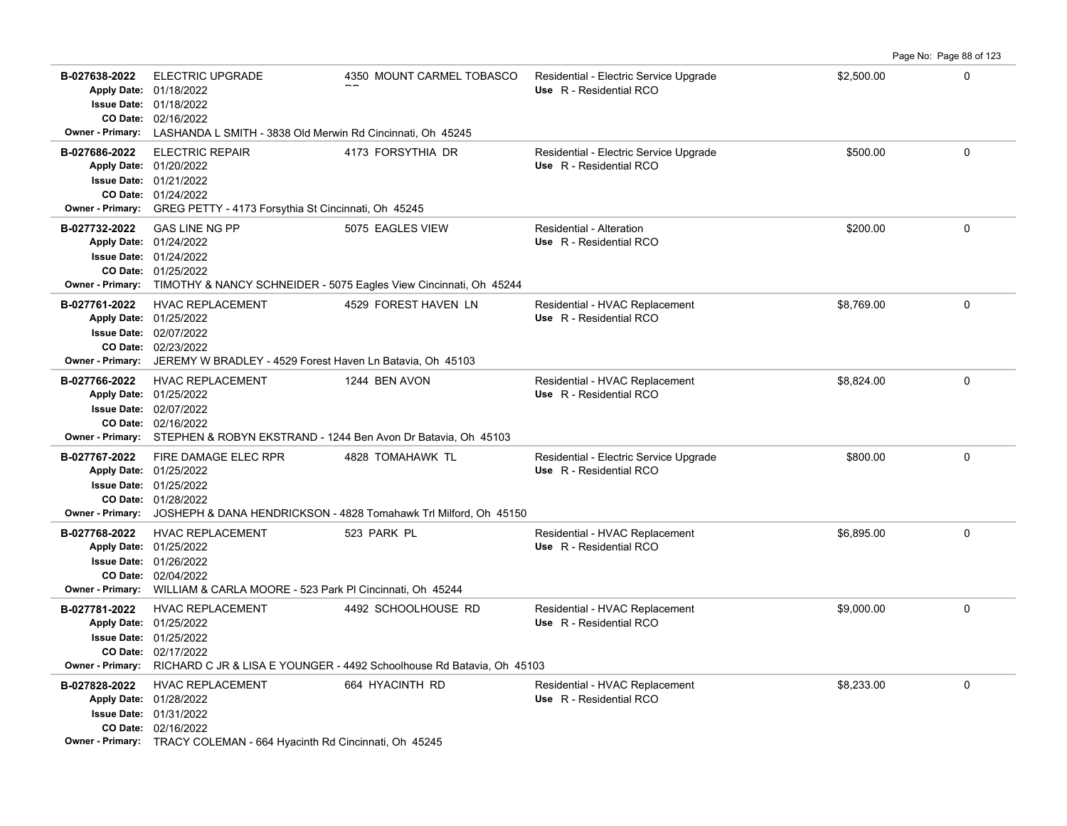|                                          |                                                                                                                                                                                             |                                                                                              |                                                                   |            | Page No: Page 88 of 123 |
|------------------------------------------|---------------------------------------------------------------------------------------------------------------------------------------------------------------------------------------------|----------------------------------------------------------------------------------------------|-------------------------------------------------------------------|------------|-------------------------|
| B-027638-2022<br><b>Owner - Primary:</b> | <b>ELECTRIC UPGRADE</b><br>Apply Date: 01/18/2022<br>Issue Date: 01/18/2022<br>CO Date: 02/16/2022<br>LASHANDA L SMITH - 3838 Old Merwin Rd Cincinnati, Oh 45245                            | 4350 MOUNT CARMEL TOBASCO                                                                    | Residential - Electric Service Upgrade<br>Use R - Residential RCO | \$2,500.00 | $\Omega$                |
| B-027686-2022<br><b>Owner - Primary:</b> | <b>ELECTRIC REPAIR</b><br>Apply Date: 01/20/2022<br><b>Issue Date: 01/21/2022</b><br>CO Date: 01/24/2022<br>GREG PETTY - 4173 Forsythia St Cincinnati, Oh 45245                             | 4173 FORSYTHIA DR                                                                            | Residential - Electric Service Upgrade<br>Use R - Residential RCO | \$500.00   | $\Omega$                |
| B-027732-2022<br><b>Owner - Primary:</b> | <b>GAS LINE NG PP</b><br>Apply Date: 01/24/2022<br>Issue Date: 01/24/2022<br>CO Date: 01/25/2022<br>TIMOTHY & NANCY SCHNEIDER - 5075 Eagles View Cincinnati, Oh 45244                       | 5075 EAGLES VIEW                                                                             | Residential - Alteration<br>Use R - Residential RCO               | \$200.00   | $\Omega$                |
| B-027761-2022<br><b>Owner - Primary:</b> | <b>HVAC REPLACEMENT</b><br>Apply Date: 01/25/2022<br>Issue Date: 02/07/2022<br>CO Date: 02/23/2022<br>JEREMY W BRADLEY - 4529 Forest Haven Ln Batavia, Oh 45103                             | 4529 FOREST HAVEN LN                                                                         | Residential - HVAC Replacement<br>Use R - Residential RCO         | \$8,769.00 | 0                       |
| B-027766-2022                            | <b>HVAC REPLACEMENT</b><br>Apply Date: 01/25/2022<br><b>Issue Date: 02/07/2022</b><br>CO Date: 02/16/2022<br>Owner - Primary: STEPHEN & ROBYN EKSTRAND - 1244 Ben Avon Dr Batavia, Oh 45103 | 1244 BEN AVON                                                                                | Residential - HVAC Replacement<br>Use R - Residential RCO         | \$8.824.00 | $\Omega$                |
| B-027767-2022<br><b>Owner - Primary:</b> | FIRE DAMAGE ELEC RPR<br>Apply Date: 01/25/2022<br><b>Issue Date: 01/25/2022</b><br>CO Date: 01/28/2022                                                                                      | 4828 TOMAHAWK TL<br>JOSHEPH & DANA HENDRICKSON - 4828 Tomahawk Trl Milford, Oh 45150         | Residential - Electric Service Upgrade<br>Use R - Residential RCO | \$800.00   | 0                       |
| B-027768-2022<br><b>Owner - Primary:</b> | <b>HVAC REPLACEMENT</b><br>Apply Date: 01/25/2022<br><b>Issue Date: 01/26/2022</b><br>CO Date: 02/04/2022<br>WILLIAM & CARLA MOORE - 523 Park PI Cincinnati, Oh 45244                       | 523 PARK PL                                                                                  | Residential - HVAC Replacement<br>Use R - Residential RCO         | \$6,895.00 | $\Omega$                |
| B-027781-2022<br><b>Owner - Primary:</b> | HVAC REPLACEMENT<br>Apply Date: 01/25/2022<br>Issue Date: 01/25/2022<br>CO Date: 02/17/2022                                                                                                 | 4492 SCHOOLHOUSE RD<br>RICHARD C JR & LISA E YOUNGER - 4492 Schoolhouse Rd Batavia, Oh 45103 | Residential - HVAC Replacement<br>Use R - Residential RCO         | \$9,000.00 | $\Omega$                |
| B-027828-2022                            | <b>HVAC REPLACEMENT</b><br>Apply Date: 01/28/2022<br>Issue Date: 01/31/2022<br>CO Date: 02/16/2022<br>Owner - Primary: TRACY COLEMAN - 664 Hyacinth Rd Cincinnati, Oh 45245                 | 664 HYACINTH RD                                                                              | Residential - HVAC Replacement<br>Use R - Residential RCO         | \$8,233.00 | 0                       |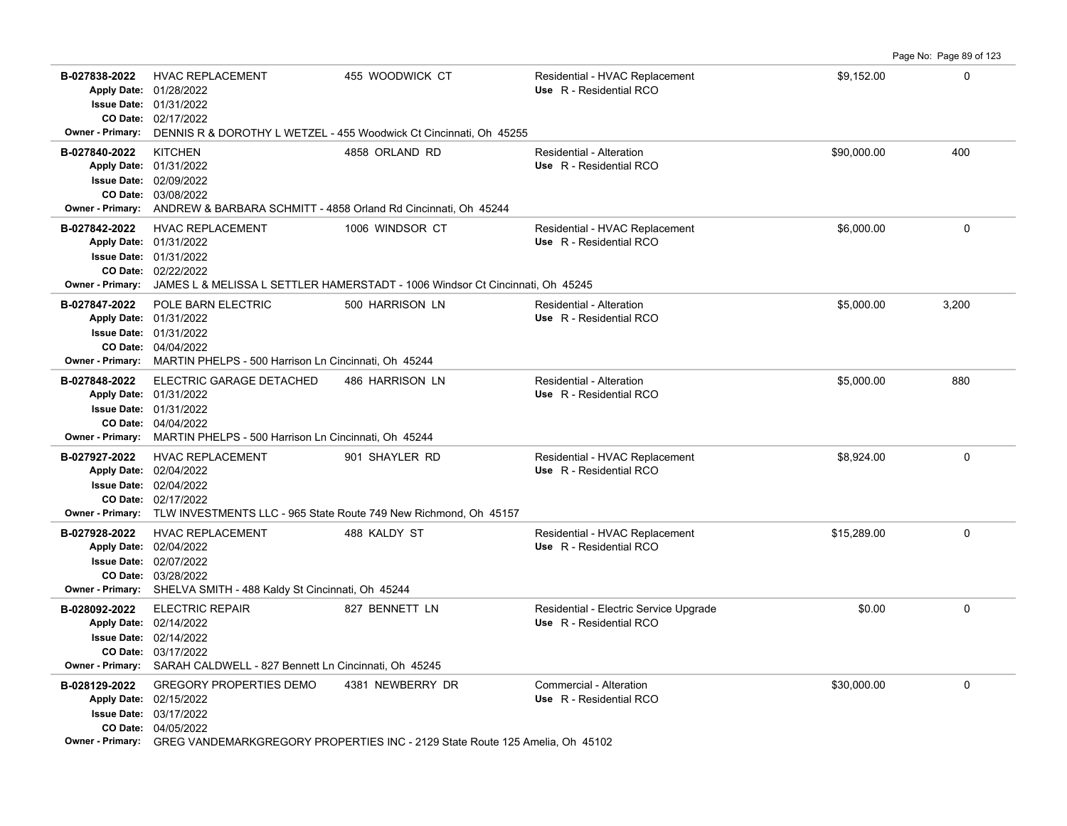**B-027838-2022** HVAC REPLACEMENT 455 WOODWICK CT Residential - HVAC Replacement \$9,152.00 \$9,152.00 02/17/2022 **CO Date:** 01/31/2022 **Issue Date:** 01/28/2022 **Apply Date: Use** R - Residential RCO **Owner - Primary:** DENNIS R & DOROTHY L WETZEL - 455 Woodwick Ct Cincinnati, Oh 45255 **B-027840-2022** \$90,000.00 400 KITCHEN 4858 ORLAND RD Residential - Alteration 03/08/2022 **CO Date:** 02/09/2022 **Issue Date:** 01/31/2022 **Apply Date: Use** R - Residential RCO **Owner - Primary:** ANDREW & BARBARA SCHMITT - 4858 Orland Rd Cincinnati, Oh 45244 **B-027842-2022** HVAC REPLACEMENT 1006 WINDSOR CT Residential - HVAC Replacement \$6,000.00 \$6,000.00 0 02/22/2022 **CO Date:** 01/31/2022 **Issue Date:** 01/31/2022 **Apply Date: Use** R - Residential RCO **Owner - Primary:** JAMES L & MELISSA L SETTLER HAMERSTADT - 1006 Windsor Ct Cincinnati, Oh 45245 **B-027847-2022** \$5,000.00 3,200 POLE BARN ELECTRIC 500 HARRISON LN Residential - Alteration 04/04/2022 **CO Date:** 01/31/2022 **Issue Date:** Apply Date: 01/31/2022 **Apply Date: Use** R - Residential RCO **Owner - Primary:** MARTIN PHELPS - 500 Harrison Ln Cincinnati, Oh 45244 **B-027848-2022** \$5,000.00 880 ELECTRIC GARAGE DETACHED 486 HARRISON LN Residential - Alteration 04/04/2022 **CO Date:** 01/31/2022 **Issue Date:** Apply Date: 01/31/2022 **Apply Date: Use** R - Residential RCO **Owner - Primary:** MARTIN PHELPS - 500 Harrison Ln Cincinnati, Oh 45244 **B-027927-2022** \$8,924.00 0 HVAC REPLACEMENT 901 SHAYLER RD Residential - HVAC Replacement 02/17/2022 **CO Date:** 02/04/2022 **Issue Date:** Apply Date: 02/04/2022 **Apply Date: Use** R - Residential RCO **Owner - Primary:** TLW INVESTMENTS LLC - 965 State Route 749 New Richmond, Oh 45157 **B-027928-2022** \$15,289.00 0 HVAC REPLACEMENT 488 KALDY ST Residential - HVAC Replacement 03/28/2022 **CO Date:** 02/07/2022 **Issue Date:** Apply Date: 02/04/2022 **Apply Date: Use** R - Residential RCO **Owner - Primary:** SHELVA SMITH - 488 Kaldy St Cincinnati, Oh 45244 **B-028092-2022** ELECTRIC REPAIR 827 BENNETT LN Residential - Electric Service Upgrade \$0.00 \$0.00 0 03/17/2022 **CO Date:** 02/14/2022 **Issue Date:** 02/14/2022 **Apply Date: Use** R - Residential RCO **Owner - Primary:** SARAH CALDWELL - 827 Bennett Ln Cincinnati, Oh 45245 **B-028129-2022** GREGORY PROPERTIES DEMO 4381 NEWBERRY DR Commercial - Alteration 6 630,000.00 6 630,000.00 6 6 6 6 7 7 8 04/05/2022 **CO Date:** 03/17/2022 **Issue Date:** Apply Date: 02/15/2022 **Apply Date: Use** R - Residential RCO **Owner - Primary:** GREG VANDEMARKGREGORY PROPERTIES INC - 2129 State Route 125 Amelia, Oh 45102

Page No: Page 89 of 123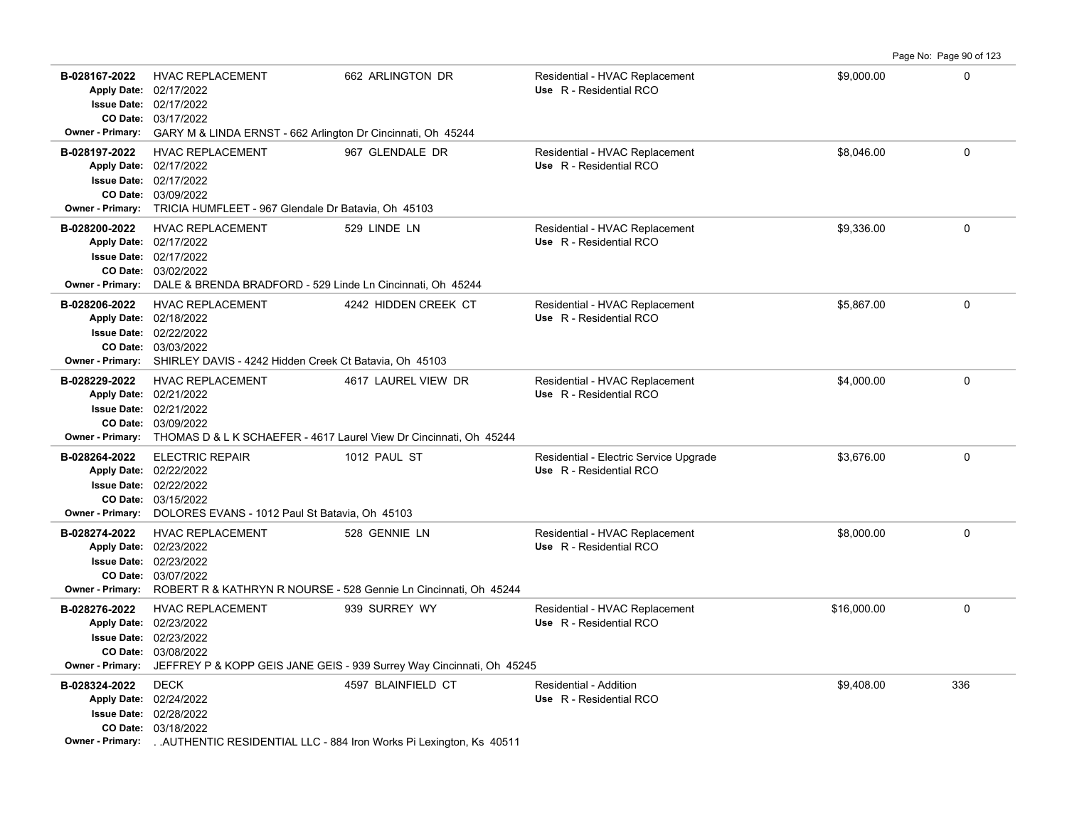| B-028167-2022                            | <b>HVAC REPLACEMENT</b><br>Apply Date: 02/17/2022<br>Issue Date: 02/17/2022<br>CO Date: 03/17/2022                                                                                                    | 662 ARLINGTON DR                                                                                        | Residential - HVAC Replacement<br>Use R - Residential RCO         | \$9,000.00  | $\mathbf 0$ |
|------------------------------------------|-------------------------------------------------------------------------------------------------------------------------------------------------------------------------------------------------------|---------------------------------------------------------------------------------------------------------|-------------------------------------------------------------------|-------------|-------------|
|                                          | <b>Owner - Primary:</b> GARY M & LINDA ERNST - 662 Arlington Dr Cincinnati, Oh 45244                                                                                                                  |                                                                                                         |                                                                   |             |             |
| B-028197-2022                            | <b>HVAC REPLACEMENT</b><br>Apply Date: 02/17/2022<br><b>Issue Date: 02/17/2022</b><br>CO Date: 03/09/2022<br>Owner - Primary: TRICIA HUMFLEET - 967 Glendale Dr Batavia, Oh 45103                     | 967 GLENDALE DR                                                                                         | Residential - HVAC Replacement<br>Use R - Residential RCO         | \$8.046.00  | $\Omega$    |
| B-028200-2022                            | <b>HVAC REPLACEMENT</b><br>Apply Date: 02/17/2022<br>Issue Date: 02/17/2022<br>CO Date: 03/02/2022<br>Owner - Primary: DALE & BRENDA BRADFORD - 529 Linde Ln Cincinnati, Oh 45244                     | 529 LINDE LN                                                                                            | Residential - HVAC Replacement<br>Use R - Residential RCO         | \$9,336.00  | $\mathbf 0$ |
| B-028206-2022                            | <b>HVAC REPLACEMENT</b><br>Apply Date: 02/18/2022<br>Issue Date: 02/22/2022<br>CO Date: 03/03/2022<br>Owner - Primary: SHIRLEY DAVIS - 4242 Hidden Creek Ct Batavia, Oh 45103                         | 4242 HIDDEN CREEK CT                                                                                    | Residential - HVAC Replacement<br>Use R - Residential RCO         | \$5,867.00  | $\mathbf 0$ |
| B-028229-2022                            | <b>HVAC REPLACEMENT</b><br>Apply Date: 02/21/2022<br><b>Issue Date: 02/21/2022</b><br>CO Date: 03/09/2022<br>Owner - Primary: THOMAS D & L K SCHAEFER - 4617 Laurel View Dr Cincinnati, Oh 45244      | 4617 LAUREL VIEW DR                                                                                     | Residential - HVAC Replacement<br>Use R - Residential RCO         | \$4,000.00  | $\Omega$    |
| B-028264-2022                            | <b>ELECTRIC REPAIR</b><br>Apply Date: 02/22/2022<br><b>Issue Date: 02/22/2022</b><br>CO Date: 03/15/2022<br>Owner - Primary: DOLORES EVANS - 1012 Paul St Batavia, Oh 45103                           | 1012 PAUL ST                                                                                            | Residential - Electric Service Upgrade<br>Use R - Residential RCO | \$3,676.00  | $\mathbf 0$ |
| B-028274-2022                            | <b>HVAC REPLACEMENT</b><br>Apply Date: 02/23/2022<br><b>Issue Date: 02/23/2022</b><br>CO Date: 03/07/2022<br><b>Owner - Primary:</b> ROBERT R & KATHRYN R NOURSE - 528 Gennie Ln Cincinnati, Oh 45244 | 528 GENNIE LN                                                                                           | Residential - HVAC Replacement<br>Use R - Residential RCO         | \$8,000.00  | $\mathbf 0$ |
| B-028276-2022<br>Apply Date: 02/23/2022  | <b>HVAC REPLACEMENT</b><br>Issue Date: 02/23/2022<br>CO Date: 03/08/2022                                                                                                                              | 939 SURREY WY<br>Owner - Primary: JEFFREY P & KOPP GEIS JANE GEIS - 939 Surrey Way Cincinnati, Oh 45245 | Residential - HVAC Replacement<br>Use R - Residential RCO         | \$16,000.00 | $\mathbf 0$ |
| B-028324-2022<br><b>Owner - Primary:</b> | <b>DECK</b><br>Apply Date: 02/24/2022<br><b>Issue Date: 02/28/2022</b><br>CO Date: 03/18/2022<br>AUTHENTIC RESIDENTIAL LLC - 884 Iron Works Pi Lexington, Ks 40511                                    | 4597 BLAINFIELD CT                                                                                      | Residential - Addition<br>Use R - Residential RCO                 | \$9,408.00  | 336         |

Page No: Page 90 of 123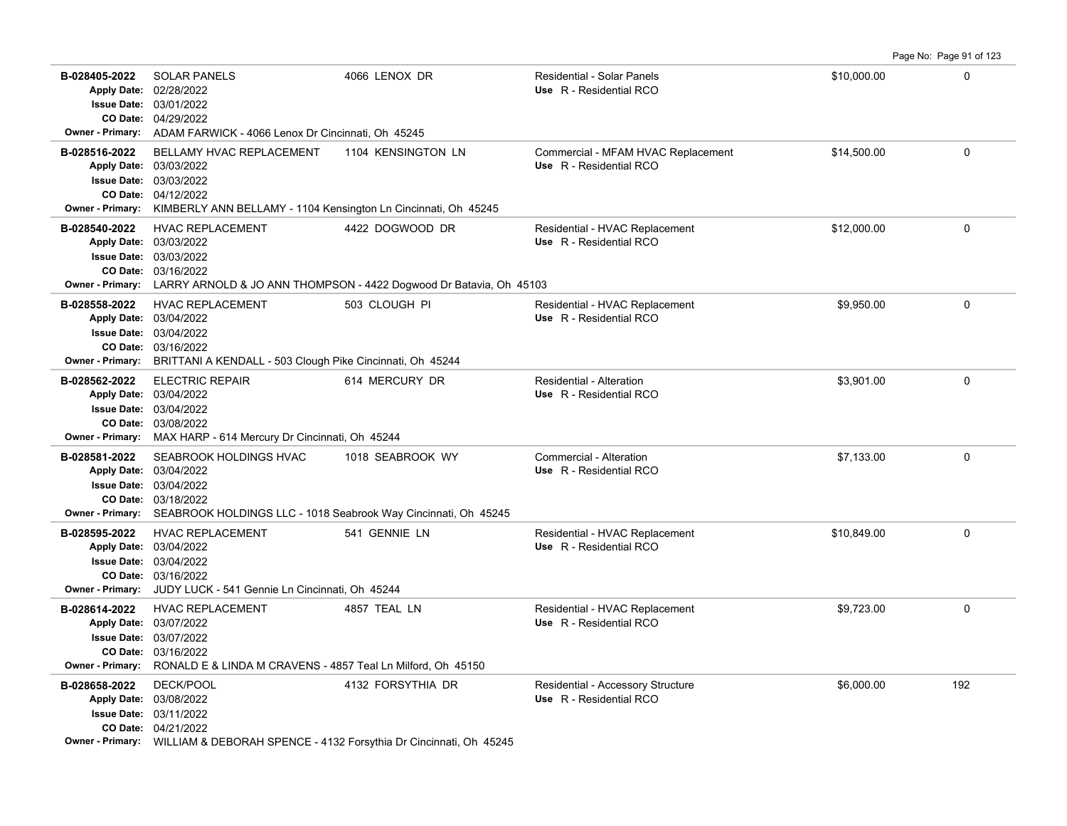|                                          |                                                                                                                                                                                                  |                    |                                                               |             | Page No: Page 91 of 123 |
|------------------------------------------|--------------------------------------------------------------------------------------------------------------------------------------------------------------------------------------------------|--------------------|---------------------------------------------------------------|-------------|-------------------------|
| B-028405-2022                            | <b>SOLAR PANELS</b><br>Apply Date: 02/28/2022<br>Issue Date: 03/01/2022<br>CO Date: 04/29/2022<br>Owner - Primary: ADAM FARWICK - 4066 Lenox Dr Cincinnati, Oh 45245                             | 4066 LENOX DR      | <b>Residential - Solar Panels</b><br>Use R - Residential RCO  | \$10,000.00 | 0                       |
| B-028516-2022<br><b>Owner - Primary:</b> | BELLAMY HVAC REPLACEMENT<br>Apply Date: 03/03/2022<br><b>Issue Date: 03/03/2022</b><br>CO Date: 04/12/2022<br>KIMBERLY ANN BELLAMY - 1104 Kensington Ln Cincinnati, Oh 45245                     | 1104 KENSINGTON LN | Commercial - MFAM HVAC Replacement<br>Use R - Residential RCO | \$14,500.00 | $\mathbf 0$             |
| B-028540-2022                            | <b>HVAC REPLACEMENT</b><br>Apply Date: 03/03/2022<br><b>Issue Date: 03/03/2022</b><br>CO Date: 03/16/2022<br>Owner - Primary: LARRY ARNOLD & JO ANN THOMPSON - 4422 Dogwood Dr Batavia, Oh 45103 | 4422 DOGWOOD DR    | Residential - HVAC Replacement<br>Use R - Residential RCO     | \$12,000.00 | $\mathbf{0}$            |
| B-028558-2022                            | <b>HVAC REPLACEMENT</b><br>Apply Date: 03/04/2022<br>Issue Date: 03/04/2022<br>CO Date: 03/16/2022<br>Owner - Primary: BRITTANI A KENDALL - 503 Clough Pike Cincinnati, Oh 45244                 | 503 CLOUGH PI      | Residential - HVAC Replacement<br>Use R - Residential RCO     | \$9,950.00  | 0                       |
| B-028562-2022                            | <b>ELECTRIC REPAIR</b><br>Apply Date: 03/04/2022<br><b>Issue Date: 03/04/2022</b><br>CO Date: 03/08/2022<br>Owner - Primary: MAX HARP - 614 Mercury Dr Cincinnati, Oh 45244                      | 614 MERCURY DR     | Residential - Alteration<br>Use R - Residential RCO           | \$3,901.00  | $\mathbf{0}$            |
| B-028581-2022                            | SEABROOK HOLDINGS HVAC<br>Apply Date: 03/04/2022<br><b>Issue Date: 03/04/2022</b><br>CO Date: 03/18/2022<br>Owner - Primary: SEABROOK HOLDINGS LLC - 1018 Seabrook Way Cincinnati, Oh 45245      | 1018 SEABROOK WY   | Commercial - Alteration<br>Use R - Residential RCO            | \$7,133.00  | 0                       |
| B-028595-2022                            | <b>HVAC REPLACEMENT</b><br>Apply Date: 03/04/2022<br><b>Issue Date: 03/04/2022</b><br>CO Date: 03/16/2022<br>Owner - Primary: JUDY LUCK - 541 Gennie Ln Cincinnati, Oh 45244                     | 541 GENNIE LN      | Residential - HVAC Replacement<br>Use R - Residential RCO     | \$10,849.00 | $\mathbf{0}$            |
| B-028614-2022                            | <b>HVAC REPLACEMENT</b><br>Apply Date: 03/07/2022<br><b>Issue Date: 03/07/2022</b><br>CO Date: 03/16/2022<br>Owner - Primary: RONALD E & LINDA M CRAVENS - 4857 Teal Ln Milford, Oh 45150        | 4857 TEAL LN       | Residential - HVAC Replacement<br>Use R - Residential RCO     | \$9,723.00  | 0                       |
| B-028658-2022                            | <b>DECK/POOL</b><br>Apply Date: 03/08/2022<br><b>Issue Date: 03/11/2022</b><br>CO Date: 04/21/2022<br><b>Owner - Primary:</b> WILLIAM & DEBORAH SPENCE - 4132 Forsythia Dr Cincinnati, Oh 45245  | 4132 FORSYTHIA DR  | Residential - Accessory Structure<br>Use R - Residential RCO  | \$6,000.00  | 192                     |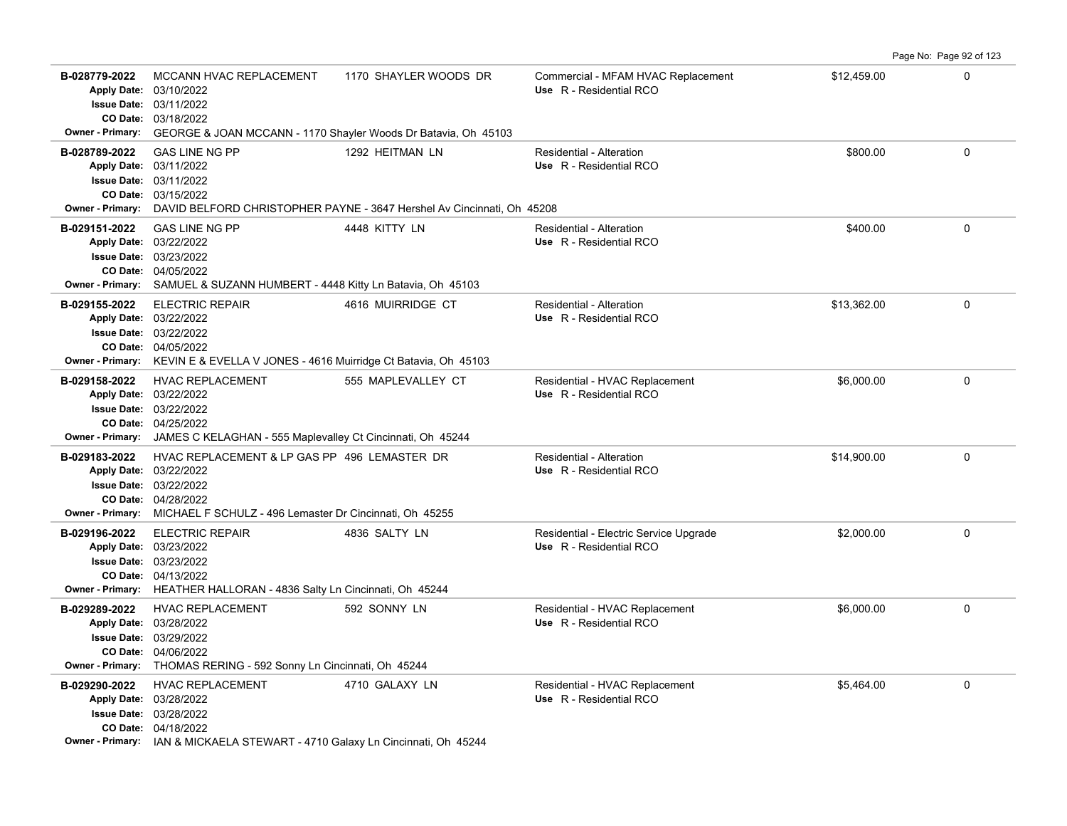|                                          |                                                                                                                                                                                                            |                       |                                                                   |             | Page No: Page 92 of 123 |
|------------------------------------------|------------------------------------------------------------------------------------------------------------------------------------------------------------------------------------------------------------|-----------------------|-------------------------------------------------------------------|-------------|-------------------------|
| B-028779-2022<br><b>Owner - Primary:</b> | MCCANN HVAC REPLACEMENT<br>Apply Date: 03/10/2022<br>Issue Date: 03/11/2022<br>CO Date: 03/18/2022<br>GEORGE & JOAN MCCANN - 1170 Shayler Woods Dr Batavia, Oh 45103                                       | 1170 SHAYLER WOODS DR | Commercial - MFAM HVAC Replacement<br>Use R - Residential RCO     | \$12,459.00 | $\Omega$                |
| B-028789-2022                            | <b>GAS LINE NG PP</b><br>Apply Date: 03/11/2022<br><b>Issue Date: 03/11/2022</b><br>CO Date: 03/15/2022<br><b>Owner - Primary:</b> DAVID BELFORD CHRISTOPHER PAYNE - 3647 Hershel Av Cincinnati, Oh 45208  | 1292 HEITMAN LN       | Residential - Alteration<br>Use R - Residential RCO               | \$800.00    | $\Omega$                |
| B-029151-2022<br><b>Owner - Primary:</b> | <b>GAS LINE NG PP</b><br>Apply Date: 03/22/2022<br><b>Issue Date: 03/23/2022</b><br>CO Date: 04/05/2022<br>SAMUEL & SUZANN HUMBERT - 4448 Kitty Ln Batavia, Oh 45103                                       | 4448 KITTY LN         | Residential - Alteration<br>Use R - Residential RCO               | \$400.00    | $\Omega$                |
| B-029155-2022                            | <b>ELECTRIC REPAIR</b><br>Apply Date: 03/22/2022<br><b>Issue Date: 03/22/2022</b><br>CO Date: 04/05/2022<br>Owner - Primary: KEVIN E & EVELLA V JONES - 4616 Muirridge Ct Batavia, Oh 45103                | 4616 MUIRRIDGE CT     | Residential - Alteration<br>Use R - Residential RCO               | \$13,362.00 | $\Omega$                |
| B-029158-2022                            | <b>HVAC REPLACEMENT</b><br>Apply Date: 03/22/2022<br><b>Issue Date: 03/22/2022</b><br>CO Date: 04/25/2022<br><b>Owner - Primary:</b> JAMES C KELAGHAN - 555 Maplevalley Ct Cincinnati, Oh 45244            | 555 MAPLEVALLEY CT    | Residential - HVAC Replacement<br>Use R - Residential RCO         | \$6,000.00  | $\mathbf 0$             |
| B-029183-2022                            | HVAC REPLACEMENT & LP GAS PP 496 LEMASTER DR<br>Apply Date: 03/22/2022<br><b>Issue Date: 03/22/2022</b><br>CO Date: 04/28/2022<br>Owner - Primary: MICHAEL F SCHULZ - 496 Lemaster Dr Cincinnati, Oh 45255 |                       | Residential - Alteration<br>Use R - Residential RCO               | \$14,900.00 | $\mathbf 0$             |
| B-029196-2022                            | <b>ELECTRIC REPAIR</b><br>Apply Date: 03/23/2022<br><b>Issue Date: 03/23/2022</b><br>CO Date: 04/13/2022<br>Owner - Primary: HEATHER HALLORAN - 4836 Salty Ln Cincinnati, Oh 45244                         | 4836 SALTY LN         | Residential - Electric Service Upgrade<br>Use R - Residential RCO | \$2,000.00  | $\mathbf 0$             |
| B-029289-2022                            | <b>HVAC REPLACEMENT</b><br>Apply Date: 03/28/2022<br><b>Issue Date: 03/29/2022</b><br>CO Date: 04/06/2022<br>Owner - Primary: THOMAS RERING - 592 Sonny Ln Cincinnati, Oh 45244                            | 592 SONNY LN          | Residential - HVAC Replacement<br>Use R - Residential RCO         | \$6,000.00  | $\mathbf 0$             |
| B-029290-2022                            | <b>HVAC REPLACEMENT</b><br>Apply Date: 03/28/2022<br><b>Issue Date: 03/28/2022</b><br>CO Date: 04/18/2022<br>Owner - Primary: IAN & MICKAELA STEWART - 4710 Galaxy Ln Cincinnati, Oh 45244                 | 4710 GALAXY LN        | Residential - HVAC Replacement<br>Use R - Residential RCO         | \$5,464.00  | 0                       |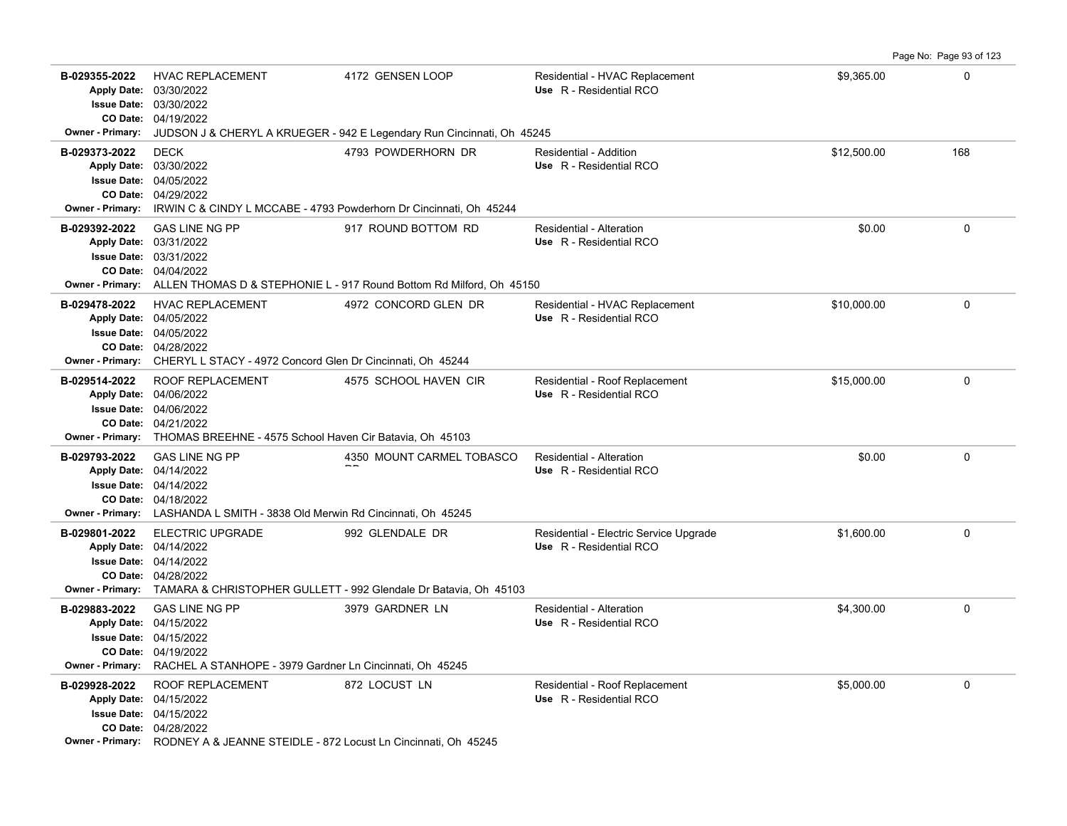| B-029355-2022                            | <b>HVAC REPLACEMENT</b><br>Apply Date: 03/30/2022<br><b>Issue Date: 03/30/2022</b><br>CO Date: 04/19/2022                                                                                    | 4172 GENSEN LOOP                                                                                             | Residential - HVAC Replacement<br>Use R - Residential RCO         | \$9,365.00  | 0            |
|------------------------------------------|----------------------------------------------------------------------------------------------------------------------------------------------------------------------------------------------|--------------------------------------------------------------------------------------------------------------|-------------------------------------------------------------------|-------------|--------------|
| Owner - Primary:                         |                                                                                                                                                                                              | JUDSON J & CHERYL A KRUEGER - 942 E Legendary Run Cincinnati, Oh 45245                                       |                                                                   |             |              |
| B-029373-2022<br>Owner - Primary:        | <b>DECK</b><br>Apply Date: 03/30/2022<br>Issue Date: 04/05/2022<br>CO Date: 04/29/2022<br>IRWIN C & CINDY L MCCABE - 4793 Powderhorn Dr Cincinnati, Oh 45244                                 | 4793 POWDERHORN DR                                                                                           | Residential - Addition<br>Use R - Residential RCO                 | \$12,500.00 | 168          |
| B-029392-2022                            | <b>GAS LINE NG PP</b><br>Apply Date: 03/31/2022<br><b>Issue Date: 03/31/2022</b><br>CO Date: 04/04/2022                                                                                      | 917 ROUND BOTTOM RD<br>Owner - Primary: ALLEN THOMAS D & STEPHONIE L - 917 Round Bottom Rd Milford, Oh 45150 | Residential - Alteration<br>Use R - Residential RCO               | \$0.00      | 0            |
| B-029478-2022                            | <b>HVAC REPLACEMENT</b><br>Apply Date: 04/05/2022<br><b>Issue Date: 04/05/2022</b><br>CO Date: 04/28/2022<br>Owner - Primary: CHERYL L STACY - 4972 Concord Glen Dr Cincinnati, Oh 45244     | 4972 CONCORD GLEN DR                                                                                         | Residential - HVAC Replacement<br>Use R - Residential RCO         | \$10,000.00 | 0            |
| B-029514-2022                            | ROOF REPLACEMENT<br>Apply Date: 04/06/2022<br><b>Issue Date: 04/06/2022</b><br>CO Date: 04/21/2022<br>Owner - Primary: THOMAS BREEHNE - 4575 School Haven Cir Batavia, Oh 45103              | 4575 SCHOOL HAVEN CIR                                                                                        | Residential - Roof Replacement<br>Use R - Residential RCO         | \$15,000.00 | $\Omega$     |
| B-029793-2022                            | <b>GAS LINE NG PP</b><br>Apply Date: 04/14/2022<br><b>Issue Date: 04/14/2022</b><br>CO Date: 04/18/2022<br>Owner - Primary: LASHANDA L SMITH - 3838 Old Merwin Rd Cincinnati, Oh 45245       | 4350 MOUNT CARMEL TOBASCO                                                                                    | Residential - Alteration<br>Use R - Residential RCO               | \$0.00      | $\mathbf{0}$ |
| B-029801-2022                            | <b>ELECTRIC UPGRADE</b><br>Apply Date: 04/14/2022<br><b>Issue Date: 04/14/2022</b><br>CO Date: 04/28/2022                                                                                    | 992 GLENDALE DR<br>Owner - Primary: TAMARA & CHRISTOPHER GULLETT - 992 Glendale Dr Batavia, Oh 45103         | Residential - Electric Service Upgrade<br>Use R - Residential RCO | \$1,600.00  | 0            |
| B-029883-2022<br><b>Owner - Primary:</b> | <b>GAS LINE NG PP</b><br>Apply Date: 04/15/2022<br><b>Issue Date: 04/15/2022</b><br>CO Date: 04/19/2022<br>RACHEL A STANHOPE - 3979 Gardner Ln Cincinnati, Oh 45245                          | 3979 GARDNER LN                                                                                              | Residential - Alteration<br>Use R - Residential RCO               | \$4,300.00  | 0            |
| B-029928-2022                            | ROOF REPLACEMENT<br>Apply Date: 04/15/2022<br><b>Issue Date: 04/15/2022</b><br>CO Date: 04/28/2022<br><b>Owner - Primary:</b> RODNEY A & JEANNE STEIDLE - 872 Locust Ln Cincinnati, Oh 45245 | 872 LOCUST LN                                                                                                | Residential - Roof Replacement<br>Use R - Residential RCO         | \$5,000.00  | $\mathbf 0$  |

Page No: Page 93 of 123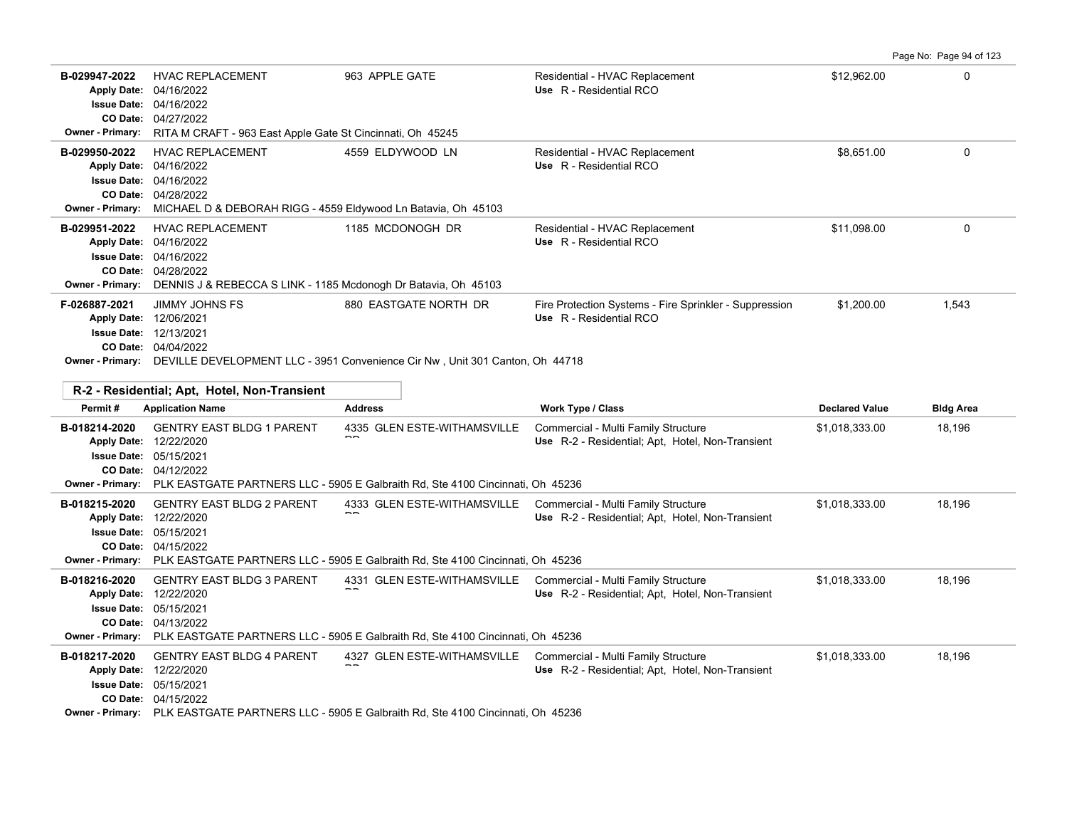|--|

| B-029947-2022<br><b>Owner - Primary:</b> | <b>HVAC REPLACEMENT</b><br>Apply Date: 04/16/2022<br><b>Issue Date: 04/16/2022</b><br>CO Date: 04/27/2022<br>RITA M CRAFT - 963 East Apple Gate St Cincinnati, Oh 45245     | 963 APPLE GATE                                                                                                                                                                                                                      | Residential - HVAC Replacement<br>Use R - Residential RCO                         | \$12,962.00                             | 0                          |  |  |
|------------------------------------------|-----------------------------------------------------------------------------------------------------------------------------------------------------------------------------|-------------------------------------------------------------------------------------------------------------------------------------------------------------------------------------------------------------------------------------|-----------------------------------------------------------------------------------|-----------------------------------------|----------------------------|--|--|
| B-029950-2022<br><b>Owner - Primary:</b> | <b>HVAC REPLACEMENT</b><br>Apply Date: 04/16/2022<br><b>Issue Date: 04/16/2022</b><br>CO Date: 04/28/2022<br>MICHAEL D & DEBORAH RIGG - 4559 Eldywood Ln Batavia, Oh 45103  | 4559 ELDYWOOD LN                                                                                                                                                                                                                    | Residential - HVAC Replacement<br>Use R - Residential RCO                         | \$8.651.00                              | 0                          |  |  |
| B-029951-2022<br><b>Owner - Primary:</b> | <b>HVAC REPLACEMENT</b><br>Apply Date: 04/16/2022<br><b>Issue Date: 04/16/2022</b><br>CO Date: 04/28/2022<br>DENNIS J & REBECCA S LINK - 1185 Mcdonogh Dr Batavia, Oh 45103 | 1185 MCDONOGH DR                                                                                                                                                                                                                    | Residential - HVAC Replacement<br>Use R - Residential RCO                         | \$11,098.00                             | 0                          |  |  |
| F-026887-2021                            | <b>JIMMY JOHNS FS</b><br>Apply Date: 12/06/2021<br>Issue Date: 12/13/2021<br>CO Date: 04/04/2022                                                                            | 880 EASTGATE NORTH DR<br>Owner - Primary: DEVILLE DEVELOPMENT LLC - 3951 Convenience Cir Nw, Unit 301 Canton, Oh 44718                                                                                                              | Fire Protection Systems - Fire Sprinkler - Suppression<br>Use R - Residential RCO | \$1,200.00                              | 1,543                      |  |  |
|                                          | R-2 - Residential; Apt, Hotel, Non-Transient                                                                                                                                |                                                                                                                                                                                                                                     |                                                                                   |                                         |                            |  |  |
|                                          |                                                                                                                                                                             |                                                                                                                                                                                                                                     |                                                                                   |                                         |                            |  |  |
| Permit#<br>B-018214-2020                 | <b>Application Name</b><br><b>GENTRY EAST BLDG 1 PARENT</b>                                                                                                                 | <b>Address</b><br>4335 GLEN ESTE-WITHAMSVILLE                                                                                                                                                                                       | Work Type / Class<br>Commercial - Multi Family Structure                          | <b>Declared Value</b><br>\$1,018,333.00 | <b>Bldg Area</b><br>18,196 |  |  |
| <b>Owner - Primary:</b>                  | Apply Date: 12/22/2020<br><b>Issue Date: 05/15/2021</b><br>CO Date: 04/12/2022                                                                                              |                                                                                                                                                                                                                                     | Use R-2 - Residential; Apt, Hotel, Non-Transient                                  |                                         |                            |  |  |
| B-018215-2020<br><b>Owner - Primary:</b> | <b>GENTRY EAST BLDG 2 PARENT</b><br>Apply Date: 12/22/2020<br>Issue Date: 05/15/2021<br>CO Date: 04/15/2022                                                                 | PLK EASTGATE PARTNERS LLC - 5905 E Galbraith Rd, Ste 4100 Cincinnati, Oh 45236<br>4333 GLEN ESTE-WITHAMSVILLE Commercial - Multi Family Structure<br>PLK EASTGATE PARTNERS LLC - 5905 E Galbraith Rd, Ste 4100 Cincinnati, Oh 45236 | Use R-2 - Residential; Apt, Hotel, Non-Transient                                  | \$1,018,333.00                          | 18.196                     |  |  |
| B-018216-2020<br><b>Owner - Primary:</b> | <b>GENTRY EAST BLDG 3 PARENT</b><br>Apply Date: 12/22/2020<br><b>Issue Date: 05/15/2021</b><br>CO Date: 04/13/2022                                                          | 4331 GLEN ESTE-WITHAMSVILLE Commercial - Multi Family Structure<br>PLK EASTGATE PARTNERS LLC - 5905 E Galbraith Rd, Ste 4100 Cincinnati, Oh 45236                                                                                   | Use R-2 - Residential; Apt, Hotel, Non-Transient                                  | \$1,018,333.00                          | 18,196                     |  |  |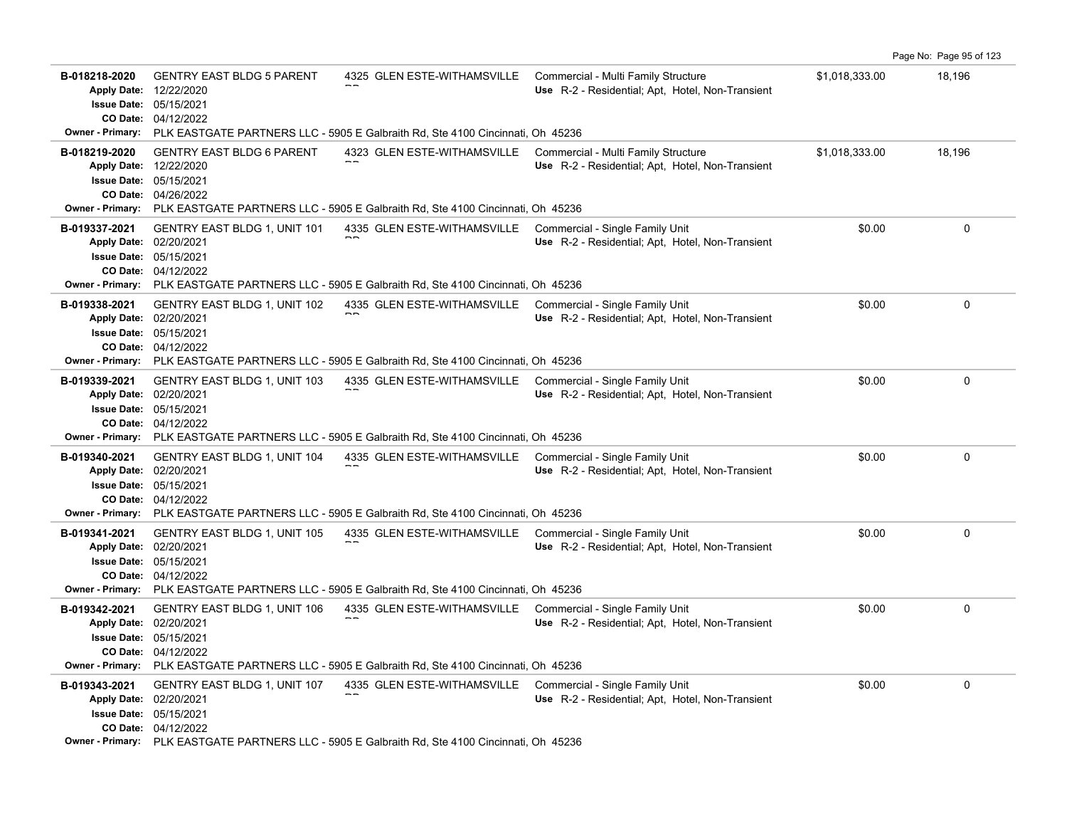|                                                                                                      |                                                                                                        |                                                                                                                                                                |                                                                                         |                | Page No: Page 95 of 123 |
|------------------------------------------------------------------------------------------------------|--------------------------------------------------------------------------------------------------------|----------------------------------------------------------------------------------------------------------------------------------------------------------------|-----------------------------------------------------------------------------------------|----------------|-------------------------|
| B-018218-2020<br><b>Apply Date:</b><br><b>Issue Date:</b><br>CO Date:                                | <b>GENTRY EAST BLDG 5 PARENT</b><br>12/22/2020<br>05/15/2021<br>04/12/2022                             | 4325 GLEN ESTE-WITHAMSVILLE                                                                                                                                    | Commercial - Multi Family Structure<br>Use R-2 - Residential; Apt, Hotel, Non-Transient | \$1,018,333.00 | 18,196                  |
| <b>Owner - Primary:</b>                                                                              |                                                                                                        | PLK EASTGATE PARTNERS LLC - 5905 E Galbraith Rd, Ste 4100 Cincinnati, Oh 45236                                                                                 |                                                                                         |                |                         |
| B-018219-2020<br><b>Apply Date:</b><br><b>Owner - Primary:</b>                                       | <b>GENTRY EAST BLDG 6 PARENT</b><br>12/22/2020<br><b>Issue Date: 05/15/2021</b><br>CO Date: 04/26/2022 | 4323 GLEN ESTE-WITHAMSVILLE<br>PLK EASTGATE PARTNERS LLC - 5905 E Galbraith Rd, Ste 4100 Cincinnati, Oh 45236                                                  | Commercial - Multi Family Structure<br>Use R-2 - Residential; Apt, Hotel, Non-Transient | \$1,018,333.00 | 18,196                  |
| B-019337-2021<br><b>Apply Date:</b><br><b>Issue Date:</b><br>CO Date:<br><b>Owner - Primary:</b>     | <b>GENTRY EAST BLDG 1, UNIT 101</b><br>02/20/2021<br>05/15/2021<br>04/12/2022                          | 4335 GLEN ESTE-WITHAMSVILLE<br>PLK EASTGATE PARTNERS LLC - 5905 E Galbraith Rd, Ste 4100 Cincinnati, Oh 45236                                                  | Commercial - Single Family Unit<br>Use R-2 - Residential; Apt, Hotel, Non-Transient     | \$0.00         | 0                       |
| B-019338-2021<br><b>Apply Date:</b><br>CO Date:<br><b>Owner - Primary:</b>                           | <b>GENTRY EAST BLDG 1, UNIT 102</b><br>02/20/2021<br><b>Issue Date: 05/15/2021</b><br>04/12/2022       | 4335 GLEN ESTE-WITHAMSVILLE<br>PLK EASTGATE PARTNERS LLC - 5905 E Galbraith Rd, Ste 4100 Cincinnati, Oh 45236                                                  | Commercial - Single Family Unit<br>Use R-2 - Residential; Apt, Hotel, Non-Transient     | \$0.00         | $\mathbf 0$             |
| B-019339-2021<br><b>Apply Date:</b><br>CO Date:<br>Owner - Primary:                                  | <b>GENTRY EAST BLDG 1, UNIT 103</b><br>02/20/2021<br><b>Issue Date: 05/15/2021</b><br>04/12/2022       | 4335 GLEN ESTE-WITHAMSVILLE<br>PLK EASTGATE PARTNERS LLC - 5905 E Galbraith Rd, Ste 4100 Cincinnati, Oh 45236                                                  | Commercial - Single Family Unit<br>Use R-2 - Residential; Apt. Hotel, Non-Transient     | \$0.00         | $\mathbf 0$             |
| B-019340-2021<br>Apply Date: 02/20/2021<br><b>Issue Date:</b><br>CO Date:<br><b>Owner - Primary:</b> | <b>GENTRY EAST BLDG 1, UNIT 104</b><br>05/15/2021<br>04/12/2022                                        | 4335 GLEN ESTE-WITHAMSVILLE<br>PLK EASTGATE PARTNERS LLC - 5905 E Galbraith Rd, Ste 4100 Cincinnati, Oh 45236                                                  | Commercial - Single Family Unit<br>Use R-2 - Residential; Apt, Hotel, Non-Transient     | \$0.00         | 0                       |
| B-019341-2021<br>Apply Date: 02/20/2021                                                              | <b>GENTRY EAST BLDG 1, UNIT 105</b><br><b>Issue Date: 05/15/2021</b><br>CO Date: 04/12/2022            | 4335 GLEN ESTE-WITHAMSVILLE Commercial - Single Family Unit<br>Owner - Primary: PLK EASTGATE PARTNERS LLC - 5905 E Galbraith Rd, Ste 4100 Cincinnati, Oh 45236 | Use R-2 - Residential; Apt, Hotel, Non-Transient                                        | \$0.00         | $\mathbf 0$             |
| B-019342-2021<br><b>Apply Date:</b><br><b>Issue Date:</b><br><b>Owner - Primary:</b>                 | <b>GENTRY EAST BLDG 1, UNIT 106</b><br>02/20/2021<br>05/15/2021<br>CO Date: 04/12/2022                 | 4335 GLEN ESTE-WITHAMSVILLE Commercial - Single Family Unit<br>PLK EASTGATE PARTNERS LLC - 5905 E Galbraith Rd, Ste 4100 Cincinnati, Oh 45236                  | Use R-2 - Residential; Apt, Hotel, Non-Transient                                        | \$0.00         | $\mathbf 0$             |
| B-019343-2021<br>Apply Date: 02/20/2021                                                              | <b>GENTRY EAST BLDG 1, UNIT 107</b><br><b>Issue Date: 05/15/2021</b><br>CO Date: 04/12/2022            | 4335 GLEN ESTE-WITHAMSVILLE<br>Owner - Primary: PLK EASTGATE PARTNERS LLC - 5905 E Galbraith Rd, Ste 4100 Cincinnati, Oh 45236                                 | Commercial - Single Family Unit<br>Use R-2 - Residential; Apt, Hotel, Non-Transient     | \$0.00         | $\mathbf 0$             |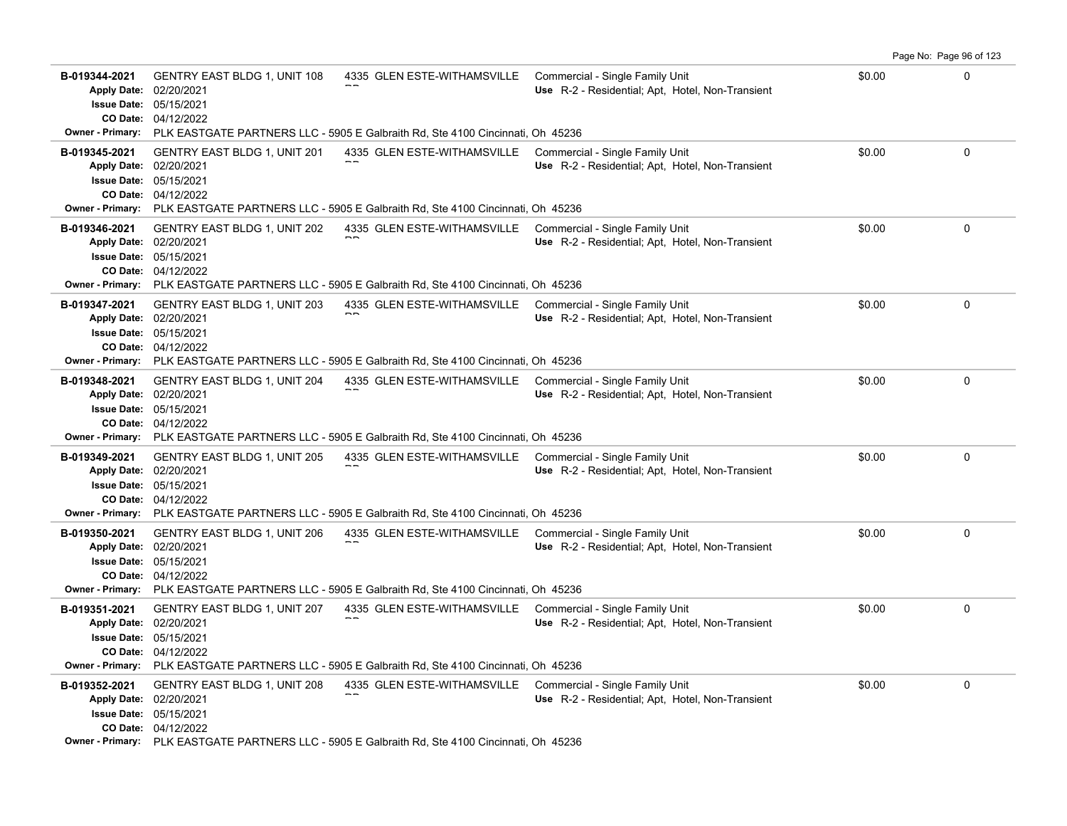|                                                                                                  |                                                                                        |                                                                                                                                                                |                                                                                     |        | Page No: Page 96 of 123 |
|--------------------------------------------------------------------------------------------------|----------------------------------------------------------------------------------------|----------------------------------------------------------------------------------------------------------------------------------------------------------------|-------------------------------------------------------------------------------------|--------|-------------------------|
| B-019344-2021<br><b>Apply Date:</b><br><b>Issue Date:</b>                                        | <b>GENTRY EAST BLDG 1, UNIT 108</b><br>02/20/2021<br>05/15/2021<br>CO Date: 04/12/2022 | 4335 GLEN ESTE-WITHAMSVILLE                                                                                                                                    | Commercial - Single Family Unit<br>Use R-2 - Residential; Apt, Hotel, Non-Transient | \$0.00 | $\Omega$                |
|                                                                                                  |                                                                                        | <b>Owner - Primary:</b> PLK EASTGATE PARTNERS LLC - 5905 E Galbraith Rd, Ste 4100 Cincinnati, Oh 45236                                                         |                                                                                     |        |                         |
| B-019345-2021<br>Apply Date: 02/20/2021<br><b>Issue Date: 05/15/2021</b>                         | <b>GENTRY EAST BLDG 1, UNIT 201</b><br>CO Date: 04/12/2022                             | 4335 GLEN ESTE-WITHAMSVILLE<br>Owner - Primary: PLK EASTGATE PARTNERS LLC - 5905 E Galbraith Rd, Ste 4100 Cincinnati, Oh 45236                                 | Commercial - Single Family Unit<br>Use R-2 - Residential; Apt, Hotel, Non-Transient | \$0.00 | $\Omega$                |
| B-019346-2021<br><b>Apply Date:</b><br><b>Issue Date:</b><br>CO Date:<br><b>Owner - Primary:</b> | <b>GENTRY EAST BLDG 1, UNIT 202</b><br>02/20/2021<br>05/15/2021<br>04/12/2022          | 4335 GLEN ESTE-WITHAMSVILLE<br>PLK EASTGATE PARTNERS LLC - 5905 E Galbraith Rd, Ste 4100 Cincinnati, Oh 45236                                                  | Commercial - Single Family Unit<br>Use R-2 - Residential: Apt. Hotel, Non-Transient | \$0.00 | 0                       |
| B-019347-2021<br><b>Apply Date:</b><br><b>Issue Date: 05/15/2021</b><br>CO Date:                 | <b>GENTRY EAST BLDG 1, UNIT 203</b><br>02/20/2021<br>04/12/2022                        | 4335 GLEN ESTE-WITHAMSVILLE Commercial - Single Family Unit<br>Owner - Primary: PLK EASTGATE PARTNERS LLC - 5905 E Galbraith Rd, Ste 4100 Cincinnati, Oh 45236 | Use R-2 - Residential; Apt, Hotel, Non-Transient                                    | \$0.00 | 0                       |
| B-019348-2021<br><b>Apply Date:</b><br><b>Issue Date: 05/15/2021</b>                             | <b>GENTRY EAST BLDG 1, UNIT 204</b><br>02/20/2021<br>CO Date: 04/12/2022               | 4335 GLEN ESTE-WITHAMSVILLE<br><b>Owner - Primary:</b> PLK EASTGATE PARTNERS LLC - 5905 E Galbraith Rd, Ste 4100 Cincinnati, Oh 45236                          | Commercial - Single Family Unit<br>Use R-2 - Residential; Apt. Hotel, Non-Transient | \$0.00 | 0                       |
| B-019349-2021<br><b>Apply Date:</b><br><b>Issue Date:</b><br>CO Date:                            | <b>GENTRY EAST BLDG 1, UNIT 205</b><br>02/20/2021<br>05/15/2021<br>04/12/2022          | 4335 GLEN ESTE-WITHAMSVILLE<br>Owner - Primary: PLK EASTGATE PARTNERS LLC - 5905 E Galbraith Rd, Ste 4100 Cincinnati, Oh 45236                                 | Commercial - Single Family Unit<br>Use R-2 - Residential; Apt, Hotel, Non-Transient | \$0.00 | 0                       |
| B-019350-2021<br><b>Apply Date:</b><br><b>Issue Date: 05/15/2021</b>                             | GENTRY EAST BLDG 1, UNIT 206<br>02/20/2021<br>CO Date: 04/12/2022                      | 4335 GLEN ESTE-WITHAMSVILLE Commercial - Single Family Unit<br>Owner - Primary: PLK EASTGATE PARTNERS LLC - 5905 E Galbraith Rd, Ste 4100 Cincinnati, Oh 45236 | Use R-2 - Residential; Apt, Hotel, Non-Transient                                    | \$0.00 | $\mathbf 0$             |
| B-019351-2021<br><b>Apply Date:</b><br><b>Issue Date:</b><br><b>Owner - Primary:</b>             | <b>GENTRY EAST BLDG 1, UNIT 207</b><br>02/20/2021<br>05/15/2021<br>CO Date: 04/12/2022 | 4335 GLEN ESTE-WITHAMSVILLE Commercial - Single Family Unit<br>PLK EASTGATE PARTNERS LLC - 5905 E Galbraith Rd, Ste 4100 Cincinnati, Oh 45236                  | Use R-2 - Residential; Apt, Hotel, Non-Transient                                    | \$0.00 | 0                       |
| B-019352-2021<br>Apply Date: 02/20/2021                                                          | GENTRY EAST BLDG 1, UNIT 208<br>Issue Date: 05/15/2021<br>CO Date: 04/12/2022          | 4335 GLEN ESTE-WITHAMSVILLE Commercial - Single Family Unit<br>Owner - Primary: PLK EASTGATE PARTNERS LLC - 5905 E Galbraith Rd, Ste 4100 Cincinnati, Oh 45236 | Use R-2 - Residential; Apt, Hotel, Non-Transient                                    | \$0.00 | 0                       |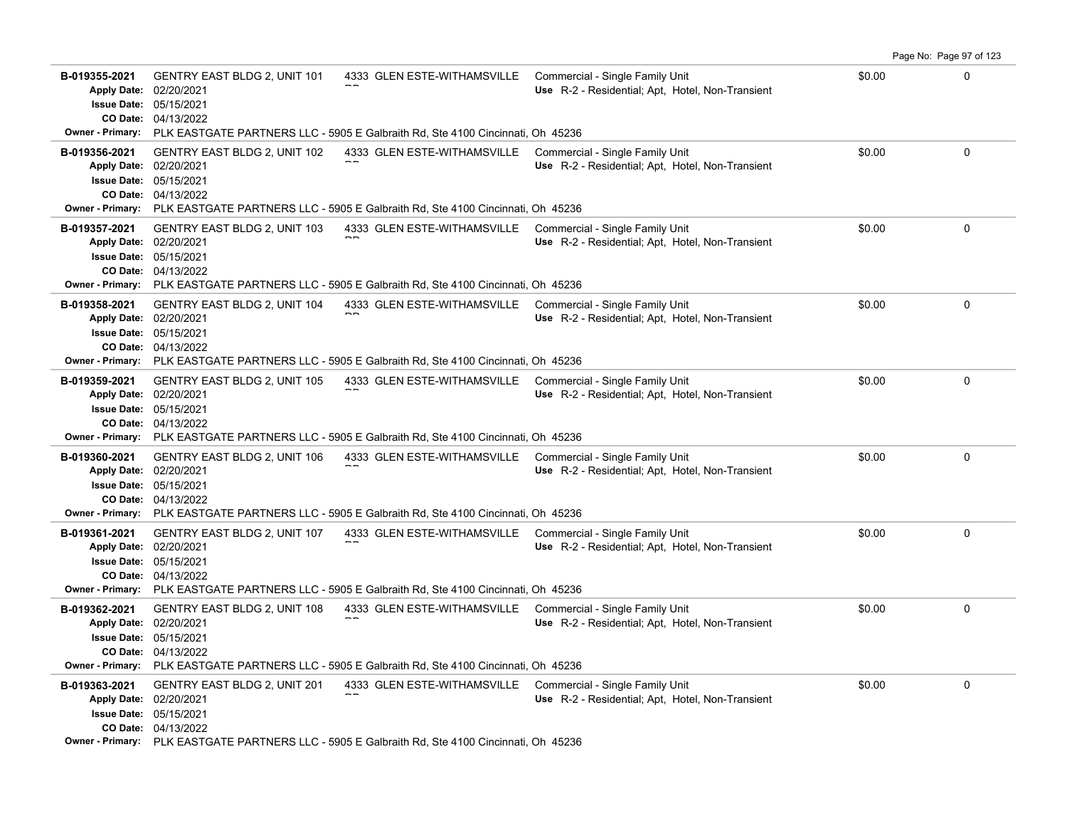|                                                                                                  |                                                                                                  |                                                                                                                                                                |                                                                                     |        | Page No: Page 97 of 123 |
|--------------------------------------------------------------------------------------------------|--------------------------------------------------------------------------------------------------|----------------------------------------------------------------------------------------------------------------------------------------------------------------|-------------------------------------------------------------------------------------|--------|-------------------------|
| B-019355-2021<br><b>Apply Date:</b><br><b>Issue Date:</b>                                        | <b>GENTRY EAST BLDG 2, UNIT 101</b><br>02/20/2021<br>05/15/2021<br>CO Date: 04/13/2022           | 4333 GLEN ESTE-WITHAMSVILLE Commercial - Single Family Unit                                                                                                    | Use R-2 - Residential; Apt, Hotel, Non-Transient                                    | \$0.00 | $\Omega$                |
|                                                                                                  |                                                                                                  | <b>Owner - Primary:</b> PLK EASTGATE PARTNERS LLC - 5905 E Galbraith Rd, Ste 4100 Cincinnati, Oh 45236                                                         |                                                                                     |        |                         |
| B-019356-2021<br>Apply Date: 02/20/2021                                                          | <b>GENTRY EAST BLDG 2, UNIT 102</b><br><b>Issue Date: 05/15/2021</b><br>CO Date: 04/13/2022      | 4333 GLEN ESTE-WITHAMSVILLE<br>Owner - Primary: PLK EASTGATE PARTNERS LLC - 5905 E Galbraith Rd, Ste 4100 Cincinnati, Oh 45236                                 | Commercial - Single Family Unit<br>Use R-2 - Residential; Apt, Hotel, Non-Transient | \$0.00 | $\Omega$                |
| B-019357-2021<br><b>Apply Date:</b><br><b>Issue Date:</b><br>CO Date:<br><b>Owner - Primary:</b> | <b>GENTRY EAST BLDG 2, UNIT 103</b><br>02/20/2021<br>05/15/2021<br>04/13/2022                    | 4333 GLEN ESTE-WITHAMSVILLE Commercial - Single Family Unit<br>PLK EASTGATE PARTNERS LLC - 5905 E Galbraith Rd, Ste 4100 Cincinnati, Oh 45236                  | Use R-2 - Residential: Apt. Hotel, Non-Transient                                    | \$0.00 | 0                       |
| B-019358-2021<br><b>Apply Date:</b><br>CO Date:                                                  | <b>GENTRY EAST BLDG 2, UNIT 104</b><br>02/20/2021<br><b>Issue Date: 05/15/2021</b><br>04/13/2022 | 4333 GLEN ESTE-WITHAMSVILLE Commercial - Single Family Unit<br>Owner - Primary: PLK EASTGATE PARTNERS LLC - 5905 E Galbraith Rd, Ste 4100 Cincinnati, Oh 45236 | Use R-2 - Residential; Apt, Hotel, Non-Transient                                    | \$0.00 | 0                       |
| B-019359-2021<br><b>Apply Date:</b><br><b>Issue Date: 05/15/2021</b>                             | <b>GENTRY EAST BLDG 2, UNIT 105</b><br>02/20/2021<br>CO Date: 04/13/2022                         | 4333 GLEN ESTE-WITHAMSVILLE<br><b>Owner - Primary:</b> PLK EASTGATE PARTNERS LLC - 5905 E Galbraith Rd, Ste 4100 Cincinnati, Oh 45236                          | Commercial - Single Family Unit<br>Use R-2 - Residential; Apt. Hotel, Non-Transient | \$0.00 | 0                       |
| B-019360-2021<br><b>Apply Date:</b><br><b>Issue Date:</b><br>CO Date:                            | GENTRY EAST BLDG 2, UNIT 106<br>02/20/2021<br>05/15/2021<br>04/13/2022                           | 4333 GLEN ESTE-WITHAMSVILLE<br>Owner - Primary: PLK EASTGATE PARTNERS LLC - 5905 E Galbraith Rd, Ste 4100 Cincinnati, Oh 45236                                 | Commercial - Single Family Unit<br>Use R-2 - Residential; Apt, Hotel, Non-Transient | \$0.00 | 0                       |
| B-019361-2021<br><b>Apply Date:</b><br><b>Issue Date: 05/15/2021</b>                             | GENTRY EAST BLDG 2, UNIT 107<br>02/20/2021<br>CO Date: 04/13/2022                                | 4333 GLEN ESTE-WITHAMSVILLE Commercial - Single Family Unit<br>Owner - Primary: PLK EASTGATE PARTNERS LLC - 5905 E Galbraith Rd, Ste 4100 Cincinnati, Oh 45236 | Use R-2 - Residential; Apt, Hotel, Non-Transient                                    | \$0.00 | $\mathbf 0$             |
| B-019362-2021<br><b>Apply Date:</b><br><b>Issue Date:</b><br><b>Owner - Primary:</b>             | <b>GENTRY EAST BLDG 2, UNIT 108</b><br>02/20/2021<br>05/15/2021<br>CO Date: 04/13/2022           | 4333 GLEN ESTE-WITHAMSVILLE Commercial - Single Family Unit<br>PLK EASTGATE PARTNERS LLC - 5905 E Galbraith Rd, Ste 4100 Cincinnati, Oh 45236                  | Use R-2 - Residential; Apt, Hotel, Non-Transient                                    | \$0.00 | 0                       |
| B-019363-2021<br>Apply Date: 02/20/2021                                                          | GENTRY EAST BLDG 2, UNIT 201<br>Issue Date: 05/15/2021<br>CO Date: 04/13/2022                    | 4333 GLEN ESTE-WITHAMSVILLE Commercial - Single Family Unit<br>Owner - Primary: PLK EASTGATE PARTNERS LLC - 5905 E Galbraith Rd, Ste 4100 Cincinnati, Oh 45236 | Use R-2 - Residential; Apt, Hotel, Non-Transient                                    | \$0.00 | 0                       |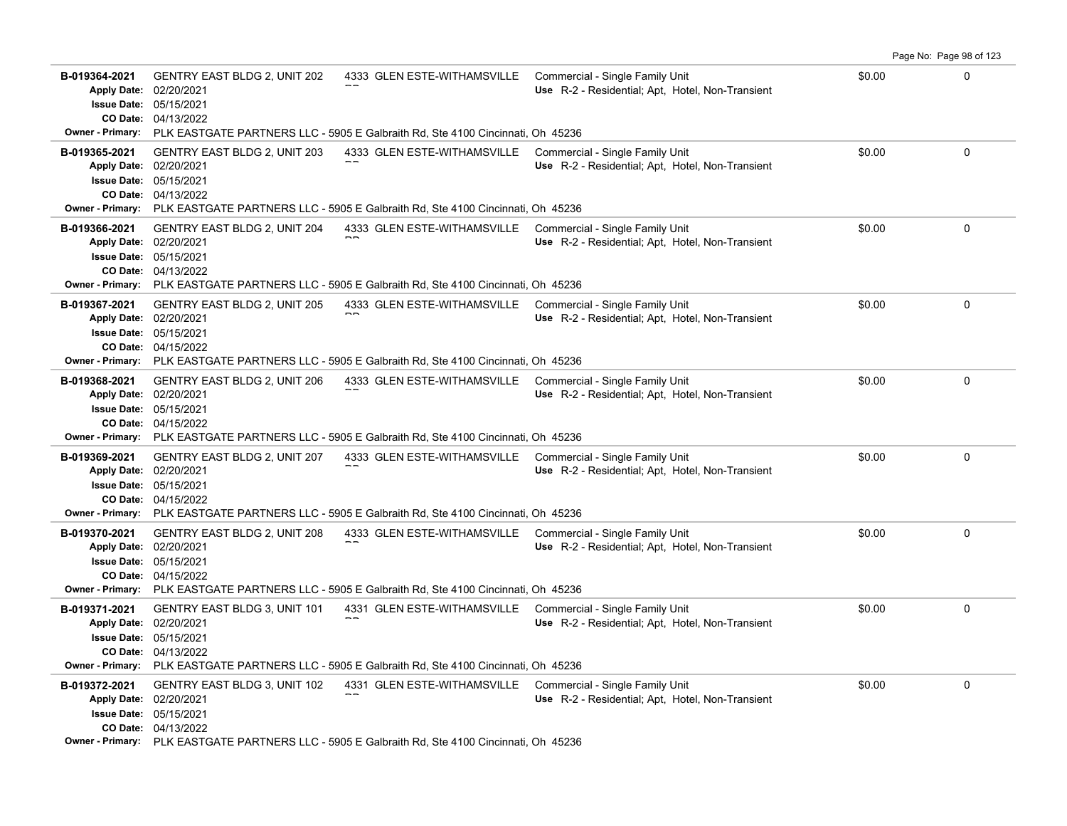|                                                                                                  |                                                                                        |                                                                                                                                                                |                                                                                     |        | Page No: Page 98 of 123 |
|--------------------------------------------------------------------------------------------------|----------------------------------------------------------------------------------------|----------------------------------------------------------------------------------------------------------------------------------------------------------------|-------------------------------------------------------------------------------------|--------|-------------------------|
| B-019364-2021<br><b>Apply Date:</b><br><b>Issue Date:</b>                                        | <b>GENTRY EAST BLDG 2, UNIT 202</b><br>02/20/2021<br>05/15/2021<br>CO Date: 04/13/2022 | 4333 GLEN ESTE-WITHAMSVILLE                                                                                                                                    | Commercial - Single Family Unit<br>Use R-2 - Residential; Apt, Hotel, Non-Transient | \$0.00 | $\Omega$                |
|                                                                                                  |                                                                                        | <b>Owner - Primary:</b> PLK EASTGATE PARTNERS LLC - 5905 E Galbraith Rd, Ste 4100 Cincinnati, Oh 45236                                                         |                                                                                     |        |                         |
| B-019365-2021<br>Apply Date: 02/20/2021<br><b>Issue Date: 05/15/2021</b>                         | <b>GENTRY EAST BLDG 2, UNIT 203</b><br>CO Date: 04/13/2022                             | 4333 GLEN ESTE-WITHAMSVILLE<br>Owner - Primary: PLK EASTGATE PARTNERS LLC - 5905 E Galbraith Rd, Ste 4100 Cincinnati, Oh 45236                                 | Commercial - Single Family Unit<br>Use R-2 - Residential; Apt, Hotel, Non-Transient | \$0.00 | $\Omega$                |
| B-019366-2021<br><b>Apply Date:</b><br><b>Issue Date:</b><br>CO Date:<br><b>Owner - Primary:</b> | <b>GENTRY EAST BLDG 2, UNIT 204</b><br>02/20/2021<br>05/15/2021<br>04/13/2022          | 4333 GLEN ESTE-WITHAMSVILLE<br>PLK EASTGATE PARTNERS LLC - 5905 E Galbraith Rd, Ste 4100 Cincinnati, Oh 45236                                                  | Commercial - Single Family Unit<br>Use R-2 - Residential; Apt, Hotel, Non-Transient | \$0.00 | 0                       |
| B-019367-2021<br><b>Apply Date:</b><br><b>Issue Date: 05/15/2021</b><br>CO Date:                 | <b>GENTRY EAST BLDG 2, UNIT 205</b><br>02/20/2021<br>04/15/2022                        | 4333 GLEN ESTE-WITHAMSVILLE Commercial - Single Family Unit<br>Owner - Primary: PLK EASTGATE PARTNERS LLC - 5905 E Galbraith Rd, Ste 4100 Cincinnati, Oh 45236 | Use R-2 - Residential; Apt, Hotel, Non-Transient                                    | \$0.00 | 0                       |
| B-019368-2021<br><b>Apply Date:</b><br><b>Issue Date: 05/15/2021</b>                             | <b>GENTRY EAST BLDG 2, UNIT 206</b><br>02/20/2021<br>CO Date: 04/15/2022               | 4333 GLEN ESTE-WITHAMSVILLE<br><b>Owner - Primary:</b> PLK EASTGATE PARTNERS LLC - 5905 E Galbraith Rd, Ste 4100 Cincinnati, Oh 45236                          | Commercial - Single Family Unit<br>Use R-2 - Residential; Apt. Hotel, Non-Transient | \$0.00 | 0                       |
| B-019369-2021<br><b>Apply Date:</b><br><b>Issue Date:</b><br>CO Date:                            | <b>GENTRY EAST BLDG 2, UNIT 207</b><br>02/20/2021<br>05/15/2021<br>04/15/2022          | 4333 GLEN ESTE-WITHAMSVILLE<br>Owner - Primary: PLK EASTGATE PARTNERS LLC - 5905 E Galbraith Rd, Ste 4100 Cincinnati, Oh 45236                                 | Commercial - Single Family Unit<br>Use R-2 - Residential; Apt, Hotel, Non-Transient | \$0.00 | 0                       |
| B-019370-2021<br><b>Apply Date:</b><br><b>Issue Date: 05/15/2021</b>                             | GENTRY EAST BLDG 2, UNIT 208<br>02/20/2021<br>CO Date: 04/15/2022                      | 4333 GLEN ESTE-WITHAMSVILLE Commercial - Single Family Unit<br>Owner - Primary: PLK EASTGATE PARTNERS LLC - 5905 E Galbraith Rd, Ste 4100 Cincinnati, Oh 45236 | Use R-2 - Residential; Apt, Hotel, Non-Transient                                    | \$0.00 | $\mathbf 0$             |
| B-019371-2021<br><b>Apply Date:</b><br><b>Issue Date:</b><br><b>Owner - Primary:</b>             | <b>GENTRY EAST BLDG 3, UNIT 101</b><br>02/20/2021<br>05/15/2021<br>CO Date: 04/13/2022 | 4331 GLEN ESTE-WITHAMSVILLE Commercial - Single Family Unit<br>PLK EASTGATE PARTNERS LLC - 5905 E Galbraith Rd, Ste 4100 Cincinnati, Oh 45236                  | Use R-2 - Residential; Apt, Hotel, Non-Transient                                    | \$0.00 | 0                       |
| B-019372-2021<br>Apply Date: 02/20/2021                                                          | GENTRY EAST BLDG 3, UNIT 102<br>Issue Date: 05/15/2021<br>CO Date: 04/13/2022          | 4331 GLEN ESTE-WITHAMSVILLE Commercial - Single Family Unit<br>Owner - Primary: PLK EASTGATE PARTNERS LLC - 5905 E Galbraith Rd, Ste 4100 Cincinnati, Oh 45236 | Use R-2 - Residential; Apt, Hotel, Non-Transient                                    | \$0.00 | 0                       |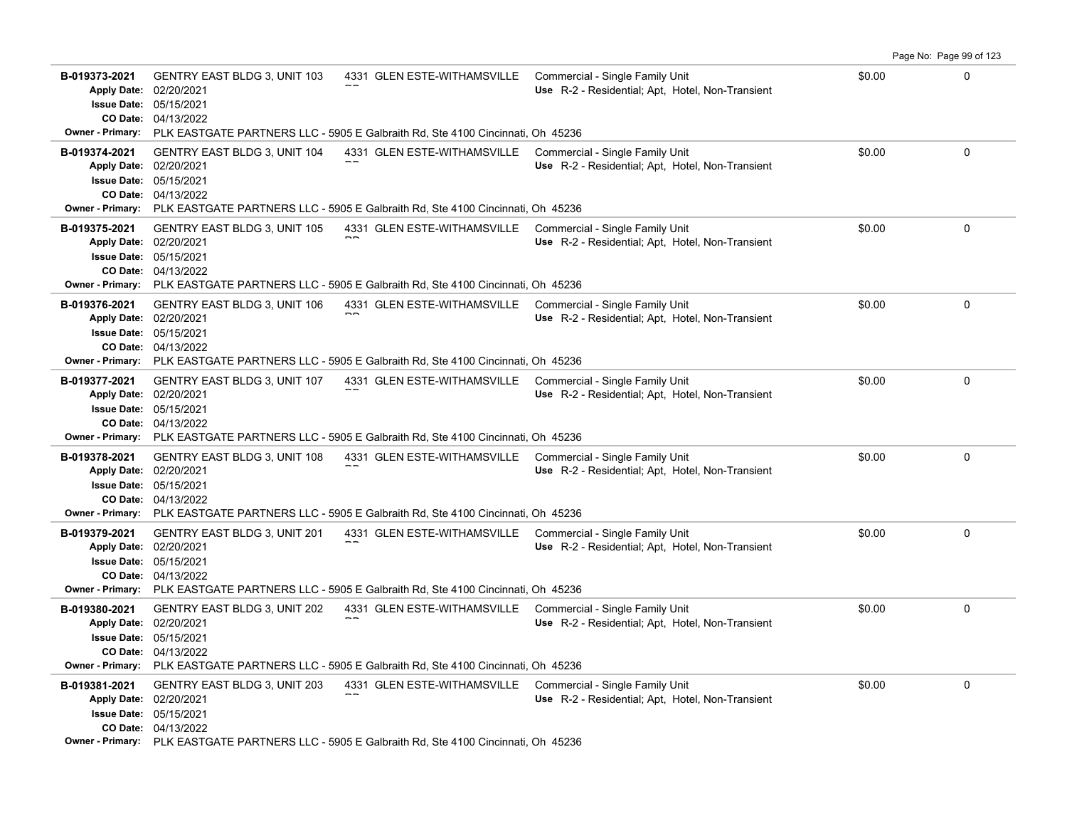|                                                                                                  |                                                                                                  |                                                                                                                                                                |                                                                                     |        | Page No: Page 99 of 123 |
|--------------------------------------------------------------------------------------------------|--------------------------------------------------------------------------------------------------|----------------------------------------------------------------------------------------------------------------------------------------------------------------|-------------------------------------------------------------------------------------|--------|-------------------------|
| B-019373-2021<br><b>Apply Date:</b><br><b>Issue Date:</b>                                        | <b>GENTRY EAST BLDG 3, UNIT 103</b><br>02/20/2021<br>05/15/2021<br>CO Date: 04/13/2022           | 4331 GLEN ESTE-WITHAMSVILLE                                                                                                                                    | Commercial - Single Family Unit<br>Use R-2 - Residential; Apt, Hotel, Non-Transient | \$0.00 | $\Omega$                |
|                                                                                                  |                                                                                                  | <b>Owner - Primary:</b> PLK EASTGATE PARTNERS LLC - 5905 E Galbraith Rd, Ste 4100 Cincinnati, Oh 45236                                                         |                                                                                     |        |                         |
| B-019374-2021<br>Apply Date: 02/20/2021                                                          | <b>GENTRY EAST BLDG 3, UNIT 104</b><br><b>Issue Date: 05/15/2021</b><br>CO Date: 04/13/2022      | 4331 GLEN ESTE-WITHAMSVILLE<br>Owner - Primary: PLK EASTGATE PARTNERS LLC - 5905 E Galbraith Rd, Ste 4100 Cincinnati, Oh 45236                                 | Commercial - Single Family Unit<br>Use R-2 - Residential; Apt, Hotel, Non-Transient | \$0.00 | $\Omega$                |
| B-019375-2021<br><b>Apply Date:</b><br><b>Issue Date:</b><br>CO Date:<br><b>Owner - Primary:</b> | <b>GENTRY EAST BLDG 3, UNIT 105</b><br>02/20/2021<br>05/15/2021<br>04/13/2022                    | 4331 GLEN ESTE-WITHAMSVILLE Commercial - Single Family Unit<br>PLK EASTGATE PARTNERS LLC - 5905 E Galbraith Rd, Ste 4100 Cincinnati, Oh 45236                  | Use R-2 - Residential: Apt. Hotel, Non-Transient                                    | \$0.00 | 0                       |
| B-019376-2021<br><b>Apply Date:</b><br>CO Date:                                                  | <b>GENTRY EAST BLDG 3, UNIT 106</b><br>02/20/2021<br><b>Issue Date: 05/15/2021</b><br>04/13/2022 | 4331 GLEN ESTE-WITHAMSVILLE Commercial - Single Family Unit<br>Owner - Primary: PLK EASTGATE PARTNERS LLC - 5905 E Galbraith Rd, Ste 4100 Cincinnati, Oh 45236 | Use R-2 - Residential; Apt, Hotel, Non-Transient                                    | \$0.00 | 0                       |
| B-019377-2021<br><b>Apply Date:</b><br><b>Issue Date: 05/15/2021</b>                             | <b>GENTRY EAST BLDG 3, UNIT 107</b><br>02/20/2021<br>CO Date: 04/13/2022                         | 4331 GLEN ESTE-WITHAMSVILLE<br><b>Owner - Primary:</b> PLK EASTGATE PARTNERS LLC - 5905 E Galbraith Rd, Ste 4100 Cincinnati, Oh 45236                          | Commercial - Single Family Unit<br>Use R-2 - Residential; Apt. Hotel, Non-Transient | \$0.00 | 0                       |
| B-019378-2021<br><b>Apply Date:</b><br><b>Issue Date:</b><br>CO Date:                            | <b>GENTRY EAST BLDG 3, UNIT 108</b><br>02/20/2021<br>05/15/2021<br>04/13/2022                    | 4331 GLEN ESTE-WITHAMSVILLE<br>Owner - Primary: PLK EASTGATE PARTNERS LLC - 5905 E Galbraith Rd, Ste 4100 Cincinnati, Oh 45236                                 | Commercial - Single Family Unit<br>Use R-2 - Residential; Apt, Hotel, Non-Transient | \$0.00 | 0                       |
| B-019379-2021<br><b>Apply Date:</b><br><b>Issue Date: 05/15/2021</b>                             | GENTRY EAST BLDG 3, UNIT 201<br>02/20/2021<br>CO Date: 04/13/2022                                | 4331 GLEN ESTE-WITHAMSVILLE Commercial - Single Family Unit<br>Owner - Primary: PLK EASTGATE PARTNERS LLC - 5905 E Galbraith Rd, Ste 4100 Cincinnati, Oh 45236 | Use R-2 - Residential; Apt, Hotel, Non-Transient                                    | \$0.00 | $\mathbf 0$             |
| B-019380-2021<br><b>Apply Date:</b><br><b>Issue Date:</b><br><b>Owner - Primary:</b>             | <b>GENTRY EAST BLDG 3, UNIT 202</b><br>02/20/2021<br>05/15/2021<br>CO Date: 04/13/2022           | 4331 GLEN ESTE-WITHAMSVILLE Commercial - Single Family Unit<br>PLK EASTGATE PARTNERS LLC - 5905 E Galbraith Rd, Ste 4100 Cincinnati, Oh 45236                  | Use R-2 - Residential; Apt, Hotel, Non-Transient                                    | \$0.00 | 0                       |
| B-019381-2021<br>Apply Date: 02/20/2021                                                          | GENTRY EAST BLDG 3, UNIT 203<br>Issue Date: 05/15/2021<br>CO Date: 04/13/2022                    | 4331 GLEN ESTE-WITHAMSVILLE Commercial - Single Family Unit<br>Owner - Primary: PLK EASTGATE PARTNERS LLC - 5905 E Galbraith Rd, Ste 4100 Cincinnati, Oh 45236 | Use R-2 - Residential; Apt, Hotel, Non-Transient                                    | \$0.00 | 0                       |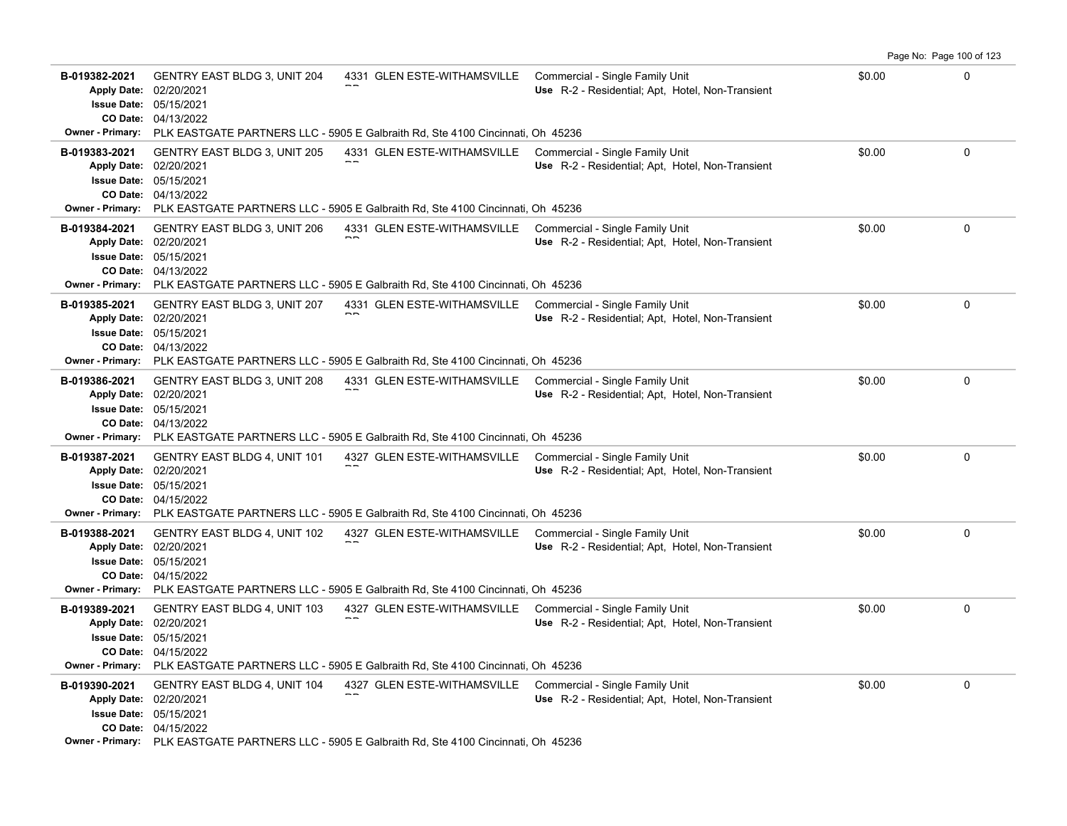|                                                                                          |                                                                                        |                                                                                                                                                                |                                                                                     |        | Page No: Page 100 of 123 |
|------------------------------------------------------------------------------------------|----------------------------------------------------------------------------------------|----------------------------------------------------------------------------------------------------------------------------------------------------------------|-------------------------------------------------------------------------------------|--------|--------------------------|
| B-019382-2021<br><b>Apply Date:</b><br><b>Issue Date:</b>                                | <b>GENTRY EAST BLDG 3, UNIT 204</b><br>02/20/2021<br>05/15/2021<br>CO Date: 04/13/2022 | 4331 GLEN ESTE-WITHAMSVILLE                                                                                                                                    | Commercial - Single Family Unit<br>Use R-2 - Residential; Apt, Hotel, Non-Transient | \$0.00 | 0                        |
|                                                                                          |                                                                                        | <b>Owner - Primary:</b> PLK EASTGATE PARTNERS LLC - 5905 E Galbraith Rd, Ste 4100 Cincinnati, Oh 45236                                                         |                                                                                     |        |                          |
| B-019383-2021<br>Apply Date: 02/20/2021<br><b>Issue Date: 05/15/2021</b>                 | <b>GENTRY EAST BLDG 3, UNIT 205</b><br>CO Date: 04/13/2022                             | 4331 GLEN ESTE-WITHAMSVILLE<br>Owner - Primary: PLK EASTGATE PARTNERS LLC - 5905 E Galbraith Rd, Ste 4100 Cincinnati, Oh 45236                                 | Commercial - Single Family Unit<br>Use R-2 - Residential; Apt, Hotel, Non-Transient | \$0.00 | $\Omega$                 |
| B-019384-2021<br><b>Apply Date:</b><br><b>Issue Date:</b><br><b>Owner - Primary:</b>     | <b>GENTRY EAST BLDG 3, UNIT 206</b><br>02/20/2021<br>05/15/2021<br>CO Date: 04/13/2022 | 4331 GLEN ESTE-WITHAMSVILLE<br>PLK EASTGATE PARTNERS LLC - 5905 E Galbraith Rd, Ste 4100 Cincinnati, Oh 45236                                                  | Commercial - Single Family Unit<br>Use R-2 - Residential; Apt, Hotel, Non-Transient | \$0.00 | $\mathbf{0}$             |
| B-019385-2021<br><b>Apply Date:</b><br><b>Issue Date: 05/15/2021</b>                     | <b>GENTRY EAST BLDG 3, UNIT 207</b><br>02/20/2021<br>CO Date: 04/13/2022               | 4331 GLEN ESTE-WITHAMSVILLE<br>Owner - Primary: PLK EASTGATE PARTNERS LLC - 5905 E Galbraith Rd, Ste 4100 Cincinnati, Oh 45236                                 | Commercial - Single Family Unit<br>Use R-2 - Residential; Apt, Hotel, Non-Transient | \$0.00 | 0                        |
| B-019386-2021<br><b>Apply Date:</b><br><b>Issue Date: 05/15/2021</b>                     | <b>GENTRY EAST BLDG 3, UNIT 208</b><br>02/20/2021<br><b>CO Date: 04/13/2022</b>        | 4331 GLEN ESTE-WITHAMSVILLE<br><b>Owner - Primary:</b> PLK EASTGATE PARTNERS LLC - 5905 E Galbraith Rd, Ste 4100 Cincinnati, Oh 45236                          | Commercial - Single Family Unit<br>Use R-2 - Residential; Apt. Hotel, Non-Transient | \$0.00 | $\mathbf 0$              |
| B-019387-2021<br>Apply Date: 02/20/2021<br><b>Issue Date: 05/15/2021</b><br>CO Date:     | <b>GENTRY EAST BLDG 4, UNIT 101</b><br>04/15/2022                                      | 4327 GLEN ESTE-WITHAMSVILLE<br>Owner - Primary: PLK EASTGATE PARTNERS LLC - 5905 E Galbraith Rd, Ste 4100 Cincinnati, Oh 45236                                 | Commercial - Single Family Unit<br>Use R-2 - Residential; Apt, Hotel, Non-Transient | \$0.00 | $\mathbf 0$              |
| B-019388-2021<br><b>Apply Date:</b><br><b>Issue Date: 05/15/2021</b>                     | <b>GENTRY EAST BLDG 4, UNIT 102</b><br>02/20/2021<br>CO Date: 04/15/2022               | 4327 GLEN ESTE-WITHAMSVILLE Commercial - Single Family Unit<br>Owner - Primary: PLK EASTGATE PARTNERS LLC - 5905 E Galbraith Rd, Ste 4100 Cincinnati, Oh 45236 | Use R-2 - Residential; Apt, Hotel, Non-Transient                                    | \$0.00 | $\mathbf 0$              |
| B-019389-2021<br>Apply Date: 02/20/2021<br><b>Issue Date:</b><br><b>Owner - Primary:</b> | GENTRY EAST BLDG 4, UNIT 103<br>05/15/2021<br>CO Date: 04/15/2022                      | 4327 GLEN ESTE-WITHAMSVILLE Commercial - Single Family Unit<br>PLK EASTGATE PARTNERS LLC - 5905 E Galbraith Rd, Ste 4100 Cincinnati, Oh 45236                  | Use R-2 - Residential; Apt, Hotel, Non-Transient                                    | \$0.00 | $\mathbf 0$              |
| B-019390-2021<br>Apply Date: 02/20/2021<br>Issue Date: 05/15/2021                        | <b>GENTRY EAST BLDG 4, UNIT 104</b><br>CO Date: 04/15/2022                             | 4327 GLEN ESTE-WITHAMSVILLE<br>Owner - Primary: PLK EASTGATE PARTNERS LLC - 5905 E Galbraith Rd, Ste 4100 Cincinnati, Oh 45236                                 | Commercial - Single Family Unit<br>Use R-2 - Residential; Apt, Hotel, Non-Transient | \$0.00 | $\mathbf 0$              |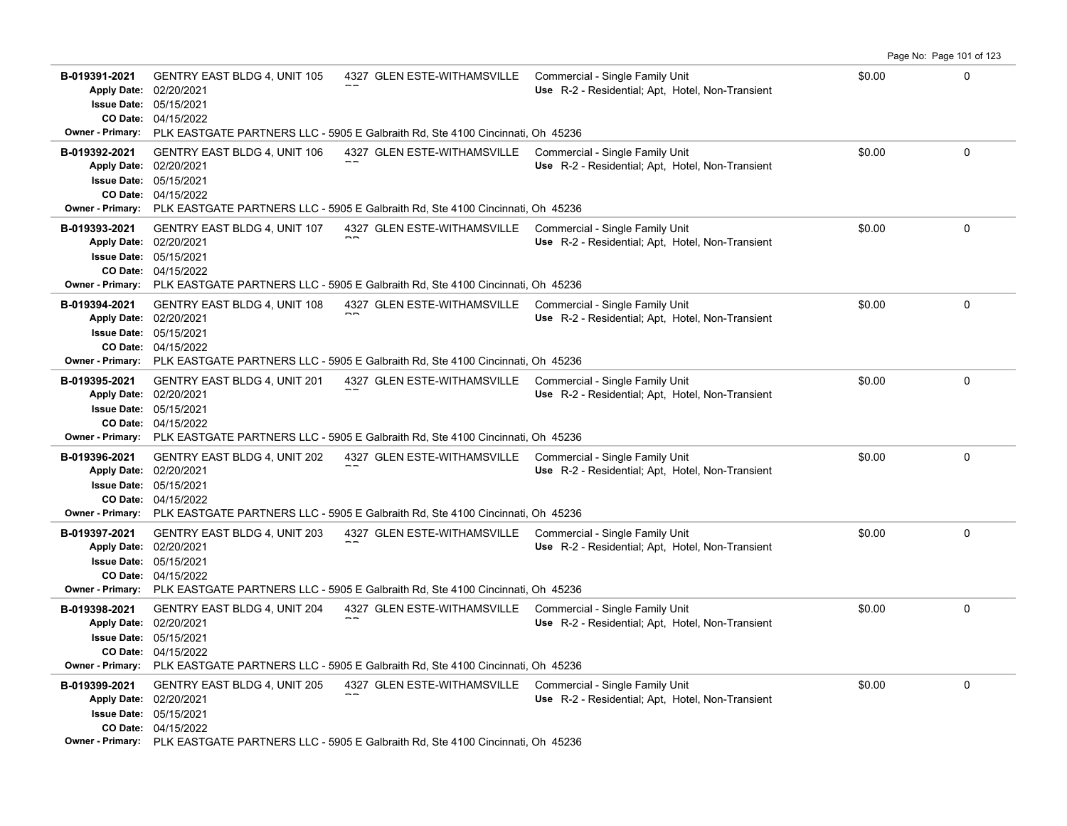|                                                                                          |                                                                                        |                                                                                                                                                                |                                                                                     |        | Page No: Page 101 of 123 |
|------------------------------------------------------------------------------------------|----------------------------------------------------------------------------------------|----------------------------------------------------------------------------------------------------------------------------------------------------------------|-------------------------------------------------------------------------------------|--------|--------------------------|
| B-019391-2021<br><b>Apply Date:</b><br><b>Issue Date:</b>                                | <b>GENTRY EAST BLDG 4, UNIT 105</b><br>02/20/2021<br>05/15/2021<br>CO Date: 04/15/2022 | 4327 GLEN ESTE-WITHAMSVILLE                                                                                                                                    | Commercial - Single Family Unit<br>Use R-2 - Residential; Apt, Hotel, Non-Transient | \$0.00 | 0                        |
|                                                                                          |                                                                                        | <b>Owner - Primary:</b> PLK EASTGATE PARTNERS LLC - 5905 E Galbraith Rd, Ste 4100 Cincinnati, Oh 45236                                                         |                                                                                     |        |                          |
| B-019392-2021<br>Apply Date: 02/20/2021<br><b>Issue Date: 05/15/2021</b>                 | GENTRY EAST BLDG 4, UNIT 106<br>CO Date: 04/15/2022                                    | 4327 GLEN ESTE-WITHAMSVILLE<br>Owner - Primary: PLK EASTGATE PARTNERS LLC - 5905 E Galbraith Rd, Ste 4100 Cincinnati, Oh 45236                                 | Commercial - Single Family Unit<br>Use R-2 - Residential; Apt, Hotel, Non-Transient | \$0.00 | $\Omega$                 |
| B-019393-2021<br><b>Apply Date:</b><br><b>Issue Date:</b><br><b>Owner - Primary:</b>     | <b>GENTRY EAST BLDG 4, UNIT 107</b><br>02/20/2021<br>05/15/2021<br>CO Date: 04/15/2022 | 4327 GLEN ESTE-WITHAMSVILLE<br>PLK EASTGATE PARTNERS LLC - 5905 E Galbraith Rd, Ste 4100 Cincinnati, Oh 45236                                                  | Commercial - Single Family Unit<br>Use R-2 - Residential; Apt, Hotel, Non-Transient | \$0.00 | $\mathbf{0}$             |
| B-019394-2021<br><b>Apply Date:</b><br><b>Issue Date: 05/15/2021</b>                     | <b>GENTRY EAST BLDG 4, UNIT 108</b><br>02/20/2021<br>CO Date: 04/15/2022               | 4327 GLEN ESTE-WITHAMSVILLE<br>Owner - Primary: PLK EASTGATE PARTNERS LLC - 5905 E Galbraith Rd, Ste 4100 Cincinnati, Oh 45236                                 | Commercial - Single Family Unit<br>Use R-2 - Residential; Apt, Hotel, Non-Transient | \$0.00 | 0                        |
| B-019395-2021<br><b>Apply Date:</b><br><b>Issue Date: 05/15/2021</b>                     | <b>GENTRY EAST BLDG 4, UNIT 201</b><br>02/20/2021<br>CO Date: 04/15/2022               | 4327 GLEN ESTE-WITHAMSVILLE<br><b>Owner - Primary:</b> PLK EASTGATE PARTNERS LLC - 5905 E Galbraith Rd, Ste 4100 Cincinnati, Oh 45236                          | Commercial - Single Family Unit<br>Use R-2 - Residential; Apt. Hotel, Non-Transient | \$0.00 | $\mathbf 0$              |
| B-019396-2021<br>Apply Date: 02/20/2021<br><b>Issue Date: 05/15/2021</b>                 | <b>GENTRY EAST BLDG 4, UNIT 202</b><br>CO Date: 04/15/2022                             | 4327 GLEN ESTE-WITHAMSVILLE<br>Owner - Primary: PLK EASTGATE PARTNERS LLC - 5905 E Galbraith Rd, Ste 4100 Cincinnati, Oh 45236                                 | Commercial - Single Family Unit<br>Use R-2 - Residential; Apt, Hotel, Non-Transient | \$0.00 | $\mathbf 0$              |
| B-019397-2021<br><b>Apply Date:</b><br><b>Issue Date: 05/15/2021</b>                     | <b>GENTRY EAST BLDG 4, UNIT 203</b><br>02/20/2021<br>CO Date: 04/15/2022               | 4327 GLEN ESTE-WITHAMSVILLE Commercial - Single Family Unit<br>Owner - Primary: PLK EASTGATE PARTNERS LLC - 5905 E Galbraith Rd, Ste 4100 Cincinnati, Oh 45236 | Use R-2 - Residential; Apt, Hotel, Non-Transient                                    | \$0.00 | $\mathbf 0$              |
| B-019398-2021<br>Apply Date: 02/20/2021<br><b>Issue Date:</b><br><b>Owner - Primary:</b> | <b>GENTRY EAST BLDG 4, UNIT 204</b><br>05/15/2021<br>CO Date: 04/15/2022               | 4327 GLEN ESTE-WITHAMSVILLE Commercial - Single Family Unit<br>PLK EASTGATE PARTNERS LLC - 5905 E Galbraith Rd, Ste 4100 Cincinnati, Oh 45236                  | Use R-2 - Residential; Apt, Hotel, Non-Transient                                    | \$0.00 | $\mathbf 0$              |
| B-019399-2021<br>Apply Date: 02/20/2021<br>Issue Date: 05/15/2021                        | <b>GENTRY EAST BLDG 4, UNIT 205</b><br>CO Date: 04/15/2022                             | 4327 GLEN ESTE-WITHAMSVILLE<br>Owner - Primary: PLK EASTGATE PARTNERS LLC - 5905 E Galbraith Rd, Ste 4100 Cincinnati, Oh 45236                                 | Commercial - Single Family Unit<br>Use R-2 - Residential; Apt, Hotel, Non-Transient | \$0.00 | $\mathbf 0$              |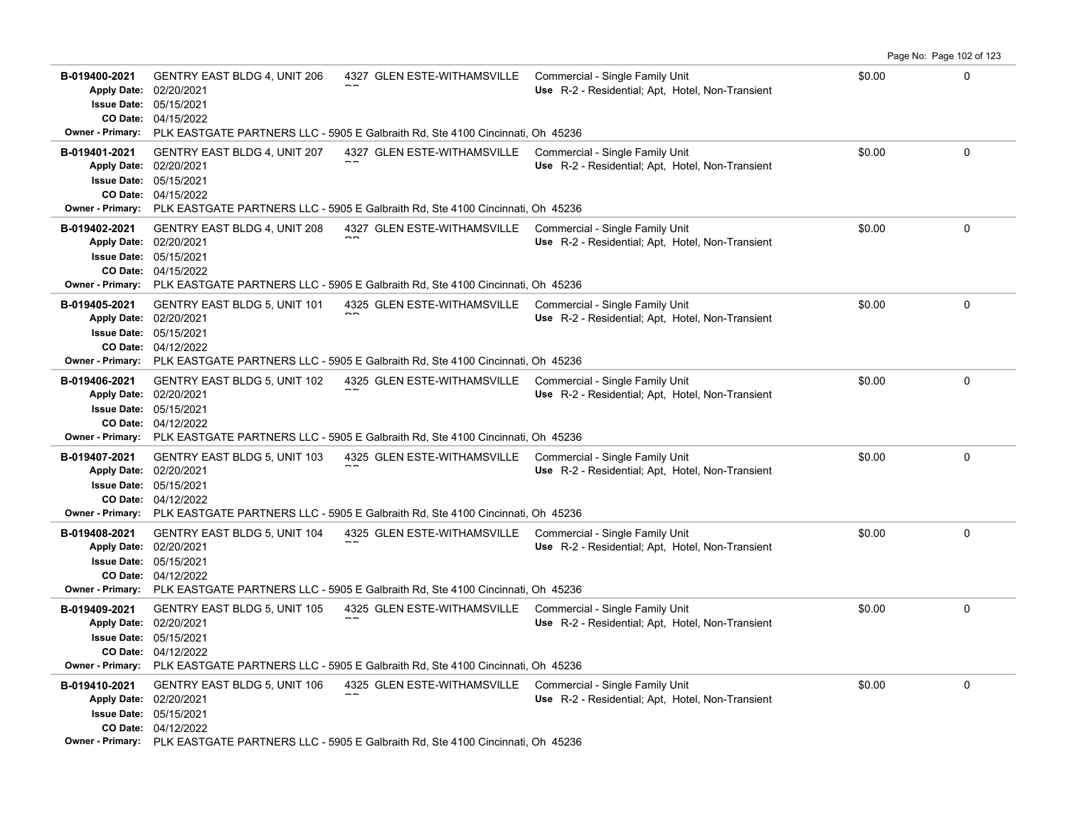|                                                                                          |                                                                                        |                                                                                                                                                                |                                                                                     |        | Page No: Page 102 of 123 |
|------------------------------------------------------------------------------------------|----------------------------------------------------------------------------------------|----------------------------------------------------------------------------------------------------------------------------------------------------------------|-------------------------------------------------------------------------------------|--------|--------------------------|
| B-019400-2021<br><b>Apply Date:</b><br><b>Issue Date:</b>                                | <b>GENTRY EAST BLDG 4, UNIT 206</b><br>02/20/2021<br>05/15/2021<br>CO Date: 04/15/2022 | 4327 GLEN ESTE-WITHAMSVILLE                                                                                                                                    | Commercial - Single Family Unit<br>Use R-2 - Residential; Apt, Hotel, Non-Transient | \$0.00 | 0                        |
| <b>Owner - Primary:</b>                                                                  |                                                                                        | PLK EASTGATE PARTNERS LLC - 5905 E Galbraith Rd, Ste 4100 Cincinnati, Oh 45236                                                                                 |                                                                                     |        |                          |
| B-019401-2021<br>Apply Date: 02/20/2021                                                  | GENTRY EAST BLDG 4, UNIT 207<br><b>Issue Date: 05/15/2021</b><br>CO Date: 04/15/2022   | 4327 GLEN ESTE-WITHAMSVILLE<br>Owner - Primary: PLK EASTGATE PARTNERS LLC - 5905 E Galbraith Rd, Ste 4100 Cincinnati, Oh 45236                                 | Commercial - Single Family Unit<br>Use R-2 - Residential; Apt, Hotel, Non-Transient | \$0.00 | $\Omega$                 |
| B-019402-2021<br><b>Apply Date:</b><br><b>Issue Date:</b><br><b>Owner - Primary:</b>     | <b>GENTRY EAST BLDG 4, UNIT 208</b><br>02/20/2021<br>05/15/2021<br>CO Date: 04/15/2022 | 4327 GLEN ESTE-WITHAMSVILLE<br>PLK EASTGATE PARTNERS LLC - 5905 E Galbraith Rd, Ste 4100 Cincinnati, Oh 45236                                                  | Commercial - Single Family Unit<br>Use R-2 - Residential; Apt, Hotel, Non-Transient | \$0.00 | $\mathbf{0}$             |
| B-019405-2021<br><b>Apply Date:</b><br><b>Issue Date: 05/15/2021</b>                     | <b>GENTRY EAST BLDG 5, UNIT 101</b><br>02/20/2021<br>CO Date: 04/12/2022               | 4325 GLEN ESTE-WITHAMSVILLE<br>Owner - Primary: PLK EASTGATE PARTNERS LLC - 5905 E Galbraith Rd, Ste 4100 Cincinnati, Oh 45236                                 | Commercial - Single Family Unit<br>Use R-2 - Residential; Apt, Hotel, Non-Transient | \$0.00 | 0                        |
| B-019406-2021<br><b>Apply Date:</b><br><b>Issue Date: 05/15/2021</b>                     | <b>GENTRY EAST BLDG 5, UNIT 102</b><br>02/20/2021<br><b>CO Date: 04/12/2022</b>        | 4325 GLEN ESTE-WITHAMSVILLE<br><b>Owner - Primary:</b> PLK EASTGATE PARTNERS LLC - 5905 E Galbraith Rd, Ste 4100 Cincinnati, Oh 45236                          | Commercial - Single Family Unit<br>Use R-2 - Residential; Apt. Hotel, Non-Transient | \$0.00 | $\mathbf 0$              |
| B-019407-2021<br>Apply Date: 02/20/2021<br><b>Issue Date: 05/15/2021</b><br>CO Date:     | <b>GENTRY EAST BLDG 5, UNIT 103</b><br>04/12/2022                                      | 4325 GLEN ESTE-WITHAMSVILLE<br><b>Owner - Primary:</b> PLK EASTGATE PARTNERS LLC - 5905 E Galbraith Rd, Ste 4100 Cincinnati, Oh 45236                          | Commercial - Single Family Unit<br>Use R-2 - Residential; Apt, Hotel, Non-Transient | \$0.00 | $\mathbf 0$              |
| B-019408-2021<br><b>Apply Date:</b><br><b>Issue Date: 05/15/2021</b>                     | <b>GENTRY EAST BLDG 5, UNIT 104</b><br>02/20/2021<br>CO Date: 04/12/2022               | 4325 GLEN ESTE-WITHAMSVILLE Commercial - Single Family Unit<br>Owner - Primary: PLK EASTGATE PARTNERS LLC - 5905 E Galbraith Rd, Ste 4100 Cincinnati, Oh 45236 | Use R-2 - Residential; Apt, Hotel, Non-Transient                                    | \$0.00 | $\mathbf 0$              |
| B-019409-2021<br>Apply Date: 02/20/2021<br><b>Issue Date:</b><br><b>Owner - Primary:</b> | <b>GENTRY EAST BLDG 5, UNIT 105</b><br>05/15/2021<br>CO Date: 04/12/2022               | 4325 GLEN ESTE-WITHAMSVILLE Commercial - Single Family Unit<br>PLK EASTGATE PARTNERS LLC - 5905 E Galbraith Rd, Ste 4100 Cincinnati, Oh 45236                  | Use R-2 - Residential; Apt, Hotel, Non-Transient                                    | \$0.00 | $\mathbf 0$              |
| B-019410-2021<br>Apply Date: 02/20/2021<br><b>Issue Date: 05/15/2021</b>                 | <b>GENTRY EAST BLDG 5, UNIT 106</b><br>CO Date: 04/12/2022                             | 4325 GLEN ESTE-WITHAMSVILLE<br>Owner - Primary: PLK EASTGATE PARTNERS LLC - 5905 E Galbraith Rd, Ste 4100 Cincinnati, Oh 45236                                 | Commercial - Single Family Unit<br>Use R-2 - Residential; Apt, Hotel, Non-Transient | \$0.00 | $\mathbf 0$              |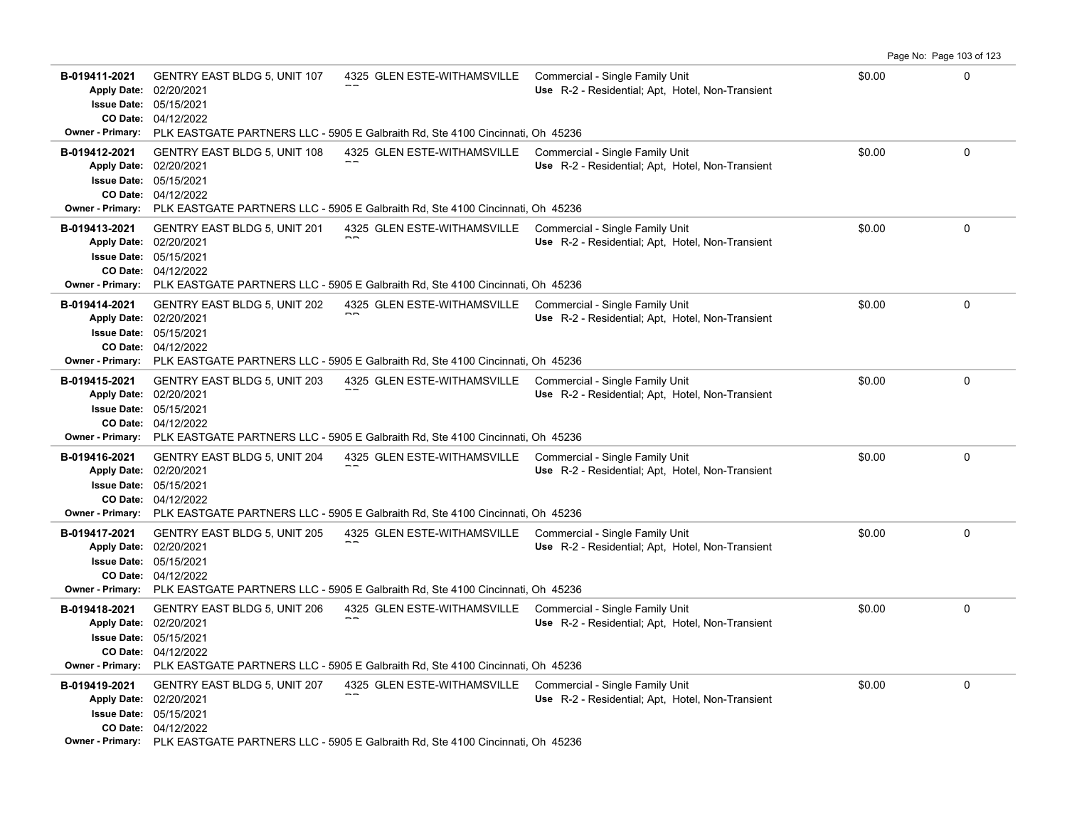|                                                                                          |                                                                                        |                                                                                                                                                                |                                                                                     |        | Page No: Page 103 of 123 |
|------------------------------------------------------------------------------------------|----------------------------------------------------------------------------------------|----------------------------------------------------------------------------------------------------------------------------------------------------------------|-------------------------------------------------------------------------------------|--------|--------------------------|
| B-019411-2021<br><b>Apply Date:</b><br><b>Issue Date:</b>                                | <b>GENTRY EAST BLDG 5, UNIT 107</b><br>02/20/2021<br>05/15/2021<br>CO Date: 04/12/2022 | 4325 GLEN ESTE-WITHAMSVILLE                                                                                                                                    | Commercial - Single Family Unit<br>Use R-2 - Residential; Apt, Hotel, Non-Transient | \$0.00 | 0                        |
| <b>Owner - Primary:</b>                                                                  |                                                                                        | PLK EASTGATE PARTNERS LLC - 5905 E Galbraith Rd, Ste 4100 Cincinnati, Oh 45236                                                                                 |                                                                                     |        |                          |
| B-019412-2021<br>Apply Date: 02/20/2021<br><b>Issue Date: 05/15/2021</b>                 | <b>GENTRY EAST BLDG 5, UNIT 108</b><br>CO Date: 04/12/2022                             | 4325 GLEN ESTE-WITHAMSVILLE<br>Owner - Primary: PLK EASTGATE PARTNERS LLC - 5905 E Galbraith Rd, Ste 4100 Cincinnati, Oh 45236                                 | Commercial - Single Family Unit<br>Use R-2 - Residential; Apt, Hotel, Non-Transient | \$0.00 | $\Omega$                 |
| B-019413-2021<br><b>Apply Date:</b><br><b>Issue Date:</b><br><b>Owner - Primary:</b>     | <b>GENTRY EAST BLDG 5, UNIT 201</b><br>02/20/2021<br>05/15/2021<br>CO Date: 04/12/2022 | 4325 GLEN ESTE-WITHAMSVILLE<br>PLK EASTGATE PARTNERS LLC - 5905 E Galbraith Rd, Ste 4100 Cincinnati, Oh 45236                                                  | Commercial - Single Family Unit<br>Use R-2 - Residential; Apt, Hotel, Non-Transient | \$0.00 | $\mathbf{0}$             |
| B-019414-2021<br><b>Apply Date:</b><br><b>Issue Date: 05/15/2021</b>                     | <b>GENTRY EAST BLDG 5, UNIT 202</b><br>02/20/2021<br>CO Date: 04/12/2022               | 4325 GLEN ESTE-WITHAMSVILLE<br>Owner - Primary: PLK EASTGATE PARTNERS LLC - 5905 E Galbraith Rd, Ste 4100 Cincinnati, Oh 45236                                 | Commercial - Single Family Unit<br>Use R-2 - Residential; Apt, Hotel, Non-Transient | \$0.00 | 0                        |
| B-019415-2021<br><b>Apply Date:</b><br><b>Issue Date: 05/15/2021</b>                     | <b>GENTRY EAST BLDG 5, UNIT 203</b><br>02/20/2021<br><b>CO Date: 04/12/2022</b>        | 4325 GLEN ESTE-WITHAMSVILLE<br><b>Owner - Primary:</b> PLK EASTGATE PARTNERS LLC - 5905 E Galbraith Rd, Ste 4100 Cincinnati, Oh 45236                          | Commercial - Single Family Unit<br>Use R-2 - Residential; Apt. Hotel, Non-Transient | \$0.00 | $\mathbf 0$              |
| B-019416-2021<br>Apply Date: 02/20/2021<br><b>Issue Date: 05/15/2021</b><br>CO Date:     | <b>GENTRY EAST BLDG 5, UNIT 204</b><br>04/12/2022                                      | 4325 GLEN ESTE-WITHAMSVILLE<br>Owner - Primary: PLK EASTGATE PARTNERS LLC - 5905 E Galbraith Rd, Ste 4100 Cincinnati, Oh 45236                                 | Commercial - Single Family Unit<br>Use R-2 - Residential; Apt, Hotel, Non-Transient | \$0.00 | $\mathbf 0$              |
| B-019417-2021<br><b>Apply Date:</b><br><b>Issue Date: 05/15/2021</b>                     | <b>GENTRY EAST BLDG 5, UNIT 205</b><br>02/20/2021<br>CO Date: 04/12/2022               | 4325 GLEN ESTE-WITHAMSVILLE Commercial - Single Family Unit<br>Owner - Primary: PLK EASTGATE PARTNERS LLC - 5905 E Galbraith Rd, Ste 4100 Cincinnati, Oh 45236 | Use R-2 - Residential; Apt, Hotel, Non-Transient                                    | \$0.00 | $\mathbf 0$              |
| B-019418-2021<br>Apply Date: 02/20/2021<br><b>Issue Date:</b><br><b>Owner - Primary:</b> | <b>GENTRY EAST BLDG 5, UNIT 206</b><br>05/15/2021<br>CO Date: 04/12/2022               | 4325 GLEN ESTE-WITHAMSVILLE Commercial - Single Family Unit<br>PLK EASTGATE PARTNERS LLC - 5905 E Galbraith Rd, Ste 4100 Cincinnati, Oh 45236                  | Use R-2 - Residential; Apt, Hotel, Non-Transient                                    | \$0.00 | $\mathbf 0$              |
| B-019419-2021<br>Apply Date: 02/20/2021<br><b>Issue Date: 05/15/2021</b>                 | <b>GENTRY EAST BLDG 5, UNIT 207</b><br>CO Date: 04/12/2022                             | 4325 GLEN ESTE-WITHAMSVILLE<br>Owner - Primary: PLK EASTGATE PARTNERS LLC - 5905 E Galbraith Rd, Ste 4100 Cincinnati, Oh 45236                                 | Commercial - Single Family Unit<br>Use R-2 - Residential; Apt, Hotel, Non-Transient | \$0.00 | $\mathbf 0$              |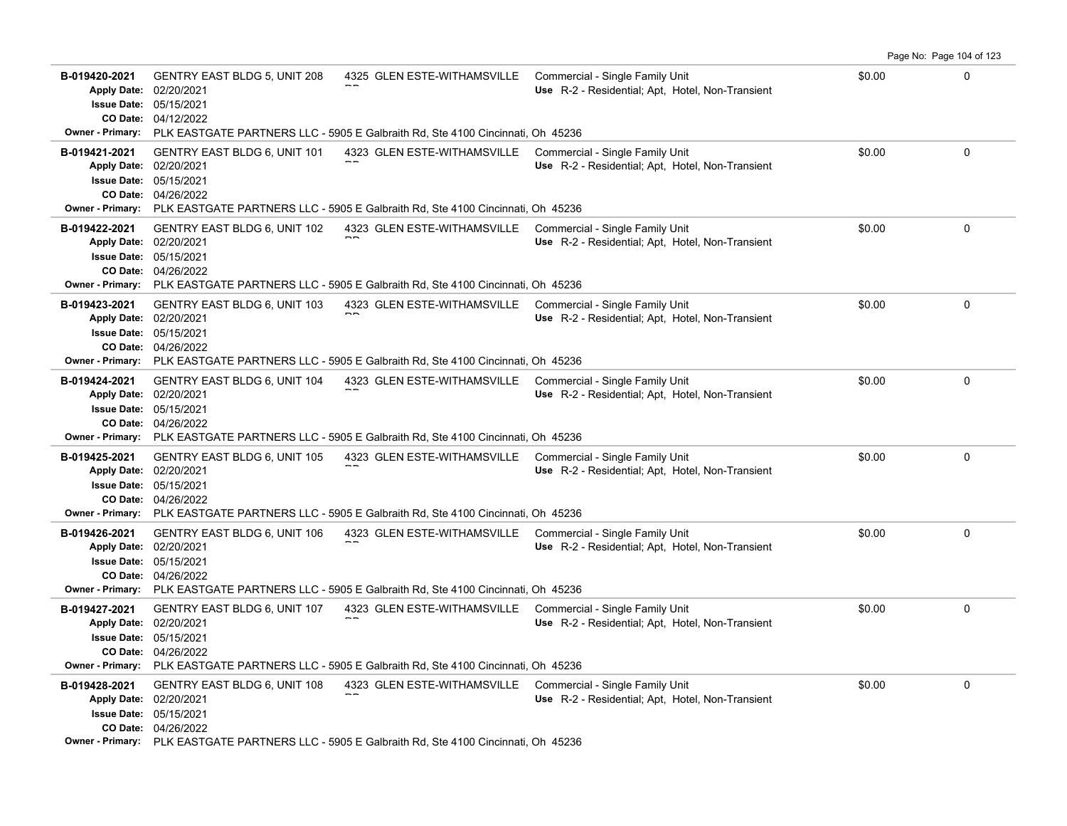|                                                                                                      |                                                                                             |                                                                                                                                                                |                                                                                     |        | Page No: Page 104 of 123 |
|------------------------------------------------------------------------------------------------------|---------------------------------------------------------------------------------------------|----------------------------------------------------------------------------------------------------------------------------------------------------------------|-------------------------------------------------------------------------------------|--------|--------------------------|
| B-019420-2021<br>Apply Date: 02/20/2021<br><b>Issue Date:</b>                                        | <b>GENTRY EAST BLDG 5, UNIT 208</b><br>05/15/2021<br>CO Date: 04/12/2022                    | 4325 GLEN ESTE-WITHAMSVILLE Commercial - Single Family Unit                                                                                                    | Use R-2 - Residential; Apt, Hotel, Non-Transient                                    | \$0.00 | $\Omega$                 |
| <b>Owner - Primary:</b>                                                                              |                                                                                             | PLK EASTGATE PARTNERS LLC - 5905 E Galbraith Rd, Ste 4100 Cincinnati, Oh 45236                                                                                 |                                                                                     |        |                          |
| B-019421-2021<br>Apply Date: 02/20/2021<br>Owner - Primary:                                          | <b>GENTRY EAST BLDG 6, UNIT 101</b><br><b>Issue Date: 05/15/2021</b><br>CO Date: 04/26/2022 | 4323 GLEN ESTE-WITHAMSVILLE<br>PLK EASTGATE PARTNERS LLC - 5905 E Galbraith Rd, Ste 4100 Cincinnati, Oh 45236                                                  | Commercial - Single Family Unit<br>Use R-2 - Residential; Apt, Hotel, Non-Transient | \$0.00 | 0                        |
| B-019422-2021<br><b>Apply Date:</b><br><b>Issue Date:</b><br><b>Owner - Primary:</b>                 | <b>GENTRY EAST BLDG 6, UNIT 102</b><br>02/20/2021<br>05/15/2021<br>CO Date: 04/26/2022      | 4323 GLEN ESTE-WITHAMSVILLE Commercial - Single Family Unit<br>PLK EASTGATE PARTNERS LLC - 5905 E Galbraith Rd, Ste 4100 Cincinnati, Oh 45236                  | Use R-2 - Residential; Apt, Hotel, Non-Transient                                    | \$0.00 | 0                        |
| B-019423-2021<br>Apply Date: 02/20/2021<br><b>Owner - Primary:</b>                                   | <b>GENTRY EAST BLDG 6, UNIT 103</b><br><b>Issue Date: 05/15/2021</b><br>CO Date: 04/26/2022 | 4323 GLEN ESTE-WITHAMSVILLE Commercial - Single Family Unit<br>PLK EASTGATE PARTNERS LLC - 5905 E Galbraith Rd, Ste 4100 Cincinnati, Oh 45236                  | Use R-2 - Residential; Apt, Hotel, Non-Transient                                    | \$0.00 | 0                        |
| B-019424-2021<br><b>Apply Date:</b><br><b>Issue Date: 05/15/2021</b>                                 | <b>GENTRY EAST BLDG 6, UNIT 104</b><br>02/20/2021<br>CO Date: 04/26/2022                    | 4323 GLEN ESTE-WITHAMSVILLE<br><b>Owner - Primary:</b> PLK EASTGATE PARTNERS LLC - 5905 E Galbraith Rd, Ste 4100 Cincinnati, Oh 45236                          | Commercial - Single Family Unit<br>Use R-2 - Residential; Apt. Hotel, Non-Transient | \$0.00 | $\mathbf 0$              |
| B-019425-2021<br>Apply Date: 02/20/2021<br><b>Issue Date:</b><br>CO Date:<br><b>Owner - Primary:</b> | <b>GENTRY EAST BLDG 6, UNIT 105</b><br>05/15/2021<br>04/26/2022                             | 4323 GLEN ESTE-WITHAMSVILLE Commercial - Single Family Unit<br>PLK EASTGATE PARTNERS LLC - 5905 E Galbraith Rd, Ste 4100 Cincinnati, Oh 45236                  | Use R-2 - Residential; Apt, Hotel, Non-Transient                                    | \$0.00 | 0                        |
| B-019426-2021<br>Apply Date: 02/20/2021<br><b>Issue Date: 05/15/2021</b>                             | <b>GENTRY EAST BLDG 6, UNIT 106</b><br>CO Date: 04/26/2022                                  | 4323 GLEN ESTE-WITHAMSVILLE Commercial - Single Family Unit<br>Owner - Primary: PLK EASTGATE PARTNERS LLC - 5905 E Galbraith Rd, Ste 4100 Cincinnati, Oh 45236 | Use R-2 - Residential; Apt, Hotel, Non-Transient                                    | \$0.00 | 0                        |
| B-019427-2021<br>Apply Date: 02/20/2021<br><b>Issue Date:</b><br><b>Owner - Primary:</b>             | GENTRY EAST BLDG 6, UNIT 107<br>05/15/2021<br>CO Date: 04/26/2022                           | 4323 GLEN ESTE-WITHAMSVILLE Commercial - Single Family Unit<br>PLK EASTGATE PARTNERS LLC - 5905 E Galbraith Rd, Ste 4100 Cincinnati, Oh 45236                  | Use R-2 - Residential; Apt, Hotel, Non-Transient                                    | \$0.00 | 0                        |
| B-019428-2021<br>Apply Date: 02/20/2021<br>Issue Date: 05/15/2021                                    | GENTRY EAST BLDG 6, UNIT 108<br>CO Date: 04/26/2022                                         | 4323 GLEN ESTE-WITHAMSVILLE Commercial - Single Family Unit<br>Owner - Primary: PLK EASTGATE PARTNERS LLC - 5905 E Galbraith Rd, Ste 4100 Cincinnati, Oh 45236 | Use R-2 - Residential; Apt, Hotel, Non-Transient                                    | \$0.00 | 0                        |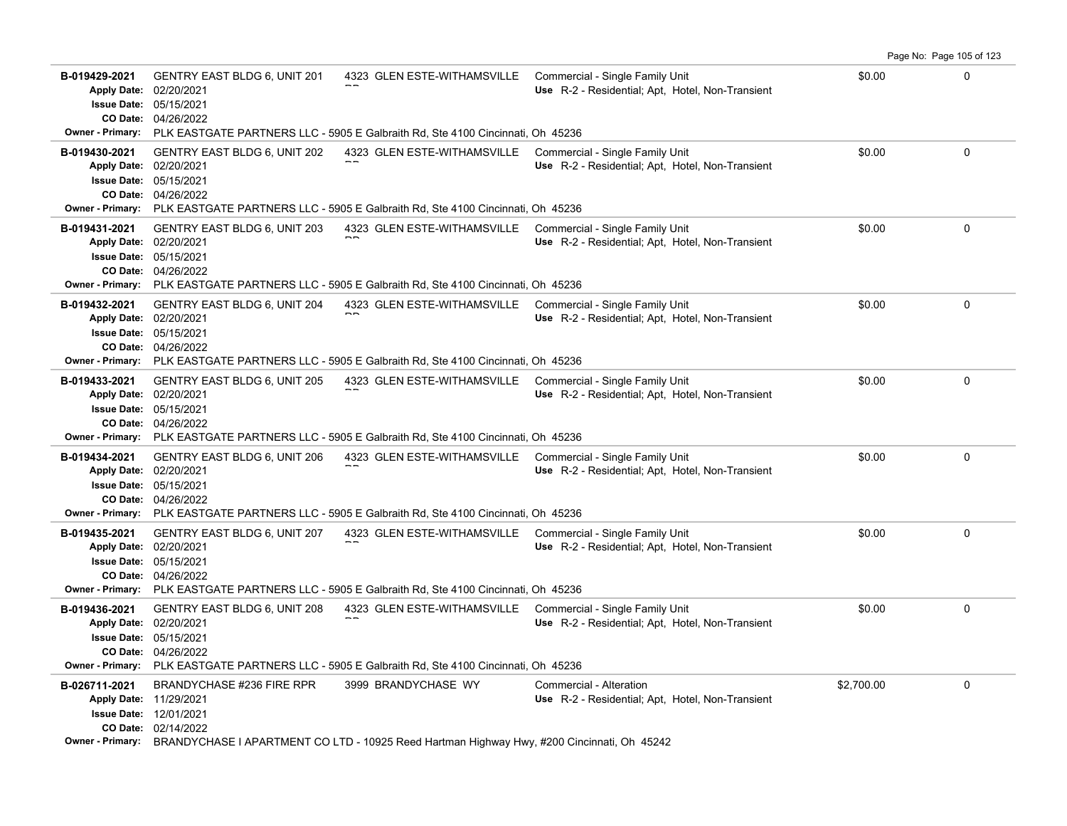|                                                                                                      |                                                                                             |                                                                                                                                                                |                                                                                     |            | Page No: Page 105 of 123 |
|------------------------------------------------------------------------------------------------------|---------------------------------------------------------------------------------------------|----------------------------------------------------------------------------------------------------------------------------------------------------------------|-------------------------------------------------------------------------------------|------------|--------------------------|
| B-019429-2021<br>Apply Date: 02/20/2021<br><b>Issue Date:</b>                                        | <b>GENTRY EAST BLDG 6, UNIT 201</b><br>05/15/2021<br>CO Date: 04/26/2022                    | 4323 GLEN ESTE-WITHAMSVILLE Commercial - Single Family Unit                                                                                                    | Use R-2 - Residential; Apt, Hotel, Non-Transient                                    | \$0.00     | $\Omega$                 |
| <b>Owner - Primary:</b>                                                                              |                                                                                             | PLK EASTGATE PARTNERS LLC - 5905 E Galbraith Rd, Ste 4100 Cincinnati, Oh 45236                                                                                 |                                                                                     |            |                          |
| B-019430-2021<br>Apply Date: 02/20/2021<br>Owner - Primary:                                          | <b>GENTRY EAST BLDG 6, UNIT 202</b><br><b>Issue Date: 05/15/2021</b><br>CO Date: 04/26/2022 | 4323 GLEN ESTE-WITHAMSVILLE<br>PLK EASTGATE PARTNERS LLC - 5905 E Galbraith Rd, Ste 4100 Cincinnati, Oh 45236                                                  | Commercial - Single Family Unit<br>Use R-2 - Residential; Apt, Hotel, Non-Transient | \$0.00     | 0                        |
| B-019431-2021<br><b>Apply Date:</b><br><b>Issue Date:</b><br><b>Owner - Primary:</b>                 | GENTRY EAST BLDG 6, UNIT 203<br>02/20/2021<br>05/15/2021<br>CO Date: 04/26/2022             | 4323 GLEN ESTE-WITHAMSVILLE Commercial - Single Family Unit<br>PLK EASTGATE PARTNERS LLC - 5905 E Galbraith Rd, Ste 4100 Cincinnati, Oh 45236                  | Use R-2 - Residential; Apt, Hotel, Non-Transient                                    | \$0.00     | 0                        |
| B-019432-2021<br>Apply Date: 02/20/2021<br><b>Owner - Primary:</b>                                   | <b>GENTRY EAST BLDG 6, UNIT 204</b><br><b>Issue Date: 05/15/2021</b><br>CO Date: 04/26/2022 | 4323 GLEN ESTE-WITHAMSVILLE Commercial - Single Family Unit<br>PLK EASTGATE PARTNERS LLC - 5905 E Galbraith Rd, Ste 4100 Cincinnati, Oh 45236                  | Use R-2 - Residential; Apt, Hotel, Non-Transient                                    | \$0.00     | 0                        |
| B-019433-2021<br><b>Apply Date:</b><br><b>Issue Date: 05/15/2021</b><br><b>Owner - Primary:</b>      | <b>GENTRY EAST BLDG 6, UNIT 205</b><br>02/20/2021<br>CO Date: 04/26/2022                    | 4323 GLEN ESTE-WITHAMSVILLE<br>PLK EASTGATE PARTNERS LLC - 5905 E Galbraith Rd, Ste 4100 Cincinnati, Oh 45236                                                  | Commercial - Single Family Unit<br>Use R-2 - Residential; Apt. Hotel, Non-Transient | \$0.00     | $\mathbf 0$              |
| B-019434-2021<br>Apply Date: 02/20/2021<br><b>Issue Date:</b><br>CO Date:<br><b>Owner - Primary:</b> | GENTRY EAST BLDG 6, UNIT 206<br>05/15/2021<br>04/26/2022                                    | 4323 GLEN ESTE-WITHAMSVILLE Commercial - Single Family Unit<br>PLK EASTGATE PARTNERS LLC - 5905 E Galbraith Rd, Ste 4100 Cincinnati, Oh 45236                  | Use R-2 - Residential; Apt, Hotel, Non-Transient                                    | \$0.00     | 0                        |
| B-019435-2021<br>Apply Date: 02/20/2021<br><b>Issue Date: 05/15/2021</b>                             | <b>GENTRY EAST BLDG 6, UNIT 207</b><br>CO Date: 04/26/2022                                  | 4323 GLEN ESTE-WITHAMSVILLE Commercial - Single Family Unit<br>Owner - Primary: PLK EASTGATE PARTNERS LLC - 5905 E Galbraith Rd, Ste 4100 Cincinnati, Oh 45236 | Use R-2 - Residential; Apt, Hotel, Non-Transient                                    | \$0.00     | 0                        |
| B-019436-2021<br><b>Apply Date:</b><br><b>Issue Date:</b><br><b>Owner - Primary:</b>                 | GENTRY EAST BLDG 6, UNIT 208<br>02/20/2021<br>05/15/2021<br>CO Date: 04/26/2022             | 4323 GLEN ESTE-WITHAMSVILLE Commercial - Single Family Unit<br>PLK EASTGATE PARTNERS LLC - 5905 E Galbraith Rd, Ste 4100 Cincinnati, Oh 45236                  | Use R-2 - Residential; Apt, Hotel, Non-Transient                                    | \$0.00     | 0                        |
| B-026711-2021<br>Apply Date: 11/29/2021                                                              | BRANDYCHASE #236 FIRE RPR<br><b>Issue Date: 12/01/2021</b><br>CO Date: 02/14/2022           | 3999 BRANDYCHASE WY<br>Owner - Primary: BRANDYCHASE I APARTMENT CO LTD - 10925 Reed Hartman Highway Hwy, #200 Cincinnati, Oh 45242                             | Commercial - Alteration<br>Use R-2 - Residential; Apt, Hotel, Non-Transient         | \$2,700.00 | 0                        |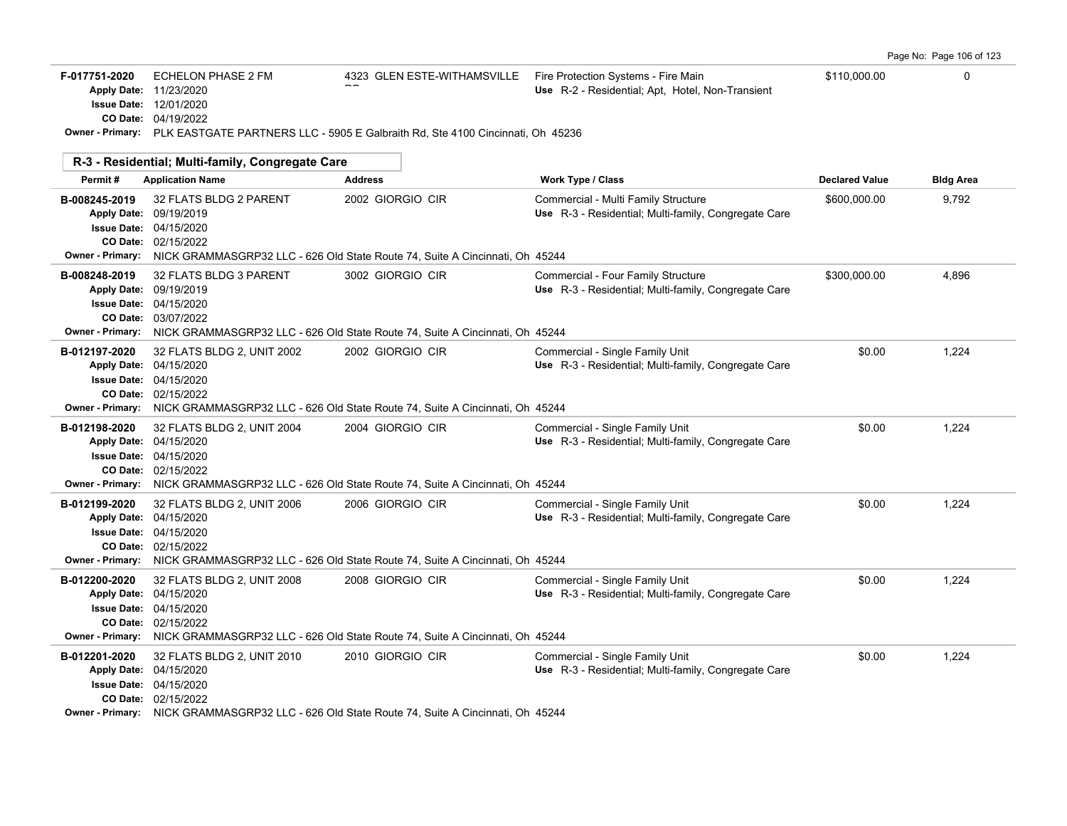Page No: Page 106 of 123

| F-017751-2020                            | <b>ECHELON PHASE 2 FM</b><br>Apply Date: 11/23/2020<br><b>Issue Date: 12/01/2020</b><br>CO Date: 04/19/2022<br>Owner - Primary: PLK EASTGATE PARTNERS LLC - 5905 E Galbraith Rd, Ste 4100 Cincinnati, Oh 45236       | 4323 GLEN ESTE-WITHAMSVILLE | Fire Protection Systems - Fire Main<br>Use R-2 - Residential; Apt, Hotel, Non-Transient     | \$110,000.00          | 0                |
|------------------------------------------|----------------------------------------------------------------------------------------------------------------------------------------------------------------------------------------------------------------------|-----------------------------|---------------------------------------------------------------------------------------------|-----------------------|------------------|
|                                          | R-3 - Residential; Multi-family, Congregate Care                                                                                                                                                                     |                             |                                                                                             |                       |                  |
| Permit#                                  | <b>Application Name</b>                                                                                                                                                                                              | <b>Address</b>              | <b>Work Type / Class</b>                                                                    | <b>Declared Value</b> | <b>Bldg Area</b> |
| B-008245-2019<br><b>Owner - Primary:</b> | 32 FLATS BLDG 2 PARENT<br>Apply Date: 09/19/2019<br><b>Issue Date: 04/15/2020</b><br>CO Date: 02/15/2022<br>NICK GRAMMASGRP32 LLC - 626 Old State Route 74, Suite A Cincinnati, Oh 45244                             | 2002 GIORGIO CIR            | Commercial - Multi Family Structure<br>Use R-3 - Residential; Multi-family, Congregate Care | \$600,000.00          | 9,792            |
| B-008248-2019                            | 32 FLATS BLDG 3 PARENT<br>Apply Date: 09/19/2019<br><b>Issue Date: 04/15/2020</b><br>CO Date: 03/07/2022<br>Owner - Primary: NICK GRAMMASGRP32 LLC - 626 Old State Route 74, Suite A Cincinnati, Oh 45244            | 3002 GIORGIO CIR            | Commercial - Four Family Structure<br>Use R-3 - Residential; Multi-family, Congregate Care  | \$300,000.00          | 4,896            |
| B-012197-2020                            | 32 FLATS BLDG 2, UNIT 2002<br>Apply Date: 04/15/2020<br><b>Issue Date: 04/15/2020</b><br>CO Date: 02/15/2022<br><b>Owner - Primary:</b> NICK GRAMMASGRP32 LLC - 626 Old State Route 74, Suite A Cincinnati, Oh 45244 | 2002 GIORGIO CIR            | Commercial - Single Family Unit<br>Use R-3 - Residential; Multi-family, Congregate Care     | \$0.00                | 1,224            |
| B-012198-2020                            | 32 FLATS BLDG 2, UNIT 2004<br>Apply Date: 04/15/2020<br>Issue Date: 04/15/2020<br>CO Date: 02/15/2022<br><b>Owner - Primary:</b> NICK GRAMMASGRP32 LLC - 626 Old State Route 74, Suite A Cincinnati, Oh 45244        | 2004 GIORGIO CIR            | Commercial - Single Family Unit<br>Use R-3 - Residential; Multi-family, Congregate Care     | \$0.00                | 1,224            |
| B-012199-2020                            | 32 FLATS BLDG 2, UNIT 2006<br>Apply Date: 04/15/2020<br><b>Issue Date: 04/15/2020</b><br>CO Date: 02/15/2022<br>Owner - Primary: NICK GRAMMASGRP32 LLC - 626 Old State Route 74, Suite A Cincinnati, Oh 45244        | 2006 GIORGIO CIR            | Commercial - Single Family Unit<br>Use R-3 - Residential; Multi-family, Congregate Care     | \$0.00                | 1,224            |
| B-012200-2020                            | 32 FLATS BLDG 2, UNIT 2008<br>Apply Date: 04/15/2020<br><b>Issue Date: 04/15/2020</b><br>CO Date: 02/15/2022<br><b>Owner - Primary:</b> NICK GRAMMASGRP32 LLC - 626 Old State Route 74, Suite A Cincinnati, Oh 45244 | 2008 GIORGIO CIR            | Commercial - Single Family Unit<br>Use R-3 - Residential; Multi-family, Congregate Care     | \$0.00                | 1,224            |
| B-012201-2020                            | 32 FLATS BLDG 2, UNIT 2010<br>Apply Date: 04/15/2020<br><b>Issue Date: 04/15/2020</b><br>CO Date: 02/15/2022<br><b>Owner - Primary:</b> NICK GRAMMASGRP32 LLC - 626 Old State Route 74, Suite A Cincinnati, Oh 45244 | 2010 GIORGIO CIR            | Commercial - Single Family Unit<br>Use R-3 - Residential; Multi-family, Congregate Care     | \$0.00                | 1,224            |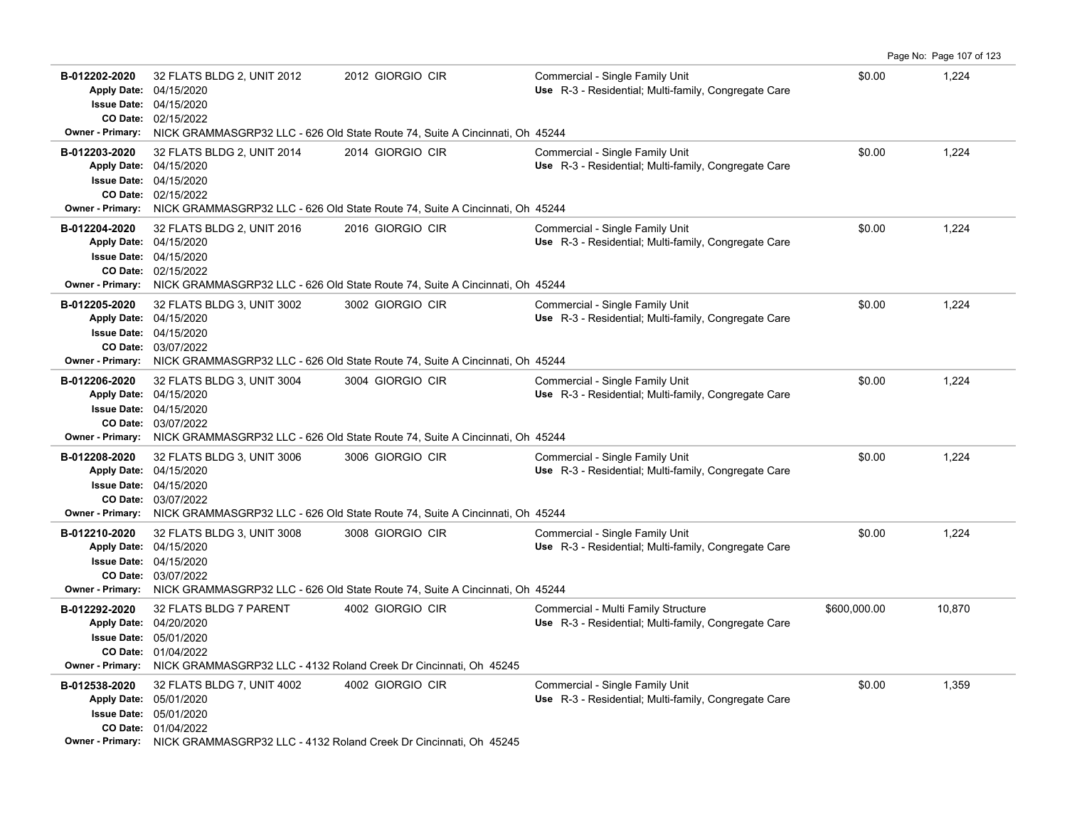| B-012202-2020<br><b>Apply Date:</b><br>CO Date:<br>Owner - Primary:                              | 32 FLATS BLDG 2, UNIT 2012<br>04/15/2020<br><b>Issue Date: 04/15/2020</b><br>02/15/2022                                                                             | 2012 GIORGIO CIR<br>NICK GRAMMASGRP32 LLC - 626 Old State Route 74, Suite A Cincinnati, Oh 45244                         | Commercial - Single Family Unit<br>Use R-3 - Residential; Multi-family, Congregate Care     | \$0.00       | 1,224  |
|--------------------------------------------------------------------------------------------------|---------------------------------------------------------------------------------------------------------------------------------------------------------------------|--------------------------------------------------------------------------------------------------------------------------|---------------------------------------------------------------------------------------------|--------------|--------|
| B-012203-2020<br><b>Apply Date:</b><br><b>Issue Date:</b><br><b>Owner - Primary:</b>             | 32 FLATS BLDG 2, UNIT 2014<br>04/15/2020<br>04/15/2020<br>CO Date: 02/15/2022                                                                                       | 2014 GIORGIO CIR<br>NICK GRAMMASGRP32 LLC - 626 Old State Route 74, Suite A Cincinnati, Oh 45244                         | Commercial - Single Family Unit<br>Use R-3 - Residential; Multi-family, Congregate Care     | \$0.00       | 1,224  |
| B-012204-2020<br><b>Issue Date:</b>                                                              | 32 FLATS BLDG 2, UNIT 2016<br>Apply Date: 04/15/2020<br>04/15/2020<br>CO Date: 02/15/2022                                                                           | 2016 GIORGIO CIR<br>Owner - Primary: NICK GRAMMASGRP32 LLC - 626 Old State Route 74, Suite A Cincinnati, Oh 45244        | Commercial - Single Family Unit<br>Use R-3 - Residential; Multi-family, Congregate Care     | \$0.00       | 1,224  |
| B-012205-2020<br><b>Issue Date:</b><br>Owner - Primary:                                          | 32 FLATS BLDG 3, UNIT 3002<br>Apply Date: 04/15/2020<br>04/15/2020<br>CO Date: 03/07/2022                                                                           | 3002 GIORGIO CIR<br>NICK GRAMMASGRP32 LLC - 626 Old State Route 74, Suite A Cincinnati, Oh 45244                         | Commercial - Single Family Unit<br>Use R-3 - Residential: Multi-family, Congregate Care     | \$0.00       | 1,224  |
| B-012206-2020<br><b>Apply Date:</b><br>CO Date:<br><b>Owner - Primary:</b>                       | 32 FLATS BLDG 3, UNIT 3004<br>04/15/2020<br><b>Issue Date: 04/15/2020</b><br>03/07/2022                                                                             | 3004 GIORGIO CIR<br>NICK GRAMMASGRP32 LLC - 626 Old State Route 74, Suite A Cincinnati, Oh 45244                         | Commercial - Single Family Unit<br>Use R-3 - Residential; Multi-family, Congregate Care     | \$0.00       | 1.224  |
| B-012208-2020<br><b>Apply Date:</b>                                                              | 32 FLATS BLDG 3, UNIT 3006<br>04/15/2020<br><b>Issue Date: 04/15/2020</b><br>CO Date: 03/07/2022                                                                    | 3006 GIORGIO CIR<br><b>Owner - Primary:</b> NICK GRAMMASGRP32 LLC - 626 Old State Route 74, Suite A Cincinnati, Oh 45244 | Commercial - Single Family Unit<br>Use R-3 - Residential; Multi-family, Congregate Care     | \$0.00       | 1,224  |
| B-012210-2020<br><b>Apply Date:</b><br>CO Date:<br><b>Owner - Primary:</b>                       | 32 FLATS BLDG 3, UNIT 3008<br>04/15/2020<br><b>Issue Date: 04/15/2020</b><br>03/07/2022                                                                             | 3008 GIORGIO CIR<br>NICK GRAMMASGRP32 LLC - 626 Old State Route 74, Suite A Cincinnati, Oh 45244                         | Commercial - Single Family Unit<br>Use R-3 - Residential; Multi-family, Congregate Care     | \$0.00       | 1,224  |
| B-012292-2020<br><b>Apply Date:</b><br><b>Issue Date:</b><br>CO Date:<br><b>Owner - Primary:</b> | 32 FLATS BLDG 7 PARENT<br>04/20/2020<br>05/01/2020<br>01/04/2022<br>NICK GRAMMASGRP32 LLC - 4132 Roland Creek Dr Cincinnati, Oh 45245                               | 4002 GIORGIO CIR                                                                                                         | Commercial - Multi Family Structure<br>Use R-3 - Residential; Multi-family, Congregate Care | \$600,000.00 | 10,870 |
| B-012538-2020<br><b>Apply Date:</b><br><b>Issue Date:</b>                                        | 32 FLATS BLDG 7, UNIT 4002<br>05/01/2020<br>05/01/2020<br>CO Date: 01/04/2022<br>Owner - Primary: NICK GRAMMASGRP32 LLC - 4132 Roland Creek Dr Cincinnati, Oh 45245 | 4002 GIORGIO CIR                                                                                                         | Commercial - Single Family Unit<br>Use R-3 - Residential; Multi-family, Congregate Care     | \$0.00       | 1,359  |

Page No: Page 107 of 123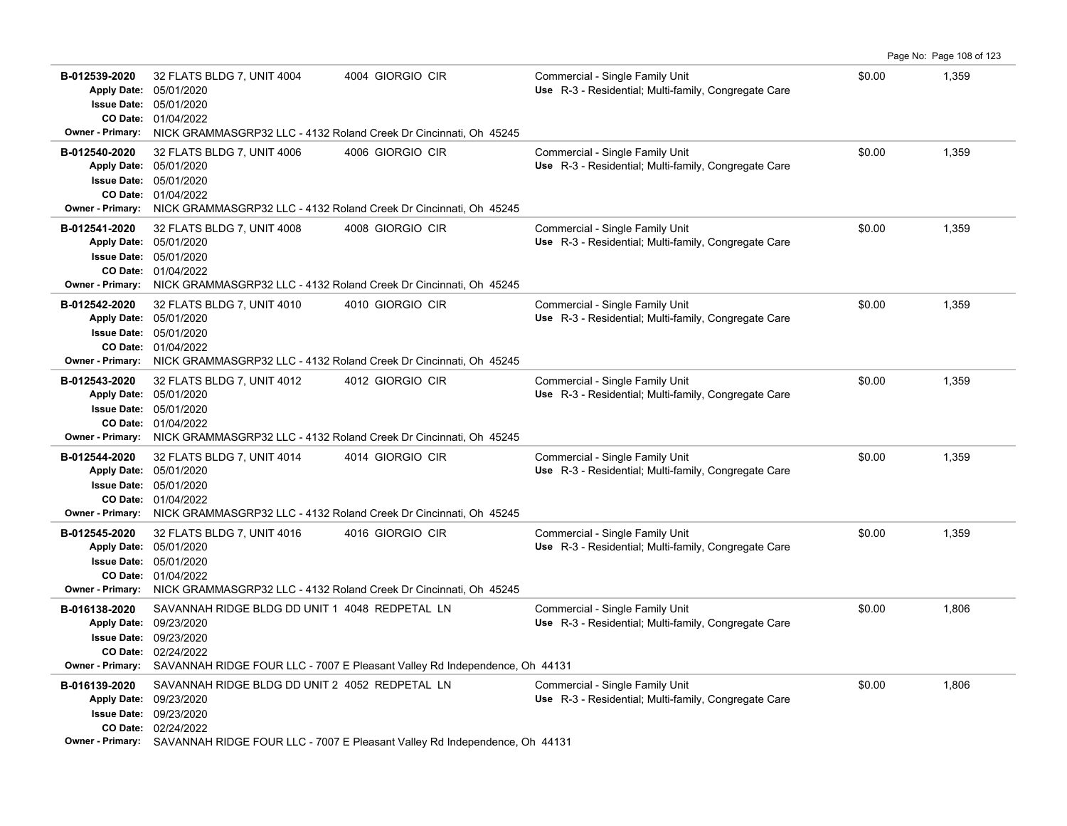|                                                                                                  |                                                                                                                                                                                                              |                                                                            |                                                                                         |        | Page No: Page 108 of 123 |
|--------------------------------------------------------------------------------------------------|--------------------------------------------------------------------------------------------------------------------------------------------------------------------------------------------------------------|----------------------------------------------------------------------------|-----------------------------------------------------------------------------------------|--------|--------------------------|
| B-012539-2020<br><b>Issue Date:</b><br><b>Owner - Primary:</b>                                   | 32 FLATS BLDG 7, UNIT 4004<br>Apply Date: 05/01/2020<br>05/01/2020<br>CO Date: 01/04/2022<br>NICK GRAMMASGRP32 LLC - 4132 Roland Creek Dr Cincinnati, Oh 45245                                               | 4004 GIORGIO CIR                                                           | Commercial - Single Family Unit<br>Use R-3 - Residential; Multi-family, Congregate Care | \$0.00 | 1,359                    |
| B-012540-2020<br><b>Apply Date:</b>                                                              | 32 FLATS BLDG 7, UNIT 4006<br>05/01/2020<br><b>Issue Date: 05/01/2020</b><br>CO Date: 01/04/2022<br>Owner - Primary: NICK GRAMMASGRP32 LLC - 4132 Roland Creek Dr Cincinnati, Oh 45245                       | 4006 GIORGIO CIR                                                           | Commercial - Single Family Unit<br>Use R-3 - Residential; Multi-family, Congregate Care | \$0.00 | 1,359                    |
| B-012541-2020<br><b>Apply Date:</b><br><b>Issue Date:</b><br>CO Date:<br><b>Owner - Primary:</b> | 32 FLATS BLDG 7, UNIT 4008<br>05/01/2020<br>05/01/2020<br>01/04/2022<br>NICK GRAMMASGRP32 LLC - 4132 Roland Creek Dr Cincinnati, Oh 45245                                                                    | 4008 GIORGIO CIR                                                           | Commercial - Single Family Unit<br>Use R-3 - Residential; Multi-family, Congregate Care | \$0.00 | 1,359                    |
| B-012542-2020<br><b>Apply Date:</b>                                                              | 32 FLATS BLDG 7, UNIT 4010<br>05/01/2020<br><b>Issue Date: 05/01/2020</b><br>CO Date: 01/04/2022<br>Owner - Primary: NICK GRAMMASGRP32 LLC - 4132 Roland Creek Dr Cincinnati, Oh 45245                       | 4010 GIORGIO CIR                                                           | Commercial - Single Family Unit<br>Use R-3 - Residential; Multi-family, Congregate Care | \$0.00 | 1,359                    |
| B-012543-2020<br><b>Apply Date:</b>                                                              | 32 FLATS BLDG 7, UNIT 4012<br>05/01/2020<br><b>Issue Date: 05/01/2020</b><br>CO Date: 01/04/2022<br>Owner - Primary: NICK GRAMMASGRP32 LLC - 4132 Roland Creek Dr Cincinnati, Oh 45245                       | 4012 GIORGIO CIR                                                           | Commercial - Single Family Unit<br>Use R-3 - Residential: Multi-family, Congregate Care | \$0.00 | 1,359                    |
| B-012544-2020<br><b>Apply Date:</b><br><b>Issue Date:</b>                                        | 32 FLATS BLDG 7, UNIT 4014<br>05/01/2020<br>05/01/2020<br>CO Date: 01/04/2022<br>Owner - Primary: NICK GRAMMASGRP32 LLC - 4132 Roland Creek Dr Cincinnati, Oh 45245                                          | 4014 GIORGIO CIR                                                           | Commercial - Single Family Unit<br>Use R-3 - Residential; Multi-family, Congregate Care | \$0.00 | 1,359                    |
| B-012545-2020<br><b>Apply Date:</b>                                                              | 32 FLATS BLDG 7, UNIT 4016<br>05/01/2020<br><b>Issue Date: 05/01/2020</b><br>CO Date: 01/04/2022<br>Owner - Primary: NICK GRAMMASGRP32 LLC - 4132 Roland Creek Dr Cincinnati, Oh 45245                       | 4016 GIORGIO CIR                                                           | Commercial - Single Family Unit<br>Use R-3 - Residential; Multi-family, Congregate Care | \$0.00 | 1,359                    |
| B-016138-2020<br><b>Apply Date:</b><br><b>Issue Date:</b><br><b>Owner - Primary:</b>             | SAVANNAH RIDGE BLDG DD UNIT 1 4048 REDPETAL LN<br>09/23/2020<br>09/23/2020<br>CO Date: 02/24/2022                                                                                                            | SAVANNAH RIDGE FOUR LLC - 7007 E Pleasant Valley Rd Independence, Oh 44131 | Commercial - Single Family Unit<br>Use R-3 - Residential; Multi-family, Congregate Care | \$0.00 | 1,806                    |
| B-016139-2020<br>Apply Date: 09/23/2020                                                          | SAVANNAH RIDGE BLDG DD UNIT 2 4052 REDPETAL LN<br><b>Issue Date: 09/23/2020</b><br>CO Date: 02/24/2022<br><b>Owner - Primary:</b> SAVANNAH RIDGE FOUR LLC - 7007 E Pleasant Valley Rd Independence, Oh 44131 |                                                                            | Commercial - Single Family Unit<br>Use R-3 - Residential; Multi-family, Congregate Care | \$0.00 | 1,806                    |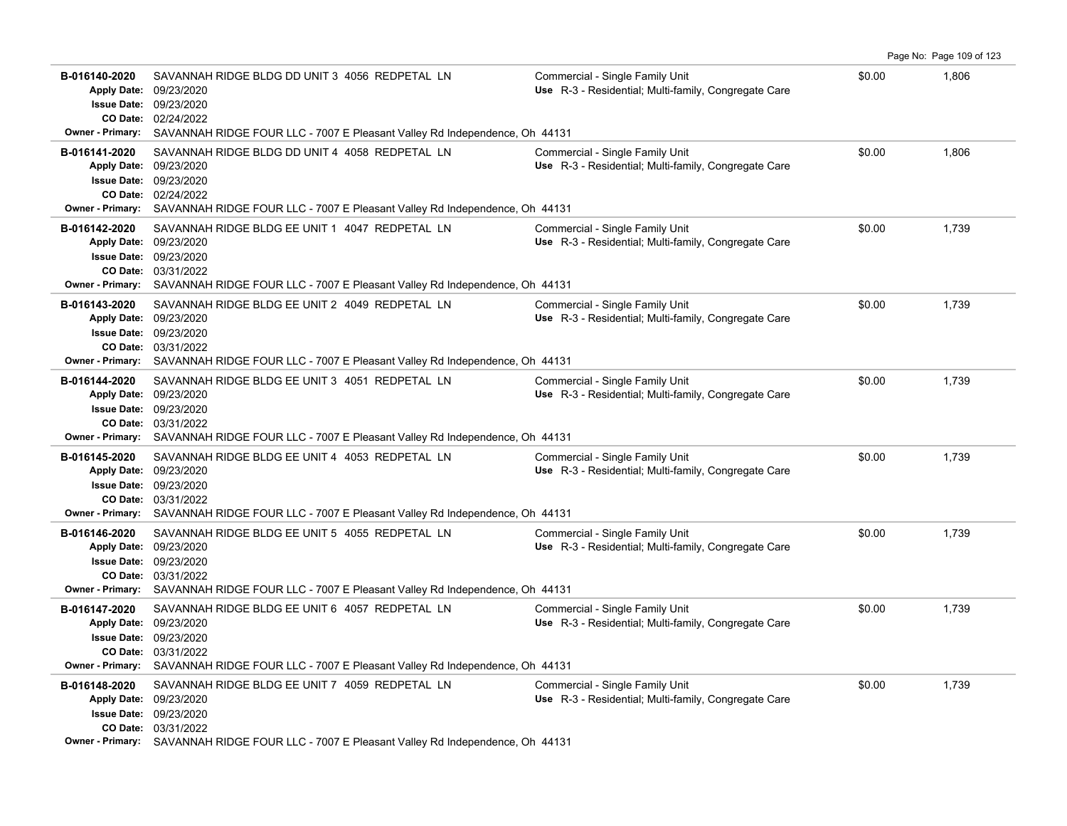|                                                                                                  |                                                                                                                                                                                                                                        |                                                                                         |        | Page No: Page 109 of 123 |
|--------------------------------------------------------------------------------------------------|----------------------------------------------------------------------------------------------------------------------------------------------------------------------------------------------------------------------------------------|-----------------------------------------------------------------------------------------|--------|--------------------------|
| B-016140-2020<br><b>Apply Date:</b><br><b>Issue Date:</b><br><b>Owner - Primary:</b>             | SAVANNAH RIDGE BLDG DD UNIT 3 4056 REDPETAL LN<br>09/23/2020<br>09/23/2020<br>CO Date: 02/24/2022<br>SAVANNAH RIDGE FOUR LLC - 7007 E Pleasant Valley Rd Independence, Oh 44131                                                        | Commercial - Single Family Unit<br>Use R-3 - Residential; Multi-family, Congregate Care | \$0.00 | 1,806                    |
| B-016141-2020<br><b>Apply Date:</b><br><b>Owner - Primary:</b>                                   | SAVANNAH RIDGE BLDG DD UNIT 4 4058 REDPETAL LN<br>09/23/2020<br><b>Issue Date: 09/23/2020</b><br>CO Date: 02/24/2022<br>SAVANNAH RIDGE FOUR LLC - 7007 E Pleasant Valley Rd Independence, Oh 44131                                     | Commercial - Single Family Unit<br>Use R-3 - Residential; Multi-family, Congregate Care | \$0.00 | 1,806                    |
| B-016142-2020<br><b>Apply Date:</b><br><b>Issue Date:</b><br>CO Date:<br><b>Owner - Primary:</b> | SAVANNAH RIDGE BLDG EE UNIT 1 4047 REDPETAL LN<br>09/23/2020<br>09/23/2020<br>03/31/2022<br>SAVANNAH RIDGE FOUR LLC - 7007 E Pleasant Valley Rd Independence, Oh 44131                                                                 | Commercial - Single Family Unit<br>Use R-3 - Residential; Multi-family, Congregate Care | \$0.00 | 1,739                    |
| B-016143-2020<br><b>Apply Date:</b><br>CO Date:<br>Owner - Primary:                              | SAVANNAH RIDGE BLDG EE UNIT 2 4049 REDPETAL LN<br>09/23/2020<br><b>Issue Date: 09/23/2020</b><br>03/31/2022<br>SAVANNAH RIDGE FOUR LLC - 7007 E Pleasant Valley Rd Independence, Oh 44131                                              | Commercial - Single Family Unit<br>Use R-3 - Residential; Multi-family, Congregate Care | \$0.00 | 1,739                    |
| B-016144-2020<br><b>Apply Date:</b><br>Owner - Primary:                                          | SAVANNAH RIDGE BLDG EE UNIT 3 4051 REDPETAL LN<br>09/23/2020<br><b>Issue Date: 09/23/2020</b><br>CO Date: 03/31/2022<br>SAVANNAH RIDGE FOUR LLC - 7007 E Pleasant Valley Rd Independence, Oh 44131                                     | Commercial - Single Family Unit<br>Use R-3 - Residential; Multi-family, Congregate Care | \$0.00 | 1,739                    |
| B-016145-2020<br><b>Apply Date:</b><br><b>Issue Date:</b><br><b>Owner - Primary:</b>             | SAVANNAH RIDGE BLDG EE UNIT 4 4053 REDPETAL LN<br>09/23/2020<br>09/23/2020<br>CO Date: 03/31/2022<br>SAVANNAH RIDGE FOUR LLC - 7007 E Pleasant Valley Rd Independence, Oh 44131                                                        | Commercial - Single Family Unit<br>Use R-3 - Residential; Multi-family, Congregate Care | \$0.00 | 1,739                    |
| B-016146-2020<br><b>Apply Date:</b>                                                              | SAVANNAH RIDGE BLDG EE UNIT 5 4055 REDPETAL LN<br>09/23/2020<br><b>Issue Date: 09/23/2020</b><br>CO Date: 03/31/2022<br><b>Owner - Primary:</b> SAVANNAH RIDGE FOUR LLC - 7007 E Pleasant Valley Rd Independence, Oh 44131             | Commercial - Single Family Unit<br>Use R-3 - Residential; Multi-family, Congregate Care | \$0.00 | 1,739                    |
| B-016147-2020<br><b>Issue Date:</b><br><b>Owner - Primary:</b>                                   | SAVANNAH RIDGE BLDG EE UNIT 6 4057 REDPETAL LN<br>Apply Date: 09/23/2020<br>09/23/2020<br>CO Date: 03/31/2022<br>SAVANNAH RIDGE FOUR LLC - 7007 E Pleasant Valley Rd Independence, Oh 44131                                            | Commercial - Single Family Unit<br>Use R-3 - Residential; Multi-family, Congregate Care | \$0.00 | 1,739                    |
| B-016148-2020                                                                                    | SAVANNAH RIDGE BLDG EE UNIT 7 4059 REDPETAL LN<br>Apply Date: 09/23/2020<br><b>Issue Date: 09/23/2020</b><br>CO Date: 03/31/2022<br><b>Owner - Primary:</b> SAVANNAH RIDGE FOUR LLC - 7007 E Pleasant Valley Rd Independence, Oh 44131 | Commercial - Single Family Unit<br>Use R-3 - Residential; Multi-family, Congregate Care | \$0.00 | 1,739                    |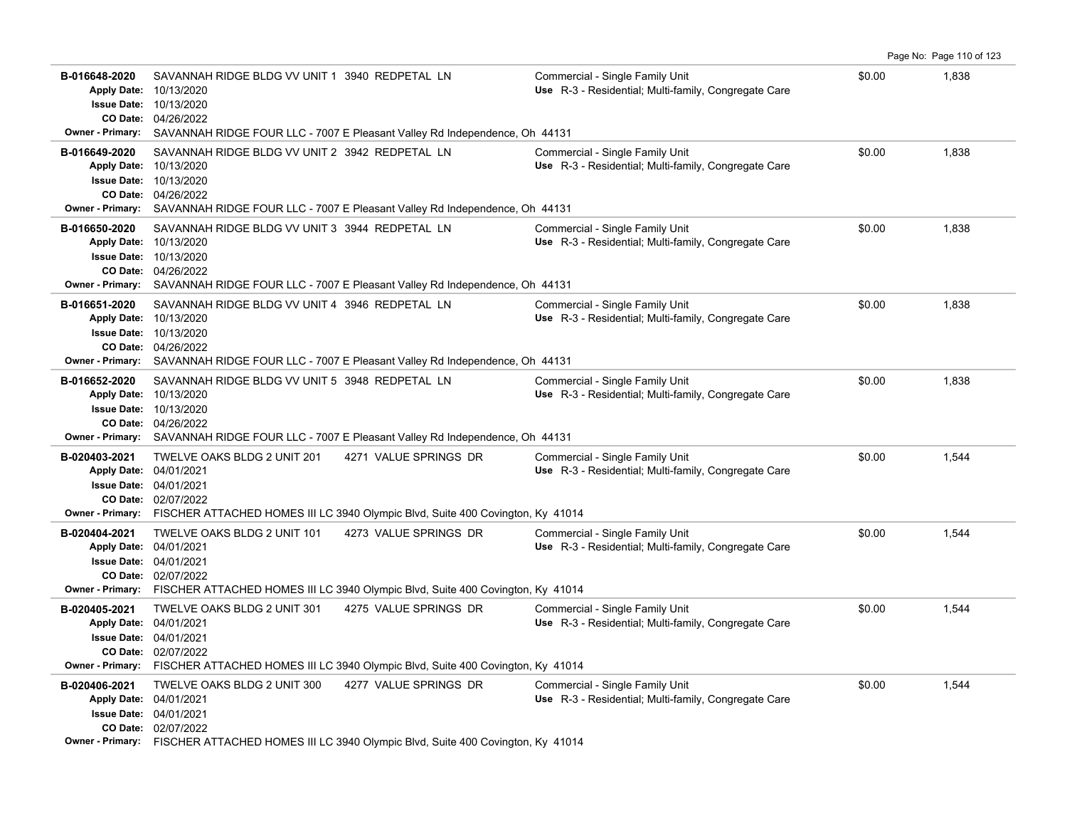|                                                                                                  |                                                                                                   |                                                                                                                          |                                                                                         |        | Page No: Page 110 of 123 |
|--------------------------------------------------------------------------------------------------|---------------------------------------------------------------------------------------------------|--------------------------------------------------------------------------------------------------------------------------|-----------------------------------------------------------------------------------------|--------|--------------------------|
| B-016648-2020<br><b>Apply Date:</b><br><b>Issue Date:</b><br>CO Date:<br><b>Owner - Primary:</b> | SAVANNAH RIDGE BLDG VV UNIT 1 3940 REDPETAL LN<br>10/13/2020<br>10/13/2020<br>04/26/2022          | SAVANNAH RIDGE FOUR LLC - 7007 E Pleasant Valley Rd Independence, Oh 44131                                               | Commercial - Single Family Unit<br>Use R-3 - Residential; Multi-family, Congregate Care | \$0.00 | 1,838                    |
| B-016649-2020<br><b>Apply Date:</b><br><b>Issue Date:</b><br><b>Owner - Primary:</b>             | SAVANNAH RIDGE BLDG VV UNIT 2 3942 REDPETAL LN<br>10/13/2020<br>10/13/2020<br>CO Date: 04/26/2022 | SAVANNAH RIDGE FOUR LLC - 7007 E Pleasant Valley Rd Independence, Oh 44131                                               | Commercial - Single Family Unit<br>Use R-3 - Residential; Multi-family, Congregate Care | \$0.00 | 1,838                    |
| B-016650-2020<br><b>Apply Date:</b><br><b>Issue Date:</b><br>CO Date:<br><b>Owner - Primary:</b> | SAVANNAH RIDGE BLDG VV UNIT 3 3944 REDPETAL LN<br>10/13/2020<br>10/13/2020<br>04/26/2022          | SAVANNAH RIDGE FOUR LLC - 7007 E Pleasant Valley Rd Independence, Oh 44131                                               | Commercial - Single Family Unit<br>Use R-3 - Residential; Multi-family, Congregate Care | \$0.00 | 1,838                    |
| B-016651-2020<br><b>Apply Date:</b><br><b>Issue Date:</b><br>CO Date:<br><b>Owner - Primary:</b> | SAVANNAH RIDGE BLDG VV UNIT 4 3946 REDPETAL LN<br>10/13/2020<br>10/13/2020<br>04/26/2022          | SAVANNAH RIDGE FOUR LLC - 7007 E Pleasant Valley Rd Independence, Oh 44131                                               | Commercial - Single Family Unit<br>Use R-3 - Residential; Multi-family, Congregate Care | \$0.00 | 1,838                    |
| B-016652-2020<br><b>Apply Date:</b><br><b>Issue Date:</b><br>CO Date:<br><b>Owner - Primary:</b> | SAVANNAH RIDGE BLDG VV UNIT 5 3948 REDPETAL LN<br>10/13/2020<br>10/13/2020<br>04/26/2022          | SAVANNAH RIDGE FOUR LLC - 7007 E Pleasant Valley Rd Independence, Oh 44131                                               | Commercial - Single Family Unit<br>Use R-3 - Residential; Multi-family, Congregate Care | \$0.00 | 1,838                    |
| B-020403-2021<br><b>Apply Date:</b>                                                              | TWELVE OAKS BLDG 2 UNIT 201<br>04/01/2021<br><b>Issue Date: 04/01/2021</b><br>CO Date: 02/07/2022 | 4271 VALUE SPRINGS DR<br>Owner - Primary: FISCHER ATTACHED HOMES III LC 3940 Olympic Blvd, Suite 400 Covington, Ky 41014 | Commercial - Single Family Unit<br>Use R-3 - Residential; Multi-family, Congregate Care | \$0.00 | 1,544                    |
| B-020404-2021<br><b>Apply Date:</b><br>CO Date:                                                  | TWELVE OAKS BLDG 2 UNIT 101<br>04/01/2021<br><b>Issue Date: 04/01/2021</b><br>02/07/2022          | 4273 VALUE SPRINGS DR<br>Owner - Primary: FISCHER ATTACHED HOMES III LC 3940 Olympic Blvd, Suite 400 Covington, Ky 41014 | Commercial - Single Family Unit<br>Use R-3 - Residential; Multi-family, Congregate Care | \$0.00 | 1,544                    |
| B-020405-2021<br>Apply Date: 04/01/2021                                                          | TWELVE OAKS BLDG 2 UNIT 301<br><b>Issue Date: 04/01/2021</b><br>CO Date: 02/07/2022               | 4275 VALUE SPRINGS DR<br>Owner - Primary: FISCHER ATTACHED HOMES III LC 3940 Olympic Blvd, Suite 400 Covington, Ky 41014 | Commercial - Single Family Unit<br>Use R-3 - Residential; Multi-family, Congregate Care | \$0.00 | 1,544                    |
| B-020406-2021<br><b>Apply Date:</b>                                                              | TWELVE OAKS BLDG 2 UNIT 300<br>04/01/2021<br>Issue Date: 04/01/2021<br>CO Date: 02/07/2022        | 4277 VALUE SPRINGS DR<br>Owner - Primary: FISCHER ATTACHED HOMES III LC 3940 Olympic Blvd, Suite 400 Covington, Ky 41014 | Commercial - Single Family Unit<br>Use R-3 - Residential; Multi-family, Congregate Care | \$0.00 | 1,544                    |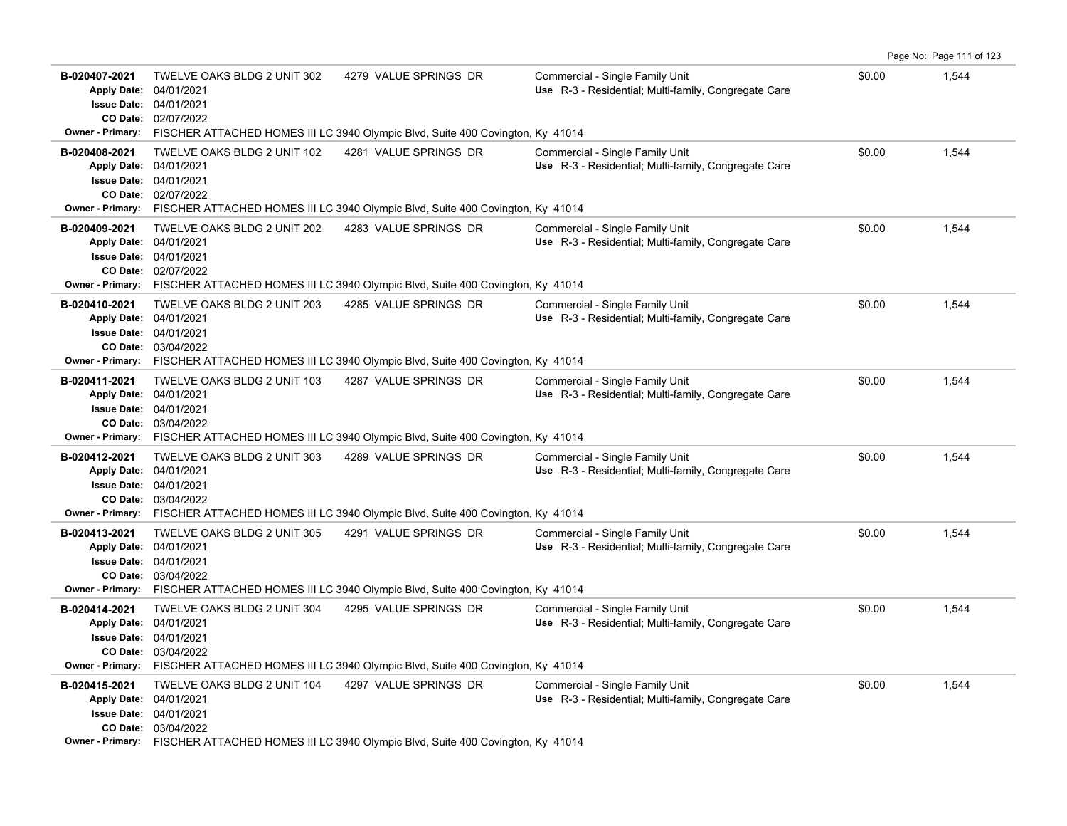| B-020407-2021<br><b>Apply Date:</b><br><b>Owner - Primary:</b> | TWELVE OAKS BLDG 2 UNIT 302<br>04/01/2021<br><b>Issue Date: 04/01/2021</b><br>CO Date: 02/07/2022             | 4279 VALUE SPRINGS DR<br>FISCHER ATTACHED HOMES III LC 3940 Olympic Blvd, Suite 400 Covington, Ky 41014                  | Commercial - Single Family Unit<br>Use R-3 - Residential; Multi-family, Congregate Care | \$0.00 | 1,544 |
|----------------------------------------------------------------|---------------------------------------------------------------------------------------------------------------|--------------------------------------------------------------------------------------------------------------------------|-----------------------------------------------------------------------------------------|--------|-------|
| B-020408-2021<br>Owner - Primary:                              | TWELVE OAKS BLDG 2 UNIT 102<br>Apply Date: 04/01/2021<br><b>Issue Date: 04/01/2021</b><br>CO Date: 02/07/2022 | 4281 VALUE SPRINGS DR<br>FISCHER ATTACHED HOMES III LC 3940 Olympic Blvd, Suite 400 Covington, Ky 41014                  | Commercial - Single Family Unit<br>Use R-3 - Residential; Multi-family, Congregate Care | \$0.00 | 1,544 |
| B-020409-2021                                                  | TWELVE OAKS BLDG 2 UNIT 202<br>Apply Date: 04/01/2021<br><b>Issue Date: 04/01/2021</b><br>CO Date: 02/07/2022 | 4283 VALUE SPRINGS DR<br>Owner - Primary: FISCHER ATTACHED HOMES III LC 3940 Olympic Blvd, Suite 400 Covington, Ky 41014 | Commercial - Single Family Unit<br>Use R-3 - Residential; Multi-family, Congregate Care | \$0.00 | 1,544 |
| B-020410-2021<br><b>Owner - Primary:</b>                       | TWELVE OAKS BLDG 2 UNIT 203<br>Apply Date: 04/01/2021<br><b>Issue Date: 04/01/2021</b><br>CO Date: 03/04/2022 | 4285 VALUE SPRINGS DR<br>FISCHER ATTACHED HOMES III LC 3940 Olympic Blvd, Suite 400 Covington, Ky 41014                  | Commercial - Single Family Unit<br>Use R-3 - Residential; Multi-family, Congregate Care | \$0.00 | 1,544 |
| B-020411-2021                                                  | TWELVE OAKS BLDG 2 UNIT 103<br>Apply Date: 04/01/2021<br><b>Issue Date: 04/01/2021</b><br>CO Date: 03/04/2022 | 4287 VALUE SPRINGS DR<br>Owner - Primary: FISCHER ATTACHED HOMES III LC 3940 Olympic Blvd, Suite 400 Covington, Ky 41014 | Commercial - Single Family Unit<br>Use R-3 - Residential; Multi-family, Congregate Care | \$0.00 | 1.544 |
| B-020412-2021                                                  | TWELVE OAKS BLDG 2 UNIT 303<br>Apply Date: 04/01/2021<br><b>Issue Date: 04/01/2021</b><br>CO Date: 03/04/2022 | 4289 VALUE SPRINGS DR<br>Owner - Primary: FISCHER ATTACHED HOMES III LC 3940 Olympic Blvd, Suite 400 Covington, Ky 41014 | Commercial - Single Family Unit<br>Use R-3 - Residential; Multi-family, Congregate Care | \$0.00 | 1,544 |
| B-020413-2021                                                  | TWELVE OAKS BLDG 2 UNIT 305<br>Apply Date: 04/01/2021<br><b>Issue Date: 04/01/2021</b><br>CO Date: 03/04/2022 | 4291 VALUE SPRINGS DR<br>Owner - Primary: FISCHER ATTACHED HOMES III LC 3940 Olympic Blvd, Suite 400 Covington, Ky 41014 | Commercial - Single Family Unit<br>Use R-3 - Residential; Multi-family, Congregate Care | \$0.00 | 1,544 |
| B-020414-2021<br><b>Owner - Primary:</b>                       | TWELVE OAKS BLDG 2 UNIT 304<br>Apply Date: 04/01/2021<br><b>Issue Date: 04/01/2021</b><br>CO Date: 03/04/2022 | 4295 VALUE SPRINGS DR<br>FISCHER ATTACHED HOMES III LC 3940 Olympic Blvd, Suite 400 Covington, Ky 41014                  | Commercial - Single Family Unit<br>Use R-3 - Residential; Multi-family, Congregate Care | \$0.00 | 1,544 |
| B-020415-2021                                                  | TWELVE OAKS BLDG 2 UNIT 104<br>Apply Date: 04/01/2021<br><b>Issue Date: 04/01/2021</b><br>CO Date: 03/04/2022 | 4297 VALUE SPRINGS DR<br>Owner - Primary: FISCHER ATTACHED HOMES III LC 3940 Olympic Blvd, Suite 400 Covington, Ky 41014 | Commercial - Single Family Unit<br>Use R-3 - Residential; Multi-family, Congregate Care | \$0.00 | 1,544 |

Page No: Page 111 of 123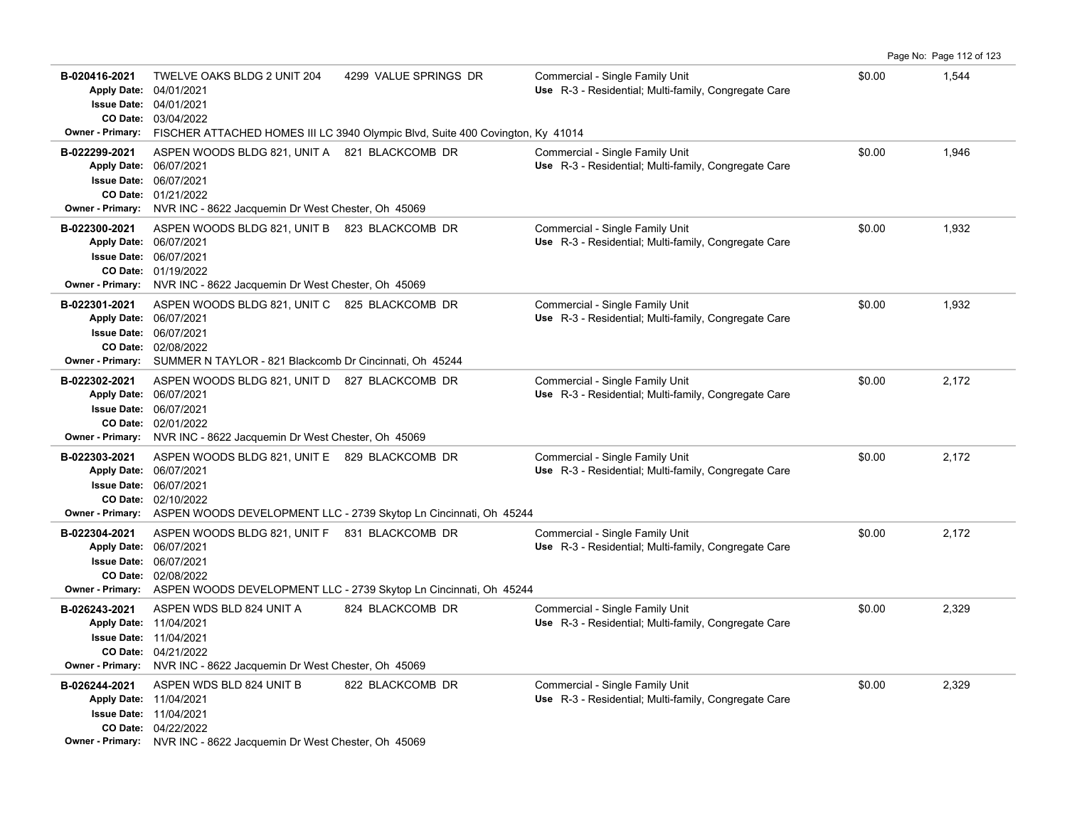| B-020416-2021<br><b>Apply Date:</b><br><b>Owner - Primary:</b> | TWELVE OAKS BLDG 2 UNIT 204<br>04/01/2021<br><b>Issue Date: 04/01/2021</b><br>CO Date: 03/04/2022                                                                                                           | 4299 VALUE SPRINGS DR<br>FISCHER ATTACHED HOMES III LC 3940 Olympic Blvd, Suite 400 Covington, Ky 41014 | Commercial - Single Family Unit<br>Use R-3 - Residential; Multi-family, Congregate Care | \$0.00 | 1,544 |
|----------------------------------------------------------------|-------------------------------------------------------------------------------------------------------------------------------------------------------------------------------------------------------------|---------------------------------------------------------------------------------------------------------|-----------------------------------------------------------------------------------------|--------|-------|
| B-022299-2021                                                  | ASPEN WOODS BLDG 821, UNIT A 821 BLACKCOMB DR<br>Apply Date: 06/07/2021<br><b>Issue Date: 06/07/2021</b><br>CO Date: 01/21/2022<br>Owner - Primary: NVR INC - 8622 Jacquemin Dr West Chester, Oh 45069      |                                                                                                         | Commercial - Single Family Unit<br>Use R-3 - Residential; Multi-family, Congregate Care | \$0.00 | 1,946 |
| B-022300-2021                                                  | ASPEN WOODS BLDG 821, UNIT B 823 BLACKCOMB DR<br>Apply Date: 06/07/2021<br><b>Issue Date: 06/07/2021</b><br>CO Date: 01/19/2022<br>Owner - Primary: NVR INC - 8622 Jacquemin Dr West Chester, Oh 45069      |                                                                                                         | Commercial - Single Family Unit<br>Use R-3 - Residential; Multi-family, Congregate Care | \$0.00 | 1,932 |
| B-022301-2021                                                  | ASPEN WOODS BLDG 821, UNIT C 825 BLACKCOMB DR<br>Apply Date: 06/07/2021<br><b>Issue Date: 06/07/2021</b><br>CO Date: 02/08/2022<br>Owner - Primary: SUMMER N TAYLOR - 821 Blackcomb Dr Cincinnati, Oh 45244 |                                                                                                         | Commercial - Single Family Unit<br>Use R-3 - Residential; Multi-family, Congregate Care | \$0.00 | 1,932 |
| B-022302-2021                                                  | ASPEN WOODS BLDG 821, UNIT D 827 BLACKCOMB DR<br>Apply Date: 06/07/2021<br><b>Issue Date: 06/07/2021</b><br>CO Date: 02/01/2022<br>Owner - Primary: NVR INC - 8622 Jacquemin Dr West Chester, Oh 45069      |                                                                                                         | Commercial - Single Family Unit<br>Use R-3 - Residential; Multi-family, Congregate Care | \$0.00 | 2,172 |
| B-022303-2021                                                  | ASPEN WOODS BLDG 821, UNIT E 829 BLACKCOMB DR<br>Apply Date: 06/07/2021<br><b>Issue Date: 06/07/2021</b><br>CO Date: 02/10/2022                                                                             | Owner - Primary: ASPEN WOODS DEVELOPMENT LLC - 2739 Skytop Ln Cincinnati, Oh 45244                      | Commercial - Single Family Unit<br>Use R-3 - Residential; Multi-family, Congregate Care | \$0.00 | 2,172 |
| B-022304-2021                                                  | ASPEN WOODS BLDG 821, UNIT F 831 BLACKCOMB DR<br>Apply Date: 06/07/2021<br><b>Issue Date: 06/07/2021</b><br>CO Date: 02/08/2022                                                                             | Owner - Primary: ASPEN WOODS DEVELOPMENT LLC - 2739 Skytop Ln Cincinnati, Oh 45244                      | Commercial - Single Family Unit<br>Use R-3 - Residential; Multi-family, Congregate Care | \$0.00 | 2,172 |
| B-026243-2021                                                  | ASPEN WDS BLD 824 UNIT A<br>Apply Date: 11/04/2021<br><b>Issue Date: 11/04/2021</b><br>CO Date: 04/21/2022<br>Owner - Primary: NVR INC - 8622 Jacquemin Dr West Chester, Oh 45069                           | 824 BLACKCOMB DR                                                                                        | Commercial - Single Family Unit<br>Use R-3 - Residential; Multi-family, Congregate Care | \$0.00 | 2,329 |
| B-026244-2021                                                  | ASPEN WDS BLD 824 UNIT B<br>Apply Date: 11/04/2021<br><b>Issue Date: 11/04/2021</b><br>CO Date: 04/22/2022<br><b>Owner - Primary:</b> NVR INC - 8622 Jacquemin Dr West Chester, Oh 45069                    | 822 BLACKCOMB DR                                                                                        | Commercial - Single Family Unit<br>Use R-3 - Residential; Multi-family, Congregate Care | \$0.00 | 2,329 |

Page No: Page 112 of 123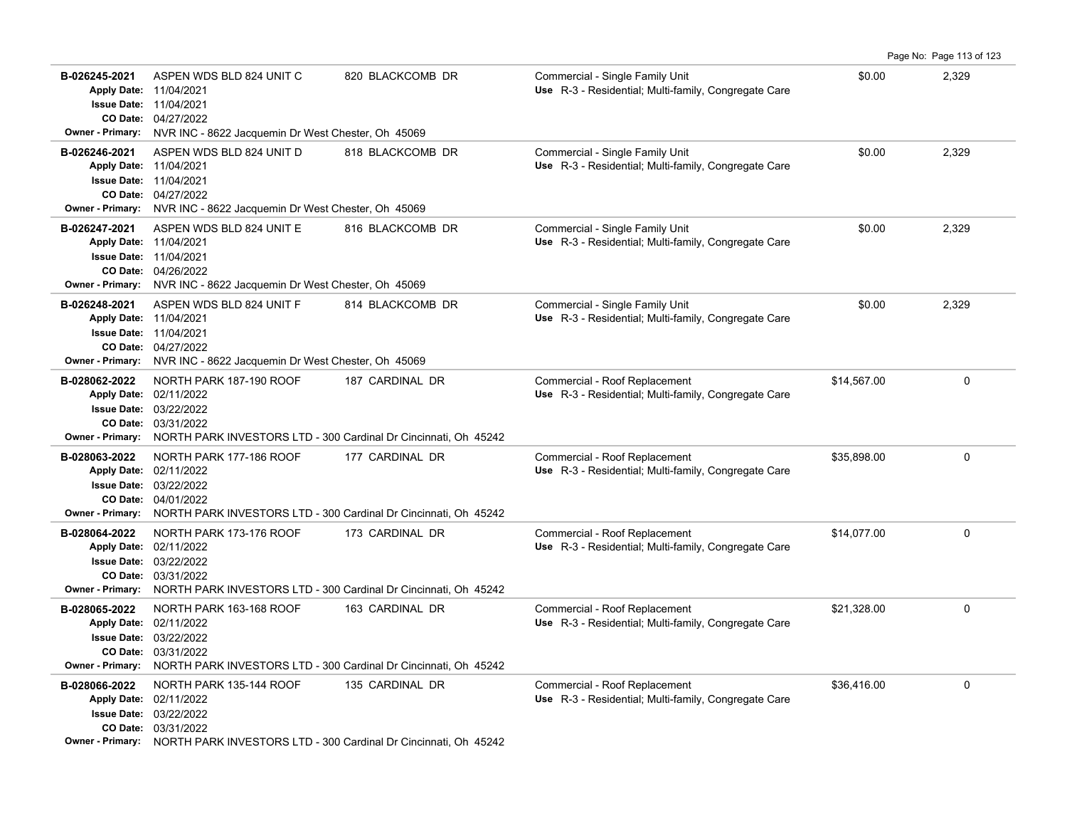|                                                                    |                                                                                                                                                                                               |                  |                                                                                              |             | Page No: Page 113 of 123 |
|--------------------------------------------------------------------|-----------------------------------------------------------------------------------------------------------------------------------------------------------------------------------------------|------------------|----------------------------------------------------------------------------------------------|-------------|--------------------------|
| B-026245-2021                                                      | ASPEN WDS BLD 824 UNIT C<br>Apply Date: 11/04/2021<br><b>Issue Date: 11/04/2021</b><br>CO Date: 04/27/2022<br>Owner - Primary: NVR INC - 8622 Jacquemin Dr West Chester, Oh 45069             | 820 BLACKCOMB DR | Commercial - Single Family Unit<br>Use R-3 - Residential; Multi-family, Congregate Care      | \$0.00      | 2,329                    |
| B-026246-2021<br>Apply Date: 11/04/2021<br><b>Owner - Primary:</b> | ASPEN WDS BLD 824 UNIT D<br><b>Issue Date: 11/04/2021</b><br>CO Date: 04/27/2022<br>NVR INC - 8622 Jacquemin Dr West Chester, Oh 45069                                                        | 818 BLACKCOMB DR | Commercial - Single Family Unit<br>Use R-3 - Residential; Multi-family, Congregate Care      | \$0.00      | 2,329                    |
| B-026247-2021<br>Apply Date: 11/04/2021<br><b>Owner - Primary:</b> | ASPEN WDS BLD 824 UNIT E<br><b>Issue Date: 11/04/2021</b><br>CO Date: 04/26/2022<br>NVR INC - 8622 Jacquemin Dr West Chester, Oh 45069                                                        | 816 BLACKCOMB DR | Commercial - Single Family Unit<br>Use R-3 - Residential; Multi-family, Congregate Care      | \$0.00      | 2,329                    |
| B-026248-2021<br>Apply Date: 11/04/2021<br>Owner - Primary:        | ASPEN WDS BLD 824 UNIT F<br><b>Issue Date: 11/04/2021</b><br>CO Date: 04/27/2022<br>NVR INC - 8622 Jacquemin Dr West Chester, Oh 45069                                                        | 814 BLACKCOMB DR | Commercial - Single Family Unit<br>Use R-3 - Residential; Multi-family, Congregate Care      | \$0.00      | 2,329                    |
| B-028062-2022<br><b>Owner - Primary:</b>                           | NORTH PARK 187-190 ROOF<br>Apply Date: 02/11/2022<br><b>Issue Date: 03/22/2022</b><br>CO Date: 03/31/2022<br>NORTH PARK INVESTORS LTD - 300 Cardinal Dr Cincinnati, Oh 45242                  | 187 CARDINAL DR  | Commercial - Roof Replacement<br>Use R-3 - Residential; Multi-family, Congregate Care        | \$14,567.00 | $\mathbf 0$              |
| B-028063-2022<br>Owner - Primary:                                  | NORTH PARK 177-186 ROOF<br>Apply Date: 02/11/2022<br><b>Issue Date: 03/22/2022</b><br>CO Date: 04/01/2022<br>NORTH PARK INVESTORS LTD - 300 Cardinal Dr Cincinnati, Oh 45242                  | 177 CARDINAL DR  | Commercial - Roof Replacement<br>Use R-3 - Residential; Multi-family, Congregate Care        | \$35,898.00 | $\mathbf 0$              |
| B-028064-2022                                                      | NORTH PARK 173-176 ROOF<br>Apply Date: 02/11/2022<br><b>Issue Date: 03/22/2022</b><br>CO Date: 03/31/2022<br>Owner - Primary: NORTH PARK INVESTORS LTD - 300 Cardinal Dr Cincinnati, Oh 45242 | 173 CARDINAL DR  | Commercial - Roof Replacement<br>Use R-3 - Residential; Multi-family, Congregate Care        | \$14,077.00 | $\mathbf 0$              |
| B-028065-2022<br><b>Owner - Primary:</b>                           | NORTH PARK 163-168 ROOF<br>Apply Date: 02/11/2022<br>Issue Date: 03/22/2022<br>CO Date: 03/31/2022<br>NORTH PARK INVESTORS LTD - 300 Cardinal Dr Cincinnati, Oh 45242                         | 163 CARDINAL DR  | Commercial - Roof Replacement<br>Use R-3 - Residential; Multi-family, Congregate Care        | \$21,328.00 | $\mathbf 0$              |
| B-028066-2022                                                      | NORTH PARK 135-144 ROOF<br>Apply Date: 02/11/2022<br>Issue Date: 03/22/2022<br>CO Date: 03/31/2022<br>Owner - Primary: NORTH PARK INVESTORS LTD - 300 Cardinal Dr Cincinnati, Oh 45242        | 135 CARDINAL DR  | Commercial - Roof Replacement<br><b>Use</b> R-3 - Residential; Multi-family, Congregate Care | \$36,416.00 | $\mathbf 0$              |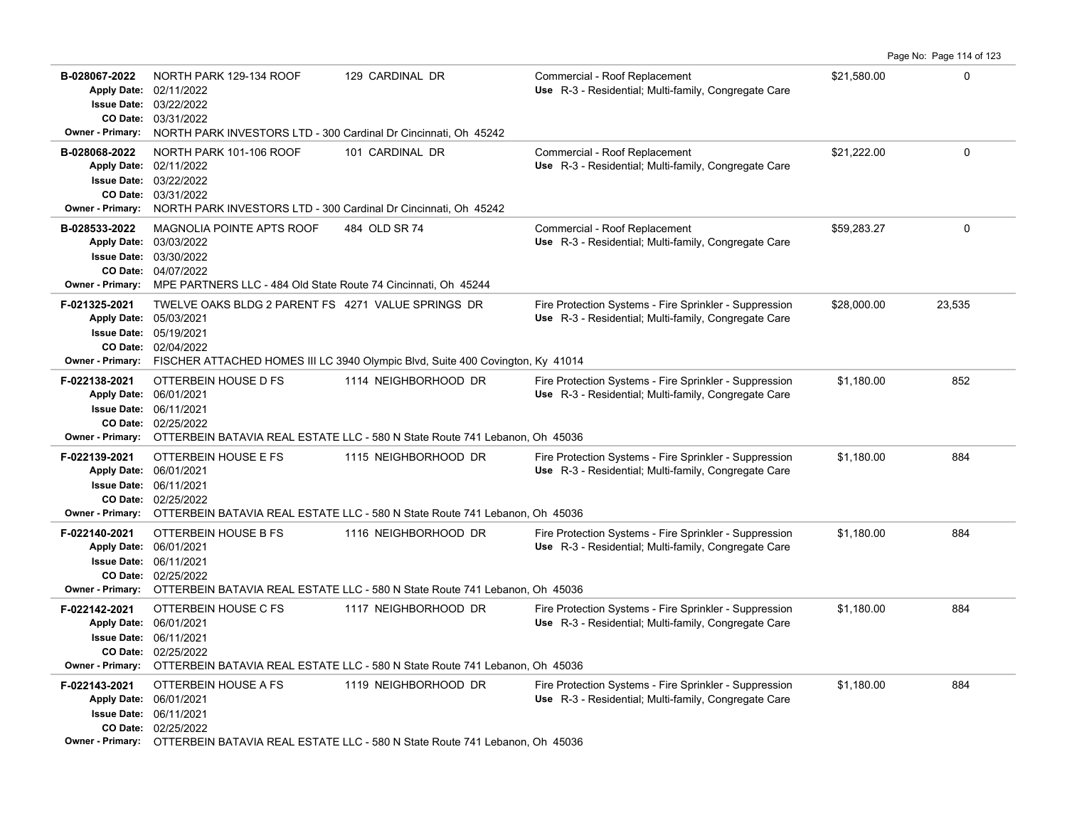|                                                                                      |                                                                                                                                                                                                        |                                                                                                     |                                                                                                                |             | Page No: Page 114 of 123 |
|--------------------------------------------------------------------------------------|--------------------------------------------------------------------------------------------------------------------------------------------------------------------------------------------------------|-----------------------------------------------------------------------------------------------------|----------------------------------------------------------------------------------------------------------------|-------------|--------------------------|
| B-028067-2022<br><b>Issue Date:</b><br><b>Owner - Primary:</b>                       | NORTH PARK 129-134 ROOF<br>Apply Date: 02/11/2022<br>03/22/2022<br>CO Date: 03/31/2022<br>NORTH PARK INVESTORS LTD - 300 Cardinal Dr Cincinnati, Oh 45242                                              | 129 CARDINAL DR                                                                                     | Commercial - Roof Replacement<br>Use R-3 - Residential; Multi-family, Congregate Care                          | \$21,580.00 | $\Omega$                 |
| B-028068-2022<br><b>Owner - Primary:</b>                                             | NORTH PARK 101-106 ROOF<br>Apply Date: 02/11/2022<br><b>Issue Date: 03/22/2022</b><br>CO Date: 03/31/2022<br>NORTH PARK INVESTORS LTD - 300 Cardinal Dr Cincinnati, Oh 45242                           | 101 CARDINAL DR                                                                                     | Commercial - Roof Replacement<br>Use R-3 - Residential; Multi-family, Congregate Care                          | \$21,222.00 | $\Omega$                 |
| B-028533-2022<br><b>Apply Date:</b><br><b>Issue Date:</b><br><b>Owner - Primary:</b> | MAGNOLIA POINTE APTS ROOF<br>03/03/2022<br>03/30/2022<br>CO Date: 04/07/2022<br>MPE PARTNERS LLC - 484 Old State Route 74 Cincinnati, Oh 45244                                                         | 484 OLD SR 74                                                                                       | Commercial - Roof Replacement<br>Use R-3 - Residential; Multi-family, Congregate Care                          | \$59,283.27 | $\mathbf{0}$             |
| F-021325-2021<br><b>Apply Date:</b><br>Owner - Primary:                              | TWELVE OAKS BLDG 2 PARENT FS 4271 VALUE SPRINGS DR<br>05/03/2021<br><b>Issue Date: 05/19/2021</b><br>CO Date: 02/04/2022                                                                               | FISCHER ATTACHED HOMES III LC 3940 Olympic Blvd, Suite 400 Covington, Ky 41014                      | Fire Protection Systems - Fire Sprinkler - Suppression<br>Use R-3 - Residential; Multi-family, Congregate Care | \$28,000.00 | 23,535                   |
| F-022138-2021<br><b>Apply Date:</b>                                                  | OTTERBEIN HOUSE D FS<br>06/01/2021<br><b>Issue Date: 06/11/2021</b><br>CO Date: 02/25/2022<br>Owner - Primary: OTTERBEIN BATAVIA REAL ESTATE LLC - 580 N State Route 741 Lebanon, Oh 45036             | 1114 NEIGHBORHOOD DR                                                                                | Fire Protection Systems - Fire Sprinkler - Suppression<br>Use R-3 - Residential; Multi-family, Congregate Care | \$1,180.00  | 852                      |
| F-022139-2021<br><b>Issue Date:</b><br>Owner - Primary:                              | OTTERBEIN HOUSE E FS<br>Apply Date: 06/01/2021<br>06/11/2021<br>CO Date: 02/25/2022                                                                                                                    | 1115 NEIGHBORHOOD DR<br>OTTERBEIN BATAVIA REAL ESTATE LLC - 580 N State Route 741 Lebanon, Oh 45036 | Fire Protection Systems - Fire Sprinkler - Suppression<br>Use R-3 - Residential; Multi-family, Congregate Care | \$1,180.00  | 884                      |
| F-022140-2021<br><b>Owner - Primary:</b>                                             | OTTERBEIN HOUSE B FS<br>Apply Date: 06/01/2021<br><b>Issue Date: 06/11/2021</b><br>CO Date: 02/25/2022                                                                                                 | 1116 NEIGHBORHOOD DR<br>OTTERBEIN BATAVIA REAL ESTATE LLC - 580 N State Route 741 Lebanon, Oh 45036 | Fire Protection Systems - Fire Sprinkler - Suppression<br>Use R-3 - Residential; Multi-family, Congregate Care | \$1,180.00  | 884                      |
| F-022142-2021<br><b>Owner - Primary:</b>                                             | OTTERBEIN HOUSE C FS<br>Apply Date: 06/01/2021<br>Issue Date: 06/11/2021<br>CO Date: 02/25/2022                                                                                                        | 1117 NEIGHBORHOOD DR<br>OTTERBEIN BATAVIA REAL ESTATE LLC - 580 N State Route 741 Lebanon, Oh 45036 | Fire Protection Systems - Fire Sprinkler - Suppression<br>Use R-3 - Residential; Multi-family, Congregate Care | \$1,180.00  | 884                      |
| F-022143-2021                                                                        | OTTERBEIN HOUSE A FS<br>Apply Date: 06/01/2021<br><b>Issue Date: 06/11/2021</b><br>CO Date: 02/25/2022<br>Owner - Primary: OTTERBEIN BATAVIA REAL ESTATE LLC - 580 N State Route 741 Lebanon, Oh 45036 | 1119 NEIGHBORHOOD DR                                                                                | Fire Protection Systems - Fire Sprinkler - Suppression<br>Use R-3 - Residential; Multi-family, Congregate Care | \$1,180.00  | 884                      |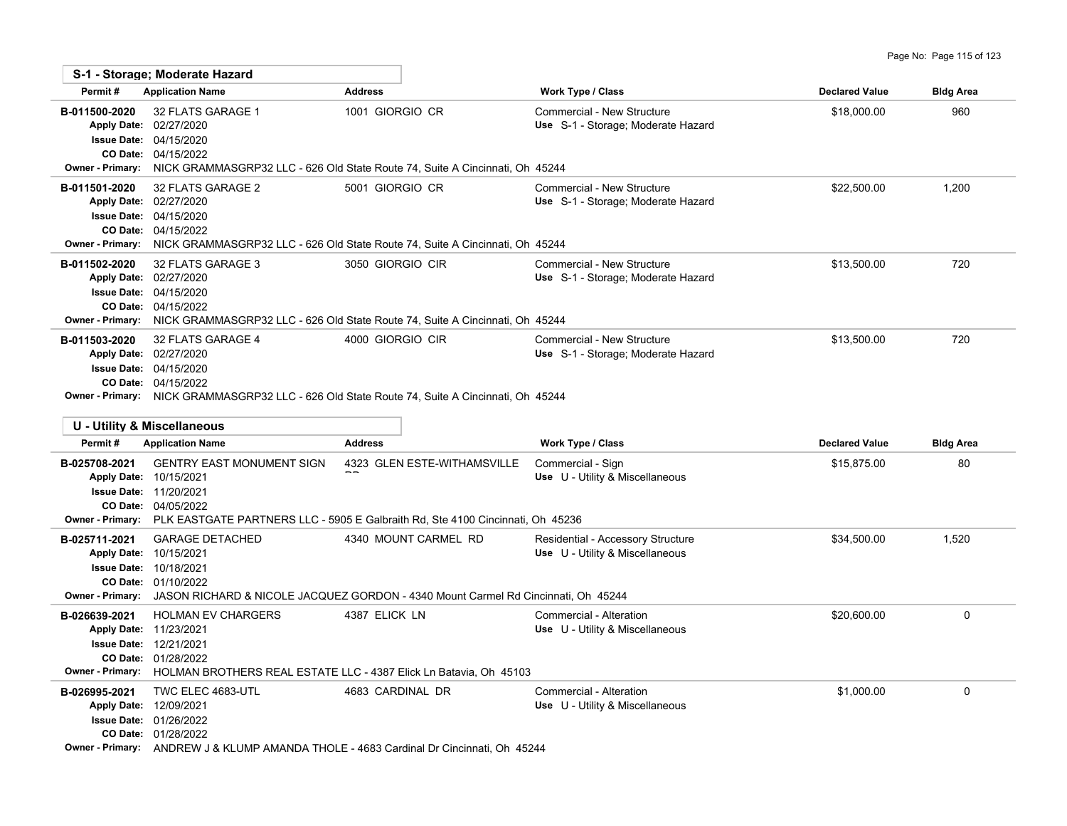|                                                                                                     | S-1 - Storage; Moderate Hazard                                                                      |                                                                                                                                       |                                                                      |                       |                  |
|-----------------------------------------------------------------------------------------------------|-----------------------------------------------------------------------------------------------------|---------------------------------------------------------------------------------------------------------------------------------------|----------------------------------------------------------------------|-----------------------|------------------|
| Permit#                                                                                             | <b>Application Name</b>                                                                             | <b>Address</b>                                                                                                                        | Work Type / Class                                                    | <b>Declared Value</b> | <b>Bldg Area</b> |
| B-011500-2020<br><b>Owner - Primary:</b>                                                            | 32 FLATS GARAGE 1<br>Apply Date: 02/27/2020<br><b>Issue Date: 04/15/2020</b><br>CO Date: 04/15/2022 | 1001 GIORGIO CR<br>NICK GRAMMASGRP32 LLC - 626 Old State Route 74, Suite A Cincinnati, Oh 45244                                       | Commercial - New Structure<br>Use S-1 - Storage; Moderate Hazard     | \$18,000.00           | 960              |
| B-011501-2020<br><b>Owner - Primary:</b>                                                            | 32 FLATS GARAGE 2<br>Apply Date: 02/27/2020<br><b>Issue Date: 04/15/2020</b><br>CO Date: 04/15/2022 | 5001 GIORGIO CR<br>NICK GRAMMASGRP32 LLC - 626 Old State Route 74, Suite A Cincinnati, Oh 45244                                       | Commercial - New Structure<br>Use S-1 - Storage; Moderate Hazard     | \$22,500.00           | 1,200            |
| B-011502-2020<br><b>Owner - Primary:</b>                                                            | 32 FLATS GARAGE 3<br>Apply Date: 02/27/2020<br><b>Issue Date: 04/15/2020</b><br>CO Date: 04/15/2022 | 3050 GIORGIO CIR<br>NICK GRAMMASGRP32 LLC - 626 Old State Route 74, Suite A Cincinnati, Oh 45244                                      | Commercial - New Structure<br>Use S-1 - Storage; Moderate Hazard     | \$13,500.00           | 720              |
| B-011503-2020                                                                                       | 32 FLATS GARAGE 4<br>Apply Date: 02/27/2020<br><b>Issue Date: 04/15/2020</b><br>CO Date: 04/15/2022 | 4000 GIORGIO CIR<br><b>Owner - Primary:</b> NICK GRAMMASGRP32 LLC - 626 Old State Route 74, Suite A Cincinnati, Oh 45244              | Commercial - New Structure<br>Use S-1 - Storage: Moderate Hazard     | \$13,500.00           | 720              |
|                                                                                                     | U - Utility & Miscellaneous                                                                         |                                                                                                                                       |                                                                      |                       |                  |
| Permit#                                                                                             | <b>Application Name</b>                                                                             | <b>Address</b>                                                                                                                        | Work Type / Class                                                    | <b>Declared Value</b> | <b>Bldg Area</b> |
| B-025708-2021<br>Apply Date: 10/15/2021                                                             | <b>GENTRY EAST MONUMENT SIGN</b><br><b>Issue Date: 11/20/2021</b><br>CO Date: 04/05/2022            | 4323 GLEN ESTE-WITHAMSVILLE<br><b>Owner - Primary:</b> PLK EASTGATE PARTNERS LLC - 5905 E Galbraith Rd, Ste 4100 Cincinnati, Oh 45236 | Commercial - Sign<br>Use U - Utility & Miscellaneous                 | \$15,875.00           | 80               |
| B-025711-2021<br>Apply Date: 10/15/2021<br><b>Issue Date: 10/18/2021</b><br><b>Owner - Primary:</b> | <b>GARAGE DETACHED</b><br>CO Date: 01/10/2022                                                       | 4340 MOUNT CARMEL RD<br>JASON RICHARD & NICOLE JACQUEZ GORDON - 4340 Mount Carmel Rd Cincinnati, Oh 45244                             | Residential - Accessory Structure<br>Use U - Utility & Miscellaneous | \$34,500.00           | 1,520            |
| B-026639-2021<br>Apply Date: 11/23/2021<br><b>Issue Date: 12/21/2021</b>                            | <b>HOLMAN EV CHARGERS</b><br>CO Date: 01/28/2022                                                    | 4387 ELICK LN<br>Owner - Primary: HOLMAN BROTHERS REAL ESTATE LLC - 4387 Elick Ln Batavia, Oh 45103                                   | Commercial - Alteration<br>Use U - Utility & Miscellaneous           | \$20,600.00           | $\mathbf 0$      |
| B-026995-2021<br>Apply Date: 12/09/2021                                                             | TWC ELEC 4683-UTL<br><b>Issue Date: 01/26/2022</b><br>CO Date: 01/28/2022                           | 4683 CARDINAL DR<br><b>Owner - Primary:</b> ANDREW J & KLUMP AMANDA THOLE - 4683 Cardinal Dr Cincinnati, Oh 45244                     | Commercial - Alteration<br>Use U - Utility & Miscellaneous           | \$1,000.00            | $\mathbf 0$      |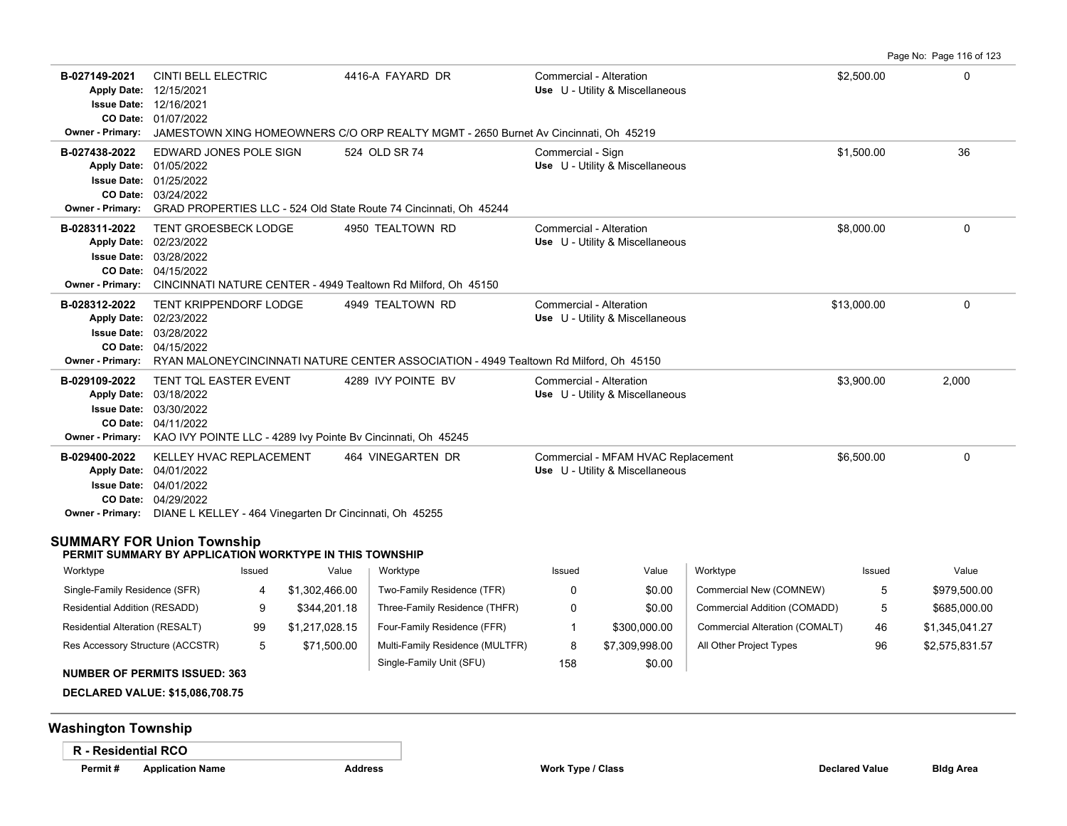| B-027149-2021<br><b>Owner - Primary:</b>                                                                           | <b>CINTI BELL ELECTRIC</b><br>Apply Date: 12/15/2021<br><b>Issue Date: 12/16/2021</b><br>CO Date: 01/07/2022 |        |                                                                          | 4416-A FAYARD DR<br>JAMESTOWN XING HOMEOWNERS C/O ORP REALTY MGMT - 2650 Burnet Av Cincinnati, Oh 45219   |                   | Commercial - Alteration<br>Use U - Utility & Miscellaneous            |                                | \$2,500.00  | $\Omega$       |
|--------------------------------------------------------------------------------------------------------------------|--------------------------------------------------------------------------------------------------------------|--------|--------------------------------------------------------------------------|-----------------------------------------------------------------------------------------------------------|-------------------|-----------------------------------------------------------------------|--------------------------------|-------------|----------------|
| B-027438-2022<br><b>Owner - Primary:</b>                                                                           | EDWARD JONES POLE SIGN<br>Apply Date: 01/05/2022<br><b>Issue Date: 01/25/2022</b><br>CO Date: 03/24/2022     |        |                                                                          | 524 OLD SR 74<br>GRAD PROPERTIES LLC - 524 Old State Route 74 Cincinnati, Oh 45244                        | Commercial - Sign | Use U - Utility & Miscellaneous                                       |                                | \$1.500.00  | 36             |
| B-028311-2022<br><b>Owner - Primary:</b>                                                                           | TENT GROESBECK LODGE<br>Apply Date: 02/23/2022<br><b>Issue Date: 03/28/2022</b><br>CO Date: 04/15/2022       |        |                                                                          | 4950 TEALTOWN RD<br>CINCINNATI NATURE CENTER - 4949 Tealtown Rd Milford, Oh 45150                         |                   | Commercial - Alteration<br>Use U - Utility & Miscellaneous            |                                | \$8,000.00  | $\Omega$       |
| B-028312-2022<br><b>Owner - Primary:</b>                                                                           | TENT KRIPPENDORF LODGE<br>Apply Date: 02/23/2022<br><b>Issue Date: 03/28/2022</b><br>CO Date: 04/15/2022     |        |                                                                          | 4949 TEALTOWN RD<br>RYAN MALONEYCINCINNATI NATURE CENTER ASSOCIATION - 4949 Tealtown Rd Milford, Oh 45150 |                   | Commercial - Alteration<br>Use U - Utility & Miscellaneous            |                                | \$13,000.00 | $\Omega$       |
| B-029109-2022                                                                                                      | TENT TQL EASTER EVENT<br>Apply Date: 03/18/2022<br><b>Issue Date: 03/30/2022</b><br>CO Date: 04/11/2022      |        |                                                                          | 4289 IVY POINTE BV<br>Owner - Primary: KAO IVY POINTE LLC - 4289 Ivy Pointe Bv Cincinnati, Oh 45245       |                   | Commercial - Alteration<br>Use U - Utility & Miscellaneous            |                                | \$3,900.00  | 2,000          |
| B-029400-2022                                                                                                      | KELLEY HVAC REPLACEMENT<br>Apply Date: 04/01/2022<br><b>Issue Date: 04/01/2022</b><br>CO Date: 04/29/2022    |        | Owner - Primary: DIANE L KELLEY - 464 Vinegarten Dr Cincinnati, Oh 45255 | 464 VINEGARTEN DR                                                                                         |                   | Commercial - MFAM HVAC Replacement<br>Use U - Utility & Miscellaneous |                                | \$6,500.00  | 0              |
| SUMMARY FOR Union Township                                                                                         |                                                                                                              |        | PERMIT SUMMARY BY APPLICATION WORKTYPE IN THIS TOWNSHIP                  |                                                                                                           |                   |                                                                       |                                |             |                |
| Worktype                                                                                                           |                                                                                                              | Issued | Value                                                                    | Worktype                                                                                                  | Issued            | Value                                                                 | Worktype                       | Issued      | Value          |
| Single-Family Residence (SFR)                                                                                      |                                                                                                              | 4      | \$1,302,466.00                                                           | Two-Family Residence (TFR)                                                                                | 0                 | \$0.00                                                                | Commercial New (COMNEW)        | 5           | \$979,500.00   |
| Residential Addition (RESADD)                                                                                      |                                                                                                              | 9      | \$344,201.18                                                             | Three-Family Residence (THFR)                                                                             | 0                 | \$0.00                                                                | Commercial Addition (COMADD)   | 5           | \$685,000.00   |
| Residential Alteration (RESALT)                                                                                    |                                                                                                              | 99     | \$1,217,028.15                                                           | Four-Family Residence (FFR)                                                                               | $\mathbf{1}$      | \$300,000.00                                                          | Commercial Alteration (COMALT) | 46          | \$1,345,041.27 |
| Res Accessory Structure (ACCSTR)<br><b>NUMBER OF PERMITS ISSUED: 363</b><br><b>DECLARED VALUE: \$15,086,708.75</b> |                                                                                                              | 5      | \$71,500.00                                                              | Multi-Family Residence (MULTFR)<br>Single-Family Unit (SFU)                                               | 8<br>158          | \$7,309,998.00<br>\$0.00                                              | All Other Project Types        | 96          | \$2,575,831.57 |
| <b>Washington Township</b>                                                                                         |                                                                                                              |        |                                                                          |                                                                                                           |                   |                                                                       |                                |             |                |
| <b>R</b> - Residential RCO                                                                                         |                                                                                                              |        |                                                                          |                                                                                                           |                   |                                                                       |                                |             |                |

Page No: Page 116 of 123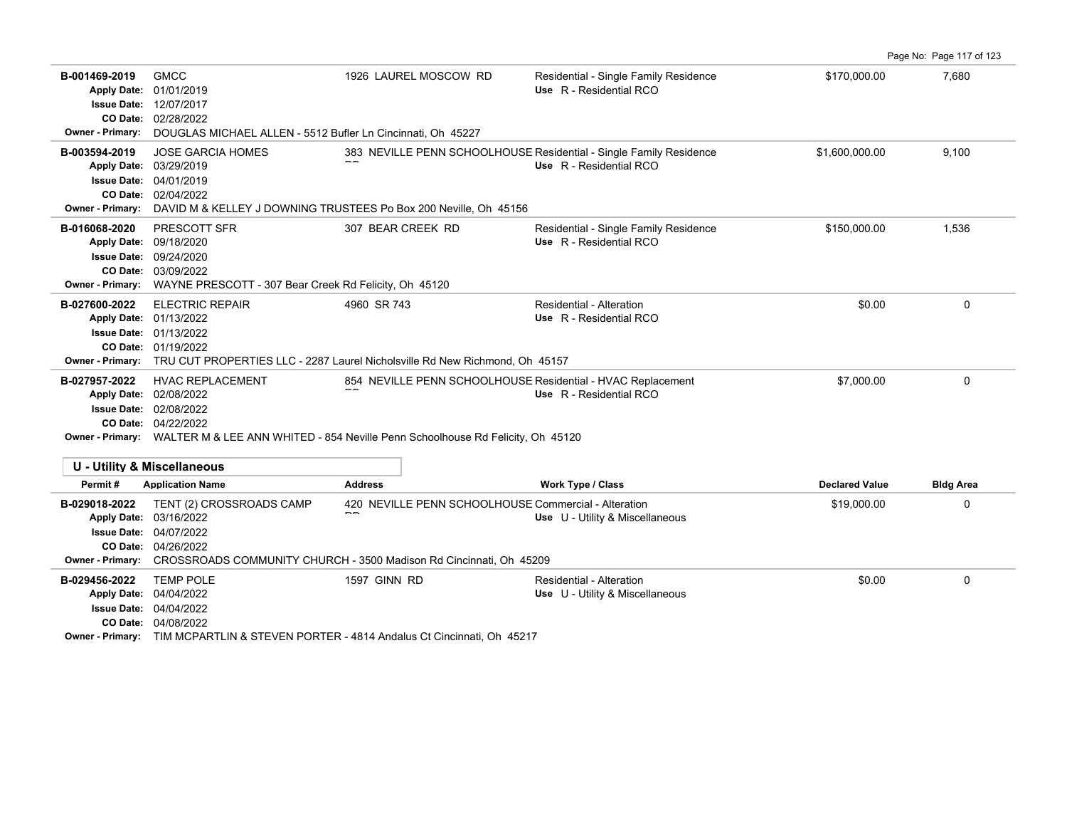|                                                                                                     |                                                                                                                                    |                                                                                                                                                                |                                                                                               |                       | Page No: Page 117 of 123 |
|-----------------------------------------------------------------------------------------------------|------------------------------------------------------------------------------------------------------------------------------------|----------------------------------------------------------------------------------------------------------------------------------------------------------------|-----------------------------------------------------------------------------------------------|-----------------------|--------------------------|
| B-001469-2019<br>Apply Date: 01/01/2019<br><b>Owner - Primary:</b>                                  | <b>GMCC</b><br><b>Issue Date: 12/07/2017</b><br>CO Date: 02/28/2022<br>DOUGLAS MICHAEL ALLEN - 5512 Bufler Ln Cincinnati, Oh 45227 | 1926 LAUREL MOSCOW RD                                                                                                                                          | Residential - Single Family Residence<br>Use R - Residential RCO                              | \$170,000.00          | 7,680                    |
| B-003594-2019<br>Apply Date: 03/29/2019<br><b>Issue Date: 04/01/2019</b><br><b>Owner - Primary:</b> | <b>JOSE GARCIA HOMES</b><br>CO Date: 02/04/2022                                                                                    | DAVID M & KELLEY J DOWNING TRUSTEES Po Box 200 Neville, Oh 45156                                                                                               | 383 NEVILLE PENN SCHOOLHOUSE Residential - Single Family Residence<br>Use R - Residential RCO | \$1,600,000.00        | 9,100                    |
| B-016068-2020<br>Apply Date: 09/18/2020<br><b>Owner - Primary:</b>                                  | PRESCOTT SFR<br>Issue Date: 09/24/2020<br>CO Date: 03/09/2022<br>WAYNE PRESCOTT - 307 Bear Creek Rd Felicity, Oh 45120             | 307 BEAR CREEK RD                                                                                                                                              | Residential - Single Family Residence<br>Use R - Residential RCO                              | \$150,000.00          | 1.536                    |
| B-027600-2022<br>Apply Date: 01/13/2022<br><b>Owner - Primary:</b>                                  | <b>ELECTRIC REPAIR</b><br><b>Issue Date: 01/13/2022</b><br>CO Date: 01/19/2022                                                     | 4960 SR 743<br>TRU CUT PROPERTIES LLC - 2287 Laurel Nicholsville Rd New Richmond, Oh 45157                                                                     | <b>Residential - Alteration</b><br>Use R - Residential RCO                                    | \$0.00                | 0                        |
| B-027957-2022<br>Apply Date: 02/08/2022                                                             | <b>HVAC REPLACEMENT</b><br><b>Issue Date: 02/08/2022</b><br>CO Date: 04/22/2022                                                    | 854 NEVILLE PENN SCHOOLHOUSE Residential - HVAC Replacement<br>Owner - Primary: WALTER M & LEE ANN WHITED - 854 Neville Penn Schoolhouse Rd Felicity, Oh 45120 | Use R - Residential RCO                                                                       | \$7,000.00            | $\mathbf 0$              |
| <b>U - Utility &amp; Miscellaneous</b><br>Permit#                                                   | <b>Application Name</b>                                                                                                            | <b>Address</b>                                                                                                                                                 | Work Type / Class                                                                             | <b>Declared Value</b> | <b>Bldg Area</b>         |
| B-029018-2022<br>Apply Date: 03/16/2022<br><b>Owner - Primary:</b>                                  | TENT (2) CROSSROADS CAMP<br><b>Issue Date: 04/07/2022</b><br>CO Date: 04/26/2022                                                   | 420 NEVILLE PENN SCHOOLHOUSE Commercial - Alteration<br>CROSSROADS COMMUNITY CHURCH - 3500 Madison Rd Cincinnati, Oh 45209                                     | Use U - Utility & Miscellaneous                                                               | \$19,000.00           | 0                        |
| B-029456-2022<br>Apply Date: 04/04/2022                                                             | <b>TEMP POLE</b><br><b>Issue Date: 04/04/2022</b><br>CO Date: 04/08/2022                                                           | 1597 GINN RD<br>Owner - Primary: TIM MCPARTLIN & STEVEN PORTER - 4814 Andalus Ct Cincinnati, Oh 45217                                                          | Residential - Alteration<br>Use U - Utility & Miscellaneous                                   | \$0.00                | 0                        |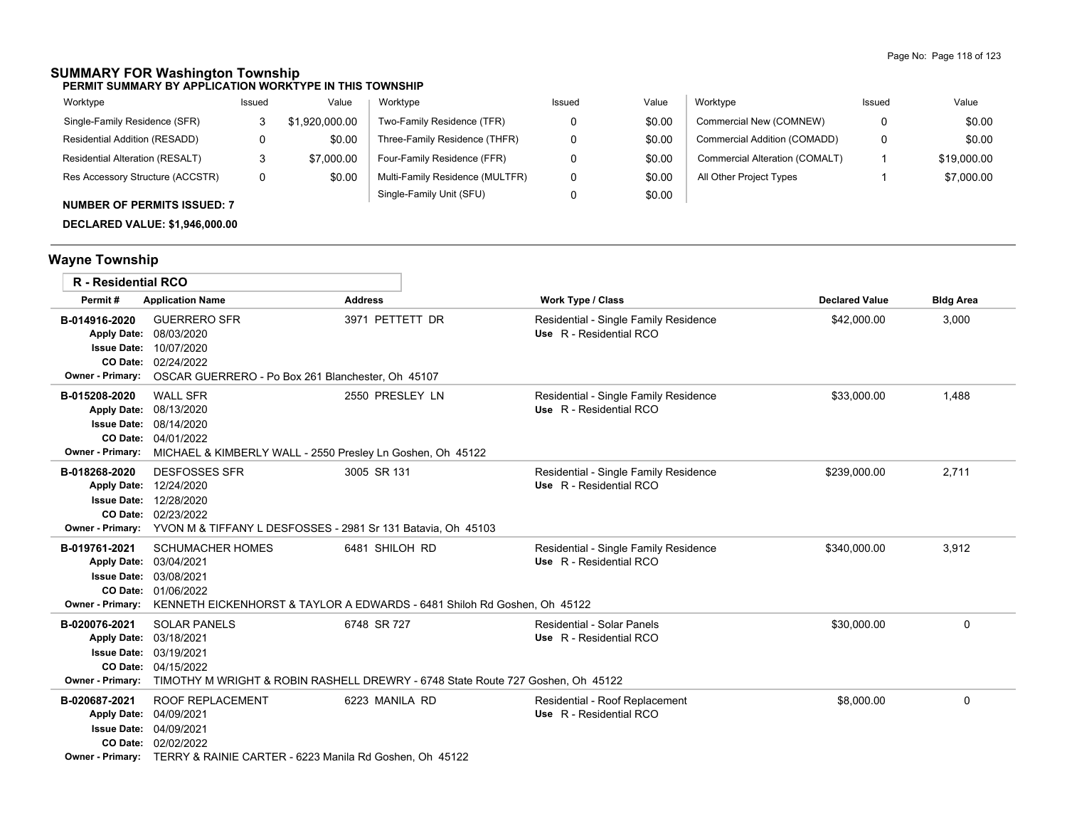## **SUMMARY FOR Washington Township**

**PERMIT SUMMARY BY APPLICATION WORKTYPE IN THIS TOWNSHIP**

| Worktype                               | Issued | Value          | Worktype                        | Issued | Value  | Worktype                       | Issued | Value       |
|----------------------------------------|--------|----------------|---------------------------------|--------|--------|--------------------------------|--------|-------------|
| Single-Family Residence (SFR)          |        | \$1,920,000.00 | Two-Family Residence (TFR)      |        | \$0.00 | Commercial New (COMNEW)        | 0      | \$0.00      |
| Residential Addition (RESADD)          |        | \$0.00         | Three-Family Residence (THFR)   |        | \$0.00 | Commercial Addition (COMADD)   | 0      | \$0.00      |
| <b>Residential Alteration (RESALT)</b> |        | \$7,000.00     | Four-Family Residence (FFR)     |        | \$0.00 | Commercial Alteration (COMALT) |        | \$19,000.00 |
| Res Accessory Structure (ACCSTR)       | 0      | \$0.00         | Multi-Family Residence (MULTFR) |        | \$0.00 | All Other Project Types        |        | \$7,000.00  |
| <b>NUMBER OF PERMITS ISSUED: 7</b>     |        |                | Single-Family Unit (SFU)        |        | \$0.00 |                                |        |             |

**DECLARED VALUE: \$1,946,000.00**

# **Wayne Township**

| <b>R</b> - Residential RCO                                     |                                                                                                                                                                                       |                 |                                                                  |                       |                  |
|----------------------------------------------------------------|---------------------------------------------------------------------------------------------------------------------------------------------------------------------------------------|-----------------|------------------------------------------------------------------|-----------------------|------------------|
| Permit#                                                        | <b>Application Name</b>                                                                                                                                                               | <b>Address</b>  | Work Type / Class                                                | <b>Declared Value</b> | <b>Bldg Area</b> |
| B-014916-2020<br><b>Apply Date:</b><br><b>Owner - Primary:</b> | <b>GUERRERO SFR</b><br>08/03/2020<br><b>Issue Date: 10/07/2020</b><br>CO Date: 02/24/2022<br>OSCAR GUERRERO - Po Box 261 Blanchester, Oh 45107                                        | 3971 PETTETT DR | Residential - Single Family Residence<br>Use R - Residential RCO | \$42,000.00           | 3,000            |
| B-015208-2020<br><b>Owner - Primary:</b>                       | <b>WALL SFR</b><br>Apply Date: 08/13/2020<br><b>Issue Date: 08/14/2020</b><br>CO Date: 04/01/2022<br>MICHAEL & KIMBERLY WALL - 2550 Presley Ln Goshen, Oh 45122                       | 2550 PRESLEY LN | Residential - Single Family Residence<br>Use R - Residential RCO | \$33,000.00           | 1.488            |
| B-018268-2020<br>Owner - Primary:                              | <b>DESFOSSES SFR</b><br>Apply Date: 12/24/2020<br><b>Issue Date: 12/28/2020</b><br>CO Date: 02/23/2022<br>YVON M & TIFFANY L DESFOSSES - 2981 Sr 131 Batavia, Oh 45103                | 3005 SR 131     | Residential - Single Family Residence<br>Use R - Residential RCO | \$239,000.00          | 2,711            |
| B-019761-2021<br>Owner - Primary:                              | <b>SCHUMACHER HOMES</b><br>Apply Date: 03/04/2021<br><b>Issue Date: 03/08/2021</b><br>CO Date: 01/06/2022<br>KENNETH EICKENHORST & TAYLOR A EDWARDS - 6481 Shiloh Rd Goshen, Oh 45122 | 6481 SHILOH RD  | Residential - Single Family Residence<br>Use R - Residential RCO | \$340,000.00          | 3,912            |
| B-020076-2021<br><b>Issue Date:</b><br><b>Owner - Primary:</b> | <b>SOLAR PANELS</b><br>Apply Date: 03/18/2021<br>03/19/2021<br>CO Date: 04/15/2022<br>TIMOTHY M WRIGHT & ROBIN RASHELL DREWRY - 6748 State Route 727 Goshen, Oh 45122                 | 6748 SR 727     | Residential - Solar Panels<br>Use R - Residential RCO            | \$30,000.00           | 0                |
| B-020687-2021<br><b>Issue Date:</b><br><b>Owner - Primary:</b> | <b>ROOF REPLACEMENT</b><br>Apply Date: 04/09/2021<br>04/09/2021<br>CO Date: 02/02/2022<br>TERRY & RAINIE CARTER - 6223 Manila Rd Goshen, Oh 45122                                     | 6223 MANILA RD  | Residential - Roof Replacement<br>Use R - Residential RCO        | \$8,000.00            | 0                |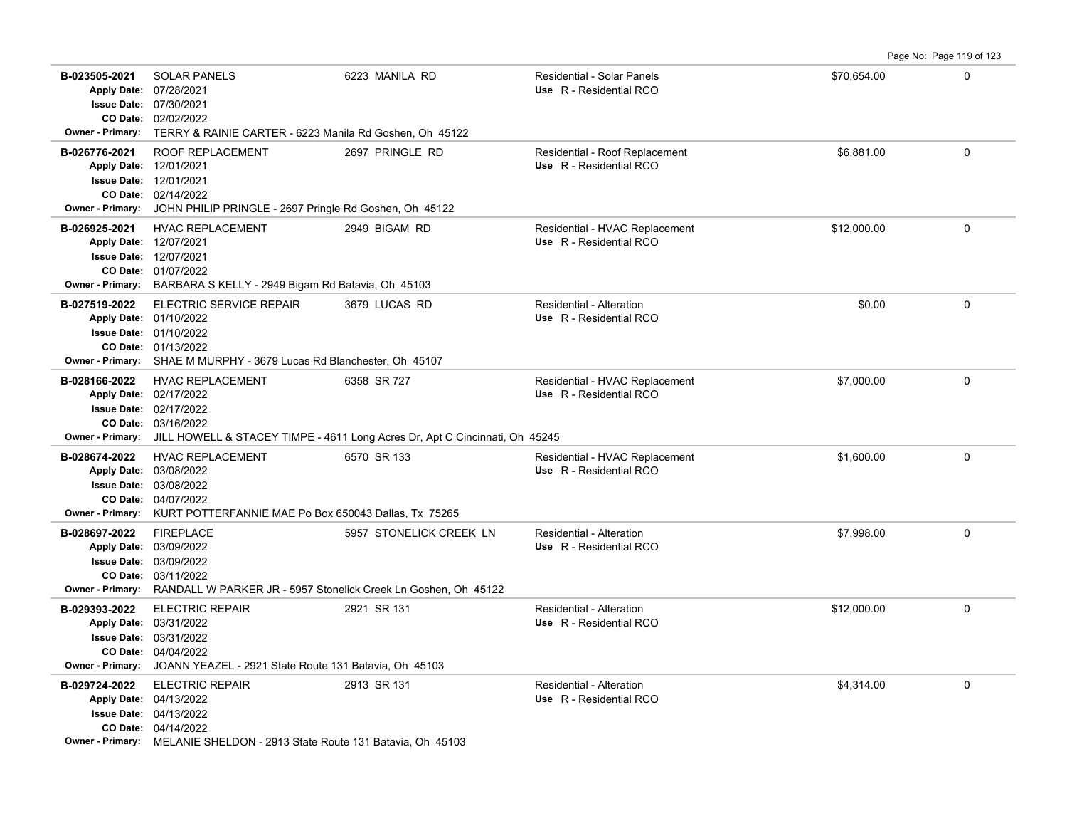| B-023505-2021<br><b>Owner - Primary:</b> | <b>SOLAR PANELS</b><br>Apply Date: 07/28/2021<br><b>Issue Date: 07/30/2021</b><br>CO Date: 02/02/2022<br>TERRY & RAINIE CARTER - 6223 Manila Rd Goshen, Oh 45122                         | 6223 MANILA RD          | Residential - Solar Panels<br>Use R - Residential RCO      | \$70,654.00 | 0           |
|------------------------------------------|------------------------------------------------------------------------------------------------------------------------------------------------------------------------------------------|-------------------------|------------------------------------------------------------|-------------|-------------|
| B-026776-2021<br><b>Owner - Primary:</b> | <b>ROOF REPLACEMENT</b><br>Apply Date: 12/01/2021<br>Issue Date: 12/01/2021<br>CO Date: 02/14/2022<br>JOHN PHILIP PRINGLE - 2697 Pringle Rd Goshen, Oh 45122                             | 2697 PRINGLE RD         | Residential - Roof Replacement<br>Use R - Residential RCO  | \$6.881.00  | $\Omega$    |
| B-026925-2021                            | <b>HVAC REPLACEMENT</b><br>Apply Date: 12/07/2021<br><b>Issue Date: 12/07/2021</b><br>CO Date: 01/07/2022<br>Owner - Primary: BARBARA S KELLY - 2949 Bigam Rd Batavia, Oh 45103          | 2949 BIGAM RD           | Residential - HVAC Replacement<br>Use R - Residential RCO  | \$12,000.00 | 0           |
| B-027519-2022<br><b>Owner - Primary:</b> | <b>ELECTRIC SERVICE REPAIR</b><br>Apply Date: 01/10/2022<br>Issue Date: 01/10/2022<br>CO Date: 01/13/2022<br>SHAE M MURPHY - 3679 Lucas Rd Blanchester, Oh 45107                         | 3679 LUCAS RD           | <b>Residential - Alteration</b><br>Use R - Residential RCO | \$0.00      | 0           |
| B-028166-2022<br><b>Owner - Primary:</b> | <b>HVAC REPLACEMENT</b><br>Apply Date: 02/17/2022<br><b>Issue Date: 02/17/2022</b><br>CO Date: 03/16/2022<br>JILL HOWELL & STACEY TIMPE - 4611 Long Acres Dr, Apt C Cincinnati, Oh 45245 | 6358 SR 727             | Residential - HVAC Replacement<br>Use R - Residential RCO  | \$7,000.00  | $\mathbf 0$ |
| B-028674-2022<br><b>Owner - Primary:</b> | <b>HVAC REPLACEMENT</b><br>Apply Date: 03/08/2022<br><b>Issue Date: 03/08/2022</b><br>CO Date: 04/07/2022<br>KURT POTTERFANNIE MAE Po Box 650043 Dallas, Tx 75265                        | 6570 SR 133             | Residential - HVAC Replacement<br>Use R - Residential RCO  | \$1,600.00  | 0           |
| B-028697-2022<br><b>Owner - Primary:</b> | <b>FIREPLACE</b><br>Apply Date: 03/09/2022<br><b>Issue Date: 03/09/2022</b><br>CO Date: 03/11/2022<br>RANDALL W PARKER JR - 5957 Stonelick Creek Ln Goshen, Oh 45122                     | 5957 STONELICK CREEK LN | Residential - Alteration<br>Use R - Residential RCO        | \$7,998.00  | $\mathbf 0$ |
| B-029393-2022                            | <b>ELECTRIC REPAIR</b><br>Apply Date: 03/31/2022                                                                                                                                         | 2921 SR 131             | Residential - Alteration<br>Use R - Residential RCO        | \$12,000.00 | 0           |

**B-029724-2022** ELECTRIC REPAIR 2913 SR 131 Residential - Alteration **1998-1999 120 COVID-01 COVID-01** 0

**Owner - Primary:** MELANIE SHELDON - 2913 State Route 131 Batavia, Oh 45103

04/13/2022 **Apply Date: Use** R - Residential RCO

ELECTRIC REPAIR 2913 SR 131 Residential - Alteration

**Owner - Primary:** JOANN YEAZEL - 2921 State Route 131 Batavia, Oh 45103

**CO Date:**

04/04/2022

03/31/2022 **Issue Date:**

04/14/2022 **CO Date:** 04/13/2022 **Issue Date:** Page No: Page 119 of 123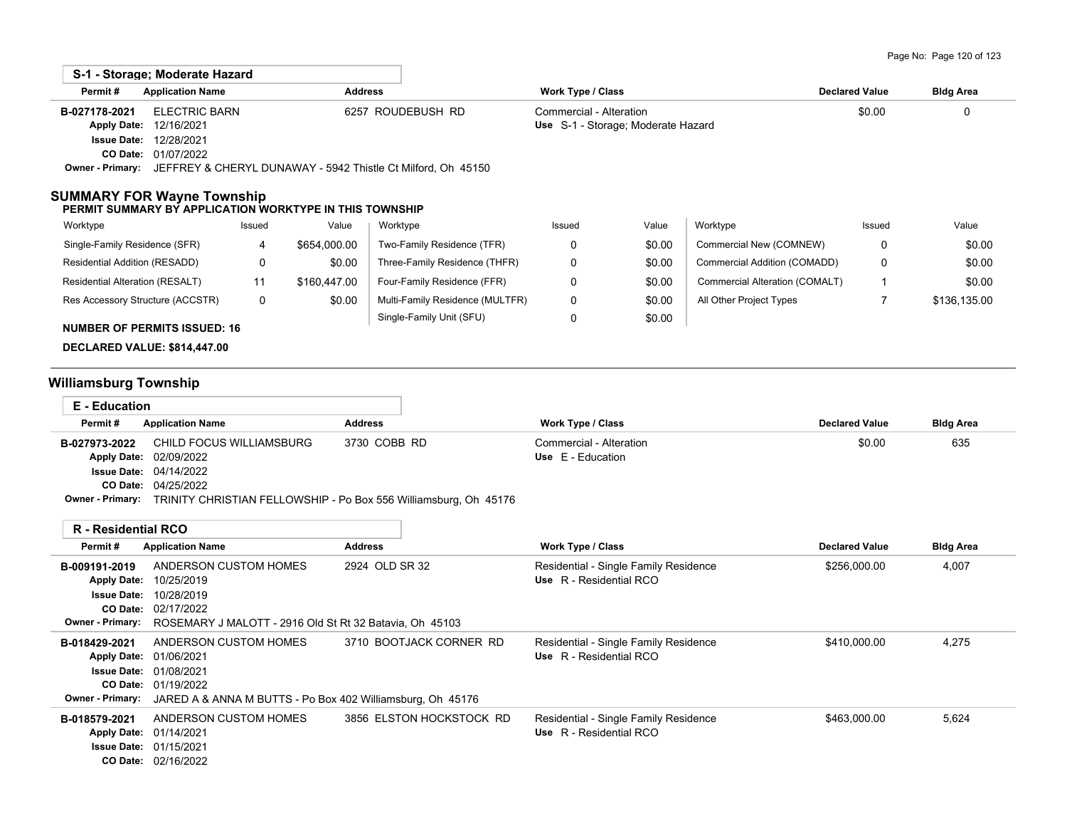|               | S-1 - Storage: Moderate Hazard                                                |                   |                                    |                       |                  |
|---------------|-------------------------------------------------------------------------------|-------------------|------------------------------------|-----------------------|------------------|
| Permit#       | <b>Application Name</b>                                                       | <b>Address</b>    | Work Type / Class                  | <b>Declared Value</b> | <b>Bldg Area</b> |
| B-027178-2021 | ELECTRIC BARN                                                                 | 6257 ROUDEBUSH RD | Commercial - Alteration            | \$0.00                | 0                |
|               | <b>Apply Date: 12/16/2021</b>                                                 |                   | Use S-1 - Storage; Moderate Hazard |                       |                  |
|               | <b>Issue Date: 12/28/2021</b>                                                 |                   |                                    |                       |                  |
|               | <b>CO Date: 01/07/2022</b>                                                    |                   |                                    |                       |                  |
|               | Owner - Primary: JEFFREY & CHERYL DUNAWAY - 5942 Thistle Ct Milford, Oh 45150 |                   |                                    |                       |                  |

### **SUMMARY FOR Wayne Township**

### **PERMIT SUMMARY BY APPLICATION WORKTYPE IN THIS TOWNSHIP**

| Worktype                            | Issued | Value        | Worktype                        | Issued | Value  | Worktype                       | Issued | Value        |
|-------------------------------------|--------|--------------|---------------------------------|--------|--------|--------------------------------|--------|--------------|
| Single-Family Residence (SFR)       |        | \$654,000.00 | Two-Family Residence (TFR)      |        | \$0.00 | Commercial New (COMNEW)        | 0      | \$0.00       |
| Residential Addition (RESADD)       |        | \$0.00       | Three-Family Residence (THFR)   |        | \$0.00 | Commercial Addition (COMADD)   | 0      | \$0.00       |
| Residential Alteration (RESALT)     |        | \$160.447.00 | Four-Family Residence (FFR)     |        | \$0.00 | Commercial Alteration (COMALT) |        | \$0.00       |
| Res Accessory Structure (ACCSTR)    |        | \$0.00       | Multi-Family Residence (MULTFR) |        | \$0.00 | All Other Project Types        |        | \$136,135.00 |
| <b>NUMBER OF PERMITS ISSUED: 16</b> |        |              | Single-Family Unit (SFU)        |        | \$0.00 |                                |        |              |

# **DECLARED VALUE: \$814,447.00**

# **Williamsburg Township**

| <b>E</b> - Education       |                                                            |                                                                  |                                       |                       |                  |
|----------------------------|------------------------------------------------------------|------------------------------------------------------------------|---------------------------------------|-----------------------|------------------|
| Permit#                    | <b>Application Name</b>                                    | <b>Address</b>                                                   | Work Type / Class                     | <b>Declared Value</b> | <b>Bldg Area</b> |
| B-027973-2022              | CHILD FOCUS WILLIAMSBURG                                   | 3730 COBB RD                                                     | Commercial - Alteration               | \$0.00                | 635              |
|                            | Apply Date: 02/09/2022                                     |                                                                  | Use E - Education                     |                       |                  |
|                            | <b>Issue Date: 04/14/2022</b>                              |                                                                  |                                       |                       |                  |
|                            | CO Date: 04/25/2022                                        |                                                                  |                                       |                       |                  |
| <b>Owner - Primary:</b>    |                                                            | TRINITY CHRISTIAN FELLOWSHIP - Po Box 556 Williamsburg, Oh 45176 |                                       |                       |                  |
| <b>R</b> - Residential RCO |                                                            |                                                                  |                                       |                       |                  |
| Permit#                    | <b>Application Name</b>                                    | <b>Address</b>                                                   | Work Type / Class                     | <b>Declared Value</b> | <b>Bldg Area</b> |
| B-009191-2019              | ANDERSON CUSTOM HOMES                                      | 2924 OLD SR 32                                                   | Residential - Single Family Residence | \$256,000.00          | 4,007            |
| <b>Apply Date:</b>         | 10/25/2019                                                 |                                                                  | Use R - Residential RCO               |                       |                  |
| <b>Issue Date:</b>         | 10/28/2019                                                 |                                                                  |                                       |                       |                  |
|                            | CO Date: 02/17/2022                                        |                                                                  |                                       |                       |                  |
| <b>Owner - Primary:</b>    | ROSEMARY J MALOTT - 2916 Old St Rt 32 Batavia, Oh 45103    |                                                                  |                                       |                       |                  |
| B-018429-2021              | ANDERSON CUSTOM HOMES                                      | 3710 BOOTJACK CORNER RD                                          | Residential - Single Family Residence | \$410,000.00          | 4,275            |
|                            | Apply Date: 01/06/2021                                     |                                                                  | Use R - Residential RCO               |                       |                  |
|                            | <b>Issue Date: 01/08/2021</b>                              |                                                                  |                                       |                       |                  |
|                            | CO Date: 01/19/2022                                        |                                                                  |                                       |                       |                  |
| <b>Owner - Primary:</b>    | JARED A & ANNA M BUTTS - Po Box 402 Williamsburg, Oh 45176 |                                                                  |                                       |                       |                  |
| B-018579-2021              | ANDERSON CUSTOM HOMES                                      | 3856 ELSTON HOCKSTOCK RD                                         | Residential - Single Family Residence | \$463,000.00          | 5,624            |
|                            | Apply Date: 01/14/2021                                     |                                                                  | Use R - Residential RCO               |                       |                  |
|                            | <b>Issue Date: 01/15/2021</b>                              |                                                                  |                                       |                       |                  |
|                            | CO Date: 02/16/2022                                        |                                                                  |                                       |                       |                  |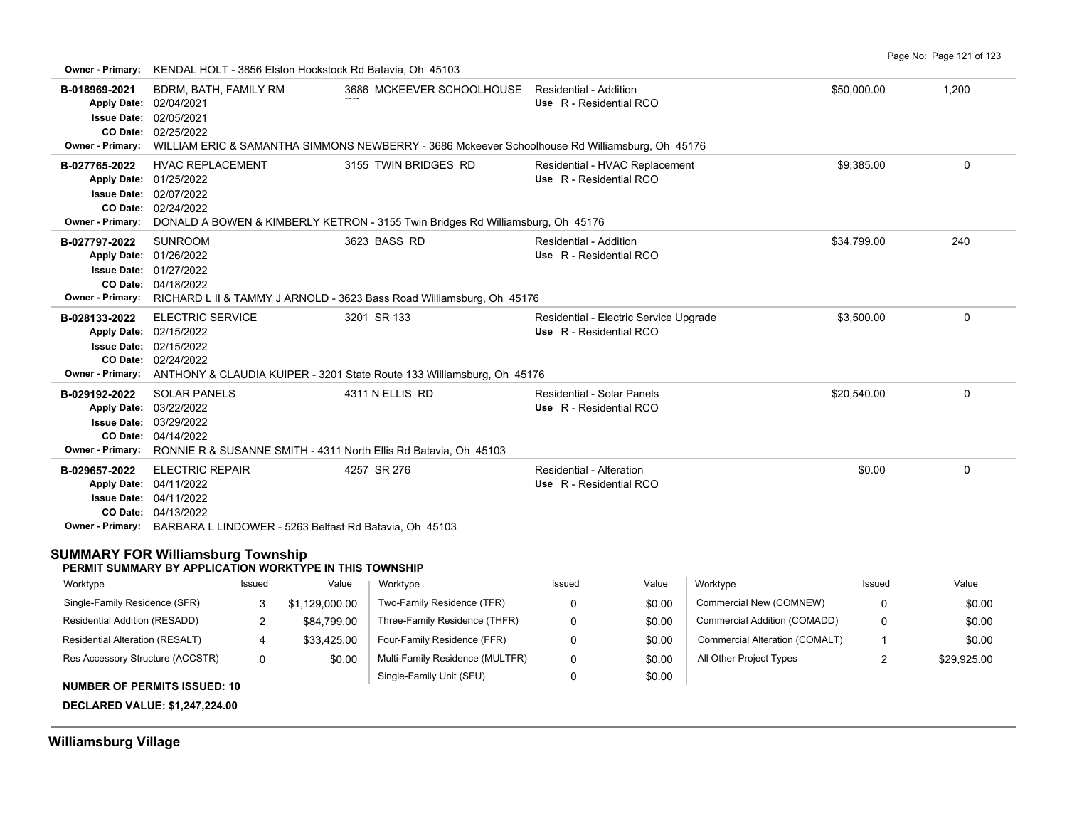**Owner - Primary:** KENDAL HOLT - 3856 Elston Hockstock Rd Batavia, Oh 45103

| B-018969-2021<br><b>Owner - Primary:</b>                  | BDRM, BATH, FAMILY RM<br>Apply Date: 02/04/2021<br>Issue Date: 02/05/2021<br>CO Date: 02/25/2022                                                                                                                                                                                                                                                                |                |                                                         | 3686 MCKEEVER SCHOOLHOUSE Residential - Addition<br>WILLIAM ERIC & SAMANTHA SIMMONS NEWBERRY - 3686 Mckeever Schoolhouse Rd Williamsburg, Oh 45176 | Use R - Residential RCO                               |                                        |                                | \$50,000.00  | 1,200       |
|-----------------------------------------------------------|-----------------------------------------------------------------------------------------------------------------------------------------------------------------------------------------------------------------------------------------------------------------------------------------------------------------------------------------------------------------|----------------|---------------------------------------------------------|----------------------------------------------------------------------------------------------------------------------------------------------------|-------------------------------------------------------|----------------------------------------|--------------------------------|--------------|-------------|
| B-027765-2022<br><b>Owner - Primary:</b>                  | <b>HVAC REPLACEMENT</b><br>Apply Date: 01/25/2022<br>Issue Date: 02/07/2022<br>CO Date: 02/24/2022                                                                                                                                                                                                                                                              |                |                                                         | 3155 TWIN BRIDGES RD<br>DONALD A BOWEN & KIMBERLY KETRON - 3155 Twin Bridges Rd Williamsburg, Oh 45176                                             | Use R - Residential RCO                               | Residential - HVAC Replacement         |                                | \$9,385.00   | $\mathbf 0$ |
| B-027797-2022                                             | <b>SUNROOM</b><br>Apply Date: 01/26/2022<br><b>Issue Date: 01/27/2022</b><br>CO Date: 04/18/2022                                                                                                                                                                                                                                                                |                |                                                         | 3623 BASS RD<br>Owner - Primary: RICHARD L II & TAMMY J ARNOLD - 3623 Bass Road Williamsburg, Oh 45176                                             | Residential - Addition<br>Use R - Residential RCO     |                                        |                                | \$34,799.00  | 240         |
| B-028133-2022<br><b>Owner - Primary:</b>                  | <b>ELECTRIC SERVICE</b><br>Apply Date: 02/15/2022<br><b>Issue Date: 02/15/2022</b><br>CO Date: 02/24/2022                                                                                                                                                                                                                                                       |                |                                                         | 3201 SR 133<br>ANTHONY & CLAUDIA KUIPER - 3201 State Route 133 Williamsburg, Oh 45176                                                              | Use R - Residential RCO                               | Residential - Electric Service Upgrade |                                | \$3,500.00   | 0           |
| B-029192-2022                                             | <b>SOLAR PANELS</b><br>Apply Date: 03/22/2022<br><b>Issue Date: 03/29/2022</b><br>CO Date: 04/14/2022                                                                                                                                                                                                                                                           |                |                                                         | 4311 N ELLIS RD                                                                                                                                    | Residential - Solar Panels<br>Use R - Residential RCO |                                        |                                | \$20,540.00  | 0           |
| B-029657-2022<br><b>SUMMARY FOR Williamsburg Township</b> | Owner - Primary: RONNIE R & SUSANNE SMITH - 4311 North Ellis Rd Batavia, Oh 45103<br>\$0.00<br><b>ELECTRIC REPAIR</b><br>4257 SR 276<br>Residential - Alteration<br>Apply Date: 04/11/2022<br>Use R - Residential RCO<br><b>Issue Date: 04/11/2022</b><br>CO Date: 04/13/2022<br><b>Owner - Primary:</b> BARBARA L LINDOWER - 5263 Belfast Rd Batavia, Oh 45103 |                |                                                         |                                                                                                                                                    |                                                       |                                        |                                | $\Omega$     |             |
|                                                           |                                                                                                                                                                                                                                                                                                                                                                 |                | PERMIT SUMMARY BY APPLICATION WORKTYPE IN THIS TOWNSHIP |                                                                                                                                                    |                                                       |                                        |                                |              |             |
| Worktype                                                  |                                                                                                                                                                                                                                                                                                                                                                 | Issued         | Value                                                   | Worktype                                                                                                                                           | Issued                                                | Value                                  | Worktype                       | Issued       | Value       |
| Single-Family Residence (SFR)                             |                                                                                                                                                                                                                                                                                                                                                                 | 3              | \$1,129,000.00                                          | Two-Family Residence (TFR)                                                                                                                         | $\Omega$                                              | \$0.00                                 | Commercial New (COMNEW)        | $\Omega$     | \$0.00      |
| Residential Addition (RESADD)                             |                                                                                                                                                                                                                                                                                                                                                                 | $\overline{2}$ | \$84,799.00                                             | Three-Family Residence (THFR)                                                                                                                      | 0                                                     | \$0.00                                 | Commercial Addition (COMADD)   | $\Omega$     | \$0.00      |
| Residential Alteration (RESALT)                           |                                                                                                                                                                                                                                                                                                                                                                 | 4              | \$33,425.00                                             | Four-Family Residence (FFR)                                                                                                                        | 0                                                     | \$0.00                                 | Commercial Alteration (COMALT) | $\mathbf{1}$ | \$0.00      |
| Res Accessory Structure (ACCSTR)                          | <b>NUMBER OF PERMITS ISSUED: 10</b>                                                                                                                                                                                                                                                                                                                             | 0              | \$0.00                                                  | Multi-Family Residence (MULTFR)<br>Single-Family Unit (SFU)                                                                                        | 0<br>0                                                | \$0.00<br>\$0.00                       | All Other Project Types        | 2            | \$29,925.00 |
|                                                           | <b>DECLARED VALUE: \$1,247,224.00</b>                                                                                                                                                                                                                                                                                                                           |                |                                                         |                                                                                                                                                    |                                                       |                                        |                                |              |             |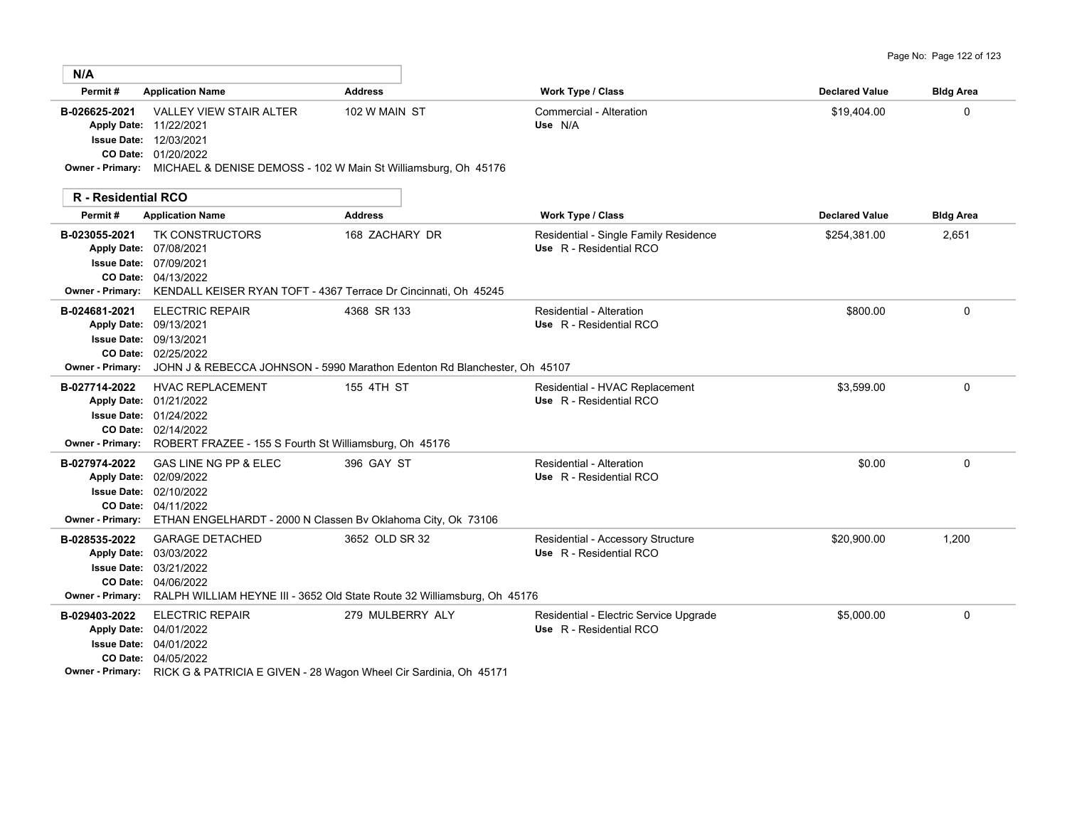| Page No: Page 122 of 123 |  |  |  |  |
|--------------------------|--|--|--|--|
|--------------------------|--|--|--|--|

| N/A                                     |                                                                                                                                                                                                       |                  |                                                                   |                       |                  |
|-----------------------------------------|-------------------------------------------------------------------------------------------------------------------------------------------------------------------------------------------------------|------------------|-------------------------------------------------------------------|-----------------------|------------------|
| Permit#                                 | <b>Application Name</b>                                                                                                                                                                               | <b>Address</b>   | Work Type / Class                                                 | <b>Declared Value</b> | <b>Bldg Area</b> |
| B-026625-2021                           | <b>VALLEY VIEW STAIR ALTER</b><br>Apply Date: 11/22/2021<br><b>Issue Date: 12/03/2021</b><br>CO Date: 01/20/2022<br>Owner - Primary: MICHAEL & DENISE DEMOSS - 102 W Main St Williamsburg, Oh 45176   | 102 W MAIN ST    | Commercial - Alteration<br>Use N/A                                | \$19,404.00           | 0                |
| <b>R</b> - Residential RCO              |                                                                                                                                                                                                       |                  |                                                                   |                       |                  |
| Permit#                                 | <b>Application Name</b>                                                                                                                                                                               | <b>Address</b>   | <b>Work Type / Class</b>                                          | <b>Declared Value</b> | <b>Bldg Area</b> |
| B-023055-2021                           | <b>TK CONSTRUCTORS</b><br>Apply Date: 07/08/2021<br><b>Issue Date: 07/09/2021</b><br>CO Date: 04/13/2022<br>Owner - Primary: KENDALL KEISER RYAN TOFT - 4367 Terrace Dr Cincinnati, Oh 45245          | 168 ZACHARY DR   | Residential - Single Family Residence<br>Use R - Residential RCO  | \$254,381.00          | 2,651            |
| B-024681-2021<br>Apply Date: 09/13/2021 | <b>ELECTRIC REPAIR</b><br><b>Issue Date: 09/13/2021</b><br>CO Date: 02/25/2022<br><b>Owner - Primary:</b> JOHN J & REBECCA JOHNSON - 5990 Marathon Edenton Rd Blanchester, Oh 45107                   | 4368 SR 133      | Residential - Alteration<br>Use R - Residential RCO               | \$800.00              | $\mathbf 0$      |
| B-027714-2022                           | <b>HVAC REPLACEMENT</b><br>Apply Date: 01/21/2022<br><b>Issue Date: 01/24/2022</b><br>CO Date: 02/14/2022<br>Owner - Primary: ROBERT FRAZEE - 155 S Fourth St Williamsburg, Oh 45176                  | 155 4TH ST       | Residential - HVAC Replacement<br>Use R - Residential RCO         | \$3,599.00            | $\mathbf 0$      |
| B-027974-2022                           | GAS LINE NG PP & ELEC<br>Apply Date: 02/09/2022<br><b>Issue Date: 02/10/2022</b><br>CO Date: 04/11/2022<br>Owner - Primary: ETHAN ENGELHARDT - 2000 N Classen Bv Oklahoma City, Ok 73106              | 396 GAY ST       | <b>Residential - Alteration</b><br>Use R - Residential RCO        | \$0.00                | $\mathbf 0$      |
| B-028535-2022                           | <b>GARAGE DETACHED</b><br>Apply Date: 03/03/2022<br><b>Issue Date: 03/21/2022</b><br>CO Date: 04/06/2022<br>Owner - Primary: RALPH WILLIAM HEYNE III - 3652 Old State Route 32 Williamsburg, Oh 45176 | 3652 OLD SR 32   | Residential - Accessory Structure<br>Use R - Residential RCO      | \$20,900.00           | 1,200            |
| B-029403-2022                           | <b>ELECTRIC REPAIR</b><br>Apply Date: 04/01/2022<br><b>Issue Date: 04/01/2022</b><br>CO Date: 04/05/2022<br><b>Owner - Primary:</b> RICK G & PATRICIA E GIVEN - 28 Wagon Wheel Cir Sardinia, Oh 45171 | 279 MULBERRY ALY | Residential - Electric Service Upgrade<br>Use R - Residential RCO | \$5,000.00            | 0                |